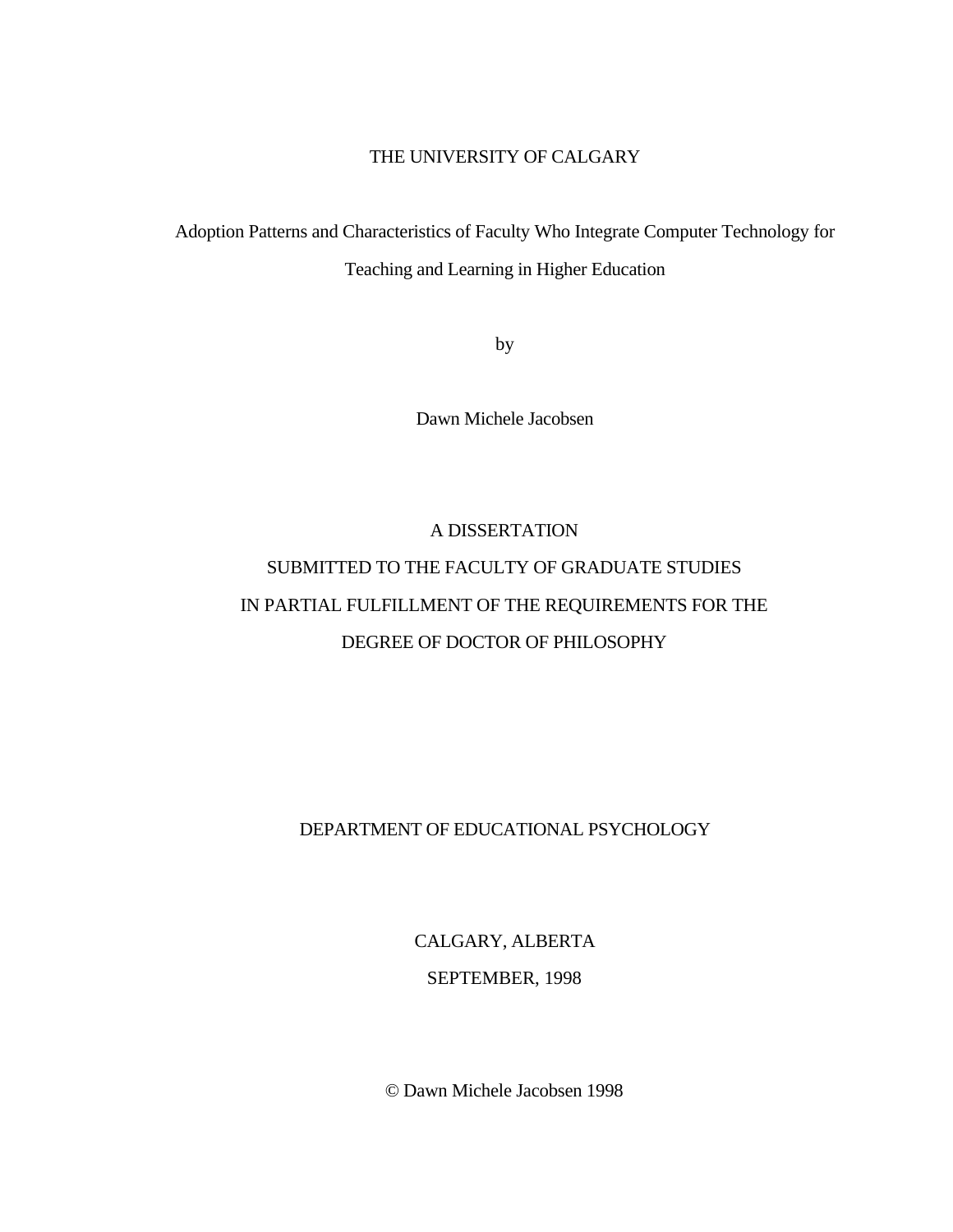## THE UNIVERSITY OF CALGARY

Adoption Patterns and Characteristics of Faculty Who Integrate Computer Technology for Teaching and Learning in Higher Education

by

Dawn Michele Jacobsen

# A DISSERTATION SUBMITTED TO THE FACULTY OF GRADUATE STUDIES IN PARTIAL FULFILLMENT OF THE REQUIREMENTS FOR THE DEGREE OF DOCTOR OF PHILOSOPHY

## DEPARTMENT OF EDUCATIONAL PSYCHOLOGY

CALGARY, ALBERTA

SEPTEMBER, 1998

© Dawn Michele Jacobsen 1998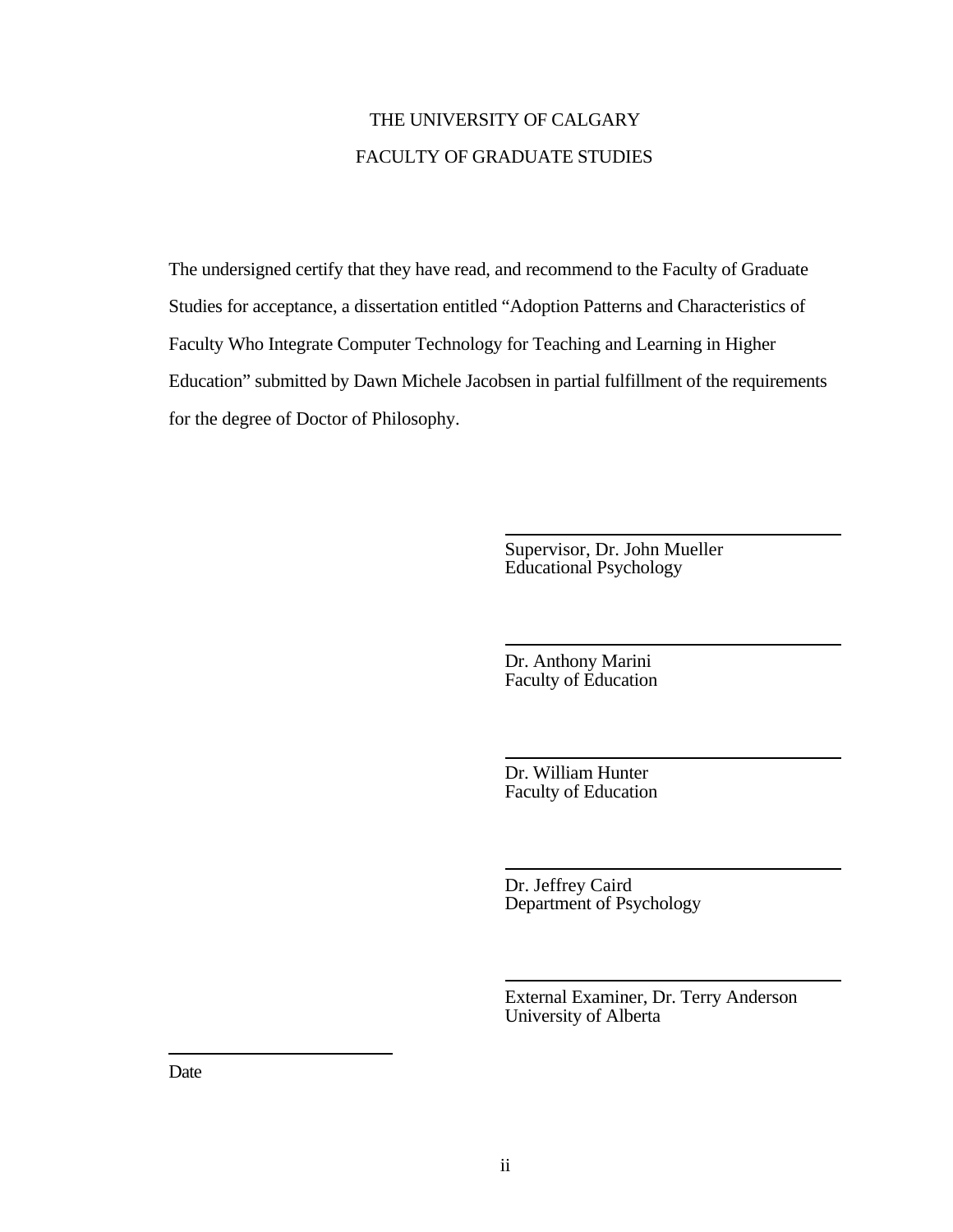## THE UNIVERSITY OF CALGARY FACULTY OF GRADUATE STUDIES

The undersigned certify that they have read, and recommend to the Faculty of Graduate Studies for acceptance, a dissertation entitled "Adoption Patterns and Characteristics of Faculty Who Integrate Computer Technology for Teaching and Learning in Higher Education" submitted by Dawn Michele Jacobsen in partial fulfillment of the requirements for the degree of Doctor of Philosophy.

> Supervisor, Dr. John Mueller Educational Psychology

Dr. Anthony Marini Faculty of Education

Dr. William Hunter Faculty of Education

Dr. Jeffrey Caird Department of Psychology

External Examiner, Dr. Terry Anderson University of Alberta

Date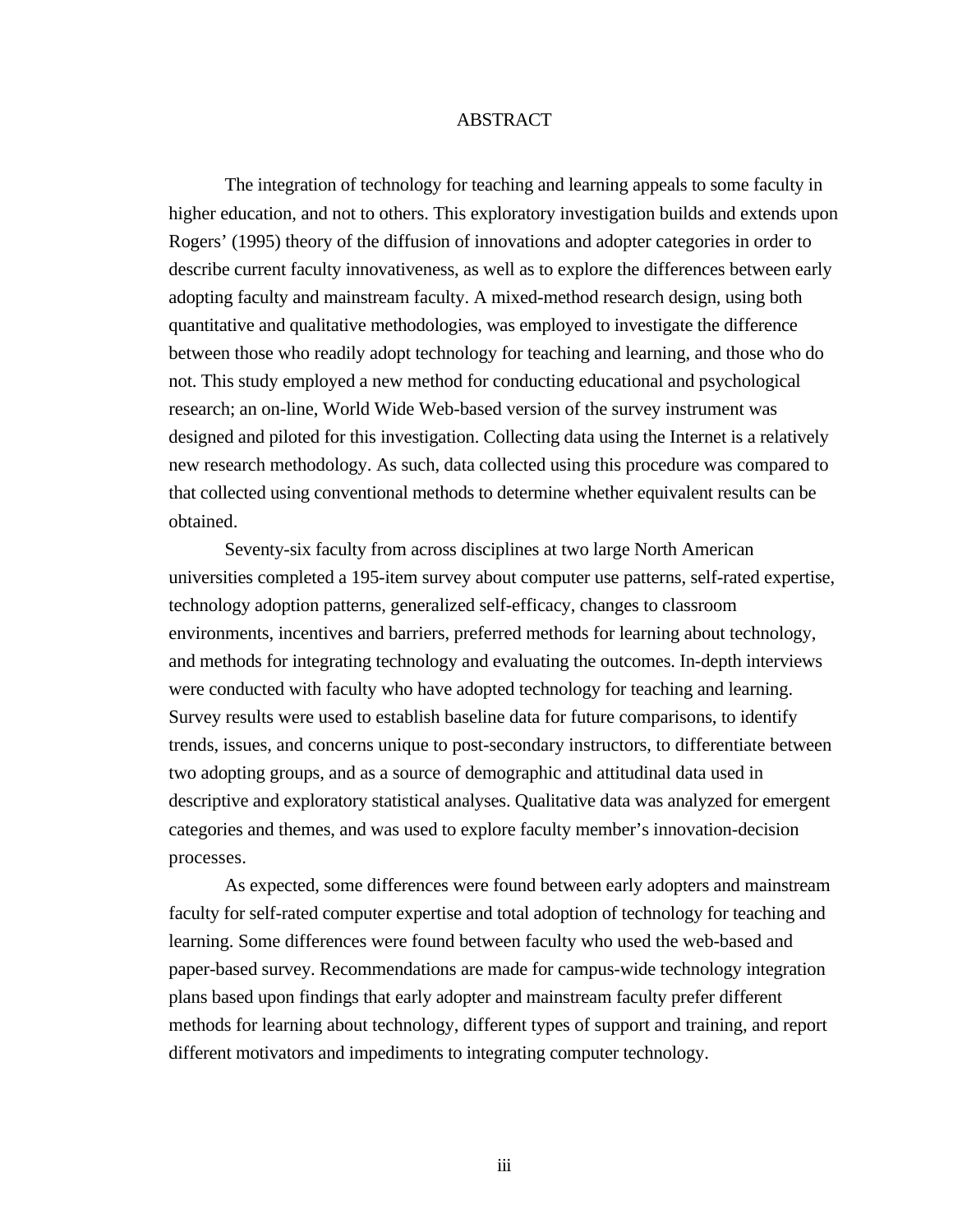#### ABSTRACT

The integration of technology for teaching and learning appeals to some faculty in higher education, and not to others. This exploratory investigation builds and extends upon Rogers' (1995) theory of the diffusion of innovations and adopter categories in order to describe current faculty innovativeness, as well as to explore the differences between early adopting faculty and mainstream faculty. A mixed-method research design, using both quantitative and qualitative methodologies, was employed to investigate the difference between those who readily adopt technology for teaching and learning, and those who do not. This study employed a new method for conducting educational and psychological research; an on-line, World Wide Web-based version of the survey instrument was designed and piloted for this investigation. Collecting data using the Internet is a relatively new research methodology. As such, data collected using this procedure was compared to that collected using conventional methods to determine whether equivalent results can be obtained.

Seventy-six faculty from across disciplines at two large North American universities completed a 195-item survey about computer use patterns, self-rated expertise, technology adoption patterns, generalized self-efficacy, changes to classroom environments, incentives and barriers, preferred methods for learning about technology, and methods for integrating technology and evaluating the outcomes. In-depth interviews were conducted with faculty who have adopted technology for teaching and learning. Survey results were used to establish baseline data for future comparisons, to identify trends, issues, and concerns unique to post-secondary instructors, to differentiate between two adopting groups, and as a source of demographic and attitudinal data used in descriptive and exploratory statistical analyses. Qualitative data was analyzed for emergent categories and themes, and was used to explore faculty member's innovation-decision processes.

As expected, some differences were found between early adopters and mainstream faculty for self-rated computer expertise and total adoption of technology for teaching and learning. Some differences were found between faculty who used the web-based and paper-based survey. Recommendations are made for campus-wide technology integration plans based upon findings that early adopter and mainstream faculty prefer different methods for learning about technology, different types of support and training, and report different motivators and impediments to integrating computer technology.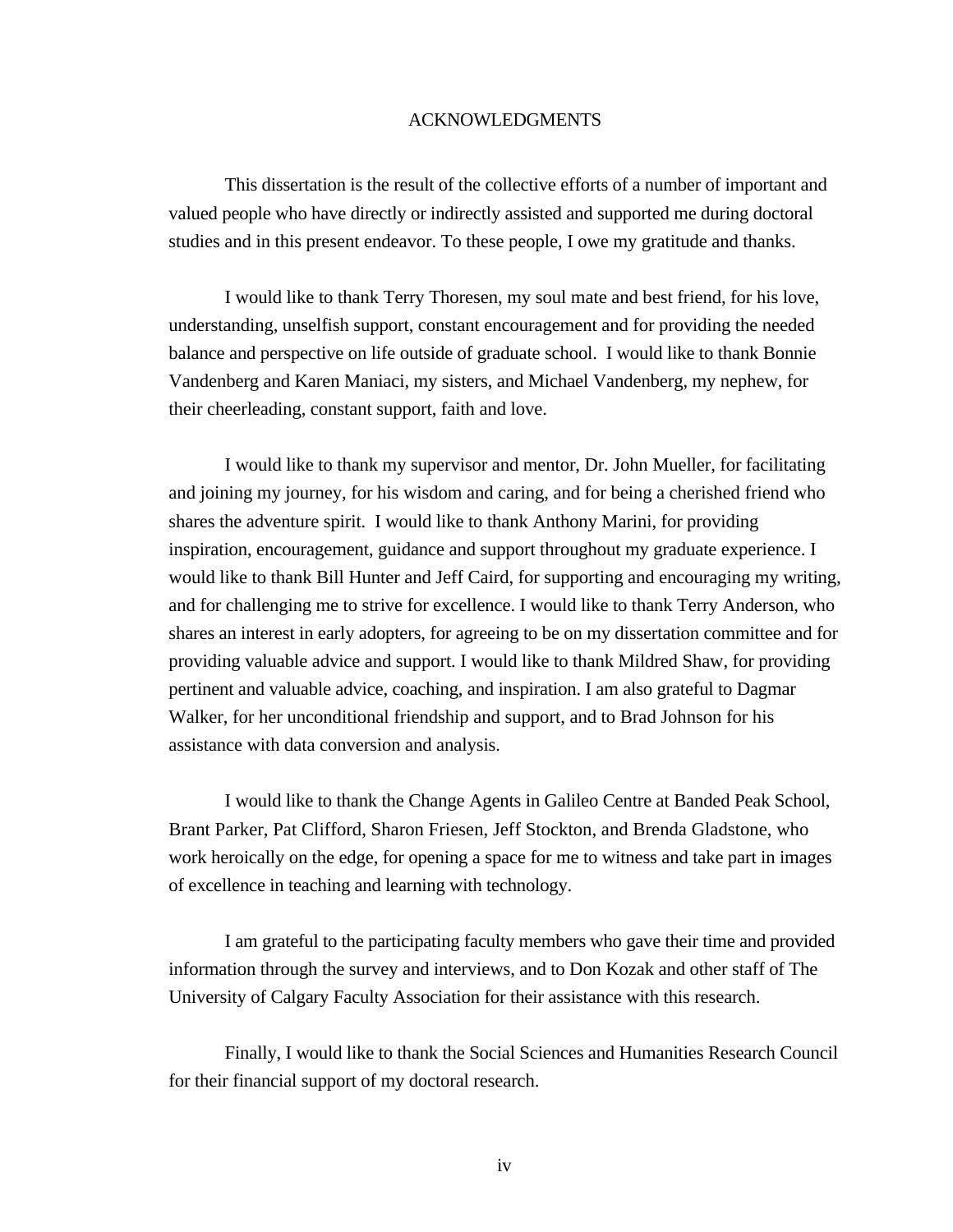#### ACKNOWLEDGMENTS

This dissertation is the result of the collective efforts of a number of important and valued people who have directly or indirectly assisted and supported me during doctoral studies and in this present endeavor. To these people, I owe my gratitude and thanks.

I would like to thank Terry Thoresen, my soul mate and best friend, for his love, understanding, unselfish support, constant encouragement and for providing the needed balance and perspective on life outside of graduate school. I would like to thank Bonnie Vandenberg and Karen Maniaci, my sisters, and Michael Vandenberg, my nephew, for their cheerleading, constant support, faith and love.

I would like to thank my supervisor and mentor, Dr. John Mueller, for facilitating and joining my journey, for his wisdom and caring, and for being a cherished friend who shares the adventure spirit. I would like to thank Anthony Marini, for providing inspiration, encouragement, guidance and support throughout my graduate experience. I would like to thank Bill Hunter and Jeff Caird, for supporting and encouraging my writing, and for challenging me to strive for excellence. I would like to thank Terry Anderson, who shares an interest in early adopters, for agreeing to be on my dissertation committee and for providing valuable advice and support. I would like to thank Mildred Shaw, for providing pertinent and valuable advice, coaching, and inspiration. I am also grateful to Dagmar Walker, for her unconditional friendship and support, and to Brad Johnson for his assistance with data conversion and analysis.

I would like to thank the Change Agents in Galileo Centre at Banded Peak School, Brant Parker, Pat Clifford, Sharon Friesen, Jeff Stockton, and Brenda Gladstone, who work heroically on the edge, for opening a space for me to witness and take part in images of excellence in teaching and learning with technology.

I am grateful to the participating faculty members who gave their time and provided information through the survey and interviews, and to Don Kozak and other staff of The University of Calgary Faculty Association for their assistance with this research.

Finally, I would like to thank the Social Sciences and Humanities Research Council for their financial support of my doctoral research.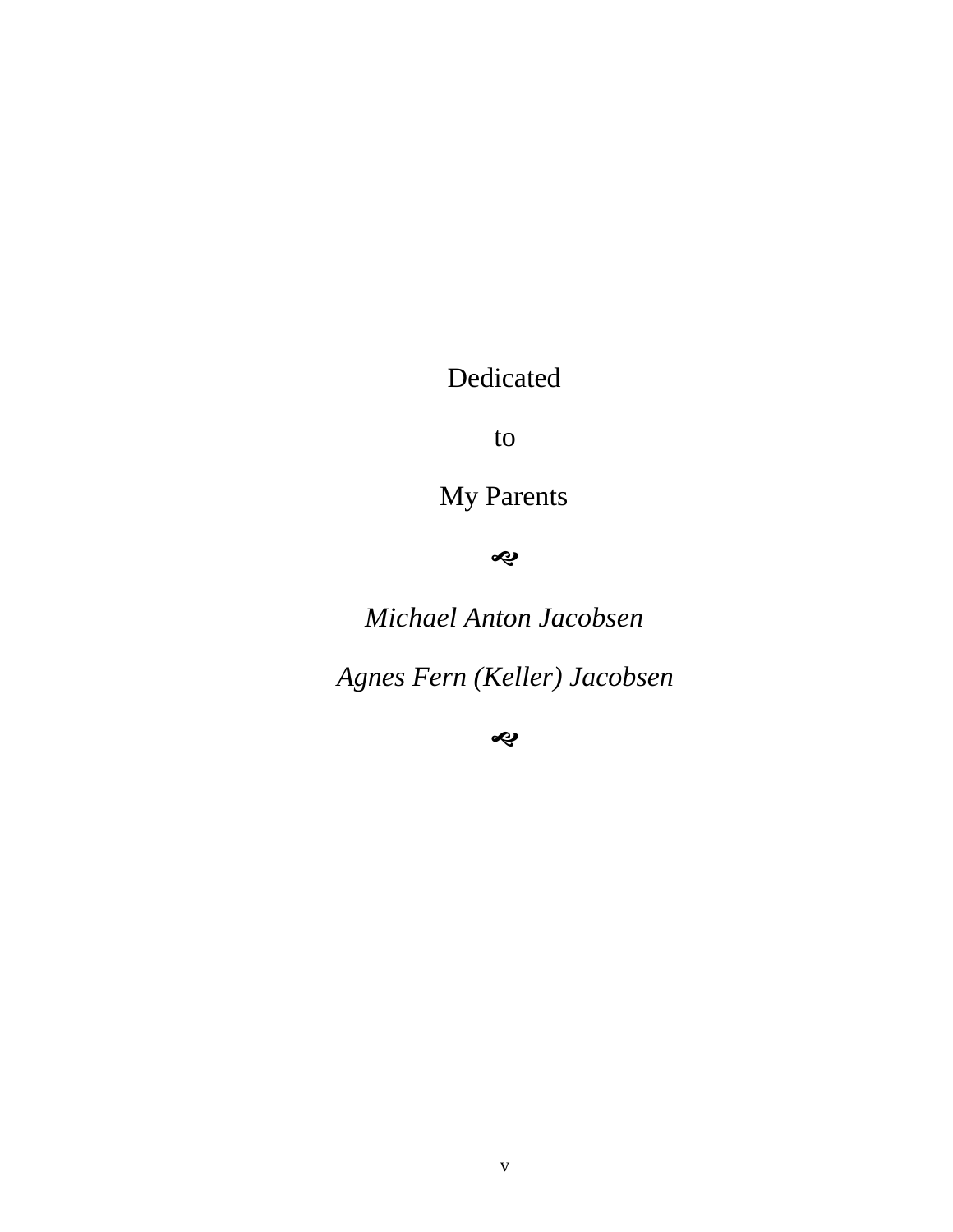# Dedicated

to

My Parents

ú

*Michael Anton Jacobsen*

*Agnes Fern (Keller) Jacobsen*

ú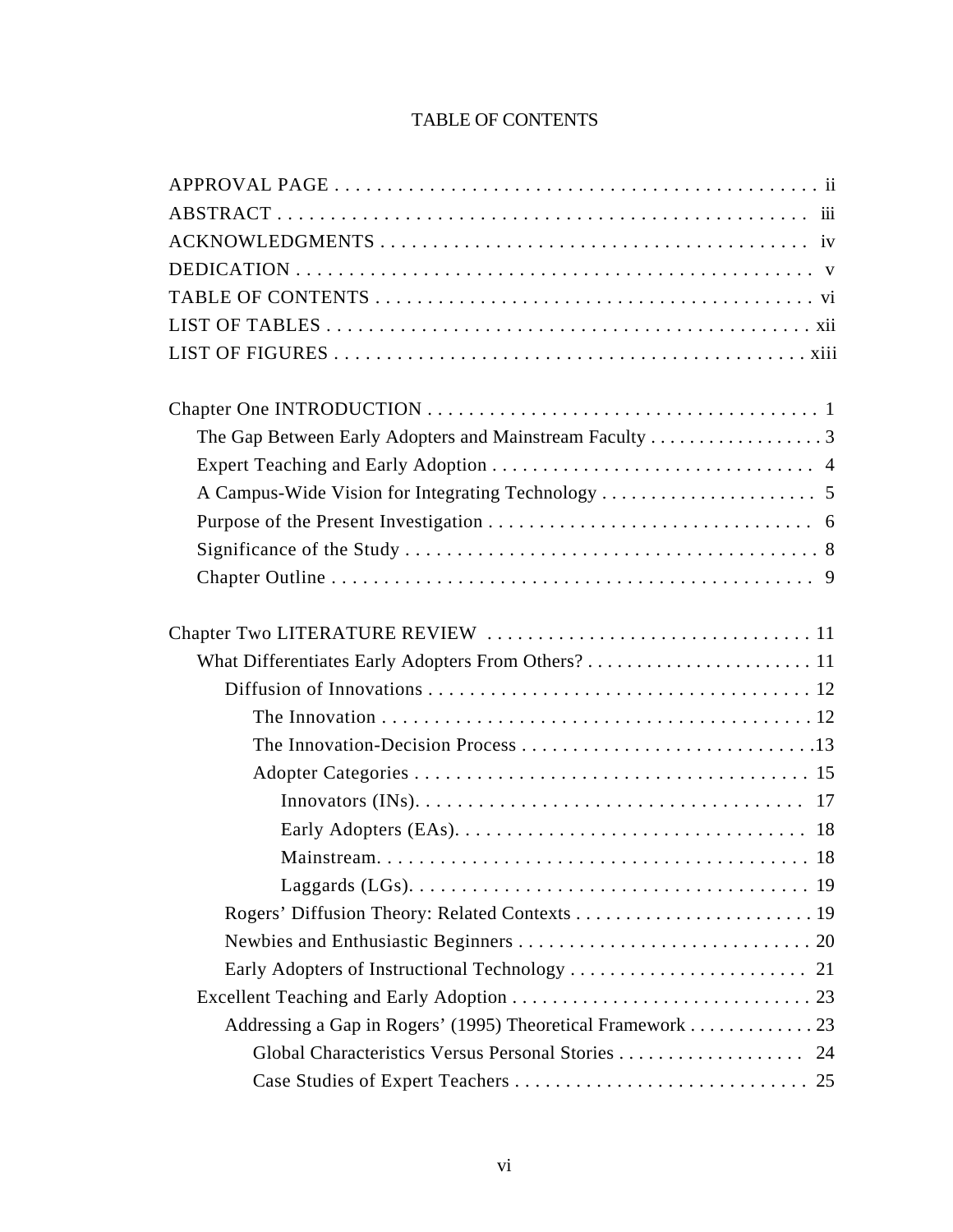## TABLE OF CONTENTS

| Addressing a Gap in Rogers' (1995) Theoretical Framework 23 |  |
|-------------------------------------------------------------|--|
|                                                             |  |
|                                                             |  |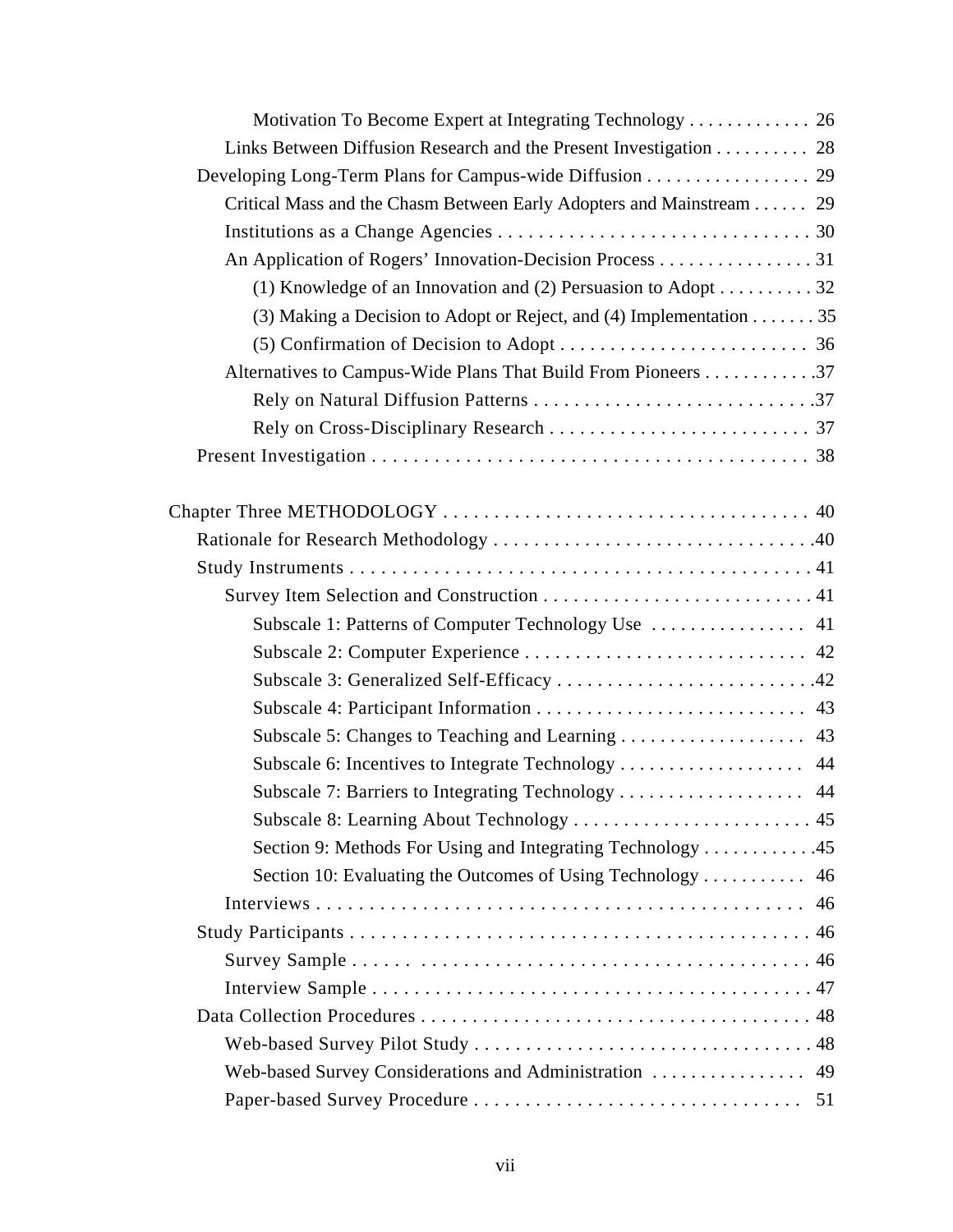| Motivation To Become Expert at Integrating Technology 26                          |  |
|-----------------------------------------------------------------------------------|--|
| Links Between Diffusion Research and the Present Investigation 28                 |  |
| Developing Long-Term Plans for Campus-wide Diffusion 29                           |  |
| Critical Mass and the Chasm Between Early Adopters and Mainstream 29              |  |
|                                                                                   |  |
| An Application of Rogers' Innovation-Decision Process 31                          |  |
| (1) Knowledge of an Innovation and (2) Persuasion to Adopt 32                     |  |
| (3) Making a Decision to Adopt or Reject, and (4) Implementation $\dots \dots 35$ |  |
|                                                                                   |  |
| Alternatives to Campus-Wide Plans That Build From Pioneers 37                     |  |
|                                                                                   |  |
|                                                                                   |  |
|                                                                                   |  |
|                                                                                   |  |
|                                                                                   |  |
|                                                                                   |  |
|                                                                                   |  |
|                                                                                   |  |
|                                                                                   |  |
| Subscale 3: Generalized Self-Efficacy 42                                          |  |
|                                                                                   |  |
|                                                                                   |  |
|                                                                                   |  |
| Subscale 7: Barriers to Integrating Technology  44                                |  |
|                                                                                   |  |
| Section 9: Methods For Using and Integrating Technology 45                        |  |
|                                                                                   |  |
|                                                                                   |  |
|                                                                                   |  |
|                                                                                   |  |
|                                                                                   |  |
|                                                                                   |  |
|                                                                                   |  |
|                                                                                   |  |
|                                                                                   |  |
|                                                                                   |  |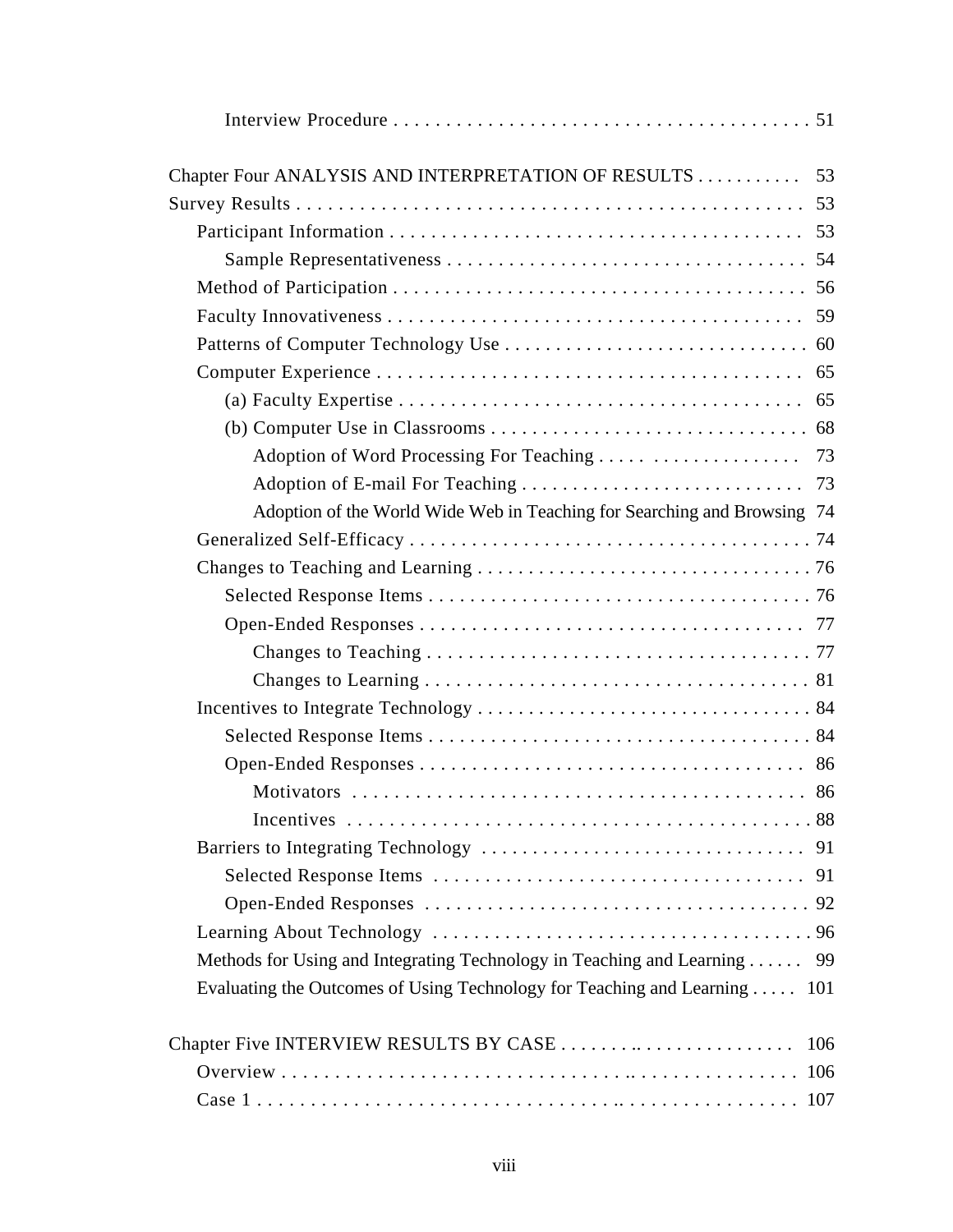| Chapter Four ANALYSIS AND INTERPRETATION OF RESULTS                        | 53 |
|----------------------------------------------------------------------------|----|
|                                                                            |    |
|                                                                            |    |
|                                                                            |    |
|                                                                            |    |
|                                                                            |    |
|                                                                            |    |
|                                                                            |    |
|                                                                            |    |
|                                                                            |    |
|                                                                            | 73 |
|                                                                            |    |
| Adoption of the World Wide Web in Teaching for Searching and Browsing 74   |    |
|                                                                            |    |
|                                                                            |    |
|                                                                            |    |
|                                                                            |    |
|                                                                            |    |
|                                                                            |    |
|                                                                            |    |
|                                                                            |    |
|                                                                            |    |
|                                                                            |    |
|                                                                            |    |
|                                                                            |    |
|                                                                            |    |
|                                                                            |    |
|                                                                            |    |
| Methods for Using and Integrating Technology in Teaching and Learning  99  |    |
| Evaluating the Outcomes of Using Technology for Teaching and Learning  101 |    |
|                                                                            |    |
|                                                                            |    |
|                                                                            |    |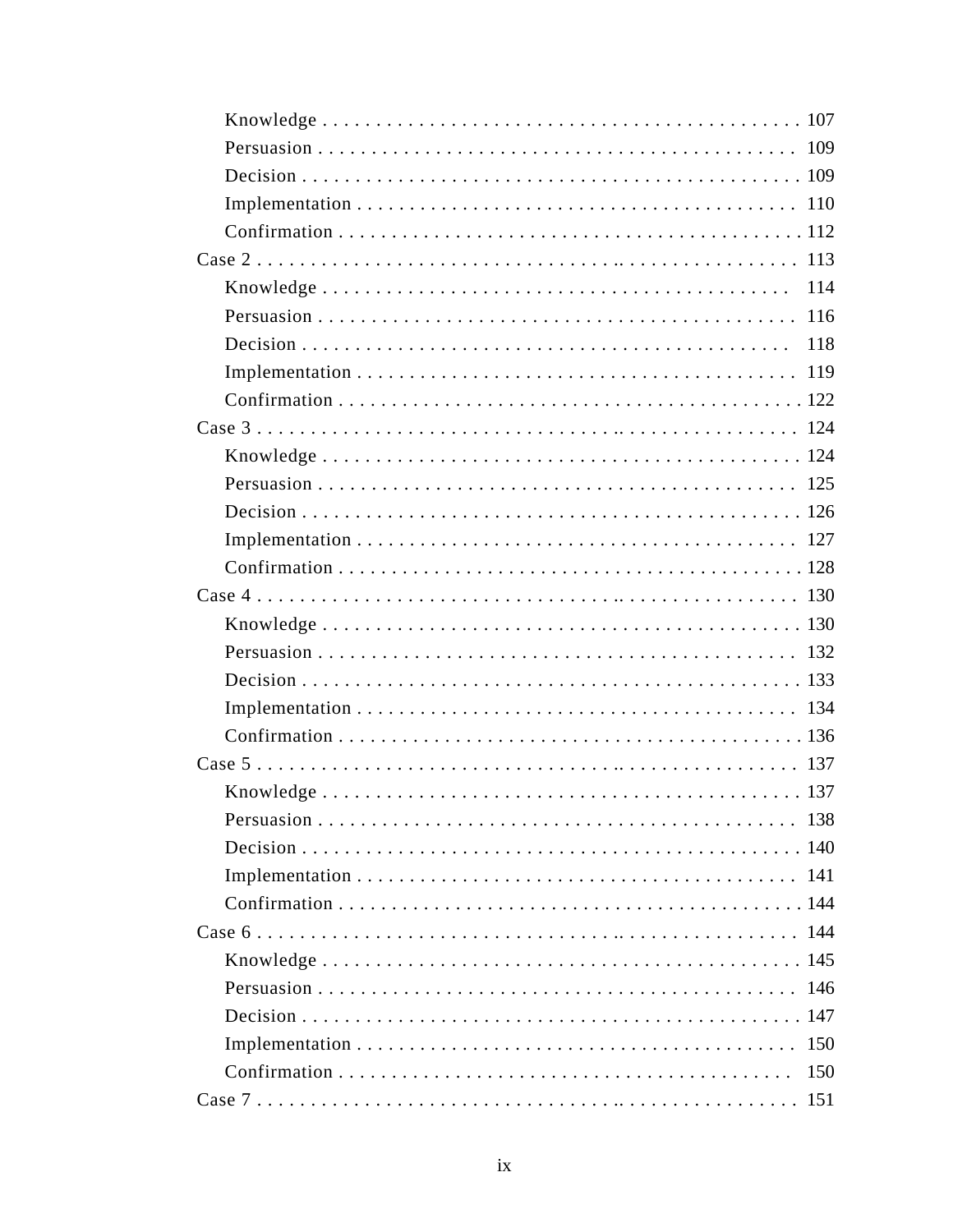|                 | 118 |
|-----------------|-----|
|                 |     |
|                 |     |
|                 |     |
|                 |     |
|                 |     |
|                 |     |
|                 |     |
|                 |     |
|                 |     |
|                 |     |
|                 |     |
|                 |     |
|                 |     |
|                 |     |
|                 |     |
|                 |     |
|                 |     |
|                 |     |
|                 |     |
|                 |     |
|                 |     |
|                 |     |
|                 |     |
|                 |     |
|                 |     |
|                 | 150 |
| Case $7 \ldots$ | 151 |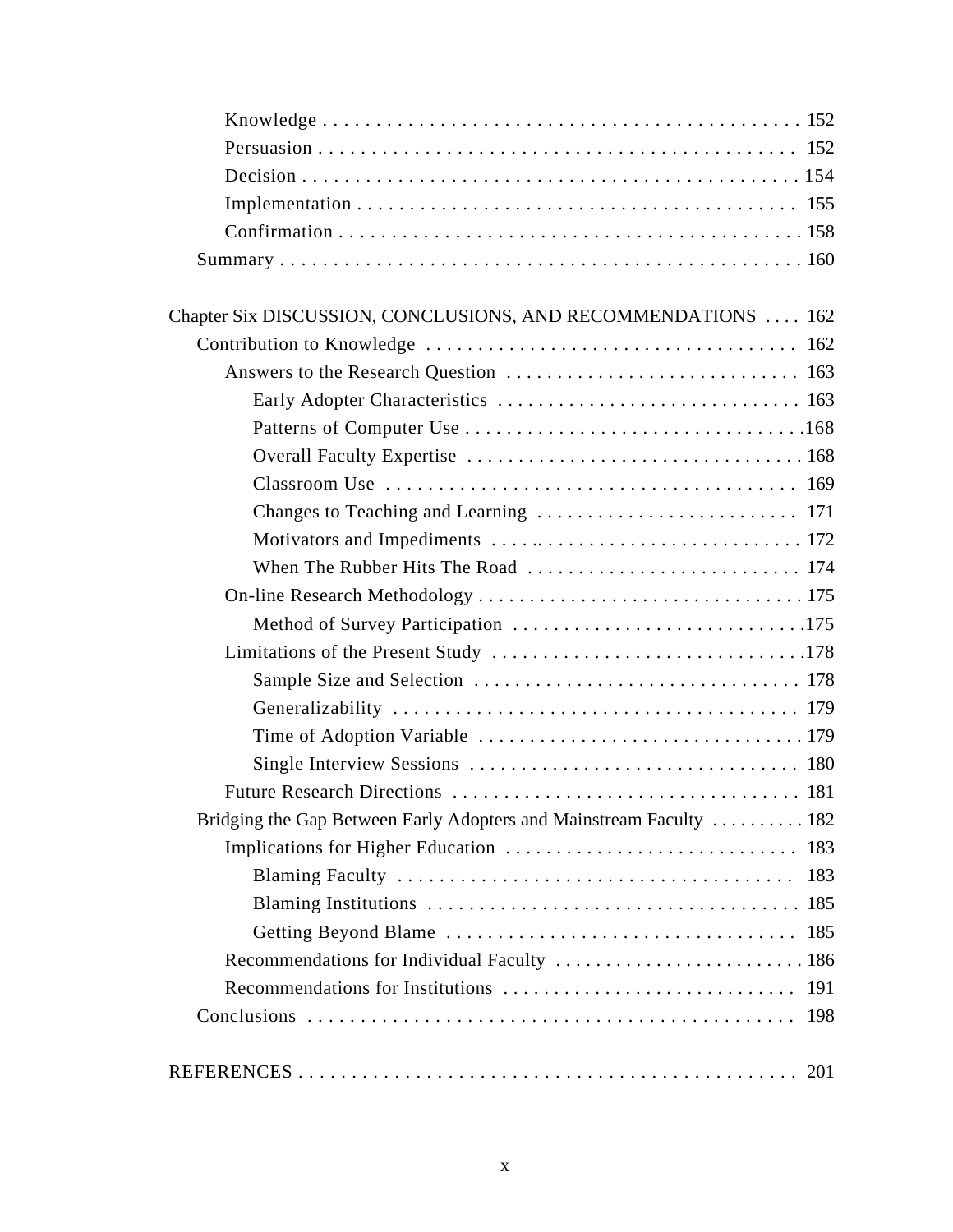| Chapter Six DISCUSSION, CONCLUSIONS, AND RECOMMENDATIONS  162       |
|---------------------------------------------------------------------|
|                                                                     |
|                                                                     |
|                                                                     |
|                                                                     |
|                                                                     |
|                                                                     |
|                                                                     |
|                                                                     |
|                                                                     |
|                                                                     |
|                                                                     |
|                                                                     |
|                                                                     |
|                                                                     |
|                                                                     |
|                                                                     |
|                                                                     |
| Bridging the Gap Between Early Adopters and Mainstream Faculty  182 |
|                                                                     |
| 183                                                                 |
|                                                                     |
|                                                                     |
|                                                                     |
|                                                                     |
| 198                                                                 |
|                                                                     |
|                                                                     |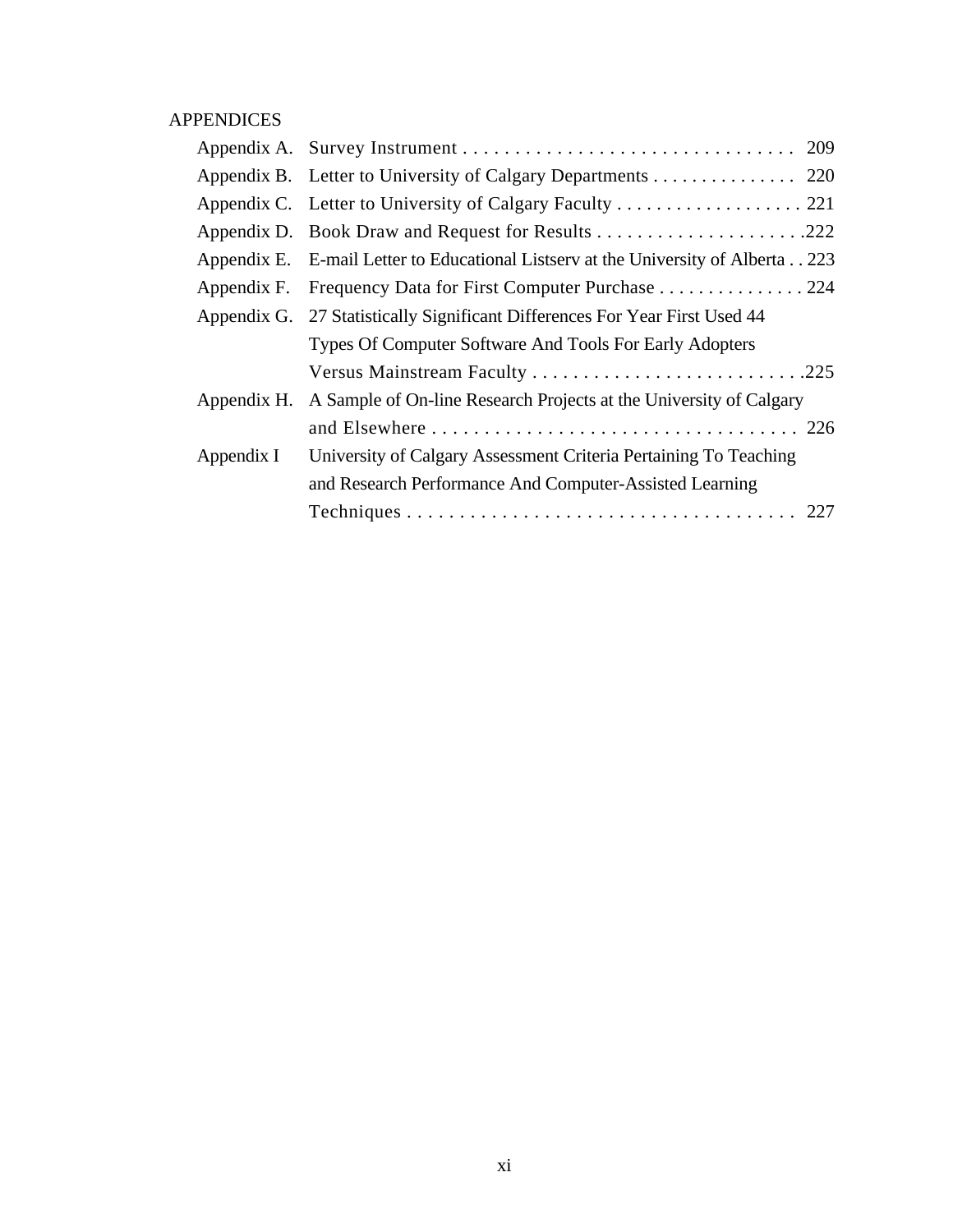## APPENDICES

|             | Appendix B. Letter to University of Calgary Departments 220                       |
|-------------|-----------------------------------------------------------------------------------|
|             | Appendix C. Letter to University of Calgary Faculty 221                           |
|             |                                                                                   |
|             | Appendix E. E-mail Letter to Educational Listserv at the University of Alberta223 |
|             | Appendix F. Frequency Data for First Computer Purchase 224                        |
|             | Appendix G. 27 Statistically Significant Differences For Year First Used 44       |
|             | Types Of Computer Software And Tools For Early Adopters                           |
|             | Versus Mainstream Faculty 225                                                     |
| Appendix H. | A Sample of On-line Research Projects at the University of Calgary                |
|             |                                                                                   |
| Appendix I  | University of Calgary Assessment Criteria Pertaining To Teaching                  |
|             | and Research Performance And Computer-Assisted Learning                           |
|             |                                                                                   |
|             |                                                                                   |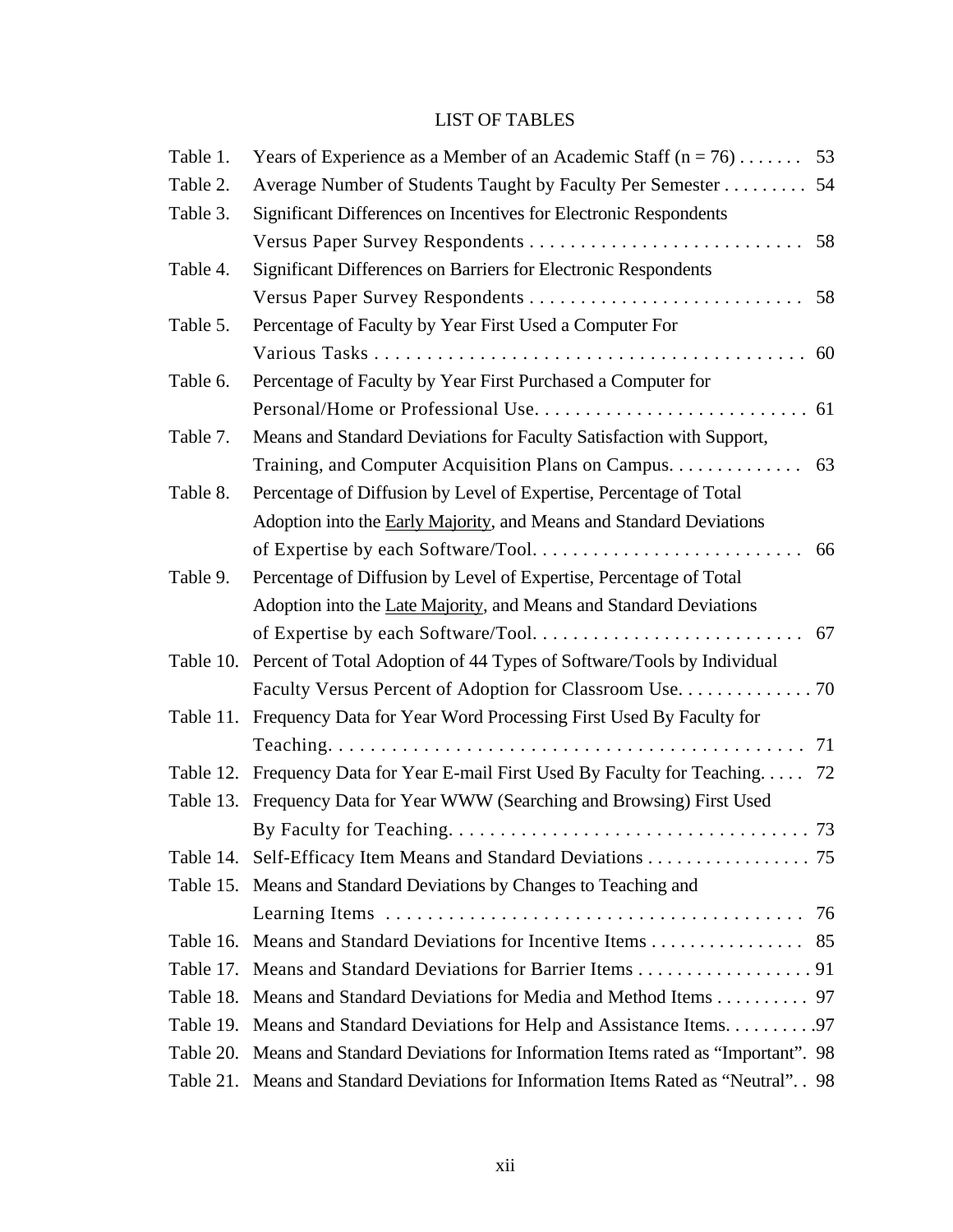## LIST OF TABLES

| Table 1. | Years of Experience as a Member of an Academic Staff $(n = 76)$ 53                     |    |
|----------|----------------------------------------------------------------------------------------|----|
| Table 2. | Average Number of Students Taught by Faculty Per Semester                              | 54 |
| Table 3. | Significant Differences on Incentives for Electronic Respondents                       |    |
|          |                                                                                        |    |
| Table 4. | Significant Differences on Barriers for Electronic Respondents                         |    |
|          |                                                                                        |    |
| Table 5. | Percentage of Faculty by Year First Used a Computer For                                |    |
|          |                                                                                        |    |
| Table 6. | Percentage of Faculty by Year First Purchased a Computer for                           |    |
|          |                                                                                        |    |
| Table 7. | Means and Standard Deviations for Faculty Satisfaction with Support,                   |    |
|          |                                                                                        |    |
| Table 8. | Percentage of Diffusion by Level of Expertise, Percentage of Total                     |    |
|          | Adoption into the Early Majority, and Means and Standard Deviations                    |    |
|          |                                                                                        |    |
| Table 9. | Percentage of Diffusion by Level of Expertise, Percentage of Total                     |    |
|          | Adoption into the Late Majority, and Means and Standard Deviations                     |    |
|          |                                                                                        |    |
|          | Table 10. Percent of Total Adoption of 44 Types of Software/Tools by Individual        |    |
|          |                                                                                        |    |
|          | Table 11. Frequency Data for Year Word Processing First Used By Faculty for            |    |
|          |                                                                                        |    |
|          | Table 12. Frequency Data for Year E-mail First Used By Faculty for Teaching 72         |    |
|          | Table 13. Frequency Data for Year WWW (Searching and Browsing) First Used              |    |
|          |                                                                                        |    |
|          | Table 14. Self-Efficacy Item Means and Standard Deviations 75                          |    |
|          | Table 15. Means and Standard Deviations by Changes to Teaching and                     |    |
|          |                                                                                        | 76 |
|          | Table 16. Means and Standard Deviations for Incentive Items 85                         |    |
|          | Table 17. Means and Standard Deviations for Barrier Items 91                           |    |
|          | Table 18. Means and Standard Deviations for Media and Method Items 97                  |    |
|          | Table 19. Means and Standard Deviations for Help and Assistance Items. 97              |    |
|          | Table 20. Means and Standard Deviations for Information Items rated as "Important". 98 |    |
|          | Table 21. Means and Standard Deviations for Information Items Rated as "Neutral". 98   |    |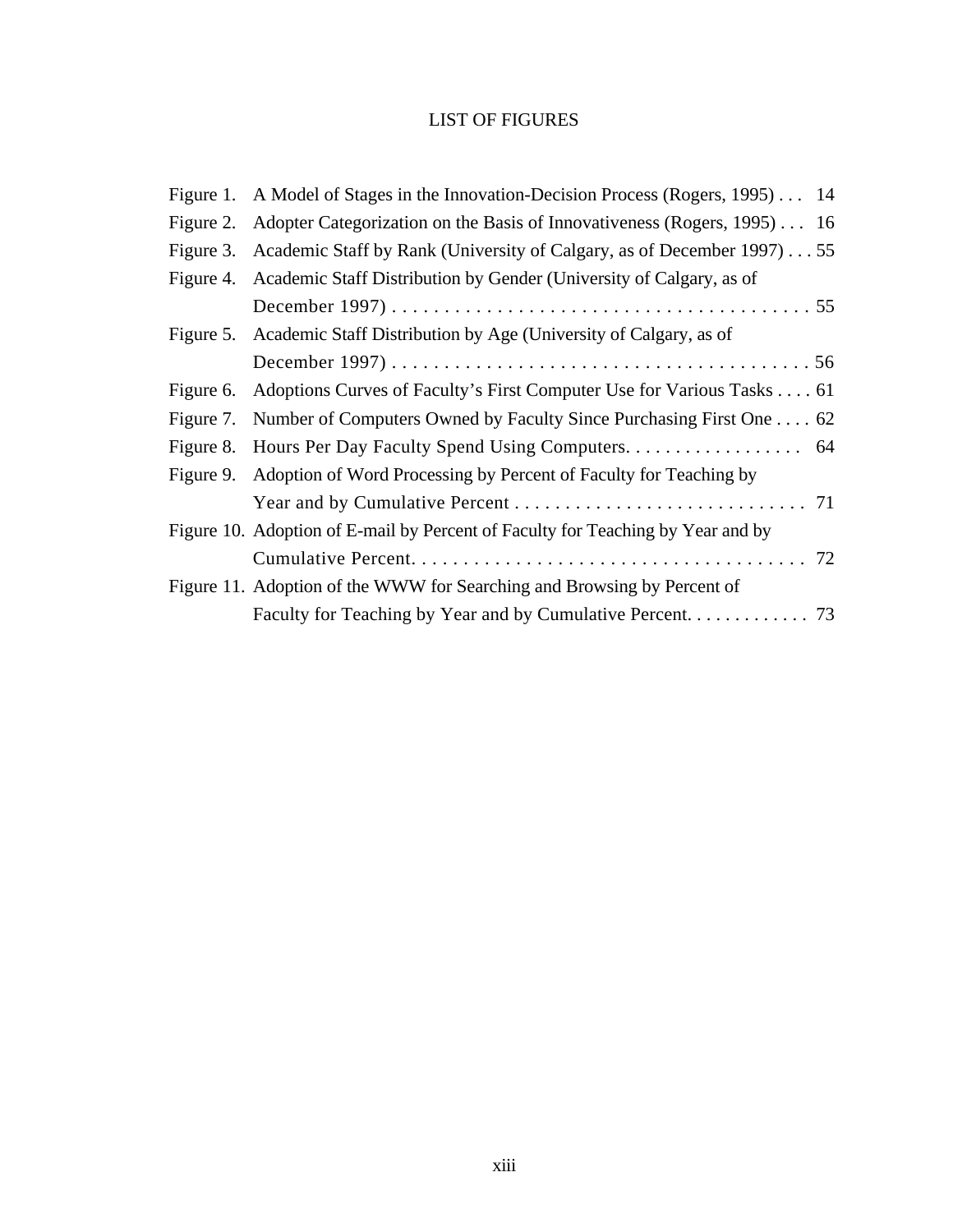## LIST OF FIGURES

|           | Figure 1. A Model of Stages in the Innovation-Decision Process (Rogers, 1995)  14 |
|-----------|-----------------------------------------------------------------------------------|
| Figure 2. | Adopter Categorization on the Basis of Innovativeness (Rogers, 1995) 16           |
|           | Figure 3. Academic Staff by Rank (University of Calgary, as of December 1997) 55  |
|           | Figure 4. Academic Staff Distribution by Gender (University of Calgary, as of     |
|           |                                                                                   |
|           | Figure 5. Academic Staff Distribution by Age (University of Calgary, as of        |
|           |                                                                                   |
| Figure 6. | Adoptions Curves of Faculty's First Computer Use for Various Tasks 61             |
| Figure 7. | Number of Computers Owned by Faculty Since Purchasing First One 62                |
| Figure 8. |                                                                                   |
| Figure 9. | Adoption of Word Processing by Percent of Faculty for Teaching by                 |
|           |                                                                                   |
|           | Figure 10. Adoption of E-mail by Percent of Faculty for Teaching by Year and by   |
|           |                                                                                   |
|           | Figure 11. Adoption of the WWW for Searching and Browsing by Percent of           |
|           | Faculty for Teaching by Year and by Cumulative Percent. 73                        |
|           |                                                                                   |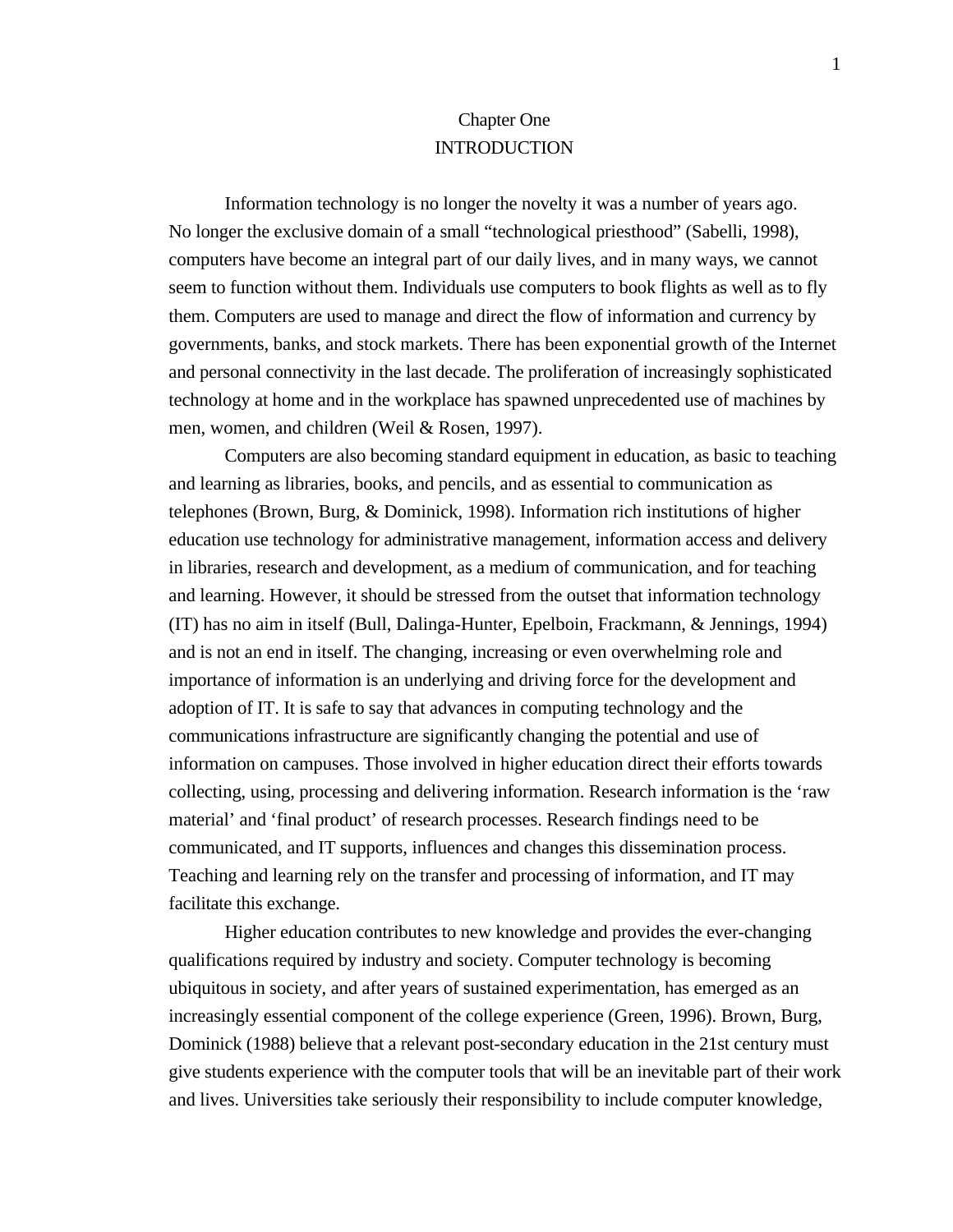## Chapter One **INTRODUCTION**

Information technology is no longer the novelty it was a number of years ago. No longer the exclusive domain of a small "technological priesthood" (Sabelli, 1998), computers have become an integral part of our daily lives, and in many ways, we cannot seem to function without them. Individuals use computers to book flights as well as to fly them. Computers are used to manage and direct the flow of information and currency by governments, banks, and stock markets. There has been exponential growth of the Internet and personal connectivity in the last decade. The proliferation of increasingly sophisticated technology at home and in the workplace has spawned unprecedented use of machines by men, women, and children (Weil & Rosen, 1997).

Computers are also becoming standard equipment in education, as basic to teaching and learning as libraries, books, and pencils, and as essential to communication as telephones (Brown, Burg, & Dominick, 1998). Information rich institutions of higher education use technology for administrative management, information access and delivery in libraries, research and development, as a medium of communication, and for teaching and learning. However, it should be stressed from the outset that information technology (IT) has no aim in itself (Bull, Dalinga-Hunter, Epelboin, Frackmann, & Jennings, 1994) and is not an end in itself. The changing, increasing or even overwhelming role and importance of information is an underlying and driving force for the development and adoption of IT. It is safe to say that advances in computing technology and the communications infrastructure are significantly changing the potential and use of information on campuses. Those involved in higher education direct their efforts towards collecting, using, processing and delivering information. Research information is the 'raw material' and 'final product' of research processes. Research findings need to be communicated, and IT supports, influences and changes this dissemination process. Teaching and learning rely on the transfer and processing of information, and IT may facilitate this exchange.

Higher education contributes to new knowledge and provides the ever-changing qualifications required by industry and society. Computer technology is becoming ubiquitous in society, and after years of sustained experimentation, has emerged as an increasingly essential component of the college experience (Green, 1996). Brown, Burg, Dominick (1988) believe that a relevant post-secondary education in the 21st century must give students experience with the computer tools that will be an inevitable part of their work and lives. Universities take seriously their responsibility to include computer knowledge,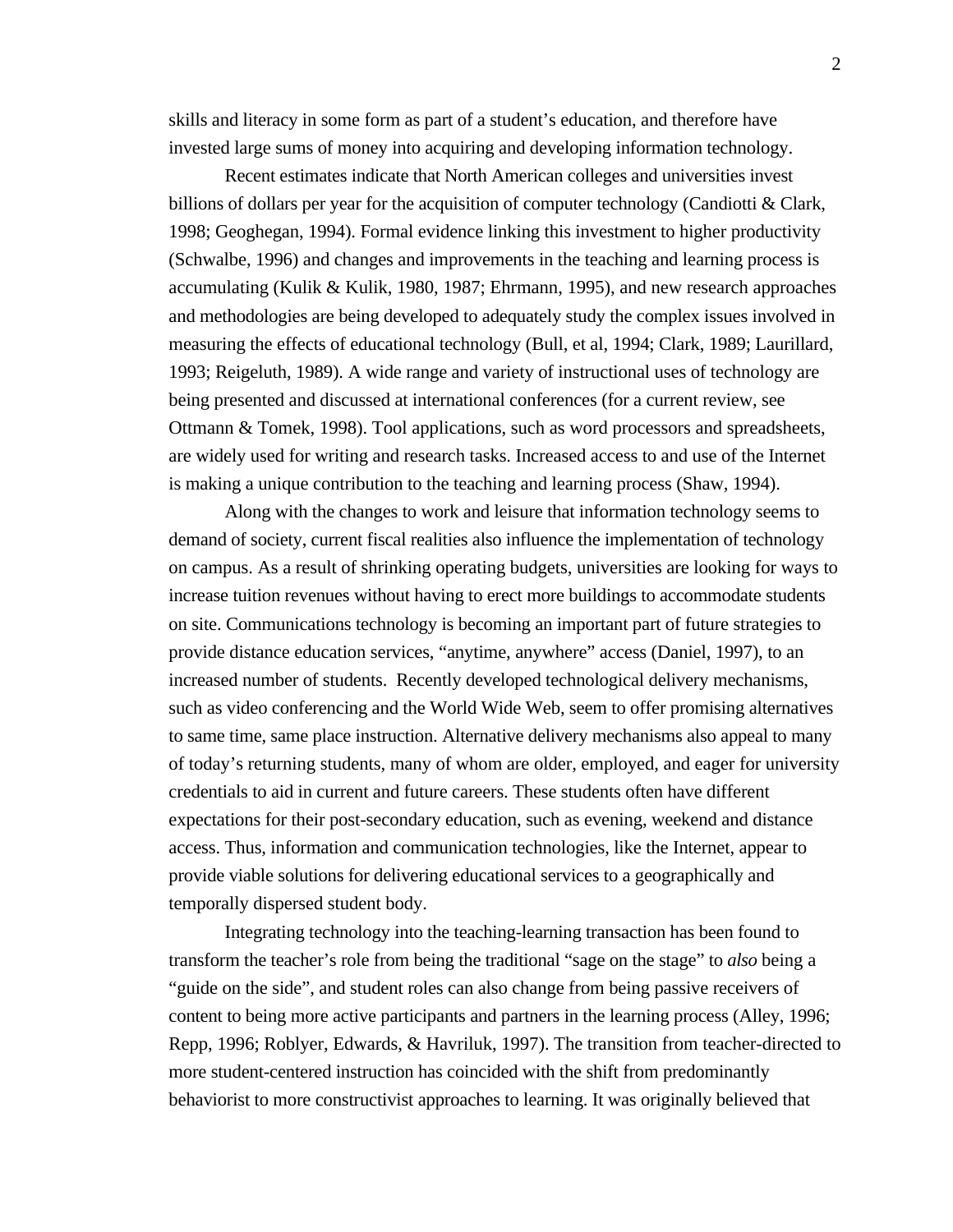skills and literacy in some form as part of a student's education, and therefore have invested large sums of money into acquiring and developing information technology.

Recent estimates indicate that North American colleges and universities invest billions of dollars per year for the acquisition of computer technology (Candiotti & Clark, 1998; Geoghegan, 1994). Formal evidence linking this investment to higher productivity (Schwalbe, 1996) and changes and improvements in the teaching and learning process is accumulating (Kulik & Kulik, 1980, 1987; Ehrmann, 1995), and new research approaches and methodologies are being developed to adequately study the complex issues involved in measuring the effects of educational technology (Bull, et al, 1994; Clark, 1989; Laurillard, 1993; Reigeluth, 1989). A wide range and variety of instructional uses of technology are being presented and discussed at international conferences (for a current review, see Ottmann & Tomek, 1998). Tool applications, such as word processors and spreadsheets, are widely used for writing and research tasks. Increased access to and use of the Internet is making a unique contribution to the teaching and learning process (Shaw, 1994).

Along with the changes to work and leisure that information technology seems to demand of society, current fiscal realities also influence the implementation of technology on campus. As a result of shrinking operating budgets, universities are looking for ways to increase tuition revenues without having to erect more buildings to accommodate students on site. Communications technology is becoming an important part of future strategies to provide distance education services, "anytime, anywhere" access (Daniel, 1997), to an increased number of students. Recently developed technological delivery mechanisms, such as video conferencing and the World Wide Web, seem to offer promising alternatives to same time, same place instruction. Alternative delivery mechanisms also appeal to many of today's returning students, many of whom are older, employed, and eager for university credentials to aid in current and future careers. These students often have different expectations for their post-secondary education, such as evening, weekend and distance access. Thus, information and communication technologies, like the Internet, appear to provide viable solutions for delivering educational services to a geographically and temporally dispersed student body.

Integrating technology into the teaching-learning transaction has been found to transform the teacher's role from being the traditional "sage on the stage" to *also* being a "guide on the side", and student roles can also change from being passive receivers of content to being more active participants and partners in the learning process (Alley, 1996; Repp, 1996; Roblyer, Edwards, & Havriluk, 1997). The transition from teacher-directed to more student-centered instruction has coincided with the shift from predominantly behaviorist to more constructivist approaches to learning. It was originally believed that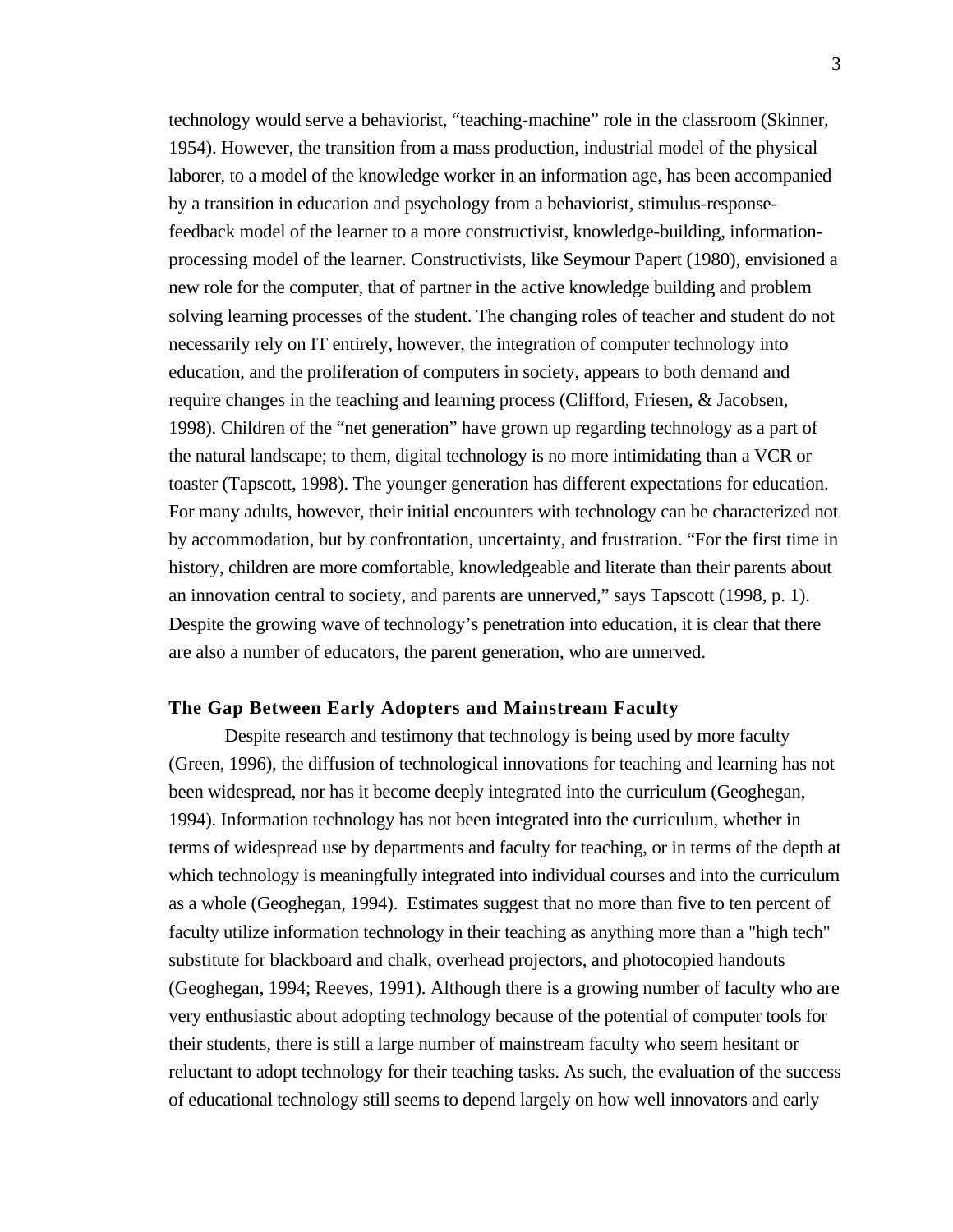technology would serve a behaviorist, "teaching-machine" role in the classroom (Skinner, 1954). However, the transition from a mass production, industrial model of the physical laborer, to a model of the knowledge worker in an information age, has been accompanied by a transition in education and psychology from a behaviorist, stimulus-responsefeedback model of the learner to a more constructivist, knowledge-building, informationprocessing model of the learner. Constructivists, like Seymour Papert (1980), envisioned a new role for the computer, that of partner in the active knowledge building and problem solving learning processes of the student. The changing roles of teacher and student do not necessarily rely on IT entirely, however, the integration of computer technology into education, and the proliferation of computers in society, appears to both demand and require changes in the teaching and learning process (Clifford, Friesen, & Jacobsen, 1998). Children of the "net generation" have grown up regarding technology as a part of the natural landscape; to them, digital technology is no more intimidating than a VCR or toaster (Tapscott, 1998). The younger generation has different expectations for education. For many adults, however, their initial encounters with technology can be characterized not by accommodation, but by confrontation, uncertainty, and frustration. "For the first time in history, children are more comfortable, knowledgeable and literate than their parents about an innovation central to society, and parents are unnerved," says Tapscott (1998, p. 1). Despite the growing wave of technology's penetration into education, it is clear that there are also a number of educators, the parent generation, who are unnerved.

#### **The Gap Between Early Adopters and Mainstream Faculty**

Despite research and testimony that technology is being used by more faculty (Green, 1996), the diffusion of technological innovations for teaching and learning has not been widespread, nor has it become deeply integrated into the curriculum (Geoghegan, 1994). Information technology has not been integrated into the curriculum, whether in terms of widespread use by departments and faculty for teaching, or in terms of the depth at which technology is meaningfully integrated into individual courses and into the curriculum as a whole (Geoghegan, 1994). Estimates suggest that no more than five to ten percent of faculty utilize information technology in their teaching as anything more than a "high tech" substitute for blackboard and chalk, overhead projectors, and photocopied handouts (Geoghegan, 1994; Reeves, 1991). Although there is a growing number of faculty who are very enthusiastic about adopting technology because of the potential of computer tools for their students, there is still a large number of mainstream faculty who seem hesitant or reluctant to adopt technology for their teaching tasks. As such, the evaluation of the success of educational technology still seems to depend largely on how well innovators and early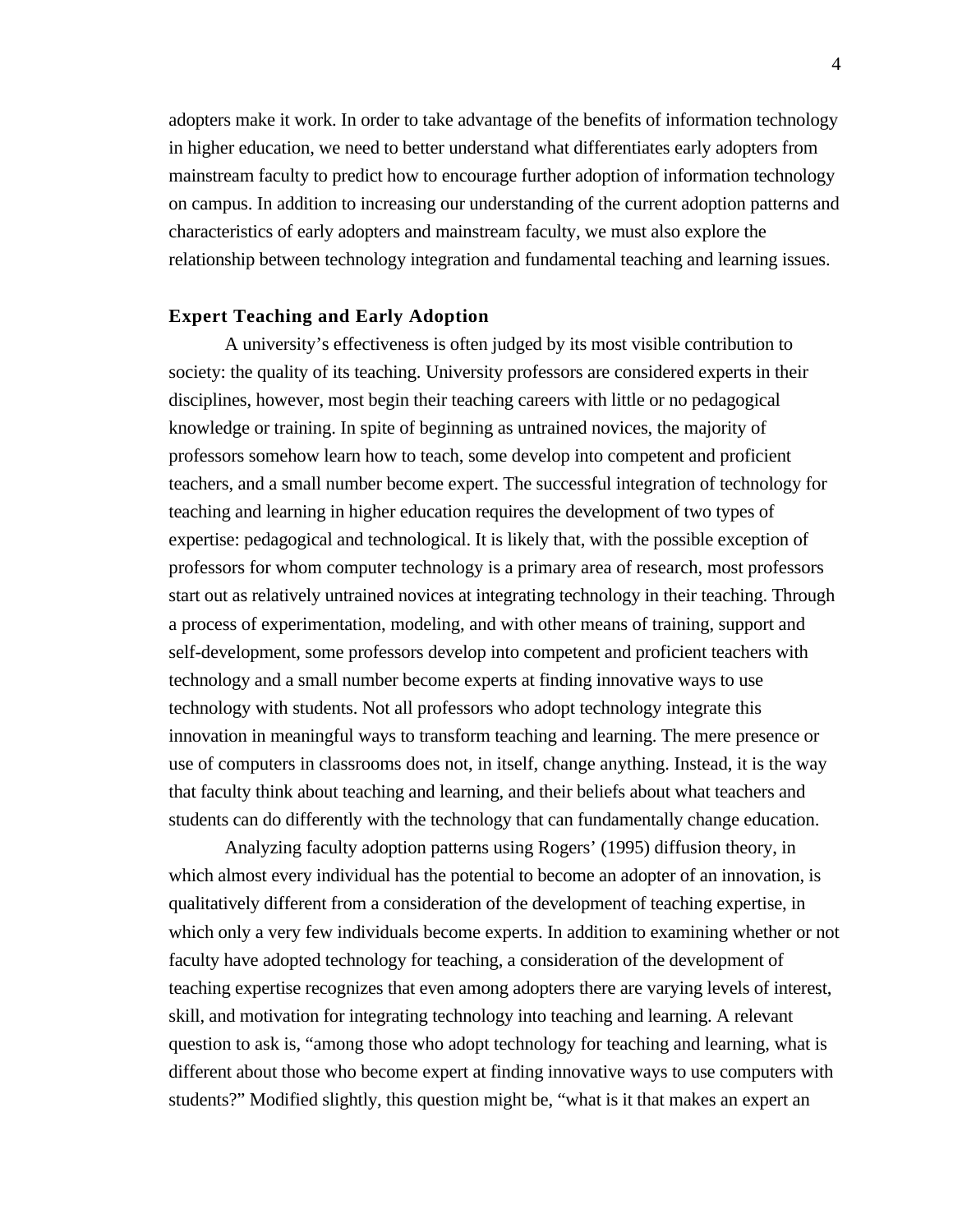adopters make it work. In order to take advantage of the benefits of information technology in higher education, we need to better understand what differentiates early adopters from mainstream faculty to predict how to encourage further adoption of information technology on campus. In addition to increasing our understanding of the current adoption patterns and characteristics of early adopters and mainstream faculty, we must also explore the relationship between technology integration and fundamental teaching and learning issues.

#### **Expert Teaching and Early Adoption**

A university's effectiveness is often judged by its most visible contribution to society: the quality of its teaching. University professors are considered experts in their disciplines, however, most begin their teaching careers with little or no pedagogical knowledge or training. In spite of beginning as untrained novices, the majority of professors somehow learn how to teach, some develop into competent and proficient teachers, and a small number become expert. The successful integration of technology for teaching and learning in higher education requires the development of two types of expertise: pedagogical and technological. It is likely that, with the possible exception of professors for whom computer technology is a primary area of research, most professors start out as relatively untrained novices at integrating technology in their teaching. Through a process of experimentation, modeling, and with other means of training, support and self-development, some professors develop into competent and proficient teachers with technology and a small number become experts at finding innovative ways to use technology with students. Not all professors who adopt technology integrate this innovation in meaningful ways to transform teaching and learning. The mere presence or use of computers in classrooms does not, in itself, change anything. Instead, it is the way that faculty think about teaching and learning, and their beliefs about what teachers and students can do differently with the technology that can fundamentally change education.

Analyzing faculty adoption patterns using Rogers' (1995) diffusion theory, in which almost every individual has the potential to become an adopter of an innovation, is qualitatively different from a consideration of the development of teaching expertise, in which only a very few individuals become experts. In addition to examining whether or not faculty have adopted technology for teaching, a consideration of the development of teaching expertise recognizes that even among adopters there are varying levels of interest, skill, and motivation for integrating technology into teaching and learning. A relevant question to ask is, "among those who adopt technology for teaching and learning, what is different about those who become expert at finding innovative ways to use computers with students?" Modified slightly, this question might be, "what is it that makes an expert an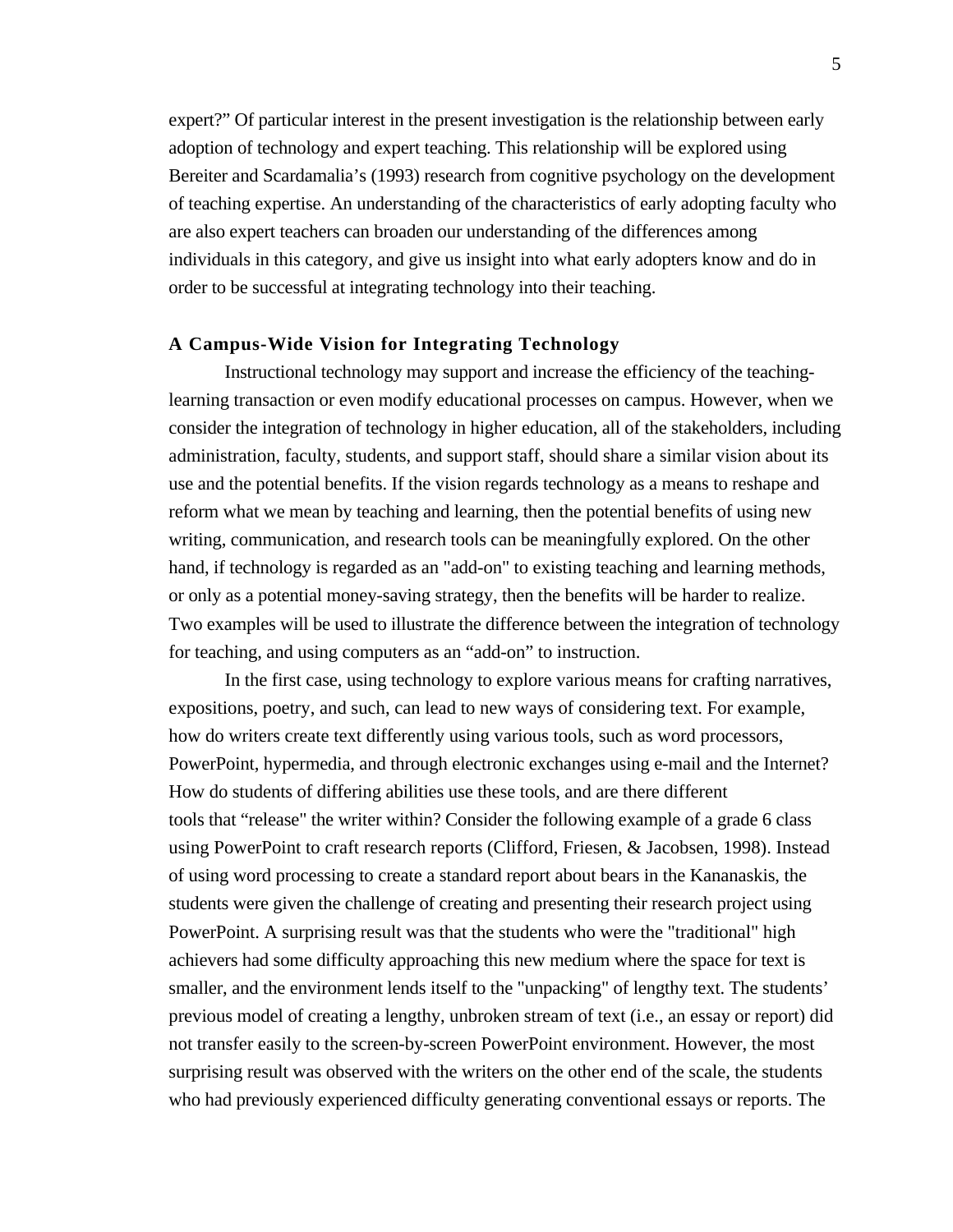expert?" Of particular interest in the present investigation is the relationship between early adoption of technology and expert teaching. This relationship will be explored using Bereiter and Scardamalia's (1993) research from cognitive psychology on the development of teaching expertise. An understanding of the characteristics of early adopting faculty who are also expert teachers can broaden our understanding of the differences among individuals in this category, and give us insight into what early adopters know and do in order to be successful at integrating technology into their teaching.

#### **A Campus-Wide Vision for Integrating Technology**

Instructional technology may support and increase the efficiency of the teachinglearning transaction or even modify educational processes on campus. However, when we consider the integration of technology in higher education, all of the stakeholders, including administration, faculty, students, and support staff, should share a similar vision about its use and the potential benefits. If the vision regards technology as a means to reshape and reform what we mean by teaching and learning, then the potential benefits of using new writing, communication, and research tools can be meaningfully explored. On the other hand, if technology is regarded as an "add-on" to existing teaching and learning methods, or only as a potential money-saving strategy, then the benefits will be harder to realize. Two examples will be used to illustrate the difference between the integration of technology for teaching, and using computers as an "add-on" to instruction.

In the first case, using technology to explore various means for crafting narratives, expositions, poetry, and such, can lead to new ways of considering text. For example, how do writers create text differently using various tools, such as word processors, PowerPoint, hypermedia, and through electronic exchanges using e-mail and the Internet? How do students of differing abilities use these tools, and are there different tools that "release" the writer within? Consider the following example of a grade 6 class using PowerPoint to craft research reports (Clifford, Friesen, & Jacobsen, 1998). Instead of using word processing to create a standard report about bears in the Kananaskis, the students were given the challenge of creating and presenting their research project using PowerPoint. A surprising result was that the students who were the "traditional" high achievers had some difficulty approaching this new medium where the space for text is smaller, and the environment lends itself to the "unpacking" of lengthy text. The students' previous model of creating a lengthy, unbroken stream of text (i.e., an essay or report) did not transfer easily to the screen-by-screen PowerPoint environment. However, the most surprising result was observed with the writers on the other end of the scale, the students who had previously experienced difficulty generating conventional essays or reports. The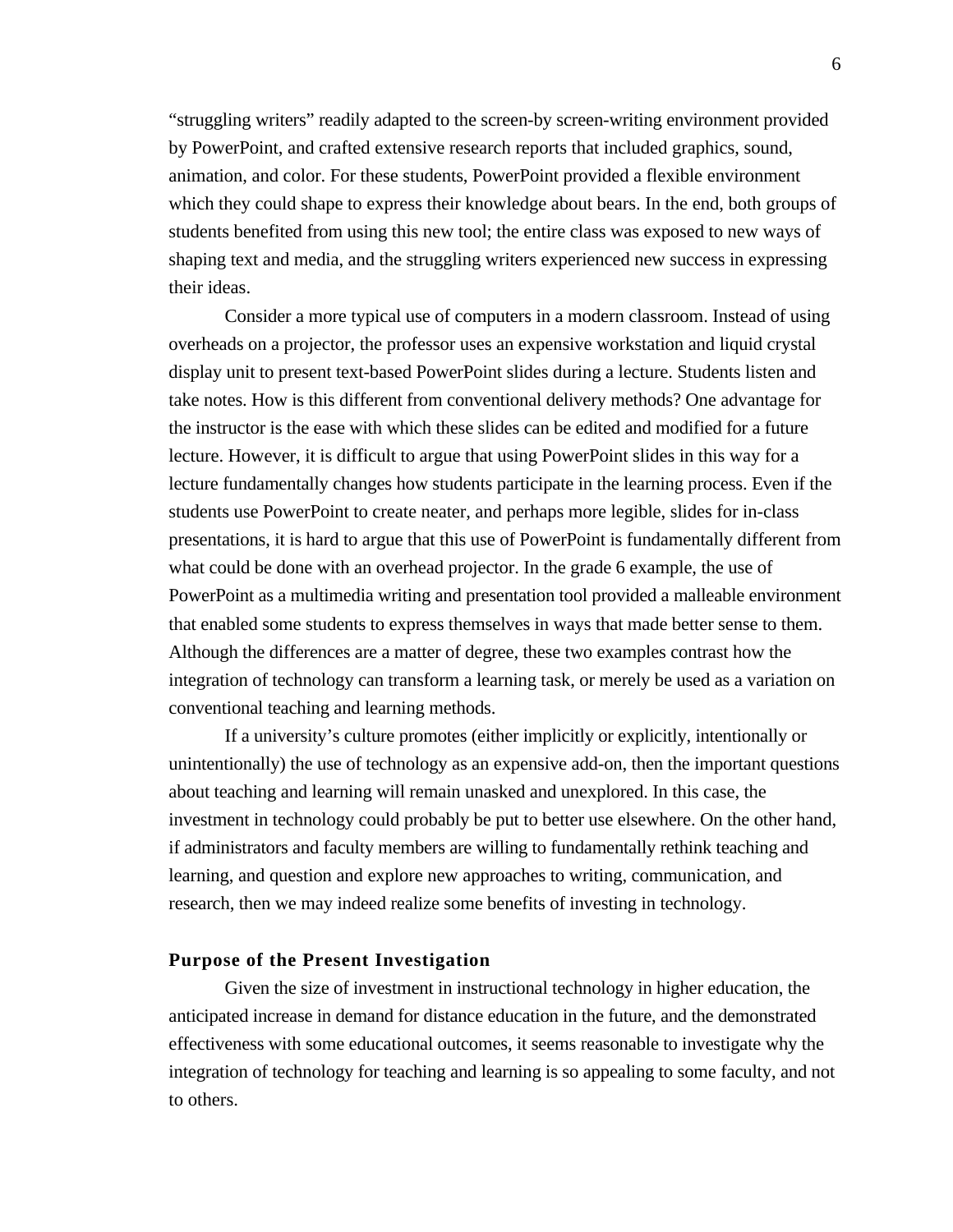"struggling writers" readily adapted to the screen-by screen-writing environment provided by PowerPoint, and crafted extensive research reports that included graphics, sound, animation, and color. For these students, PowerPoint provided a flexible environment which they could shape to express their knowledge about bears. In the end, both groups of students benefited from using this new tool; the entire class was exposed to new ways of shaping text and media, and the struggling writers experienced new success in expressing their ideas.

Consider a more typical use of computers in a modern classroom. Instead of using overheads on a projector, the professor uses an expensive workstation and liquid crystal display unit to present text-based PowerPoint slides during a lecture. Students listen and take notes. How is this different from conventional delivery methods? One advantage for the instructor is the ease with which these slides can be edited and modified for a future lecture. However, it is difficult to argue that using PowerPoint slides in this way for a lecture fundamentally changes how students participate in the learning process. Even if the students use PowerPoint to create neater, and perhaps more legible, slides for in-class presentations, it is hard to argue that this use of PowerPoint is fundamentally different from what could be done with an overhead projector. In the grade 6 example, the use of PowerPoint as a multimedia writing and presentation tool provided a malleable environment that enabled some students to express themselves in ways that made better sense to them. Although the differences are a matter of degree, these two examples contrast how the integration of technology can transform a learning task, or merely be used as a variation on conventional teaching and learning methods.

If a university's culture promotes (either implicitly or explicitly, intentionally or unintentionally) the use of technology as an expensive add-on, then the important questions about teaching and learning will remain unasked and unexplored. In this case, the investment in technology could probably be put to better use elsewhere. On the other hand, if administrators and faculty members are willing to fundamentally rethink teaching and learning, and question and explore new approaches to writing, communication, and research, then we may indeed realize some benefits of investing in technology.

#### **Purpose of the Present Investigation**

Given the size of investment in instructional technology in higher education, the anticipated increase in demand for distance education in the future, and the demonstrated effectiveness with some educational outcomes, it seems reasonable to investigate why the integration of technology for teaching and learning is so appealing to some faculty, and not to others.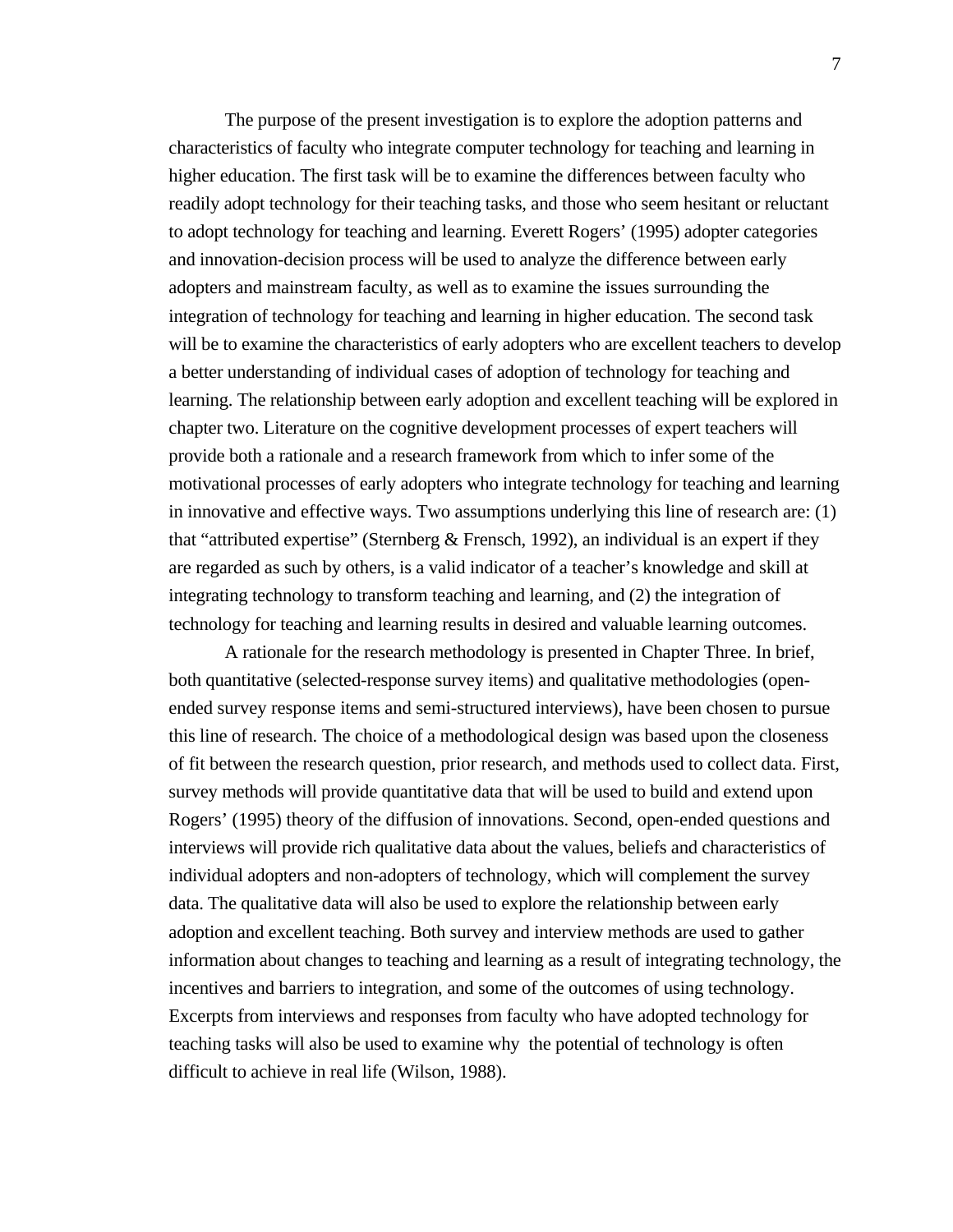The purpose of the present investigation is to explore the adoption patterns and characteristics of faculty who integrate computer technology for teaching and learning in higher education. The first task will be to examine the differences between faculty who readily adopt technology for their teaching tasks, and those who seem hesitant or reluctant to adopt technology for teaching and learning. Everett Rogers' (1995) adopter categories and innovation-decision process will be used to analyze the difference between early adopters and mainstream faculty, as well as to examine the issues surrounding the integration of technology for teaching and learning in higher education. The second task will be to examine the characteristics of early adopters who are excellent teachers to develop a better understanding of individual cases of adoption of technology for teaching and learning. The relationship between early adoption and excellent teaching will be explored in chapter two. Literature on the cognitive development processes of expert teachers will provide both a rationale and a research framework from which to infer some of the motivational processes of early adopters who integrate technology for teaching and learning in innovative and effective ways. Two assumptions underlying this line of research are: (1) that "attributed expertise" (Sternberg & Frensch, 1992), an individual is an expert if they are regarded as such by others, is a valid indicator of a teacher's knowledge and skill at integrating technology to transform teaching and learning, and (2) the integration of technology for teaching and learning results in desired and valuable learning outcomes.

A rationale for the research methodology is presented in Chapter Three. In brief, both quantitative (selected-response survey items) and qualitative methodologies (openended survey response items and semi-structured interviews), have been chosen to pursue this line of research. The choice of a methodological design was based upon the closeness of fit between the research question, prior research, and methods used to collect data. First, survey methods will provide quantitative data that will be used to build and extend upon Rogers' (1995) theory of the diffusion of innovations. Second, open-ended questions and interviews will provide rich qualitative data about the values, beliefs and characteristics of individual adopters and non-adopters of technology, which will complement the survey data. The qualitative data will also be used to explore the relationship between early adoption and excellent teaching. Both survey and interview methods are used to gather information about changes to teaching and learning as a result of integrating technology, the incentives and barriers to integration, and some of the outcomes of using technology. Excerpts from interviews and responses from faculty who have adopted technology for teaching tasks will also be used to examine why the potential of technology is often difficult to achieve in real life (Wilson, 1988).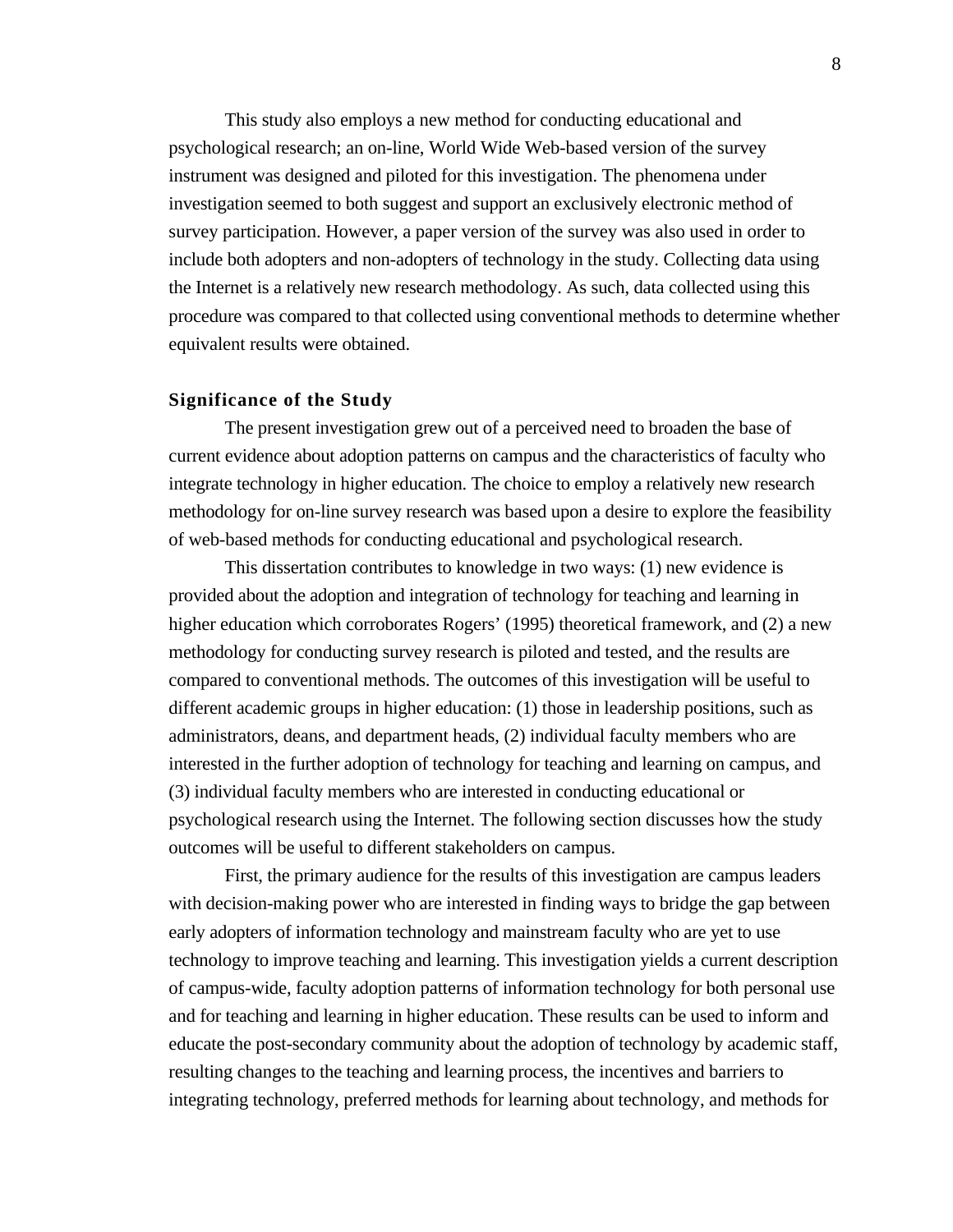This study also employs a new method for conducting educational and psychological research; an on-line, World Wide Web-based version of the survey instrument was designed and piloted for this investigation. The phenomena under investigation seemed to both suggest and support an exclusively electronic method of survey participation. However, a paper version of the survey was also used in order to include both adopters and non-adopters of technology in the study. Collecting data using the Internet is a relatively new research methodology. As such, data collected using this procedure was compared to that collected using conventional methods to determine whether equivalent results were obtained.

#### **Significance of the Study**

The present investigation grew out of a perceived need to broaden the base of current evidence about adoption patterns on campus and the characteristics of faculty who integrate technology in higher education. The choice to employ a relatively new research methodology for on-line survey research was based upon a desire to explore the feasibility of web-based methods for conducting educational and psychological research.

This dissertation contributes to knowledge in two ways: (1) new evidence is provided about the adoption and integration of technology for teaching and learning in higher education which corroborates Rogers' (1995) theoretical framework, and (2) a new methodology for conducting survey research is piloted and tested, and the results are compared to conventional methods. The outcomes of this investigation will be useful to different academic groups in higher education: (1) those in leadership positions, such as administrators, deans, and department heads, (2) individual faculty members who are interested in the further adoption of technology for teaching and learning on campus, and (3) individual faculty members who are interested in conducting educational or psychological research using the Internet. The following section discusses how the study outcomes will be useful to different stakeholders on campus.

First, the primary audience for the results of this investigation are campus leaders with decision-making power who are interested in finding ways to bridge the gap between early adopters of information technology and mainstream faculty who are yet to use technology to improve teaching and learning. This investigation yields a current description of campus-wide, faculty adoption patterns of information technology for both personal use and for teaching and learning in higher education. These results can be used to inform and educate the post-secondary community about the adoption of technology by academic staff, resulting changes to the teaching and learning process, the incentives and barriers to integrating technology, preferred methods for learning about technology, and methods for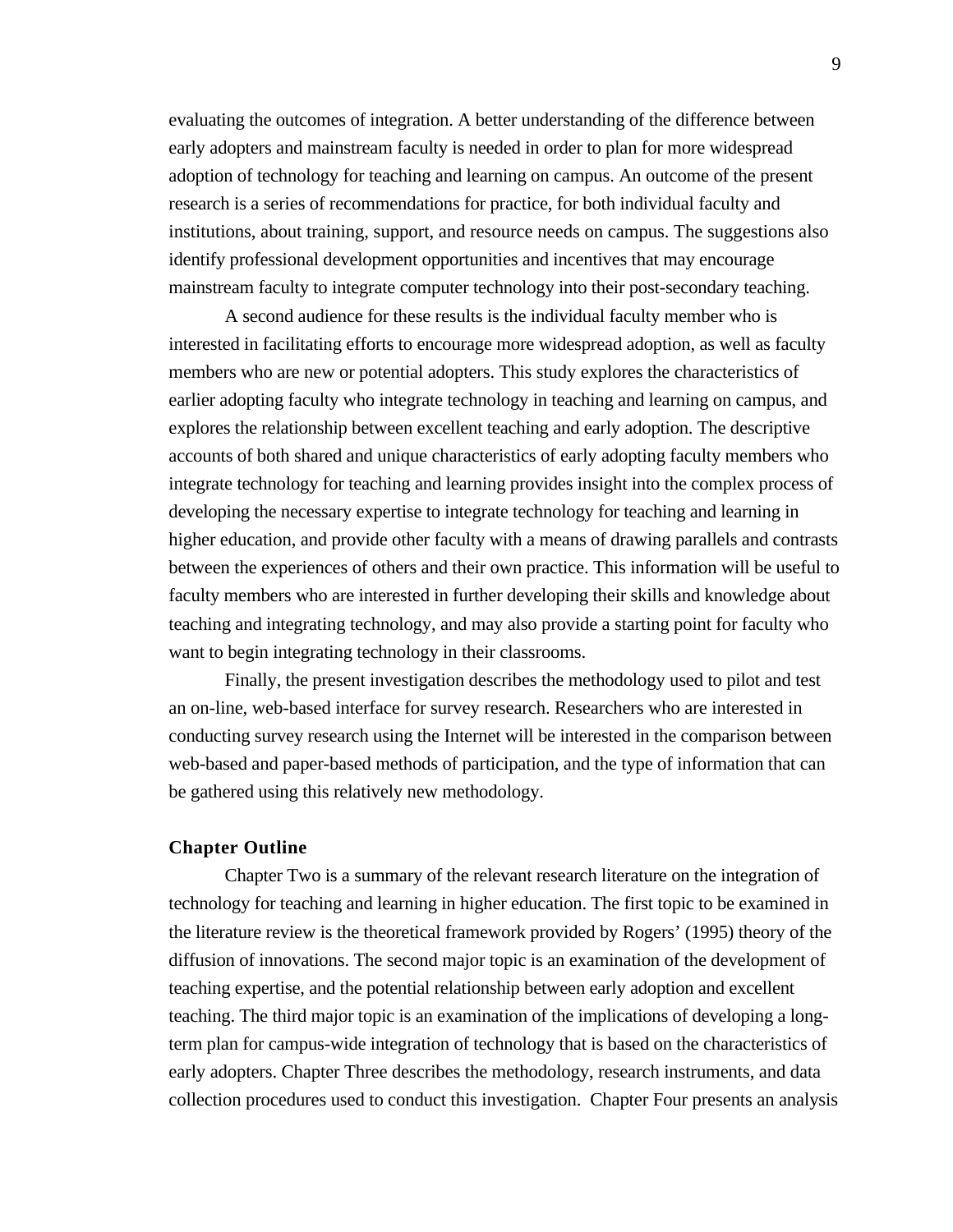evaluating the outcomes of integration. A better understanding of the difference between early adopters and mainstream faculty is needed in order to plan for more widespread adoption of technology for teaching and learning on campus. An outcome of the present research is a series of recommendations for practice, for both individual faculty and institutions, about training, support, and resource needs on campus. The suggestions also identify professional development opportunities and incentives that may encourage mainstream faculty to integrate computer technology into their post-secondary teaching.

A second audience for these results is the individual faculty member who is interested in facilitating efforts to encourage more widespread adoption, as well as faculty members who are new or potential adopters. This study explores the characteristics of earlier adopting faculty who integrate technology in teaching and learning on campus, and explores the relationship between excellent teaching and early adoption. The descriptive accounts of both shared and unique characteristics of early adopting faculty members who integrate technology for teaching and learning provides insight into the complex process of developing the necessary expertise to integrate technology for teaching and learning in higher education, and provide other faculty with a means of drawing parallels and contrasts between the experiences of others and their own practice. This information will be useful to faculty members who are interested in further developing their skills and knowledge about teaching and integrating technology, and may also provide a starting point for faculty who want to begin integrating technology in their classrooms.

Finally, the present investigation describes the methodology used to pilot and test an on-line, web-based interface for survey research. Researchers who are interested in conducting survey research using the Internet will be interested in the comparison between web-based and paper-based methods of participation, and the type of information that can be gathered using this relatively new methodology.

#### **Chapter Outline**

Chapter Two is a summary of the relevant research literature on the integration of technology for teaching and learning in higher education. The first topic to be examined in the literature review is the theoretical framework provided by Rogers' (1995) theory of the diffusion of innovations. The second major topic is an examination of the development of teaching expertise, and the potential relationship between early adoption and excellent teaching. The third major topic is an examination of the implications of developing a longterm plan for campus-wide integration of technology that is based on the characteristics of early adopters. Chapter Three describes the methodology, research instruments, and data collection procedures used to conduct this investigation. Chapter Four presents an analysis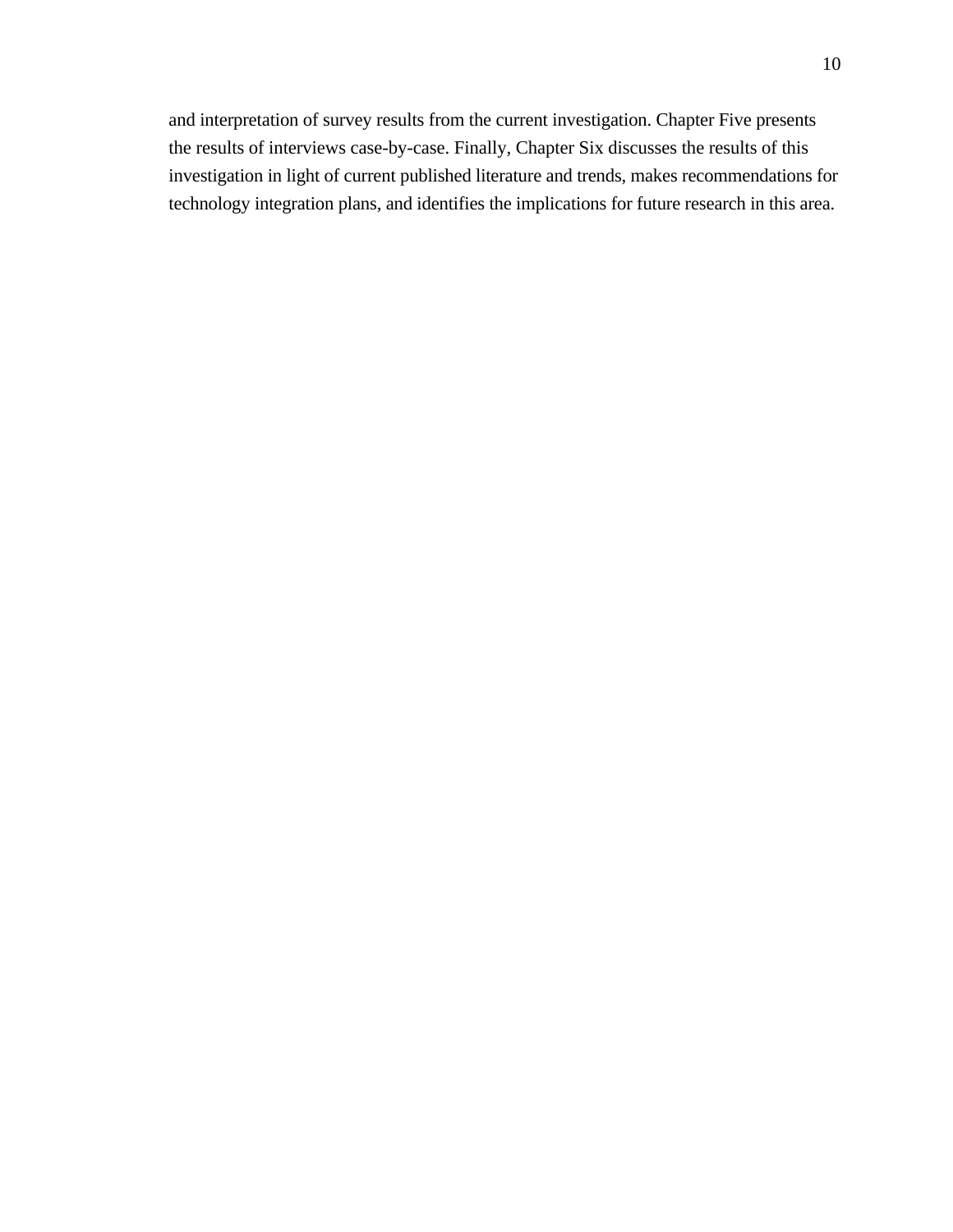and interpretation of survey results from the current investigation. Chapter Five presents the results of interviews case-by-case. Finally, Chapter Six discusses the results of this investigation in light of current published literature and trends, makes recommendations for technology integration plans, and identifies the implications for future research in this area.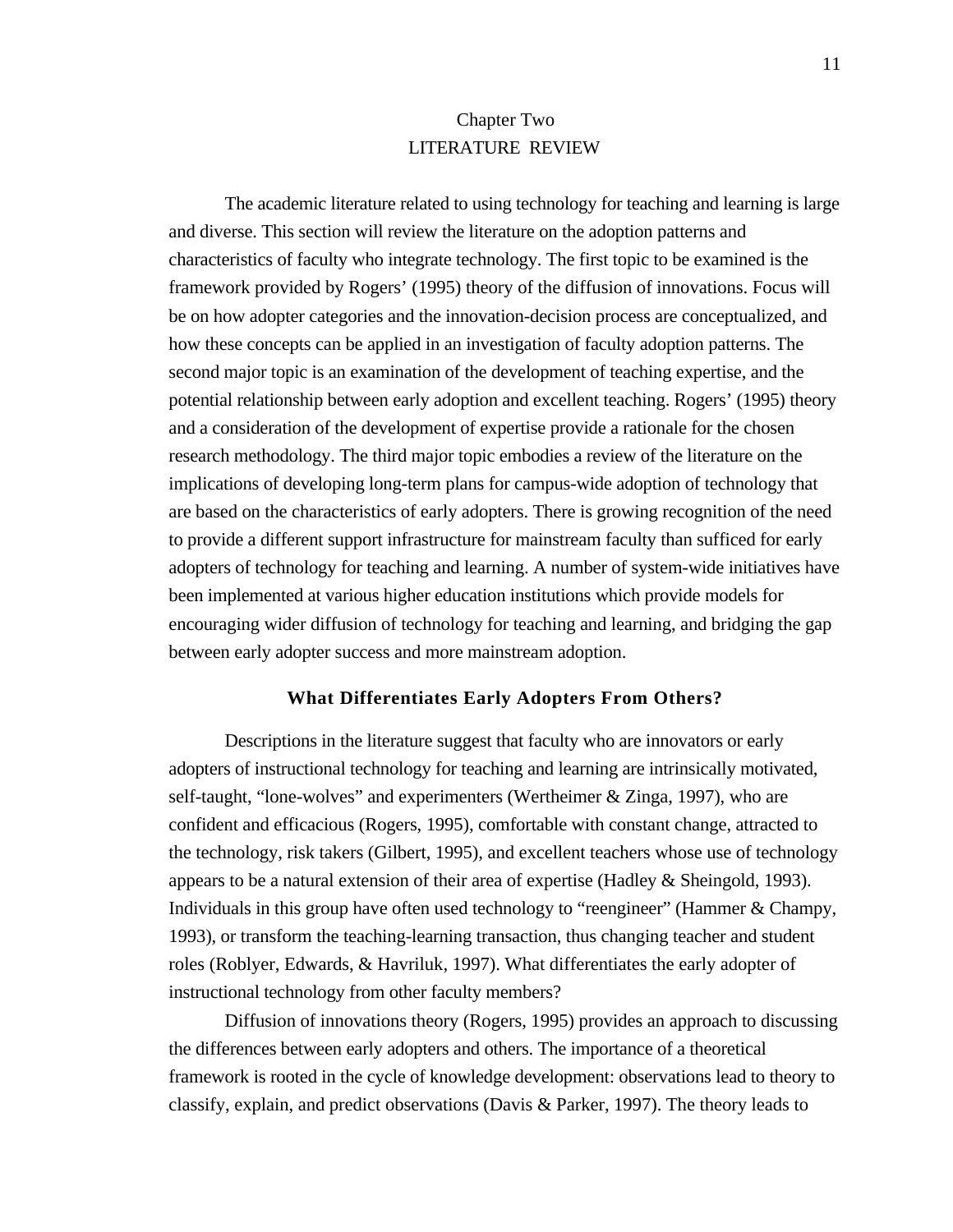## Chapter Two LITERATURE REVIEW

The academic literature related to using technology for teaching and learning is large and diverse. This section will review the literature on the adoption patterns and characteristics of faculty who integrate technology. The first topic to be examined is the framework provided by Rogers' (1995) theory of the diffusion of innovations. Focus will be on how adopter categories and the innovation-decision process are conceptualized, and how these concepts can be applied in an investigation of faculty adoption patterns. The second major topic is an examination of the development of teaching expertise, and the potential relationship between early adoption and excellent teaching. Rogers' (1995) theory and a consideration of the development of expertise provide a rationale for the chosen research methodology. The third major topic embodies a review of the literature on the implications of developing long-term plans for campus-wide adoption of technology that are based on the characteristics of early adopters. There is growing recognition of the need to provide a different support infrastructure for mainstream faculty than sufficed for early adopters of technology for teaching and learning. A number of system-wide initiatives have been implemented at various higher education institutions which provide models for encouraging wider diffusion of technology for teaching and learning, and bridging the gap between early adopter success and more mainstream adoption.

#### **What Differentiates Early Adopters From Others?**

Descriptions in the literature suggest that faculty who are innovators or early adopters of instructional technology for teaching and learning are intrinsically motivated, self-taught, "lone-wolves" and experimenters (Wertheimer & Zinga, 1997), who are confident and efficacious (Rogers, 1995), comfortable with constant change, attracted to the technology, risk takers (Gilbert, 1995), and excellent teachers whose use of technology appears to be a natural extension of their area of expertise (Hadley & Sheingold, 1993). Individuals in this group have often used technology to "reengineer" (Hammer & Champy, 1993), or transform the teaching-learning transaction, thus changing teacher and student roles (Roblyer, Edwards, & Havriluk, 1997). What differentiates the early adopter of instructional technology from other faculty members?

Diffusion of innovations theory (Rogers, 1995) provides an approach to discussing the differences between early adopters and others. The importance of a theoretical framework is rooted in the cycle of knowledge development: observations lead to theory to classify, explain, and predict observations (Davis & Parker, 1997). The theory leads to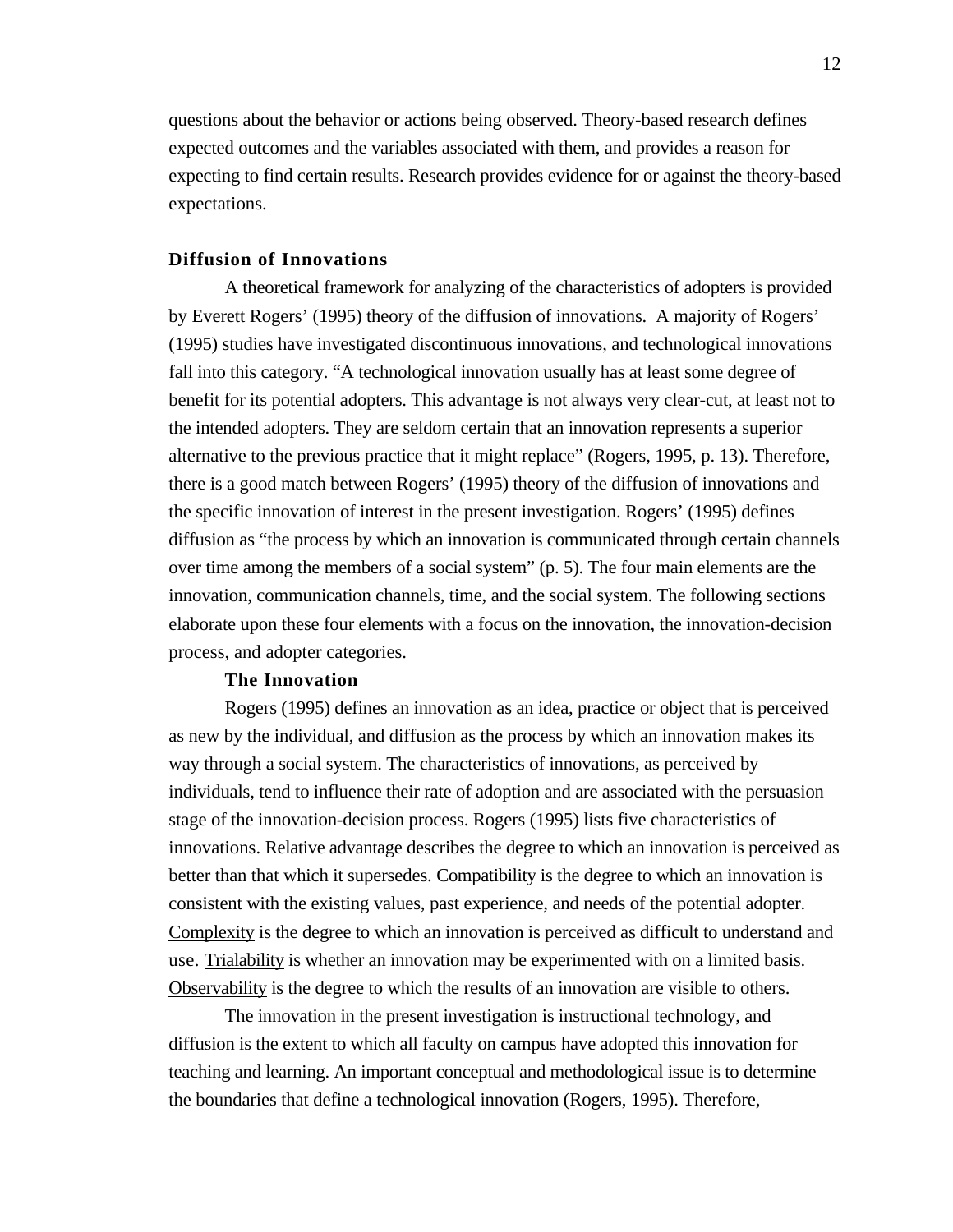questions about the behavior or actions being observed. Theory-based research defines expected outcomes and the variables associated with them, and provides a reason for expecting to find certain results. Research provides evidence for or against the theory-based expectations.

#### **Diffusion of Innovations**

A theoretical framework for analyzing of the characteristics of adopters is provided by Everett Rogers' (1995) theory of the diffusion of innovations. A majority of Rogers' (1995) studies have investigated discontinuous innovations, and technological innovations fall into this category. "A technological innovation usually has at least some degree of benefit for its potential adopters. This advantage is not always very clear-cut, at least not to the intended adopters. They are seldom certain that an innovation represents a superior alternative to the previous practice that it might replace" (Rogers, 1995, p. 13). Therefore, there is a good match between Rogers' (1995) theory of the diffusion of innovations and the specific innovation of interest in the present investigation. Rogers' (1995) defines diffusion as "the process by which an innovation is communicated through certain channels over time among the members of a social system" (p. 5). The four main elements are the innovation, communication channels, time, and the social system. The following sections elaborate upon these four elements with a focus on the innovation, the innovation-decision process, and adopter categories.

#### **The Innovation**

Rogers (1995) defines an innovation as an idea, practice or object that is perceived as new by the individual, and diffusion as the process by which an innovation makes its way through a social system. The characteristics of innovations, as perceived by individuals, tend to influence their rate of adoption and are associated with the persuasion stage of the innovation-decision process. Rogers (1995) lists five characteristics of innovations. Relative advantage describes the degree to which an innovation is perceived as better than that which it supersedes. Compatibility is the degree to which an innovation is consistent with the existing values, past experience, and needs of the potential adopter. Complexity is the degree to which an innovation is perceived as difficult to understand and use. Trialability is whether an innovation may be experimented with on a limited basis. Observability is the degree to which the results of an innovation are visible to others.

The innovation in the present investigation is instructional technology, and diffusion is the extent to which all faculty on campus have adopted this innovation for teaching and learning. An important conceptual and methodological issue is to determine the boundaries that define a technological innovation (Rogers, 1995). Therefore,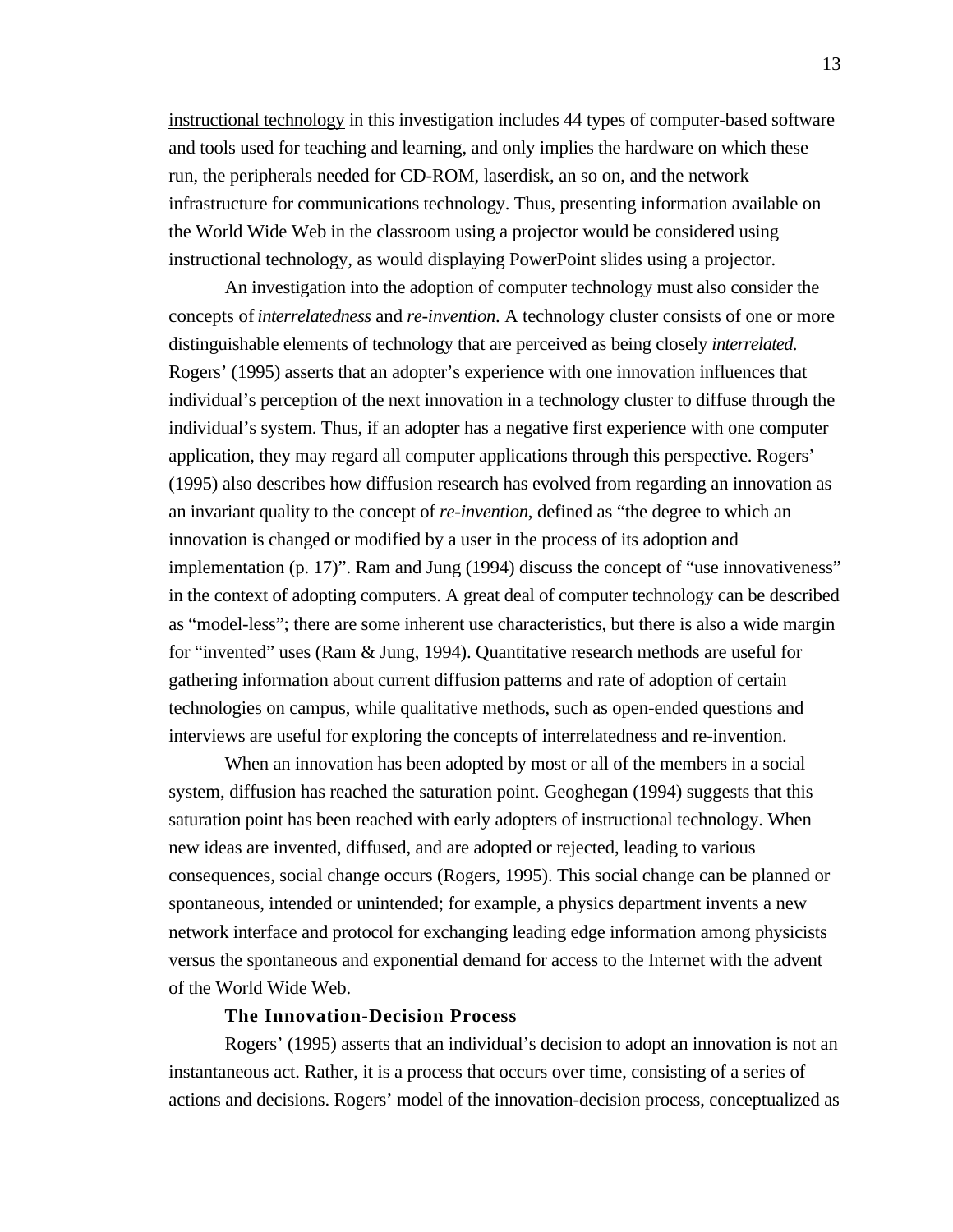instructional technology in this investigation includes 44 types of computer-based software and tools used for teaching and learning, and only implies the hardware on which these run, the peripherals needed for CD-ROM, laserdisk, an so on, and the network infrastructure for communications technology. Thus, presenting information available on the World Wide Web in the classroom using a projector would be considered using instructional technology, as would displaying PowerPoint slides using a projector.

An investigation into the adoption of computer technology must also consider the concepts of *interrelatedness* and *re-invention*. A technology cluster consists of one or more distinguishable elements of technology that are perceived as being closely *interrelated*. Rogers' (1995) asserts that an adopter's experience with one innovation influences that individual's perception of the next innovation in a technology cluster to diffuse through the individual's system. Thus, if an adopter has a negative first experience with one computer application, they may regard all computer applications through this perspective. Rogers' (1995) also describes how diffusion research has evolved from regarding an innovation as an invariant quality to the concept of *re-invention*, defined as "the degree to which an innovation is changed or modified by a user in the process of its adoption and implementation (p. 17)". Ram and Jung (1994) discuss the concept of "use innovativeness" in the context of adopting computers. A great deal of computer technology can be described as "model-less"; there are some inherent use characteristics, but there is also a wide margin for "invented" uses (Ram & Jung, 1994). Quantitative research methods are useful for gathering information about current diffusion patterns and rate of adoption of certain technologies on campus, while qualitative methods, such as open-ended questions and interviews are useful for exploring the concepts of interrelatedness and re-invention.

When an innovation has been adopted by most or all of the members in a social system, diffusion has reached the saturation point. Geoghegan (1994) suggests that this saturation point has been reached with early adopters of instructional technology. When new ideas are invented, diffused, and are adopted or rejected, leading to various consequences, social change occurs (Rogers, 1995). This social change can be planned or spontaneous, intended or unintended; for example, a physics department invents a new network interface and protocol for exchanging leading edge information among physicists versus the spontaneous and exponential demand for access to the Internet with the advent of the World Wide Web.

#### **The Innovation-Decision Process**

Rogers' (1995) asserts that an individual's decision to adopt an innovation is not an instantaneous act. Rather, it is a process that occurs over time, consisting of a series of actions and decisions. Rogers' model of the innovation-decision process, conceptualized as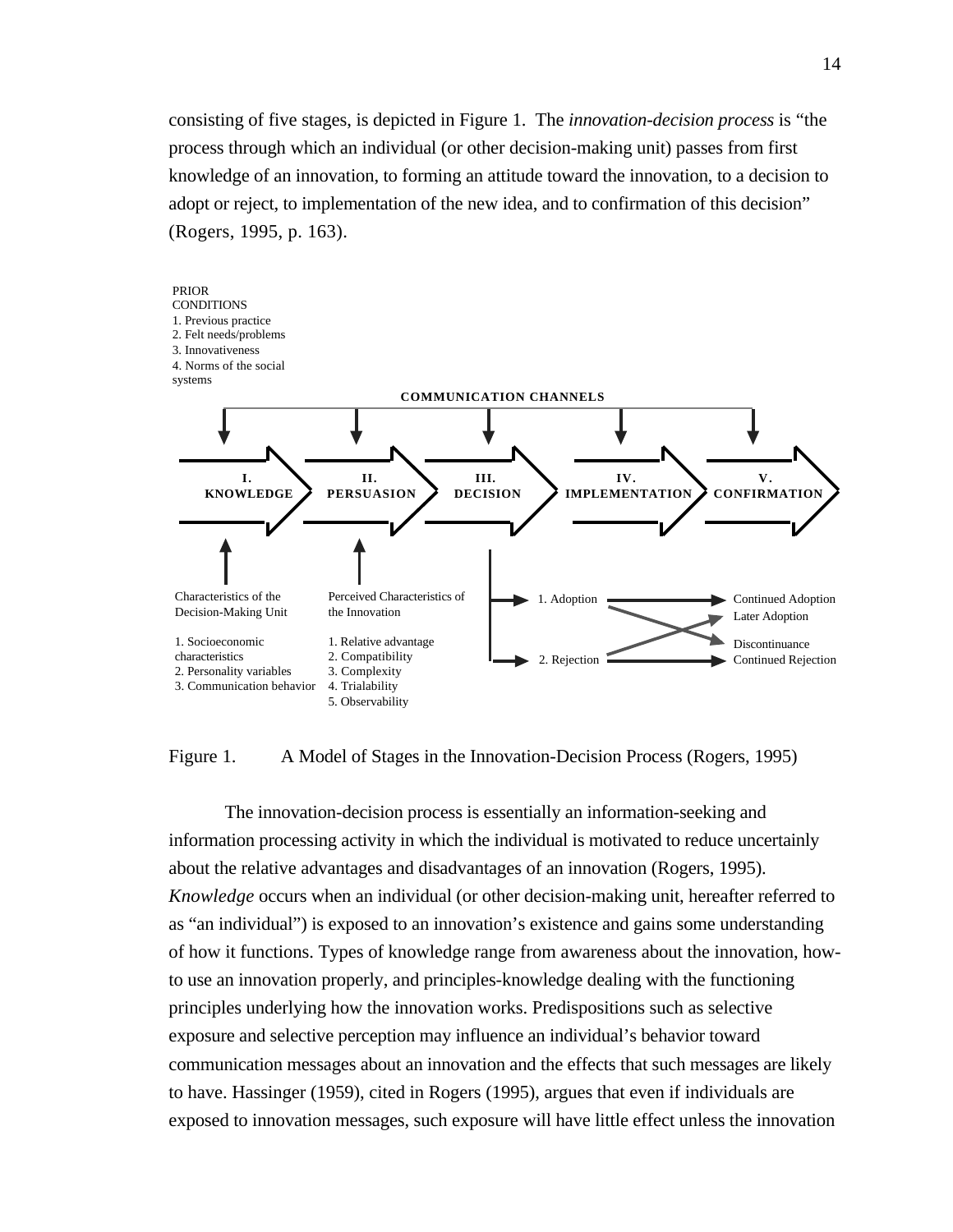consisting of five stages, is depicted in Figure 1. The *innovation-decision process* is "the process through which an individual (or other decision-making unit) passes from first knowledge of an innovation, to forming an attitude toward the innovation, to a decision to adopt or reject, to implementation of the new idea, and to confirmation of this decision" (Rogers, 1995, p. 163).



Figure 1. A Model of Stages in the Innovation-Decision Process (Rogers, 1995)

The innovation-decision process is essentially an information-seeking and information processing activity in which the individual is motivated to reduce uncertainly about the relative advantages and disadvantages of an innovation (Rogers, 1995). *Knowledge* occurs when an individual (or other decision-making unit, hereafter referred to as "an individual") is exposed to an innovation's existence and gains some understanding of how it functions. Types of knowledge range from awareness about the innovation, howto use an innovation properly, and principles-knowledge dealing with the functioning principles underlying how the innovation works. Predispositions such as selective exposure and selective perception may influence an individual's behavior toward communication messages about an innovation and the effects that such messages are likely to have. Hassinger (1959), cited in Rogers (1995), argues that even if individuals are exposed to innovation messages, such exposure will have little effect unless the innovation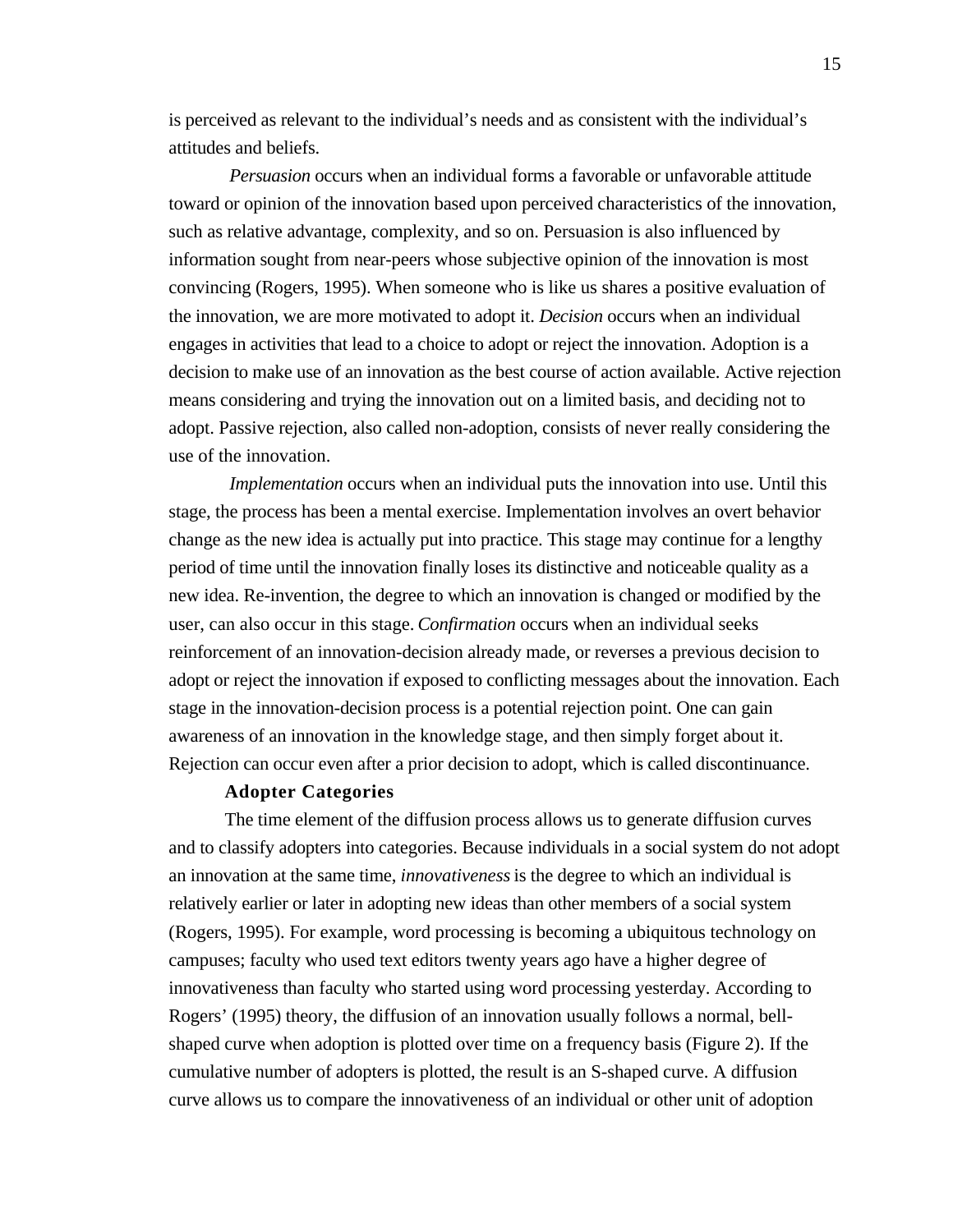is perceived as relevant to the individual's needs and as consistent with the individual's attitudes and beliefs.

*Persuasion* occurs when an individual forms a favorable or unfavorable attitude toward or opinion of the innovation based upon perceived characteristics of the innovation, such as relative advantage, complexity, and so on. Persuasion is also influenced by information sought from near-peers whose subjective opinion of the innovation is most convincing (Rogers, 1995). When someone who is like us shares a positive evaluation of the innovation, we are more motivated to adopt it. *Decision* occurs when an individual engages in activities that lead to a choice to adopt or reject the innovation. Adoption is a decision to make use of an innovation as the best course of action available. Active rejection means considering and trying the innovation out on a limited basis, and deciding not to adopt. Passive rejection, also called non-adoption, consists of never really considering the use of the innovation.

*Implementation* occurs when an individual puts the innovation into use. Until this stage, the process has been a mental exercise. Implementation involves an overt behavior change as the new idea is actually put into practice. This stage may continue for a lengthy period of time until the innovation finally loses its distinctive and noticeable quality as a new idea. Re-invention, the degree to which an innovation is changed or modified by the user, can also occur in this stage. *Confirmation* occurs when an individual seeks reinforcement of an innovation-decision already made, or reverses a previous decision to adopt or reject the innovation if exposed to conflicting messages about the innovation. Each stage in the innovation-decision process is a potential rejection point. One can gain awareness of an innovation in the knowledge stage, and then simply forget about it. Rejection can occur even after a prior decision to adopt, which is called discontinuance.

#### **Adopter Categories**

The time element of the diffusion process allows us to generate diffusion curves and to classify adopters into categories. Because individuals in a social system do not adopt an innovation at the same time, *innovativeness* is the degree to which an individual is relatively earlier or later in adopting new ideas than other members of a social system (Rogers, 1995). For example, word processing is becoming a ubiquitous technology on campuses; faculty who used text editors twenty years ago have a higher degree of innovativeness than faculty who started using word processing yesterday. According to Rogers' (1995) theory, the diffusion of an innovation usually follows a normal, bellshaped curve when adoption is plotted over time on a frequency basis (Figure 2). If the cumulative number of adopters is plotted, the result is an S-shaped curve. A diffusion curve allows us to compare the innovativeness of an individual or other unit of adoption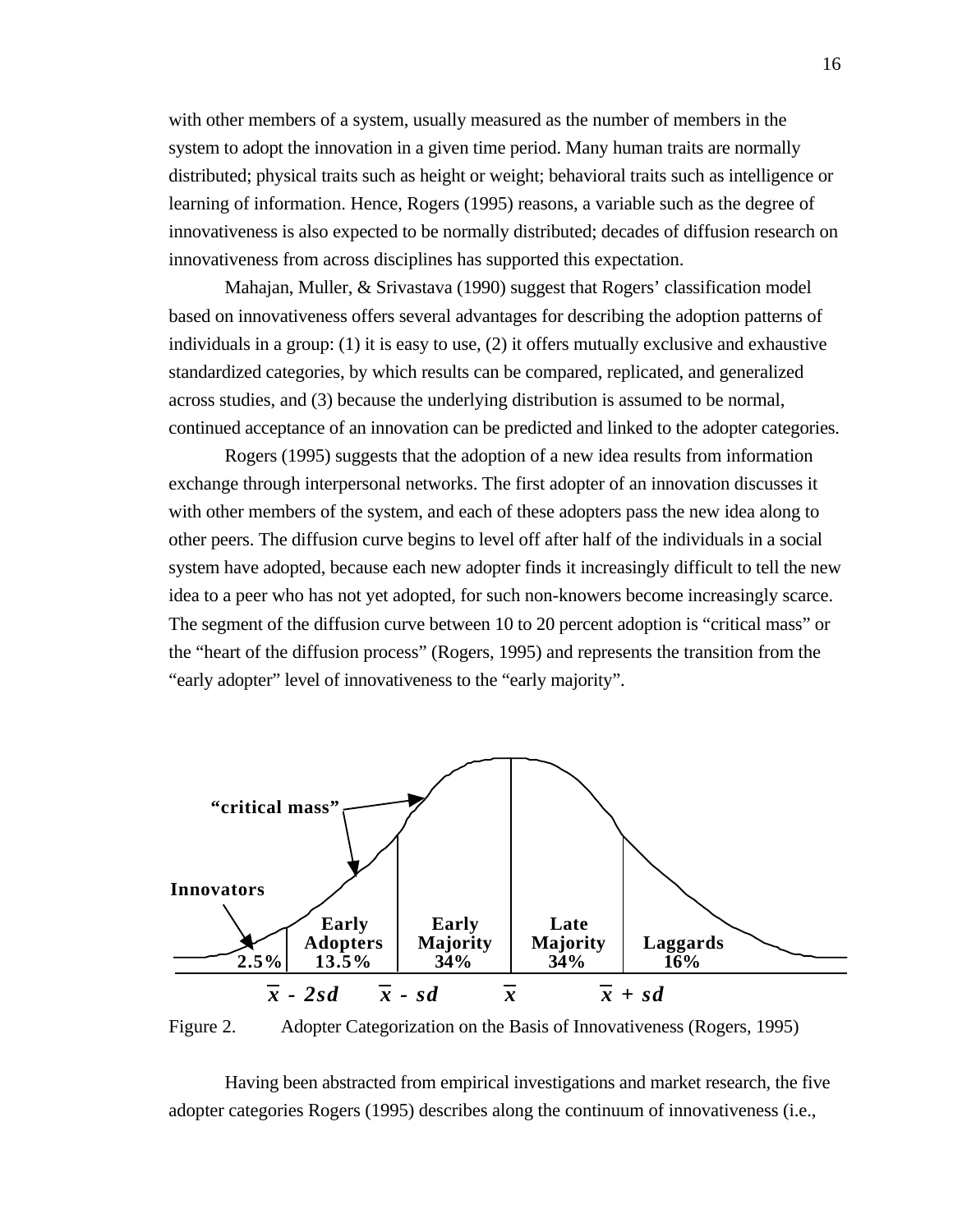with other members of a system, usually measured as the number of members in the system to adopt the innovation in a given time period. Many human traits are normally distributed; physical traits such as height or weight; behavioral traits such as intelligence or learning of information. Hence, Rogers (1995) reasons, a variable such as the degree of innovativeness is also expected to be normally distributed; decades of diffusion research on innovativeness from across disciplines has supported this expectation.

Mahajan, Muller, & Srivastava (1990) suggest that Rogers' classification model based on innovativeness offers several advantages for describing the adoption patterns of individuals in a group: (1) it is easy to use, (2) it offers mutually exclusive and exhaustive standardized categories, by which results can be compared, replicated, and generalized across studies, and (3) because the underlying distribution is assumed to be normal, continued acceptance of an innovation can be predicted and linked to the adopter categories.

Rogers (1995) suggests that the adoption of a new idea results from information exchange through interpersonal networks. The first adopter of an innovation discusses it with other members of the system, and each of these adopters pass the new idea along to other peers. The diffusion curve begins to level off after half of the individuals in a social system have adopted, because each new adopter finds it increasingly difficult to tell the new idea to a peer who has not yet adopted, for such non-knowers become increasingly scarce. The segment of the diffusion curve between 10 to 20 percent adoption is "critical mass" or the "heart of the diffusion process" (Rogers, 1995) and represents the transition from the "early adopter" level of innovativeness to the "early majority".



Figure 2. Adopter Categorization on the Basis of Innovativeness (Rogers, 1995)

Having been abstracted from empirical investigations and market research, the five adopter categories Rogers (1995) describes along the continuum of innovativeness (i.e.,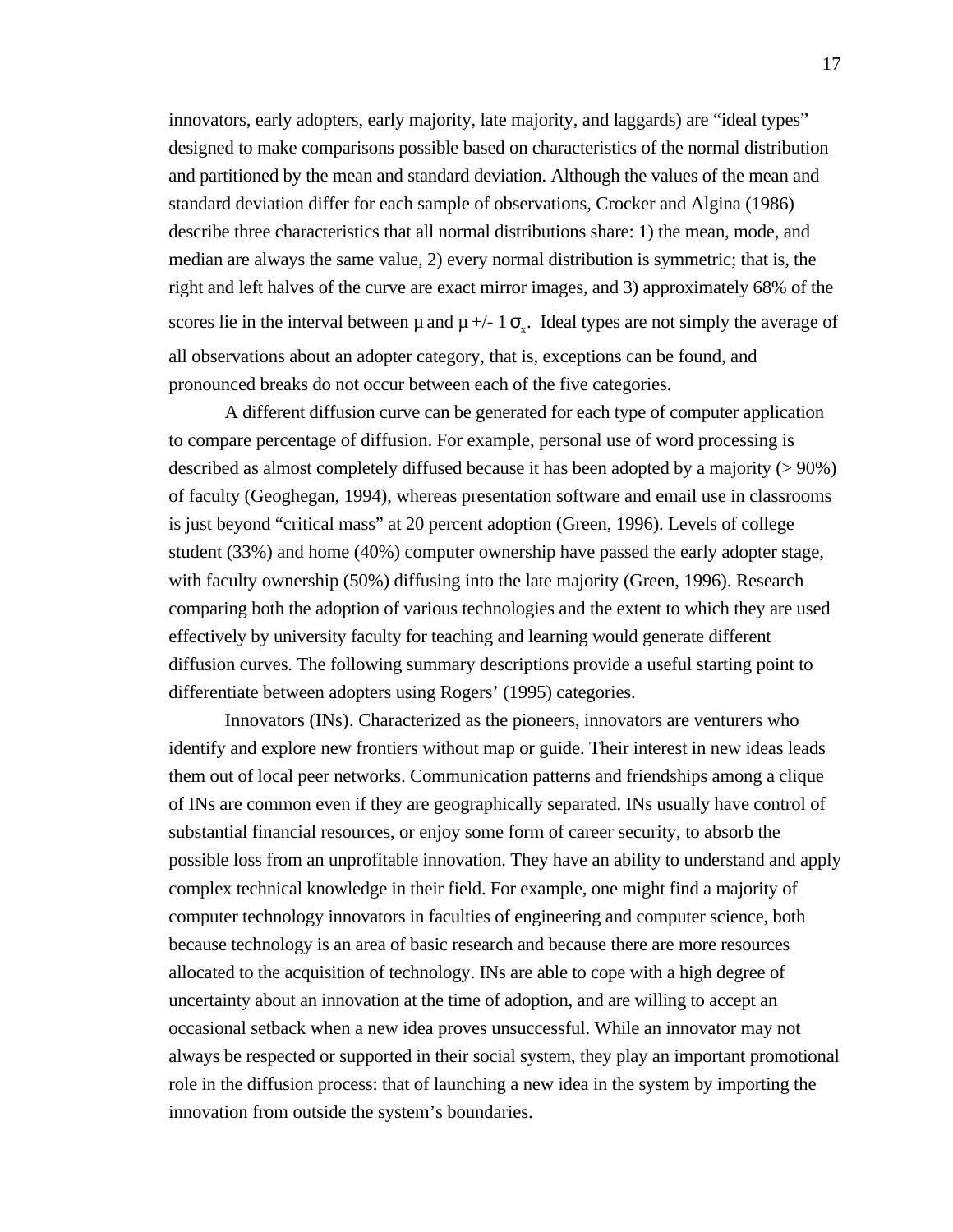innovators, early adopters, early majority, late majority, and laggards) are "ideal types" designed to make comparisons possible based on characteristics of the normal distribution and partitioned by the mean and standard deviation. Although the values of the mean and standard deviation differ for each sample of observations, Crocker and Algina (1986) describe three characteristics that all normal distributions share: 1) the mean, mode, and median are always the same value, 2) every normal distribution is symmetric; that is, the right and left halves of the curve are exact mirror images, and 3) approximately 68% of the scores lie in the interval between  $\mu$  and  $\mu$  +/- 1  $\alpha$ . Ideal types are not simply the average of all observations about an adopter category, that is, exceptions can be found, and pronounced breaks do not occur between each of the five categories.

A different diffusion curve can be generated for each type of computer application to compare percentage of diffusion. For example, personal use of word processing is described as almost completely diffused because it has been adopted by a majority (> 90%) of faculty (Geoghegan, 1994), whereas presentation software and email use in classrooms is just beyond "critical mass" at 20 percent adoption (Green, 1996). Levels of college student (33%) and home (40%) computer ownership have passed the early adopter stage, with faculty ownership (50%) diffusing into the late majority (Green, 1996). Research comparing both the adoption of various technologies and the extent to which they are used effectively by university faculty for teaching and learning would generate different diffusion curves. The following summary descriptions provide a useful starting point to differentiate between adopters using Rogers' (1995) categories.

Innovators (INs) . Characterized as the pioneers, innovators are venturers who identify and explore new frontiers without map or guide. Their interest in new ideas leads them out of local peer networks. Communication patterns and friendships among a clique of INs are common even if they are geographically separated. INs usually have control of substantial financial resources, or enjoy some form of career security, to absorb the possible loss from an unprofitable innovation. They have an ability to understand and apply complex technical knowledge in their field. For example, one might find a majority of computer technology innovators in faculties of engineering and computer science, both because technology is an area of basic research and because there are more resources allocated to the acquisition of technology. INs are able to cope with a high degree of uncertainty about an innovation at the time of adoption, and are willing to accept an occasional setback when a new idea proves unsuccessful. While an innovator may not always be respected or supported in their social system, they play an important promotional role in the diffusion process: that of launching a new idea in the system by importing the innovation from outside the system's boundaries.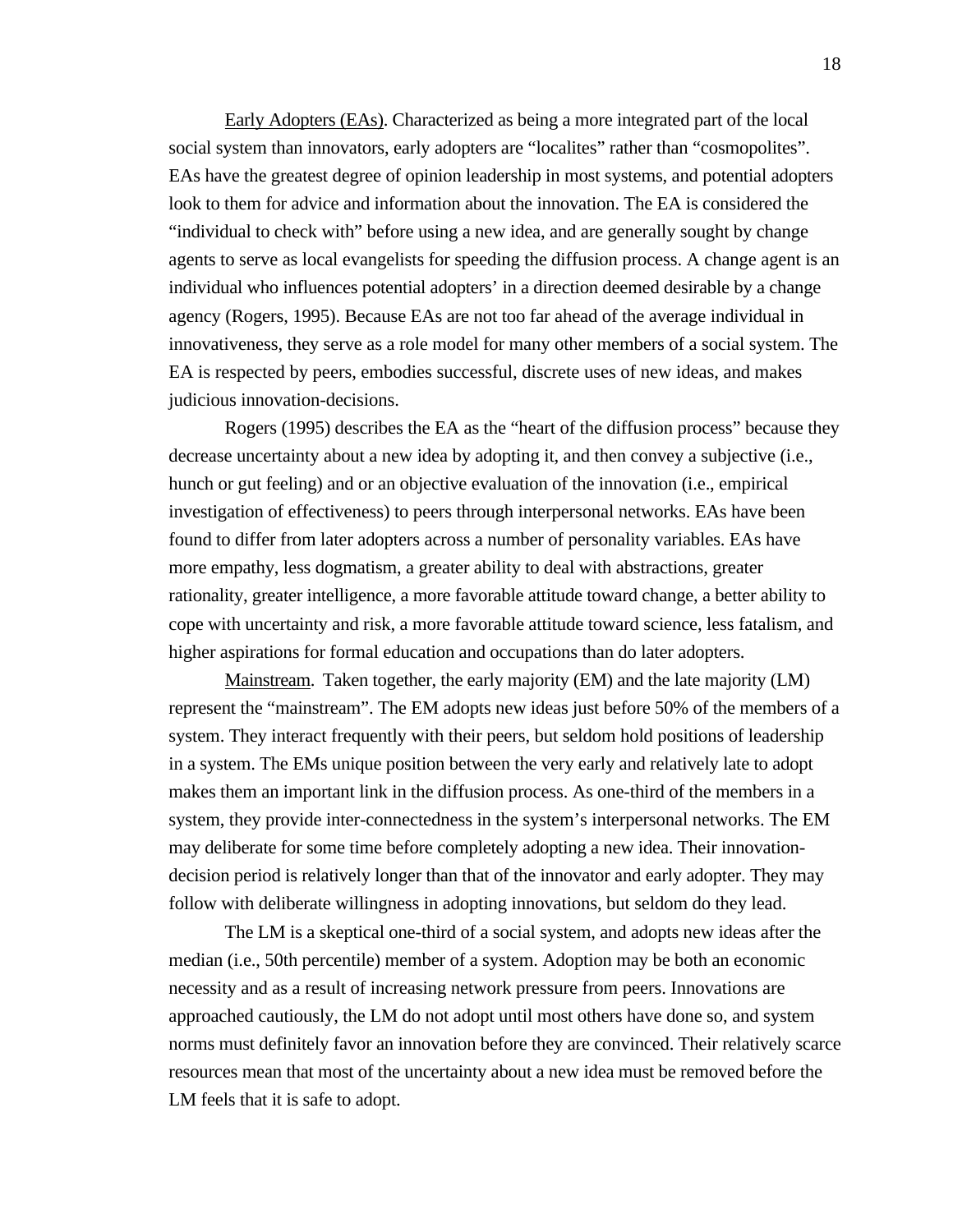Early Adopters (EAs) . Characterized as being a more integrated part of the local social system than innovators, early adopters are "localites" rather than "cosmopolites". EAs have the greatest degree of opinion leadership in most systems, and potential adopters look to them for advice and information about the innovation. The EA is considered the "individual to check with" before using a new idea, and are generally sought by change agents to serve as local evangelists for speeding the diffusion process. A change agent is an individual who influences potential adopters' in a direction deemed desirable by a change agency (Rogers, 1995). Because EAs are not too far ahead of the average individual in innovativeness, they serve as a role model for many other members of a social system. The EA is respected by peers, embodies successful, discrete uses of new ideas, and makes judicious innovation-decisions.

Rogers (1995) describes the EA as the "heart of the diffusion process" because they decrease uncertainty about a new idea by adopting it, and then convey a subjective (i.e., hunch or gut feeling) and or an objective evaluation of the innovation (i.e., empirical investigation of effectiveness) to peers through interpersonal networks. EAs have been found to differ from later adopters across a number of personality variables. EAs have more empathy, less dogmatism, a greater ability to deal with abstractions, greater rationality, greater intelligence, a more favorable attitude toward change, a better ability to cope with uncertainty and risk, a more favorable attitude toward science, less fatalism, and higher aspirations for formal education and occupations than do later adopters.

Mainstream. Taken together, the early majority (EM) and the late majority (LM) represent the "mainstream". The EM adopts new ideas just before 50% of the members of a system. They interact frequently with their peers, but seldom hold positions of leadership in a system. The EMs unique position between the very early and relatively late to adopt makes them an important link in the diffusion process. As one-third of the members in a system, they provide inter-connectedness in the system's interpersonal networks. The EM may deliberate for some time before completely adopting a new idea. Their innovationdecision period is relatively longer than that of the innovator and early adopter. They may follow with deliberate willingness in adopting innovations, but seldom do they lead.

The LM is a skeptical one-third of a social system, and adopts new ideas after the median (i.e., 50th percentile) member of a system. Adoption may be both an economic necessity and as a result of increasing network pressure from peers. Innovations are approached cautiously, the LM do not adopt until most others have done so, and system norms must definitely favor an innovation before they are convinced. Their relatively scarce resources mean that most of the uncertainty about a new idea must be removed before the LM feels that it is safe to adopt.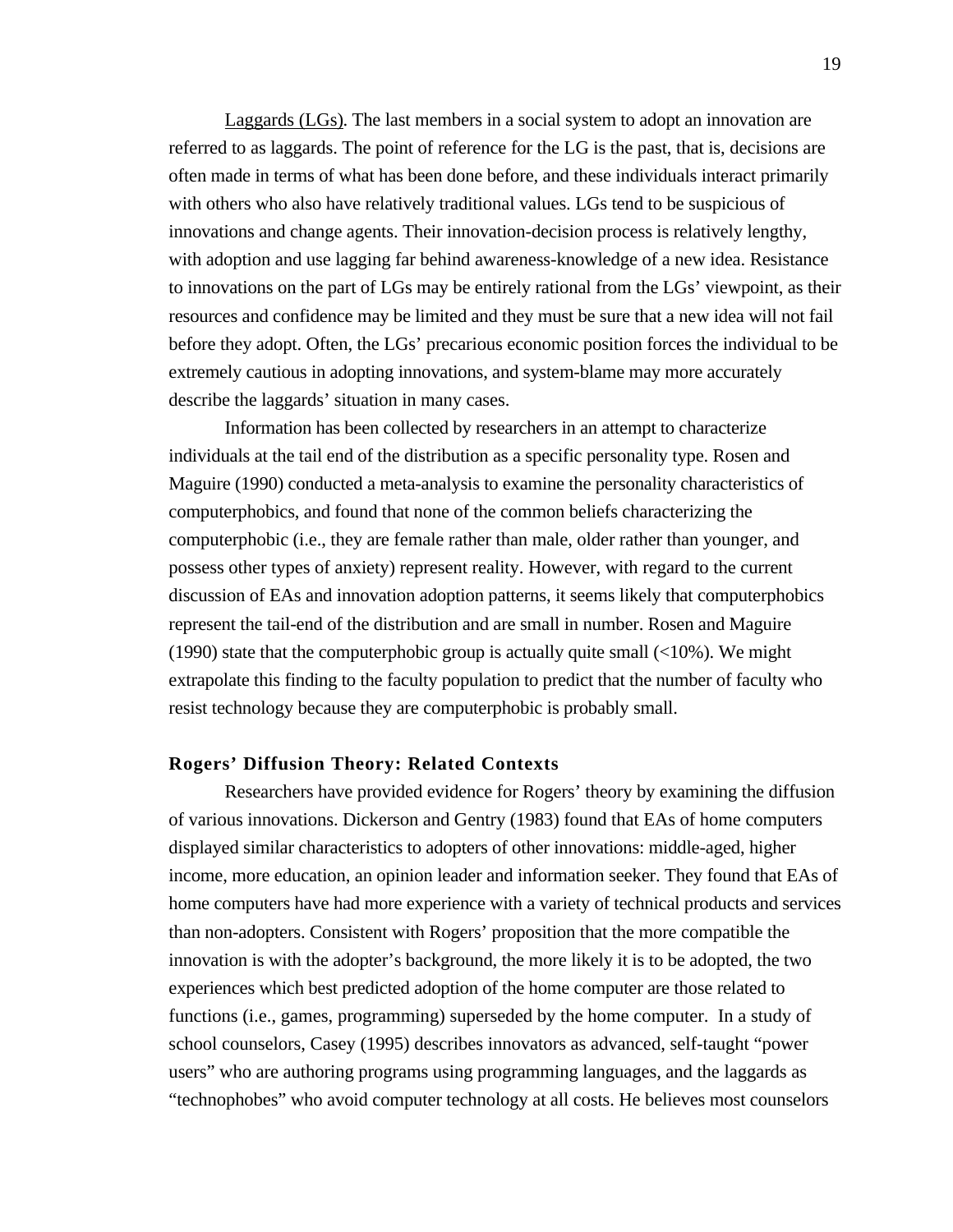Laggards (LGs). The last members in a social system to adopt an innovation are referred to as laggards. The point of reference for the LG is the past, that is, decisions are often made in terms of what has been done before, and these individuals interact primarily with others who also have relatively traditional values. LGs tend to be suspicious of innovations and change agents. Their innovation-decision process is relatively lengthy, with adoption and use lagging far behind awareness-knowledge of a new idea. Resistance to innovations on the part of LGs may be entirely rational from the LGs' viewpoint, as their resources and confidence may be limited and they must be sure that a new idea will not fail before they adopt. Often, the LGs' precarious economic position forces the individual to be extremely cautious in adopting innovations, and system-blame may more accurately describe the laggards' situation in many cases.

Information has been collected by researchers in an attempt to characterize individuals at the tail end of the distribution as a specific personality type. Rosen and Maguire (1990) conducted a meta-analysis to examine the personality characteristics of computerphobics, and found that none of the common beliefs characterizing the computerphobic (i.e., they are female rather than male, older rather than younger, and possess other types of anxiety) represent reality. However, with regard to the current discussion of EAs and innovation adoption patterns, it seems likely that computerphobics represent the tail-end of the distribution and are small in number. Rosen and Maguire (1990) state that the computerphobic group is actually quite small  $\left($ <10%). We might extrapolate this finding to the faculty population to predict that the number of faculty who resist technology because they are computerphobic is probably small.

#### **Rogers' Diffusion Theory: Related Contexts**

Researchers have provided evidence for Rogers' theory by examining the diffusion of various innovations. Dickerson and Gentry (1983) found that EAs of home computers displayed similar characteristics to adopters of other innovations: middle-aged, higher income, more education, an opinion leader and information seeker. They found that EAs of home computers have had more experience with a variety of technical products and services than non-adopters. Consistent with Rogers' proposition that the more compatible the innovation is with the adopter's background, the more likely it is to be adopted, the two experiences which best predicted adoption of the home computer are those related to functions (i.e., games, programming) superseded by the home computer. In a study of school counselors, Casey (1995) describes innovators as advanced, self-taught "power users" who are authoring programs using programming languages, and the laggards as "technophobes" who avoid computer technology at all costs. He believes most counselors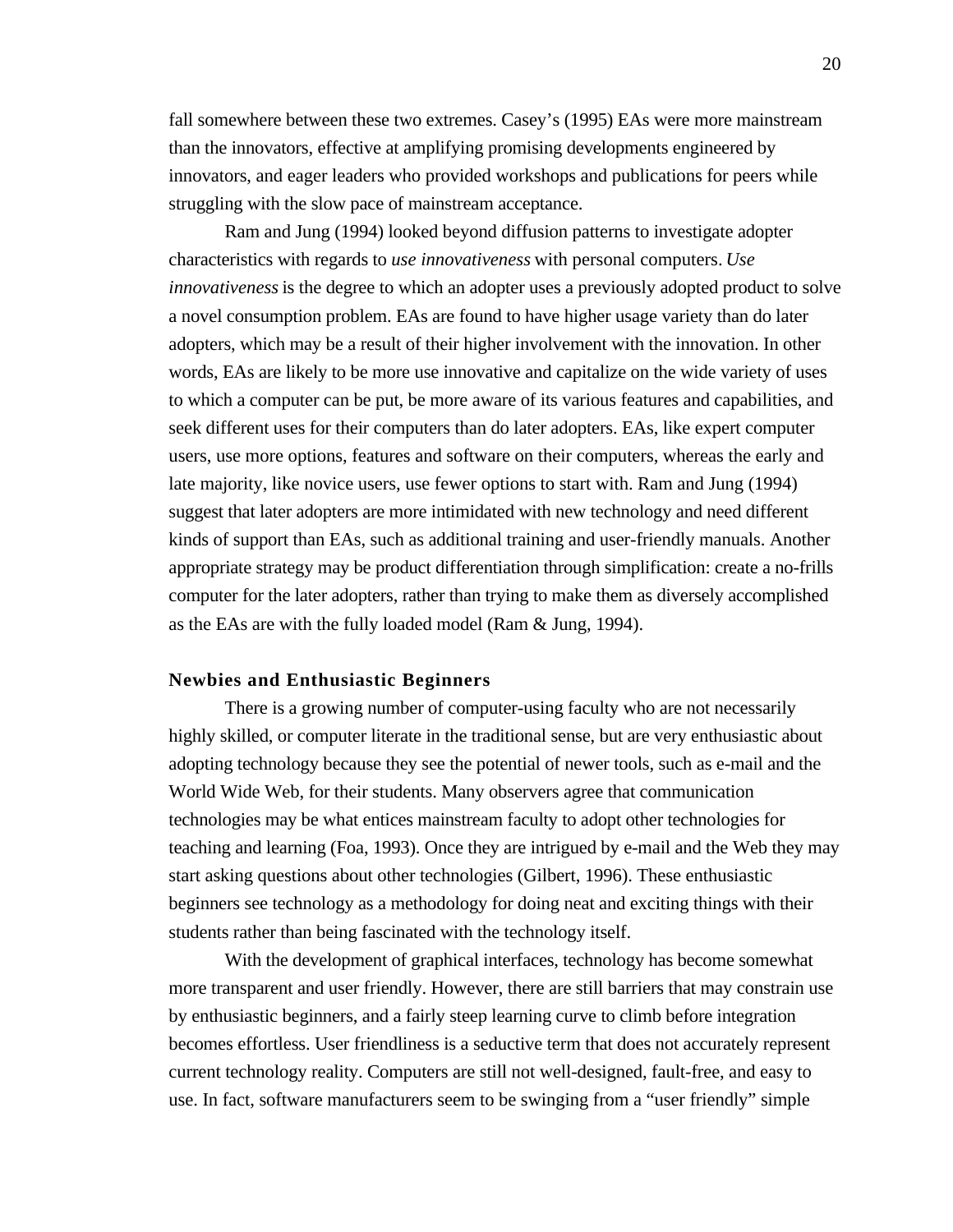fall somewhere between these two extremes. Casey's (1995) EAs were more mainstream than the innovators, effective at amplifying promising developments engineered by innovators, and eager leaders who provided workshops and publications for peers while struggling with the slow pace of mainstream acceptance.

Ram and Jung (1994) looked beyond diffusion patterns to investigate adopter characteristics with regards to *use innovativeness* with personal computers. *Use innovativeness* is the degree to which an adopter uses a previously adopted product to solve a novel consumption problem. EAs are found to have higher usage variety than do later adopters, which may be a result of their higher involvement with the innovation. In other words, EAs are likely to be more use innovative and capitalize on the wide variety of uses to which a computer can be put, be more aware of its various features and capabilities, and seek different uses for their computers than do later adopters. EAs, like expert computer users, use more options, features and software on their computers, whereas the early and late majority, like novice users, use fewer options to start with. Ram and Jung (1994) suggest that later adopters are more intimidated with new technology and need different kinds of support than EAs, such as additional training and user-friendly manuals. Another appropriate strategy may be product differentiation through simplification: create a no-frills computer for the later adopters, rather than trying to make them as diversely accomplished as the EAs are with the fully loaded model (Ram & Jung, 1994).

#### **Newbies and Enthusiastic Beginners**

There is a growing number of computer-using faculty who are not necessarily highly skilled, or computer literate in the traditional sense, but are very enthusiastic about adopting technology because they see the potential of newer tools, such as e-mail and the World Wide Web, for their students. Many observers agree that communication technologies may be what entices mainstream faculty to adopt other technologies for teaching and learning (Foa, 1993). Once they are intrigued by e-mail and the Web they may start asking questions about other technologies (Gilbert, 1996). These enthusiastic beginners see technology as a methodology for doing neat and exciting things with their students rather than being fascinated with the technology itself.

With the development of graphical interfaces, technology has become somewhat more transparent and user friendly. However, there are still barriers that may constrain use by enthusiastic beginners, and a fairly steep learning curve to climb before integration becomes effortless. User friendliness is a seductive term that does not accurately represent current technology reality. Computers are still not well-designed, fault-free, and easy to use. In fact, software manufacturers seem to be swinging from a "user friendly" simple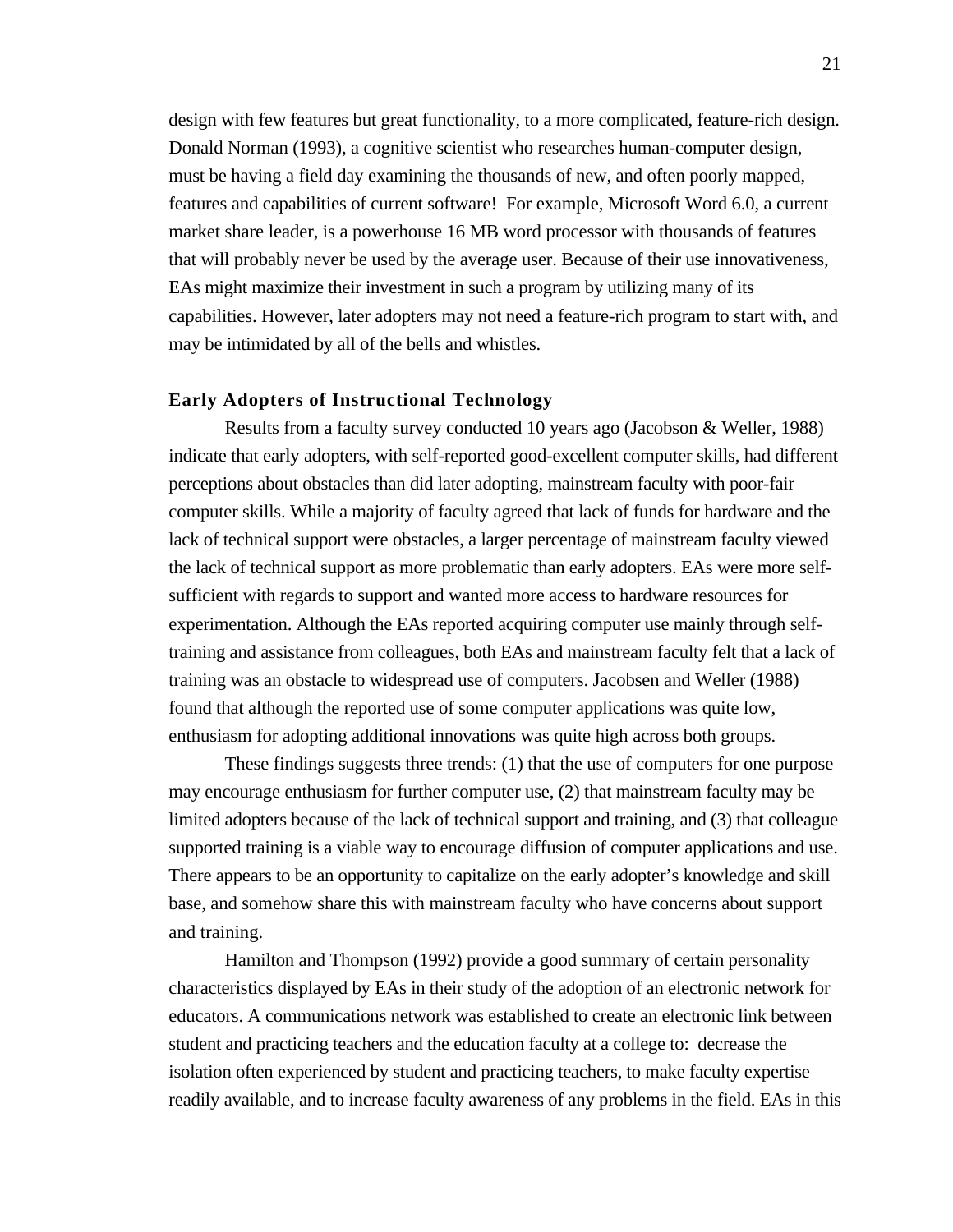design with few features but great functionality, to a more complicated, feature-rich design. Donald Norman (1993), a cognitive scientist who researches human-computer design, must be having a field day examining the thousands of new, and often poorly mapped, features and capabilities of current software! For example, Microsoft Word 6.0, a current market share leader, is a powerhouse 16 MB word processor with thousands of features that will probably never be used by the average user. Because of their use innovativeness, EAs might maximize their investment in such a program by utilizing many of its capabilities. However, later adopters may not need a feature-rich program to start with, and may be intimidated by all of the bells and whistles.

#### **Early Adopters of Instructional Technology**

Results from a faculty survey conducted 10 years ago (Jacobson & Weller, 1988) indicate that early adopters, with self-reported good-excellent computer skills, had different perceptions about obstacles than did later adopting, mainstream faculty with poor-fair computer skills. While a majority of faculty agreed that lack of funds for hardware and the lack of technical support were obstacles, a larger percentage of mainstream faculty viewed the lack of technical support as more problematic than early adopters. EAs were more selfsufficient with regards to support and wanted more access to hardware resources for experimentation. Although the EAs reported acquiring computer use mainly through selftraining and assistance from colleagues, both EAs and mainstream faculty felt that a lack of training was an obstacle to widespread use of computers. Jacobsen and Weller (1988) found that although the reported use of some computer applications was quite low, enthusiasm for adopting additional innovations was quite high across both groups.

These findings suggests three trends: (1) that the use of computers for one purpose may encourage enthusiasm for further computer use, (2) that mainstream faculty may be limited adopters because of the lack of technical support and training, and (3) that colleague supported training is a viable way to encourage diffusion of computer applications and use. There appears to be an opportunity to capitalize on the early adopter's knowledge and skill base, and somehow share this with mainstream faculty who have concerns about support and training.

Hamilton and Thompson (1992) provide a good summary of certain personality characteristics displayed by EAs in their study of the adoption of an electronic network for educators. A communications network was established to create an electronic link between student and practicing teachers and the education faculty at a college to: decrease the isolation often experienced by student and practicing teachers, to make faculty expertise readily available, and to increase faculty awareness of any problems in the field. EAs in this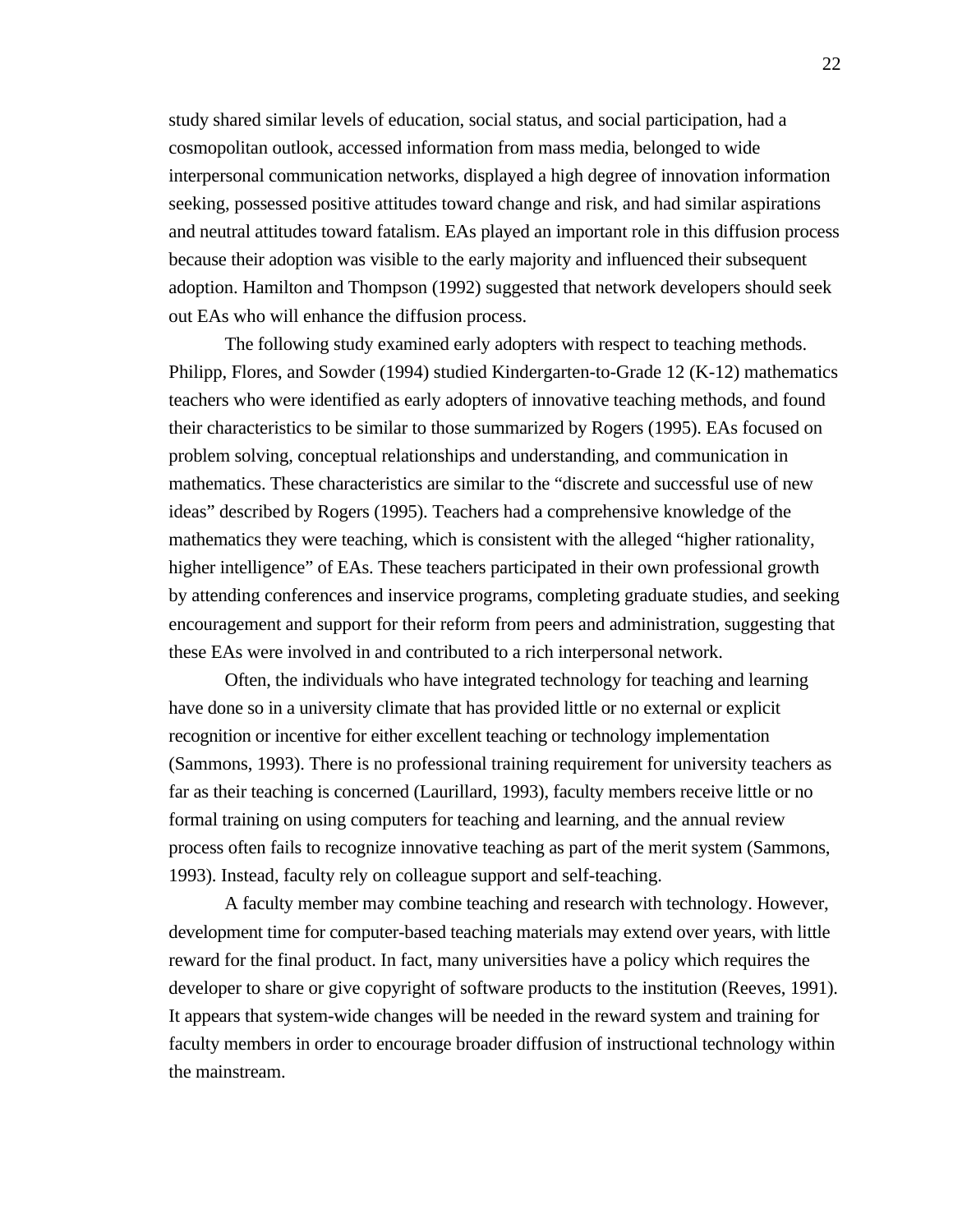study shared similar levels of education, social status, and social participation, had a cosmopolitan outlook, accessed information from mass media, belonged to wide interpersonal communication networks, displayed a high degree of innovation information seeking, possessed positive attitudes toward change and risk, and had similar aspirations and neutral attitudes toward fatalism. EAs played an important role in this diffusion process because their adoption was visible to the early majority and influenced their subsequent adoption. Hamilton and Thompson (1992) suggested that network developers should seek out EAs who will enhance the diffusion process.

The following study examined early adopters with respect to teaching methods. Philipp, Flores, and Sowder (1994) studied Kindergarten-to-Grade 12 (K-12) mathematics teachers who were identified as early adopters of innovative teaching methods, and found their characteristics to be similar to those summarized by Rogers (1995). EAs focused on problem solving, conceptual relationships and understanding, and communication in mathematics. These characteristics are similar to the "discrete and successful use of new ideas" described by Rogers (1995). Teachers had a comprehensive knowledge of the mathematics they were teaching, which is consistent with the alleged "higher rationality, higher intelligence" of EAs. These teachers participated in their own professional growth by attending conferences and inservice programs, completing graduate studies, and seeking encouragement and support for their reform from peers and administration, suggesting that these EAs were involved in and contributed to a rich interpersonal network.

Often, the individuals who have integrated technology for teaching and learning have done so in a university climate that has provided little or no external or explicit recognition or incentive for either excellent teaching or technology implementation (Sammons, 1993). There is no professional training requirement for university teachers as far as their teaching is concerned (Laurillard, 1993), faculty members receive little or no formal training on using computers for teaching and learning, and the annual review process often fails to recognize innovative teaching as part of the merit system (Sammons, 1993). Instead, faculty rely on colleague support and self-teaching.

A faculty member may combine teaching and research with technology. However, development time for computer-based teaching materials may extend over years, with little reward for the final product. In fact, many universities have a policy which requires the developer to share or give copyright of software products to the institution (Reeves, 1991). It appears that system-wide changes will be needed in the reward system and training for faculty members in order to encourage broader diffusion of instructional technology within the mainstream.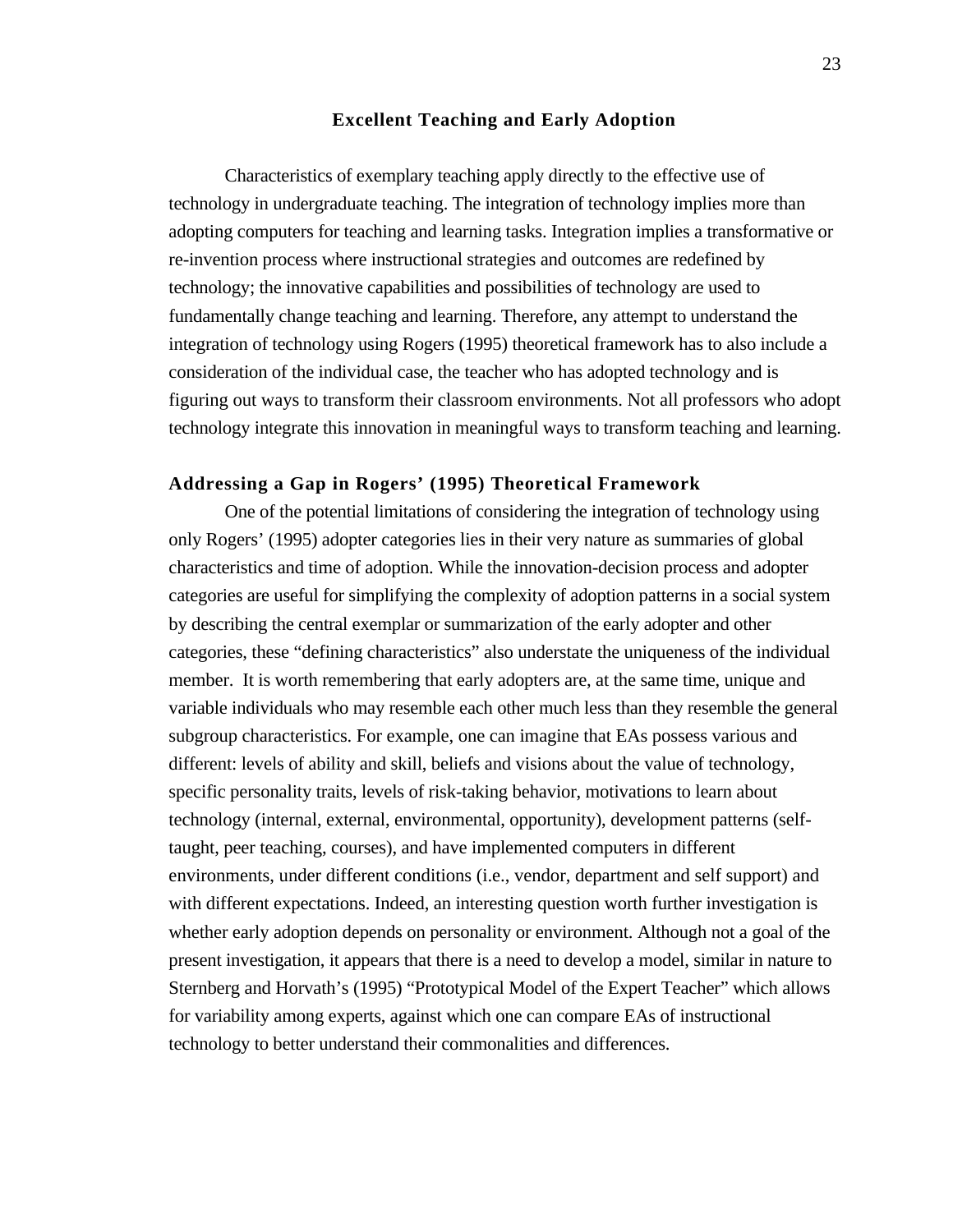#### **Excellent Teaching and Early Adoption**

Characteristics of exemplary teaching apply directly to the effective use of technology in undergraduate teaching. The integration of technology implies more than adopting computers for teaching and learning tasks. Integration implies a transformative or re-invention process where instructional strategies and outcomes are redefined by technology; the innovative capabilities and possibilities of technology are used to fundamentally change teaching and learning. Therefore, any attempt to understand the integration of technology using Rogers (1995) theoretical framework has to also include a consideration of the individual case, the teacher who has adopted technology and is figuring out ways to transform their classroom environments. Not all professors who adopt technology integrate this innovation in meaningful ways to transform teaching and learning.

#### **Addressing a Gap in Rogers' (1995) Theoretical Framework**

One of the potential limitations of considering the integration of technology using only Rogers' (1995) adopter categories lies in their very nature as summaries of global characteristics and time of adoption. While the innovation-decision process and adopter categories are useful for simplifying the complexity of adoption patterns in a social system by describing the central exemplar or summarization of the early adopter and other categories, these "defining characteristics" also understate the uniqueness of the individual member. It is worth remembering that early adopters are, at the same time, unique and variable individuals who may resemble each other much less than they resemble the general subgroup characteristics. For example, one can imagine that EAs possess various and different: levels of ability and skill, beliefs and visions about the value of technology, specific personality traits, levels of risk-taking behavior, motivations to learn about technology (internal, external, environmental, opportunity), development patterns (selftaught, peer teaching, courses), and have implemented computers in different environments, under different conditions (i.e., vendor, department and self support) and with different expectations. Indeed, an interesting question worth further investigation is whether early adoption depends on personality or environment. Although not a goal of the present investigation, it appears that there is a need to develop a model, similar in nature to Sternberg and Horvath's (1995) "Prototypical Model of the Expert Teacher" which allows for variability among experts, against which one can compare EAs of instructional technology to better understand their commonalities and differences.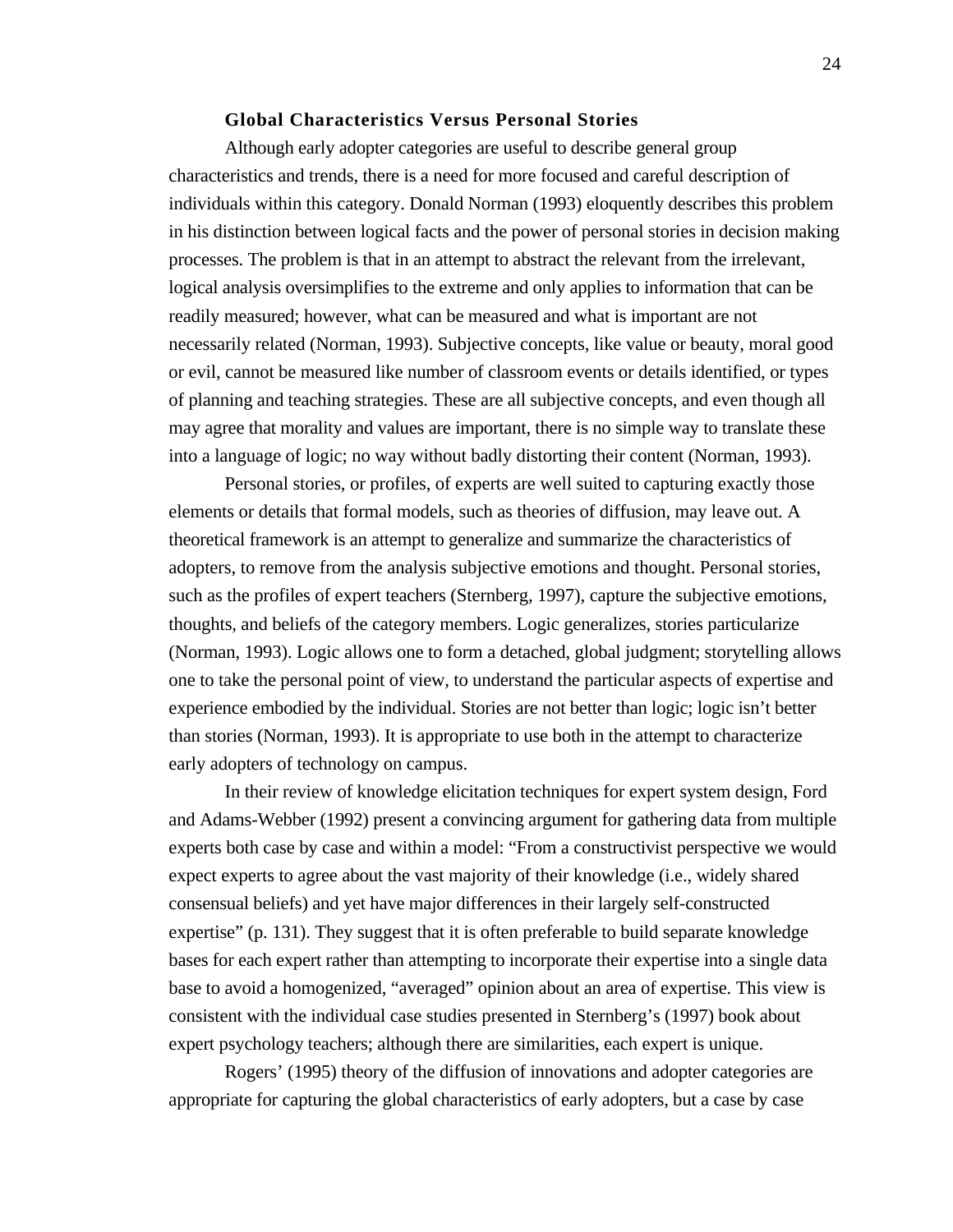## **Global Characteristics Versus Personal Stories**

Although early adopter categories are useful to describe general group characteristics and trends, there is a need for more focused and careful description of individuals within this category. Donald Norman (1993) eloquently describes this problem in his distinction between logical facts and the power of personal stories in decision making processes. The problem is that in an attempt to abstract the relevant from the irrelevant, logical analysis oversimplifies to the extreme and only applies to information that can be readily measured; however, what can be measured and what is important are not necessarily related (Norman, 1993). Subjective concepts, like value or beauty, moral good or evil, cannot be measured like number of classroom events or details identified, or types of planning and teaching strategies. These are all subjective concepts, and even though all may agree that morality and values are important, there is no simple way to translate these into a language of logic; no way without badly distorting their content (Norman, 1993).

Personal stories, or profiles, of experts are well suited to capturing exactly those elements or details that formal models, such as theories of diffusion, may leave out. A theoretical framework is an attempt to generalize and summarize the characteristics of adopters, to remove from the analysis subjective emotions and thought. Personal stories, such as the profiles of expert teachers (Sternberg, 1997), capture the subjective emotions, thoughts, and beliefs of the category members. Logic generalizes, stories particularize (Norman, 1993). Logic allows one to form a detached, global judgment; storytelling allows one to take the personal point of view, to understand the particular aspects of expertise and experience embodied by the individual. Stories are not better than logic; logic isn't better than stories (Norman, 1993). It is appropriate to use both in the attempt to characterize early adopters of technology on campus.

In their review of knowledge elicitation techniques for expert system design, Ford and Adams-Webber (1992) present a convincing argument for gathering data from multiple experts both case by case and within a model: "From a constructivist perspective we would expect experts to agree about the vast majority of their knowledge (i.e., widely shared consensual beliefs) and yet have major differences in their largely self-constructed expertise" (p. 131). They suggest that it is often preferable to build separate knowledge bases for each expert rather than attempting to incorporate their expertise into a single data base to avoid a homogenized, "averaged" opinion about an area of expertise. This view is consistent with the individual case studies presented in Sternberg's (1997) book about expert psychology teachers; although there are similarities, each expert is unique.

Rogers' (1995) theory of the diffusion of innovations and adopter categories are appropriate for capturing the global characteristics of early adopters, but a case by case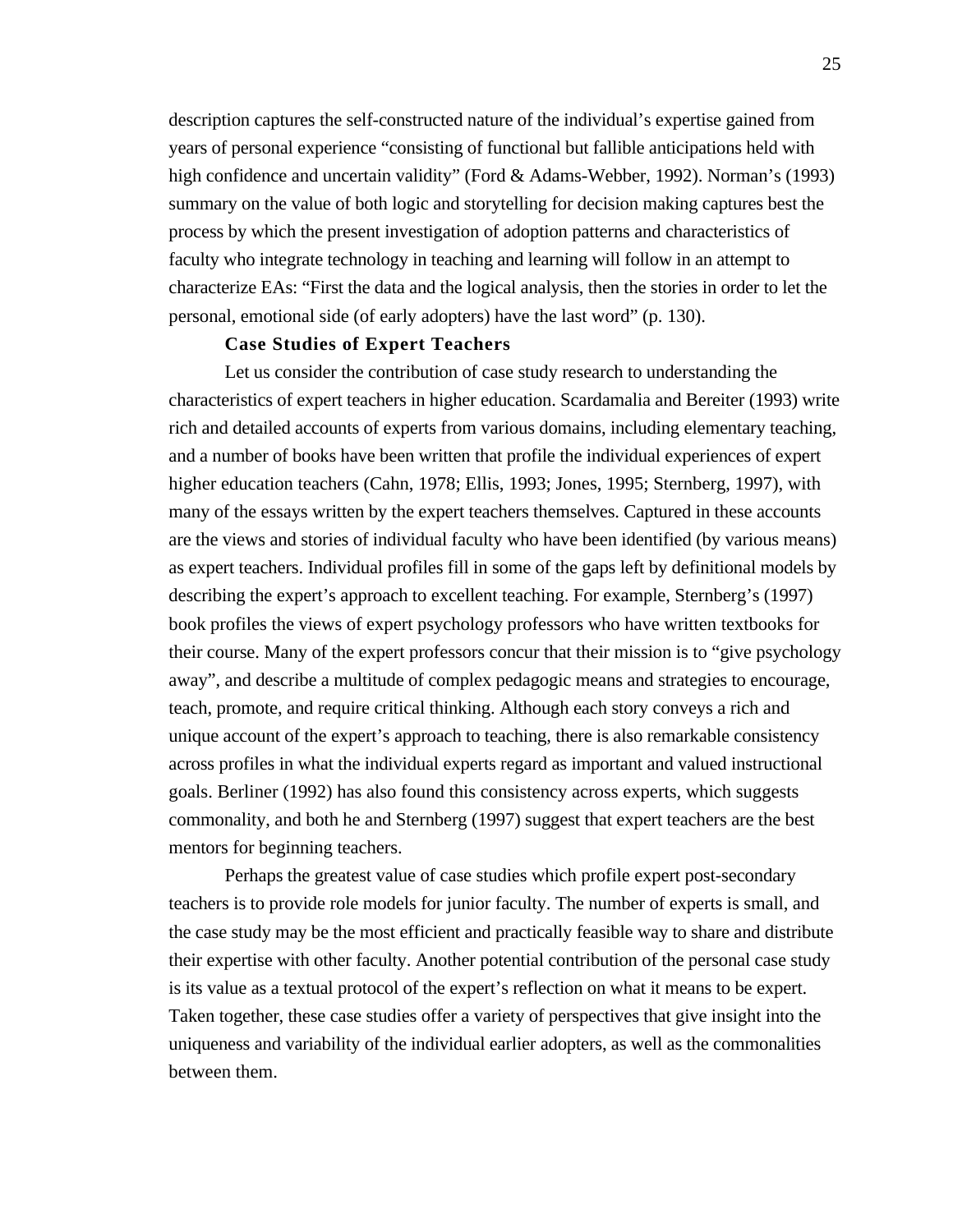description captures the self-constructed nature of the individual's expertise gained from years of personal experience "consisting of functional but fallible anticipations held with high confidence and uncertain validity" (Ford & Adams-Webber, 1992). Norman's (1993) summary on the value of both logic and storytelling for decision making captures best the process by which the present investigation of adoption patterns and characteristics of faculty who integrate technology in teaching and learning will follow in an attempt to characterize EAs: "First the data and the logical analysis, then the stories in order to let the personal, emotional side (of early adopters) have the last word" (p. 130).

# **Case Studies of Expert Teachers**

Let us consider the contribution of case study research to understanding the characteristics of expert teachers in higher education. Scardamalia and Bereiter (1993) write rich and detailed accounts of experts from various domains, including elementary teaching, and a number of books have been written that profile the individual experiences of expert higher education teachers (Cahn, 1978; Ellis, 1993; Jones, 1995; Sternberg, 1997), with many of the essays written by the expert teachers themselves. Captured in these accounts are the views and stories of individual faculty who have been identified (by various means) as expert teachers. Individual profiles fill in some of the gaps left by definitional models by describing the expert's approach to excellent teaching. For example, Sternberg's (1997) book profiles the views of expert psychology professors who have written textbooks for their course. Many of the expert professors concur that their mission is to "give psychology away", and describe a multitude of complex pedagogic means and strategies to encourage, teach, promote, and require critical thinking. Although each story conveys a rich and unique account of the expert's approach to teaching, there is also remarkable consistency across profiles in what the individual experts regard as important and valued instructional goals. Berliner (1992) has also found this consistency across experts, which suggests commonality, and both he and Sternberg (1997) suggest that expert teachers are the best mentors for beginning teachers.

Perhaps the greatest value of case studies which profile expert post-secondary teachers is to provide role models for junior faculty. The number of experts is small, and the case study may be the most efficient and practically feasible way to share and distribute their expertise with other faculty. Another potential contribution of the personal case study is its value as a textual protocol of the expert's reflection on what it means to be expert. Taken together, these case studies offer a variety of perspectives that give insight into the uniqueness and variability of the individual earlier adopters, as well as the commonalities between them.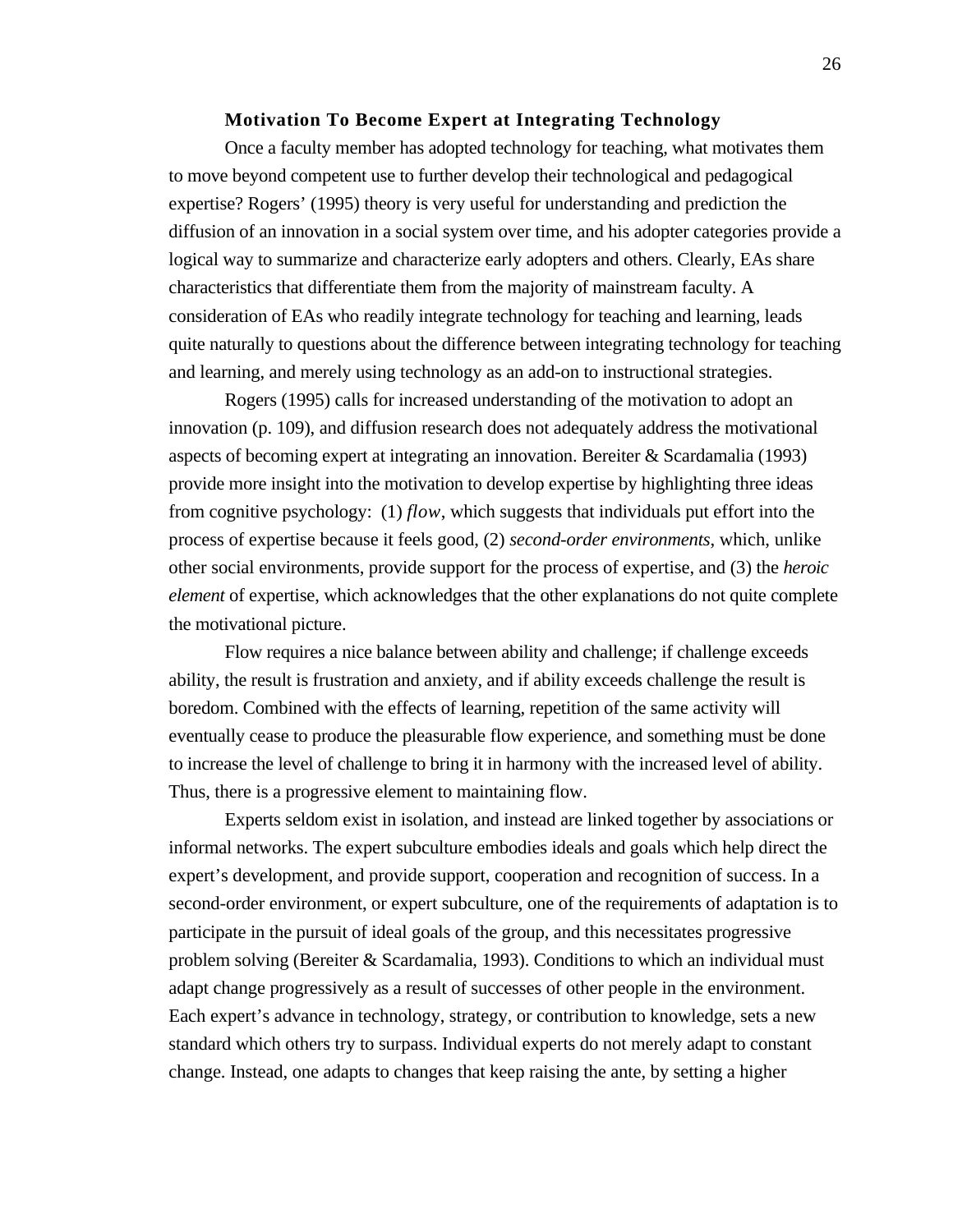# **Motivation To Become Expert at Integrating Technology**

Once a faculty member has adopted technology for teaching, what motivates them to move beyond competent use to further develop their technological and pedagogical expertise? Rogers' (1995) theory is very useful for understanding and prediction the diffusion of an innovation in a social system over time, and his adopter categories provide a logical way to summarize and characterize early adopters and others. Clearly, EAs share characteristics that differentiate them from the majority of mainstream faculty. A consideration of EAs who readily integrate technology for teaching and learning, leads quite naturally to questions about the difference between integrating technology for teaching and learning, and merely using technology as an add-on to instructional strategies.

Rogers (1995) calls for increased understanding of the motivation to adopt an innovation (p. 109), and diffusion research does not adequately address the motivational aspects of becoming expert at integrating an innovation. Bereiter & Scardamalia (1993) provide more insight into the motivation to develop expertise by highlighting three ideas from cognitive psychology: (1) *flow*, which suggests that individuals put effort into the process of expertise because it feels good, (2) *second-order environments*, which, unlike other social environments, provide support for the process of expertise, and (3) the *heroic element* of expertise, which acknowledges that the other explanations do not quite complete the motivational picture.

Flow requires a nice balance between ability and challenge; if challenge exceeds ability, the result is frustration and anxiety, and if ability exceeds challenge the result is boredom. Combined with the effects of learning, repetition of the same activity will eventually cease to produce the pleasurable flow experience, and something must be done to increase the level of challenge to bring it in harmony with the increased level of ability. Thus, there is a progressive element to maintaining flow.

Experts seldom exist in isolation, and instead are linked together by associations or informal networks. The expert subculture embodies ideals and goals which help direct the expert's development, and provide support, cooperation and recognition of success. In a second-order environment, or expert subculture, one of the requirements of adaptation is to participate in the pursuit of ideal goals of the group, and this necessitates progressive problem solving (Bereiter & Scardamalia, 1993). Conditions to which an individual must adapt change progressively as a result of successes of other people in the environment. Each expert's advance in technology, strategy, or contribution to knowledge, sets a new standard which others try to surpass. Individual experts do not merely adapt to constant change. Instead, one adapts to changes that keep raising the ante, by setting a higher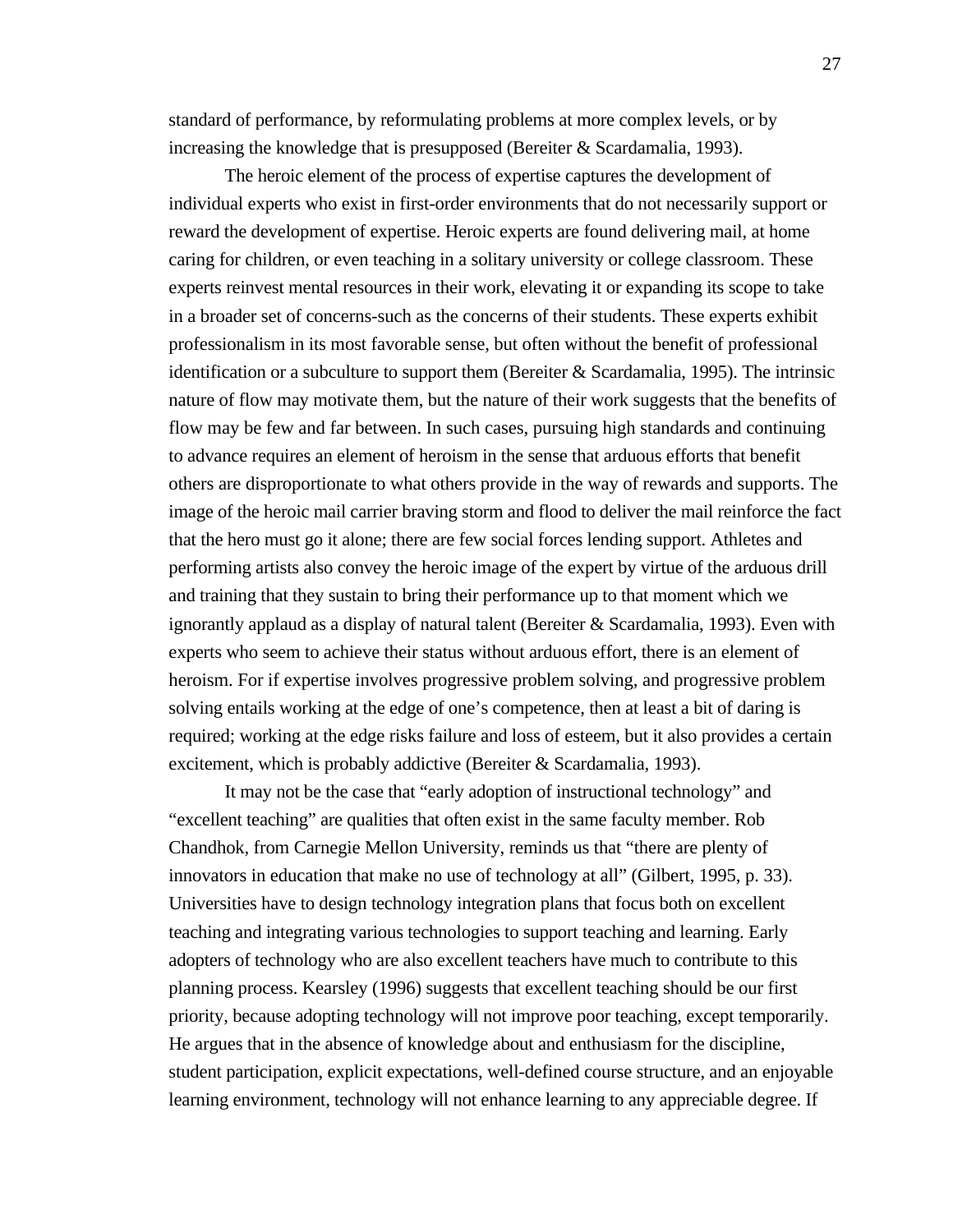standard of performance, by reformulating problems at more complex levels, or by increasing the knowledge that is presupposed (Bereiter & Scardamalia, 1993).

The heroic element of the process of expertise captures the development of individual experts who exist in first-order environments that do not necessarily support or reward the development of expertise. Heroic experts are found delivering mail, at home caring for children, or even teaching in a solitary university or college classroom. These experts reinvest mental resources in their work, elevating it or expanding its scope to take in a broader set of concerns-such as the concerns of their students. These experts exhibit professionalism in its most favorable sense, but often without the benefit of professional identification or a subculture to support them (Bereiter  $&$  Scardamalia, 1995). The intrinsic nature of flow may motivate them, but the nature of their work suggests that the benefits of flow may be few and far between. In such cases, pursuing high standards and continuing to advance requires an element of heroism in the sense that arduous efforts that benefit others are disproportionate to what others provide in the way of rewards and supports. The image of the heroic mail carrier braving storm and flood to deliver the mail reinforce the fact that the hero must go it alone; there are few social forces lending support. Athletes and performing artists also convey the heroic image of the expert by virtue of the arduous drill and training that they sustain to bring their performance up to that moment which we ignorantly applaud as a display of natural talent (Bereiter & Scardamalia, 1993). Even with experts who seem to achieve their status without arduous effort, there is an element of heroism. For if expertise involves progressive problem solving, and progressive problem solving entails working at the edge of one's competence, then at least a bit of daring is required; working at the edge risks failure and loss of esteem, but it also provides a certain excitement, which is probably addictive (Bereiter & Scardamalia, 1993).

It may not be the case that "early adoption of instructional technology" and "excellent teaching" are qualities that often exist in the same faculty member. Rob Chandhok, from Carnegie Mellon University, reminds us that "there are plenty of innovators in education that make no use of technology at all" (Gilbert, 1995, p. 33). Universities have to design technology integration plans that focus both on excellent teaching and integrating various technologies to support teaching and learning. Early adopters of technology who are also excellent teachers have much to contribute to this planning process. Kearsley (1996) suggests that excellent teaching should be our first priority, because adopting technology will not improve poor teaching, except temporarily. He argues that in the absence of knowledge about and enthusiasm for the discipline, student participation, explicit expectations, well-defined course structure, and an enjoyable learning environment, technology will not enhance learning to any appreciable degree. If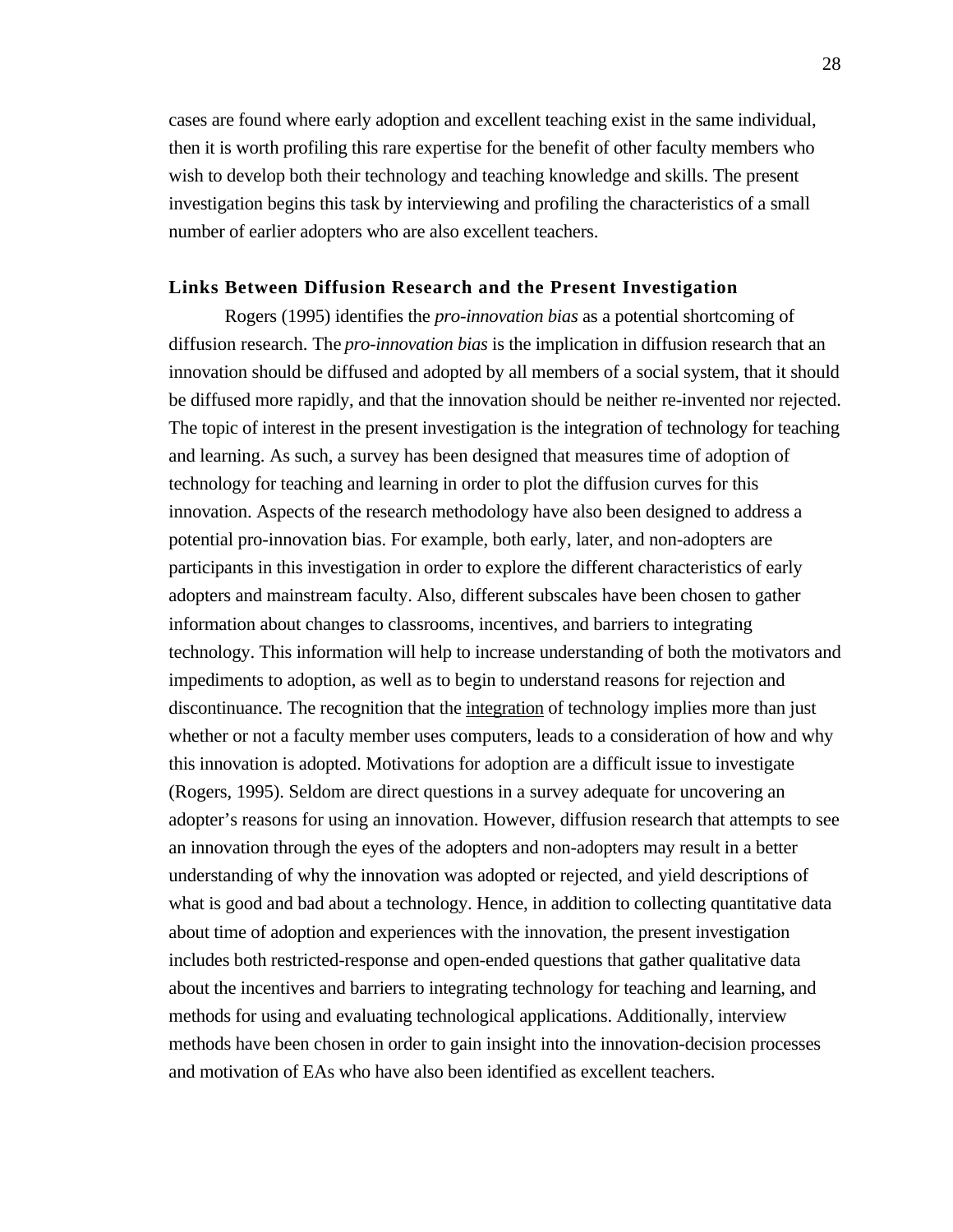cases are found where early adoption and excellent teaching exist in the same individual, then it is worth profiling this rare expertise for the benefit of other faculty members who wish to develop both their technology and teaching knowledge and skills. The present investigation begins this task by interviewing and profiling the characteristics of a small number of earlier adopters who are also excellent teachers.

#### **Links Between Diffusion Research and the Present Investigation**

Rogers (1995) identifies the *pro-innovation bias* as a potential shortcoming of diffusion research. The *pro-innovation bias* is the implication in diffusion research that an innovation should be diffused and adopted by all members of a social system, that it should be diffused more rapidly, and that the innovation should be neither re-invented nor rejected. The topic of interest in the present investigation is the integration of technology for teaching and learning. As such, a survey has been designed that measures time of adoption of technology for teaching and learning in order to plot the diffusion curves for this innovation. Aspects of the research methodology have also been designed to address a potential pro-innovation bias. For example, both early, later, and non-adopters are participants in this investigation in order to explore the different characteristics of early adopters and mainstream faculty. Also, different subscales have been chosen to gather information about changes to classrooms, incentives, and barriers to integrating technology. This information will help to increase understanding of both the motivators and impediments to adoption, as well as to begin to understand reasons for rejection and discontinuance. The recognition that the integration of technology implies more than just whether or not a faculty member uses computers, leads to a consideration of how and why this innovation is adopted. Motivations for adoption are a difficult issue to investigate (Rogers, 1995). Seldom are direct questions in a survey adequate for uncovering an adopter's reasons for using an innovation. However, diffusion research that attempts to see an innovation through the eyes of the adopters and non-adopters may result in a better understanding of why the innovation was adopted or rejected, and yield descriptions of what is good and bad about a technology. Hence, in addition to collecting quantitative data about time of adoption and experiences with the innovation, the present investigation includes both restricted-response and open-ended questions that gather qualitative data about the incentives and barriers to integrating technology for teaching and learning, and methods for using and evaluating technological applications. Additionally, interview methods have been chosen in order to gain insight into the innovation-decision processes and motivation of EAs who have also been identified as excellent teachers.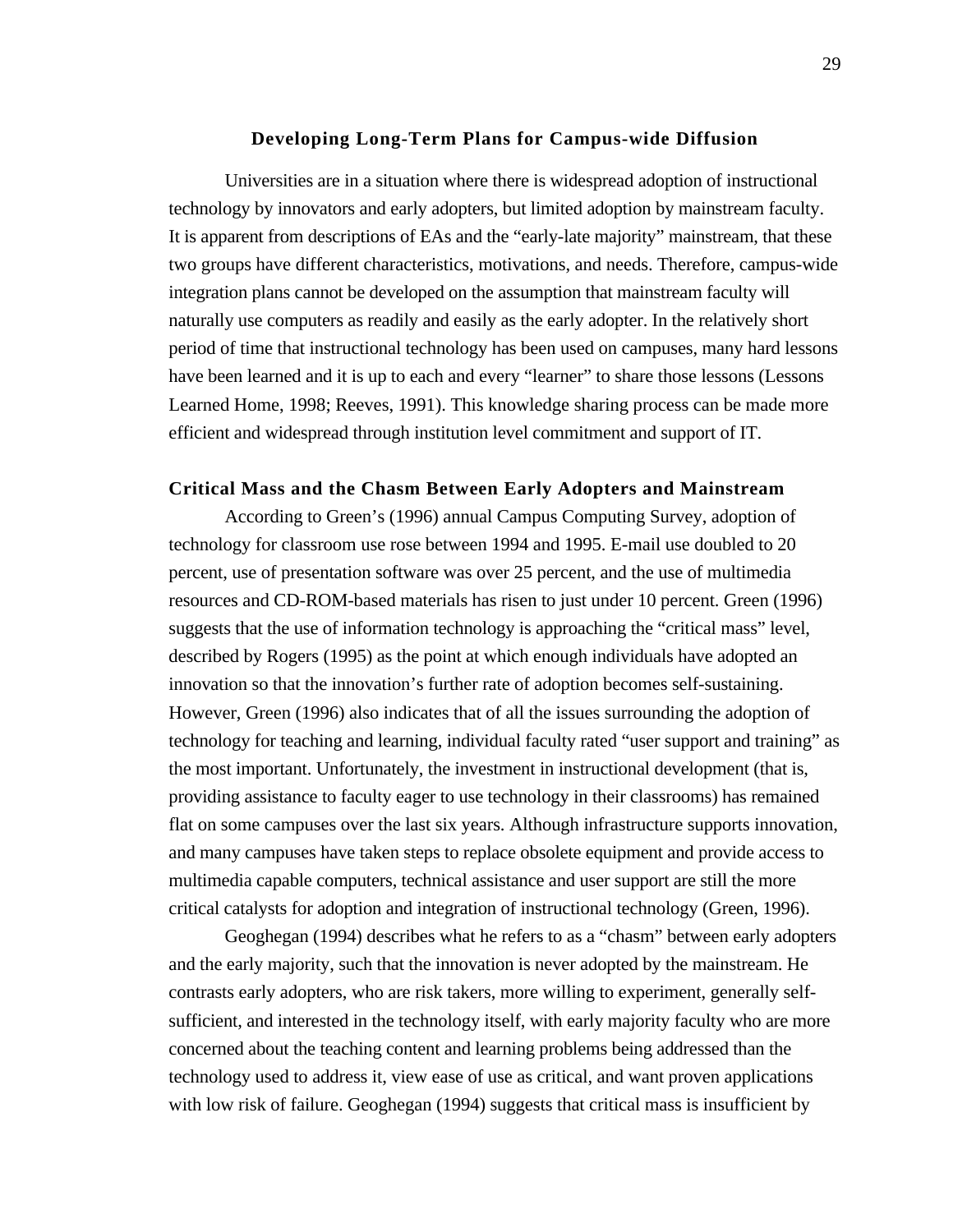#### **Developing Long-Term Plans for Campus-wide Diffusion**

Universities are in a situation where there is widespread adoption of instructional technology by innovators and early adopters, but limited adoption by mainstream faculty. It is apparent from descriptions of EAs and the "early-late majority" mainstream, that these two groups have different characteristics, motivations, and needs. Therefore, campus-wide integration plans cannot be developed on the assumption that mainstream faculty will naturally use computers as readily and easily as the early adopter. In the relatively short period of time that instructional technology has been used on campuses, many hard lessons have been learned and it is up to each and every "learner" to share those lessons (Lessons Learned Home, 1998; Reeves, 1991). This knowledge sharing process can be made more efficient and widespread through institution level commitment and support of IT.

#### **Critical Mass and the Chasm Between Early Adopters and Mainstream**

According to Green's (1996) annual Campus Computing Survey, adoption of technology for classroom use rose between 1994 and 1995. E-mail use doubled to 20 percent, use of presentation software was over 25 percent, and the use of multimedia resources and CD-ROM-based materials has risen to just under 10 percent. Green (1996) suggests that the use of information technology is approaching the "critical mass" level, described by Rogers (1995) as the point at which enough individuals have adopted an innovation so that the innovation's further rate of adoption becomes self-sustaining. However, Green (1996) also indicates that of all the issues surrounding the adoption of technology for teaching and learning, individual faculty rated "user support and training" as the most important. Unfortunately, the investment in instructional development (that is, providing assistance to faculty eager to use technology in their classrooms) has remained flat on some campuses over the last six years. Although infrastructure supports innovation, and many campuses have taken steps to replace obsolete equipment and provide access to multimedia capable computers, technical assistance and user support are still the more critical catalysts for adoption and integration of instructional technology (Green, 1996).

Geoghegan (1994) describes what he refers to as a "chasm" between early adopters and the early majority, such that the innovation is never adopted by the mainstream. He contrasts early adopters, who are risk takers, more willing to experiment, generally selfsufficient, and interested in the technology itself, with early majority faculty who are more concerned about the teaching content and learning problems being addressed than the technology used to address it, view ease of use as critical, and want proven applications with low risk of failure. Geoghegan (1994) suggests that critical mass is insufficient by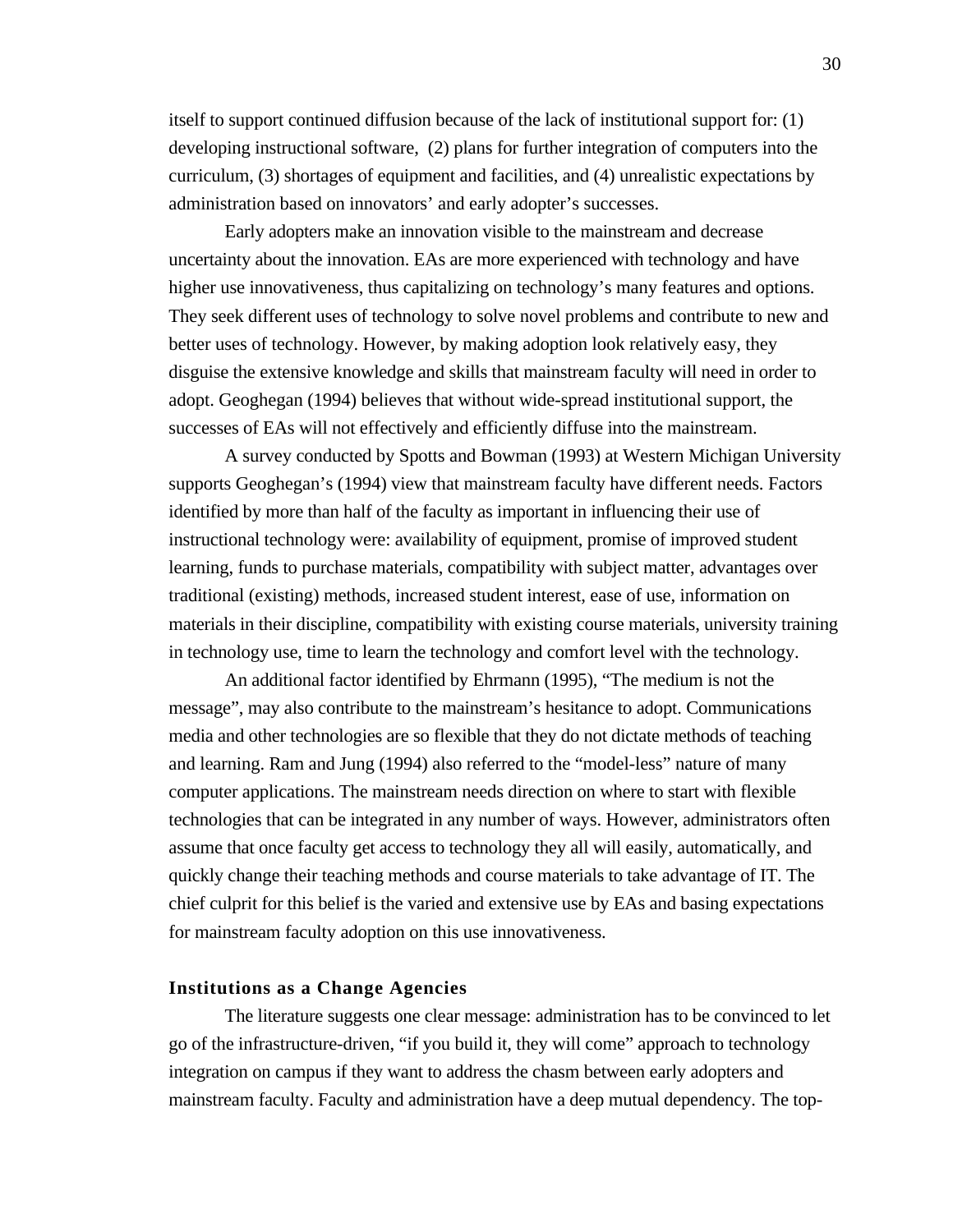itself to support continued diffusion because of the lack of institutional support for: (1) developing instructional software, (2) plans for further integration of computers into the curriculum, (3) shortages of equipment and facilities, and (4) unrealistic expectations by administration based on innovators' and early adopter's successes.

Early adopters make an innovation visible to the mainstream and decrease uncertainty about the innovation. EAs are more experienced with technology and have higher use innovativeness, thus capitalizing on technology's many features and options. They seek different uses of technology to solve novel problems and contribute to new and better uses of technology. However, by making adoption look relatively easy, they disguise the extensive knowledge and skills that mainstream faculty will need in order to adopt. Geoghegan (1994) believes that without wide-spread institutional support, the successes of EAs will not effectively and efficiently diffuse into the mainstream.

A survey conducted by Spotts and Bowman (1993) at Western Michigan University supports Geoghegan's (1994) view that mainstream faculty have different needs. Factors identified by more than half of the faculty as important in influencing their use of instructional technology were: availability of equipment, promise of improved student learning, funds to purchase materials, compatibility with subject matter, advantages over traditional (existing) methods, increased student interest, ease of use, information on materials in their discipline, compatibility with existing course materials, university training in technology use, time to learn the technology and comfort level with the technology.

An additional factor identified by Ehrmann (1995), "The medium is not the message", may also contribute to the mainstream's hesitance to adopt. Communications media and other technologies are so flexible that they do not dictate methods of teaching and learning. Ram and Jung (1994) also referred to the "model-less" nature of many computer applications. The mainstream needs direction on where to start with flexible technologies that can be integrated in any number of ways. However, administrators often assume that once faculty get access to technology they all will easily, automatically, and quickly change their teaching methods and course materials to take advantage of IT. The chief culprit for this belief is the varied and extensive use by EAs and basing expectations for mainstream faculty adoption on this use innovativeness.

## **Institutions as a Change Agencies**

The literature suggests one clear message: administration has to be convinced to let go of the infrastructure-driven, "if you build it, they will come" approach to technology integration on campus if they want to address the chasm between early adopters and mainstream faculty. Faculty and administration have a deep mutual dependency. The top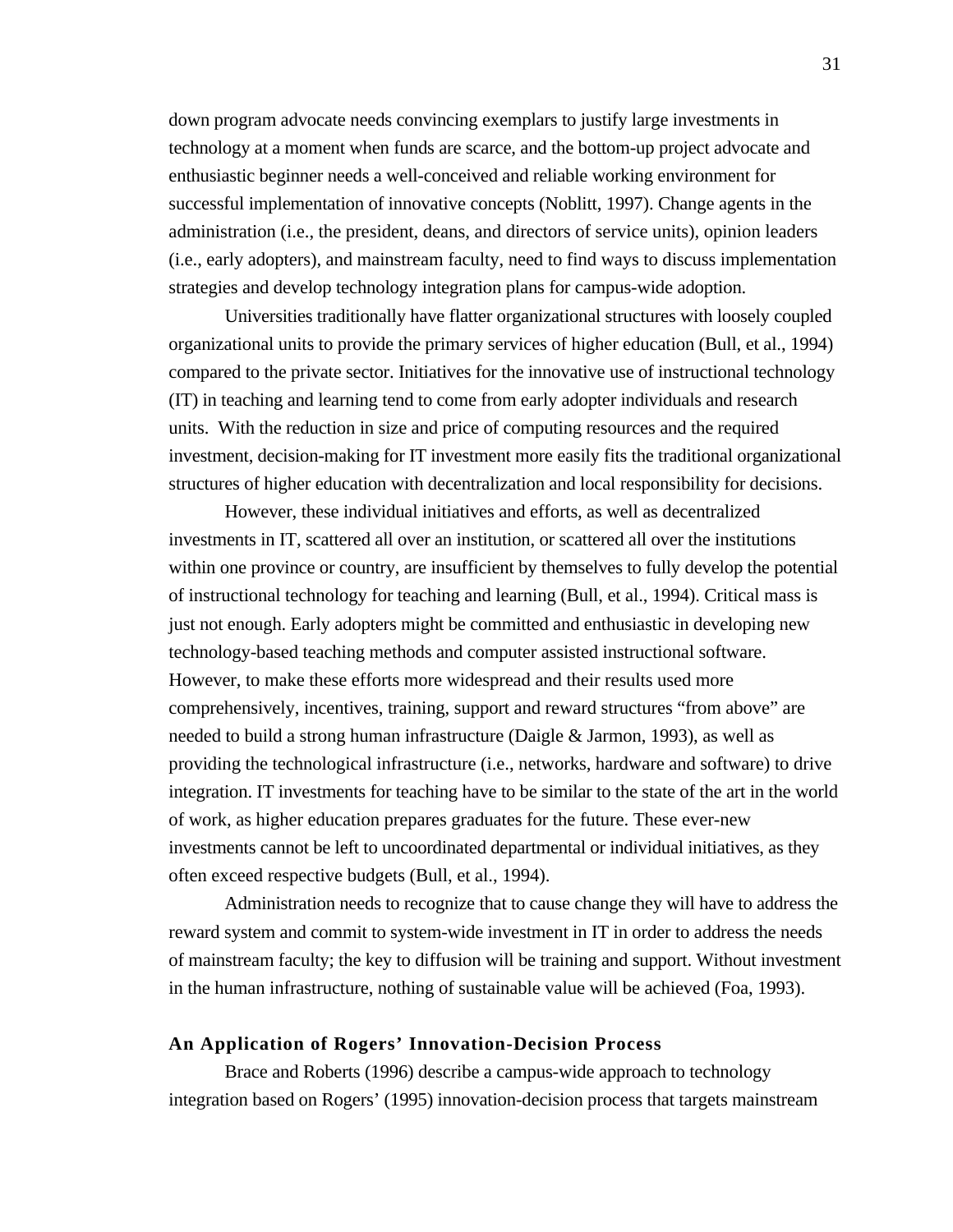down program advocate needs convincing exemplars to justify large investments in technology at a moment when funds are scarce, and the bottom-up project advocate and enthusiastic beginner needs a well-conceived and reliable working environment for successful implementation of innovative concepts (Noblitt, 1997). Change agents in the administration (i.e., the president, deans, and directors of service units), opinion leaders (i.e., early adopters), and mainstream faculty, need to find ways to discuss implementation strategies and develop technology integration plans for campus-wide adoption.

Universities traditionally have flatter organizational structures with loosely coupled organizational units to provide the primary services of higher education (Bull, et al., 1994) compared to the private sector. Initiatives for the innovative use of instructional technology (IT) in teaching and learning tend to come from early adopter individuals and research units. With the reduction in size and price of computing resources and the required investment, decision-making for IT investment more easily fits the traditional organizational structures of higher education with decentralization and local responsibility for decisions.

However, these individual initiatives and efforts, as well as decentralized investments in IT, scattered all over an institution, or scattered all over the institutions within one province or country, are insufficient by themselves to fully develop the potential of instructional technology for teaching and learning (Bull, et al., 1994). Critical mass is just not enough. Early adopters might be committed and enthusiastic in developing new technology-based teaching methods and computer assisted instructional software. However, to make these efforts more widespread and their results used more comprehensively, incentives, training, support and reward structures "from above" are needed to build a strong human infrastructure (Daigle & Jarmon, 1993), as well as providing the technological infrastructure (i.e., networks, hardware and software) to drive integration. IT investments for teaching have to be similar to the state of the art in the world of work, as higher education prepares graduates for the future. These ever-new investments cannot be left to uncoordinated departmental or individual initiatives, as they often exceed respective budgets (Bull, et al., 1994).

Administration needs to recognize that to cause change they will have to address the reward system and commit to system-wide investment in IT in order to address the needs of mainstream faculty; the key to diffusion will be training and support. Without investment in the human infrastructure, nothing of sustainable value will be achieved (Foa, 1993).

# **An Application of Rogers' Innovation-Decision Process**

Brace and Roberts (1996) describe a campus-wide approach to technology integration based on Rogers' (1995) innovation-decision process that targets mainstream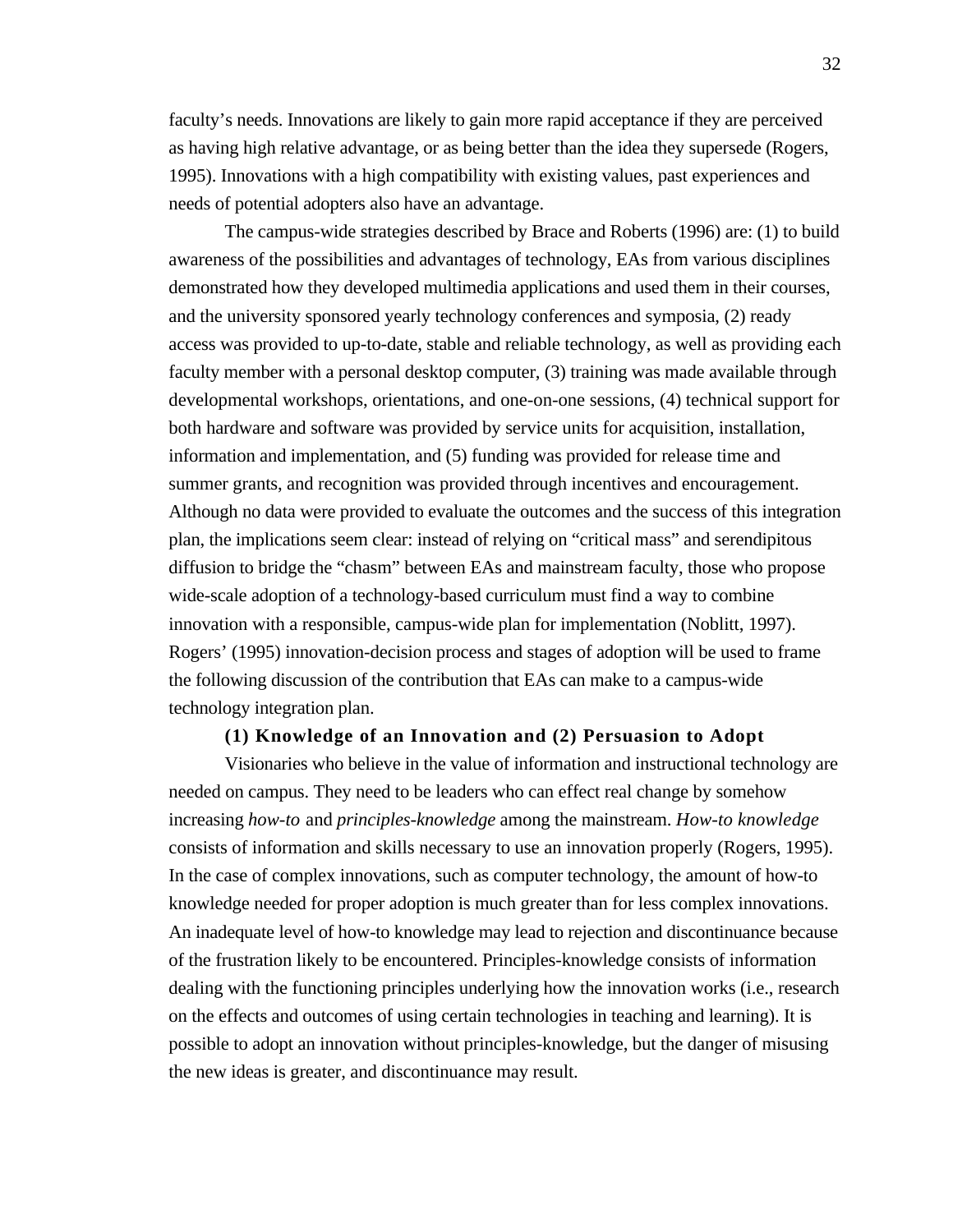faculty's needs. Innovations are likely to gain more rapid acceptance if they are perceived as having high relative advantage, or as being better than the idea they supersede (Rogers, 1995). Innovations with a high compatibility with existing values, past experiences and needs of potential adopters also have an advantage.

The campus-wide strategies described by Brace and Roberts (1996) are: (1) to build awareness of the possibilities and advantages of technology, EAs from various disciplines demonstrated how they developed multimedia applications and used them in their courses, and the university sponsored yearly technology conferences and symposia, (2) ready access was provided to up-to-date, stable and reliable technology, as well as providing each faculty member with a personal desktop computer, (3) training was made available through developmental workshops, orientations, and one-on-one sessions, (4) technical support for both hardware and software was provided by service units for acquisition, installation, information and implementation, and (5) funding was provided for release time and summer grants, and recognition was provided through incentives and encouragement. Although no data were provided to evaluate the outcomes and the success of this integration plan, the implications seem clear: instead of relying on "critical mass" and serendipitous diffusion to bridge the "chasm" between EAs and mainstream faculty, those who propose wide-scale adoption of a technology-based curriculum must find a way to combine innovation with a responsible, campus-wide plan for implementation (Noblitt, 1997). Rogers' (1995) innovation-decision process and stages of adoption will be used to frame the following discussion of the contribution that EAs can make to a campus-wide technology integration plan.

### **(1) Knowledge of an Innovation and (2) Persuasion to Adopt**

Visionaries who believe in the value of information and instructional technology are needed on campus. They need to be leaders who can effect real change by somehow increasing *how-to* and *principles-knowledge* among the mainstream. *How-to knowledge* consists of information and skills necessary to use an innovation properly (Rogers, 1995). In the case of complex innovations, such as computer technology, the amount of how-to knowledge needed for proper adoption is much greater than for less complex innovations. An inadequate level of how-to knowledge may lead to rejection and discontinuance because of the frustration likely to be encountered. Principles-knowledge consists of information dealing with the functioning principles underlying how the innovation works (i.e., research on the effects and outcomes of using certain technologies in teaching and learning). It is possible to adopt an innovation without principles-knowledge, but the danger of misusing the new ideas is greater, and discontinuance may result.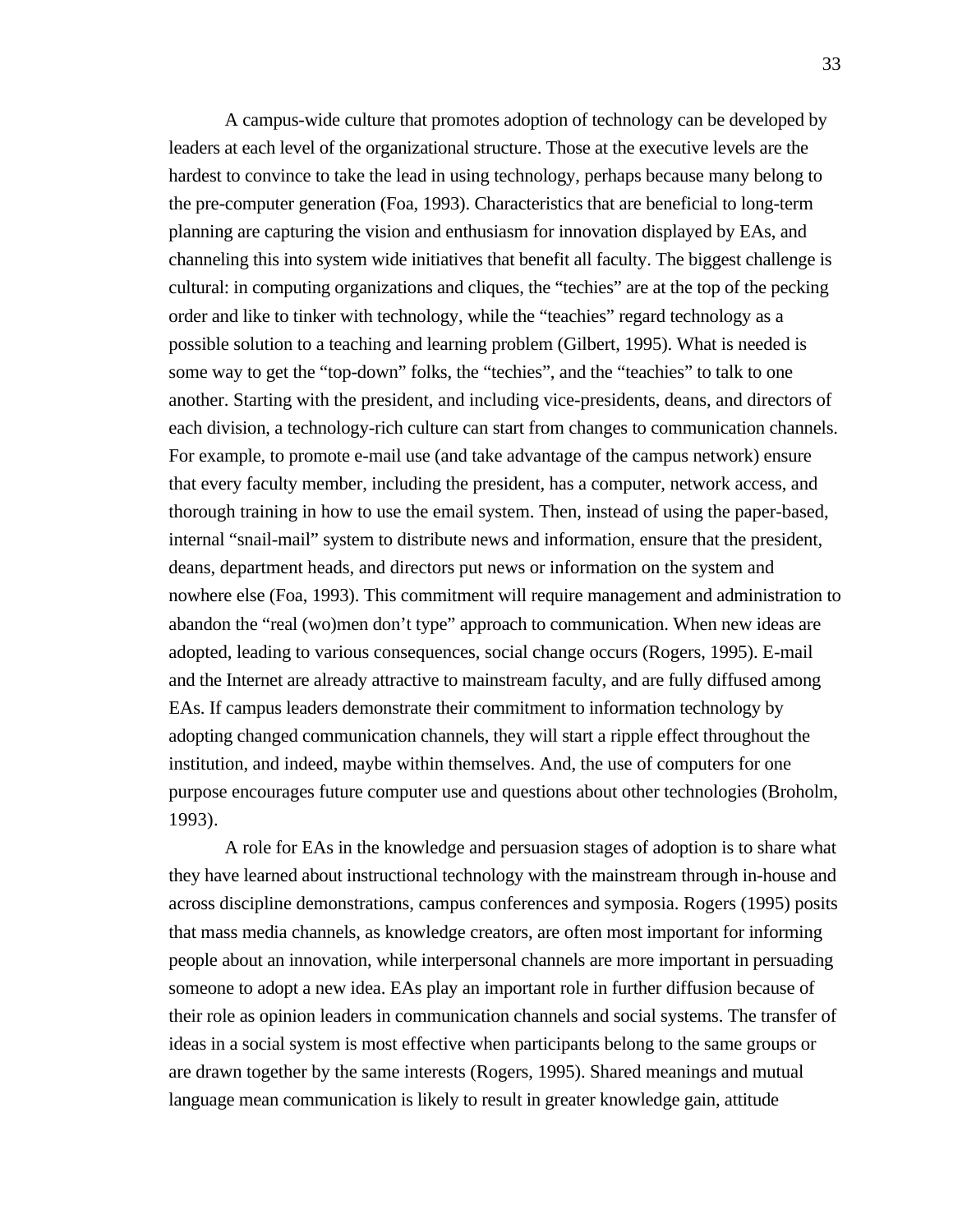A campus-wide culture that promotes adoption of technology can be developed by leaders at each level of the organizational structure. Those at the executive levels are the hardest to convince to take the lead in using technology, perhaps because many belong to the pre-computer generation (Foa, 1993). Characteristics that are beneficial to long-term planning are capturing the vision and enthusiasm for innovation displayed by EAs, and channeling this into system wide initiatives that benefit all faculty. The biggest challenge is cultural: in computing organizations and cliques, the "techies" are at the top of the pecking order and like to tinker with technology, while the "teachies" regard technology as a possible solution to a teaching and learning problem (Gilbert, 1995). What is needed is some way to get the "top-down" folks, the "techies", and the "teachies" to talk to one another. Starting with the president, and including vice-presidents, deans, and directors of each division, a technology-rich culture can start from changes to communication channels. For example, to promote e-mail use (and take advantage of the campus network) ensure that every faculty member, including the president, has a computer, network access, and thorough training in how to use the email system. Then, instead of using the paper-based, internal "snail-mail" system to distribute news and information, ensure that the president, deans, department heads, and directors put news or information on the system and nowhere else (Foa, 1993). This commitment will require management and administration to abandon the "real (wo)men don't type" approach to communication. When new ideas are adopted, leading to various consequences, social change occurs (Rogers, 1995). E-mail and the Internet are already attractive to mainstream faculty, and are fully diffused among EAs. If campus leaders demonstrate their commitment to information technology by adopting changed communication channels, they will start a ripple effect throughout the institution, and indeed, maybe within themselves. And, the use of computers for one purpose encourages future computer use and questions about other technologies (Broholm, 1993).

A role for EAs in the knowledge and persuasion stages of adoption is to share what they have learned about instructional technology with the mainstream through in-house and across discipline demonstrations, campus conferences and symposia. Rogers (1995) posits that mass media channels, as knowledge creators, are often most important for informing people about an innovation, while interpersonal channels are more important in persuading someone to adopt a new idea. EAs play an important role in further diffusion because of their role as opinion leaders in communication channels and social systems. The transfer of ideas in a social system is most effective when participants belong to the same groups or are drawn together by the same interests (Rogers, 1995). Shared meanings and mutual language mean communication is likely to result in greater knowledge gain, attitude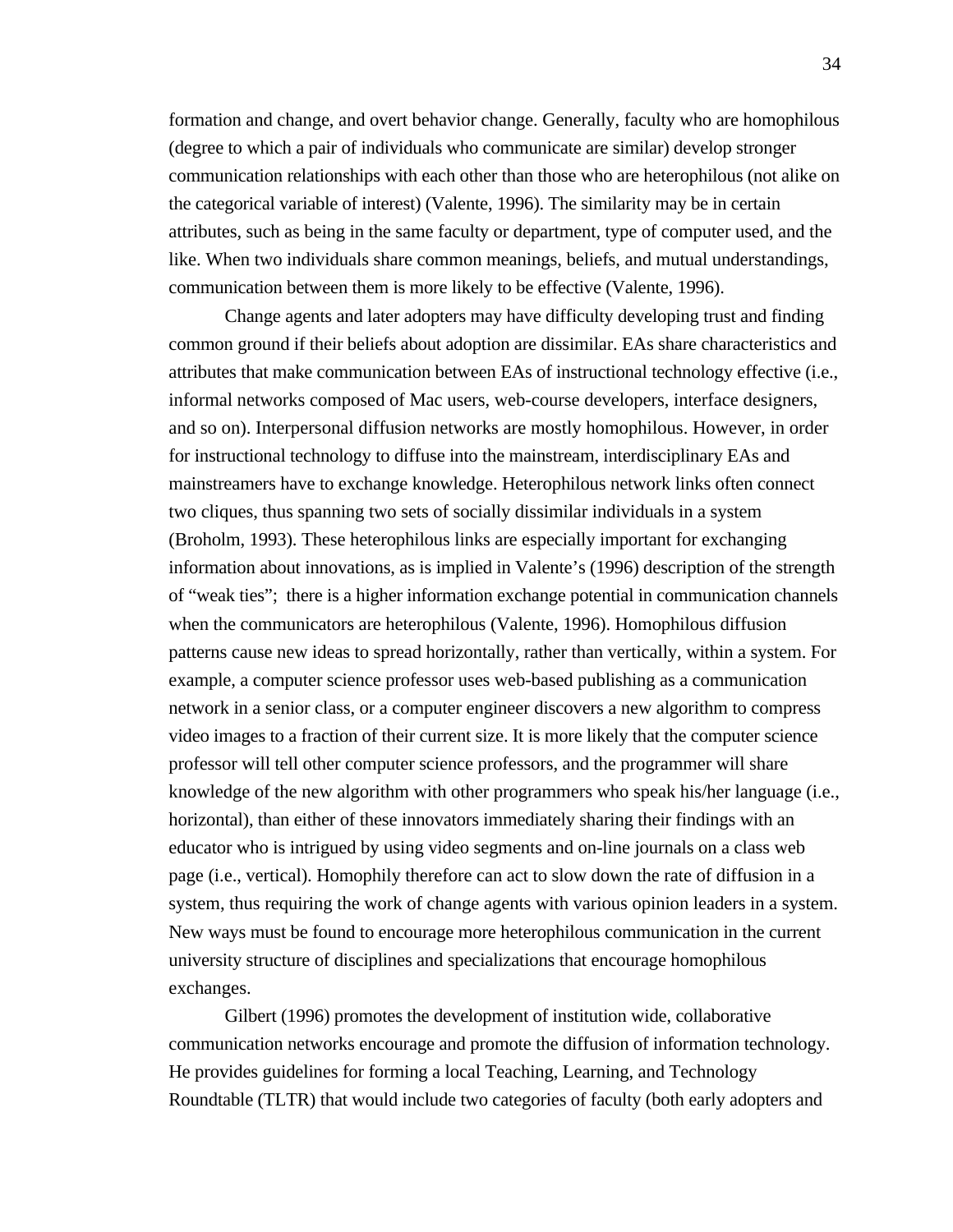formation and change, and overt behavior change. Generally, faculty who are homophilous (degree to which a pair of individuals who communicate are similar) develop stronger communication relationships with each other than those who are heterophilous (not alike on the categorical variable of interest) (Valente, 1996). The similarity may be in certain attributes, such as being in the same faculty or department, type of computer used, and the like. When two individuals share common meanings, beliefs, and mutual understandings, communication between them is more likely to be effective (Valente, 1996).

Change agents and later adopters may have difficulty developing trust and finding common ground if their beliefs about adoption are dissimilar. EAs share characteristics and attributes that make communication between EAs of instructional technology effective (i.e., informal networks composed of Mac users, web-course developers, interface designers, and so on). Interpersonal diffusion networks are mostly homophilous. However, in order for instructional technology to diffuse into the mainstream, interdisciplinary EAs and mainstreamers have to exchange knowledge. Heterophilous network links often connect two cliques, thus spanning two sets of socially dissimilar individuals in a system (Broholm, 1993). These heterophilous links are especially important for exchanging information about innovations, as is implied in Valente's (1996) description of the strength of "weak ties"; there is a higher information exchange potential in communication channels when the communicators are heterophilous (Valente, 1996). Homophilous diffusion patterns cause new ideas to spread horizontally, rather than vertically, within a system. For example, a computer science professor uses web-based publishing as a communication network in a senior class, or a computer engineer discovers a new algorithm to compress video images to a fraction of their current size. It is more likely that the computer science professor will tell other computer science professors, and the programmer will share knowledge of the new algorithm with other programmers who speak his/her language (i.e., horizontal), than either of these innovators immediately sharing their findings with an educator who is intrigued by using video segments and on-line journals on a class web page (i.e., vertical). Homophily therefore can act to slow down the rate of diffusion in a system, thus requiring the work of change agents with various opinion leaders in a system. New ways must be found to encourage more heterophilous communication in the current university structure of disciplines and specializations that encourage homophilous exchanges.

Gilbert (1996) promotes the development of institution wide, collaborative communication networks encourage and promote the diffusion of information technology. He provides guidelines for forming a local Teaching, Learning, and Technology Roundtable (TLTR) that would include two categories of faculty (both early adopters and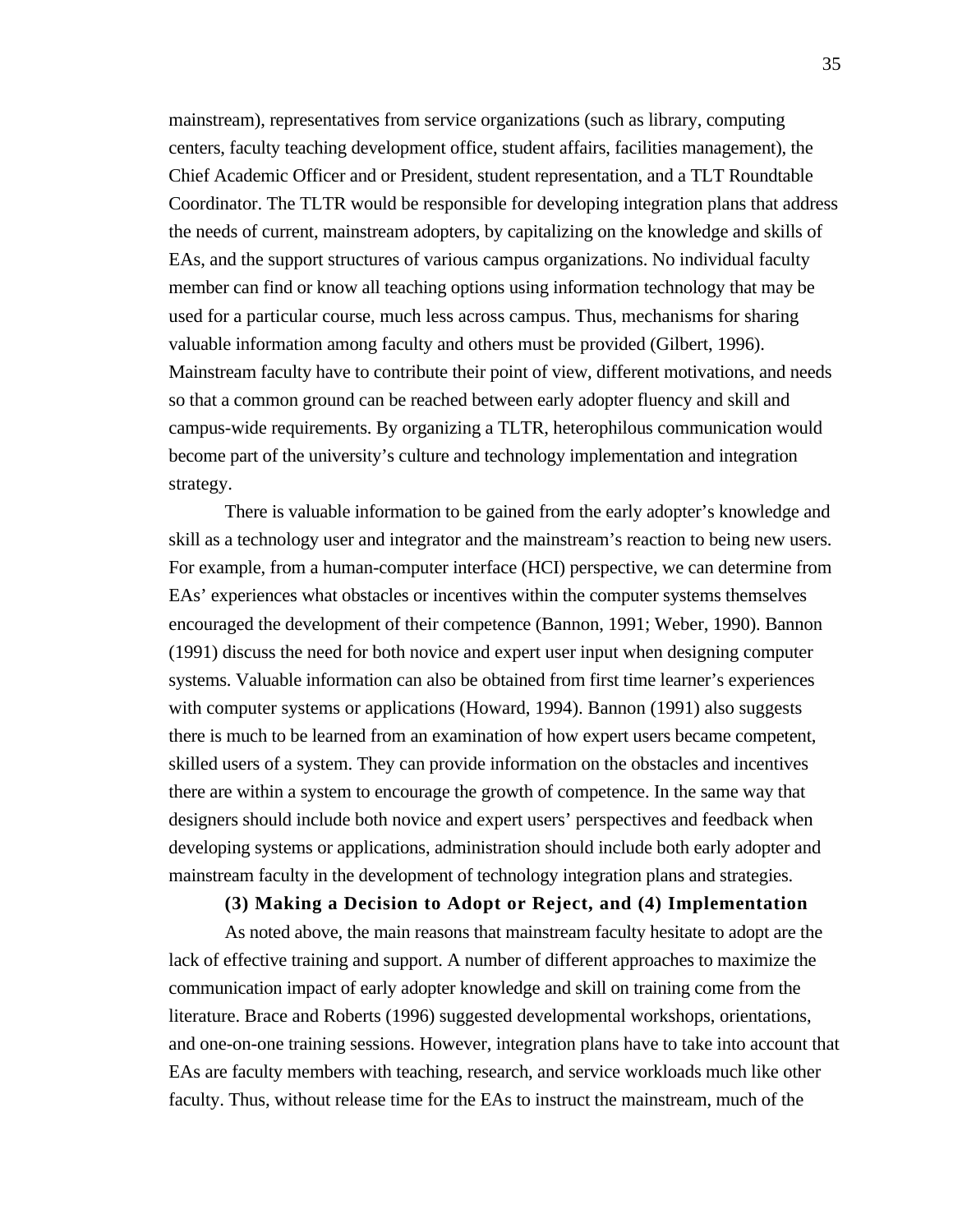mainstream), representatives from service organizations (such as library, computing centers, faculty teaching development office, student affairs, facilities management), the Chief Academic Officer and or President, student representation, and a TLT Roundtable Coordinator. The TLTR would be responsible for developing integration plans that address the needs of current, mainstream adopters, by capitalizing on the knowledge and skills of EAs, and the support structures of various campus organizations. No individual faculty member can find or know all teaching options using information technology that may be used for a particular course, much less across campus. Thus, mechanisms for sharing valuable information among faculty and others must be provided (Gilbert, 1996). Mainstream faculty have to contribute their point of view, different motivations, and needs so that a common ground can be reached between early adopter fluency and skill and campus-wide requirements. By organizing a TLTR, heterophilous communication would become part of the university's culture and technology implementation and integration strategy.

There is valuable information to be gained from the early adopter's knowledge and skill as a technology user and integrator and the mainstream's reaction to being new users. For example, from a human-computer interface (HCI) perspective, we can determine from EAs' experiences what obstacles or incentives within the computer systems themselves encouraged the development of their competence (Bannon, 1991; Weber, 1990). Bannon (1991) discuss the need for both novice and expert user input when designing computer systems. Valuable information can also be obtained from first time learner's experiences with computer systems or applications (Howard, 1994). Bannon (1991) also suggests there is much to be learned from an examination of how expert users became competent, skilled users of a system. They can provide information on the obstacles and incentives there are within a system to encourage the growth of competence. In the same way that designers should include both novice and expert users' perspectives and feedback when developing systems or applications, administration should include both early adopter and mainstream faculty in the development of technology integration plans and strategies.

#### **(3) Making a Decision to Adopt or Reject, and (4) Implementation**

As noted above, the main reasons that mainstream faculty hesitate to adopt are the lack of effective training and support. A number of different approaches to maximize the communication impact of early adopter knowledge and skill on training come from the literature. Brace and Roberts (1996) suggested developmental workshops, orientations, and one-on-one training sessions. However, integration plans have to take into account that EAs are faculty members with teaching, research, and service workloads much like other faculty. Thus, without release time for the EAs to instruct the mainstream, much of the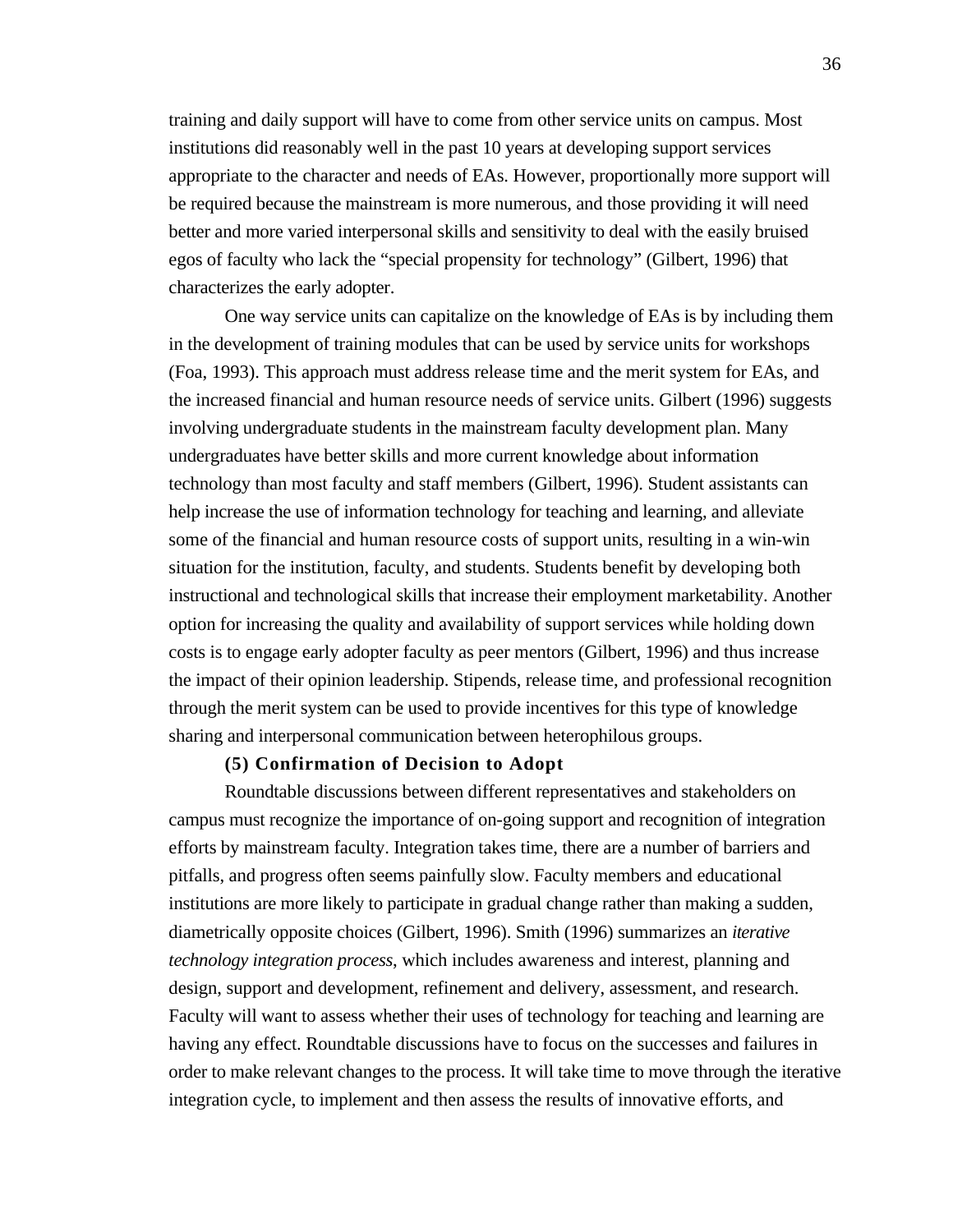training and daily support will have to come from other service units on campus. Most institutions did reasonably well in the past 10 years at developing support services appropriate to the character and needs of EAs. However, proportionally more support will be required because the mainstream is more numerous, and those providing it will need better and more varied interpersonal skills and sensitivity to deal with the easily bruised egos of faculty who lack the "special propensity for technology" (Gilbert, 1996) that characterizes the early adopter.

One way service units can capitalize on the knowledge of EAs is by including them in the development of training modules that can be used by service units for workshops (Foa, 1993). This approach must address release time and the merit system for EAs, and the increased financial and human resource needs of service units. Gilbert (1996) suggests involving undergraduate students in the mainstream faculty development plan. Many undergraduates have better skills and more current knowledge about information technology than most faculty and staff members (Gilbert, 1996). Student assistants can help increase the use of information technology for teaching and learning, and alleviate some of the financial and human resource costs of support units, resulting in a win-win situation for the institution, faculty, and students. Students benefit by developing both instructional and technological skills that increase their employment marketability. Another option for increasing the quality and availability of support services while holding down costs is to engage early adopter faculty as peer mentors (Gilbert, 1996) and thus increase the impact of their opinion leadership. Stipends, release time, and professional recognition through the merit system can be used to provide incentives for this type of knowledge sharing and interpersonal communication between heterophilous groups.

## **(5) Confirmation of Decision to Adopt**

Roundtable discussions between different representatives and stakeholders on campus must recognize the importance of on-going support and recognition of integration efforts by mainstream faculty. Integration takes time, there are a number of barriers and pitfalls, and progress often seems painfully slow. Faculty members and educational institutions are more likely to participate in gradual change rather than making a sudden, diametrically opposite choices (Gilbert, 1996). Smith (1996) summarizes an *iterative technology integration process*, which includes awareness and interest, planning and design, support and development, refinement and delivery, assessment, and research. Faculty will want to assess whether their uses of technology for teaching and learning are having any effect. Roundtable discussions have to focus on the successes and failures in order to make relevant changes to the process. It will take time to move through the iterative integration cycle, to implement and then assess the results of innovative efforts, and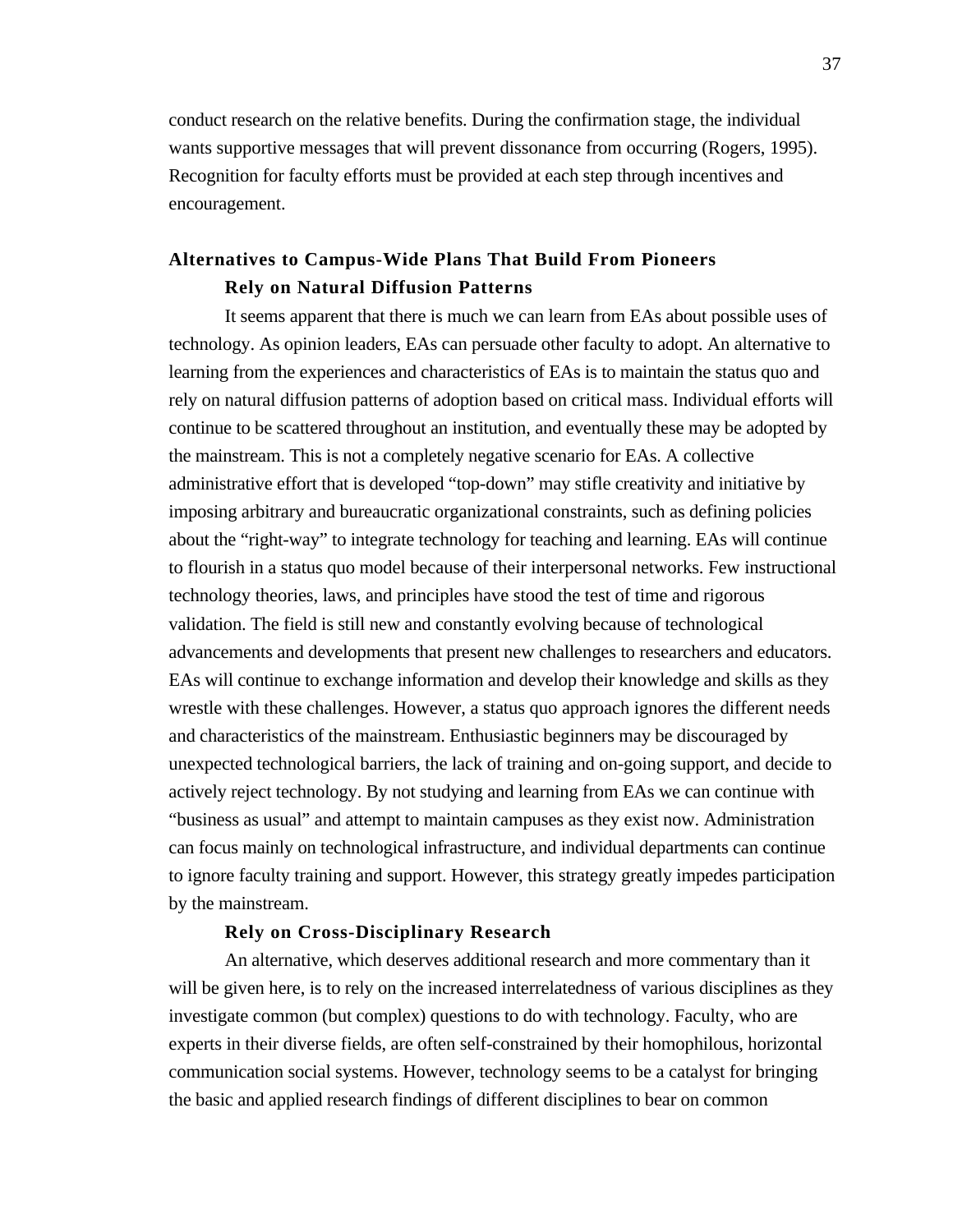conduct research on the relative benefits. During the confirmation stage, the individual wants supportive messages that will prevent dissonance from occurring (Rogers, 1995). Recognition for faculty efforts must be provided at each step through incentives and encouragement.

# **Alternatives to Campus-Wide Plans That Build From Pioneers Rely on Natural Diffusion Patterns**

It seems apparent that there is much we can learn from EAs about possible uses of technology. As opinion leaders, EAs can persuade other faculty to adopt. An alternative to learning from the experiences and characteristics of EAs is to maintain the status quo and rely on natural diffusion patterns of adoption based on critical mass. Individual efforts will continue to be scattered throughout an institution, and eventually these may be adopted by the mainstream. This is not a completely negative scenario for EAs. A collective administrative effort that is developed "top-down" may stifle creativity and initiative by imposing arbitrary and bureaucratic organizational constraints, such as defining policies about the "right-way" to integrate technology for teaching and learning. EAs will continue to flourish in a status quo model because of their interpersonal networks. Few instructional technology theories, laws, and principles have stood the test of time and rigorous validation. The field is still new and constantly evolving because of technological advancements and developments that present new challenges to researchers and educators. EAs will continue to exchange information and develop their knowledge and skills as they wrestle with these challenges. However, a status quo approach ignores the different needs and characteristics of the mainstream. Enthusiastic beginners may be discouraged by unexpected technological barriers, the lack of training and on-going support, and decide to actively reject technology. By not studying and learning from EAs we can continue with "business as usual" and attempt to maintain campuses as they exist now. Administration can focus mainly on technological infrastructure, and individual departments can continue to ignore faculty training and support. However, this strategy greatly impedes participation by the mainstream.

# **Rely on Cross-Disciplinary Research**

An alternative, which deserves additional research and more commentary than it will be given here, is to rely on the increased interrelatedness of various disciplines as they investigate common (but complex) questions to do with technology. Faculty, who are experts in their diverse fields, are often self-constrained by their homophilous, horizontal communication social systems. However, technology seems to be a catalyst for bringing the basic and applied research findings of different disciplines to bear on common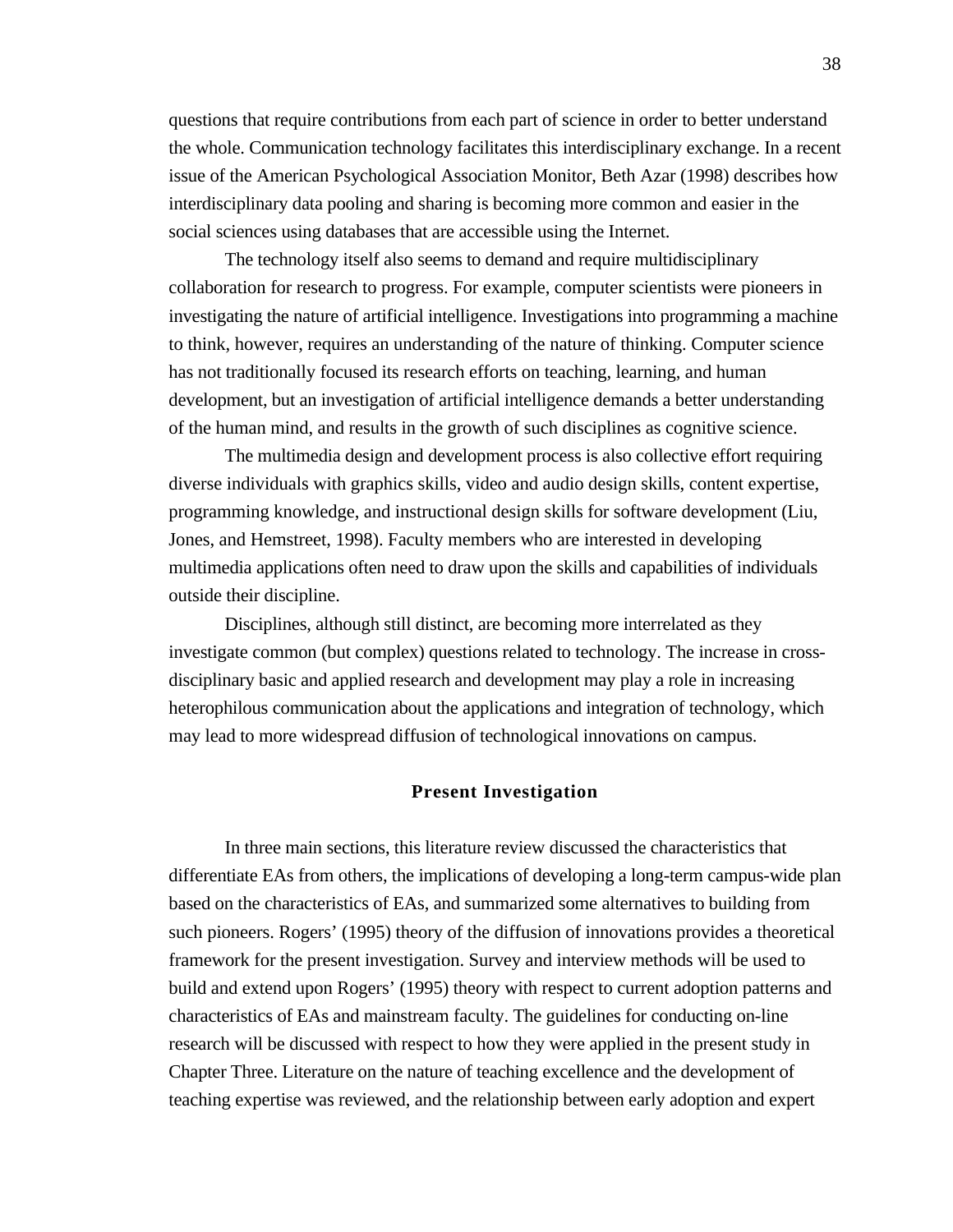questions that require contributions from each part of science in order to better understand the whole. Communication technology facilitates this interdisciplinary exchange. In a recent issue of the American Psychological Association Monitor, Beth Azar (1998) describes how interdisciplinary data pooling and sharing is becoming more common and easier in the social sciences using databases that are accessible using the Internet.

The technology itself also seems to demand and require multidisciplinary collaboration for research to progress. For example, computer scientists were pioneers in investigating the nature of artificial intelligence. Investigations into programming a machine to think, however, requires an understanding of the nature of thinking. Computer science has not traditionally focused its research efforts on teaching, learning, and human development, but an investigation of artificial intelligence demands a better understanding of the human mind, and results in the growth of such disciplines as cognitive science.

The multimedia design and development process is also collective effort requiring diverse individuals with graphics skills, video and audio design skills, content expertise, programming knowledge, and instructional design skills for software development (Liu, Jones, and Hemstreet, 1998). Faculty members who are interested in developing multimedia applications often need to draw upon the skills and capabilities of individuals outside their discipline.

Disciplines, although still distinct, are becoming more interrelated as they investigate common (but complex) questions related to technology. The increase in crossdisciplinary basic and applied research and development may play a role in increasing heterophilous communication about the applications and integration of technology, which may lead to more widespread diffusion of technological innovations on campus.

#### **Present Investigation**

In three main sections, this literature review discussed the characteristics that differentiate EAs from others, the implications of developing a long-term campus-wide plan based on the characteristics of EAs, and summarized some alternatives to building from such pioneers. Rogers' (1995) theory of the diffusion of innovations provides a theoretical framework for the present investigation. Survey and interview methods will be used to build and extend upon Rogers' (1995) theory with respect to current adoption patterns and characteristics of EAs and mainstream faculty. The guidelines for conducting on-line research will be discussed with respect to how they were applied in the present study in Chapter Three. Literature on the nature of teaching excellence and the development of teaching expertise was reviewed, and the relationship between early adoption and expert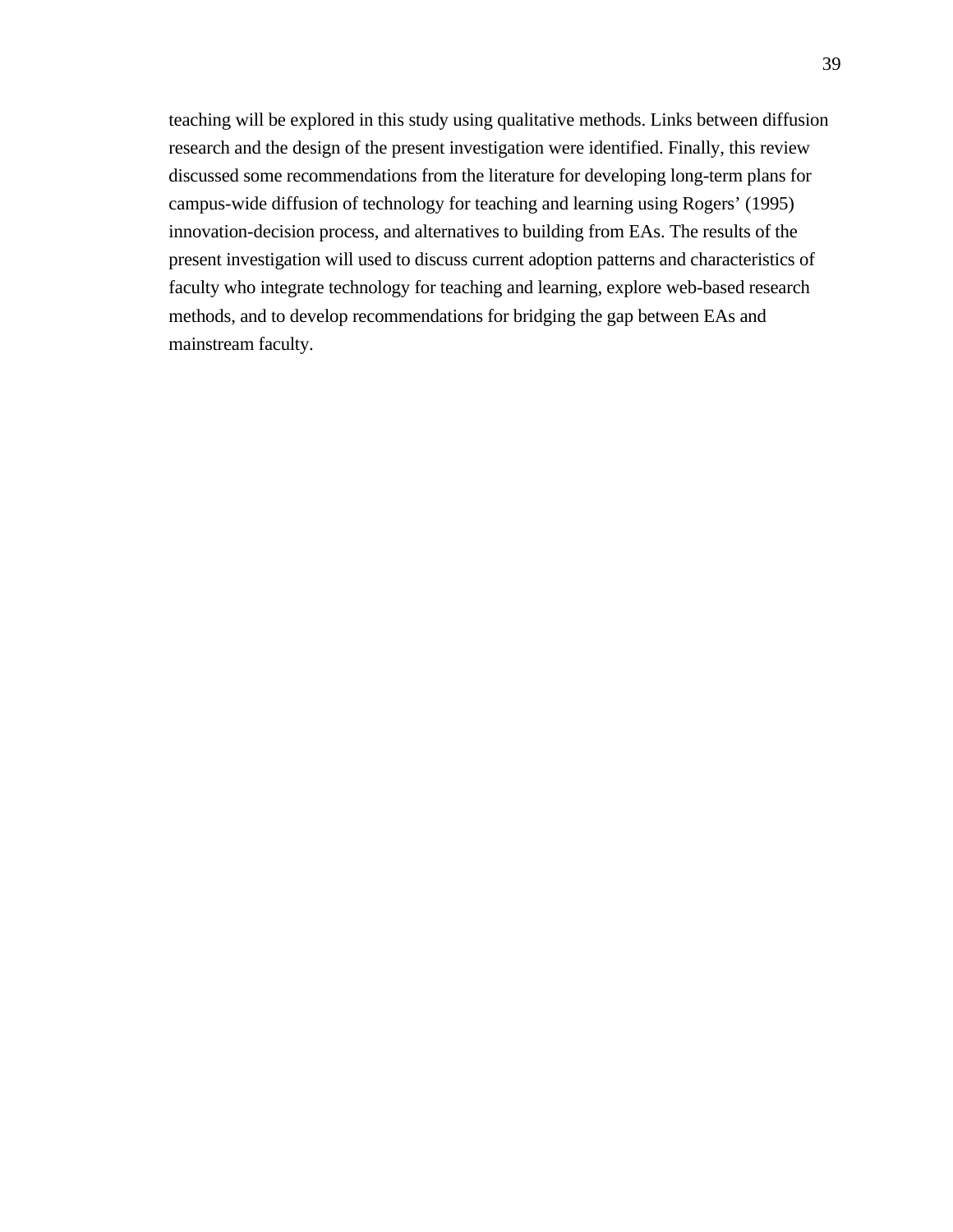teaching will be explored in this study using qualitative methods. Links between diffusion research and the design of the present investigation were identified. Finally, this review discussed some recommendations from the literature for developing long-term plans for campus-wide diffusion of technology for teaching and learning using Rogers' (1995) innovation-decision process, and alternatives to building from EAs. The results of the present investigation will used to discuss current adoption patterns and characteristics of faculty who integrate technology for teaching and learning, explore web-based research methods, and to develop recommendations for bridging the gap between EAs and mainstream faculty.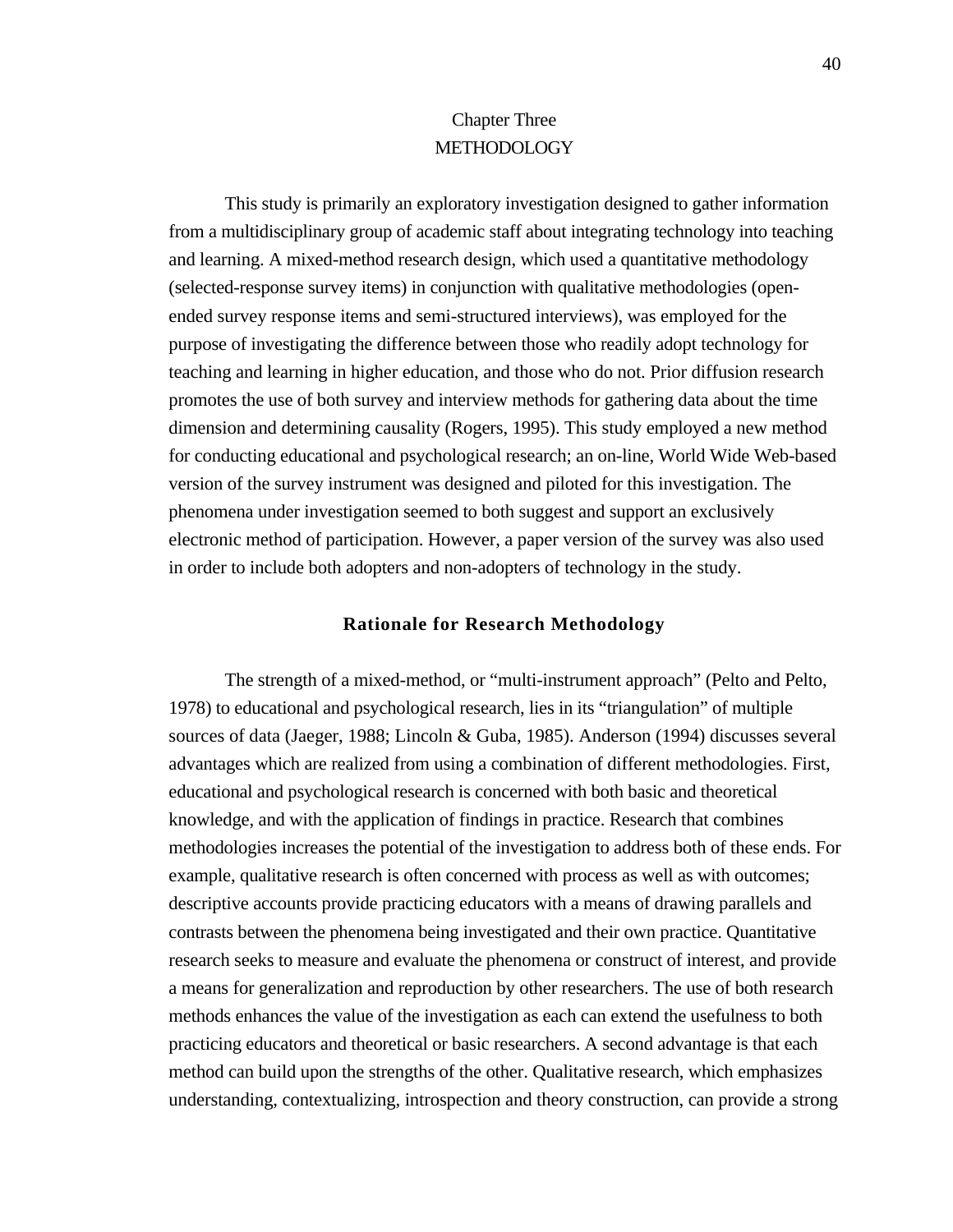# Chapter Three **METHODOLOGY**

This study is primarily an exploratory investigation designed to gather information from a multidisciplinary group of academic staff about integrating technology into teaching and learning. A mixed-method research design, which used a quantitative methodology (selected-response survey items) in conjunction with qualitative methodologies (openended survey response items and semi-structured interviews), was employed for the purpose of investigating the difference between those who readily adopt technology for teaching and learning in higher education, and those who do not. Prior diffusion research promotes the use of both survey and interview methods for gathering data about the time dimension and determining causality (Rogers, 1995). This study employed a new method for conducting educational and psychological research; an on-line, World Wide Web-based version of the survey instrument was designed and piloted for this investigation. The phenomena under investigation seemed to both suggest and support an exclusively electronic method of participation. However, a paper version of the survey was also used in order to include both adopters and non-adopters of technology in the study.

## **Rationale for Research Methodology**

The strength of a mixed-method, or "multi-instrument approach" (Pelto and Pelto, 1978) to educational and psychological research, lies in its "triangulation" of multiple sources of data (Jaeger, 1988; Lincoln & Guba, 1985). Anderson (1994) discusses several advantages which are realized from using a combination of different methodologies. First, educational and psychological research is concerned with both basic and theoretical knowledge, and with the application of findings in practice. Research that combines methodologies increases the potential of the investigation to address both of these ends. For example, qualitative research is often concerned with process as well as with outcomes; descriptive accounts provide practicing educators with a means of drawing parallels and contrasts between the phenomena being investigated and their own practice. Quantitative research seeks to measure and evaluate the phenomena or construct of interest, and provide a means for generalization and reproduction by other researchers. The use of both research methods enhances the value of the investigation as each can extend the usefulness to both practicing educators and theoretical or basic researchers. A second advantage is that each method can build upon the strengths of the other. Qualitative research, which emphasizes understanding, contextualizing, introspection and theory construction, can provide a strong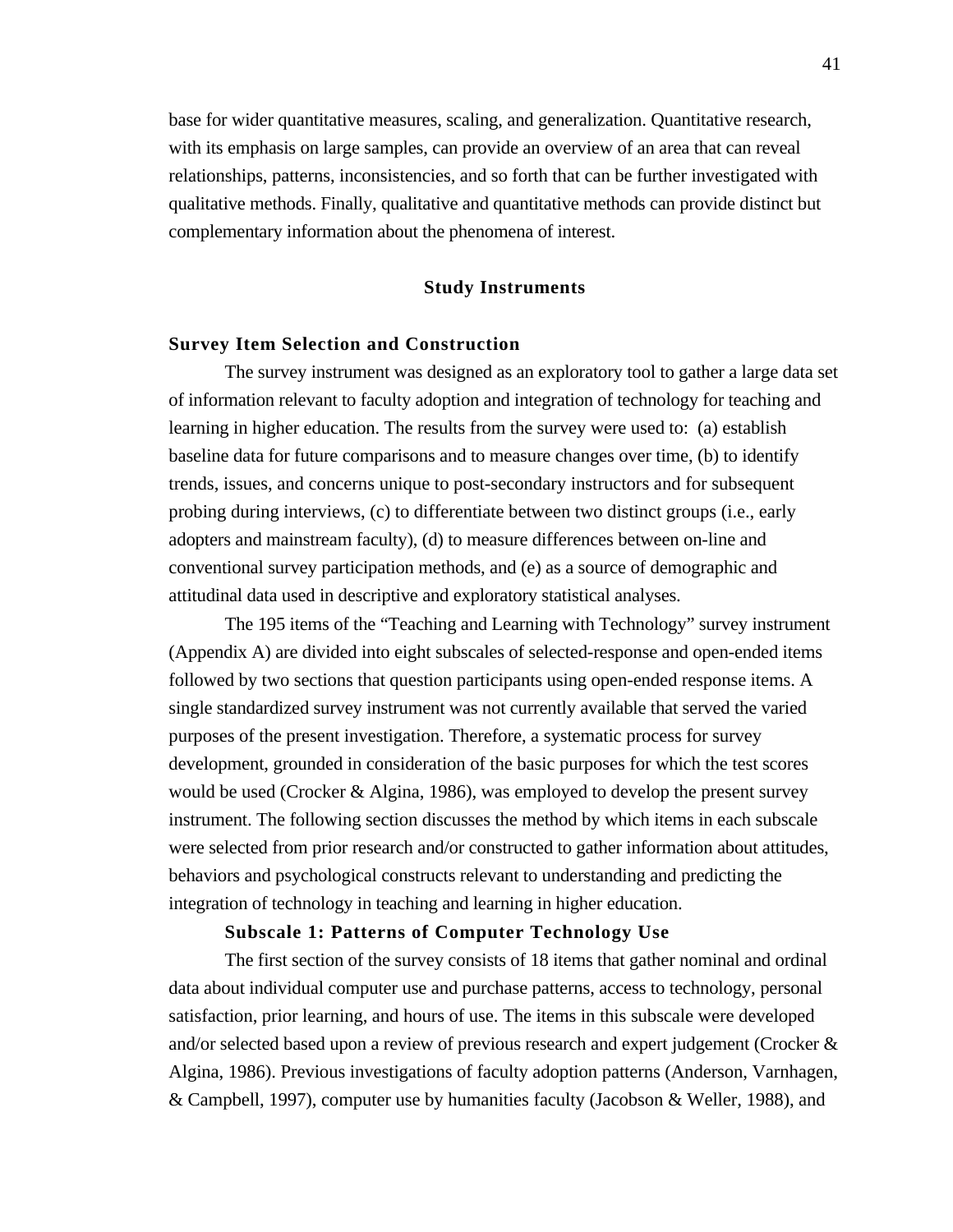base for wider quantitative measures, scaling, and generalization. Quantitative research, with its emphasis on large samples, can provide an overview of an area that can reveal relationships, patterns, inconsistencies, and so forth that can be further investigated with qualitative methods. Finally, qualitative and quantitative methods can provide distinct but complementary information about the phenomena of interest.

#### **Study Instruments**

# **Survey Item Selection and Construction**

The survey instrument was designed as an exploratory tool to gather a large data set of information relevant to faculty adoption and integration of technology for teaching and learning in higher education. The results from the survey were used to: (a) establish baseline data for future comparisons and to measure changes over time, (b) to identify trends, issues, and concerns unique to post-secondary instructors and for subsequent probing during interviews, (c) to differentiate between two distinct groups (i.e., early adopters and mainstream faculty), (d) to measure differences between on-line and conventional survey participation methods, and (e) as a source of demographic and attitudinal data used in descriptive and exploratory statistical analyses.

The 195 items of the "Teaching and Learning with Technology" survey instrument (Appendix A) are divided into eight subscales of selected-response and open-ended items followed by two sections that question participants using open-ended response items. A single standardized survey instrument was not currently available that served the varied purposes of the present investigation. Therefore, a systematic process for survey development, grounded in consideration of the basic purposes for which the test scores would be used (Crocker & Algina, 1986), was employed to develop the present survey instrument. The following section discusses the method by which items in each subscale were selected from prior research and/or constructed to gather information about attitudes, behaviors and psychological constructs relevant to understanding and predicting the integration of technology in teaching and learning in higher education.

# **Subscale 1: Patterns of Computer Technology Use**

The first section of the survey consists of 18 items that gather nominal and ordinal data about individual computer use and purchase patterns, access to technology, personal satisfaction, prior learning, and hours of use. The items in this subscale were developed and/or selected based upon a review of previous research and expert judgement (Crocker & Algina, 1986). Previous investigations of faculty adoption patterns (Anderson, Varnhagen, & Campbell, 1997), computer use by humanities faculty (Jacobson & Weller, 1988), and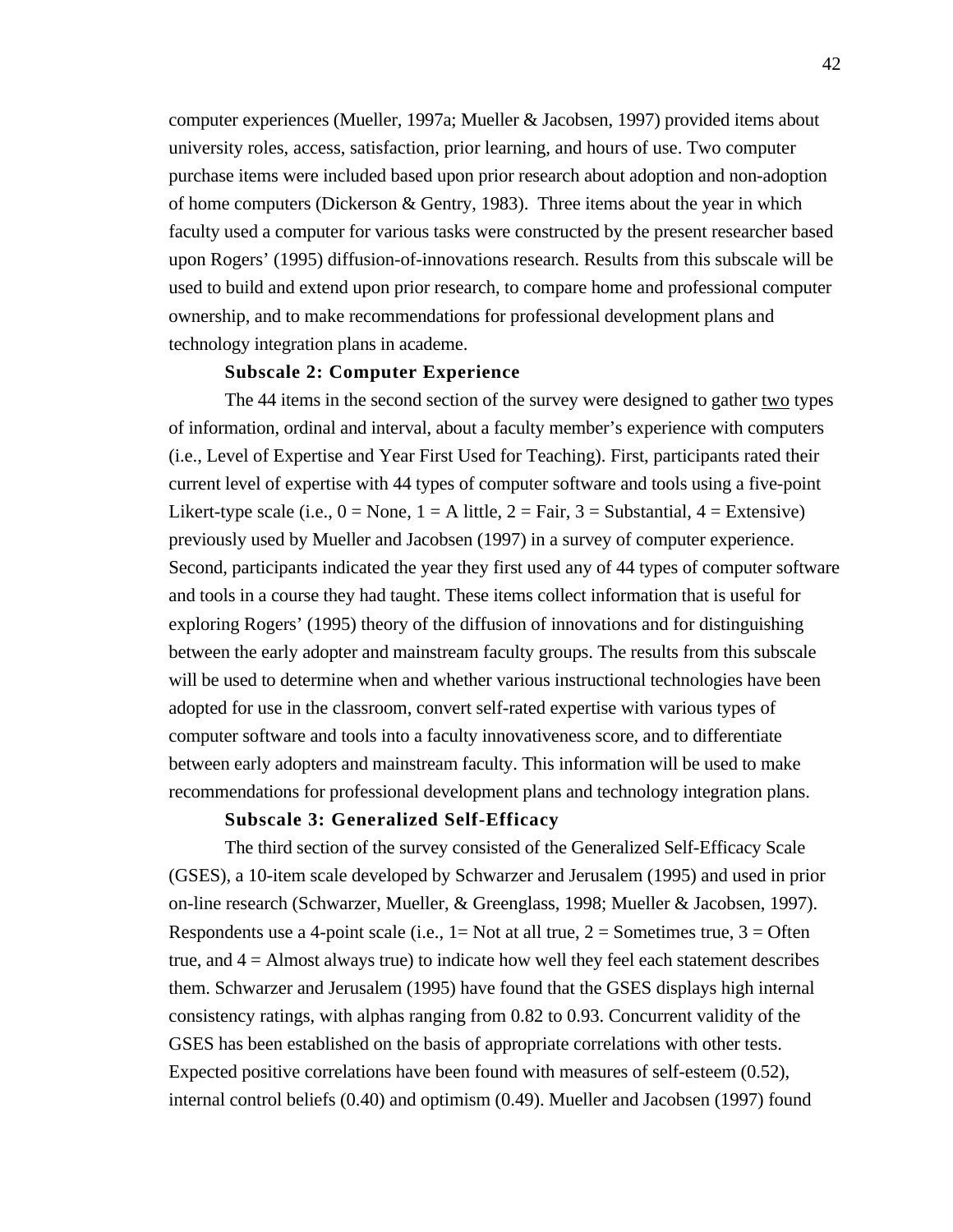computer experiences (Mueller, 1997a; Mueller & Jacobsen, 1997) provided items about university roles, access, satisfaction, prior learning, and hours of use. Two computer purchase items were included based upon prior research about adoption and non-adoption of home computers (Dickerson & Gentry, 1983). Three items about the year in which faculty used a computer for various tasks were constructed by the present researcher based upon Rogers' (1995) diffusion-of-innovations research. Results from this subscale will be used to build and extend upon prior research, to compare home and professional computer ownership, and to make recommendations for professional development plans and technology integration plans in academe.

# **Subscale 2: Computer Experience**

The 44 items in the second section of the survey were designed to gather two types of information, ordinal and interval, about a faculty member's experience with computers (i.e., Level of Expertise and Year First Used for Teaching). First, participants rated their current level of expertise with 44 types of computer software and tools using a five-point Likert-type scale (i.e.,  $0 = \text{None}$ ,  $1 = A$  little,  $2 = \text{Fair}$ ,  $3 = \text{Substantial}$ ,  $4 = \text{Extensive}$ ) previously used by Mueller and Jacobsen (1997) in a survey of computer experience. Second, participants indicated the year they first used any of 44 types of computer software and tools in a course they had taught. These items collect information that is useful for exploring Rogers' (1995) theory of the diffusion of innovations and for distinguishing between the early adopter and mainstream faculty groups. The results from this subscale will be used to determine when and whether various instructional technologies have been adopted for use in the classroom, convert self-rated expertise with various types of computer software and tools into a faculty innovativeness score, and to differentiate between early adopters and mainstream faculty. This information will be used to make recommendations for professional development plans and technology integration plans.

# **Subscale 3: Generalized Self-Efficacy**

The third section of the survey consisted of the Generalized Self-Efficacy Scale (GSES), a 10-item scale developed by Schwarzer and Jerusalem (1995) and used in prior on-line research (Schwarzer, Mueller, & Greenglass, 1998; Mueller & Jacobsen, 1997). Respondents use a 4-point scale (i.e.,  $1 = Not$  at all true,  $2 = Sometimes$  true,  $3 = Often$ true, and  $4 =$  Almost always true) to indicate how well they feel each statement describes them. Schwarzer and Jerusalem (1995) have found that the GSES displays high internal consistency ratings, with alphas ranging from 0.82 to 0.93. Concurrent validity of the GSES has been established on the basis of appropriate correlations with other tests. Expected positive correlations have been found with measures of self-esteem (0.52), internal control beliefs (0.40) and optimism (0.49). Mueller and Jacobsen (1997) found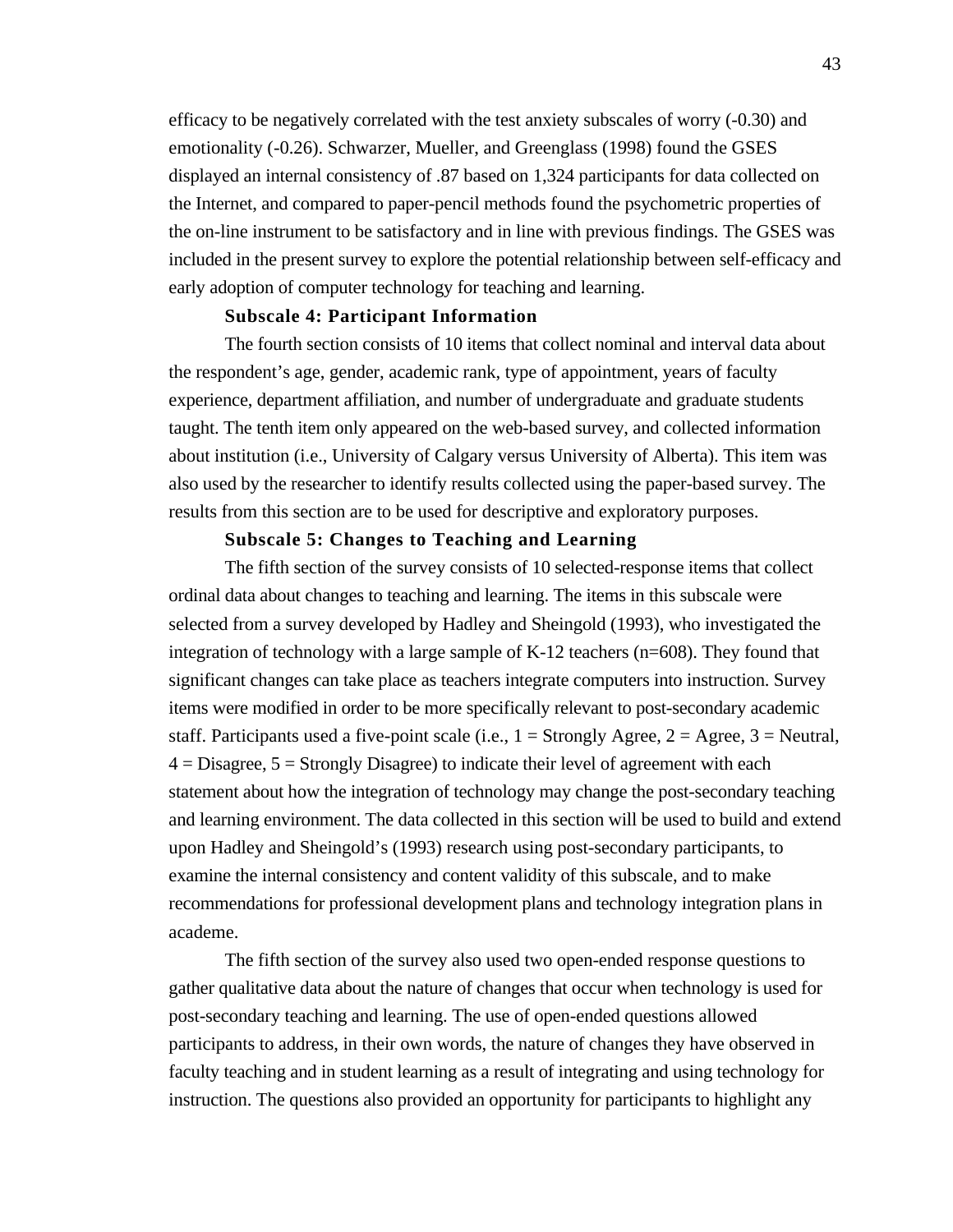efficacy to be negatively correlated with the test anxiety subscales of worry (-0.30) and emotionality (-0.26). Schwarzer, Mueller, and Greenglass (1998) found the GSES displayed an internal consistency of .87 based on 1,324 participants for data collected on the Internet, and compared to paper-pencil methods found the psychometric properties of the on-line instrument to be satisfactory and in line with previous findings. The GSES was included in the present survey to explore the potential relationship between self-efficacy and early adoption of computer technology for teaching and learning.

# **Subscale 4: Participant Information**

The fourth section consists of 10 items that collect nominal and interval data about the respondent's age, gender, academic rank, type of appointment, years of faculty experience, department affiliation, and number of undergraduate and graduate students taught. The tenth item only appeared on the web-based survey, and collected information about institution (i.e., University of Calgary versus University of Alberta). This item was also used by the researcher to identify results collected using the paper-based survey. The results from this section are to be used for descriptive and exploratory purposes.

# **Subscale 5: Changes to Teaching and Learning**

The fifth section of the survey consists of 10 selected-response items that collect ordinal data about changes to teaching and learning. The items in this subscale were selected from a survey developed by Hadley and Sheingold (1993), who investigated the integration of technology with a large sample of  $K-12$  teachers (n=608). They found that significant changes can take place as teachers integrate computers into instruction. Survey items were modified in order to be more specifically relevant to post-secondary academic staff. Participants used a five-point scale (i.e.,  $1 =$  Strongly Agree,  $2 =$  Agree,  $3 =$  Neutral,  $4 = Disagree, 5 = Strongly Disagree)$  to indicate their level of agreement with each statement about how the integration of technology may change the post-secondary teaching and learning environment. The data collected in this section will be used to build and extend upon Hadley and Sheingold's (1993) research using post-secondary participants, to examine the internal consistency and content validity of this subscale, and to make recommendations for professional development plans and technology integration plans in academe.

The fifth section of the survey also used two open-ended response questions to gather qualitative data about the nature of changes that occur when technology is used for post-secondary teaching and learning. The use of open-ended questions allowed participants to address, in their own words, the nature of changes they have observed in faculty teaching and in student learning as a result of integrating and using technology for instruction. The questions also provided an opportunity for participants to highlight any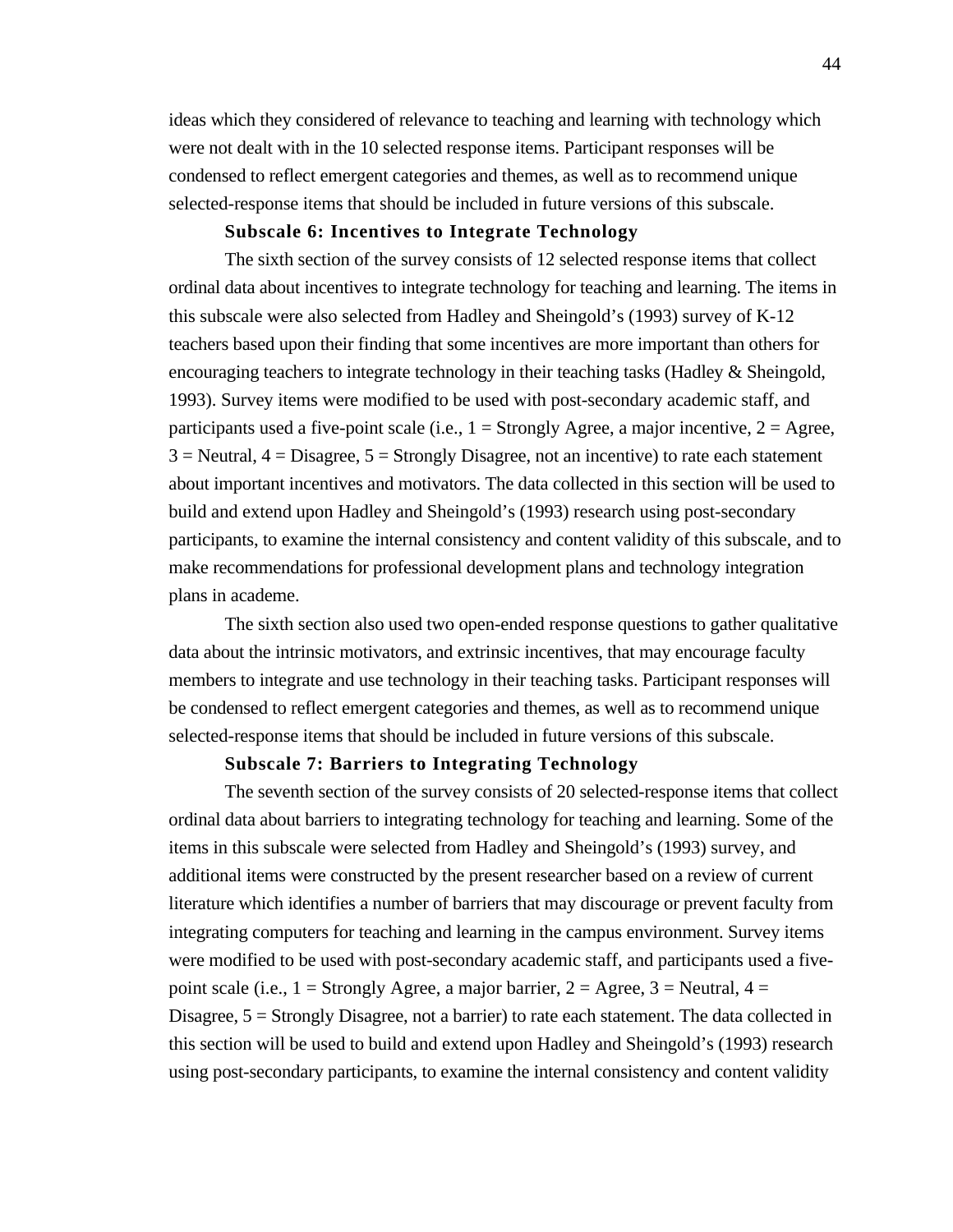ideas which they considered of relevance to teaching and learning with technology which were not dealt with in the 10 selected response items. Participant responses will be condensed to reflect emergent categories and themes, as well as to recommend unique selected-response items that should be included in future versions of this subscale.

# **Subscale 6: Incentives to Integrate Technology**

The sixth section of the survey consists of 12 selected response items that collect ordinal data about incentives to integrate technology for teaching and learning. The items in this subscale were also selected from Hadley and Sheingold's (1993) survey of K-12 teachers based upon their finding that some incentives are more important than others for encouraging teachers to integrate technology in their teaching tasks (Hadley & Sheingold, 1993). Survey items were modified to be used with post-secondary academic staff, and participants used a five-point scale (i.e.,  $1 =$  Strongly Agree, a major incentive,  $2 =$  Agree,  $3$  = Neutral,  $4$  = Disagree,  $5$  = Strongly Disagree, not an incentive) to rate each statement about important incentives and motivators. The data collected in this section will be used to build and extend upon Hadley and Sheingold's (1993) research using post-secondary participants, to examine the internal consistency and content validity of this subscale, and to make recommendations for professional development plans and technology integration plans in academe.

The sixth section also used two open-ended response questions to gather qualitative data about the intrinsic motivators, and extrinsic incentives, that may encourage faculty members to integrate and use technology in their teaching tasks. Participant responses will be condensed to reflect emergent categories and themes, as well as to recommend unique selected-response items that should be included in future versions of this subscale.

## **Subscale 7: Barriers to Integrating Technology**

The seventh section of the survey consists of 20 selected-response items that collect ordinal data about barriers to integrating technology for teaching and learning. Some of the items in this subscale were selected from Hadley and Sheingold's (1993) survey, and additional items were constructed by the present researcher based on a review of current literature which identifies a number of barriers that may discourage or prevent faculty from integrating computers for teaching and learning in the campus environment. Survey items were modified to be used with post-secondary academic staff, and participants used a fivepoint scale (i.e.,  $1 =$  Strongly Agree, a major barrier,  $2 =$  Agree,  $3 =$  Neutral,  $4 =$ Disagree,  $5 =$  Strongly Disagree, not a barrier) to rate each statement. The data collected in this section will be used to build and extend upon Hadley and Sheingold's (1993) research using post-secondary participants, to examine the internal consistency and content validity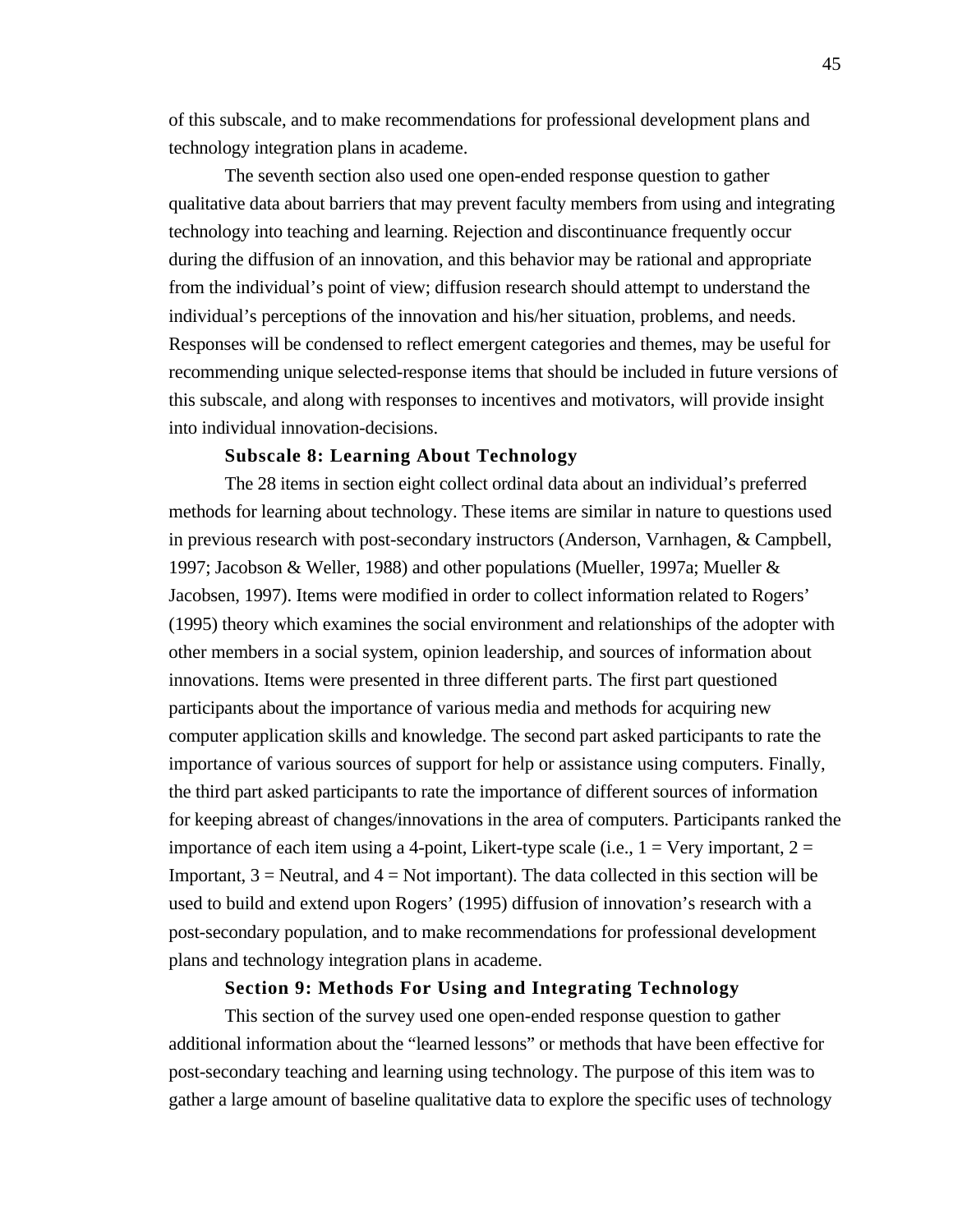of this subscale, and to make recommendations for professional development plans and technology integration plans in academe.

The seventh section also used one open-ended response question to gather qualitative data about barriers that may prevent faculty members from using and integrating technology into teaching and learning. Rejection and discontinuance frequently occur during the diffusion of an innovation, and this behavior may be rational and appropriate from the individual's point of view; diffusion research should attempt to understand the individual's perceptions of the innovation and his/her situation, problems, and needs. Responses will be condensed to reflect emergent categories and themes, may be useful for recommending unique selected-response items that should be included in future versions of this subscale, and along with responses to incentives and motivators, will provide insight into individual innovation-decisions.

#### **Subscale 8: Learning About Technology**

The 28 items in section eight collect ordinal data about an individual's preferred methods for learning about technology. These items are similar in nature to questions used in previous research with post-secondary instructors (Anderson, Varnhagen, & Campbell, 1997; Jacobson & Weller, 1988) and other populations (Mueller, 1997a; Mueller & Jacobsen, 1997). Items were modified in order to collect information related to Rogers' (1995) theory which examines the social environment and relationships of the adopter with other members in a social system, opinion leadership, and sources of information about innovations. Items were presented in three different parts. The first part questioned participants about the importance of various media and methods for acquiring new computer application skills and knowledge. The second part asked participants to rate the importance of various sources of support for help or assistance using computers. Finally, the third part asked participants to rate the importance of different sources of information for keeping abreast of changes/innovations in the area of computers. Participants ranked the importance of each item using a 4-point, Likert-type scale (i.e.,  $1 = \text{Very important}, 2 =$ Important,  $3$  = Neutral, and  $4$  = Not important). The data collected in this section will be used to build and extend upon Rogers' (1995) diffusion of innovation's research with a post-secondary population, and to make recommendations for professional development plans and technology integration plans in academe.

# **Section 9: Methods For Using and Integrating Technology**

This section of the survey used one open-ended response question to gather additional information about the "learned lessons" or methods that have been effective for post-secondary teaching and learning using technology. The purpose of this item was to gather a large amount of baseline qualitative data to explore the specific uses of technology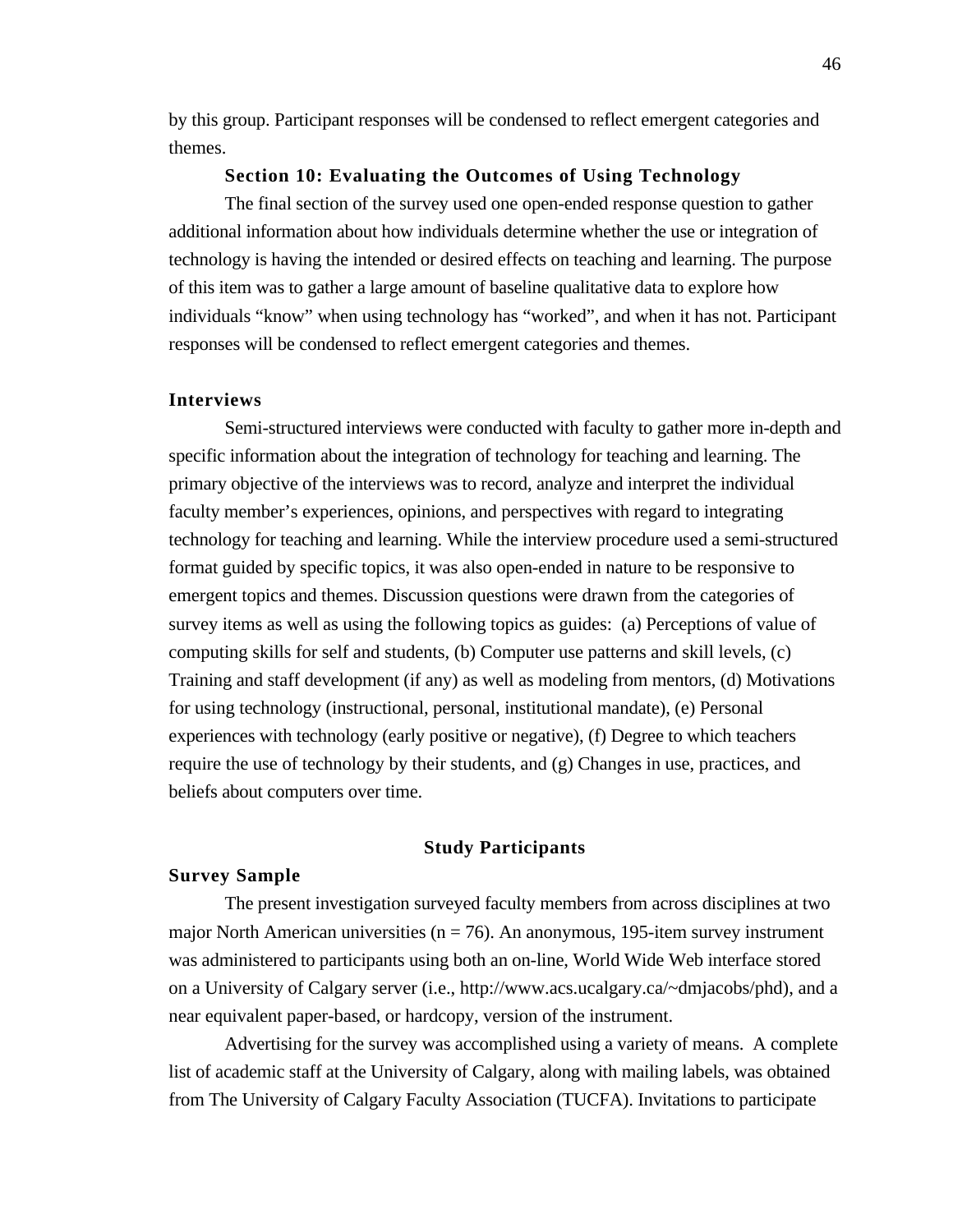by this group. Participant responses will be condensed to reflect emergent categories and themes.

#### **Section 10: Evaluating the Outcomes of Using Technology**

The final section of the survey used one open-ended response question to gather additional information about how individuals determine whether the use or integration of technology is having the intended or desired effects on teaching and learning. The purpose of this item was to gather a large amount of baseline qualitative data to explore how individuals "know" when using technology has "worked", and when it has not. Participant responses will be condensed to reflect emergent categories and themes.

#### **Interviews**

Semi-structured interviews were conducted with faculty to gather more in-depth and specific information about the integration of technology for teaching and learning. The primary objective of the interviews was to record, analyze and interpret the individual faculty member's experiences, opinions, and perspectives with regard to integrating technology for teaching and learning. While the interview procedure used a semi-structured format guided by specific topics, it was also open-ended in nature to be responsive to emergent topics and themes. Discussion questions were drawn from the categories of survey items as well as using the following topics as guides: (a) Perceptions of value of computing skills for self and students, (b) Computer use patterns and skill levels, (c) Training and staff development (if any) as well as modeling from mentors, (d) Motivations for using technology (instructional, personal, institutional mandate), (e) Personal experiences with technology (early positive or negative), (f) Degree to which teachers require the use of technology by their students, and (g) Changes in use, practices, and beliefs about computers over time.

#### **Study Participants**

# **Survey Sample**

The present investigation surveyed faculty members from across disciplines at two major North American universities ( $n = 76$ ). An anonymous, 195-item survey instrument was administered to participants using both an on-line, World Wide Web interface stored on a University of Calgary server (i.e., http://www.acs.ucalgary.ca/~dmjacobs/phd), and a near equivalent paper-based, or hardcopy, version of the instrument.

Advertising for the survey was accomplished using a variety of means. A complete list of academic staff at the University of Calgary, along with mailing labels, was obtained from The University of Calgary Faculty Association (TUCFA). Invitations to participate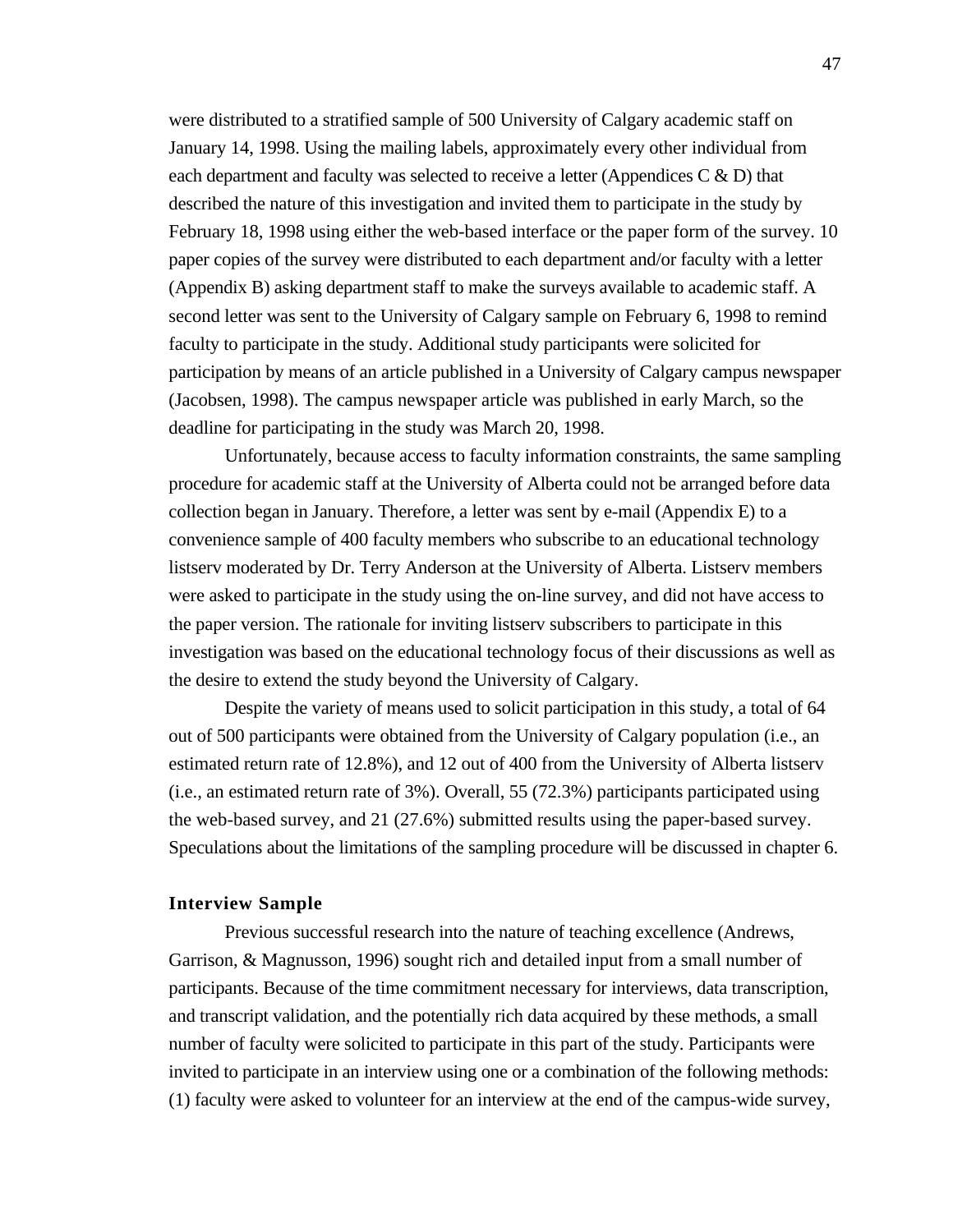were distributed to a stratified sample of 500 University of Calgary academic staff on January 14, 1998. Using the mailing labels, approximately every other individual from each department and faculty was selected to receive a letter (Appendices  $C \& D$ ) that described the nature of this investigation and invited them to participate in the study by February 18, 1998 using either the web-based interface or the paper form of the survey. 10 paper copies of the survey were distributed to each department and/or faculty with a letter (Appendix B) asking department staff to make the surveys available to academic staff. A second letter was sent to the University of Calgary sample on February 6, 1998 to remind faculty to participate in the study. Additional study participants were solicited for participation by means of an article published in a University of Calgary campus newspaper (Jacobsen, 1998). The campus newspaper article was published in early March, so the deadline for participating in the study was March 20, 1998.

Unfortunately, because access to faculty information constraints, the same sampling procedure for academic staff at the University of Alberta could not be arranged before data collection began in January. Therefore, a letter was sent by e-mail (Appendix E) to a convenience sample of 400 faculty members who subscribe to an educational technology listserv moderated by Dr. Terry Anderson at the University of Alberta. Listserv members were asked to participate in the study using the on-line survey, and did not have access to the paper version. The rationale for inviting listserv subscribers to participate in this investigation was based on the educational technology focus of their discussions as well as the desire to extend the study beyond the University of Calgary.

Despite the variety of means used to solicit participation in this study, a total of 64 out of 500 participants were obtained from the University of Calgary population (i.e., an estimated return rate of 12.8%), and 12 out of 400 from the University of Alberta listserv (i.e., an estimated return rate of 3%). Overall, 55 (72.3%) participants participated using the web-based survey, and 21 (27.6%) submitted results using the paper-based survey. Speculations about the limitations of the sampling procedure will be discussed in chapter 6.

#### **Interview Sample**

Previous successful research into the nature of teaching excellence (Andrews, Garrison, & Magnusson, 1996) sought rich and detailed input from a small number of participants. Because of the time commitment necessary for interviews, data transcription, and transcript validation, and the potentially rich data acquired by these methods, a small number of faculty were solicited to participate in this part of the study. Participants were invited to participate in an interview using one or a combination of the following methods: (1) faculty were asked to volunteer for an interview at the end of the campus-wide survey,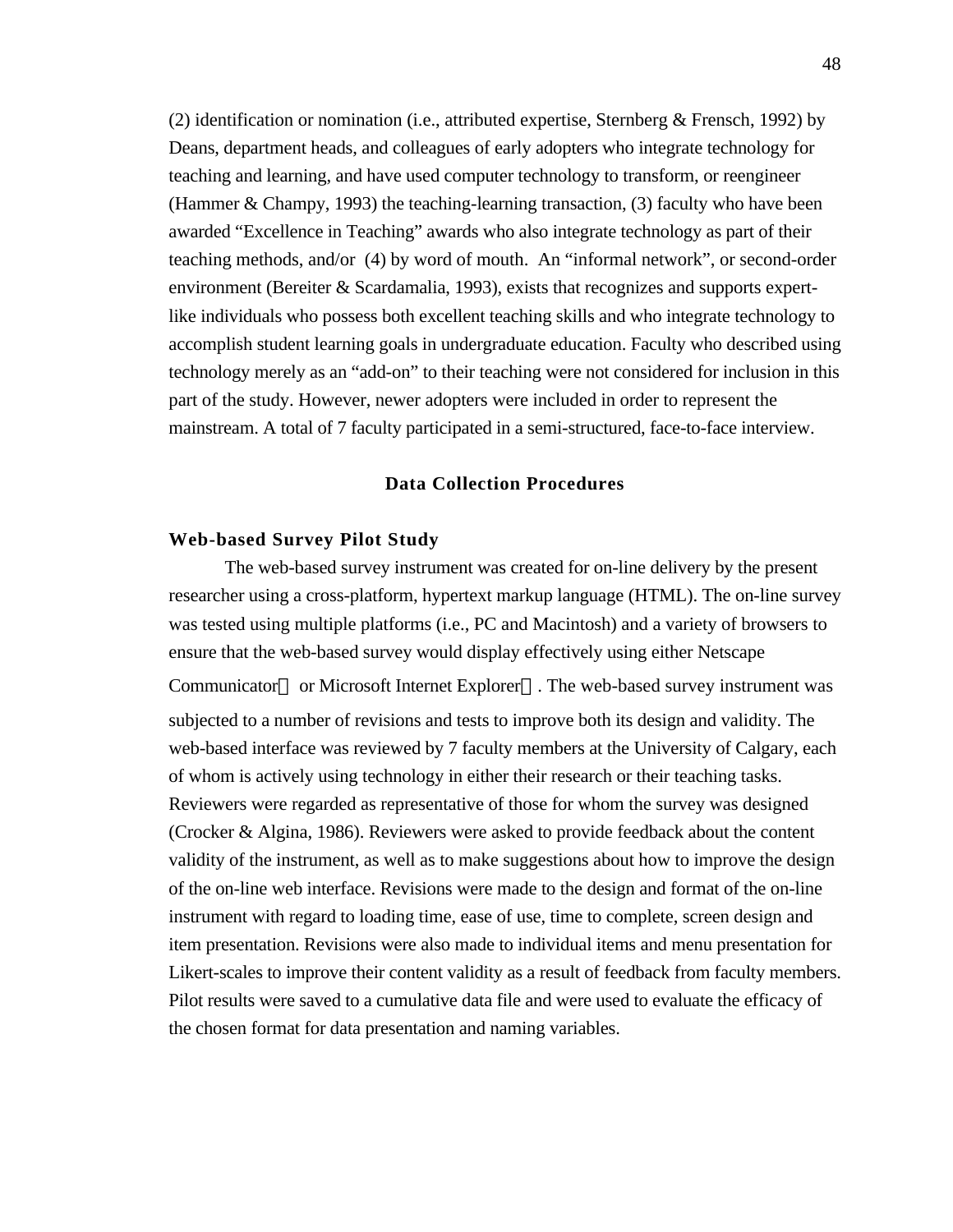(2) identification or nomination (i.e., attributed expertise, Sternberg & Frensch, 1992) by Deans, department heads, and colleagues of early adopters who integrate technology for teaching and learning, and have used computer technology to transform, or reengineer (Hammer & Champy, 1993) the teaching-learning transaction, (3) faculty who have been awarded "Excellence in Teaching" awards who also integrate technology as part of their teaching methods, and/or (4) by word of mouth. An "informal network", or second-order environment (Bereiter  $\&$  Scardamalia, 1993), exists that recognizes and supports expertlike individuals who possess both excellent teaching skills and who integrate technology to accomplish student learning goals in undergraduate education. Faculty who described using technology merely as an "add-on" to their teaching were not considered for inclusion in this part of the study. However, newer adopters were included in order to represent the mainstream. A total of 7 faculty participated in a semi-structured, face-to-face interview.

#### **Data Collection Procedures**

## **Web-based Survey Pilot Study**

The web-based survey instrument was created for on-line delivery by the present researcher using a cross-platform, hypertext markup language (HTML). The on-line survey was tested using multiple platforms (i.e., PC and Macintosh) and a variety of browsers to ensure that the web-based survey would display effectively using either Netscape Communicator or Microsoft Internet Explorer . The web-based survey instrument was subjected to a number of revisions and tests to improve both its design and validity. The web-based interface was reviewed by 7 faculty members at the University of Calgary, each of whom is actively using technology in either their research or their teaching tasks. Reviewers were regarded as representative of those for whom the survey was designed (Crocker & Algina, 1986). Reviewers were asked to provide feedback about the content validity of the instrument, as well as to make suggestions about how to improve the design of the on-line web interface. Revisions were made to the design and format of the on-line instrument with regard to loading time, ease of use, time to complete, screen design and item presentation. Revisions were also made to individual items and menu presentation for Likert-scales to improve their content validity as a result of feedback from faculty members. Pilot results were saved to a cumulative data file and were used to evaluate the efficacy of the chosen format for data presentation and naming variables.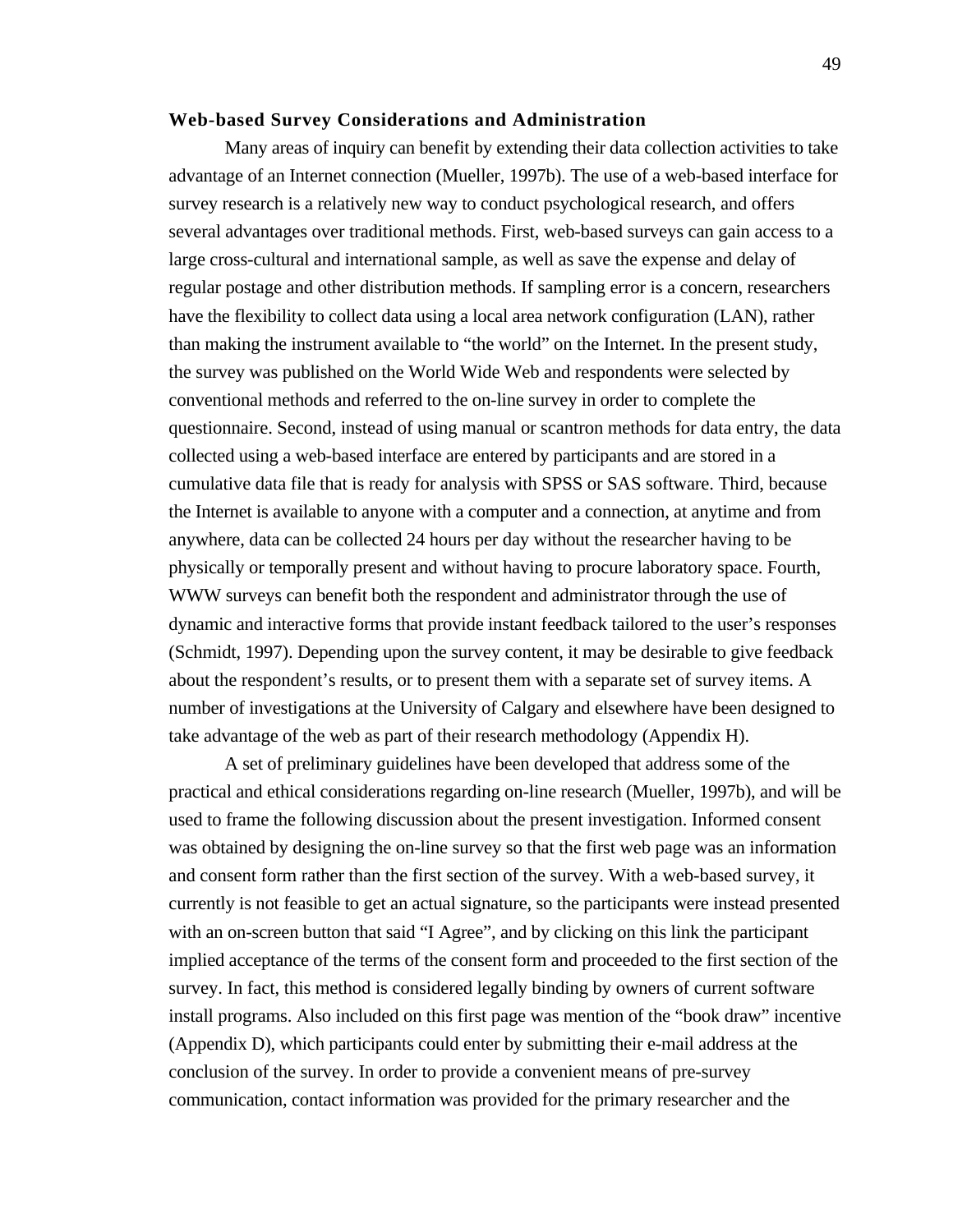## **Web-based Survey Considerations and Administration**

Many areas of inquiry can benefit by extending their data collection activities to take advantage of an Internet connection (Mueller, 1997b). The use of a web-based interface for survey research is a relatively new way to conduct psychological research, and offers several advantages over traditional methods. First, web-based surveys can gain access to a large cross-cultural and international sample, as well as save the expense and delay of regular postage and other distribution methods. If sampling error is a concern, researchers have the flexibility to collect data using a local area network configuration (LAN), rather than making the instrument available to "the world" on the Internet. In the present study, the survey was published on the World Wide Web and respondents were selected by conventional methods and referred to the on-line survey in order to complete the questionnaire. Second, instead of using manual or scantron methods for data entry, the data collected using a web-based interface are entered by participants and are stored in a cumulative data file that is ready for analysis with SPSS or SAS software. Third, because the Internet is available to anyone with a computer and a connection, at anytime and from anywhere, data can be collected 24 hours per day without the researcher having to be physically or temporally present and without having to procure laboratory space. Fourth, WWW surveys can benefit both the respondent and administrator through the use of dynamic and interactive forms that provide instant feedback tailored to the user's responses (Schmidt, 1997). Depending upon the survey content, it may be desirable to give feedback about the respondent's results, or to present them with a separate set of survey items. A number of investigations at the University of Calgary and elsewhere have been designed to take advantage of the web as part of their research methodology (Appendix H).

A set of preliminary guidelines have been developed that address some of the practical and ethical considerations regarding on-line research (Mueller, 1997b), and will be used to frame the following discussion about the present investigation. Informed consent was obtained by designing the on-line survey so that the first web page was an information and consent form rather than the first section of the survey. With a web-based survey, it currently is not feasible to get an actual signature, so the participants were instead presented with an on-screen button that said "I Agree", and by clicking on this link the participant implied acceptance of the terms of the consent form and proceeded to the first section of the survey. In fact, this method is considered legally binding by owners of current software install programs. Also included on this first page was mention of the "book draw" incentive (Appendix D), which participants could enter by submitting their e-mail address at the conclusion of the survey. In order to provide a convenient means of pre-survey communication, contact information was provided for the primary researcher and the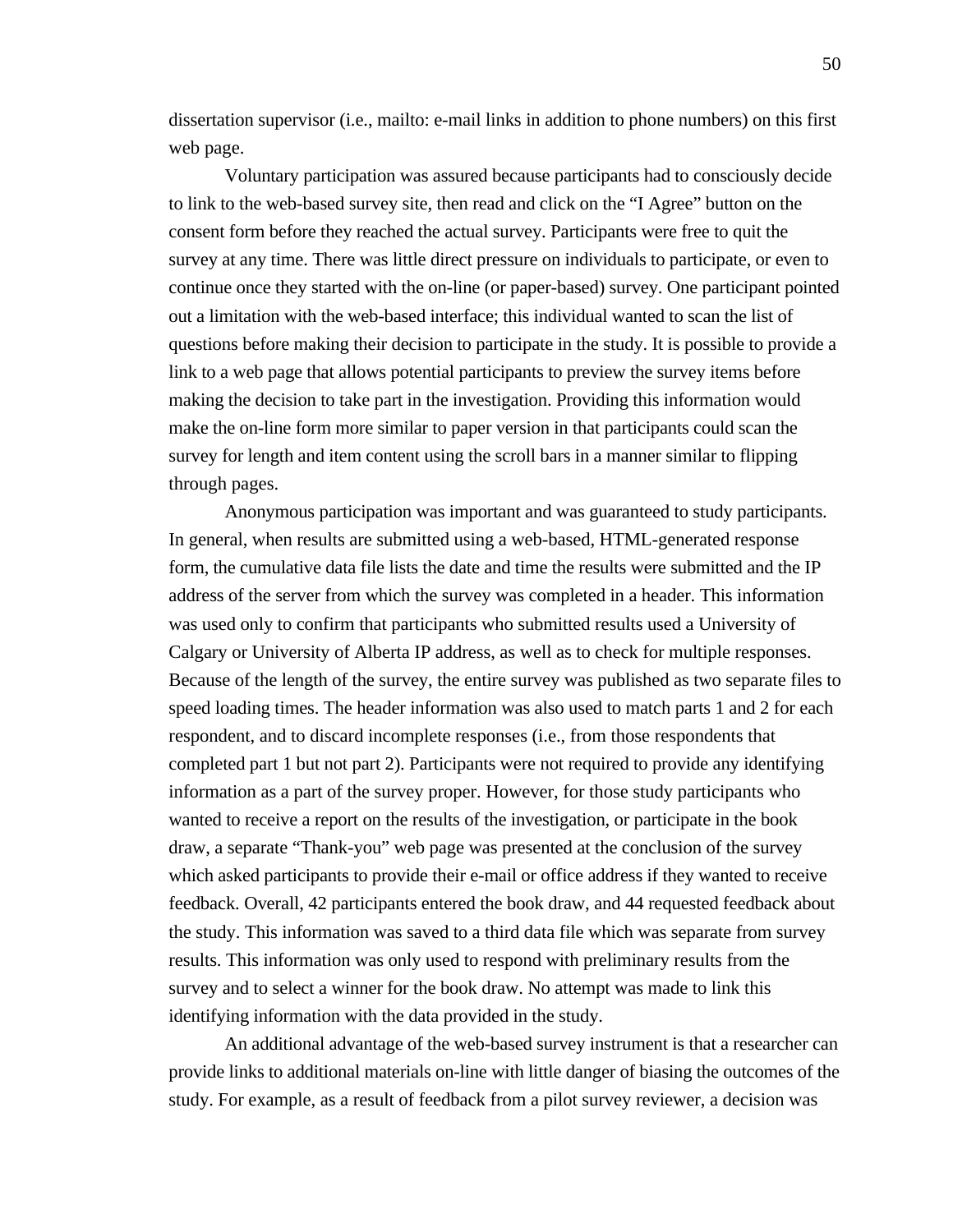dissertation supervisor (i.e., mailto: e-mail links in addition to phone numbers) on this first web page.

Voluntary participation was assured because participants had to consciously decide to link to the web-based survey site, then read and click on the "I Agree" button on the consent form before they reached the actual survey. Participants were free to quit the survey at any time. There was little direct pressure on individuals to participate, or even to continue once they started with the on-line (or paper-based) survey. One participant pointed out a limitation with the web-based interface; this individual wanted to scan the list of questions before making their decision to participate in the study. It is possible to provide a link to a web page that allows potential participants to preview the survey items before making the decision to take part in the investigation. Providing this information would make the on-line form more similar to paper version in that participants could scan the survey for length and item content using the scroll bars in a manner similar to flipping through pages.

Anonymous participation was important and was guaranteed to study participants. In general, when results are submitted using a web-based, HTML-generated response form, the cumulative data file lists the date and time the results were submitted and the IP address of the server from which the survey was completed in a header. This information was used only to confirm that participants who submitted results used a University of Calgary or University of Alberta IP address, as well as to check for multiple responses. Because of the length of the survey, the entire survey was published as two separate files to speed loading times. The header information was also used to match parts 1 and 2 for each respondent, and to discard incomplete responses (i.e., from those respondents that completed part 1 but not part 2). Participants were not required to provide any identifying information as a part of the survey proper. However, for those study participants who wanted to receive a report on the results of the investigation, or participate in the book draw, a separate "Thank-you" web page was presented at the conclusion of the survey which asked participants to provide their e-mail or office address if they wanted to receive feedback. Overall, 42 participants entered the book draw, and 44 requested feedback about the study. This information was saved to a third data file which was separate from survey results. This information was only used to respond with preliminary results from the survey and to select a winner for the book draw. No attempt was made to link this identifying information with the data provided in the study.

An additional advantage of the web-based survey instrument is that a researcher can provide links to additional materials on-line with little danger of biasing the outcomes of the study. For example, as a result of feedback from a pilot survey reviewer, a decision was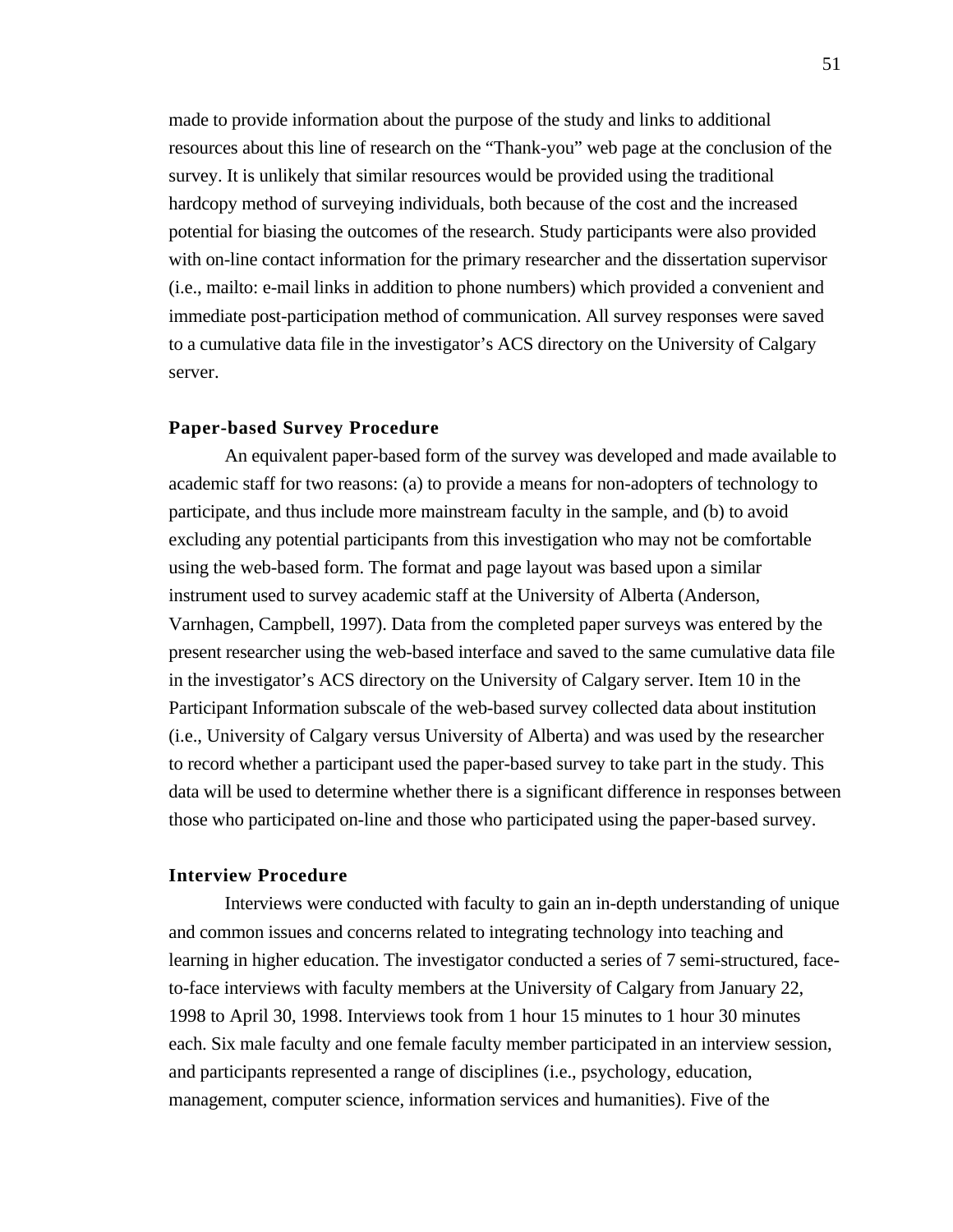made to provide information about the purpose of the study and links to additional resources about this line of research on the "Thank-you" web page at the conclusion of the survey. It is unlikely that similar resources would be provided using the traditional hardcopy method of surveying individuals, both because of the cost and the increased potential for biasing the outcomes of the research. Study participants were also provided with on-line contact information for the primary researcher and the dissertation supervisor (i.e., mailto: e-mail links in addition to phone numbers) which provided a convenient and immediate post-participation method of communication. All survey responses were saved to a cumulative data file in the investigator's ACS directory on the University of Calgary server.

## **Paper-based Survey Procedure**

An equivalent paper-based form of the survey was developed and made available to academic staff for two reasons: (a) to provide a means for non-adopters of technology to participate, and thus include more mainstream faculty in the sample, and (b) to avoid excluding any potential participants from this investigation who may not be comfortable using the web-based form. The format and page layout was based upon a similar instrument used to survey academic staff at the University of Alberta (Anderson, Varnhagen, Campbell, 1997). Data from the completed paper surveys was entered by the present researcher using the web-based interface and saved to the same cumulative data file in the investigator's ACS directory on the University of Calgary server. Item 10 in the Participant Information subscale of the web-based survey collected data about institution (i.e., University of Calgary versus University of Alberta) and was used by the researcher to record whether a participant used the paper-based survey to take part in the study. This data will be used to determine whether there is a significant difference in responses between those who participated on-line and those who participated using the paper-based survey.

## **Interview Procedure**

Interviews were conducted with faculty to gain an in-depth understanding of unique and common issues and concerns related to integrating technology into teaching and learning in higher education. The investigator conducted a series of 7 semi-structured, faceto-face interviews with faculty members at the University of Calgary from January 22, 1998 to April 30, 1998. Interviews took from 1 hour 15 minutes to 1 hour 30 minutes each. Six male faculty and one female faculty member participated in an interview session, and participants represented a range of disciplines (i.e., psychology, education, management, computer science, information services and humanities). Five of the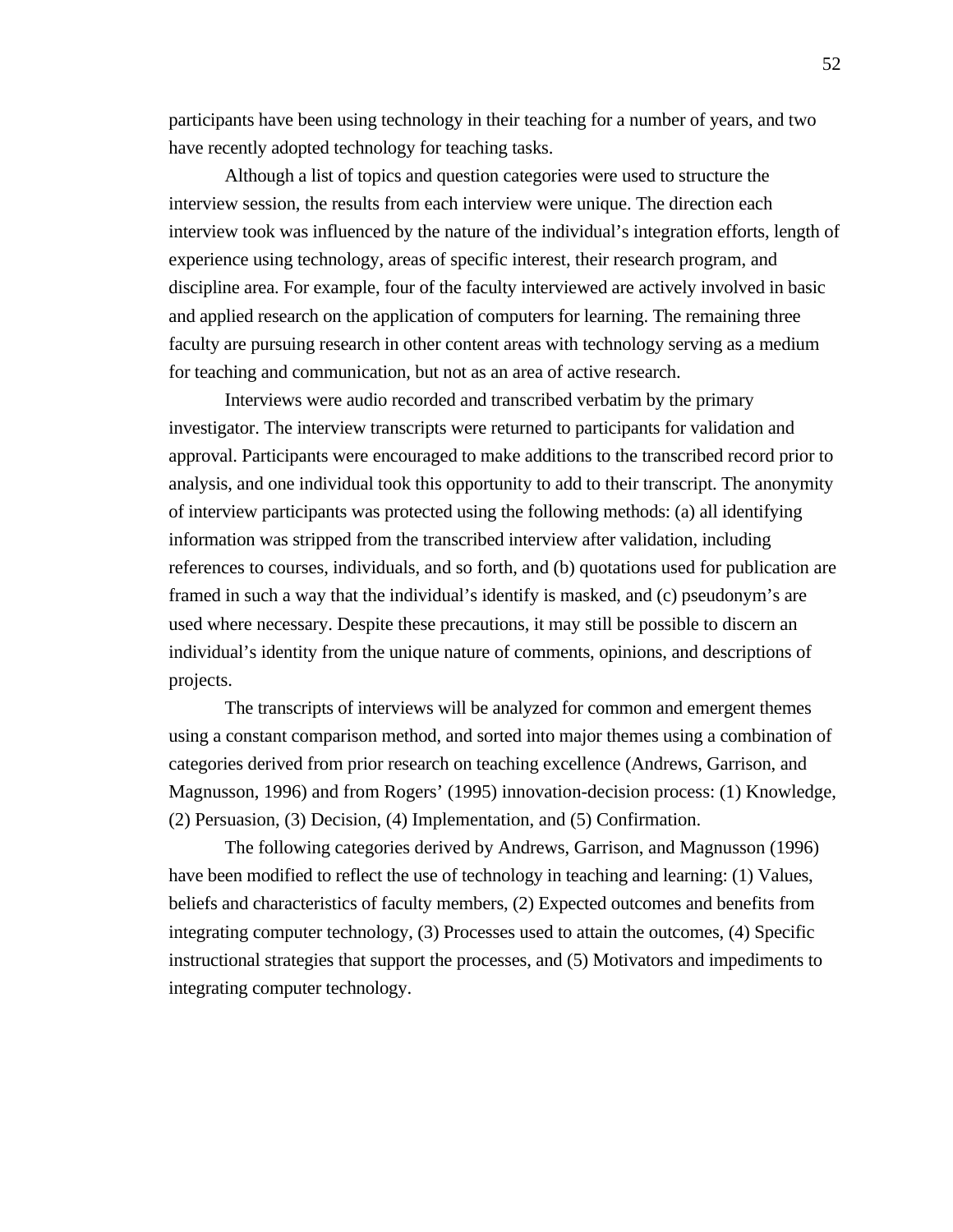participants have been using technology in their teaching for a number of years, and two have recently adopted technology for teaching tasks.

Although a list of topics and question categories were used to structure the interview session, the results from each interview were unique. The direction each interview took was influenced by the nature of the individual's integration efforts, length of experience using technology, areas of specific interest, their research program, and discipline area. For example, four of the faculty interviewed are actively involved in basic and applied research on the application of computers for learning. The remaining three faculty are pursuing research in other content areas with technology serving as a medium for teaching and communication, but not as an area of active research.

Interviews were audio recorded and transcribed verbatim by the primary investigator. The interview transcripts were returned to participants for validation and approval. Participants were encouraged to make additions to the transcribed record prior to analysis, and one individual took this opportunity to add to their transcript. The anonymity of interview participants was protected using the following methods: (a) all identifying information was stripped from the transcribed interview after validation, including references to courses, individuals, and so forth, and (b) quotations used for publication are framed in such a way that the individual's identify is masked, and (c) pseudonym's are used where necessary. Despite these precautions, it may still be possible to discern an individual's identity from the unique nature of comments, opinions, and descriptions of projects.

The transcripts of interviews will be analyzed for common and emergent themes using a constant comparison method, and sorted into major themes using a combination of categories derived from prior research on teaching excellence (Andrews, Garrison, and Magnusson, 1996) and from Rogers' (1995) innovation-decision process: (1) Knowledge, (2) Persuasion, (3) Decision, (4) Implementation, and (5) Confirmation.

The following categories derived by Andrews, Garrison, and Magnusson (1996) have been modified to reflect the use of technology in teaching and learning: (1) Values, beliefs and characteristics of faculty members, (2) Expected outcomes and benefits from integrating computer technology, (3) Processes used to attain the outcomes, (4) Specific instructional strategies that support the processes, and (5) Motivators and impediments to integrating computer technology.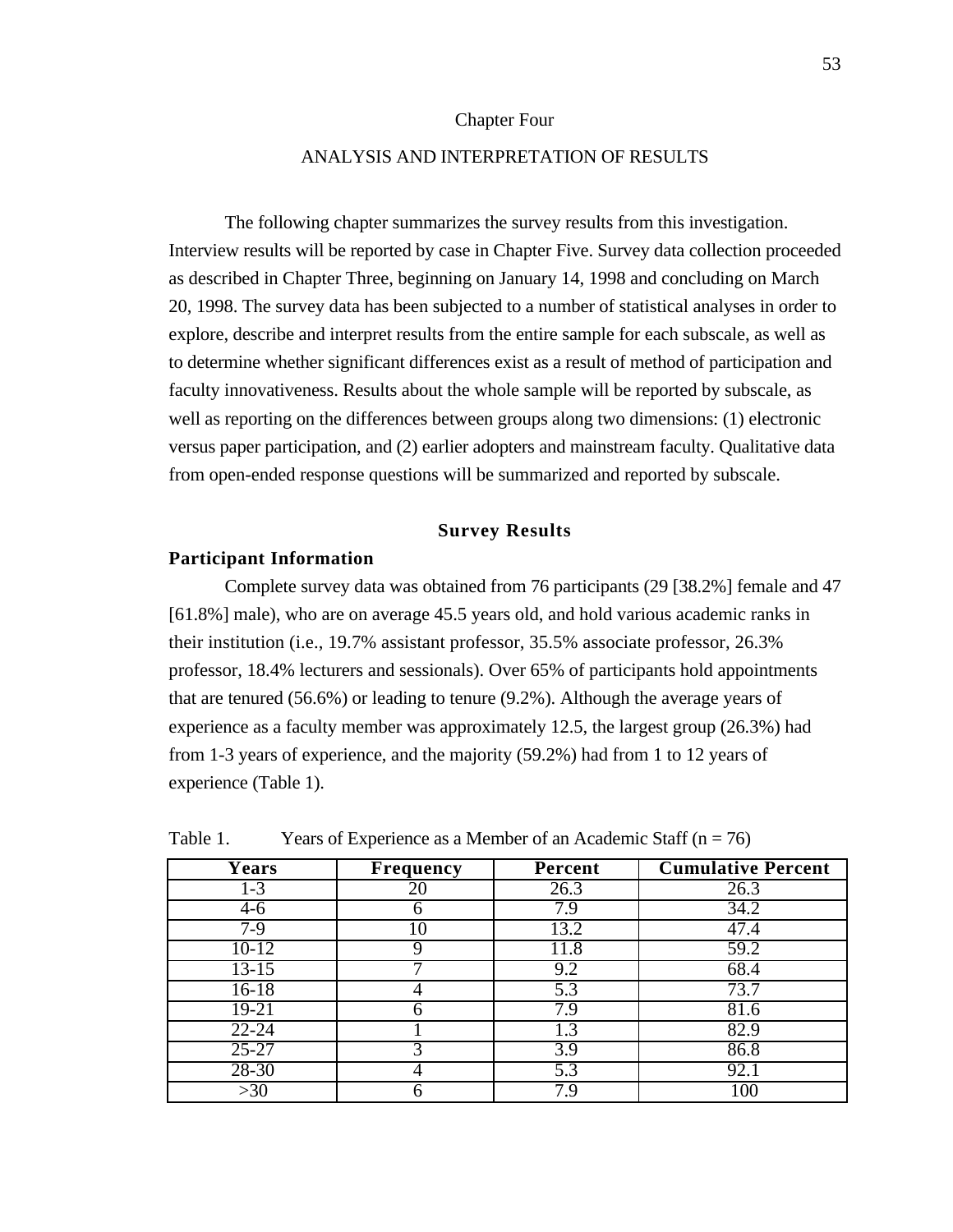## Chapter Four

# ANALYSIS AND INTERPRETATION OF RESULTS

The following chapter summarizes the survey results from this investigation. Interview results will be reported by case in Chapter Five. Survey data collection proceeded as described in Chapter Three, beginning on January 14, 1998 and concluding on March 20, 1998. The survey data has been subjected to a number of statistical analyses in order to explore, describe and interpret results from the entire sample for each subscale, as well as to determine whether significant differences exist as a result of method of participation and faculty innovativeness. Results about the whole sample will be reported by subscale, as well as reporting on the differences between groups along two dimensions: (1) electronic versus paper participation, and (2) earlier adopters and mainstream faculty. Qualitative data from open-ended response questions will be summarized and reported by subscale.

# **Survey Results**

#### **Participant Information**

Complete survey data was obtained from 76 participants (29 [38.2%] female and 47 [61.8%] male), who are on average 45.5 years old, and hold various academic ranks in their institution (i.e., 19.7% assistant professor, 35.5% associate professor, 26.3% professor, 18.4% lecturers and sessionals). Over 65% of participants hold appointments that are tenured (56.6%) or leading to tenure (9.2%). Although the average years of experience as a faculty member was approximately 12.5, the largest group (26.3%) had from 1-3 years of experience, and the majority (59.2%) had from 1 to 12 years of experience (Table 1).

| <b>Years</b> | <b>Frequency</b> | Percent | <b>Cumulative Percent</b> |
|--------------|------------------|---------|---------------------------|
| $1 - 3$      | 20               | 26.3    | 26.3                      |
| $4-6$        |                  | 7.9     | 34.2                      |
| $7-9$        | 10               | 13.2    | 47.4                      |
| $10-12$      | Q                | 11.8    | 59.2                      |
| $13 - 15$    |                  | 9.2     | 68.4                      |
| $16-18$      |                  | 5.3     | 73.7                      |
| 19-21        | n                | 7.9     | 81.6                      |
| $22 - 24$    |                  | 1.3     | 82.9                      |
| $25 - 27$    |                  | 3.9     | 86.8                      |
| $28 - 30$    |                  | 5.3     | 92.1                      |
| >30          |                  | 7.9     | .00                       |

Table 1. Years of Experience as a Member of an Academic Staff  $(n = 76)$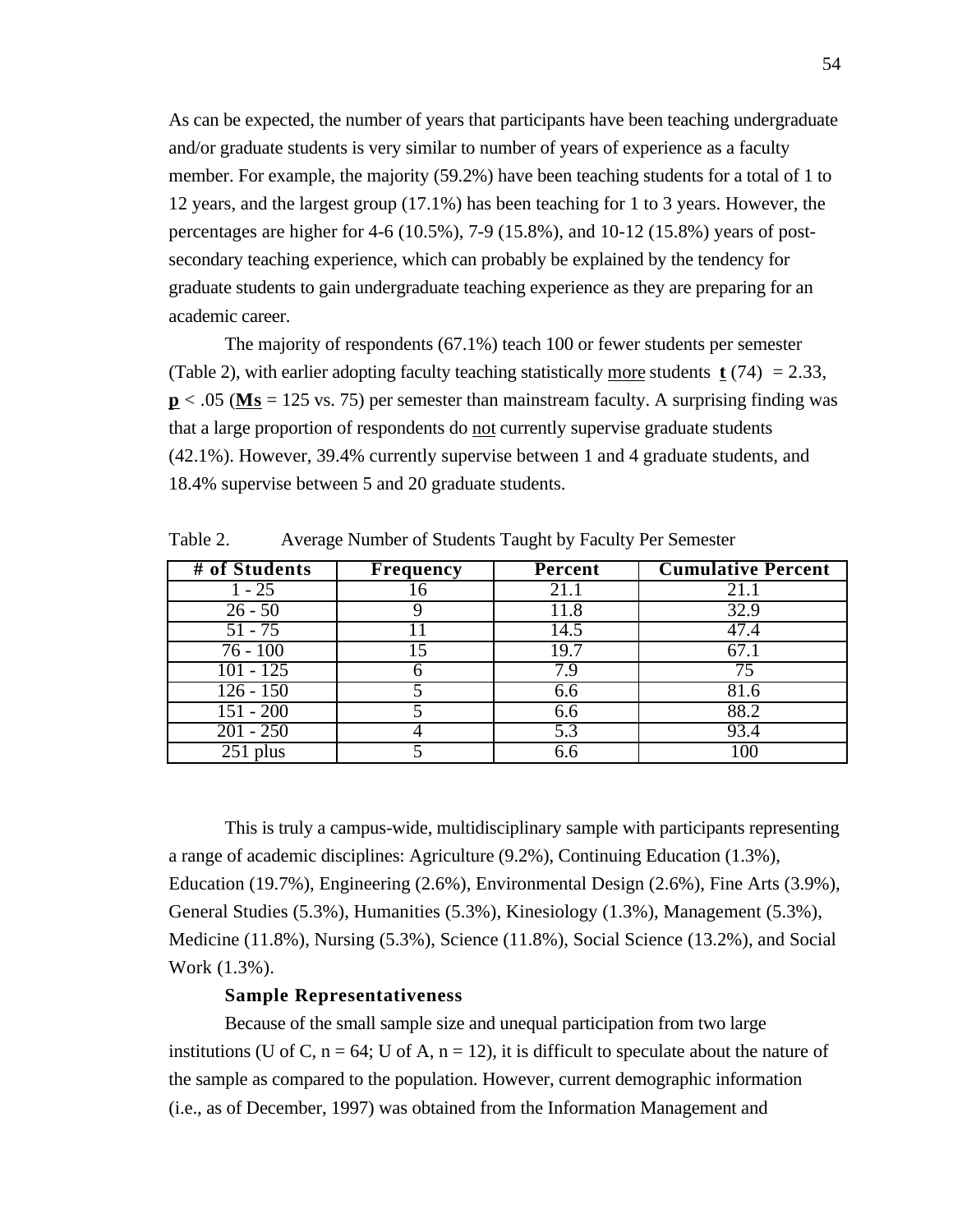As can be expected, the number of years that participants have been teaching undergraduate and/or graduate students is very similar to number of years of experience as a faculty member. For example, the majority (59.2%) have been teaching students for a total of 1 to 12 years, and the largest group (17.1%) has been teaching for 1 to 3 years. However, the percentages are higher for 4-6 (10.5%), 7-9 (15.8%), and 10-12 (15.8%) years of postsecondary teaching experience, which can probably be explained by the tendency for graduate students to gain undergraduate teaching experience as they are preparing for an academic career.

The majority of respondents (67.1%) teach 100 or fewer students per semester (Table 2), with earlier adopting faculty teaching statistically more students  $\mathbf{t}$  (74) = 2.33,  $p < .05$  (Ms = 125 vs. 75) per semester than mainstream faculty. A surprising finding was that a large proportion of respondents do not currently supervise graduate students (42.1%). However, 39.4% currently supervise between 1 and 4 graduate students, and 18.4% supervise between 5 and 20 graduate students.

| # of Students | <b>Frequency</b> | Percent          | <b>Cumulative Percent</b> |
|---------------|------------------|------------------|---------------------------|
| $1 - 25$      | 16               | 21.1             | 21.1                      |
| $26 - 50$     |                  | 11.8             | 32.9                      |
| $51 - 75$     |                  | 14.5             | 47.4                      |
| $76 - 100$    | 15               | 19.7             | 67.1                      |
| $101 - 125$   |                  | 7.9              | 75                        |
| $126 - 150$   |                  | 6.6              | 81.6                      |
| $151 - 200$   |                  | 6.6              | 88.2                      |
| $201 - 250$   |                  | $\overline{5.3}$ | 93.4                      |
| $251$ plus    |                  | 6.6              | 100                       |

Table 2. Average Number of Students Taught by Faculty Per Semester

This is truly a campus-wide, multidisciplinary sample with participants representing a range of academic disciplines: Agriculture (9.2%), Continuing Education (1.3%), Education (19.7%), Engineering (2.6%), Environmental Design (2.6%), Fine Arts (3.9%), General Studies (5.3%), Humanities (5.3%), Kinesiology (1.3%), Management (5.3%), Medicine (11.8%), Nursing (5.3%), Science (11.8%), Social Science (13.2%), and Social Work (1.3%).

# **Sample Representativeness**

Because of the small sample size and unequal participation from two large institutions (U of C,  $n = 64$ ; U of A,  $n = 12$ ), it is difficult to speculate about the nature of the sample as compared to the population. However, current demographic information (i.e., as of December, 1997) was obtained from the Information Management and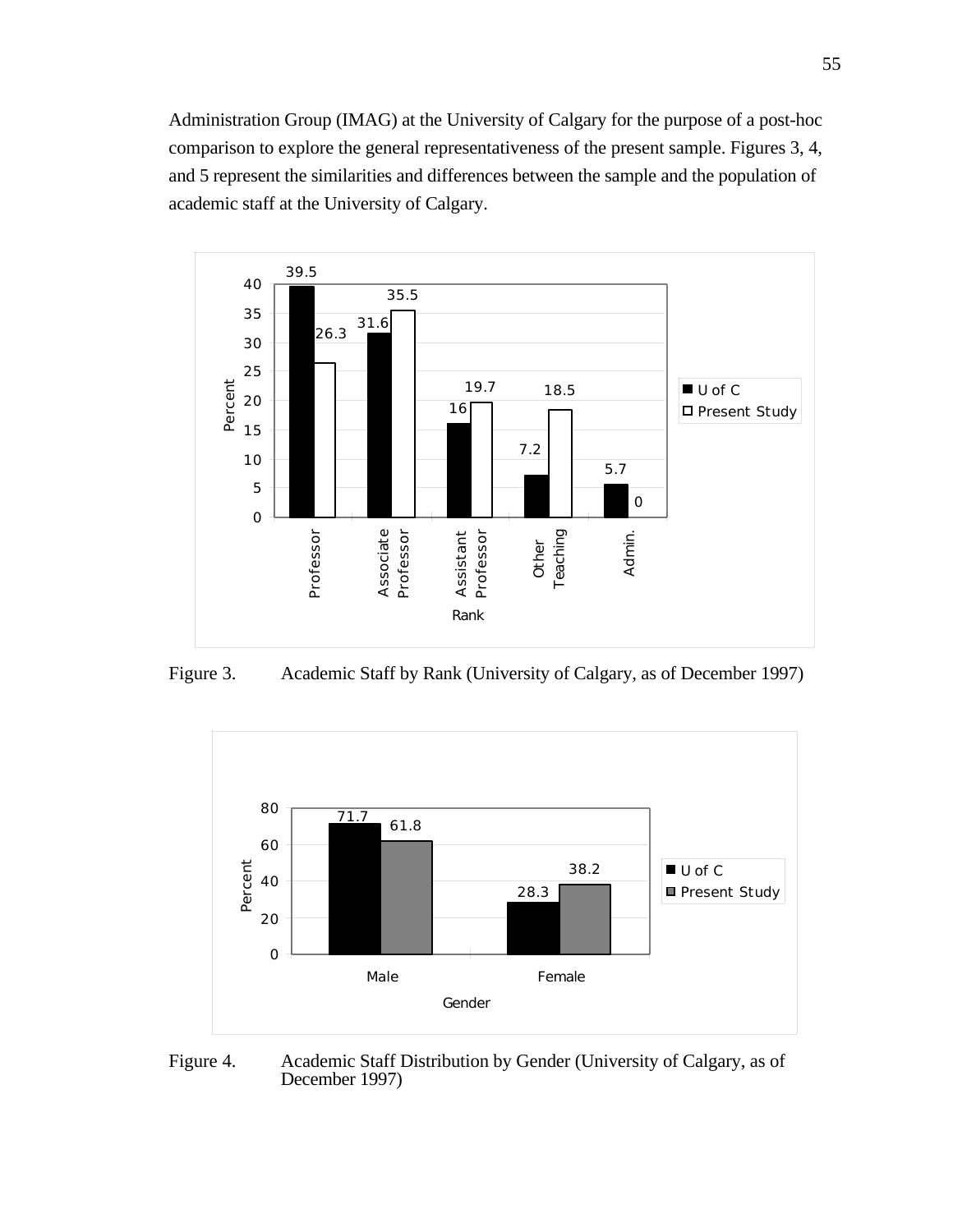Administration Group (IMAG) at the University of Calgary for the purpose of a post-hoc comparison to explore the general representativeness of the present sample. Figures 3, 4, and 5 represent the similarities and differences between the sample and the population of academic staff at the University of Calgary.



Figure 3. Academic Staff by Rank (University of Calgary, as of December 1997)



Figure 4. Academic Staff Distribution by Gender (University of Calgary, as of December 1997)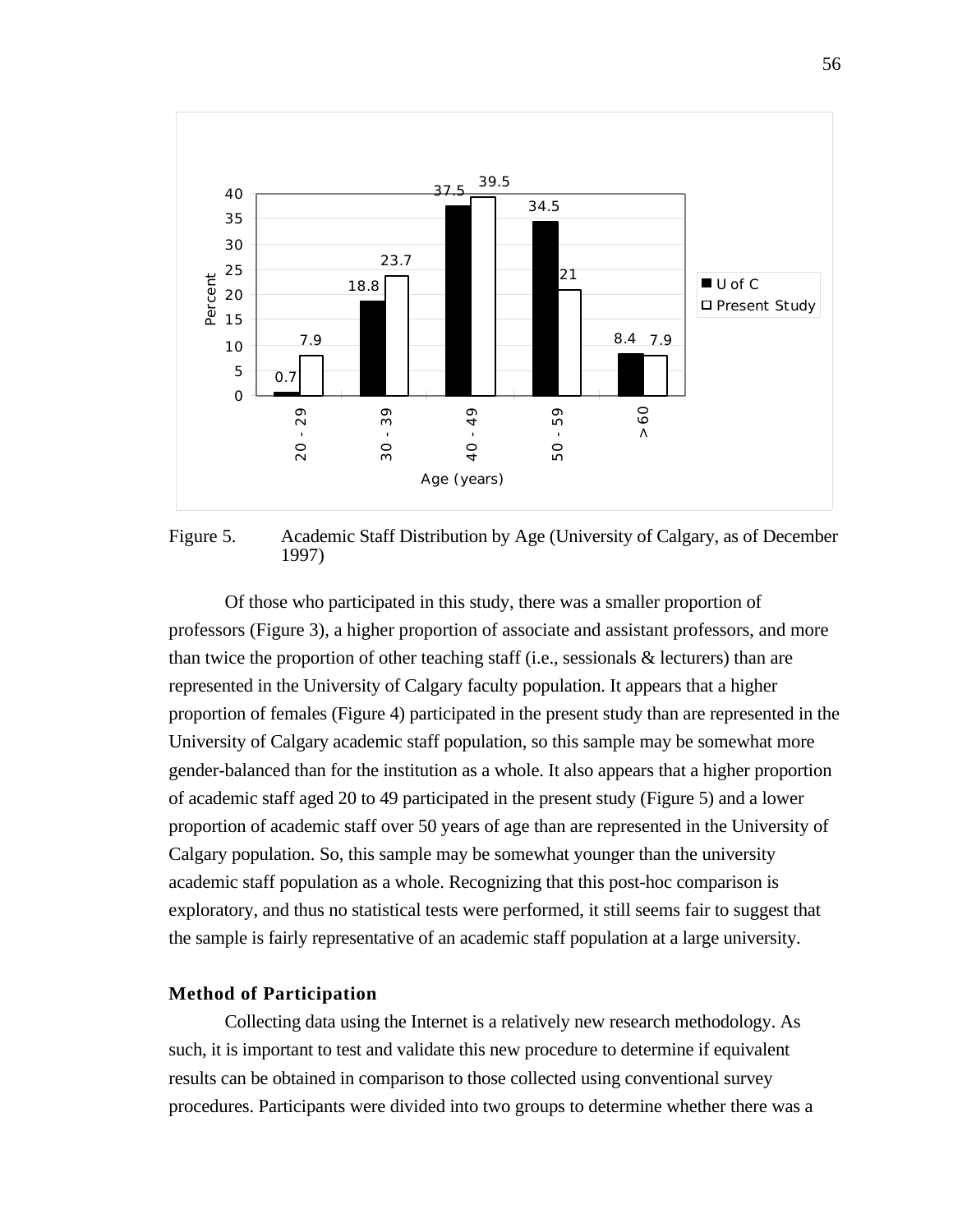

Figure 5. Academic Staff Distribution by Age (University of Calgary, as of December 1997)

Of those who participated in this study, there was a smaller proportion of professors (Figure 3), a higher proportion of associate and assistant professors, and more than twice the proportion of other teaching staff (i.e., sessionals & lecturers) than are represented in the University of Calgary faculty population. It appears that a higher proportion of females (Figure 4) participated in the present study than are represented in the University of Calgary academic staff population, so this sample may be somewhat more gender-balanced than for the institution as a whole. It also appears that a higher proportion of academic staff aged 20 to 49 participated in the present study (Figure 5) and a lower proportion of academic staff over 50 years of age than are represented in the University of Calgary population. So, this sample may be somewhat younger than the university academic staff population as a whole. Recognizing that this post-hoc comparison is exploratory, and thus no statistical tests were performed, it still seems fair to suggest that the sample is fairly representative of an academic staff population at a large university.

# **Method of Participation**

Collecting data using the Internet is a relatively new research methodology. As such, it is important to test and validate this new procedure to determine if equivalent results can be obtained in comparison to those collected using conventional survey procedures. Participants were divided into two groups to determine whether there was a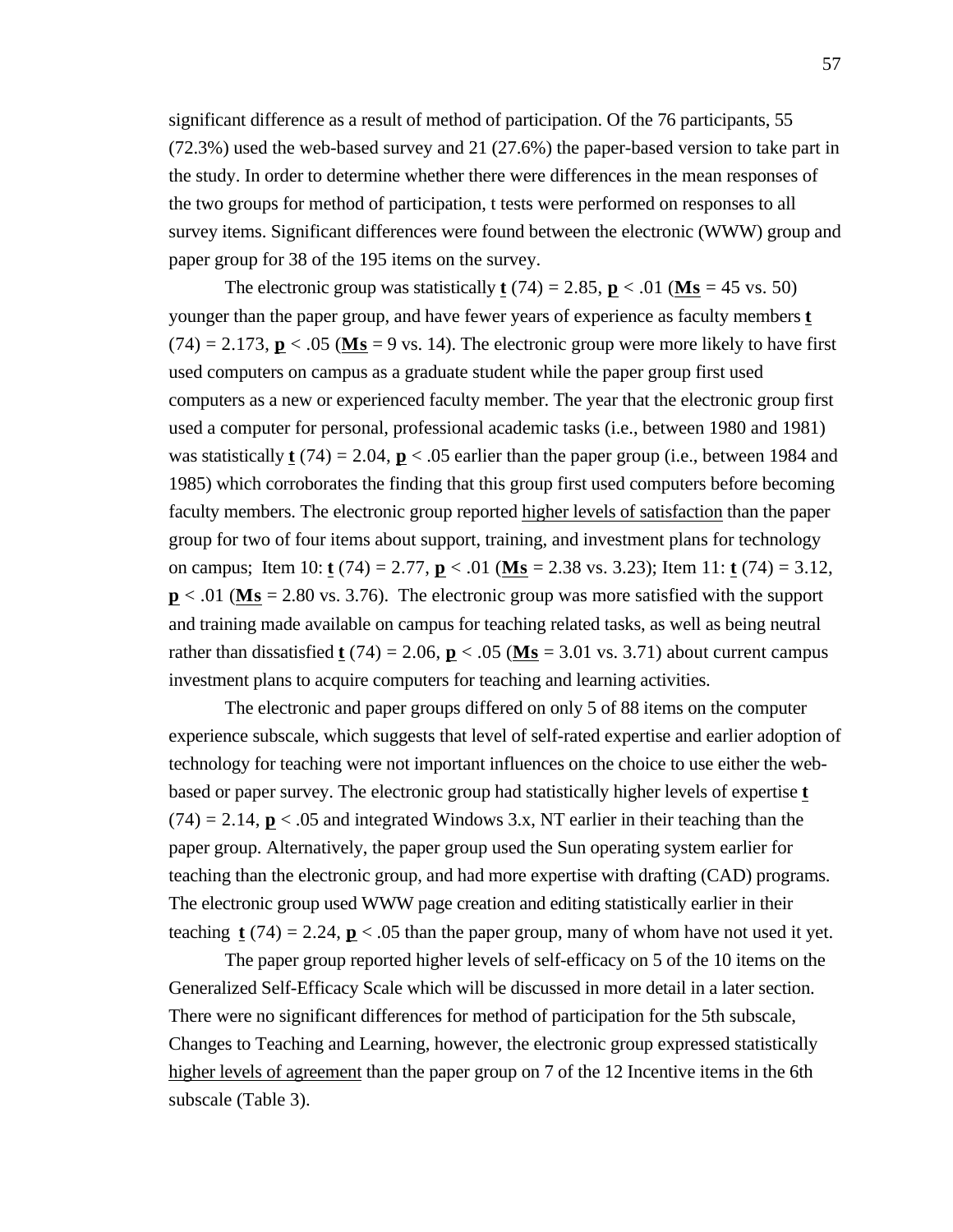significant difference as a result of method of participation. Of the 76 participants, 55 (72.3%) used the web-based survey and 21 (27.6%) the paper-based version to take part in the study. In order to determine whether there were differences in the mean responses of the two groups for method of participation, t tests were performed on responses to all survey items. Significant differences were found between the electronic (WWW) group and paper group for 38 of the 195 items on the survey.

The electronic group was statistically **t** (74) = 2.85, **p** < .01 (**Ms** = 45 vs. 50) younger than the paper group, and have fewer years of experience as faculty members **t**  $(74) = 2.173$ ,  $p < .05$  (Ms = 9 vs. 14). The electronic group were more likely to have first used computers on campus as a graduate student while the paper group first used computers as a new or experienced faculty member. The year that the electronic group first used a computer for personal, professional academic tasks (i.e., between 1980 and 1981) was statistically  $t(74) = 2.04$ ,  $p < .05$  earlier than the paper group (i.e., between 1984 and 1985) which corroborates the finding that this group first used computers before becoming faculty members. The electronic group reported higher levels of satisfaction than the paper group for two of four items about support, training, and investment plans for technology on campus; Item 10: **t** (74) = 2.77, **p** < .01 ( **Ms** = 2.38 vs. 3.23); Item 11: **t** (74) = 3.12,  $p < .01$  (Ms = 2.80 vs. 3.76). The electronic group was more satisfied with the support and training made available on campus for teaching related tasks, as well as being neutral rather than dissatisfied **t** (74) = 2.06, **p** < .05 (**Ms** = 3.01 vs. 3.71) about current campus investment plans to acquire computers for teaching and learning activities.

The electronic and paper groups differed on only 5 of 88 items on the computer experience subscale, which suggests that level of self-rated expertise and earlier adoption of technology for teaching were not important influences on the choice to use either the webbased or paper survey. The electronic group had statistically higher levels of expertise **t**  $(74) = 2.14$ ,  $\mathbf{p} < .05$  and integrated Windows 3.x, NT earlier in their teaching than the paper group. Alternatively, the paper group used the Sun operating system earlier for teaching than the electronic group, and had more expertise with drafting (CAD) programs. The electronic group used WWW page creation and editing statistically earlier in their teaching  $t(74) = 2.24$ ,  $p < .05$  than the paper group, many of whom have not used it yet.

The paper group reported higher levels of self-efficacy on 5 of the 10 items on the Generalized Self-Efficacy Scale which will be discussed in more detail in a later section. There were no significant differences for method of participation for the 5th subscale, Changes to Teaching and Learning, however, the electronic group expressed statistically higher levels of agreement than the paper group on 7 of the 12 Incentive items in the 6th subscale (Table 3).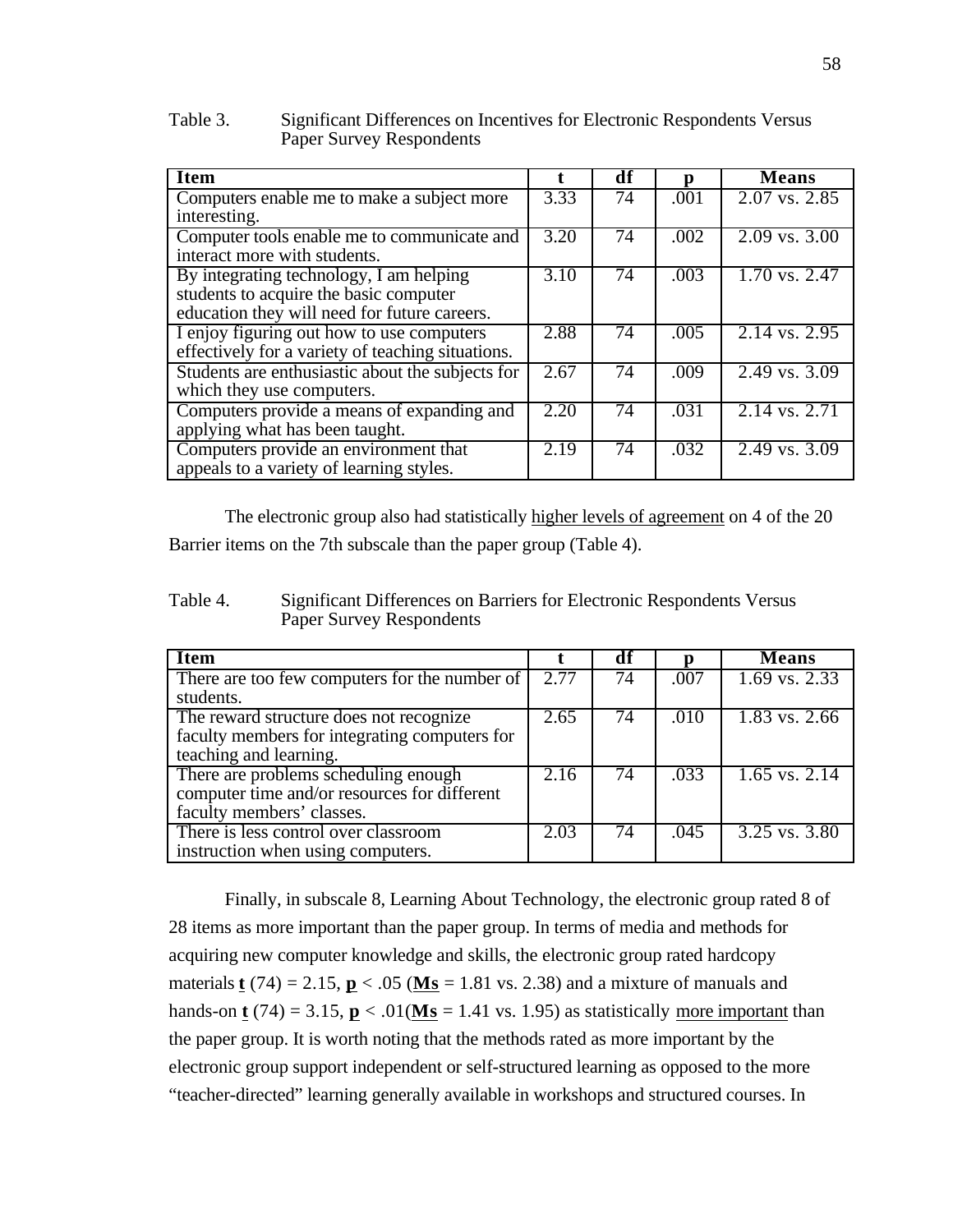## Table 3. Significant Differences on Incentives for Electronic Respondents Versus Paper Survey Respondents

| <b>Item</b>                                       |  | df              |      | <b>Means</b>                        |
|---------------------------------------------------|--|-----------------|------|-------------------------------------|
| Computers enable me to make a subject more        |  | 74              | .001 | $2.07$ vs. $2.85$                   |
| interesting.                                      |  |                 |      |                                     |
| Computer tools enable me to communicate and       |  | 74              | .002 | $2.09$ vs. $3.00$                   |
| interact more with students.                      |  |                 |      |                                     |
| By integrating technology, I am helping           |  | $\overline{74}$ | .003 | $\overline{1.70 \text{ vs. } 2.47}$ |
| students to acquire the basic computer            |  |                 |      |                                     |
| education they will need for future careers.      |  |                 |      |                                     |
| I enjoy figuring out how to use computers         |  | $\overline{74}$ | .005 | $2.14$ vs. 2.95                     |
| effectively for a variety of teaching situations. |  |                 |      |                                     |
| Students are enthusiastic about the subjects for  |  | $\overline{74}$ | .009 | $\sqrt{2.49}$ vs. 3.09              |
| which they use computers.                         |  |                 |      |                                     |
| Computers provide a means of expanding and        |  | $\overline{74}$ | .031 | $2.14$ vs. 2.71                     |
| applying what has been taught.                    |  |                 |      |                                     |
| Computers provide an environment that             |  | $\overline{74}$ | .032 | $\sqrt{2.49}$ vs. 3.09              |
| appeals to a variety of learning styles.          |  |                 |      |                                     |

The electronic group also had statistically higher levels of agreement on 4 of the 20 Barrier items on the 7th subscale than the paper group (Table 4).

Table 4. Significant Differences on Barriers for Electronic Respondents Versus Paper Survey Respondents

| <b>Item</b>                                   |      | df |      | <b>Means</b>      |
|-----------------------------------------------|------|----|------|-------------------|
| There are too few computers for the number of |      | 74 | .007 | $1.69$ vs. 2.33   |
| students.                                     |      |    |      |                   |
| The reward structure does not recognize       | 2.65 | 74 | .010 | $1.83$ vs. 2.66   |
| faculty members for integrating computers for |      |    |      |                   |
| teaching and learning.                        |      |    |      |                   |
| There are problems scheduling enough          | 2.16 | 74 | .033 | $1.65$ vs. $2.14$ |
| computer time and/or resources for different  |      |    |      |                   |
| faculty members' classes.                     |      |    |      |                   |
| There is less control over classroom          |      | 74 | .045 | $3.25$ vs. $3.80$ |
| instruction when using computers.             |      |    |      |                   |

Finally, in subscale 8, Learning About Technology, the electronic group rated 8 of 28 items as more important than the paper group. In terms of media and methods for acquiring new computer knowledge and skills, the electronic group rated hardcopy materials **t** (74) = 2.15,  $\mathbf{p}$  < .05 (Ms = 1.81 vs. 2.38) and a mixture of manuals and hands-on **t** (74) = 3.15,  $\mathbf{p}$  < .01( $\mathbf{Ms}$  = 1.41 vs. 1.95) as statistically more important than the paper group. It is worth noting that the methods rated as more important by the electronic group support independent or self-structured learning as opposed to the more "teacher-directed" learning generally available in workshops and structured courses. In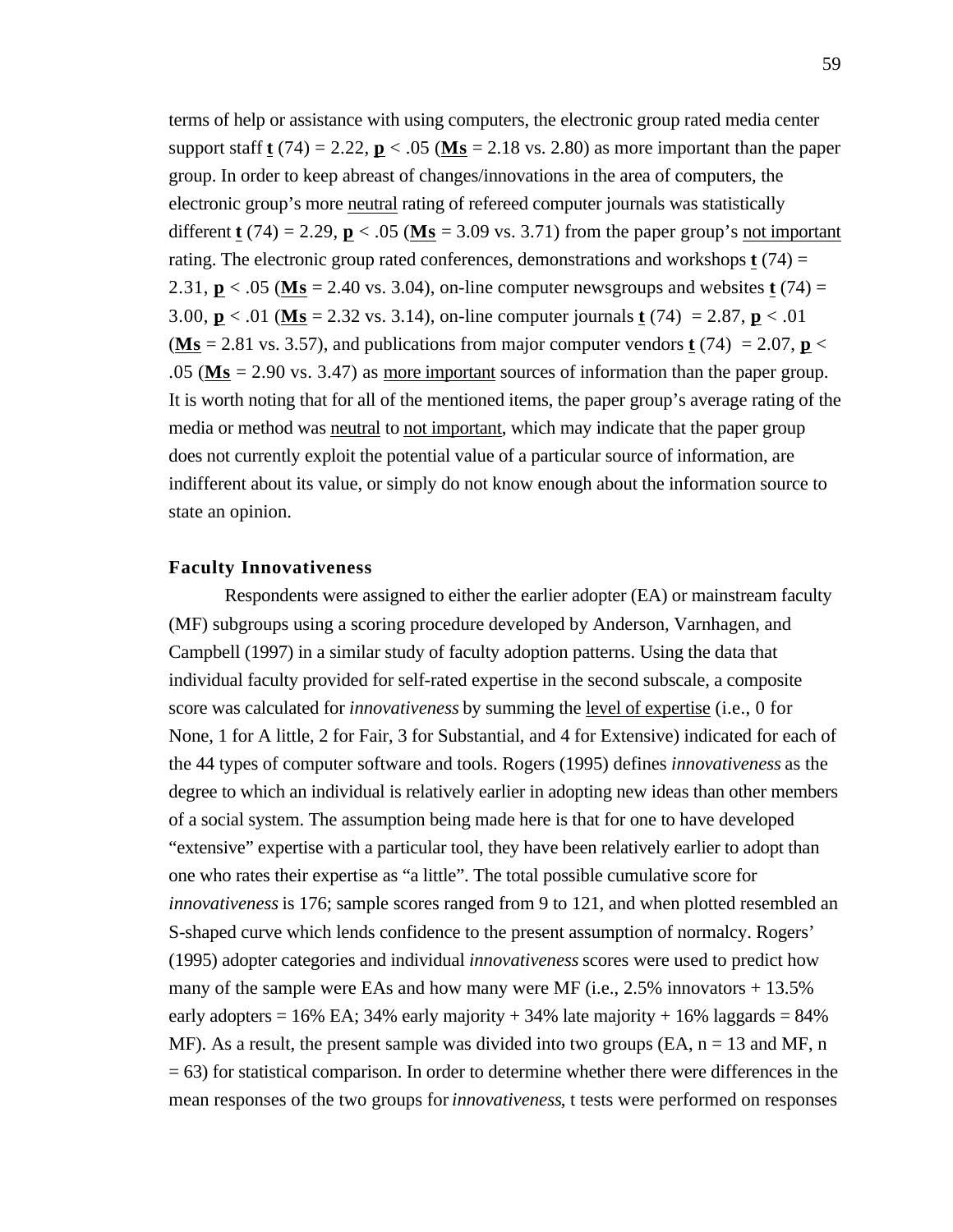terms of help or assistance with using computers, the electronic group rated media center support staff  $t$  (74) = 2.22,  $p < .05$  (Ms = 2.18 vs. 2.80) as more important than the paper group. In order to keep abreast of changes/innovations in the area of computers, the electronic group's more neutral rating of refereed computer journals was statistically different **t** (74) = 2.29,  $\mathbf{p}$  < .05 ( $\mathbf{M}\mathbf{s}$  = 3.09 vs. 3.71) from the paper group's not important rating. The electronic group rated conferences, demonstrations and workshops **t** (74) = 2.31,  $p < .05$  (Ms = 2.40 vs. 3.04), on-line computer newsgroups and websites  $t(74)$  = 3.00, **p** < .01 ( **Ms** = 2.32 vs. 3.14), on-line computer journals **t** (74) = 2.87, **p** < .01  $(Ms = 2.81 \text{ vs. } 3.57)$ , and publications from major computer vendors **t** (74) = 2.07, **p** < .05 ( **Ms** = 2.90 vs. 3.47) as more important sources of information than the paper group. It is worth noting that for all of the mentioned items, the paper group's average rating of the media or method was neutral to not important, which may indicate that the paper group does not currently exploit the potential value of a particular source of information, are indifferent about its value, or simply do not know enough about the information source to state an opinion.

# **Faculty Innovativeness**

Respondents were assigned to either the earlier adopter (EA) or mainstream faculty (MF) subgroups using a scoring procedure developed by Anderson, Varnhagen, and Campbell (1997) in a similar study of faculty adoption patterns. Using the data that individual faculty provided for self-rated expertise in the second subscale, a composite score was calculated for *innovativeness* by summing the level of expertise (i.e., 0 for None, 1 for A little, 2 for Fair, 3 for Substantial, and 4 for Extensive) indicated for each of the 44 types of computer software and tools. Rogers (1995) defines *innovativeness* as the degree to which an individual is relatively earlier in adopting new ideas than other members of a social system. The assumption being made here is that for one to have developed "extensive" expertise with a particular tool, they have been relatively earlier to adopt than one who rates their expertise as "a little". The total possible cumulative score for *innovativeness* is 176; sample scores ranged from 9 to 121, and when plotted resembled an S-shaped curve which lends confidence to the present assumption of normalcy. Rogers' (1995) adopter categories and individual *innovativeness* scores were used to predict how many of the sample were EAs and how many were MF (i.e.,  $2.5\%$  innovators  $+ 13.5\%$ ) early adopters =  $16\%$  EA; 34% early majority + 34% late majority +  $16\%$  laggards =  $84\%$ MF). As a result, the present sample was divided into two groups (EA,  $n = 13$  and MF, n  $= 63$ ) for statistical comparison. In order to determine whether there were differences in the mean responses of the two groups for *innovativeness*, t tests were performed on responses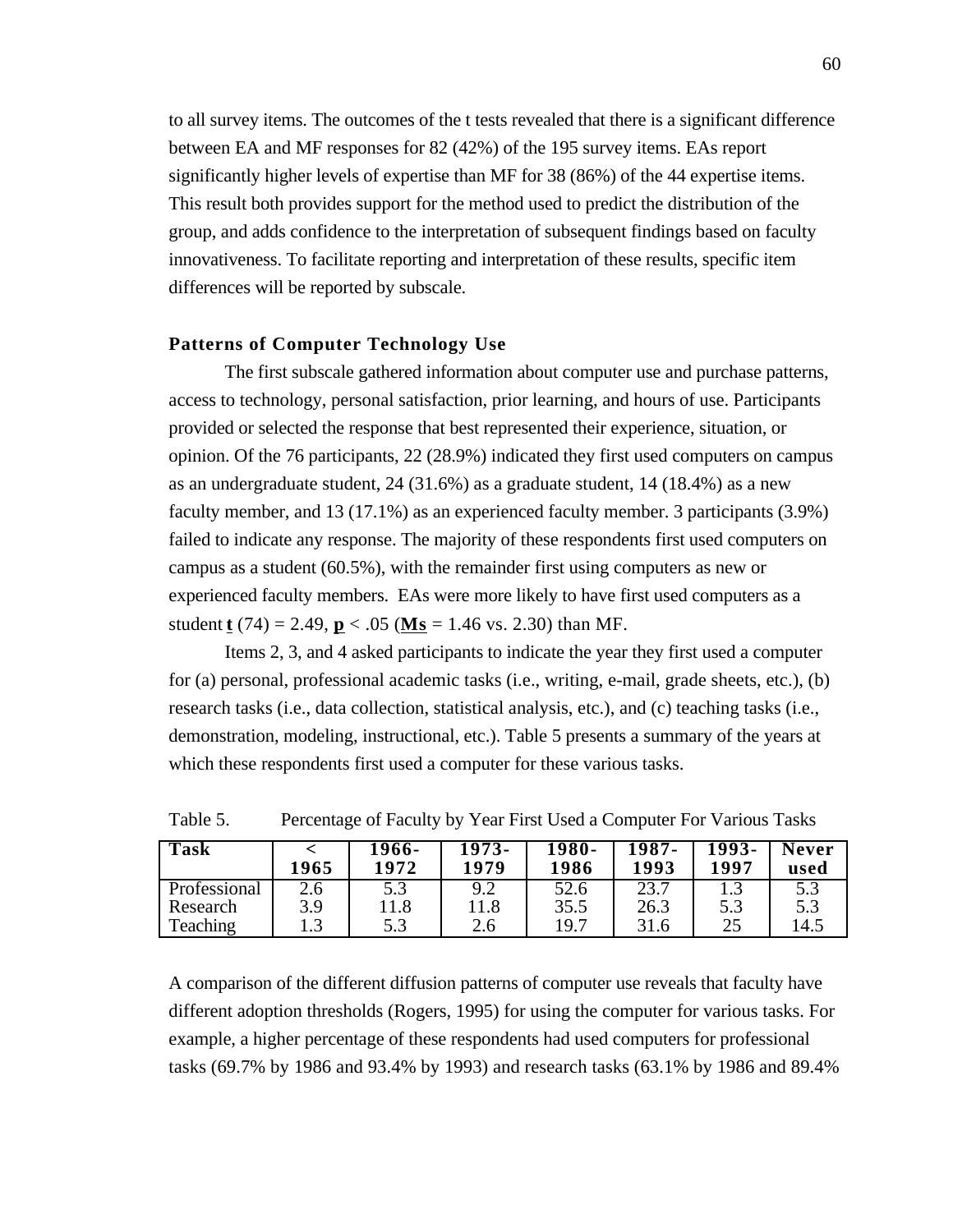to all survey items. The outcomes of the t tests revealed that there is a significant difference between EA and MF responses for 82 (42%) of the 195 survey items. EAs report significantly higher levels of expertise than MF for 38 (86%) of the 44 expertise items. This result both provides support for the method used to predict the distribution of the group, and adds confidence to the interpretation of subsequent findings based on faculty innovativeness. To facilitate reporting and interpretation of these results, specific item differences will be reported by subscale.

#### **Patterns of Computer Technology Use**

The first subscale gathered information about computer use and purchase patterns, access to technology, personal satisfaction, prior learning, and hours of use. Participants provided or selected the response that best represented their experience, situation, or opinion. Of the 76 participants, 22 (28.9%) indicated they first used computers on campus as an undergraduate student, 24 (31.6%) as a graduate student, 14 (18.4%) as a new faculty member, and 13 (17.1%) as an experienced faculty member. 3 participants (3.9%) failed to indicate any response. The majority of these respondents first used computers on campus as a student (60.5%), with the remainder first using computers as new or experienced faculty members. EAs were more likely to have first used computers as a student **t** (74) = 2.49, **p** < .05 (**Ms** = 1.46 vs. 2.30) than MF.

Items 2, 3, and 4 asked participants to indicate the year they first used a computer for (a) personal, professional academic tasks (i.e., writing, e-mail, grade sheets, etc.), (b) research tasks (i.e., data collection, statistical analysis, etc.), and (c) teaching tasks (i.e., demonstration, modeling, instructional, etc.). Table 5 presents a summary of the years at which these respondents first used a computer for these various tasks.

| <b>Task</b>  | 1965          | 1966-<br>1972 | $1973-$<br>1979 | $1980 -$<br>1986 | 1987-<br>1993 | $1993-$<br>1997 | <b>Never</b><br>used |
|--------------|---------------|---------------|-----------------|------------------|---------------|-----------------|----------------------|
| Professional | $2.6^{\circ}$ | 5.3           | Q <sub>0</sub>  | 52.6             | 23.7          |                 | 5.3                  |
| Research     | 3.9           | l 1.8         |                 | 35.5             | 26.3          | 5.3             | 5.3                  |
| Teaching     | 1.3           | 5.3           | 2.6             | 19.7             | 31.6          | 25              | 14.5                 |

Table 5. Percentage of Faculty by Year First Used a Computer For Various Tasks

A comparison of the different diffusion patterns of computer use reveals that faculty have different adoption thresholds (Rogers, 1995) for using the computer for various tasks. For example, a higher percentage of these respondents had used computers for professional tasks (69.7% by 1986 and 93.4% by 1993) and research tasks (63.1% by 1986 and 89.4%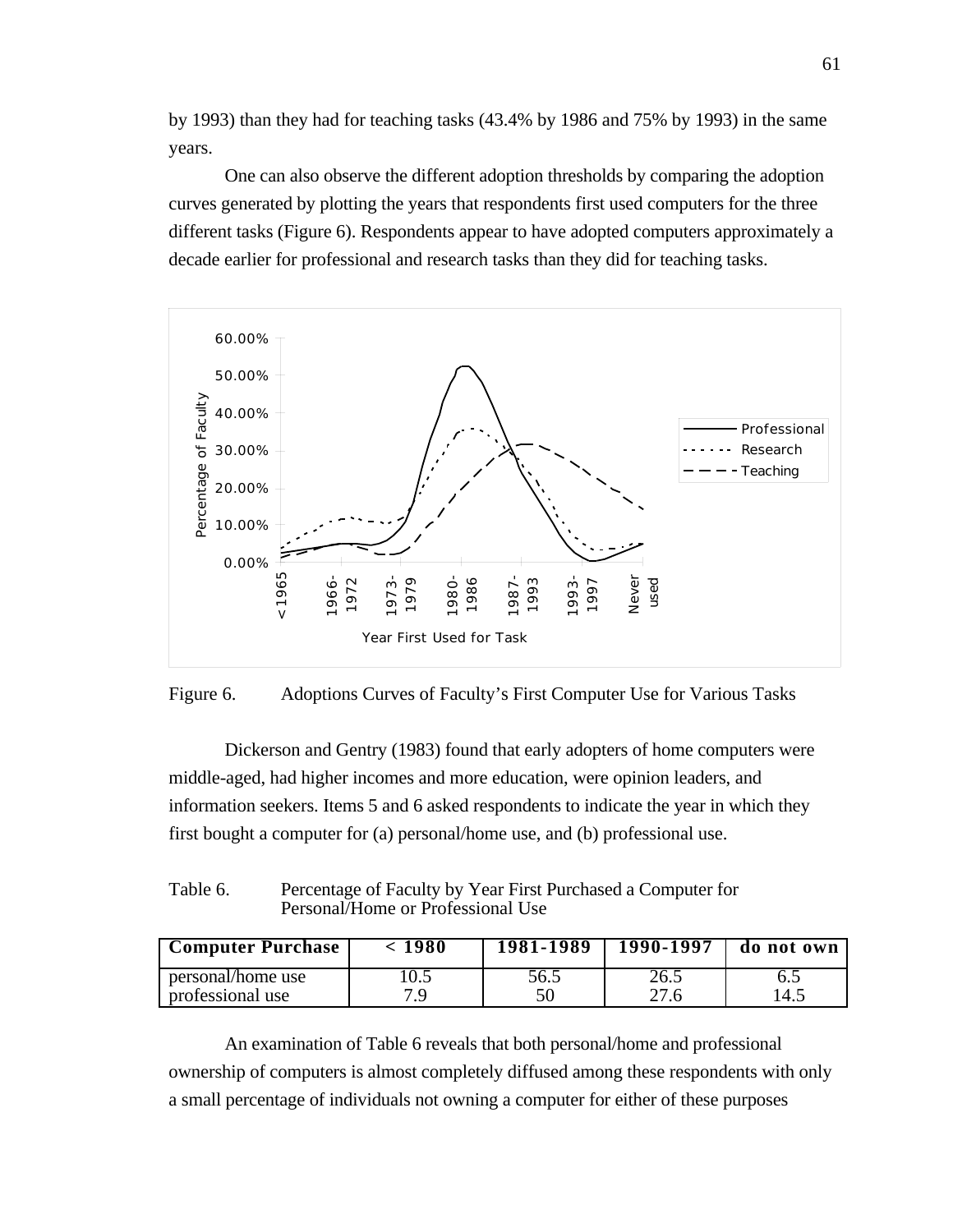by 1993) than they had for teaching tasks (43.4% by 1986 and 75% by 1993) in the same years.

One can also observe the different adoption thresholds by comparing the adoption curves generated by plotting the years that respondents first used computers for the three different tasks (Figure 6). Respondents appear to have adopted computers approximately a decade earlier for professional and research tasks than they did for teaching tasks.





Dickerson and Gentry (1983) found that early adopters of home computers were middle-aged, had higher incomes and more education, were opinion leaders, and information seekers. Items 5 and 6 asked respondents to indicate the year in which they first bought a computer for (a) personal/home use, and (b) professional use.

## Table 6. Percentage of Faculty by Year First Purchased a Computer for Personal/Home or Professional Use

| <b>Computer Purchase</b>              | ~ 1980 | $1981 - 1989$ | $1990 - 1997$ | do not own  |
|---------------------------------------|--------|---------------|---------------|-------------|
| personal/home use<br>professional use | 7 Q    | 56.5          | 26.5<br>27.6  | 6.1<br>14.5 |

An examination of Table 6 reveals that both personal/home and professional ownership of computers is almost completely diffused among these respondents with only a small percentage of individuals not owning a computer for either of these purposes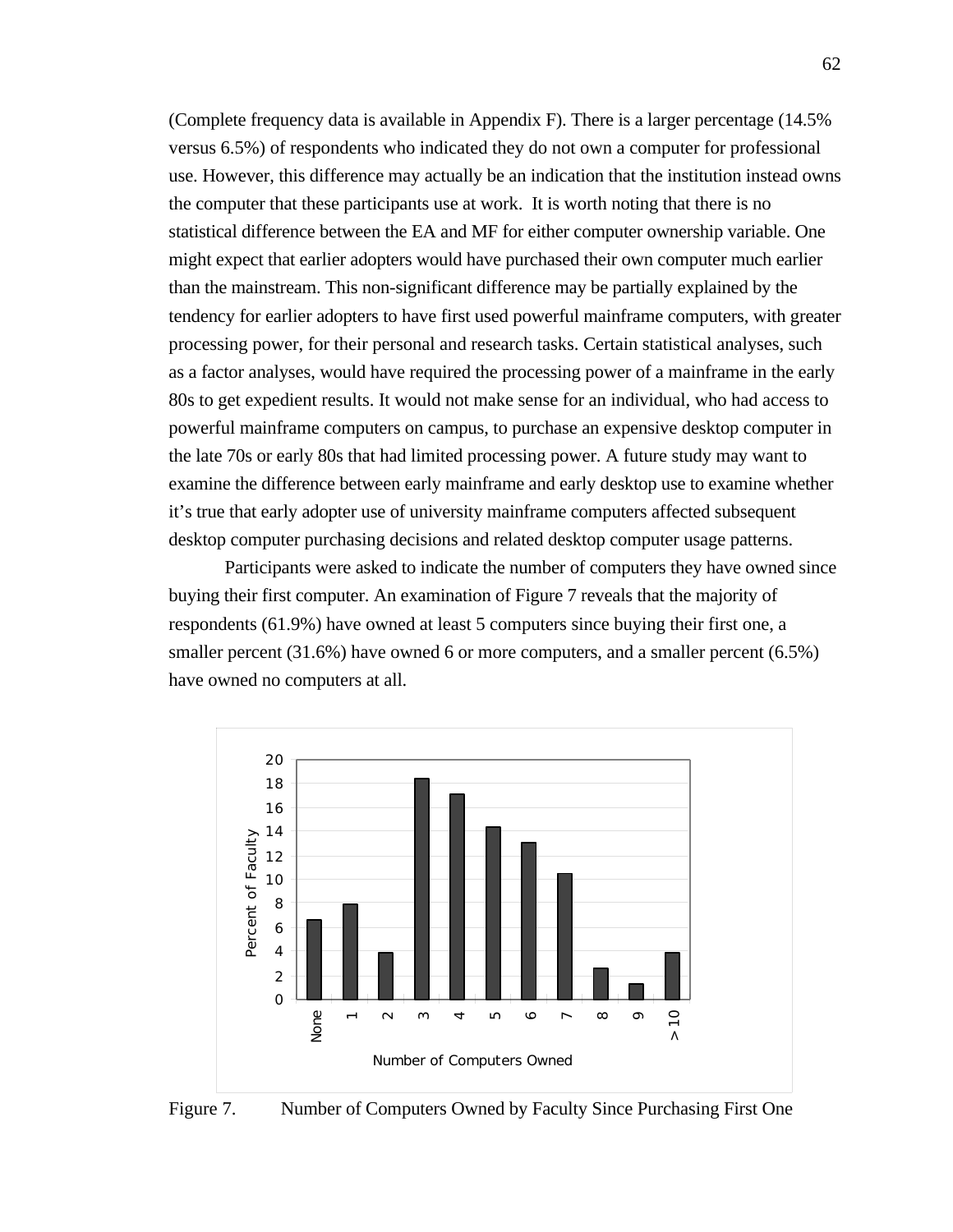(Complete frequency data is available in Appendix F). There is a larger percentage (14.5% versus 6.5%) of respondents who indicated they do not own a computer for professional use. However, this difference may actually be an indication that the institution instead owns the computer that these participants use at work. It is worth noting that there is no statistical difference between the EA and MF for either computer ownership variable. One might expect that earlier adopters would have purchased their own computer much earlier than the mainstream. This non-significant difference may be partially explained by the tendency for earlier adopters to have first used powerful mainframe computers, with greater processing power, for their personal and research tasks. Certain statistical analyses, such as a factor analyses, would have required the processing power of a mainframe in the early 80s to get expedient results. It would not make sense for an individual, who had access to powerful mainframe computers on campus, to purchase an expensive desktop computer in the late 70s or early 80s that had limited processing power. A future study may want to examine the difference between early mainframe and early desktop use to examine whether it's true that early adopter use of university mainframe computers affected subsequent desktop computer purchasing decisions and related desktop computer usage patterns.

Participants were asked to indicate the number of computers they have owned since buying their first computer. An examination of Figure 7 reveals that the majority of respondents (61.9%) have owned at least 5 computers since buying their first one, a smaller percent (31.6%) have owned 6 or more computers, and a smaller percent (6.5%) have owned no computers at all.



Figure 7. Number of Computers Owned by Faculty Since Purchasing First One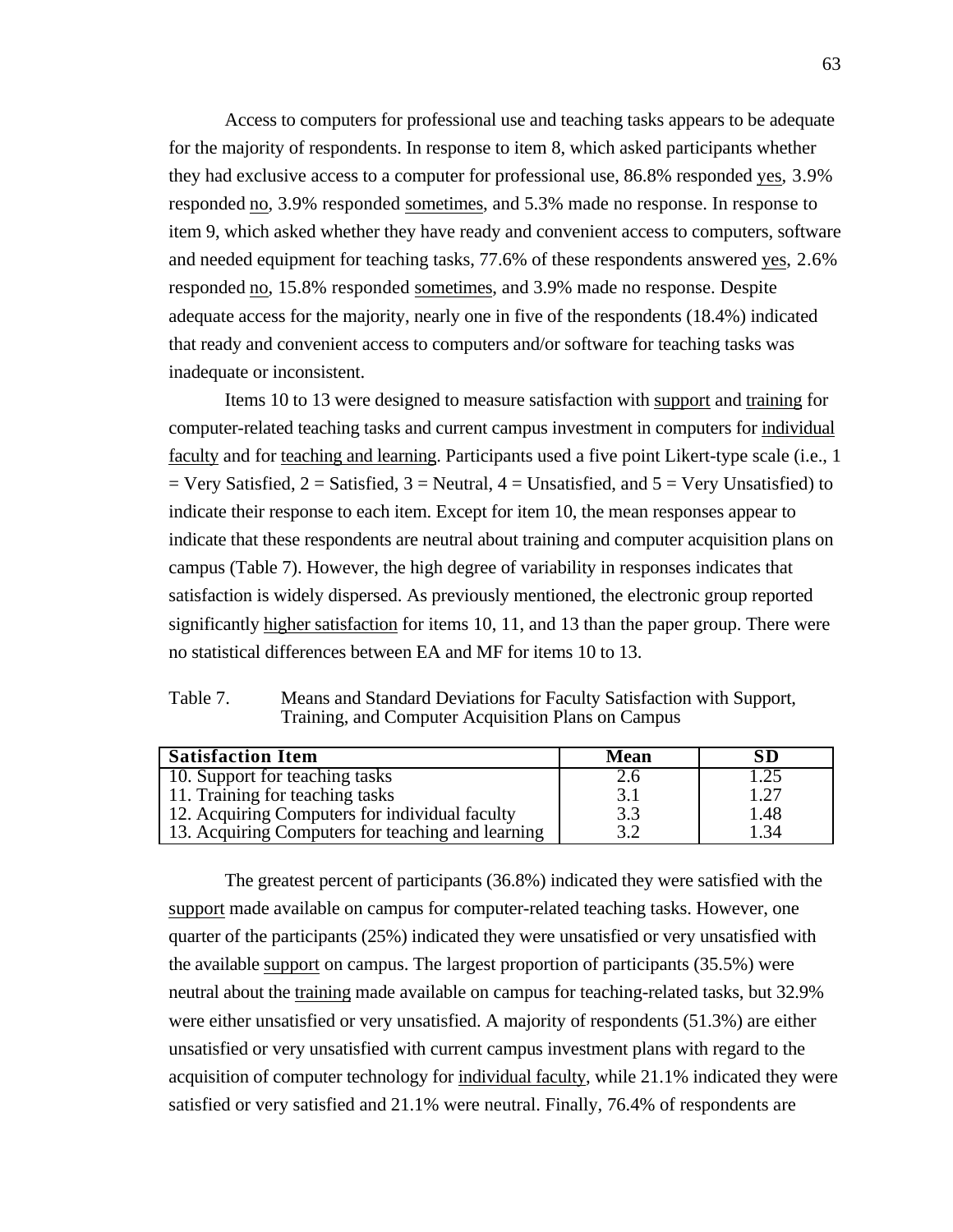Access to computers for professional use and teaching tasks appears to be adequate for the majority of respondents. In response to item 8, which asked participants whether they had exclusive access to a computer for professional use, 86.8% responded yes , 3.9% responded no, 3.9% responded sometimes, and 5.3% made no response. In response to item 9, which asked whether they have ready and convenient access to computers, software and needed equipment for teaching tasks, 77.6% of these respondents answered yes, 2.6% responded no, 15.8% responded sometimes, and 3.9% made no response. Despite adequate access for the majority, nearly one in five of the respondents (18.4%) indicated that ready and convenient access to computers and/or software for teaching tasks was inadequate or inconsistent.

Items 10 to 13 were designed to measure satisfaction with support and training for computer-related teaching tasks and current campus investment in computers for individual faculty and for teaching and learning . Participants used a five point Likert-type scale (i.e., 1  $=$  Very Satisfied, 2 = Satisfied, 3 = Neutral, 4 = Unsatisfied, and 5 = Very Unsatisfied) to indicate their response to each item. Except for item 10, the mean responses appear to indicate that these respondents are neutral about training and computer acquisition plans on campus (Table 7). However, the high degree of variability in responses indicates that satisfaction is widely dispersed. As previously mentioned, the electronic group reported significantly higher satisfaction for items 10, 11, and 13 than the paper group. There were no statistical differences between EA and MF for items 10 to 13.

| Table 7. | Means and Standard Deviations for Faculty Satisfaction with Support, |
|----------|----------------------------------------------------------------------|
|          | Training, and Computer Acquisition Plans on Campus                   |

| <b>Satisfaction Item</b>                          | <b>Mean</b> | SD   |
|---------------------------------------------------|-------------|------|
| 10. Support for teaching tasks                    | 2.6         |      |
| 11. Training for teaching tasks                   | 3.1         | 1.27 |
| 12. Acquiring Computers for individual faculty    | 3.3         | 1.48 |
| 13. Acquiring Computers for teaching and learning | 3.2         | l.34 |

The greatest percent of participants (36.8%) indicated they were satisfied with the support made available on campus for computer-related teaching tasks. However, one quarter of the participants (25%) indicated they were unsatisfied or very unsatisfied with the available support on campus. The largest proportion of participants (35.5%) were neutral about the training made available on campus for teaching-related tasks, but 32.9% were either unsatisfied or very unsatisfied. A majority of respondents (51.3%) are either unsatisfied or very unsatisfied with current campus investment plans with regard to the acquisition of computer technology for individual faculty, while 21.1% indicated they were satisfied or very satisfied and 21.1% were neutral. Finally, 76.4% of respondents are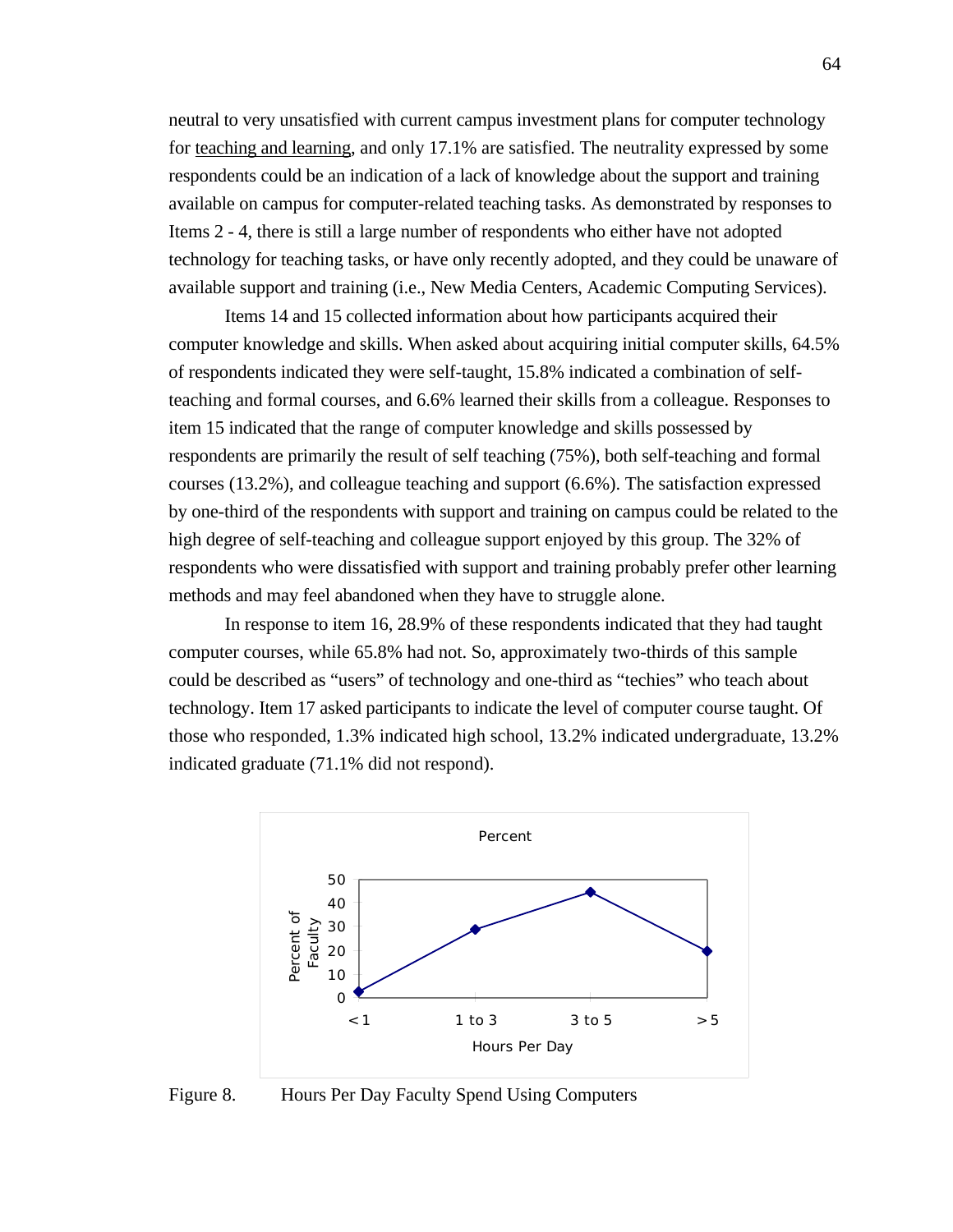neutral to very unsatisfied with current campus investment plans for computer technology for teaching and learning , and only 17.1% are satisfied. The neutrality expressed by some respondents could be an indication of a lack of knowledge about the support and training available on campus for computer-related teaching tasks. As demonstrated by responses to Items 2 - 4, there is still a large number of respondents who either have not adopted technology for teaching tasks, or have only recently adopted, and they could be unaware of available support and training (i.e., New Media Centers, Academic Computing Services).

Items 14 and 15 collected information about how participants acquired their computer knowledge and skills. When asked about acquiring initial computer skills, 64.5% of respondents indicated they were self-taught, 15.8% indicated a combination of selfteaching and formal courses, and 6.6% learned their skills from a colleague. Responses to item 15 indicated that the range of computer knowledge and skills possessed by respondents are primarily the result of self teaching (75%), both self-teaching and formal courses (13.2%), and colleague teaching and support (6.6%). The satisfaction expressed by one-third of the respondents with support and training on campus could be related to the high degree of self-teaching and colleague support enjoyed by this group. The 32% of respondents who were dissatisfied with support and training probably prefer other learning methods and may feel abandoned when they have to struggle alone.

In response to item 16, 28.9% of these respondents indicated that they had taught computer courses, while 65.8% had not. So, approximately two-thirds of this sample could be described as "users" of technology and one-third as "techies" who teach about technology. Item 17 asked participants to indicate the level of computer course taught. Of those who responded, 1.3% indicated high school, 13.2% indicated undergraduate, 13.2% indicated graduate (71.1% did not respond).



Figure 8. Hours Per Day Faculty Spend Using Computers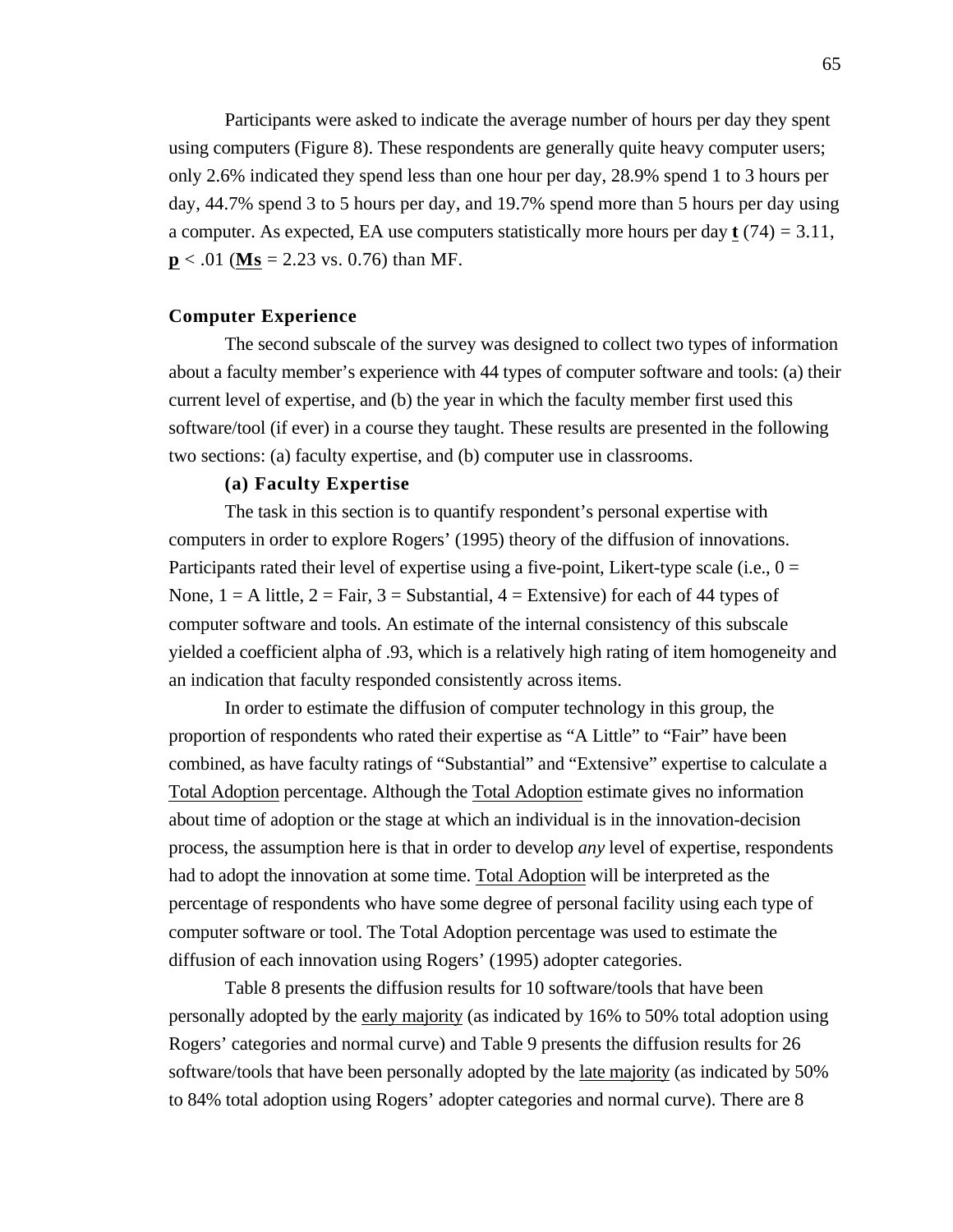Participants were asked to indicate the average number of hours per day they spent using computers (Figure 8). These respondents are generally quite heavy computer users; only 2.6% indicated they spend less than one hour per day, 28.9% spend 1 to 3 hours per day, 44.7% spend 3 to 5 hours per day, and 19.7% spend more than 5 hours per day using a computer. As expected, EA use computers statistically more hours per day **t** (74) = 3.11,  $p < .01$  (Ms = 2.23 vs. 0.76) than MF.

#### **Computer Experience**

The second subscale of the survey was designed to collect two types of information about a faculty member's experience with 44 types of computer software and tools: (a) their current level of expertise, and (b) the year in which the faculty member first used this software/tool (if ever) in a course they taught. These results are presented in the following two sections: (a) faculty expertise, and (b) computer use in classrooms.

## **(a) Faculty Expertise**

The task in this section is to quantify respondent's personal expertise with computers in order to explore Rogers' (1995) theory of the diffusion of innovations. Participants rated their level of expertise using a five-point, Likert-type scale (i.e.,  $0 =$ None,  $1 = A$  little,  $2 = Fair$ ,  $3 = Substantial$ ,  $4 = Extensive$  for each of 44 types of computer software and tools. An estimate of the internal consistency of this subscale yielded a coefficient alpha of .93, which is a relatively high rating of item homogeneity and an indication that faculty responded consistently across items.

In order to estimate the diffusion of computer technology in this group, the proportion of respondents who rated their expertise as "A Little" to "Fair" have been combined, as have faculty ratings of "Substantial" and "Extensive" expertise to calculate a Total Adoption percentage. Although the Total Adoption estimate gives no information about time of adoption or the stage at which an individual is in the innovation-decision process, the assumption here is that in order to develop *any* level of expertise, respondents had to adopt the innovation at some time. Total Adoption will be interpreted as the percentage of respondents who have some degree of personal facility using each type of computer software or tool. The Total Adoption percentage was used to estimate the diffusion of each innovation using Rogers' (1995) adopter categories.

Table 8 presents the diffusion results for 10 software/tools that have been personally adopted by the early majority (as indicated by 16% to 50% total adoption using Rogers' categories and normal curve) and Table 9 presents the diffusion results for 26 software/tools that have been personally adopted by the late majority (as indicated by 50% to 84% total adoption using Rogers' adopter categories and normal curve). There are 8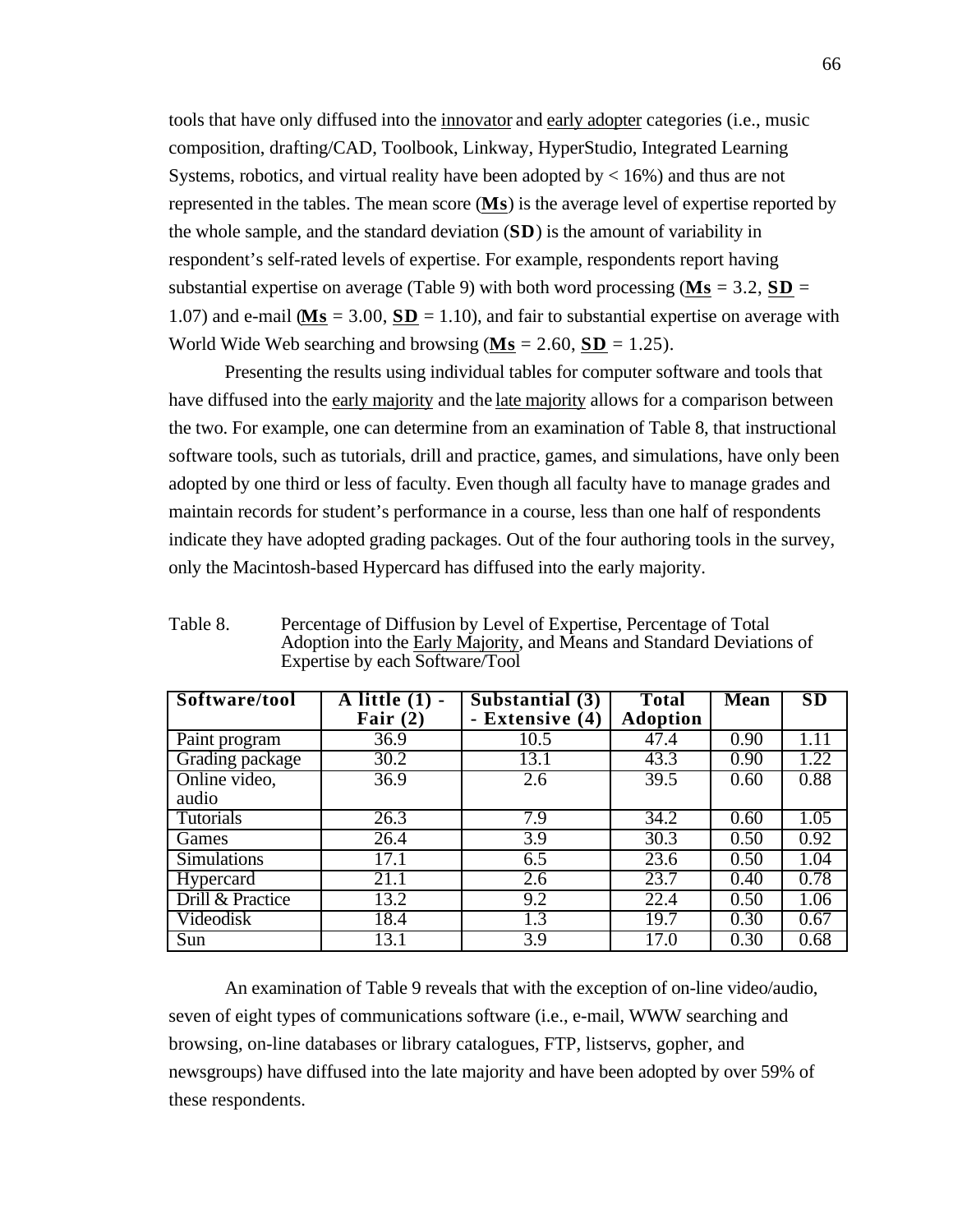tools that have only diffused into the innovator and early adopter categories (i.e., music composition, drafting/CAD, Toolbook, Linkway, HyperStudio, Integrated Learning Systems, robotics, and virtual reality have been adopted by  $\lt 16\%$  and thus are not represented in the tables. The mean score (Ms) is the average level of expertise reported by the whole sample, and the standard deviation (**SD**) is the amount of variability in respondent's self-rated levels of expertise. For example, respondents report having substantial expertise on average (Table 9) with both word processing ( $\mathbf{M}\mathbf{s} = 3.2$ ,  $\mathbf{SD} =$ 1.07) and e-mail ( $\mathbf{M}\mathbf{s} = 3.00$ ,  $\mathbf{SD} = 1.10$ ), and fair to substantial expertise on average with World Wide Web searching and browsing  $(Ms = 2.60, SD = 1.25)$ .

Presenting the results using individual tables for computer software and tools that have diffused into the early majority and the late majority allows for a comparison between the two. For example, one can determine from an examination of Table 8, that instructional software tools, such as tutorials, drill and practice, games, and simulations, have only been adopted by one third or less of faculty. Even though all faculty have to manage grades and maintain records for student's performance in a course, less than one half of respondents indicate they have adopted grading packages. Out of the four authoring tools in the survey, only the Macintosh-based Hypercard has diffused into the early majority.

Table 8. Percentage of Diffusion by Level of Expertise, Percentage of Total Adoption into the Early Majority, and Means and Standard Deviations of Expertise by each Software/Tool

| Software/tool      | $\overline{A}$ little $(1)$ - | $\overline{\text{Sub}}$ stantial (3) | <b>Total</b>    | Mean | SD   |
|--------------------|-------------------------------|--------------------------------------|-----------------|------|------|
|                    | Fair $(2)$                    | - Extensive (4)                      | <b>Adoption</b> |      |      |
| Paint program      | 36.9                          | 10.5                                 | 47.4            | 0.90 | 1.11 |
| Grading package    | 30.2                          | 13.1                                 | 43.3            | 0.90 | .22  |
| Online video,      | 36.9                          | 2.6                                  | 39.5            | 0.60 | 0.88 |
| audio              |                               |                                      |                 |      |      |
| <b>Tutorials</b>   | 26.3                          | 7.9                                  | 34.2            | 0.60 | 1.05 |
| Games              | 26.4                          | 3.9                                  | 30.3            | 0.50 | 0.92 |
| <b>Simulations</b> | 17.1                          | 6.5                                  | 23.6            | 0.50 | 1.04 |
| Hypercard          | 21.1                          | 2.6                                  | 23.7            | 0.40 | 0.78 |
| Drill & Practice   | 13.2                          | 9.2                                  | 22.4            | 0.50 | 1.06 |
| Videodisk          | 18.4                          | $\overline{1.3}$                     | 19.7            | 0.30 | 0.67 |
| Sun                | 13.1                          | $\overline{3.9}$                     | 17.0            | 0.30 | 0.68 |

An examination of Table 9 reveals that with the exception of on-line video/audio, seven of eight types of communications software (i.e., e-mail, WWW searching and browsing, on-line databases or library catalogues, FTP, listservs, gopher, and newsgroups) have diffused into the late majority and have been adopted by over 59% of these respondents.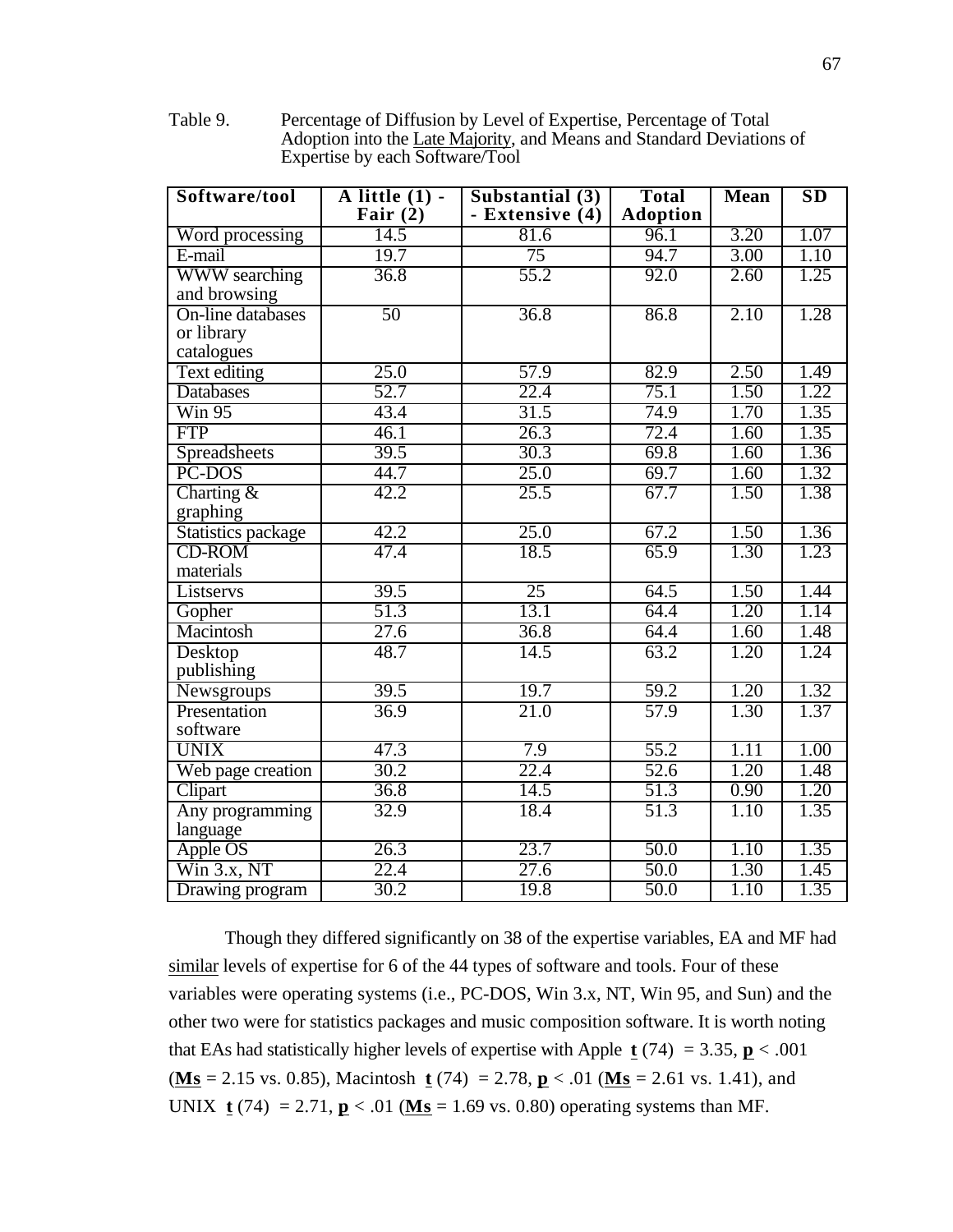Table 9. Percentage of Diffusion by Level of Expertise, Percentage of Total Adoption into the Late Majority, and Means and Standard Deviations of Expertise by each Software/Tool

| Software/tool              | $\overline{A}$ little $(1)$ - | Substantial (3) | <b>Total</b>    | <b>Mean</b> | SD   |
|----------------------------|-------------------------------|-----------------|-----------------|-------------|------|
|                            | Fair $(2)$                    | - Extensive (4) | <b>Adoption</b> |             |      |
| Word processing            | 14.5                          | 81.6            | 96.1            | 3.20        | 1.07 |
| E-mail                     | 19.7                          | 75              | 94.7            | 3.00        | 1.10 |
| <b>WWW</b> searching       | 36.8                          | 55.2            | 92.0            | 2.60        | 1.25 |
| and browsing               |                               |                 |                 |             |      |
| On-line databases          | 50                            | 36.8            | 86.8            | 2.10        | 1.28 |
| or library                 |                               |                 |                 |             |      |
| catalogues                 |                               |                 |                 |             |      |
| Text editing               | 25.0                          | 57.9            | 82.9            | 2.50        | 1.49 |
| Databases                  | 52.7                          | 22.4            | 75.1            | 1.50        | 1.22 |
| $\overline{\text{Win }95}$ | 43.4                          | 31.5            | 74.9            | 1.70        | 1.35 |
| <b>FTP</b>                 | 46.1                          | 26.3            | 72.4            | 1.60        | 1.35 |
| Spreadsheets               | 39.5                          | 30.3            | 69.8            | 1.60        | 1.36 |
| PC-DOS                     | 44.7                          | 25.0            | 69.7            | 1.60        | 1.32 |
| Charting $&$               | 42.2                          | 25.5            | 67.7            | 1.50        | 1.38 |
| graphing                   |                               |                 |                 |             |      |
| Statistics package         | 42.2                          | 25.0            | 67.2            | 1.50        | 1.36 |
| <b>CD-ROM</b>              | 47.4                          | 18.5            | 65.9            | 1.30        | 1.23 |
| materials                  |                               |                 |                 |             |      |
| Listservs                  | 39.5                          | 25              | 64.5            | 1.50        | 1.44 |
| Gopher                     | 51.3                          | 13.1            | 64.4            | 1.20        | 1.14 |
| Macintosh                  | 27.6                          | 36.8            | 64.4            | 1.60        | 1.48 |
| Desktop                    | 48.7                          | 14.5            | 63.2            | 1.20        | 1.24 |
| publishing                 |                               |                 |                 |             |      |
| Newsgroups                 | 39.5                          | 19.7            | 59.2            | 1.20        | 1.32 |
| Presentation               | 36.9                          | 21.0            | 57.9            | 1.30        | 1.37 |
| software                   |                               |                 |                 |             |      |
| <b>UNIX</b>                | 47.3                          | 7.9             | 55.2            | 1.11        | 1.00 |
| Web page creation          | 30.2                          | 22.4            | 52.6            | 1.20        | 1.48 |
| Clipart                    | 36.8                          | 14.5            | 51.3            | 0.90        | 1.20 |
| Any programming            | 32.9                          | 18.4            | 51.3            | 1.10        | 1.35 |
| language                   |                               |                 |                 |             |      |
| Apple OS                   | 26.3                          | 23.7            | 50.0            | 1.10        | 1.35 |
| Win $3.x$ , NT             | 22.4                          | 27.6            | 50.0            | 1.30        | 1.45 |
| Drawing program            | 30.2                          | 19.8            | 50.0            | 1.10        | 1.35 |

Though they differed significantly on 38 of the expertise variables, EA and MF had similar levels of expertise for 6 of the 44 types of software and tools. Four of these variables were operating systems (i.e., PC-DOS, Win 3.x, NT, Win 95, and Sun) and the other two were for statistics packages and music composition software. It is worth noting that EAs had statistically higher levels of expertise with Apple  $t(74) = 3.35$ ,  $p < .001$ ( $\textbf{Ms} = 2.15 \text{ vs. } 0.85$ ), Macintosh **t** (74) = 2.78, **p** < .01 ( $\textbf{Ms} = 2.61 \text{ vs. } 1.41$ ), and UNIX  $\bf{t}$  (74) = 2.71,  $\bf{p}$  < .01 ( $\bf{Ms}$  = 1.69 vs. 0.80) operating systems than MF.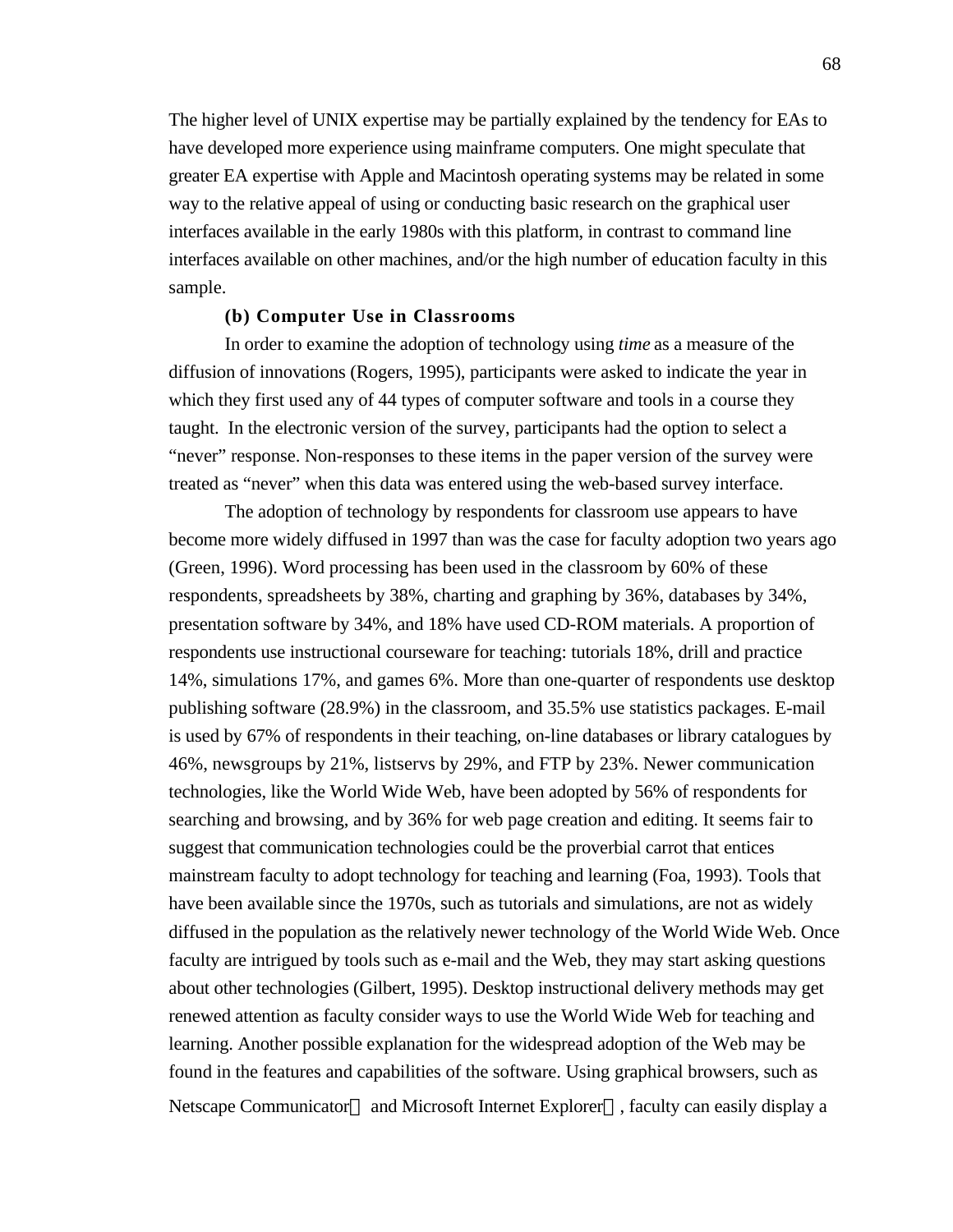The higher level of UNIX expertise may be partially explained by the tendency for EAs to have developed more experience using mainframe computers. One might speculate that greater EA expertise with Apple and Macintosh operating systems may be related in some way to the relative appeal of using or conducting basic research on the graphical user interfaces available in the early 1980s with this platform, in contrast to command line interfaces available on other machines, and/or the high number of education faculty in this sample.

## **(b) Computer Use in Classrooms**

In order to examine the adoption of technology using *time* as a measure of the diffusion of innovations (Rogers, 1995), participants were asked to indicate the year in which they first used any of 44 types of computer software and tools in a course they taught. In the electronic version of the survey, participants had the option to select a "never" response. Non-responses to these items in the paper version of the survey were treated as "never" when this data was entered using the web-based survey interface.

The adoption of technology by respondents for classroom use appears to have become more widely diffused in 1997 than was the case for faculty adoption two years ago (Green, 1996). Word processing has been used in the classroom by 60% of these respondents, spreadsheets by 38%, charting and graphing by 36%, databases by 34%, presentation software by 34%, and 18% have used CD-ROM materials. A proportion of respondents use instructional courseware for teaching: tutorials 18%, drill and practice 14%, simulations 17%, and games 6%. More than one-quarter of respondents use desktop publishing software (28.9%) in the classroom, and 35.5% use statistics packages. E-mail is used by 67% of respondents in their teaching, on-line databases or library catalogues by 46%, newsgroups by 21%, listservs by 29%, and FTP by 23%. Newer communication technologies, like the World Wide Web, have been adopted by 56% of respondents for searching and browsing, and by 36% for web page creation and editing. It seems fair to suggest that communication technologies could be the proverbial carrot that entices mainstream faculty to adopt technology for teaching and learning (Foa, 1993). Tools that have been available since the 1970s, such as tutorials and simulations, are not as widely diffused in the population as the relatively newer technology of the World Wide Web. Once faculty are intrigued by tools such as e-mail and the Web, they may start asking questions about other technologies (Gilbert, 1995). Desktop instructional delivery methods may get renewed attention as faculty consider ways to use the World Wide Web for teaching and learning. Another possible explanation for the widespread adoption of the Web may be found in the features and capabilities of the software. Using graphical browsers, such as Netscape Communicator and Microsoft Internet Explorer , faculty can easily display a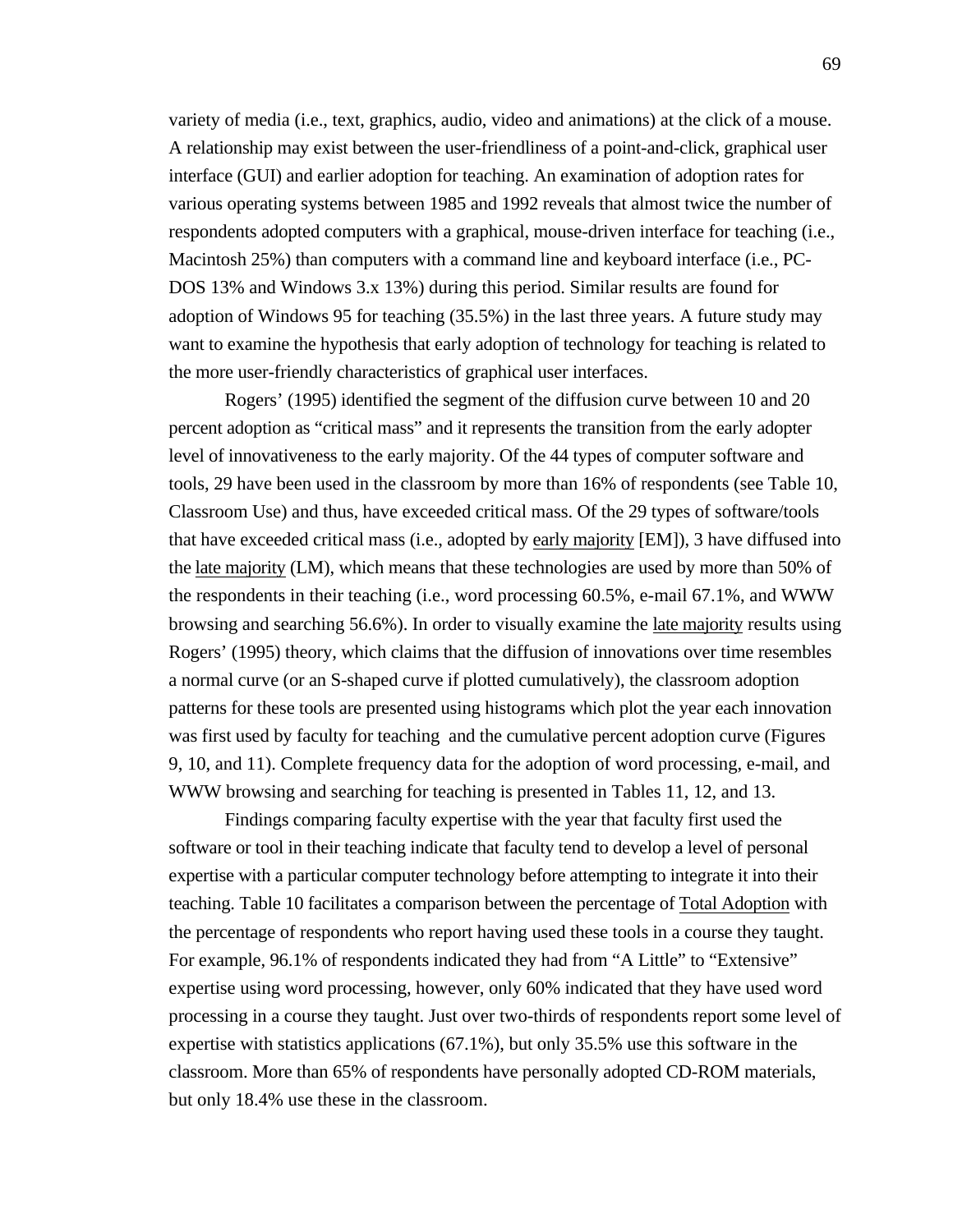variety of media (i.e., text, graphics, audio, video and animations) at the click of a mouse. A relationship may exist between the user-friendliness of a point-and-click, graphical user interface (GUI) and earlier adoption for teaching. An examination of adoption rates for various operating systems between 1985 and 1992 reveals that almost twice the number of respondents adopted computers with a graphical, mouse-driven interface for teaching (i.e., Macintosh 25%) than computers with a command line and keyboard interface (i.e., PC-DOS 13% and Windows 3.x 13%) during this period. Similar results are found for adoption of Windows 95 for teaching (35.5%) in the last three years. A future study may want to examine the hypothesis that early adoption of technology for teaching is related to the more user-friendly characteristics of graphical user interfaces.

Rogers' (1995) identified the segment of the diffusion curve between 10 and 20 percent adoption as "critical mass" and it represents the transition from the early adopter level of innovativeness to the early majority. Of the 44 types of computer software and tools, 29 have been used in the classroom by more than 16% of respondents (see Table 10, Classroom Use) and thus, have exceeded critical mass. Of the 29 types of software/tools that have exceeded critical mass (i.e., adopted by early majority [EM]), 3 have diffused into the late majority (LM), which means that these technologies are used by more than 50% of the respondents in their teaching (i.e., word processing 60.5%, e-mail 67.1%, and WWW browsing and searching 56.6%). In order to visually examine the late majority results using Rogers' (1995) theory, which claims that the diffusion of innovations over time resembles a normal curve (or an S-shaped curve if plotted cumulatively), the classroom adoption patterns for these tools are presented using histograms which plot the year each innovation was first used by faculty for teaching and the cumulative percent adoption curve (Figures 9, 10, and 11). Complete frequency data for the adoption of word processing, e-mail, and WWW browsing and searching for teaching is presented in Tables 11, 12, and 13.

Findings comparing faculty expertise with the year that faculty first used the software or tool in their teaching indicate that faculty tend to develop a level of personal expertise with a particular computer technology before attempting to integrate it into their teaching. Table 10 facilitates a comparison between the percentage of Total Adoption with the percentage of respondents who report having used these tools in a course they taught. For example, 96.1% of respondents indicated they had from "A Little" to "Extensive" expertise using word processing, however, only 60% indicated that they have used word processing in a course they taught. Just over two-thirds of respondents report some level of expertise with statistics applications (67.1%), but only 35.5% use this software in the classroom. More than 65% of respondents have personally adopted CD-ROM materials, but only 18.4% use these in the classroom.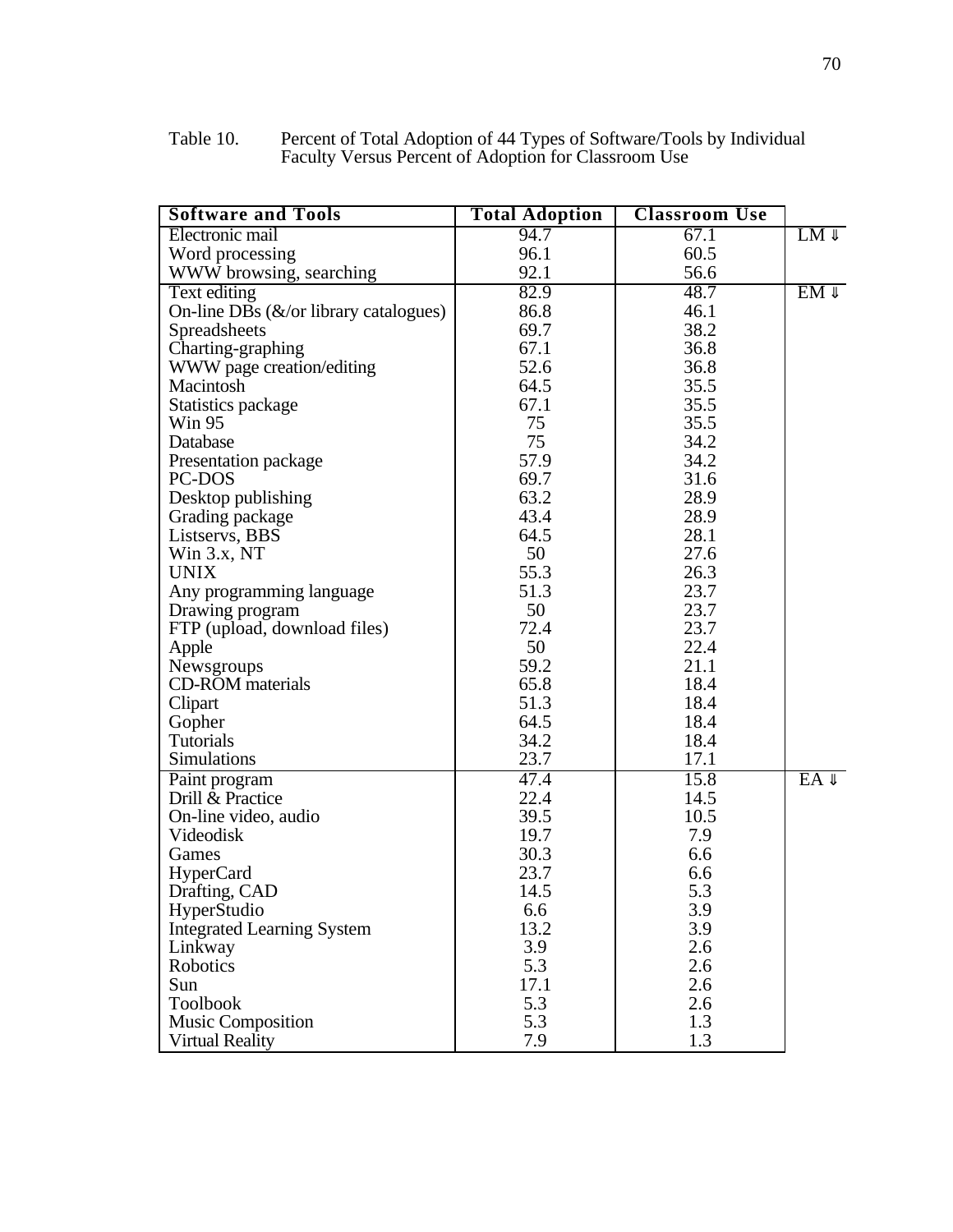| Table 10. | Percent of Total Adoption of 44 Types of Software/Tools by Individual |
|-----------|-----------------------------------------------------------------------|
|           | Faculty Versus Percent of Adoption for Classroom Use                  |

| <b>Software and Tools</b>                 | <b>Total Adoption</b> | <b>Classroom Use</b> |           |
|-------------------------------------------|-----------------------|----------------------|-----------|
| Electronic mail                           | 94.7                  | 67.1                 | LM        |
| Word processing                           | 96.1                  | 60.5                 |           |
| WWW browsing, searching                   | 92.1                  | 56.6                 |           |
| Text editing                              | 82.9                  | 48.7                 | <b>EM</b> |
| On-line DBs $(\&$ /or library catalogues) | 86.8                  | 46.1                 |           |
| Spreadsheets                              | 69.7                  | 38.2                 |           |
| Charting-graphing                         | 67.1                  | 36.8                 |           |
| WWW page creation/editing                 | 52.6                  | 36.8                 |           |
| Macintosh                                 | 64.5                  | 35.5                 |           |
| Statistics package                        | 67.1                  | 35.5                 |           |
| <b>Win 95</b>                             | 75                    | 35.5                 |           |
| Database                                  | 75                    | 34.2                 |           |
| Presentation package                      | 57.9                  | 34.2                 |           |
| PC-DOS                                    | 69.7                  | 31.6                 |           |
| Desktop publishing                        | 63.2                  | 28.9                 |           |
| Grading package                           | 43.4                  | 28.9                 |           |
| Listservs, BBS                            | 64.5                  | 28.1                 |           |
| Win 3.x, NT                               | 50                    | 27.6                 |           |
| <b>UNIX</b>                               | 55.3                  | 26.3                 |           |
| Any programming language                  | 51.3                  | 23.7                 |           |
| Drawing program                           | 50                    | 23.7                 |           |
| FTP (upload, download files)              | 72.4                  | 23.7                 |           |
| Apple                                     | 50                    | 22.4                 |           |
| Newsgroups                                | 59.2                  | 21.1                 |           |
| <b>CD-ROM</b> materials                   | 65.8                  | 18.4                 |           |
| Clipart                                   | 51.3                  | 18.4                 |           |
| Gopher                                    | 64.5                  | 18.4                 |           |
| <b>Tutorials</b>                          | 34.2                  | 18.4                 |           |
| Simulations                               | 23.7                  | 17.1                 |           |
| Paint program                             | 47.4                  | 15.8                 | EA        |
| Drill & Practice                          | 22.4                  | 14.5                 |           |
| On-line video, audio                      | 39.5                  | 10.5                 |           |
| Videodisk                                 | 19.7                  | 7.9                  |           |
| Games                                     | 30.3                  | 6.6                  |           |
| HyperCard                                 | 23.7                  | 6.6                  |           |
| Drafting, CAD                             | 14.5                  | 5.3                  |           |
| HyperStudio                               | 6.6                   | 3.9                  |           |
| <b>Integrated Learning System</b>         | 13.2                  | 3.9                  |           |
| Linkway                                   | 3.9                   | 2.6                  |           |
| Robotics                                  | 5.3                   | 2.6                  |           |
| Sun                                       | 17.1                  | 2.6                  |           |
| Toolbook                                  | 5.3                   | 2.6                  |           |
| <b>Music Composition</b>                  | 5.3                   | 1.3                  |           |
| <b>Virtual Reality</b>                    | 7.9                   | 1.3                  |           |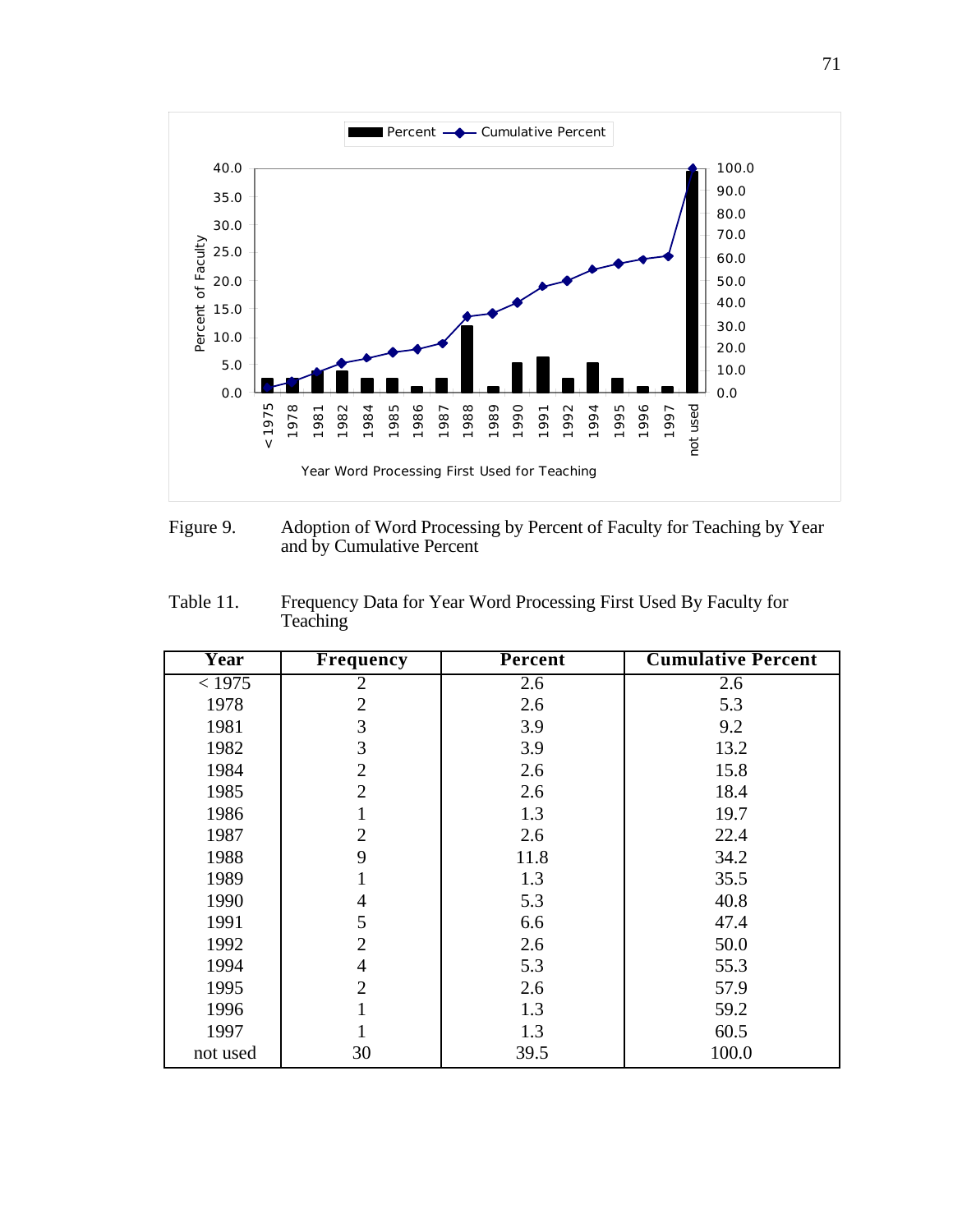

Figure 9. Adoption of Word Processing by Percent of Faculty for Teaching by Year and by Cumulative Percent

| Table 11. | Frequency Data for Year Word Processing First Used By Faculty for |
|-----------|-------------------------------------------------------------------|
|           | <b>Teaching</b>                                                   |

| Year          | <b>Frequency</b> | <b>Percent</b> | <b>Cumulative Percent</b> |
|---------------|------------------|----------------|---------------------------|
| $\sqrt{1975}$ | 2                | 2.6            | 2.6                       |
| 1978          | $\overline{2}$   | 2.6            | 5.3                       |
| 1981          | 3                | 3.9            | 9.2                       |
| 1982          | 3                | 3.9            | 13.2                      |
| 1984          | $\overline{2}$   | 2.6            | 15.8                      |
| 1985          | $\overline{2}$   | 2.6            | 18.4                      |
| 1986          | 1                | 1.3            | 19.7                      |
| 1987          | $\overline{2}$   | 2.6            | 22.4                      |
| 1988          | 9                | 11.8           | 34.2                      |
| 1989          | 1                | 1.3            | 35.5                      |
| 1990          | $\overline{4}$   | 5.3            | 40.8                      |
| 1991          | 5                | 6.6            | 47.4                      |
| 1992          | $\overline{2}$   | 2.6            | 50.0                      |
| 1994          | $\overline{4}$   | 5.3            | 55.3                      |
| 1995          | $\overline{2}$   | 2.6            | 57.9                      |
| 1996          | 1                | 1.3            | 59.2                      |
| 1997          |                  | 1.3            | 60.5                      |
| not used      | 30               | 39.5           | 100.0                     |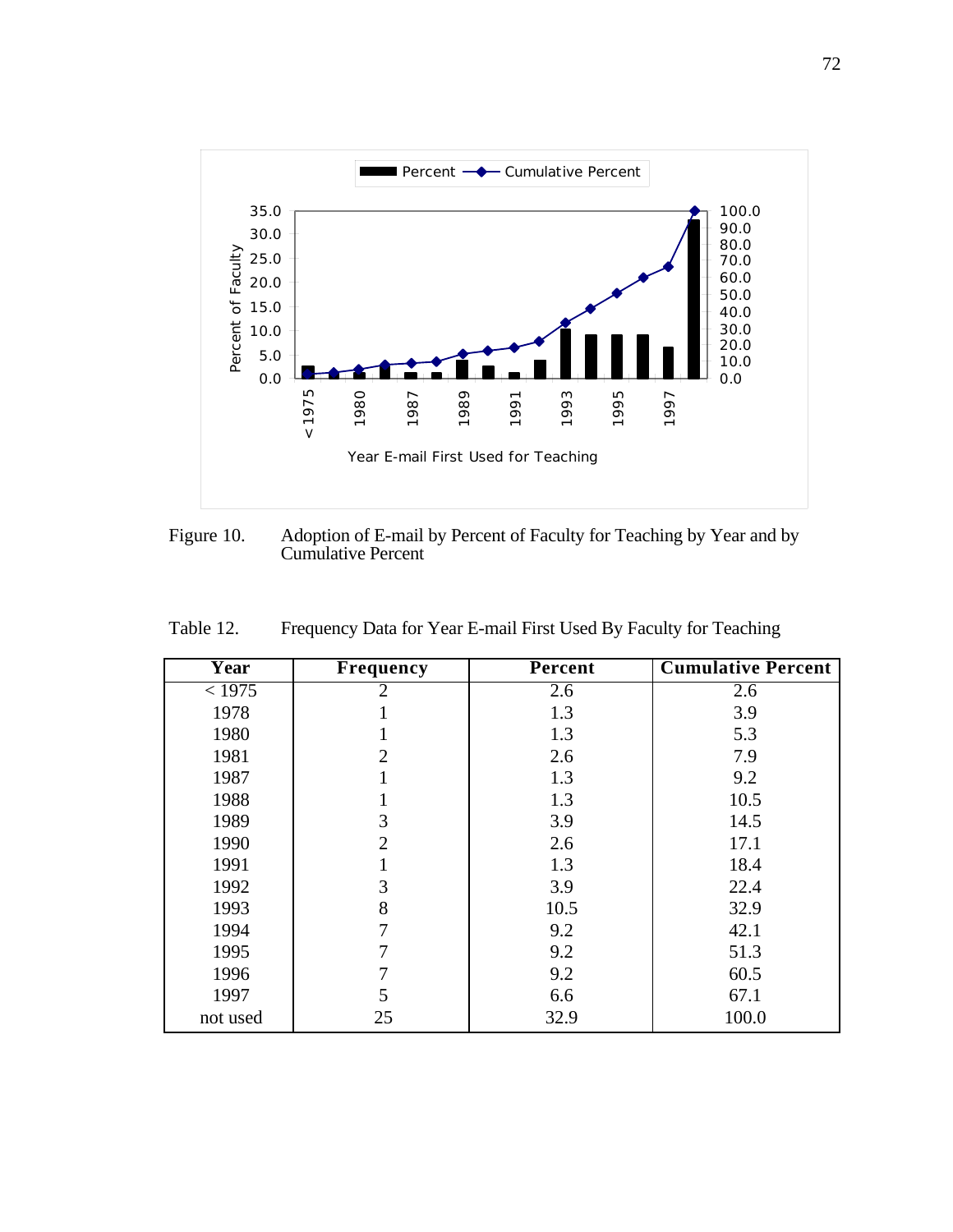

Figure 10. Adoption of E-mail by Percent of Faculty for Teaching by Year and by Cumulative Percent

| Year     | <b>Frequency</b> | Percent | <b>Cumulative Percent</b> |
|----------|------------------|---------|---------------------------|
| < 1975   | 2                | 2.6     | 2.6                       |
| 1978     |                  | 1.3     | 3.9                       |
| 1980     |                  | 1.3     | 5.3                       |
| 1981     | $\overline{2}$   | 2.6     | 7.9                       |
| 1987     |                  | 1.3     | 9.2                       |
| 1988     |                  | 1.3     | 10.5                      |
| 1989     | 3                | 3.9     | 14.5                      |
| 1990     | $\overline{2}$   | 2.6     | 17.1                      |
| 1991     |                  | 1.3     | 18.4                      |
| 1992     | 3                | 3.9     | 22.4                      |
| 1993     | 8                | 10.5    | 32.9                      |
| 1994     | 7                | 9.2     | 42.1                      |
| 1995     |                  | 9.2     | 51.3                      |
| 1996     | 7                | 9.2     | 60.5                      |
| 1997     | 5                | 6.6     | 67.1                      |
| not used | 25               | 32.9    | 100.0                     |

Table 12. Frequency Data for Year E-mail First Used By Faculty for Teaching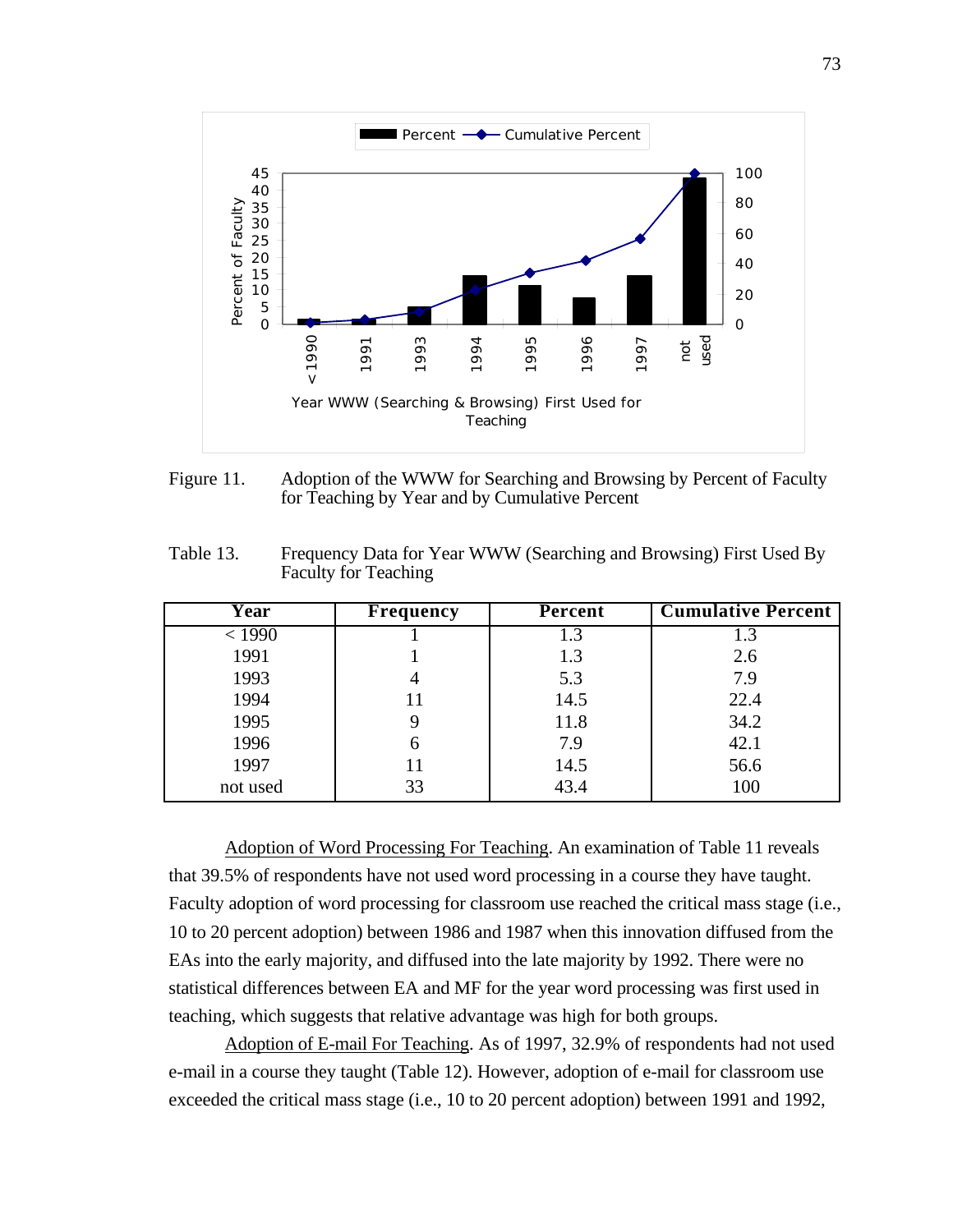

Figure 11. Adoption of the WWW for Searching and Browsing by Percent of Faculty for Teaching by Year and by Cumulative Percent

Table 13. Frequency Data for Year WWW (Searching and Browsing) First Used By Faculty for Teaching

| Year     | <b>Frequency</b> | Percent | <b>Cumulative Percent</b> |
|----------|------------------|---------|---------------------------|
| < 1990   |                  | 1.3     | 1.3                       |
| 1991     |                  | 1.3     | 2.6                       |
| 1993     |                  | 5.3     | 7.9                       |
| 1994     | 11               | 14.5    | 22.4                      |
| 1995     |                  | 11.8    | 34.2                      |
| 1996     |                  | 7.9     | 42.1                      |
| 1997     | 11               | 14.5    | 56.6                      |
| not used | 33               | 43.4    | 100                       |

 Adoption of Word Processing For Teaching . An examination of Table 11 reveals that 39.5% of respondents have not used word processing in a course they have taught. Faculty adoption of word processing for classroom use reached the critical mass stage (i.e., 10 to 20 percent adoption) between 1986 and 1987 when this innovation diffused from the EAs into the early majority, and diffused into the late majority by 1992. There were no statistical differences between EA and MF for the year word processing was first used in teaching, which suggests that relative advantage was high for both groups.

Adoption of E-mail For Teaching. As of 1997, 32.9% of respondents had not used e-mail in a course they taught (Table 12). However, adoption of e-mail for classroom use exceeded the critical mass stage (i.e., 10 to 20 percent adoption) between 1991 and 1992,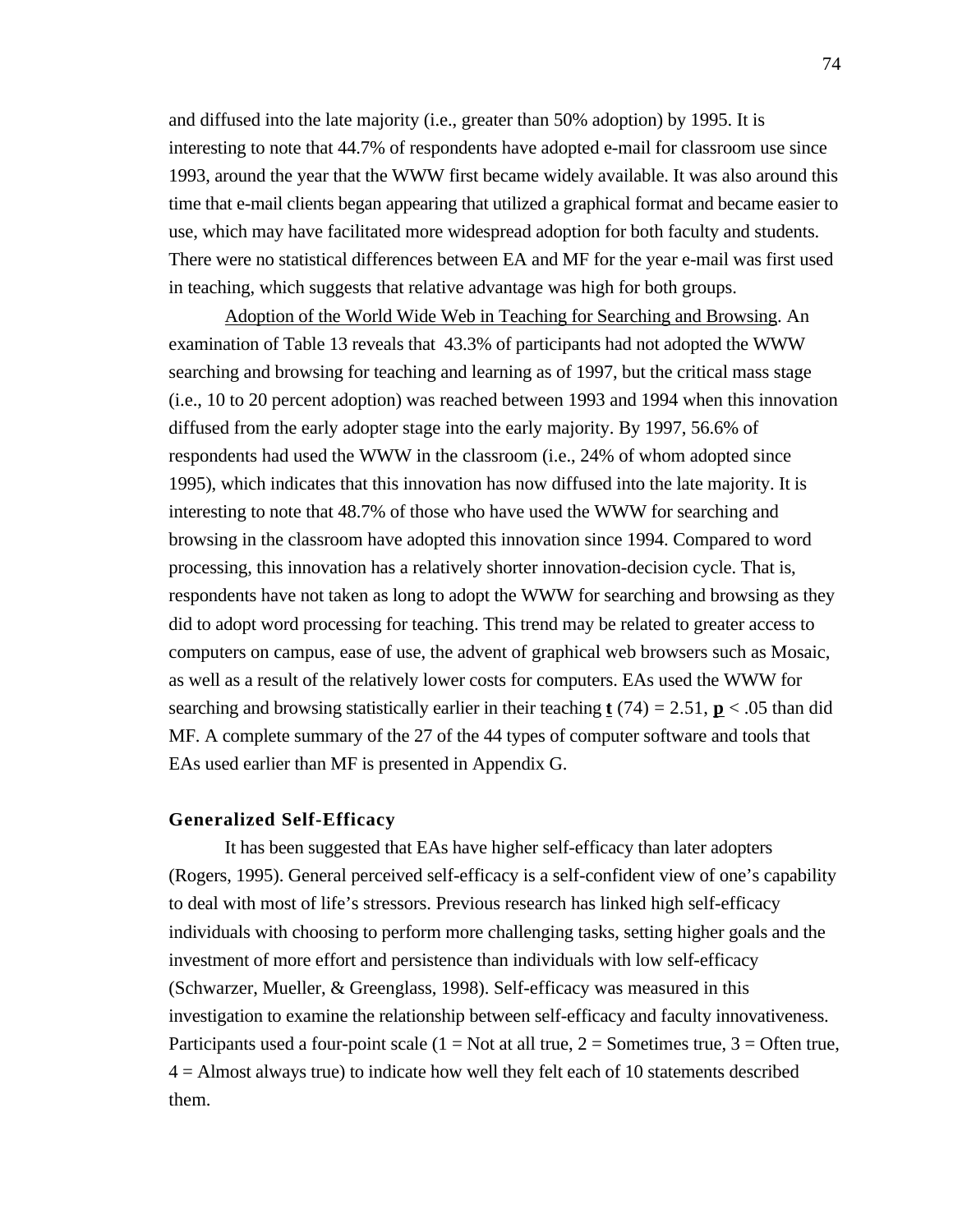and diffused into the late majority (i.e., greater than 50% adoption) by 1995. It is interesting to note that 44.7% of respondents have adopted e-mail for classroom use since 1993, around the year that the WWW first became widely available. It was also around this time that e-mail clients began appearing that utilized a graphical format and became easier to use, which may have facilitated more widespread adoption for both faculty and students. There were no statistical differences between EA and MF for the year e-mail was first used in teaching, which suggests that relative advantage was high for both groups.

 Adoption of the World Wide Web in Teaching for Searching and Browsing . An examination of Table 13 reveals that 43.3% of participants had not adopted the WWW searching and browsing for teaching and learning as of 1997, but the critical mass stage (i.e., 10 to 20 percent adoption) was reached between 1993 and 1994 when this innovation diffused from the early adopter stage into the early majority. By 1997, 56.6% of respondents had used the WWW in the classroom (i.e., 24% of whom adopted since 1995), which indicates that this innovation has now diffused into the late majority. It is interesting to note that 48.7% of those who have used the WWW for searching and browsing in the classroom have adopted this innovation since 1994. Compared to word processing, this innovation has a relatively shorter innovation-decision cycle. That is, respondents have not taken as long to adopt the WWW for searching and browsing as they did to adopt word processing for teaching. This trend may be related to greater access to computers on campus, ease of use, the advent of graphical web browsers such as Mosaic, as well as a result of the relatively lower costs for computers. EAs used the WWW for searching and browsing statistically earlier in their teaching  $t(74) = 2.51$ ,  $p < .05$  than did MF. A complete summary of the 27 of the 44 types of computer software and tools that EAs used earlier than MF is presented in Appendix G.

## **Generalized Self-Efficacy**

It has been suggested that EAs have higher self-efficacy than later adopters (Rogers, 1995). General perceived self-efficacy is a self-confident view of one's capability to deal with most of life's stressors. Previous research has linked high self-efficacy individuals with choosing to perform more challenging tasks, setting higher goals and the investment of more effort and persistence than individuals with low self-efficacy (Schwarzer, Mueller, & Greenglass, 1998). Self-efficacy was measured in this investigation to examine the relationship between self-efficacy and faculty innovativeness. Participants used a four-point scale  $(1 = Not at all true, 2 = Sometimes true, 3 = Often true,$ 4 = Almost always true) to indicate how well they felt each of 10 statements described them.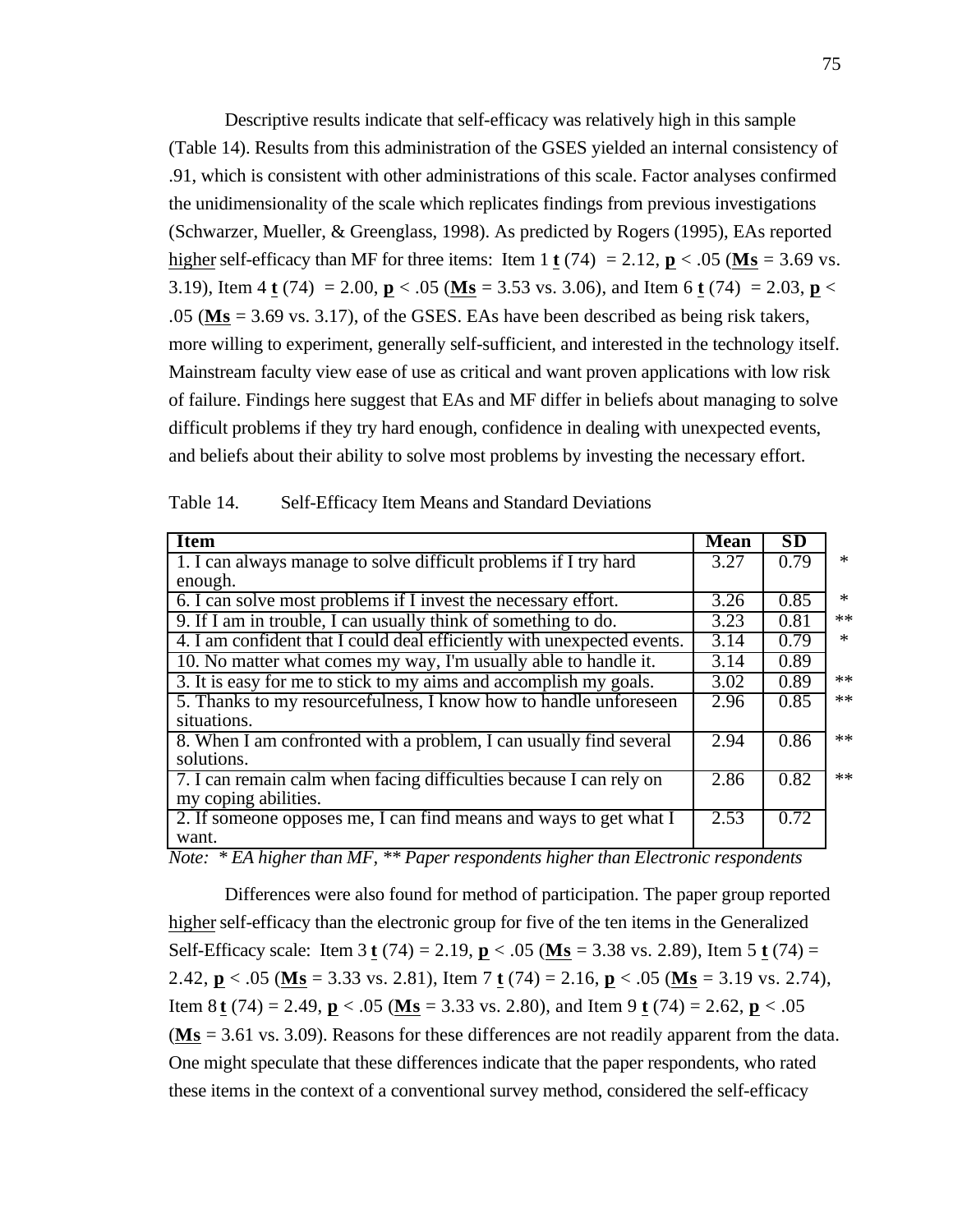Descriptive results indicate that self-efficacy was relatively high in this sample (Table 14). Results from this administration of the GSES yielded an internal consistency of .91, which is consistent with other administrations of this scale. Factor analyses confirmed the unidimensionality of the scale which replicates findings from previous investigations (Schwarzer, Mueller, & Greenglass, 1998). As predicted by Rogers (1995), EAs reported higher self-efficacy than MF for three items: Item 1 **t** (74) = 2.12, **p** < .05 (**Ms** = 3.69 vs. 3.19), Item 4 **t** (74) = 2.00, **p** < .05 (**Ms** = 3.53 vs. 3.06), and Item 6 **t** (74) = 2.03, **p** < .05 ( **Ms** = 3.69 vs. 3.17), of the GSES. EAs have been described as being risk takers, more willing to experiment, generally self-sufficient, and interested in the technology itself. Mainstream faculty view ease of use as critical and want proven applications with low risk of failure. Findings here suggest that EAs and MF differ in beliefs about managing to solve difficult problems if they try hard enough, confidence in dealing with unexpected events, and beliefs about their ability to solve most problems by investing the necessary effort.

| <b>Item</b>                                                             | <b>Mean</b>       | <b>SD</b> |        |
|-------------------------------------------------------------------------|-------------------|-----------|--------|
| 1. I can always manage to solve difficult problems if I try hard        | $\overline{3.27}$ | 0.79      | $\ast$ |
| enough.                                                                 |                   |           |        |
| 6. I can solve most problems if I invest the necessary effort.          | 3.26              | 0.85      | $\ast$ |
| 9. If I am in trouble, I can usually think of something to do.          | 3.23              | 0.81      | $**$   |
| 4. I am confident that I could deal efficiently with unexpected events. | 3.14              | 0.79      | $\ast$ |
| 10. No matter what comes my way, I'm usually able to handle it.         | 3.14              | 0.89      |        |
| 3. It is easy for me to stick to my aims and accomplish my goals.       | 3.02              | 0.89      | $**$   |
| 5. Thanks to my resourcefulness, I know how to handle unforeseen        | 2.96              | 0.85      | $**$   |
| situations.                                                             |                   |           |        |
| 8. When I am confronted with a problem, I can usually find several      | 2.94              | 0.86      | $**$   |
| solutions.                                                              |                   |           |        |
| 7. I can remain calm when facing difficulties because I can rely on     | 2.86              | 0.82      | $**$   |
| my coping abilities.                                                    |                   |           |        |
| 2. If someone opposes me, I can find means and ways to get what I       | 2.53              | 0.72      |        |
| want.                                                                   |                   |           |        |

| Table 14. | Self-Efficacy Item Means and Standard Deviations |  |  |  |
|-----------|--------------------------------------------------|--|--|--|
|-----------|--------------------------------------------------|--|--|--|

*Note: \* EA higher than MF, \*\* Paper respondents higher than Electronic respondents*

Differences were also found for method of participation. The paper group reported higher self-efficacy than the electronic group for five of the ten items in the Generalized Self-Efficacy scale: Item 3 **t** (74) = 2.19, **p** < .05 ( **Ms** = 3.38 vs. 2.89), Item 5 **t** (74) = 2.42, **p** < .05 ( **Ms** = 3.33 vs. 2.81), Item 7 **t** (74) = 2.16, **p** < .05 ( **Ms** = 3.19 vs. 2.74), Item 8 **t** (74) = 2.49, **p** < .05 ( **Ms** = 3.33 vs. 2.80), and Item 9 **t** (74) = 2.62, **p** < .05 ( **Ms** = 3.61 vs. 3.09). Reasons for these differences are not readily apparent from the data. One might speculate that these differences indicate that the paper respondents, who rated these items in the context of a conventional survey method, considered the self-efficacy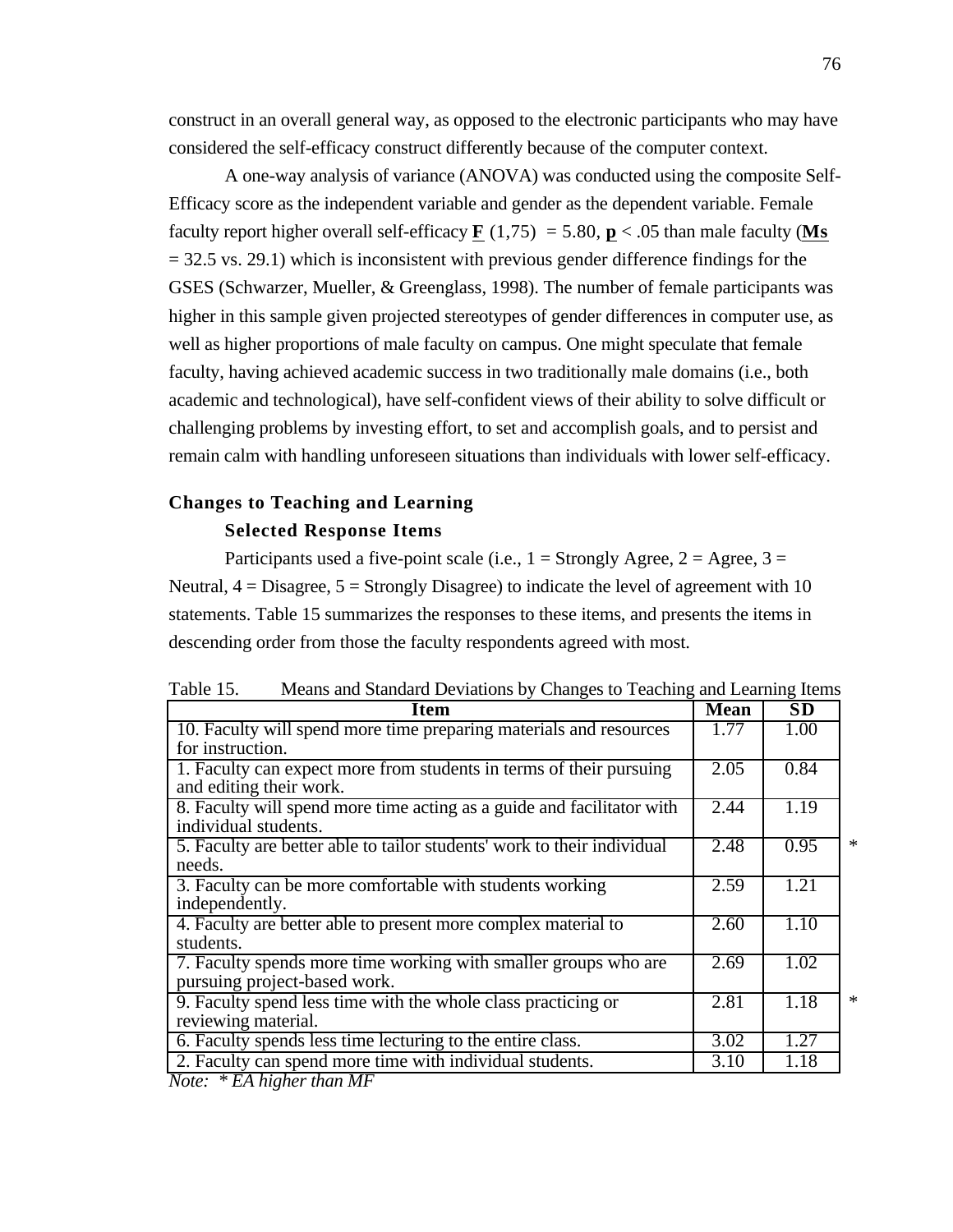construct in an overall general way, as opposed to the electronic participants who may have considered the self-efficacy construct differently because of the computer context.

A one-way analysis of variance (ANOVA) was conducted using the composite Self-Efficacy score as the independent variable and gender as the dependent variable. Female faculty report higher overall self-efficacy  $\mathbf{F}$  (1,75) = 5.80,  $\mathbf{p}$  < .05 than male faculty (Ms  $= 32.5$  vs. 29.1) which is inconsistent with previous gender difference findings for the GSES (Schwarzer, Mueller, & Greenglass, 1998). The number of female participants was higher in this sample given projected stereotypes of gender differences in computer use, as well as higher proportions of male faculty on campus. One might speculate that female faculty, having achieved academic success in two traditionally male domains (i.e., both academic and technological), have self-confident views of their ability to solve difficult or challenging problems by investing effort, to set and accomplish goals, and to persist and remain calm with handling unforeseen situations than individuals with lower self-efficacy.

## **Changes to Teaching and Learning**

#### **Selected Response Items**

Participants used a five-point scale (i.e.,  $1 =$  Strongly Agree,  $2 =$  Agree,  $3 =$ Neutral,  $4 = Disagree$ ,  $5 = Strongly Disagree$ ) to indicate the level of agreement with 10 statements. Table 15 summarizes the responses to these items, and presents the items in descending order from those the faculty respondents agreed with most.

| Table 15. | Means and Standard Deviations by Changes to Teaching and Learning Items |  |  |  |  |
|-----------|-------------------------------------------------------------------------|--|--|--|--|
|           |                                                                         |  |  |  |  |

| <b>Item</b>                                                             | <b>Mean</b> | $\overline{\text{SD}}$ |   |
|-------------------------------------------------------------------------|-------------|------------------------|---|
| 10. Faculty will spend more time preparing materials and resources      | 1.77        | 1.00                   |   |
| for instruction.                                                        |             |                        |   |
| 1. Faculty can expect more from students in terms of their pursuing     | 2.05        | 0.84                   |   |
| and editing their work.                                                 |             |                        |   |
| 8. Faculty will spend more time acting as a guide and facilitator with  | 2.44        | 1.19                   |   |
| individual students.                                                    |             |                        |   |
| 5. Faculty are better able to tailor students' work to their individual | 2.48        | 0.95                   | ∗ |
| needs.                                                                  |             |                        |   |
| 3. Faculty can be more comfortable with students working                | 2.59        | 1.21                   |   |
| independently.                                                          |             |                        |   |
| 4. Faculty are better able to present more complex material to          | 2.60        | 1.10                   |   |
| students.                                                               |             |                        |   |
| 7. Faculty spends more time working with smaller groups who are         | 2.69        | 1.02                   |   |
| pursuing project-based work.                                            |             |                        |   |
| 9. Faculty spend less time with the whole class practicing or           | 2.81        | 1.18                   | ∗ |
| reviewing material.                                                     |             |                        |   |
| 6. Faculty spends less time lecturing to the entire class.              | 3.02        | 1.27                   |   |
| 2. Faculty can spend more time with individual students.                | 3.10        | 1.18                   |   |

*Note: \* EA higher than MF*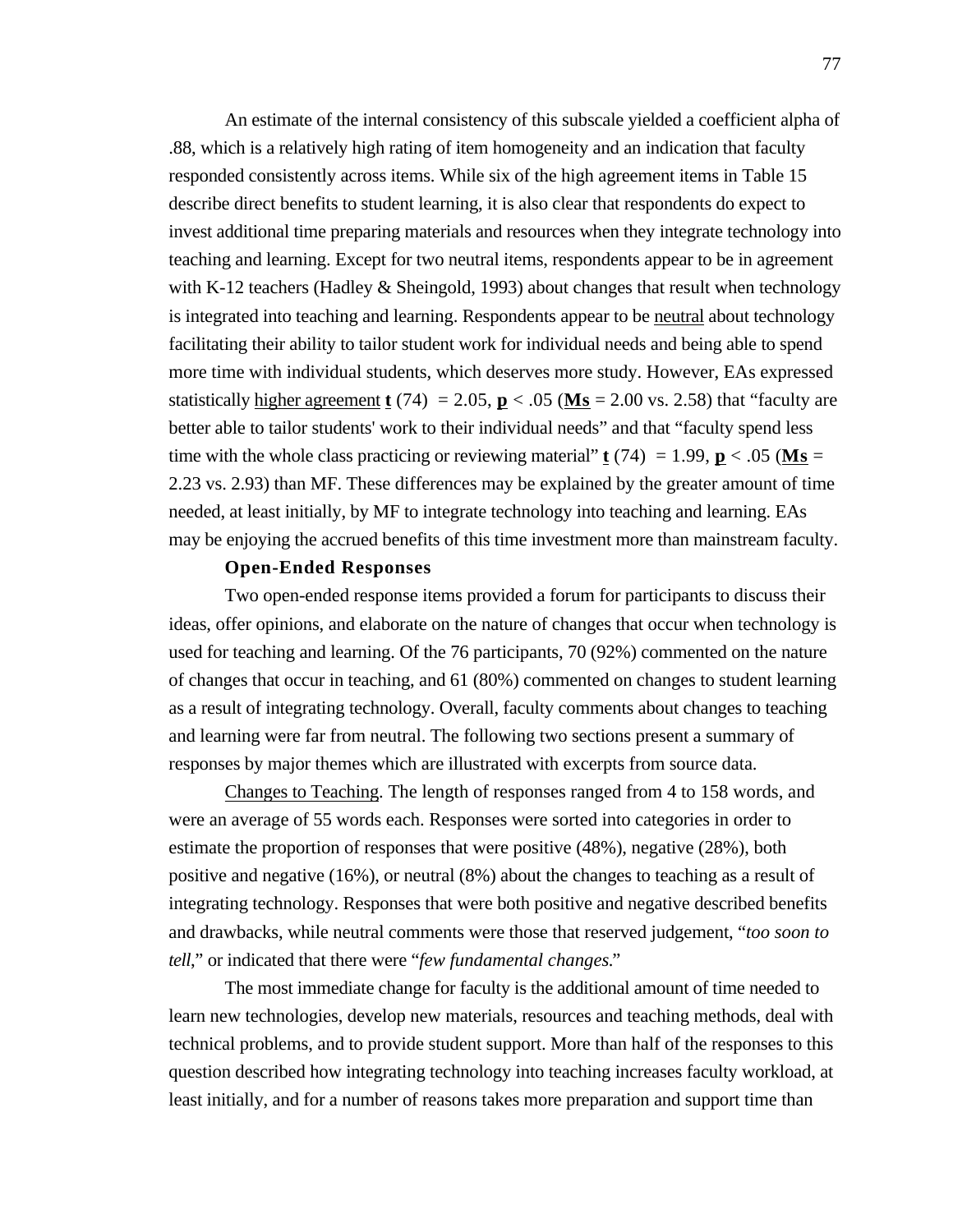An estimate of the internal consistency of this subscale yielded a coefficient alpha of .88, which is a relatively high rating of item homogeneity and an indication that faculty responded consistently across items. While six of the high agreement items in Table 15 describe direct benefits to student learning, it is also clear that respondents do expect to invest additional time preparing materials and resources when they integrate technology into teaching and learning. Except for two neutral items, respondents appear to be in agreement with K-12 teachers (Hadley & Sheingold, 1993) about changes that result when technology is integrated into teaching and learning. Respondents appear to be neutral about technology facilitating their ability to tailor student work for individual needs and being able to spend more time with individual students, which deserves more study. However, EAs expressed statistically higher agreement **t** (74) = 2.05, **p** < .05 (**Ms** = 2.00 vs. 2.58) that "faculty are better able to tailor students' work to their individual needs" and that "faculty spend less time with the whole class practicing or reviewing material" **t** (74) = 1.99, **p** < .05 (**Ms** = 2.23 vs. 2.93) than MF. These differences may be explained by the greater amount of time needed, at least initially, by MF to integrate technology into teaching and learning. EAs may be enjoying the accrued benefits of this time investment more than mainstream faculty.

## **Open-Ended Responses**

Two open-ended response items provided a forum for participants to discuss their ideas, offer opinions, and elaborate on the nature of changes that occur when technology is used for teaching and learning. Of the 76 participants, 70 (92%) commented on the nature of changes that occur in teaching, and 61 (80%) commented on changes to student learning as a result of integrating technology. Overall, faculty comments about changes to teaching and learning were far from neutral. The following two sections present a summary of responses by major themes which are illustrated with excerpts from source data.

 Changes to Teaching . The length of responses ranged from 4 to 158 words, and were an average of 55 words each. Responses were sorted into categories in order to estimate the proportion of responses that were positive (48%), negative (28%), both positive and negative (16%), or neutral (8%) about the changes to teaching as a result of integrating technology. Responses that were both positive and negative described benefits and drawbacks, while neutral comments were those that reserved judgement, "*too soon to tell*," or indicated that there were "*few fundamental changes.*"

The most immediate change for faculty is the additional amount of time needed to learn new technologies, develop new materials, resources and teaching methods, deal with technical problems, and to provide student support. More than half of the responses to this question described how integrating technology into teaching increases faculty workload, at least initially, and for a number of reasons takes more preparation and support time than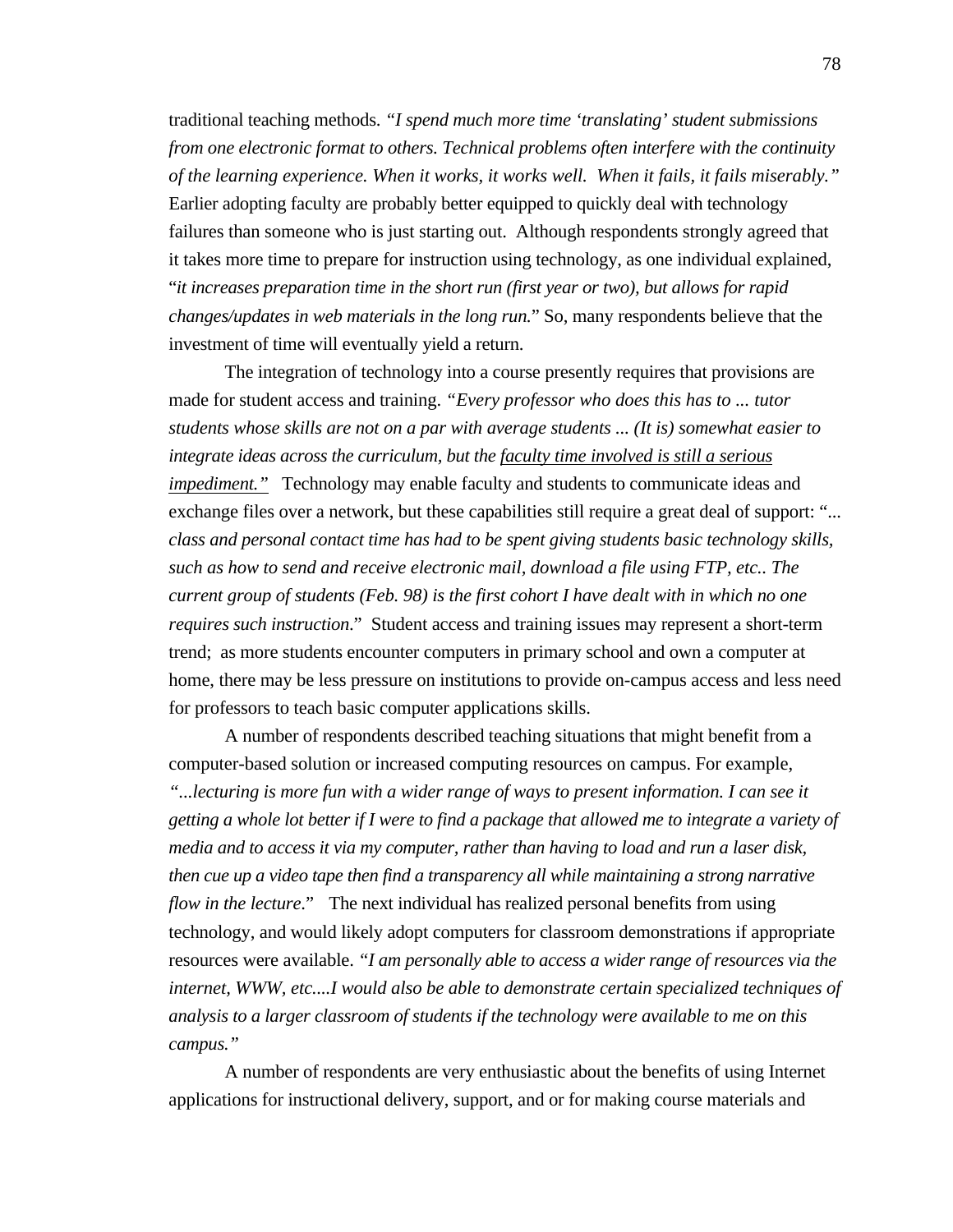traditional teaching methods. *"I spend much more time 'translating' student submissions from one electronic format to others. Technical problems often interfere with the continuity of the learning experience. When it works, it works well. When it fails, it fails miserably."* Earlier adopting faculty are probably better equipped to quickly deal with technology failures than someone who is just starting out. Although respondents strongly agreed that it takes more time to prepare for instruction using technology, as one individual explained, "*it increases preparation time in the short run (first year or two), but allows for rapid changes/updates in web materials in the long run.*" So, many respondents believe that the investment of time will eventually yield a return.

The integration of technology into a course presently requires that provisions are made for student access and training. *"Every professor who does this has to ... tutor students whose skills are not on a par with average students ... (It is) somewhat easier to integrate ideas across the curriculum, but the faculty time involved is still a serious impediment.*" Technology may enable faculty and students to communicate ideas and exchange files over a network, but these capabilities still require a great deal of support: "... *class and personal contact time has had to be spent giving students basic technology skills, such as how to send and receive electronic mail, download a file using FTP, etc.. The current group of students (Feb. 98) is the first cohort I have dealt with in which no one requires such instruction*." Student access and training issues may represent a short-term trend; as more students encounter computers in primary school and own a computer at home, there may be less pressure on institutions to provide on-campus access and less need for professors to teach basic computer applications skills.

A number of respondents described teaching situations that might benefit from a computer-based solution or increased computing resources on campus. For example, *"...lecturing is more fun with a wider range of ways to present information. I can see it getting a whole lot better if I were to find a package that allowed me to integrate a variety of media and to access it via my computer, rather than having to load and run a laser disk, then cue up a video tape then find a transparency all while maintaining a strong narrative flow in the lecture*." The next individual has realized personal benefits from using technology, and would likely adopt computers for classroom demonstrations if appropriate resources were available. *"I am personally able to access a wider range of resources via the internet, WWW, etc....I would also be able to demonstrate certain specialized techniques of analysis to a larger classroom of students if the technology were available to me on this campus."*

A number of respondents are very enthusiastic about the benefits of using Internet applications for instructional delivery, support, and or for making course materials and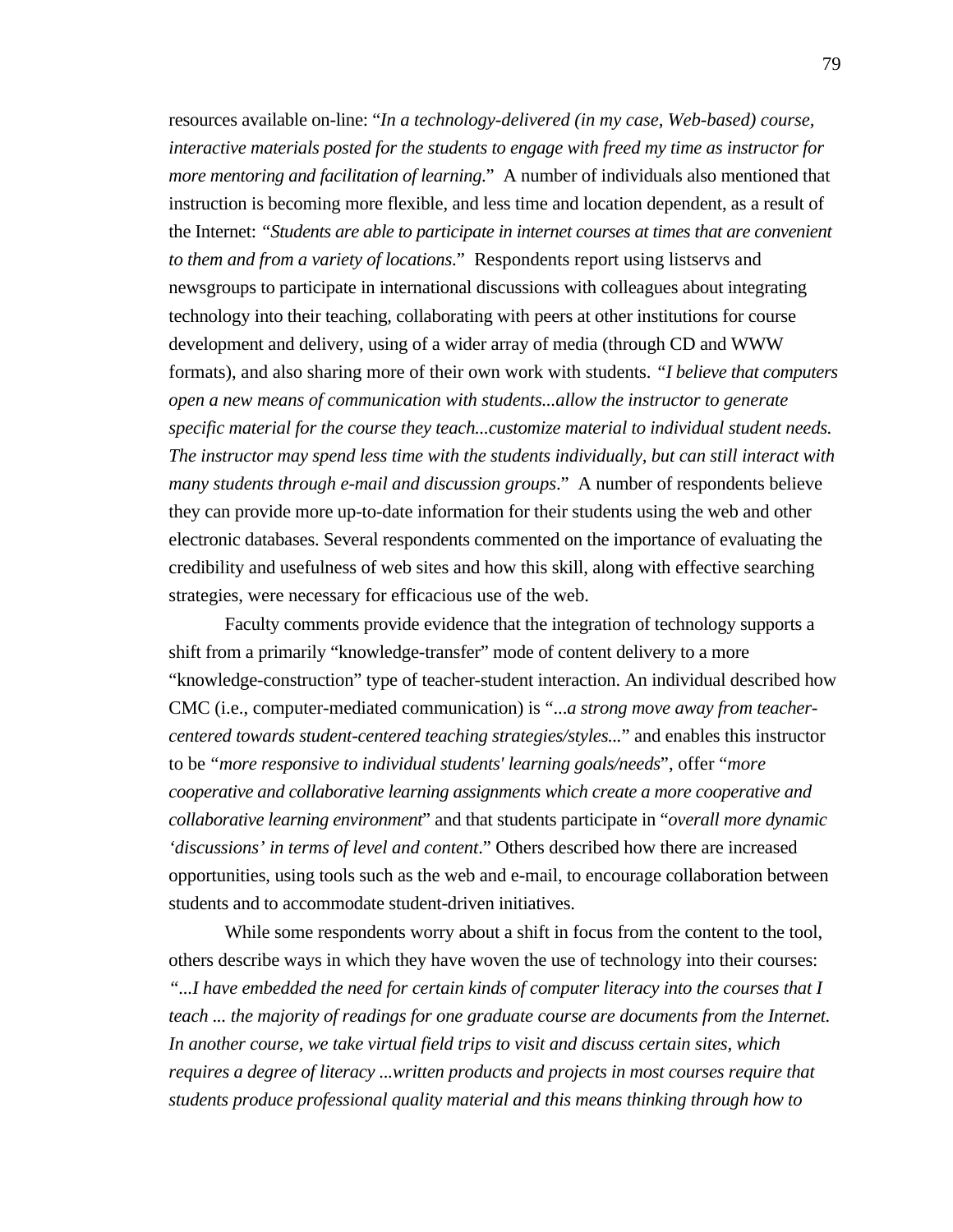resources available on-line: "*In a technology-delivered (in my case, Web-based) course, interactive materials posted for the students to engage with freed my time as instructor for more mentoring and facilitation of learning*." A number of individuals also mentioned that instruction is becoming more flexible, and less time and location dependent, as a result of the Internet: *"Students are able to participate in internet courses at times that are convenient to them and from a variety of locations*." Respondents report using listservs and newsgroups to participate in international discussions with colleagues about integrating technology into their teaching, collaborating with peers at other institutions for course development and delivery, using of a wider array of media (through CD and WWW formats), and also sharing more of their own work with students. *"I believe that computers open a new means of communication with students...allow the instructor to generate specific material for the course they teach...customize material to individual student needs. The instructor may spend less time with the students individually, but can still interact with many students through e-mail and discussion groups*." A number of respondents believe they can provide more up-to-date information for their students using the web and other electronic databases. Several respondents commented on the importance of evaluating the credibility and usefulness of web sites and how this skill, along with effective searching strategies, were necessary for efficacious use of the web.

Faculty comments provide evidence that the integration of technology supports a shift from a primarily "knowledge-transfer" mode of content delivery to a more "knowledge-construction" type of teacher-student interaction. An individual described how CMC (i.e., computer-mediated communication) is "...*a strong move away from teachercentered towards student-centered teaching strategies/styles...*" and enables this instructor to be *"more responsive to individual students' learning goals/needs*", offer "*more cooperative and collaborative learning assignments which create a more cooperative and collaborative learning environment*" and that students participate in "*overall more dynamic 'discussions' in terms of level and content*." Others described how there are increased opportunities, using tools such as the web and e-mail, to encourage collaboration between students and to accommodate student-driven initiatives.

While some respondents worry about a shift in focus from the content to the tool, others describe ways in which they have woven the use of technology into their courses: *"...I have embedded the need for certain kinds of computer literacy into the courses that I teach ... the majority of readings for one graduate course are documents from the Internet. In another course, we take virtual field trips to visit and discuss certain sites, which requires a degree of literacy ...written products and projects in most courses require that students produce professional quality material and this means thinking through how to*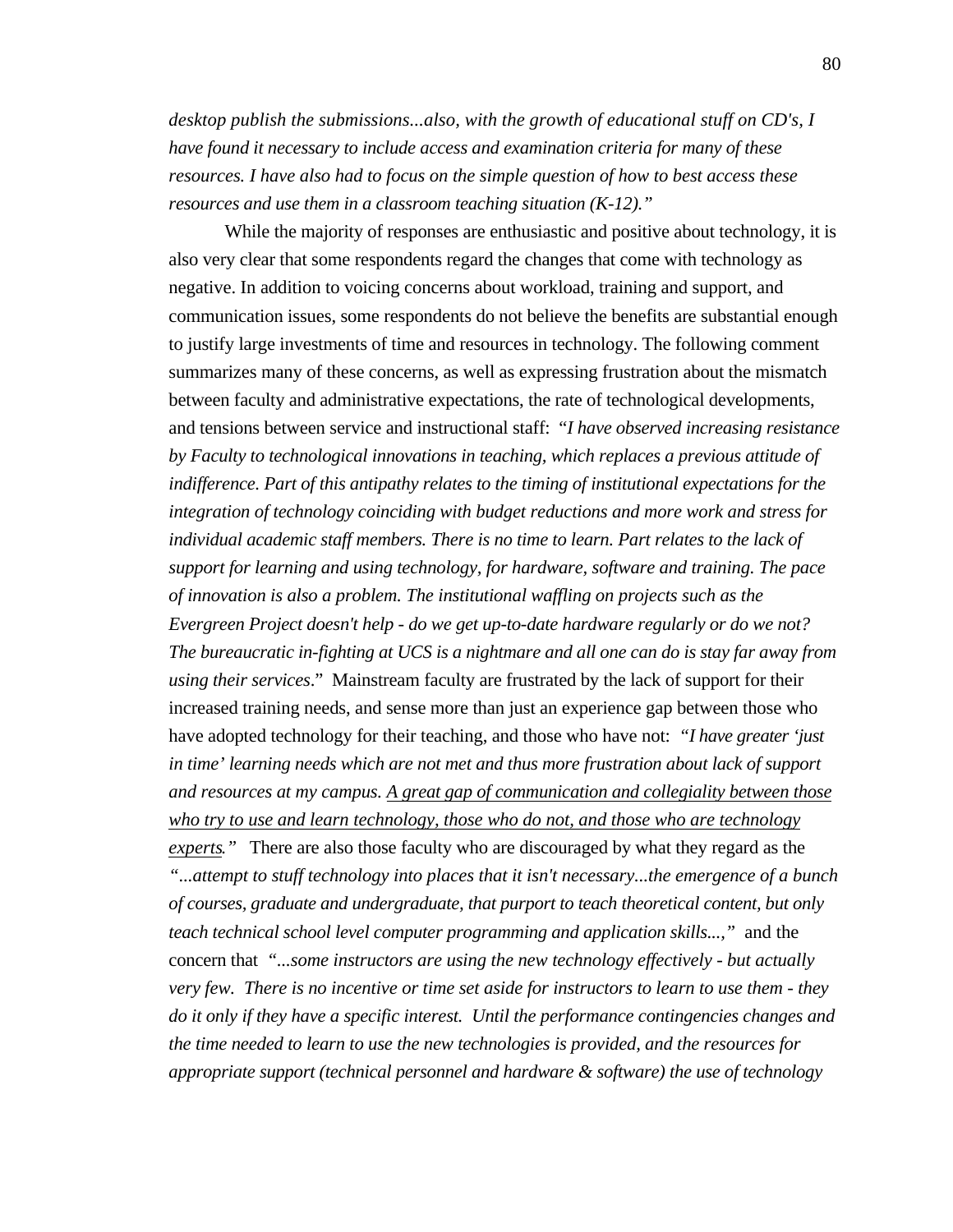*desktop publish the submissions...also, with the growth of educational stuff on CD's, I have found it necessary to include access and examination criteria for many of these resources. I have also had to focus on the simple question of how to best access these resources and use them in a classroom teaching situation (K-12)."*

While the majority of responses are enthusiastic and positive about technology, it is also very clear that some respondents regard the changes that come with technology as negative. In addition to voicing concerns about workload, training and support, and communication issues, some respondents do not believe the benefits are substantial enough to justify large investments of time and resources in technology. The following comment summarizes many of these concerns, as well as expressing frustration about the mismatch between faculty and administrative expectations, the rate of technological developments, and tensions between service and instructional staff: "*I have observed increasing resistance by Faculty to technological innovations in teaching, which replaces a previous attitude of indifference. Part of this antipathy relates to the timing of institutional expectations for the integration of technology coinciding with budget reductions and more work and stress for individual academic staff members. There is no time to learn. Part relates to the lack of support for learning and using technology, for hardware, software and training. The pace of innovation is also a problem. The institutional waffling on projects such as the Evergreen Project doesn't help - do we get up-to-date hardware regularly or do we not? The bureaucratic in-fighting at UCS is a nightmare and all one can do is stay far away from using their services*." Mainstream faculty are frustrated by the lack of support for their increased training needs, and sense more than just an experience gap between those who have adopted technology for their teaching, and those who have not: *"I have greater 'just in time' learning needs which are not met and thus more frustration about lack of support and resources at my campus. A great gap of communication and collegiality between those who try to use and learn technology, those who do not, and those who are technology experts.*" There are also those faculty who are discouraged by what they regard as the *"...attempt to stuff technology into places that it isn't necessary...the emergence of a bunch of courses, graduate and undergraduate, that purport to teach theoretical content, but only teach technical school level computer programming and application skills...,"* and the concern that *"...some instructors are using the new technology effectively - but actually very few. There is no incentive or time set aside for instructors to learn to use them - they do it only if they have a specific interest. Until the performance contingencies changes and the time needed to learn to use the new technologies is provided, and the resources for appropriate support (technical personnel and hardware & software) the use of technology*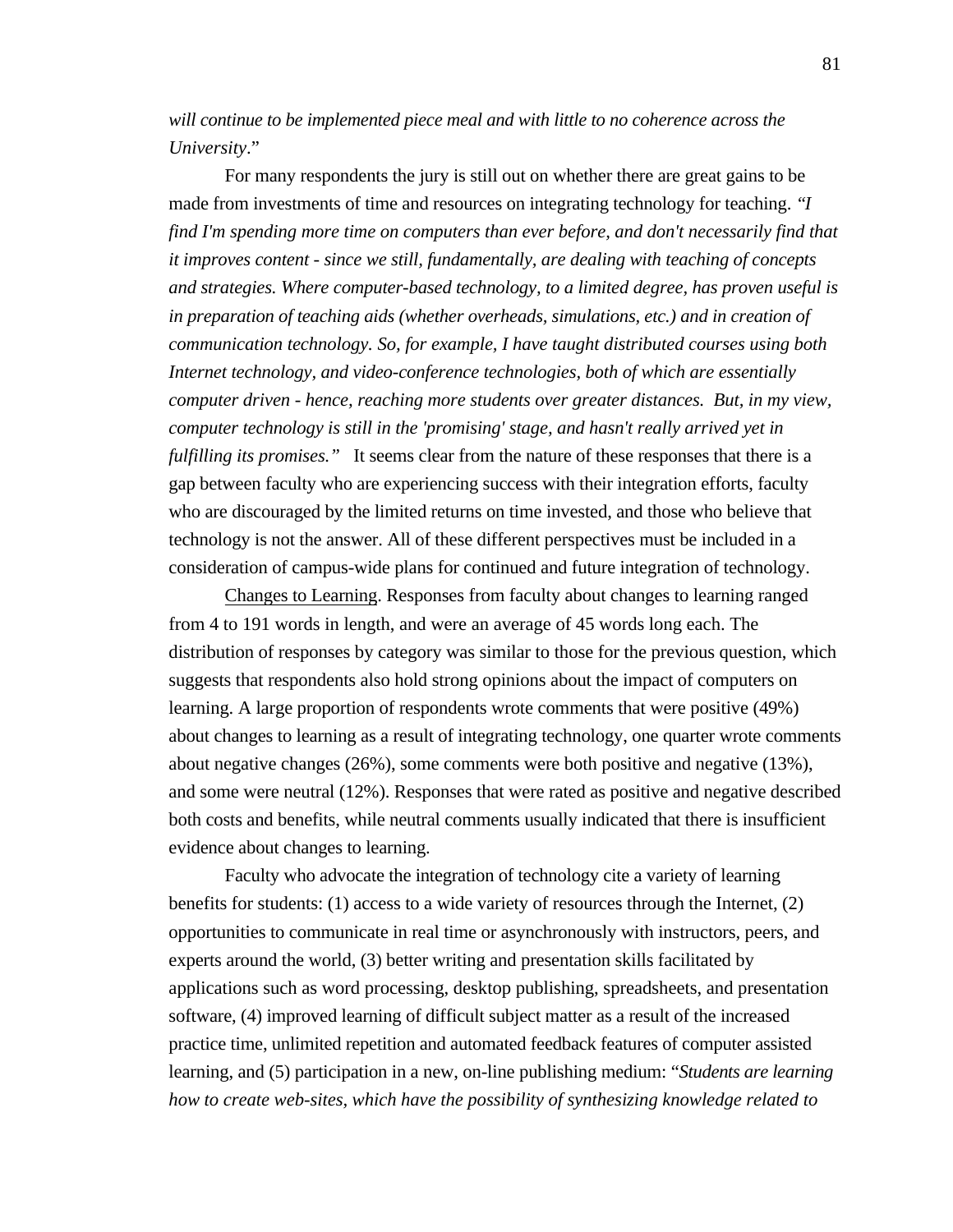*will continue to be implemented piece meal and with little to no coherence across the University*."

For many respondents the jury is still out on whether there are great gains to be made from investments of time and resources on integrating technology for teaching. *"I find I'm spending more time on computers than ever before, and don't necessarily find that it improves content - since we still, fundamentally, are dealing with teaching of concepts and strategies. Where computer-based technology, to a limited degree, has proven useful is in preparation of teaching aids (whether overheads, simulations, etc.) and in creation of communication technology. So, for example, I have taught distributed courses using both Internet technology, and video-conference technologies, both of which are essentially computer driven - hence, reaching more students over greater distances. But, in my view, computer technology is still in the 'promising' stage, and hasn't really arrived yet in fulfilling its promises.*" It seems clear from the nature of these responses that there is a gap between faculty who are experiencing success with their integration efforts, faculty who are discouraged by the limited returns on time invested, and those who believe that technology is not the answer. All of these different perspectives must be included in a consideration of campus-wide plans for continued and future integration of technology.

 Changes to Learning . Responses from faculty about changes to learning ranged from 4 to 191 words in length, and were an average of 45 words long each. The distribution of responses by category was similar to those for the previous question, which suggests that respondents also hold strong opinions about the impact of computers on learning. A large proportion of respondents wrote comments that were positive (49%) about changes to learning as a result of integrating technology, one quarter wrote comments about negative changes (26%), some comments were both positive and negative (13%), and some were neutral (12%). Responses that were rated as positive and negative described both costs and benefits, while neutral comments usually indicated that there is insufficient evidence about changes to learning.

Faculty who advocate the integration of technology cite a variety of learning benefits for students: (1) access to a wide variety of resources through the Internet, (2) opportunities to communicate in real time or asynchronously with instructors, peers, and experts around the world, (3) better writing and presentation skills facilitated by applications such as word processing, desktop publishing, spreadsheets, and presentation software, (4) improved learning of difficult subject matter as a result of the increased practice time, unlimited repetition and automated feedback features of computer assisted learning, and (5) participation in a new, on-line publishing medium: "*Students are learning how to create web-sites, which have the possibility of synthesizing knowledge related to*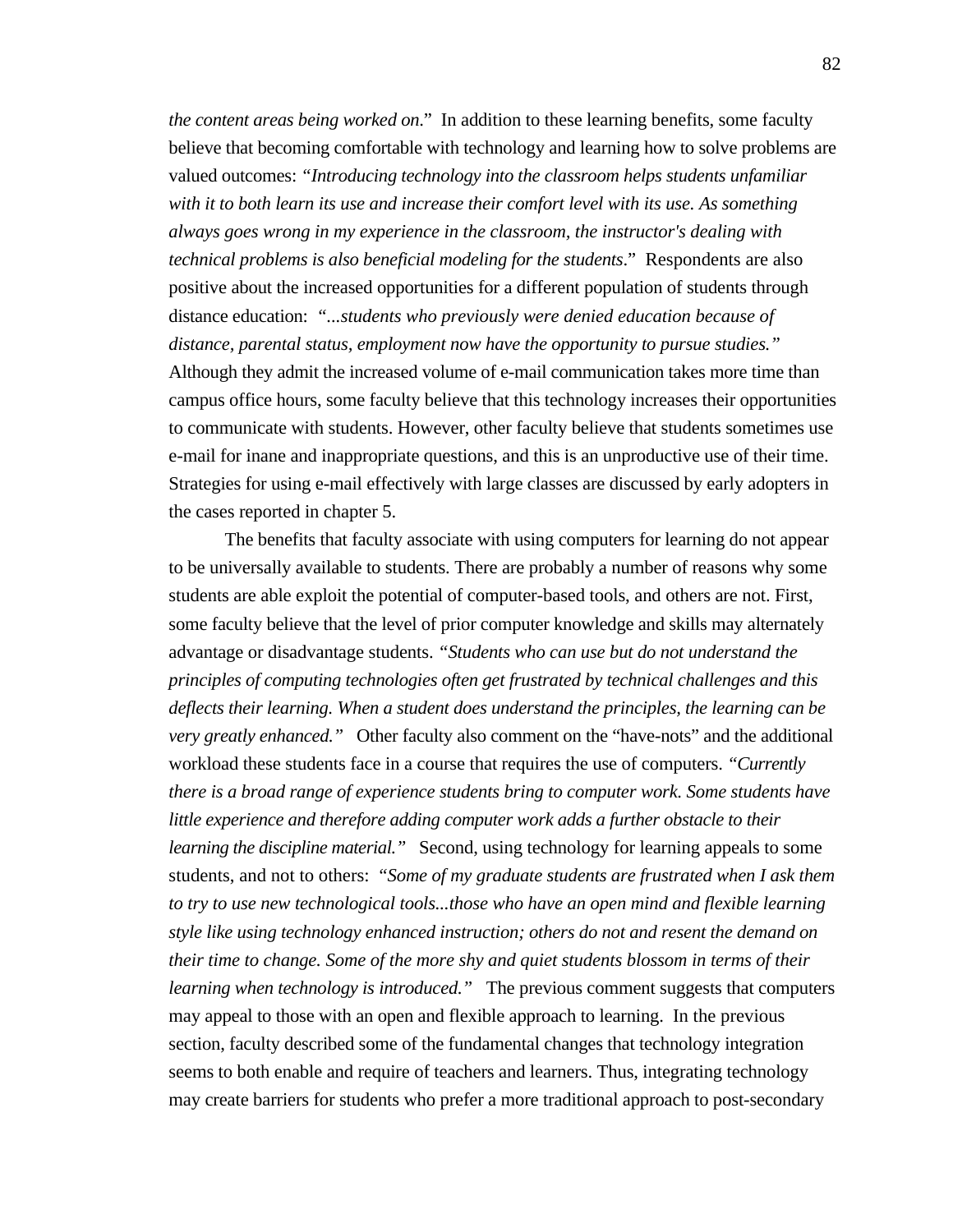*the content areas being worked on*." In addition to these learning benefits, some faculty believe that becoming comfortable with technology and learning how to solve problems are valued outcomes: *"Introducing technology into the classroom helps students unfamiliar with it to both learn its use and increase their comfort level with its use. As something always goes wrong in my experience in the classroom, the instructor's dealing with technical problems is also beneficial modeling for the students*." Respondents are also positive about the increased opportunities for a different population of students through distance education: *"...students who previously were denied education because of distance, parental status, employment now have the opportunity to pursue studies."* Although they admit the increased volume of e-mail communication takes more time than campus office hours, some faculty believe that this technology increases their opportunities to communicate with students. However, other faculty believe that students sometimes use e-mail for inane and inappropriate questions, and this is an unproductive use of their time. Strategies for using e-mail effectively with large classes are discussed by early adopters in the cases reported in chapter 5.

The benefits that faculty associate with using computers for learning do not appear to be universally available to students. There are probably a number of reasons why some students are able exploit the potential of computer-based tools, and others are not. First, some faculty believe that the level of prior computer knowledge and skills may alternately advantage or disadvantage students. *"Students who can use but do not understand the principles of computing technologies often get frustrated by technical challenges and this deflects their learning. When a student does understand the principles, the learning can be very greatly enhanced."* Other faculty also comment on the "have-nots" and the additional workload these students face in a course that requires the use of computers. *"Currently there is a broad range of experience students bring to computer work. Some students have little experience and therefore adding computer work adds a further obstacle to their learning the discipline material.*" Second, using technology for learning appeals to some students, and not to others: *"Some of my graduate students are frustrated when I ask them to try to use new technological tools...those who have an open mind and flexible learning style like using technology enhanced instruction; others do not and resent the demand on their time to change. Some of the more shy and quiet students blossom in terms of their learning when technology is introduced.*" The previous comment suggests that computers may appeal to those with an open and flexible approach to learning. In the previous section, faculty described some of the fundamental changes that technology integration seems to both enable and require of teachers and learners. Thus, integrating technology may create barriers for students who prefer a more traditional approach to post-secondary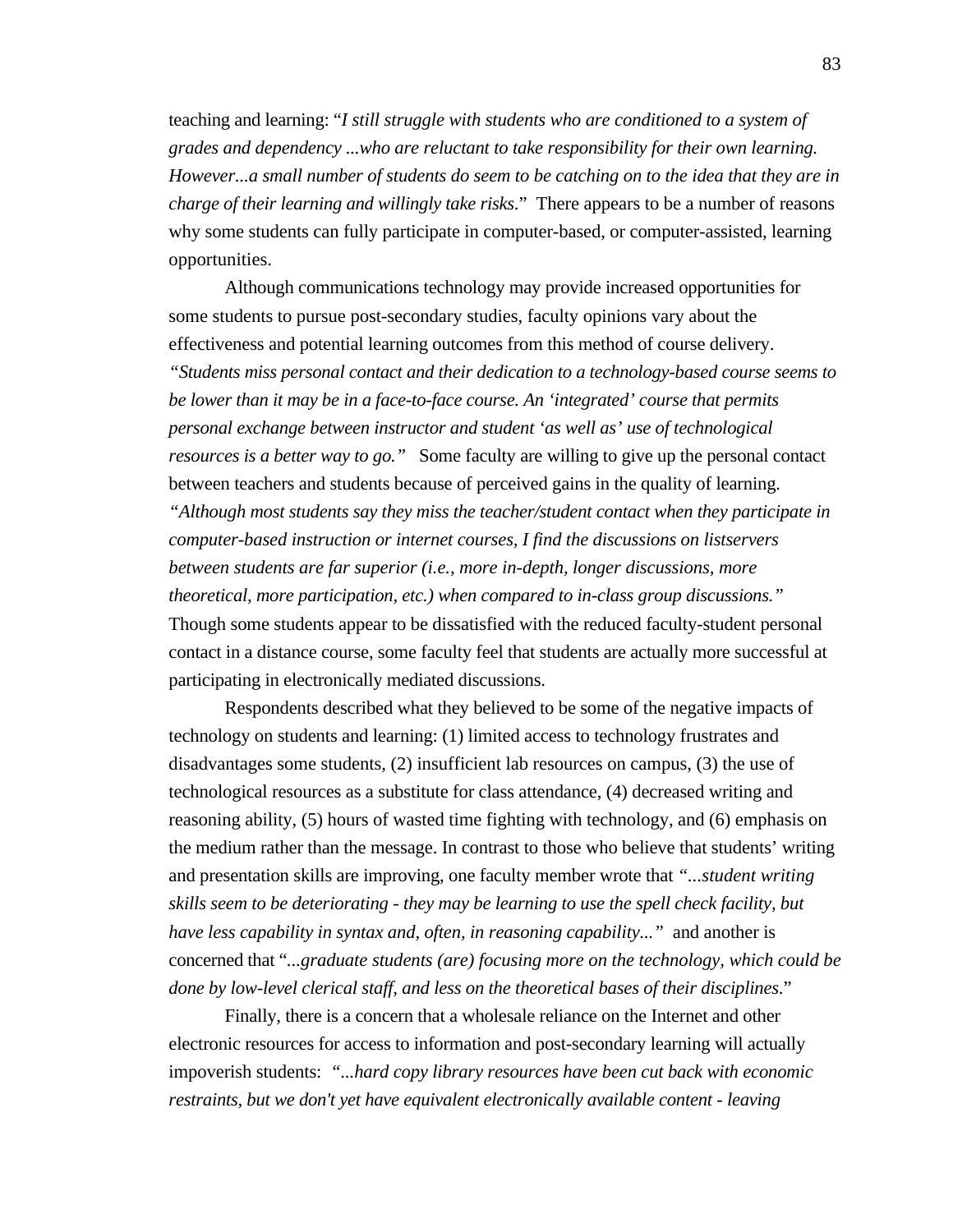teaching and learning: "*I still struggle with students who are conditioned to a system of grades and dependency ...who are reluctant to take responsibility for their own learning. However...a small number of students do seem to be catching on to the idea that they are in charge of their learning and willingly take risks*." There appears to be a number of reasons why some students can fully participate in computer-based, or computer-assisted, learning opportunities.

Although communications technology may provide increased opportunities for some students to pursue post-secondary studies, faculty opinions vary about the effectiveness and potential learning outcomes from this method of course delivery. *"Students miss personal contact and their dedication to a technology-based course seems to be lower than it may be in a face-to-face course. An 'integrated' course that permits personal exchange between instructor and student 'as well as' use of technological resources is a better way to go."* Some faculty are willing to give up the personal contact between teachers and students because of perceived gains in the quality of learning. *"Although most students say they miss the teacher/student contact when they participate in computer-based instruction or internet courses, I find the discussions on listservers between students are far superior (i.e., more in-depth, longer discussions, more theoretical, more participation, etc.) when compared to in-class group discussions."* Though some students appear to be dissatisfied with the reduced faculty-student personal contact in a distance course, some faculty feel that students are actually more successful at participating in electronically mediated discussions.

Respondents described what they believed to be some of the negative impacts of technology on students and learning: (1) limited access to technology frustrates and disadvantages some students, (2) insufficient lab resources on campus, (3) the use of technological resources as a substitute for class attendance, (4) decreased writing and reasoning ability, (5) hours of wasted time fighting with technology, and (6) emphasis on the medium rather than the message. In contrast to those who believe that students' writing and presentation skills are improving, one faculty member wrote that *"...student writing skills seem to be deteriorating - they may be learning to use the spell check facility, but have less capability in syntax and, often, in reasoning capability..."* and another is concerned that "*...graduate students (are) focusing more on the technology, which could be done by low-level clerical staff, and less on the theoretical bases of their disciplines*."

Finally, there is a concern that a wholesale reliance on the Internet and other electronic resources for access to information and post-secondary learning will actually impoverish students: *"...hard copy library resources have been cut back with economic restraints, but we don't yet have equivalent electronically available content - leaving*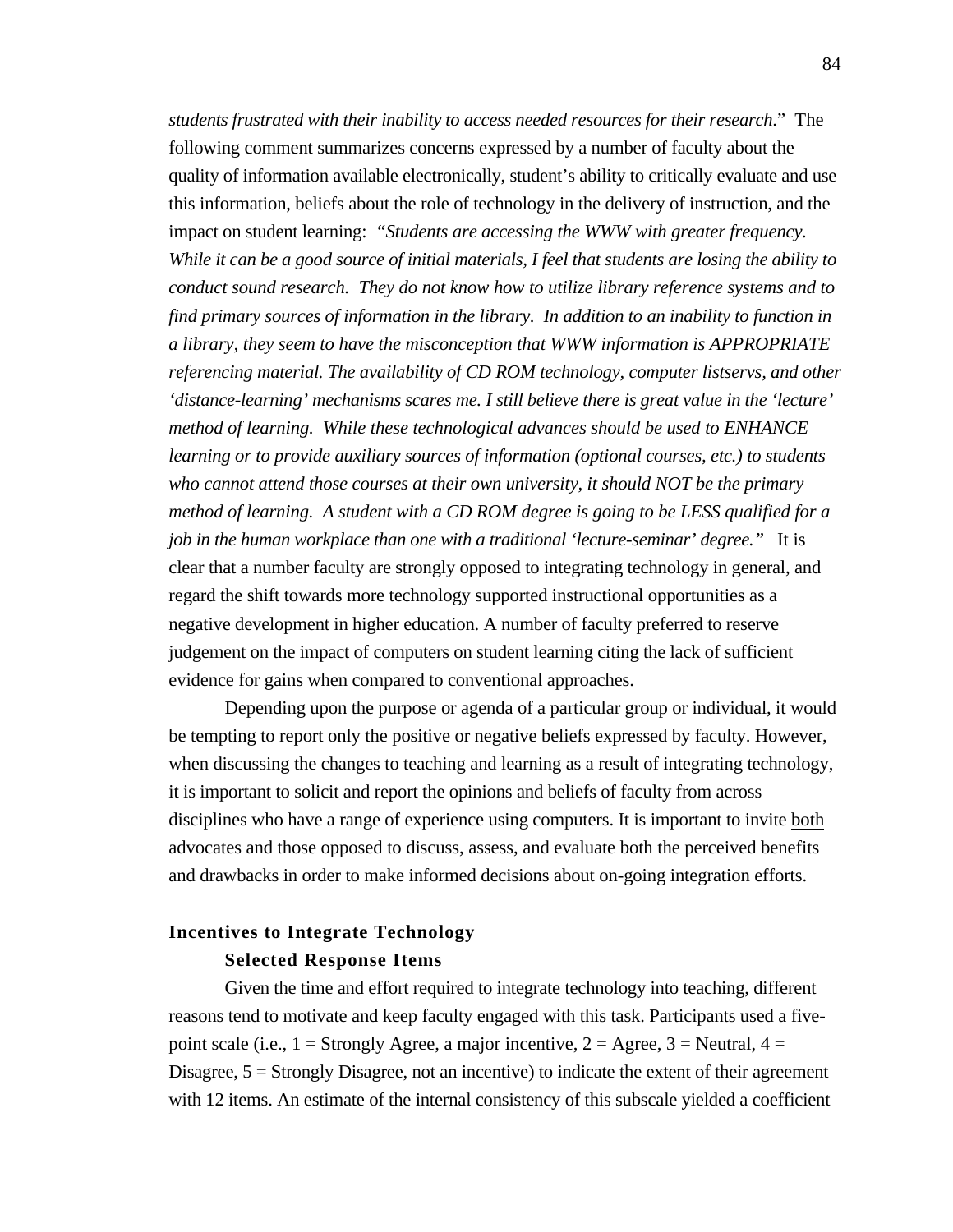*students frustrated with their inability to access needed resources for their research*." The following comment summarizes concerns expressed by a number of faculty about the quality of information available electronically, student's ability to critically evaluate and use this information, beliefs about the role of technology in the delivery of instruction, and the impact on student learning: *"Students are accessing the WWW with greater frequency. While it can be a good source of initial materials, I feel that students are losing the ability to conduct sound research. They do not know how to utilize library reference systems and to find primary sources of information in the library. In addition to an inability to function in a library, they seem to have the misconception that WWW information is APPROPRIATE referencing material. The availability of CD ROM technology, computer listservs, and other 'distance-learning' mechanisms scares me. I still believe there is great value in the 'lecture' method of learning. While these technological advances should be used to ENHANCE learning or to provide auxiliary sources of information (optional courses, etc.) to students who cannot attend those courses at their own university, it should NOT be the primary method of learning. A student with a CD ROM degree is going to be LESS qualified for a job in the human workplace than one with a traditional 'lecture-seminar' degree."* It is clear that a number faculty are strongly opposed to integrating technology in general, and regard the shift towards more technology supported instructional opportunities as a negative development in higher education. A number of faculty preferred to reserve judgement on the impact of computers on student learning citing the lack of sufficient evidence for gains when compared to conventional approaches.

Depending upon the purpose or agenda of a particular group or individual, it would be tempting to report only the positive or negative beliefs expressed by faculty. However, when discussing the changes to teaching and learning as a result of integrating technology, it is important to solicit and report the opinions and beliefs of faculty from across disciplines who have a range of experience using computers. It is important to invite both advocates and those opposed to discuss, assess, and evaluate both the perceived benefits and drawbacks in order to make informed decisions about on-going integration efforts.

# **Incentives to Integrate Technology Selected Response Items**

Given the time and effort required to integrate technology into teaching, different reasons tend to motivate and keep faculty engaged with this task. Participants used a fivepoint scale (i.e.,  $1 =$  Strongly Agree, a major incentive,  $2 =$  Agree,  $3 =$  Neutral,  $4 =$ Disagree,  $5 =$  Strongly Disagree, not an incentive) to indicate the extent of their agreement with 12 items. An estimate of the internal consistency of this subscale yielded a coefficient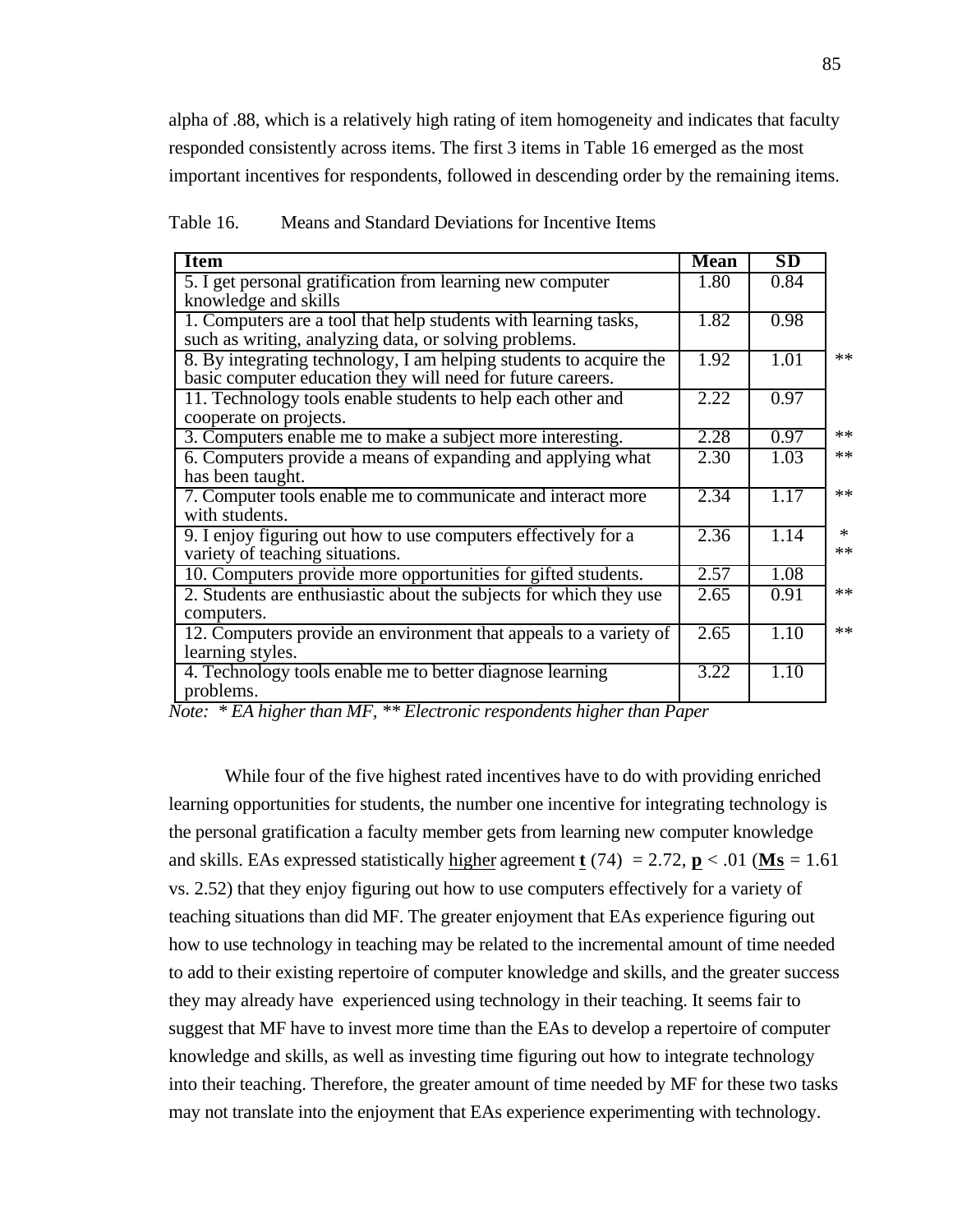alpha of .88, which is a relatively high rating of item homogeneity and indicates that faculty responded consistently across items. The first 3 items in Table 16 emerged as the most important incentives for respondents, followed in descending order by the remaining items.

| <b>Item</b>                                                                                                                       | <b>Mean</b> | <b>SD</b> |                |
|-----------------------------------------------------------------------------------------------------------------------------------|-------------|-----------|----------------|
| 5. I get personal gratification from learning new computer<br>knowledge and skills                                                | 1.80        | 0.84      |                |
| 1. Computers are a tool that help students with learning tasks,<br>such as writing, analyzing data, or solving problems.          | 1.82        | 0.98      |                |
| 8. By integrating technology, I am helping students to acquire the<br>basic computer education they will need for future careers. | 1.92        | 1.01      | $**$           |
| 11. Technology tools enable students to help each other and<br>cooperate on projects.                                             | 2.22        | 0.97      |                |
| 3. Computers enable me to make a subject more interesting.                                                                        | 2.28        | 0.97      | $**$           |
| 6. Computers provide a means of expanding and applying what<br>has been taught.                                                   | 2.30        | 1.03      | $**$           |
| 7. Computer tools enable me to communicate and interact more<br>with students.                                                    | 2.34        | 1.17      | $**$           |
| 9. I enjoy figuring out how to use computers effectively for a<br>variety of teaching situations.                                 | 2.36        | 1.14      | $\ast$<br>$**$ |
| 10. Computers provide more opportunities for gifted students.                                                                     | 2.57        | 1.08      |                |
| 2. Students are enthusiastic about the subjects for which they use<br>computers.                                                  | 2.65        | 0.91      | $**$           |
| 12. Computers provide an environment that appeals to a variety of<br>learning styles.                                             | 2.65        | 1.10      | $**$           |
| 4. Technology tools enable me to better diagnose learning<br>problems.                                                            | 3.22        | 1.10      |                |

Table 16. Means and Standard Deviations for Incentive Items

*Note: \* EA higher than MF, \*\* Electronic respondents higher than Paper*

While four of the five highest rated incentives have to do with providing enriched learning opportunities for students, the number one incentive for integrating technology is the personal gratification a faculty member gets from learning new computer knowledge and skills. EAs expressed statistically higher agreement **t** (74) = 2.72, **p** < .01 (**Ms** = 1.61) vs. 2.52) that they enjoy figuring out how to use computers effectively for a variety of teaching situations than did MF. The greater enjoyment that EAs experience figuring out how to use technology in teaching may be related to the incremental amount of time needed to add to their existing repertoire of computer knowledge and skills, and the greater success they may already have experienced using technology in their teaching. It seems fair to suggest that MF have to invest more time than the EAs to develop a repertoire of computer knowledge and skills, as well as investing time figuring out how to integrate technology into their teaching. Therefore, the greater amount of time needed by MF for these two tasks may not translate into the enjoyment that EAs experience experimenting with technology.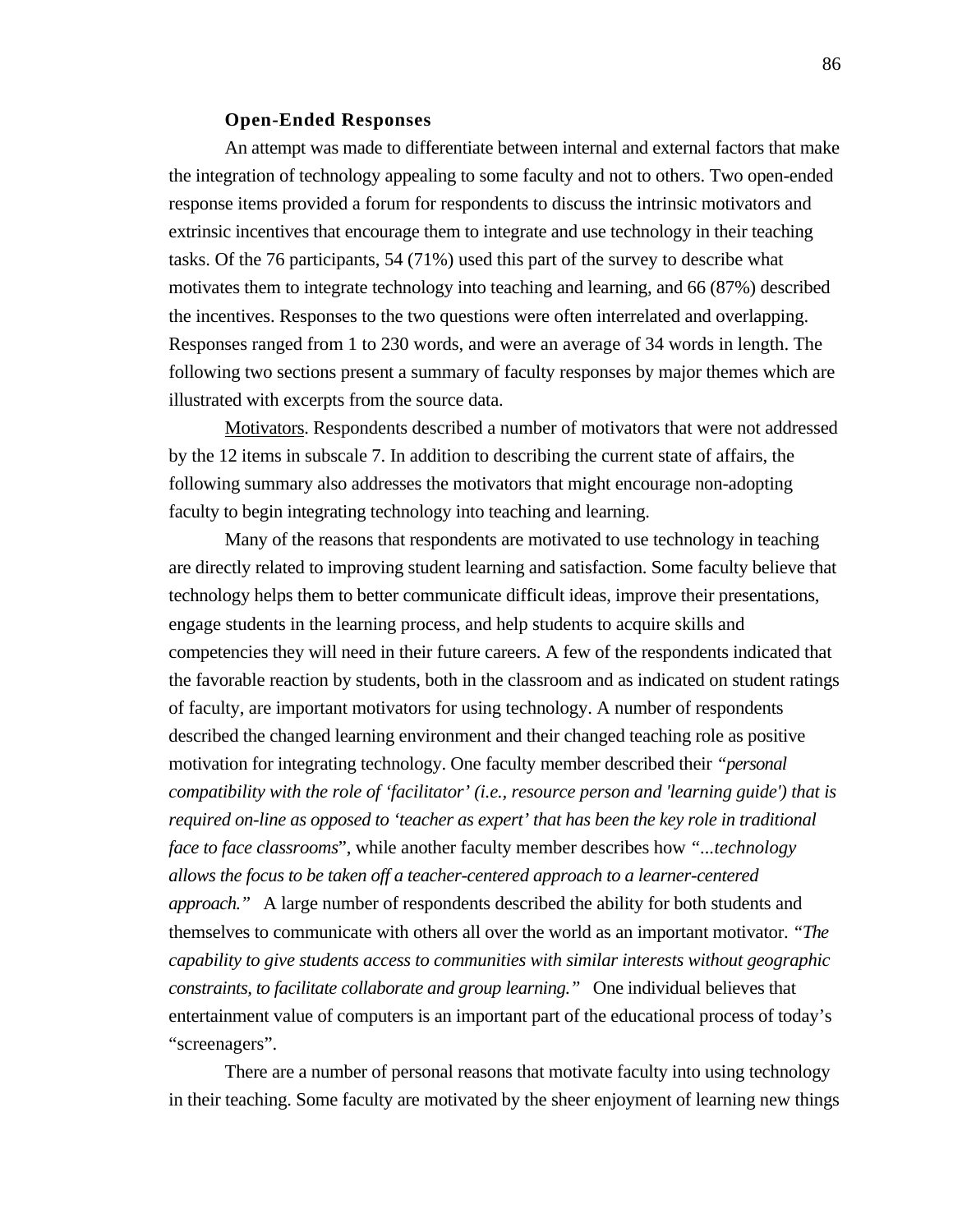#### **Open-Ended Responses**

An attempt was made to differentiate between internal and external factors that make the integration of technology appealing to some faculty and not to others. Two open-ended response items provided a forum for respondents to discuss the intrinsic motivators and extrinsic incentives that encourage them to integrate and use technology in their teaching tasks. Of the 76 participants, 54 (71%) used this part of the survey to describe what motivates them to integrate technology into teaching and learning, and 66 (87%) described the incentives. Responses to the two questions were often interrelated and overlapping. Responses ranged from 1 to 230 words, and were an average of 34 words in length. The following two sections present a summary of faculty responses by major themes which are illustrated with excerpts from the source data.

 Motivators . Respondents described a number of motivators that were not addressed by the 12 items in subscale 7. In addition to describing the current state of affairs, the following summary also addresses the motivators that might encourage non-adopting faculty to begin integrating technology into teaching and learning.

Many of the reasons that respondents are motivated to use technology in teaching are directly related to improving student learning and satisfaction. Some faculty believe that technology helps them to better communicate difficult ideas, improve their presentations, engage students in the learning process, and help students to acquire skills and competencies they will need in their future careers. A few of the respondents indicated that the favorable reaction by students, both in the classroom and as indicated on student ratings of faculty, are important motivators for using technology. A number of respondents described the changed learning environment and their changed teaching role as positive motivation for integrating technology. One faculty member described their *"personal compatibility with the role of 'facilitator' (i.e., resource person and 'learning guide') that is required on-line as opposed to 'teacher as expert' that has been the key role in traditional face to face classrooms*", while another faculty member describes how *"...technology allows the focus to be taken off a teacher-centered approach to a learner-centered approach."* A large number of respondents described the ability for both students and themselves to communicate with others all over the world as an important motivator. *"The capability to give students access to communities with similar interests without geographic constraints, to facilitate collaborate and group learning."* One individual believes that entertainment value of computers is an important part of the educational process of today's "screenagers".

There are a number of personal reasons that motivate faculty into using technology in their teaching. Some faculty are motivated by the sheer enjoyment of learning new things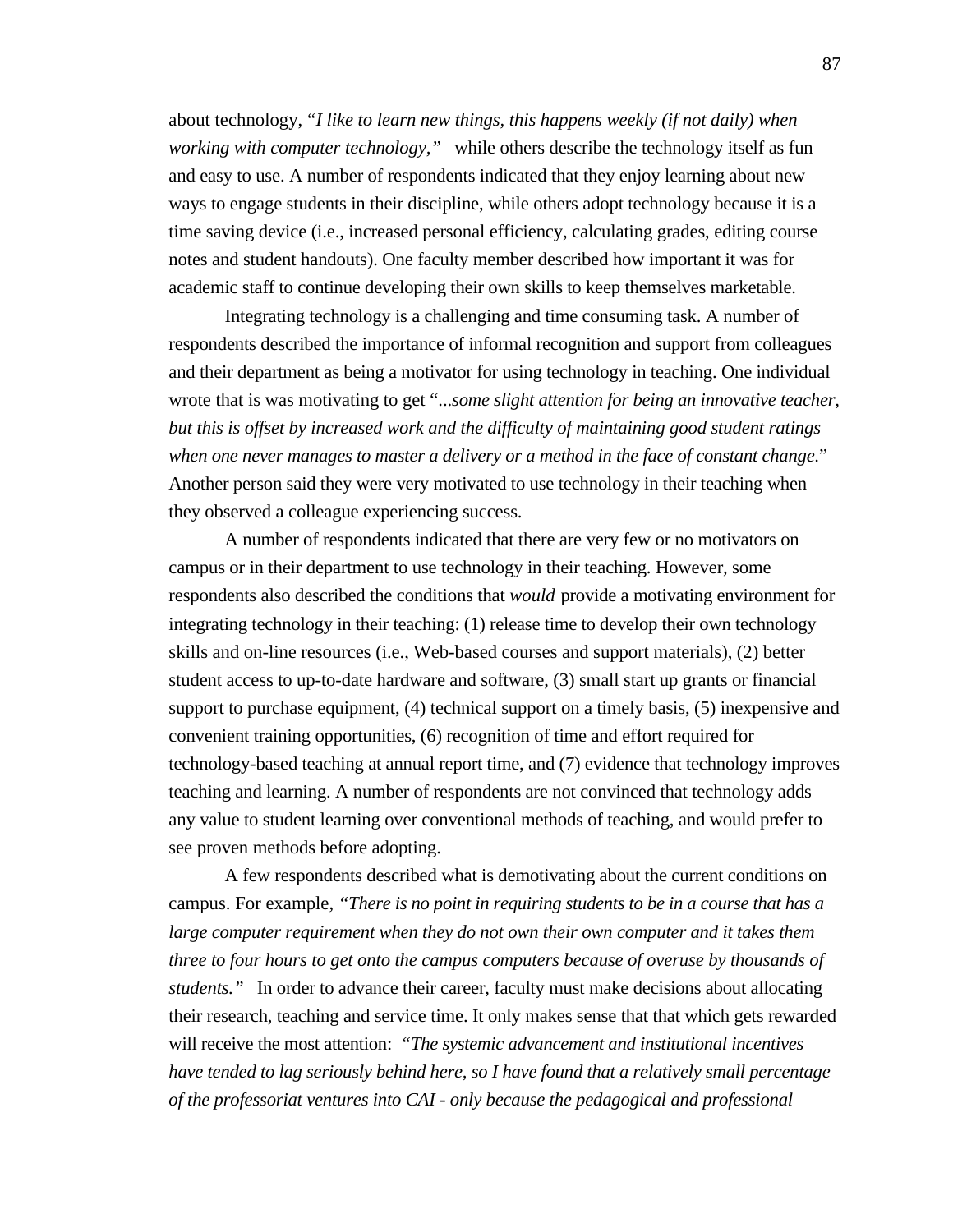about technology, *"I like to learn new things, this happens weekly (if not daily) when working with computer technology,"* while others describe the technology itself as fun and easy to use. A number of respondents indicated that they enjoy learning about new ways to engage students in their discipline, while others adopt technology because it is a time saving device (i.e., increased personal efficiency, calculating grades, editing course notes and student handouts). One faculty member described how important it was for academic staff to continue developing their own skills to keep themselves marketable.

Integrating technology is a challenging and time consuming task. A number of respondents described the importance of informal recognition and support from colleagues and their department as being a motivator for using technology in teaching. One individual wrote that is was motivating to get "...*some slight attention for being an innovative teacher, but this is offset by increased work and the difficulty of maintaining good student ratings when one never manages to master a delivery or a method in the face of constant change*." Another person said they were very motivated to use technology in their teaching when they observed a colleague experiencing success.

A number of respondents indicated that there are very few or no motivators on campus or in their department to use technology in their teaching. However, some respondents also described the conditions that *would* provide a motivating environment for integrating technology in their teaching: (1) release time to develop their own technology skills and on-line resources (i.e., Web-based courses and support materials), (2) better student access to up-to-date hardware and software, (3) small start up grants or financial support to purchase equipment, (4) technical support on a timely basis, (5) inexpensive and convenient training opportunities, (6) recognition of time and effort required for technology-based teaching at annual report time, and (7) evidence that technology improves teaching and learning. A number of respondents are not convinced that technology adds any value to student learning over conventional methods of teaching, and would prefer to see proven methods before adopting.

A few respondents described what is demotivating about the current conditions on campus. For example, *"There is no point in requiring students to be in a course that has a large computer requirement when they do not own their own computer and it takes them three to four hours to get onto the campus computers because of overuse by thousands of students."* In order to advance their career, faculty must make decisions about allocating their research, teaching and service time. It only makes sense that that which gets rewarded will receive the most attention: *"The systemic advancement and institutional incentives have tended to lag seriously behind here, so I have found that a relatively small percentage of the professoriat ventures into CAI - only because the pedagogical and professional*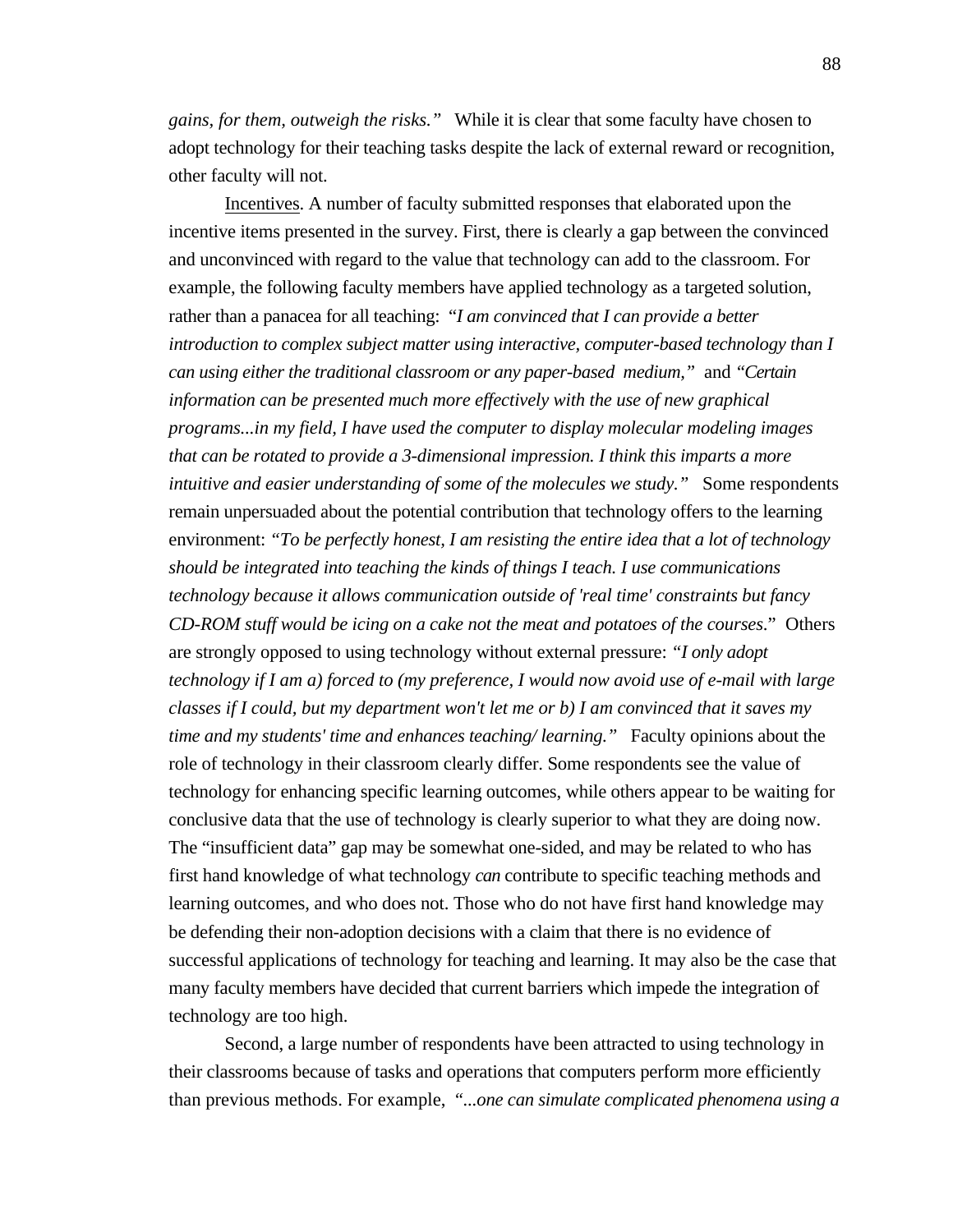*gains, for them, outweigh the risks."* While it is clear that some faculty have chosen to adopt technology for their teaching tasks despite the lack of external reward or recognition, other faculty will not.

Incentives . A number of faculty submitted responses that elaborated upon the incentive items presented in the survey. First, there is clearly a gap between the convinced and unconvinced with regard to the value that technology can add to the classroom. For example, the following faculty members have applied technology as a targeted solution, rather than a panacea for all teaching: "*I am convinced that I can provide a better introduction to complex subject matter using interactive, computer-based technology than I can using either the traditional classroom or any paper-based medium,"* and *"Certain information can be presented much more effectively with the use of new graphical programs...in my field, I have used the computer to display molecular modeling images that can be rotated to provide a 3-dimensional impression. I think this imparts a more intuitive and easier understanding of some of the molecules we study.*" Some respondents remain unpersuaded about the potential contribution that technology offers to the learning environment: *"To be perfectly honest, I am resisting the entire idea that a lot of technology should be integrated into teaching the kinds of things I teach. I use communications technology because it allows communication outside of 'real time' constraints but fancy CD-ROM stuff would be icing on a cake not the meat and potatoes of the courses*." Others are strongly opposed to using technology without external pressure: *"I only adopt technology if I am a) forced to (my preference, I would now avoid use of e-mail with large classes if I could, but my department won't let me or b) I am convinced that it saves my time and my students' time and enhances teaching/ learning."* Faculty opinions about the role of technology in their classroom clearly differ. Some respondents see the value of technology for enhancing specific learning outcomes, while others appear to be waiting for conclusive data that the use of technology is clearly superior to what they are doing now. The "insufficient data" gap may be somewhat one-sided, and may be related to who has first hand knowledge of what technology *can* contribute to specific teaching methods and learning outcomes, and who does not. Those who do not have first hand knowledge may be defending their non-adoption decisions with a claim that there is no evidence of successful applications of technology for teaching and learning. It may also be the case that many faculty members have decided that current barriers which impede the integration of technology are too high.

Second, a large number of respondents have been attracted to using technology in their classrooms because of tasks and operations that computers perform more efficiently than previous methods. For example, *"...one can simulate complicated phenomena using a*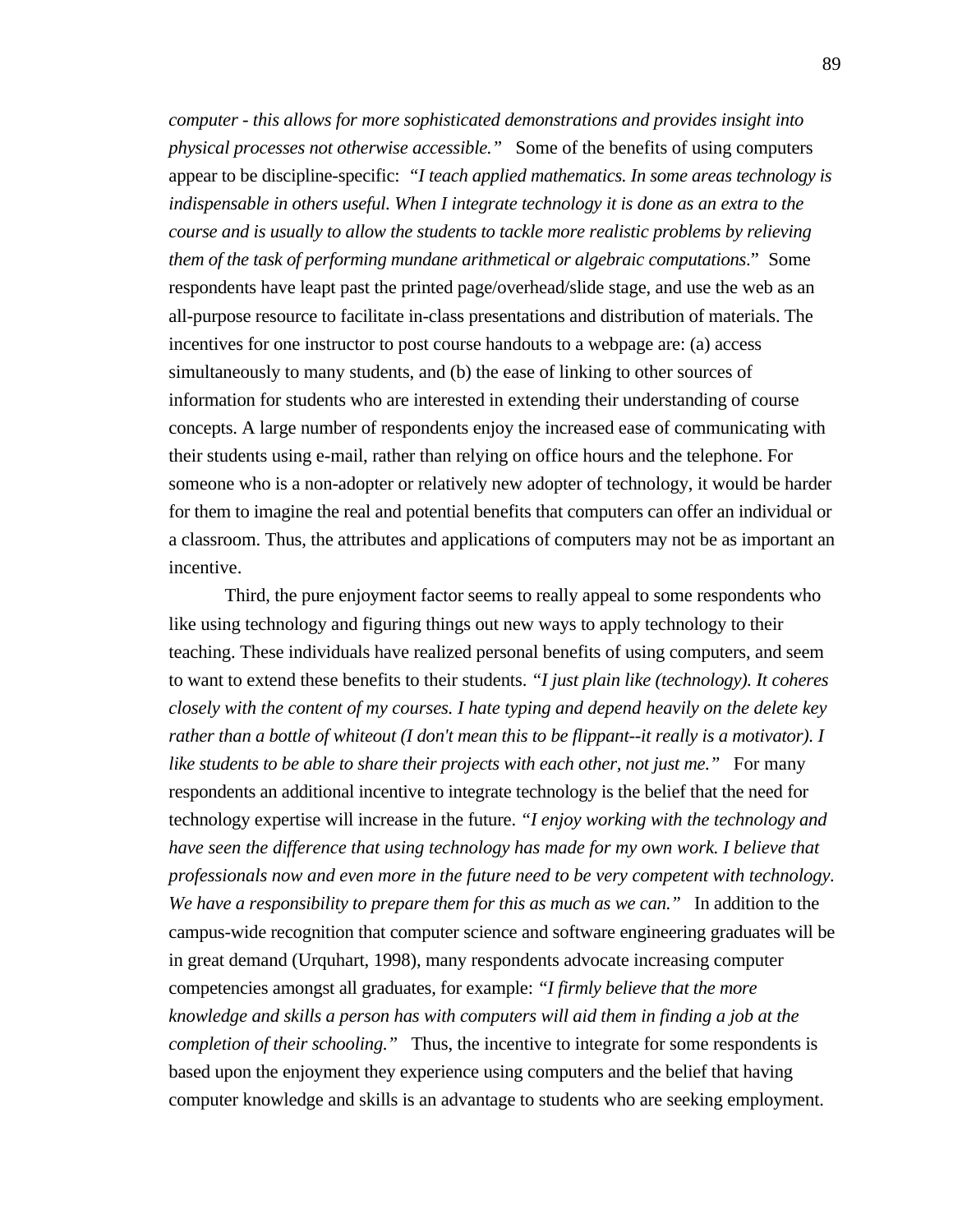*computer - this allows for more sophisticated demonstrations and provides insight into physical processes not otherwise accessible."* Some of the benefits of using computers appear to be discipline-specific: *"I teach applied mathematics. In some areas technology is indispensable in others useful. When I integrate technology it is done as an extra to the course and is usually to allow the students to tackle more realistic problems by relieving them of the task of performing mundane arithmetical or algebraic computations*." Some respondents have leapt past the printed page/overhead/slide stage, and use the web as an all-purpose resource to facilitate in-class presentations and distribution of materials. The incentives for one instructor to post course handouts to a webpage are: (a) access simultaneously to many students, and (b) the ease of linking to other sources of information for students who are interested in extending their understanding of course concepts. A large number of respondents enjoy the increased ease of communicating with their students using e-mail, rather than relying on office hours and the telephone. For someone who is a non-adopter or relatively new adopter of technology, it would be harder for them to imagine the real and potential benefits that computers can offer an individual or a classroom. Thus, the attributes and applications of computers may not be as important an incentive.

Third, the pure enjoyment factor seems to really appeal to some respondents who like using technology and figuring things out new ways to apply technology to their teaching. These individuals have realized personal benefits of using computers, and seem to want to extend these benefits to their students. *"I just plain like (technology). It coheres closely with the content of my courses. I hate typing and depend heavily on the delete key rather than a bottle of whiteout (I don't mean this to be flippant--it really is a motivator). I like students to be able to share their projects with each other, not just me.*" For many respondents an additional incentive to integrate technology is the belief that the need for technology expertise will increase in the future. *"I enjoy working with the technology and have seen the difference that using technology has made for my own work. I believe that professionals now and even more in the future need to be very competent with technology. We have a responsibility to prepare them for this as much as we can."* In addition to the campus-wide recognition that computer science and software engineering graduates will be in great demand (Urquhart, 1998), many respondents advocate increasing computer competencies amongst all graduates, for example: *"I firmly believe that the more knowledge and skills a person has with computers will aid them in finding a job at the completion of their schooling."* Thus, the incentive to integrate for some respondents is based upon the enjoyment they experience using computers and the belief that having computer knowledge and skills is an advantage to students who are seeking employment.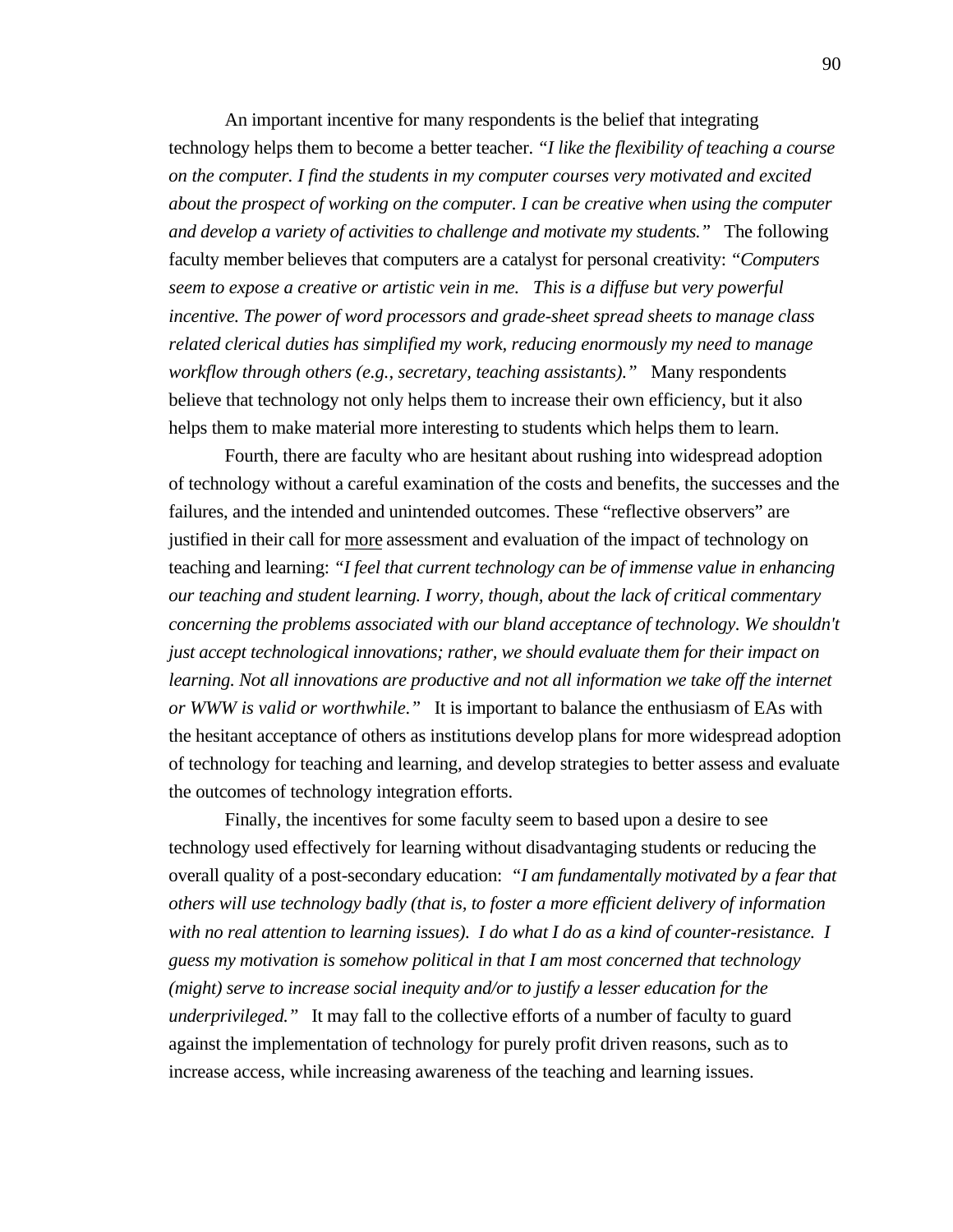An important incentive for many respondents is the belief that integrating technology helps them to become a better teacher. *"I like the flexibility of teaching a course on the computer. I find the students in my computer courses very motivated and excited about the prospect of working on the computer. I can be creative when using the computer and develop a variety of activities to challenge and motivate my students."* The following faculty member believes that computers are a catalyst for personal creativity: *"Computers seem to expose a creative or artistic vein in me. This is a diffuse but very powerful incentive. The power of word processors and grade-sheet spread sheets to manage class related clerical duties has simplified my work, reducing enormously my need to manage workflow through others (e.g., secretary, teaching assistants)."* Many respondents believe that technology not only helps them to increase their own efficiency, but it also helps them to make material more interesting to students which helps them to learn.

Fourth, there are faculty who are hesitant about rushing into widespread adoption of technology without a careful examination of the costs and benefits, the successes and the failures, and the intended and unintended outcomes. These "reflective observers" are justified in their call for more assessment and evaluation of the impact of technology on teaching and learning: *"I feel that current technology can be of immense value in enhancing our teaching and student learning. I worry, though, about the lack of critical commentary concerning the problems associated with our bland acceptance of technology. We shouldn't just accept technological innovations; rather, we should evaluate them for their impact on learning. Not all innovations are productive and not all information we take off the internet or WWW is valid or worthwhile."* It is important to balance the enthusiasm of EAs with the hesitant acceptance of others as institutions develop plans for more widespread adoption of technology for teaching and learning, and develop strategies to better assess and evaluate the outcomes of technology integration efforts.

Finally, the incentives for some faculty seem to based upon a desire to see technology used effectively for learning without disadvantaging students or reducing the overall quality of a post-secondary education: *"I am fundamentally motivated by a fear that others will use technology badly (that is, to foster a more efficient delivery of information with no real attention to learning issues). I do what I do as a kind of counter-resistance. I guess my motivation is somehow political in that I am most concerned that technology (might) serve to increase social inequity and/or to justify a lesser education for the underprivileged."* It may fall to the collective efforts of a number of faculty to guard against the implementation of technology for purely profit driven reasons, such as to increase access, while increasing awareness of the teaching and learning issues.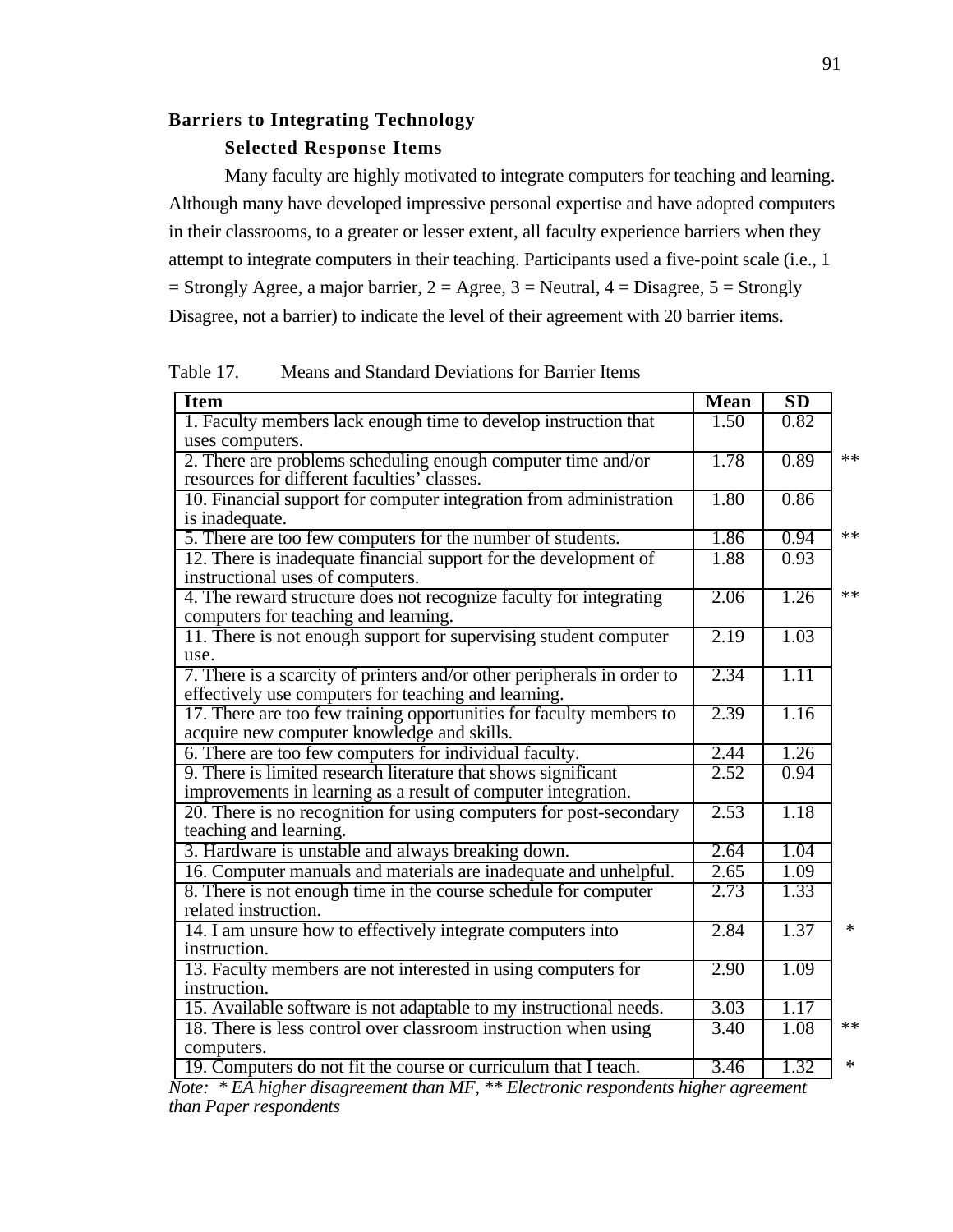## **Barriers to Integrating Technology Selected Response Items**

Many faculty are highly motivated to integrate computers for teaching and learning. Although many have developed impressive personal expertise and have adopted computers in their classrooms, to a greater or lesser extent, all faculty experience barriers when they attempt to integrate computers in their teaching. Participants used a five-point scale (i.e., 1  $=$  Strongly Agree, a major barrier, 2 = Agree, 3 = Neutral, 4 = Disagree, 5 = Strongly Disagree, not a barrier) to indicate the level of their agreement with 20 barrier items.

Table 17. Means and Standard Deviations for Barrier Items

| <b>Item</b>                                                             | <b>Mean</b> | SD   |        |
|-------------------------------------------------------------------------|-------------|------|--------|
| 1. Faculty members lack enough time to develop instruction that         | 1.50        | 0.82 |        |
| uses computers.                                                         |             |      |        |
| 2. There are problems scheduling enough computer time and/or            | 1.78        | 0.89 | **     |
| resources for different faculties' classes.                             |             |      |        |
| 10. Financial support for computer integration from administration      | 1.80        | 0.86 |        |
| is inadequate.                                                          |             |      |        |
| 5. There are too few computers for the number of students.              | 1.86        | 0.94 | **     |
| 12. There is inadequate financial support for the development of        | 1.88        | 0.93 |        |
| instructional uses of computers.                                        |             |      |        |
| 4. The reward structure does not recognize faculty for integrating      | 2.06        | 1.26 | **     |
| computers for teaching and learning.                                    |             |      |        |
| 11. There is not enough support for supervising student computer        | 2.19        | 1.03 |        |
| use.                                                                    |             |      |        |
| 7. There is a scarcity of printers and/or other peripherals in order to | 2.34        | 1.11 |        |
| effectively use computers for teaching and learning.                    |             |      |        |
| 17. There are too few training opportunities for faculty members to     | 2.39        | 1.16 |        |
| acquire new computer knowledge and skills.                              |             |      |        |
| 6. There are too few computers for individual faculty.                  | 2.44        | 1.26 |        |
| 9. There is limited research literature that shows significant          | 2.52        | 0.94 |        |
| improvements in learning as a result of computer integration.           |             |      |        |
| 20. There is no recognition for using computers for post-secondary      | 2.53        | 1.18 |        |
| teaching and learning.                                                  |             |      |        |
| 3. Hardware is unstable and always breaking down.                       | 2.64        | 1.04 |        |
| 16. Computer manuals and materials are inadequate and unhelpful.        | 2.65        | 1.09 |        |
| 8. There is not enough time in the course schedule for computer         | 2.73        | 1.33 |        |
| related instruction.                                                    |             |      |        |
| 14. I am unsure how to effectively integrate computers into             | 2.84        | 1.37 | $\ast$ |
| instruction.                                                            |             |      |        |
| 13. Faculty members are not interested in using computers for           | 2.90        | 1.09 |        |
| instruction.                                                            |             |      |        |
| 15. Available software is not adaptable to my instructional needs.      | 3.03        | 1.17 |        |
| 18. There is less control over classroom instruction when using         | 3.40        | 1.08 | $**$   |
| computers.                                                              |             |      |        |
| 19. Computers do not fit the course or curriculum that I teach.         | 3.46        | 1.32 | $\ast$ |

*Note: \* EA higher disagreement than MF, \*\* Electronic respondents higher agreement than Paper respondents*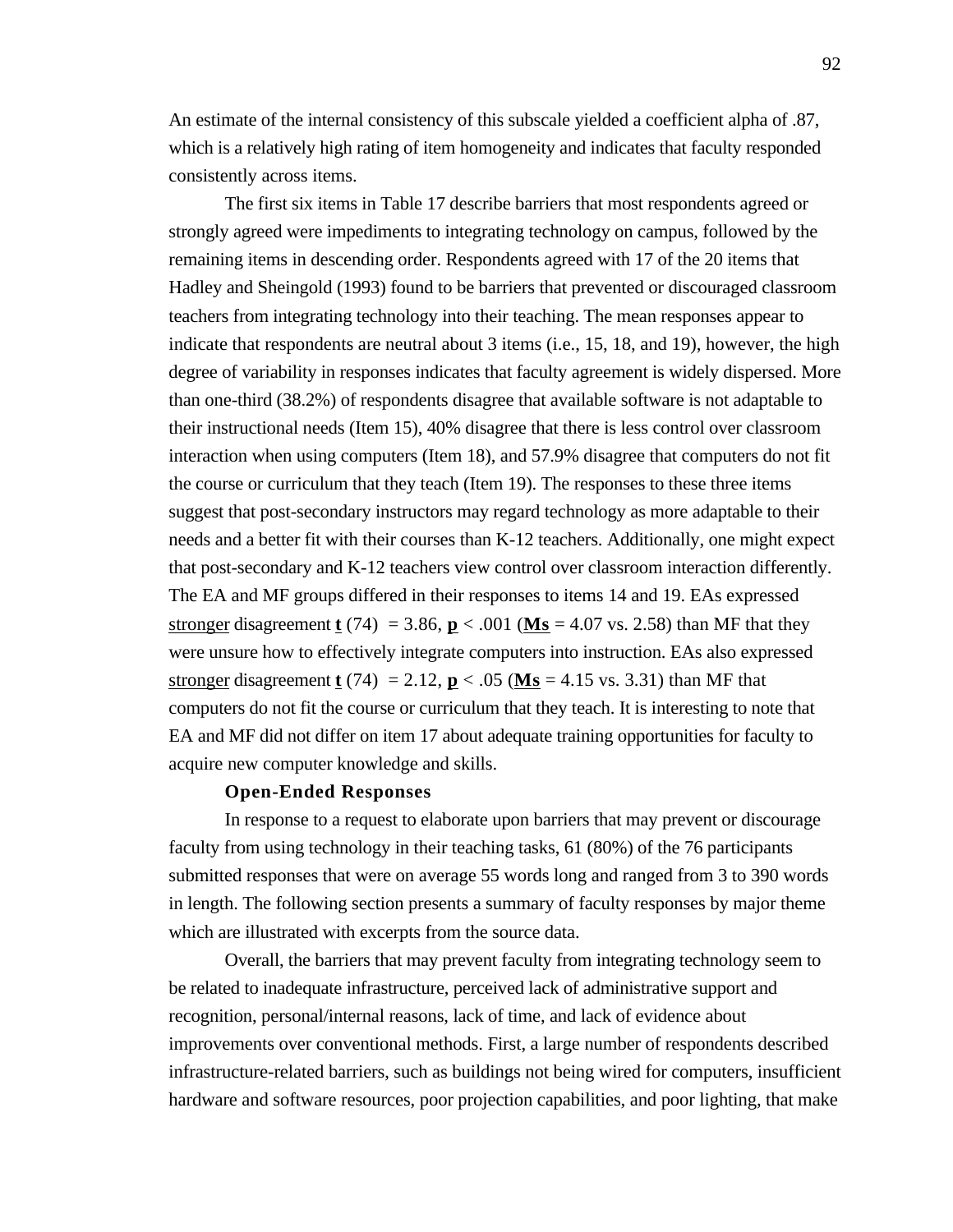An estimate of the internal consistency of this subscale yielded a coefficient alpha of .87, which is a relatively high rating of item homogeneity and indicates that faculty responded consistently across items.

The first six items in Table 17 describe barriers that most respondents agreed or strongly agreed were impediments to integrating technology on campus, followed by the remaining items in descending order. Respondents agreed with 17 of the 20 items that Hadley and Sheingold (1993) found to be barriers that prevented or discouraged classroom teachers from integrating technology into their teaching. The mean responses appear to indicate that respondents are neutral about 3 items (i.e., 15, 18, and 19), however, the high degree of variability in responses indicates that faculty agreement is widely dispersed. More than one-third (38.2%) of respondents disagree that available software is not adaptable to their instructional needs (Item 15), 40% disagree that there is less control over classroom interaction when using computers (Item 18), and 57.9% disagree that computers do not fit the course or curriculum that they teach (Item 19). The responses to these three items suggest that post-secondary instructors may regard technology as more adaptable to their needs and a better fit with their courses than K-12 teachers. Additionally, one might expect that post-secondary and K-12 teachers view control over classroom interaction differently. The EA and MF groups differed in their responses to items 14 and 19. EAs expressed stronger disagreement **t** (74) = 3.86, **p** < .001 (**Ms** = 4.07 vs. 2.58) than MF that they were unsure how to effectively integrate computers into instruction. EAs also expressed stronger disagreement **t** (74) = 2.12, **p** < .05 (**Ms** = 4.15 vs. 3.31) than MF that computers do not fit the course or curriculum that they teach. It is interesting to note that EA and MF did not differ on item 17 about adequate training opportunities for faculty to acquire new computer knowledge and skills.

#### **Open-Ended Responses**

In response to a request to elaborate upon barriers that may prevent or discourage faculty from using technology in their teaching tasks, 61 (80%) of the 76 participants submitted responses that were on average 55 words long and ranged from 3 to 390 words in length. The following section presents a summary of faculty responses by major theme which are illustrated with excerpts from the source data.

Overall, the barriers that may prevent faculty from integrating technology seem to be related to inadequate infrastructure, perceived lack of administrative support and recognition, personal/internal reasons, lack of time, and lack of evidence about improvements over conventional methods. First, a large number of respondents described infrastructure-related barriers, such as buildings not being wired for computers, insufficient hardware and software resources, poor projection capabilities, and poor lighting, that make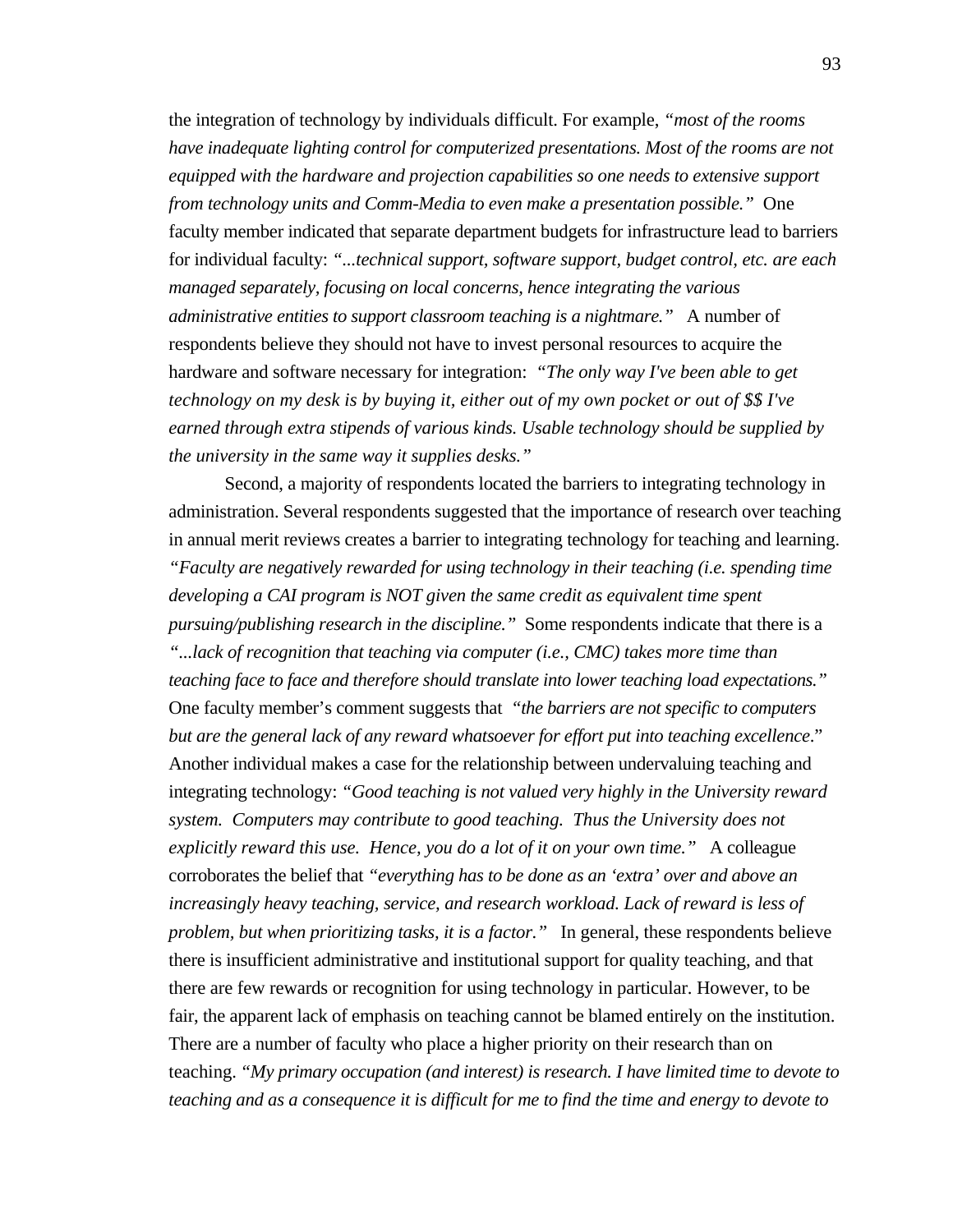the integration of technology by individuals difficult. For example, *"most of the rooms have inadequate lighting control for computerized presentations. Most of the rooms are not equipped with the hardware and projection capabilities so one needs to extensive support from technology units and Comm-Media to even make a presentation possible."* One faculty member indicated that separate department budgets for infrastructure lead to barriers for individual faculty: *"...technical support, software support, budget control, etc. are each managed separately, focusing on local concerns, hence integrating the various administrative entities to support classroom teaching is a nightmare."* A number of respondents believe they should not have to invest personal resources to acquire the hardware and software necessary for integration: *"The only way I've been able to get technology on my desk is by buying it, either out of my own pocket or out of \$\$ I've earned through extra stipends of various kinds. Usable technology should be supplied by the university in the same way it supplies desks."*

Second, a majority of respondents located the barriers to integrating technology in administration. Several respondents suggested that the importance of research over teaching in annual merit reviews creates a barrier to integrating technology for teaching and learning. *"Faculty are negatively rewarded for using technology in their teaching (i.e. spending time developing a CAI program is NOT given the same credit as equivalent time spent pursuing/publishing research in the discipline."* Some respondents indicate that there is a *"...lack of recognition that teaching via computer (i.e., CMC) takes more time than teaching face to face and therefore should translate into lower teaching load expectations."* One faculty member's comment suggests that *"the barriers are not specific to computers but are the general lack of any reward whatsoever for effort put into teaching excellence*." Another individual makes a case for the relationship between undervaluing teaching and integrating technology: *"Good teaching is not valued very highly in the University reward system. Computers may contribute to good teaching. Thus the University does not explicitly reward this use. Hence, you do a lot of it on your own time."* A colleague corroborates the belief that *"everything has to be done as an 'extra' over and above an increasingly heavy teaching, service, and research workload. Lack of reward is less of problem, but when prioritizing tasks, it is a factor."* In general, these respondents believe there is insufficient administrative and institutional support for quality teaching, and that there are few rewards or recognition for using technology in particular. However, to be fair, the apparent lack of emphasis on teaching cannot be blamed entirely on the institution. There are a number of faculty who place a higher priority on their research than on teaching. *"My primary occupation (and interest) is research. I have limited time to devote to teaching and as a consequence it is difficult for me to find the time and energy to devote to*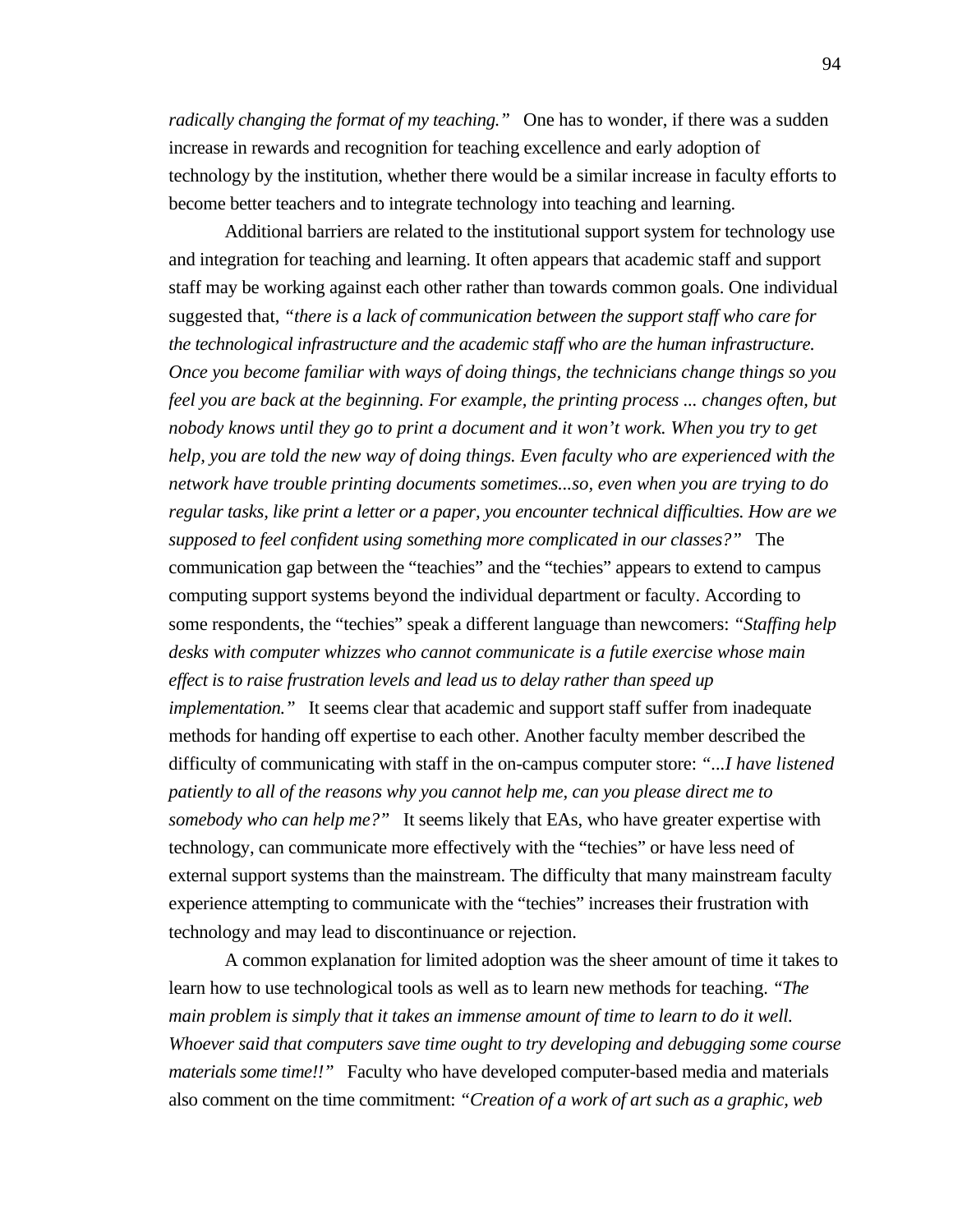*radically changing the format of my teaching.*" One has to wonder, if there was a sudden increase in rewards and recognition for teaching excellence and early adoption of technology by the institution, whether there would be a similar increase in faculty efforts to become better teachers and to integrate technology into teaching and learning.

Additional barriers are related to the institutional support system for technology use and integration for teaching and learning. It often appears that academic staff and support staff may be working against each other rather than towards common goals. One individual suggested that, *"there is a lack of communication between the support staff who care for the technological infrastructure and the academic staff who are the human infrastructure. Once you become familiar with ways of doing things, the technicians change things so you feel you are back at the beginning. For example, the printing process ... changes often, but nobody knows until they go to print a document and it won't work. When you try to get help, you are told the new way of doing things. Even faculty who are experienced with the network have trouble printing documents sometimes...so, even when you are trying to do regular tasks, like print a letter or a paper, you encounter technical difficulties. How are we supposed to feel confident using something more complicated in our classes?"* The communication gap between the "teachies" and the "techies" appears to extend to campus computing support systems beyond the individual department or faculty. According to some respondents, the "techies" speak a different language than newcomers: *"Staffing help desks with computer whizzes who cannot communicate is a futile exercise whose main effect is to raise frustration levels and lead us to delay rather than speed up implementation.*" It seems clear that academic and support staff suffer from inadequate methods for handing off expertise to each other. Another faculty member described the difficulty of communicating with staff in the on-campus computer store: *"...I have listened patiently to all of the reasons why you cannot help me, can you please direct me to somebody who can help me?"* It seems likely that EAs, who have greater expertise with technology, can communicate more effectively with the "techies" or have less need of external support systems than the mainstream. The difficulty that many mainstream faculty experience attempting to communicate with the "techies" increases their frustration with technology and may lead to discontinuance or rejection.

A common explanation for limited adoption was the sheer amount of time it takes to learn how to use technological tools as well as to learn new methods for teaching. *"The main problem is simply that it takes an immense amount of time to learn to do it well. Whoever said that computers save time ought to try developing and debugging some course materials some time!!"* Faculty who have developed computer-based media and materials also comment on the time commitment: *"Creation of a work of art such as a graphic, web*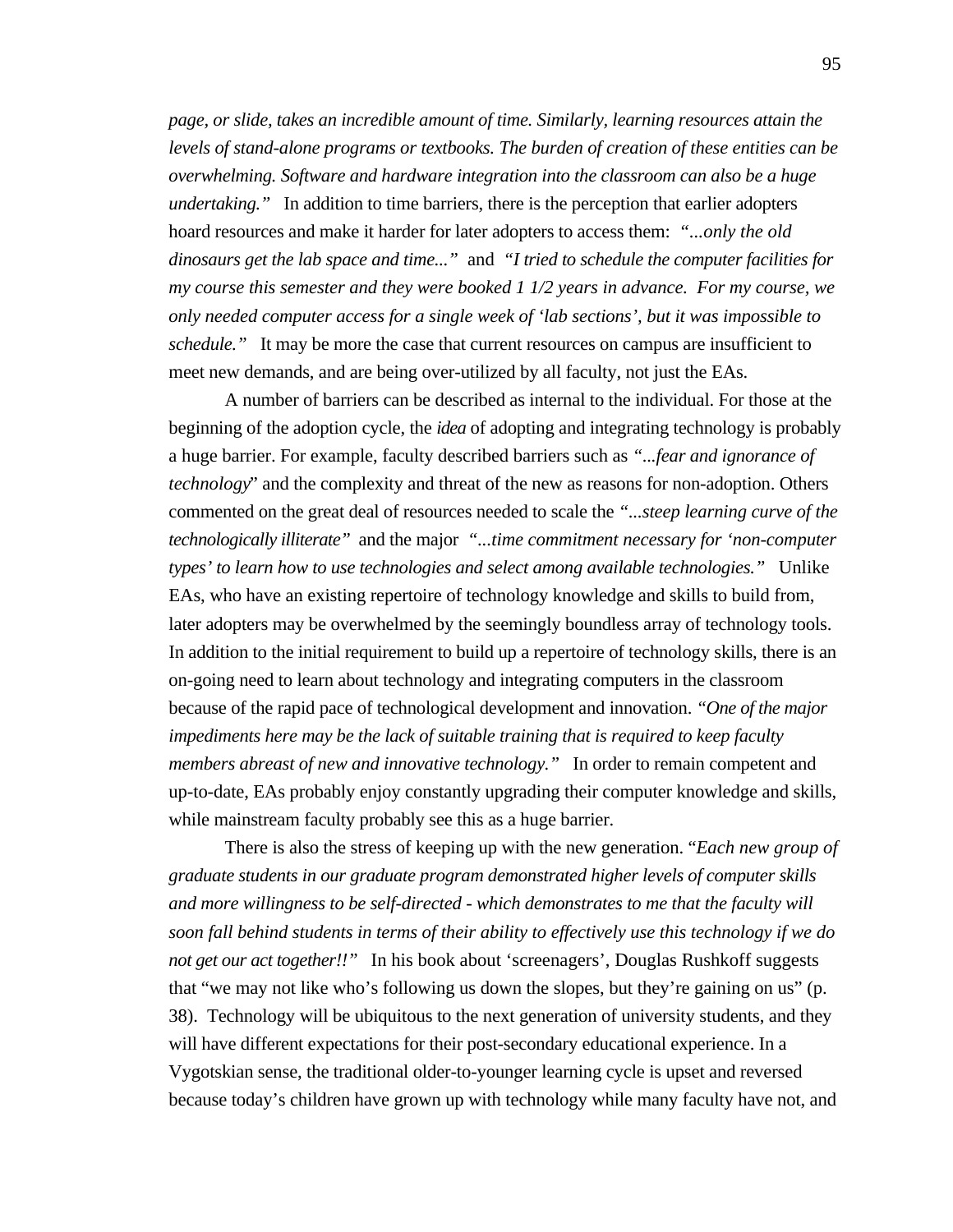*page, or slide, takes an incredible amount of time. Similarly, learning resources attain the levels of stand-alone programs or textbooks. The burden of creation of these entities can be overwhelming. Software and hardware integration into the classroom can also be a huge undertaking."* In addition to time barriers, there is the perception that earlier adopters hoard resources and make it harder for later adopters to access them: *"...only the old dinosaurs get the lab space and time..."* and *"I tried to schedule the computer facilities for my course this semester and they were booked 1 1/2 years in advance. For my course, we only needed computer access for a single week of 'lab sections', but it was impossible to schedule.*" It may be more the case that current resources on campus are insufficient to meet new demands, and are being over-utilized by all faculty, not just the EAs.

A number of barriers can be described as internal to the individual. For those at the beginning of the adoption cycle, the *idea* of adopting and integrating technology is probably a huge barrier. For example, faculty described barriers such as *"...fear and ignorance of technology*" and the complexity and threat of the new as reasons for non-adoption. Others commented on the great deal of resources needed to scale the *"...steep learning curve of the technologically illiterate"* and the major *"...time commitment necessary for 'non-computer types' to learn how to use technologies and select among available technologies."* Unlike EAs, who have an existing repertoire of technology knowledge and skills to build from, later adopters may be overwhelmed by the seemingly boundless array of technology tools. In addition to the initial requirement to build up a repertoire of technology skills, there is an on-going need to learn about technology and integrating computers in the classroom because of the rapid pace of technological development and innovation. *"One of the major impediments here may be the lack of suitable training that is required to keep faculty members abreast of new and innovative technology."* In order to remain competent and up-to-date, EAs probably enjoy constantly upgrading their computer knowledge and skills, while mainstream faculty probably see this as a huge barrier.

There is also the stress of keeping up with the new generation. "*Each new group of graduate students in our graduate program demonstrated higher levels of computer skills and more willingness to be self-directed - which demonstrates to me that the faculty will soon fall behind students in terms of their ability to effectively use this technology if we do not get our act together!!"* In his book about 'screenagers', Douglas Rushkoff suggests that "we may not like who's following us down the slopes, but they're gaining on us" (p. 38). Technology will be ubiquitous to the next generation of university students, and they will have different expectations for their post-secondary educational experience. In a Vygotskian sense, the traditional older-to-younger learning cycle is upset and reversed because today's children have grown up with technology while many faculty have not, and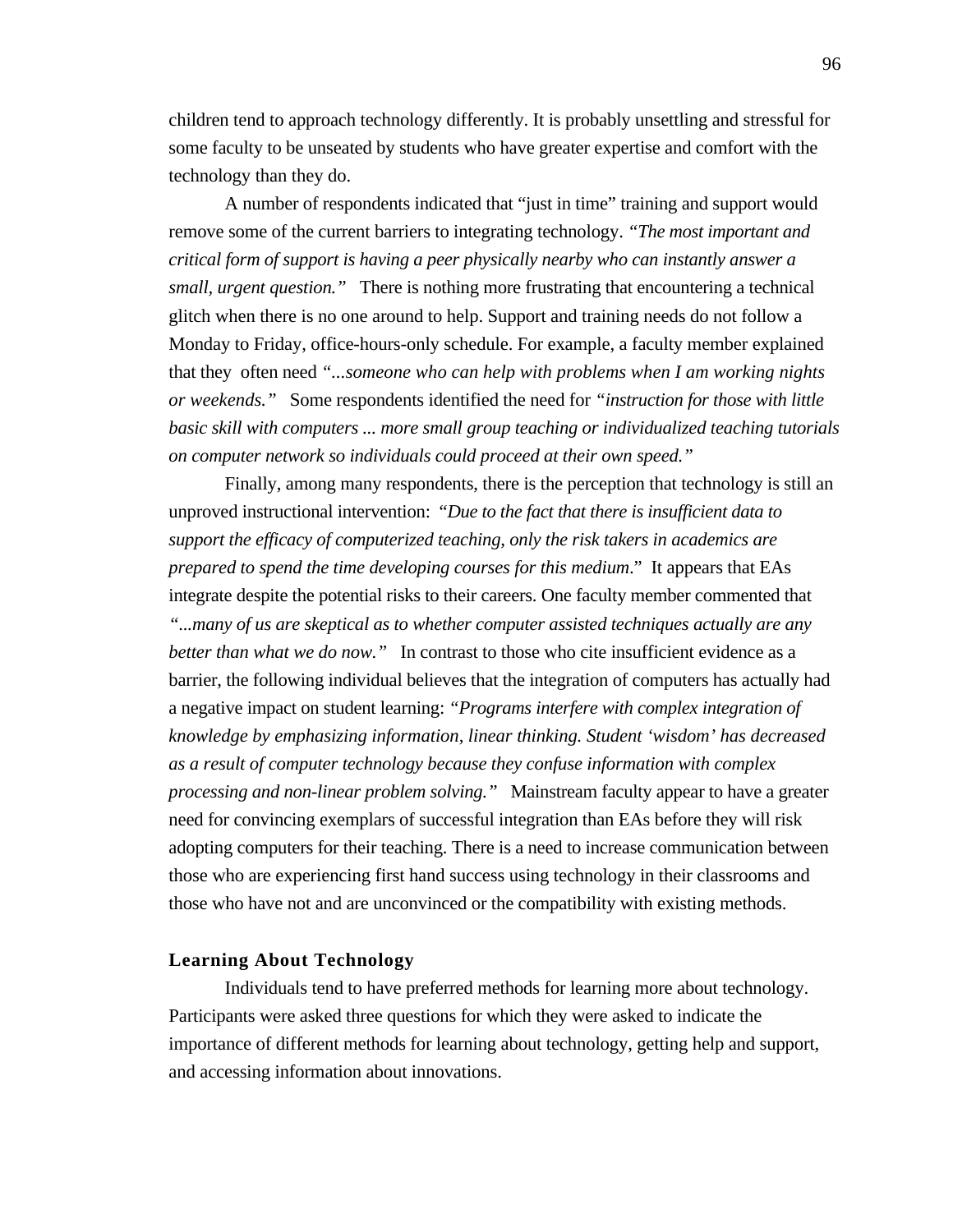children tend to approach technology differently. It is probably unsettling and stressful for some faculty to be unseated by students who have greater expertise and comfort with the technology than they do.

A number of respondents indicated that "just in time" training and support would remove some of the current barriers to integrating technology. *"The most important and critical form of support is having a peer physically nearby who can instantly answer a small, urgent question."* There is nothing more frustrating that encountering a technical glitch when there is no one around to help. Support and training needs do not follow a Monday to Friday, office-hours-only schedule. For example, a faculty member explained that they often need *"...someone who can help with problems when I am working nights or weekends."* Some respondents identified the need for *"instruction for those with little basic skill with computers ... more small group teaching or individualized teaching tutorials on computer network so individuals could proceed at their own speed."*

Finally, among many respondents, there is the perception that technology is still an unproved instructional intervention: "*Due to the fact that there is insufficient data to support the efficacy of computerized teaching, only the risk takers in academics are prepared to spend the time developing courses for this medium*." It appears that EAs integrate despite the potential risks to their careers. One faculty member commented that *"...many of us are skeptical as to whether computer assisted techniques actually are any better than what we do now.*" In contrast to those who cite insufficient evidence as a barrier, the following individual believes that the integration of computers has actually had a negative impact on student learning: *"Programs interfere with complex integration of knowledge by emphasizing information, linear thinking. Student 'wisdom' has decreased as a result of computer technology because they confuse information with complex processing and non-linear problem solving."* Mainstream faculty appear to have a greater need for convincing exemplars of successful integration than EAs before they will risk adopting computers for their teaching. There is a need to increase communication between those who are experiencing first hand success using technology in their classrooms and those who have not and are unconvinced or the compatibility with existing methods.

#### **Learning About Technology**

Individuals tend to have preferred methods for learning more about technology. Participants were asked three questions for which they were asked to indicate the importance of different methods for learning about technology, getting help and support, and accessing information about innovations.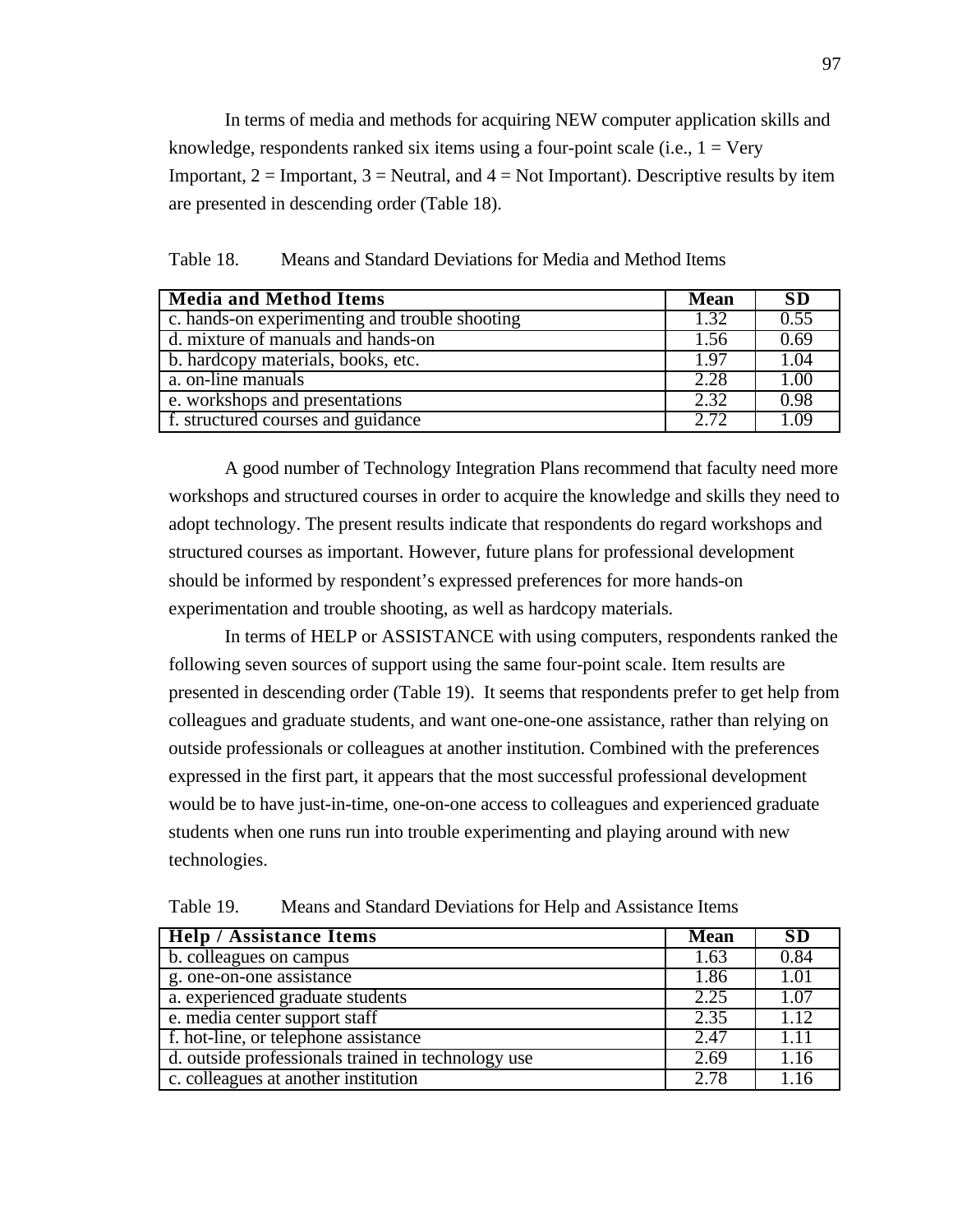In terms of media and methods for acquiring NEW computer application skills and knowledge, respondents ranked six items using a four-point scale (i.e.,  $1 = \text{Very}}$ ) Important,  $2 =$  Important,  $3 =$  Neutral, and  $4 =$  Not Important). Descriptive results by item are presented in descending order (Table 18).

| <b>Media and Method Items</b>                  | <b>Mean</b> | <b>SD</b> |
|------------------------------------------------|-------------|-----------|
| c. hands-on experimenting and trouble shooting | 1.32        | 0.55      |
| d. mixture of manuals and hands-on             |             | 0.69      |
| b. hardcopy materials, books, etc.             |             | 1.04      |
| a. on-line manuals                             |             | 1.00      |
| e. workshops and presentations                 | 2.32        | 0.98      |
| f. structured courses and guidance             | 2.72        | 1.09      |

Table 18. Means and Standard Deviations for Media and Method Items

A good number of Technology Integration Plans recommend that faculty need more workshops and structured courses in order to acquire the knowledge and skills they need to adopt technology. The present results indicate that respondents do regard workshops and structured courses as important. However, future plans for professional development should be informed by respondent's expressed preferences for more hands-on experimentation and trouble shooting, as well as hardcopy materials.

In terms of HELP or ASSISTANCE with using computers, respondents ranked the following seven sources of support using the same four-point scale. Item results are presented in descending order (Table 19). It seems that respondents prefer to get help from colleagues and graduate students, and want one-one-one assistance, rather than relying on outside professionals or colleagues at another institution. Combined with the preferences expressed in the first part, it appears that the most successful professional development would be to have just-in-time, one-on-one access to colleagues and experienced graduate students when one runs run into trouble experimenting and playing around with new technologies.

| <b>Help / Assistance Items</b>                     | <b>Mean</b> | <b>SD</b> |
|----------------------------------------------------|-------------|-----------|
| b. colleagues on campus                            |             | 0.84      |
| g. one-on-one assistance                           | 1.86        | 1.01      |
| a. experienced graduate students                   | 2.25        | 1.07      |
| e. media center support staff                      | 2.35        | 1.12      |
| f. hot-line, or telephone assistance               | 2.47        | 1.11      |
| d. outside professionals trained in technology use | 2.69        | 1.16      |
| c. colleagues at another institution               | 2.78        | 1.16      |

Table 19. Means and Standard Deviations for Help and Assistance Items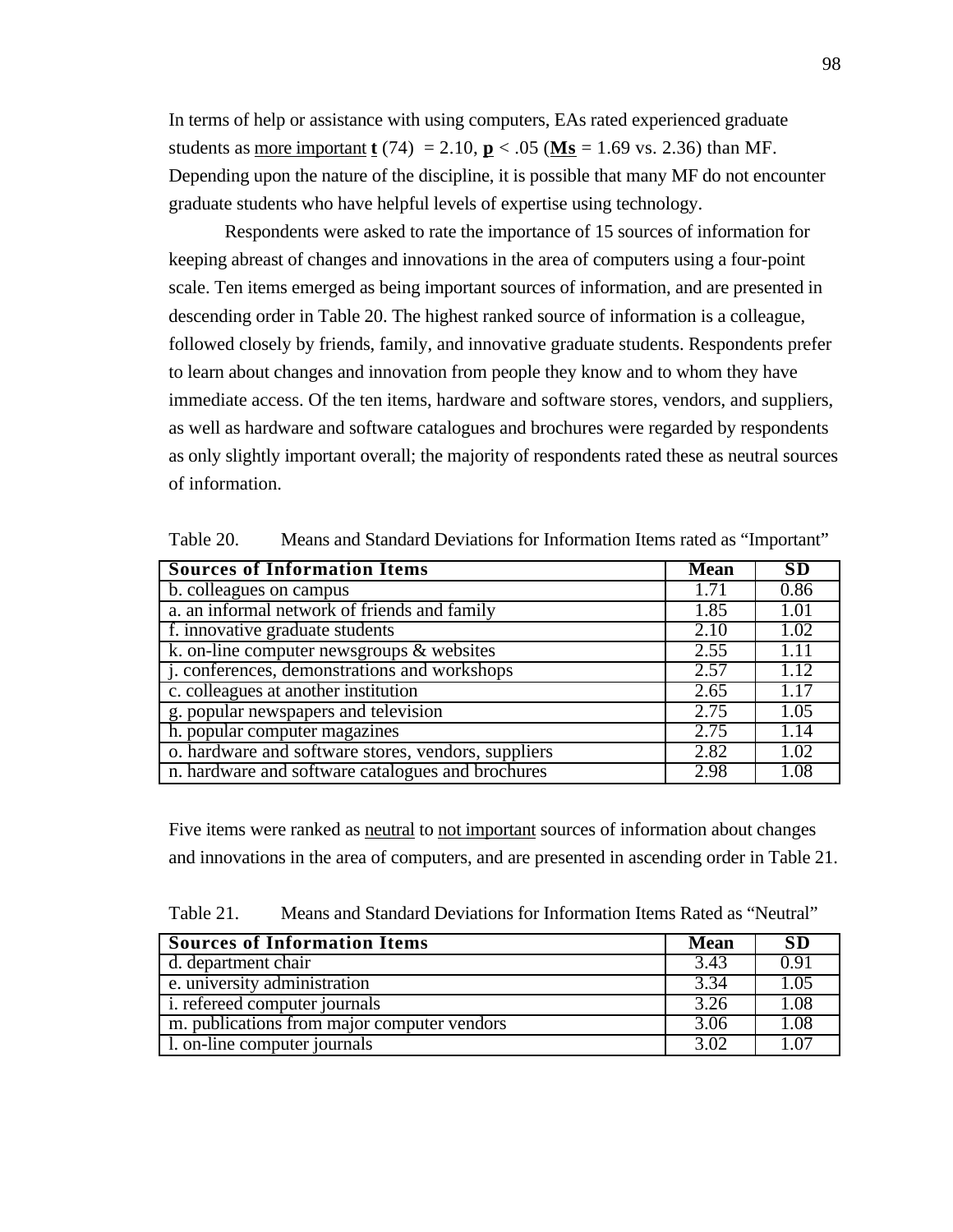In terms of help or assistance with using computers, EAs rated experienced graduate students as more important **t** (74) = 2.10, **p** < .05 (**Ms** = 1.69 vs. 2.36) than MF. Depending upon the nature of the discipline, it is possible that many MF do not encounter graduate students who have helpful levels of expertise using technology.

Respondents were asked to rate the importance of 15 sources of information for keeping abreast of changes and innovations in the area of computers using a four-point scale. Ten items emerged as being important sources of information, and are presented in descending order in Table 20. The highest ranked source of information is a colleague, followed closely by friends, family, and innovative graduate students. Respondents prefer to learn about changes and innovation from people they know and to whom they have immediate access. Of the ten items, hardware and software stores, vendors, and suppliers, as well as hardware and software catalogues and brochures were regarded by respondents as only slightly important overall; the majority of respondents rated these as neutral sources of information.

| <b>Sources of Information Items</b>                 |      | <b>SD</b> |
|-----------------------------------------------------|------|-----------|
| b. colleagues on campus                             |      | 0.86      |
| a. an informal network of friends and family        | 1.85 | 1.01      |
| f. innovative graduate students                     | 2.10 | 1.02      |
| k. on-line computer newsgroups $\&$ websites        | 2.55 | 1.11      |
| j. conferences, demonstrations and workshops        |      | 1.12      |
| c. colleagues at another institution                | 2.65 | 1.17      |
| g. popular newspapers and television                | 2.75 | 1.05      |
| h. popular computer magazines                       | 2.75 | 1.14      |
| o. hardware and software stores, vendors, suppliers | 2.82 | 1.02      |
| n. hardware and software catalogues and brochures   | 2.98 | 1.08      |

Table 20. Means and Standard Deviations for Information Items rated as "Important"

Five items were ranked as neutral to not important sources of information about changes and innovations in the area of computers, and are presented in ascending order in Table 21.

| Table 21. | Means and Standard Deviations for Information Items Rated as "Neutral" |  |
|-----------|------------------------------------------------------------------------|--|
|-----------|------------------------------------------------------------------------|--|

| <b>Sources of Information Items</b>         | <b>Mean</b> | <b>SD</b> |
|---------------------------------------------|-------------|-----------|
| d. department chair                         | 3.43        | 0.91      |
| e. university administration                |             | 1.05      |
| <i>i.</i> referred computer journals        | 3.26        | 1.08      |
| m. publications from major computer vendors | 3.06        | 1.08      |
| 1. on-line computer journals                | 3.02        | $1.0^{-}$ |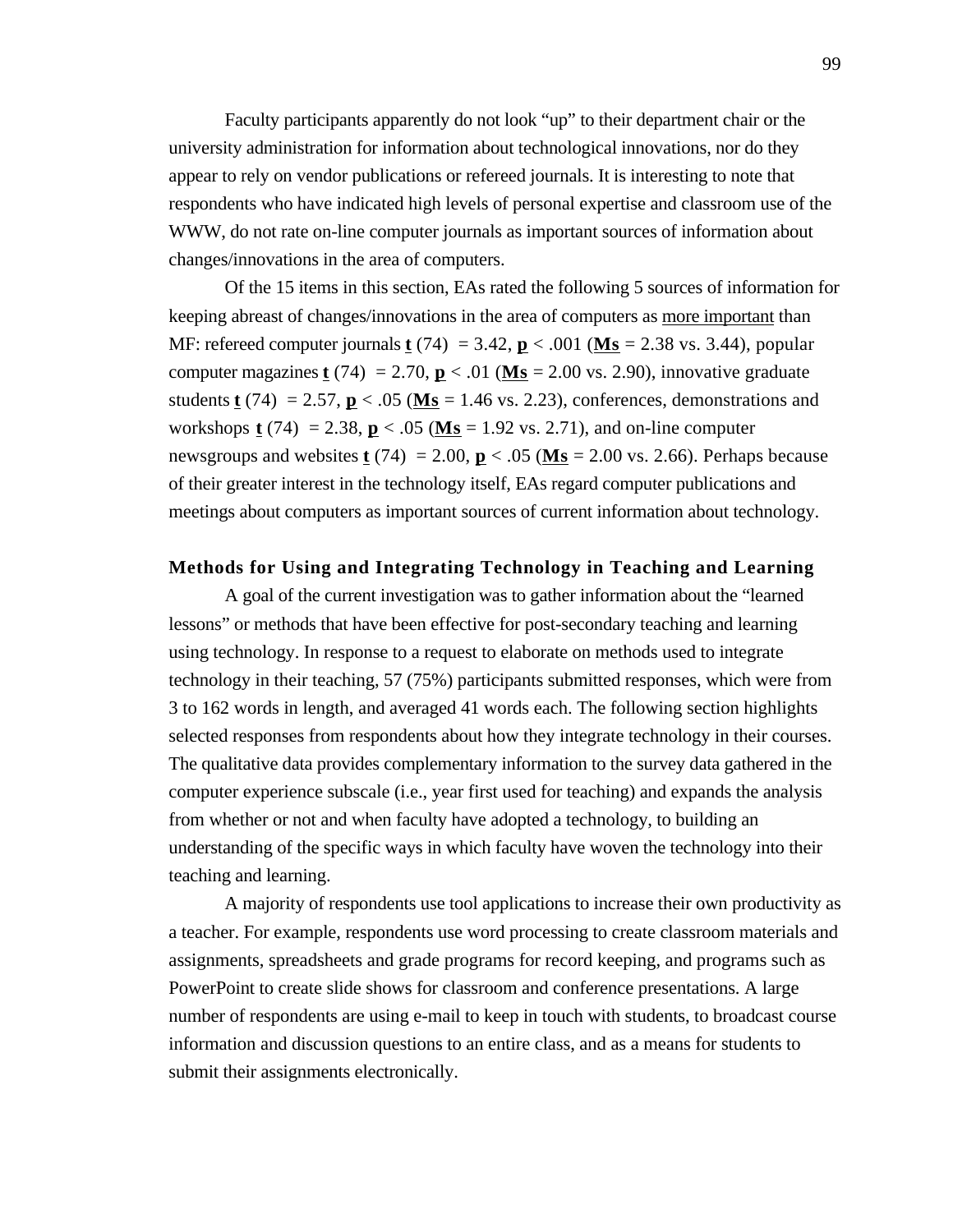Faculty participants apparently do not look "up" to their department chair or the university administration for information about technological innovations, nor do they appear to rely on vendor publications or refereed journals. It is interesting to note that respondents who have indicated high levels of personal expertise and classroom use of the WWW, do not rate on-line computer journals as important sources of information about changes/innovations in the area of computers.

Of the 15 items in this section, EAs rated the following 5 sources of information for keeping abreast of changes/innovations in the area of computers as more important than MF: refereed computer journals **t** (74) = 3.42, **p** < .001 ( **Ms** = 2.38 vs. 3.44), popular computer magazines **t** (74) = 2.70,  $\mathbf{p}$  < .01 (Ms = 2.00 vs. 2.90), innovative graduate students **t** (74) = 2.57,  $\mathbf{p}$  < .05 (Ms = 1.46 vs. 2.23), conferences, demonstrations and workshops **t** (74) = 2.38, **p** < .05 ( $M_s$  = 1.92 vs. 2.71), and on-line computer newsgroups and websites **t** (74) = 2.00,  $\mathbf{p}$  < .05 ( $\mathbf{Ms}$  = 2.00 vs. 2.66). Perhaps because of their greater interest in the technology itself, EAs regard computer publications and meetings about computers as important sources of current information about technology.

# **Methods for Using and Integrating Technology in Teaching and Learning**

A goal of the current investigation was to gather information about the "learned lessons" or methods that have been effective for post-secondary teaching and learning using technology. In response to a request to elaborate on methods used to integrate technology in their teaching, 57 (75%) participants submitted responses, which were from 3 to 162 words in length, and averaged 41 words each. The following section highlights selected responses from respondents about how they integrate technology in their courses. The qualitative data provides complementary information to the survey data gathered in the computer experience subscale (i.e., year first used for teaching) and expands the analysis from whether or not and when faculty have adopted a technology, to building an understanding of the specific ways in which faculty have woven the technology into their teaching and learning.

A majority of respondents use tool applications to increase their own productivity as a teacher. For example, respondents use word processing to create classroom materials and assignments, spreadsheets and grade programs for record keeping, and programs such as PowerPoint to create slide shows for classroom and conference presentations. A large number of respondents are using e-mail to keep in touch with students, to broadcast course information and discussion questions to an entire class, and as a means for students to submit their assignments electronically.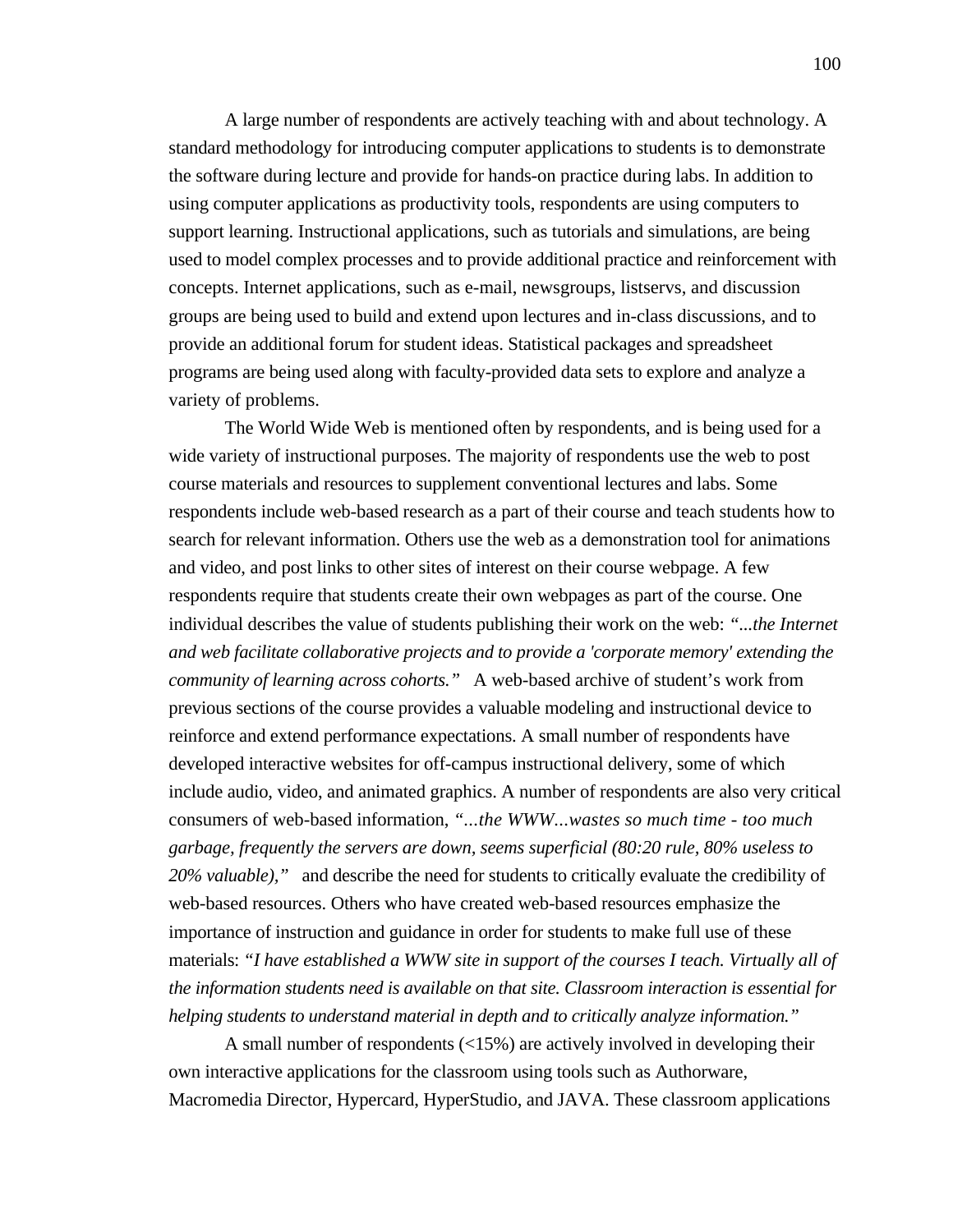A large number of respondents are actively teaching with and about technology. A standard methodology for introducing computer applications to students is to demonstrate the software during lecture and provide for hands-on practice during labs. In addition to using computer applications as productivity tools, respondents are using computers to support learning. Instructional applications, such as tutorials and simulations, are being used to model complex processes and to provide additional practice and reinforcement with concepts. Internet applications, such as e-mail, newsgroups, listservs, and discussion groups are being used to build and extend upon lectures and in-class discussions, and to provide an additional forum for student ideas. Statistical packages and spreadsheet programs are being used along with faculty-provided data sets to explore and analyze a variety of problems.

The World Wide Web is mentioned often by respondents, and is being used for a wide variety of instructional purposes. The majority of respondents use the web to post course materials and resources to supplement conventional lectures and labs. Some respondents include web-based research as a part of their course and teach students how to search for relevant information. Others use the web as a demonstration tool for animations and video, and post links to other sites of interest on their course webpage. A few respondents require that students create their own webpages as part of the course. One individual describes the value of students publishing their work on the web: *"...the Internet and web facilitate collaborative projects and to provide a 'corporate memory' extending the community of learning across cohorts."* A web-based archive of student's work from previous sections of the course provides a valuable modeling and instructional device to reinforce and extend performance expectations. A small number of respondents have developed interactive websites for off-campus instructional delivery, some of which include audio, video, and animated graphics. A number of respondents are also very critical consumers of web-based information, *"...the WWW...wastes so much time - too much garbage, frequently the servers are down, seems superficial (80:20 rule, 80% useless to 20% valuable),"* and describe the need for students to critically evaluate the credibility of web-based resources. Others who have created web-based resources emphasize the importance of instruction and guidance in order for students to make full use of these materials: *"I have established a WWW site in support of the courses I teach. Virtually all of the information students need is available on that site. Classroom interaction is essential for helping students to understand material in depth and to critically analyze information."*

A small number of respondents (<15%) are actively involved in developing their own interactive applications for the classroom using tools such as Authorware, Macromedia Director, Hypercard, HyperStudio, and JAVA. These classroom applications

100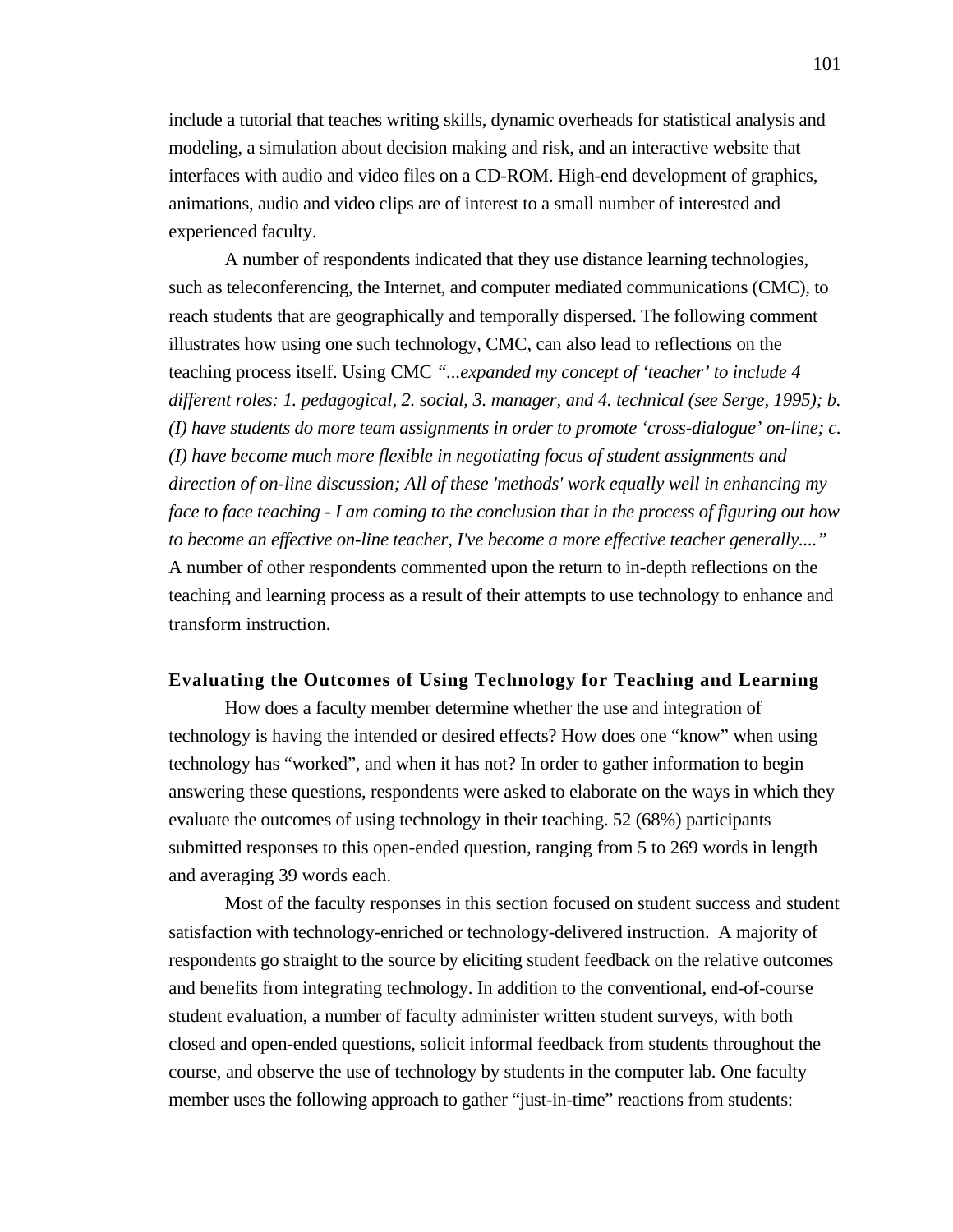include a tutorial that teaches writing skills, dynamic overheads for statistical analysis and modeling, a simulation about decision making and risk, and an interactive website that interfaces with audio and video files on a CD-ROM. High-end development of graphics, animations, audio and video clips are of interest to a small number of interested and experienced faculty.

A number of respondents indicated that they use distance learning technologies, such as teleconferencing, the Internet, and computer mediated communications (CMC), to reach students that are geographically and temporally dispersed. The following comment illustrates how using one such technology, CMC, can also lead to reflections on the teaching process itself. Using CMC *"...expanded my concept of 'teacher' to include 4 different roles: 1. pedagogical, 2. social, 3. manager, and 4. technical (see Serge, 1995); b. (I) have students do more team assignments in order to promote 'cross-dialogue' on-line; c. (I) have become much more flexible in negotiating focus of student assignments and direction of on-line discussion; All of these 'methods' work equally well in enhancing my face to face teaching - I am coming to the conclusion that in the process of figuring out how to become an effective on-line teacher, I've become a more effective teacher generally...."* A number of other respondents commented upon the return to in-depth reflections on the teaching and learning process as a result of their attempts to use technology to enhance and transform instruction.

# **Evaluating the Outcomes of Using Technology for Teaching and Learning**

How does a faculty member determine whether the use and integration of technology is having the intended or desired effects? How does one "know" when using technology has "worked", and when it has not? In order to gather information to begin answering these questions, respondents were asked to elaborate on the ways in which they evaluate the outcomes of using technology in their teaching. 52 (68%) participants submitted responses to this open-ended question, ranging from 5 to 269 words in length and averaging 39 words each.

Most of the faculty responses in this section focused on student success and student satisfaction with technology-enriched or technology-delivered instruction. A majority of respondents go straight to the source by eliciting student feedback on the relative outcomes and benefits from integrating technology. In addition to the conventional, end-of-course student evaluation, a number of faculty administer written student surveys, with both closed and open-ended questions, solicit informal feedback from students throughout the course, and observe the use of technology by students in the computer lab. One faculty member uses the following approach to gather "just-in-time" reactions from students: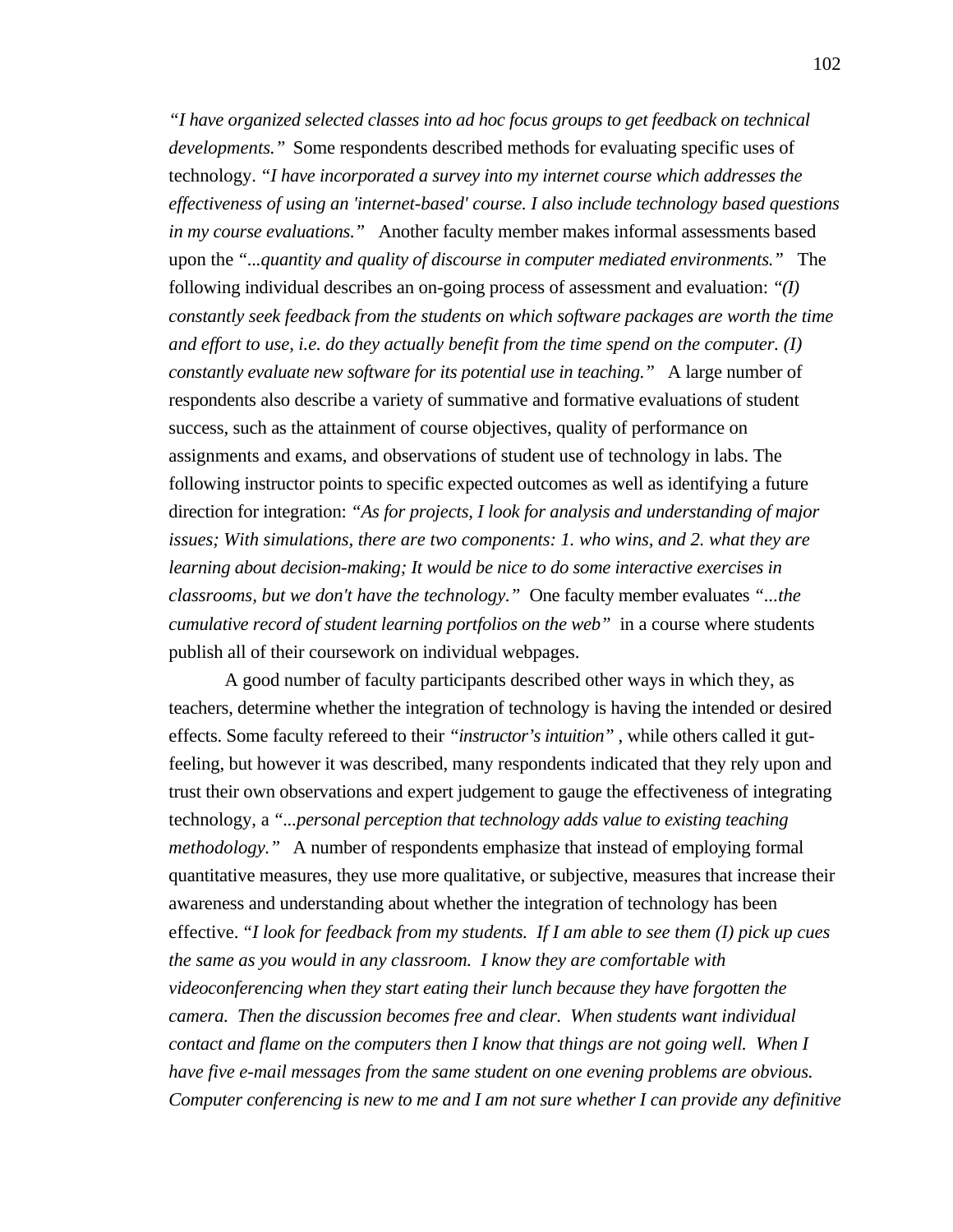*"I have organized selected classes into ad hoc focus groups to get feedback on technical developments."* Some respondents described methods for evaluating specific uses of technology. *"I have incorporated a survey into my internet course which addresses the effectiveness of using an 'internet-based' course. I also include technology based questions in my course evaluations."* Another faculty member makes informal assessments based upon the *"...quantity and quality of discourse in computer mediated environments."* The following individual describes an on-going process of assessment and evaluation: *"(I) constantly seek feedback from the students on which software packages are worth the time and effort to use, i.e. do they actually benefit from the time spend on the computer. (I) constantly evaluate new software for its potential use in teaching.*" A large number of respondents also describe a variety of summative and formative evaluations of student success, such as the attainment of course objectives, quality of performance on assignments and exams, and observations of student use of technology in labs. The following instructor points to specific expected outcomes as well as identifying a future direction for integration: *"As for projects, I look for analysis and understanding of major issues; With simulations, there are two components: 1. who wins, and 2. what they are learning about decision-making; It would be nice to do some interactive exercises in classrooms, but we don't have the technology."* One faculty member evaluates *"...the cumulative record of student learning portfolios on the web"* in a course where students publish all of their coursework on individual webpages.

A good number of faculty participants described other ways in which they, as teachers, determine whether the integration of technology is having the intended or desired effects. Some faculty refereed to their *"instructor's intuition"* , while others called it gutfeeling, but however it was described, many respondents indicated that they rely upon and trust their own observations and expert judgement to gauge the effectiveness of integrating technology, a *"...personal perception that technology adds value to existing teaching methodology."* A number of respondents emphasize that instead of employing formal quantitative measures, they use more qualitative, or subjective, measures that increase their awareness and understanding about whether the integration of technology has been effective. *"I look for feedback from my students. If I am able to see them (I) pick up cues the same as you would in any classroom. I know they are comfortable with videoconferencing when they start eating their lunch because they have forgotten the camera. Then the discussion becomes free and clear. When students want individual contact and flame on the computers then I know that things are not going well. When I have five e-mail messages from the same student on one evening problems are obvious. Computer conferencing is new to me and I am not sure whether I can provide any definitive*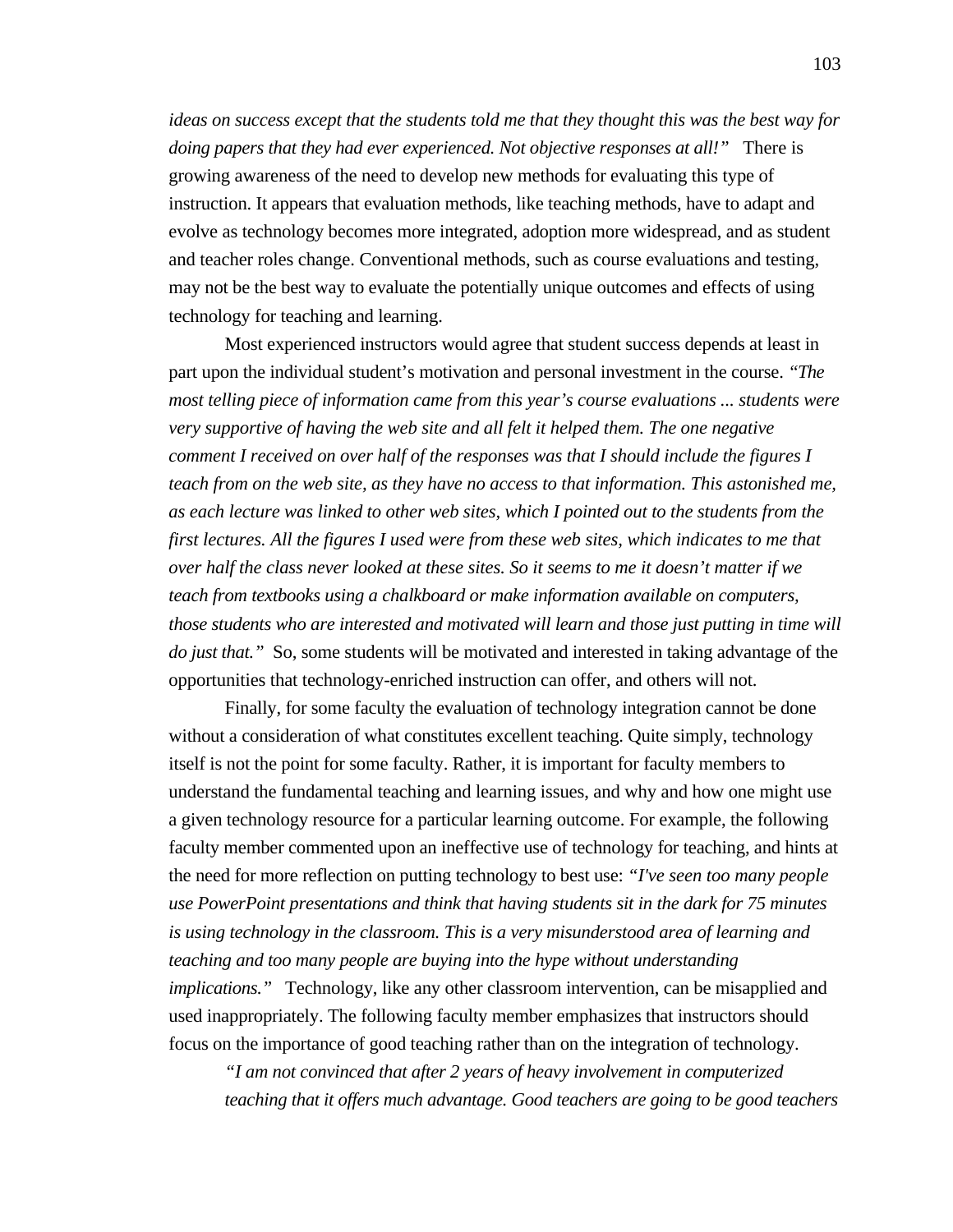*ideas on success except that the students told me that they thought this was the best way for doing papers that they had ever experienced. Not objective responses at all!"* There is growing awareness of the need to develop new methods for evaluating this type of instruction. It appears that evaluation methods, like teaching methods, have to adapt and evolve as technology becomes more integrated, adoption more widespread, and as student and teacher roles change. Conventional methods, such as course evaluations and testing, may not be the best way to evaluate the potentially unique outcomes and effects of using technology for teaching and learning.

Most experienced instructors would agree that student success depends at least in part upon the individual student's motivation and personal investment in the course. *"The most telling piece of information came from this year's course evaluations ... students were very supportive of having the web site and all felt it helped them. The one negative comment I received on over half of the responses was that I should include the figures I teach from on the web site, as they have no access to that information. This astonished me, as each lecture was linked to other web sites, which I pointed out to the students from the first lectures. All the figures I used were from these web sites, which indicates to me that over half the class never looked at these sites. So it seems to me it doesn't matter if we teach from textbooks using a chalkboard or make information available on computers, those students who are interested and motivated will learn and those just putting in time will do just that."* So, some students will be motivated and interested in taking advantage of the opportunities that technology-enriched instruction can offer, and others will not.

Finally, for some faculty the evaluation of technology integration cannot be done without a consideration of what constitutes excellent teaching. Quite simply, technology itself is not the point for some faculty. Rather, it is important for faculty members to understand the fundamental teaching and learning issues, and why and how one might use a given technology resource for a particular learning outcome. For example, the following faculty member commented upon an ineffective use of technology for teaching, and hints at the need for more reflection on putting technology to best use: *"I've seen too many people use PowerPoint presentations and think that having students sit in the dark for 75 minutes is using technology in the classroom. This is a very misunderstood area of learning and teaching and too many people are buying into the hype without understanding implications.*" Technology, like any other classroom intervention, can be misapplied and used inappropriately. The following faculty member emphasizes that instructors should focus on the importance of good teaching rather than on the integration of technology.

*"I am not convinced that after 2 years of heavy involvement in computerized teaching that it offers much advantage. Good teachers are going to be good teachers*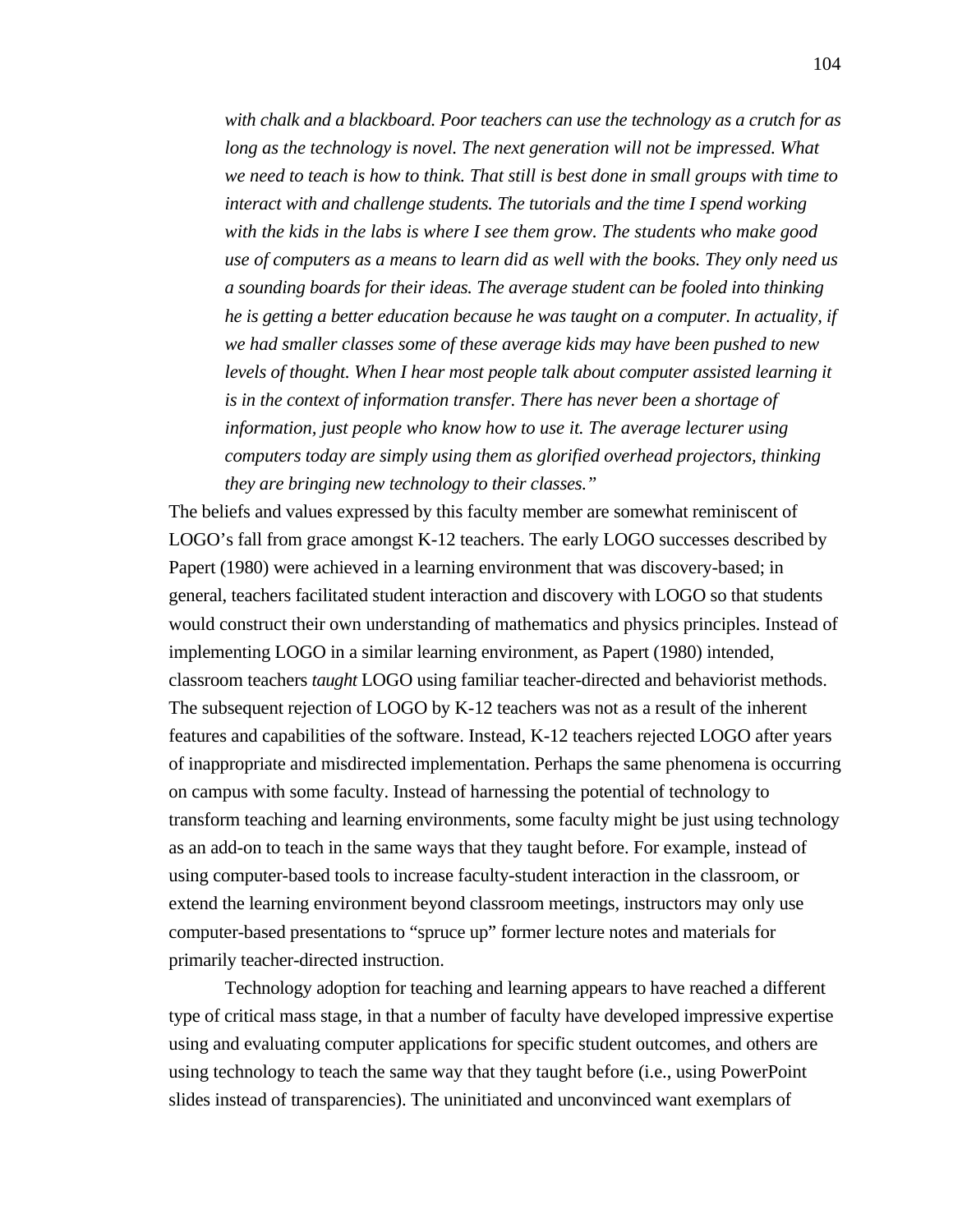*with chalk and a blackboard. Poor teachers can use the technology as a crutch for as long as the technology is novel. The next generation will not be impressed. What we need to teach is how to think. That still is best done in small groups with time to interact with and challenge students. The tutorials and the time I spend working with the kids in the labs is where I see them grow. The students who make good use of computers as a means to learn did as well with the books. They only need us a sounding boards for their ideas. The average student can be fooled into thinking he is getting a better education because he was taught on a computer. In actuality, if we had smaller classes some of these average kids may have been pushed to new levels of thought. When I hear most people talk about computer assisted learning it is in the context of information transfer. There has never been a shortage of information, just people who know how to use it. The average lecturer using computers today are simply using them as glorified overhead projectors, thinking they are bringing new technology to their classes."*

The beliefs and values expressed by this faculty member are somewhat reminiscent of LOGO's fall from grace amongst K-12 teachers. The early LOGO successes described by Papert (1980) were achieved in a learning environment that was discovery-based; in general, teachers facilitated student interaction and discovery with LOGO so that students would construct their own understanding of mathematics and physics principles. Instead of implementing LOGO in a similar learning environment, as Papert (1980) intended, classroom teachers *taught* LOGO using familiar teacher-directed and behaviorist methods. The subsequent rejection of LOGO by K-12 teachers was not as a result of the inherent features and capabilities of the software. Instead, K-12 teachers rejected LOGO after years of inappropriate and misdirected implementation. Perhaps the same phenomena is occurring on campus with some faculty. Instead of harnessing the potential of technology to transform teaching and learning environments, some faculty might be just using technology as an add-on to teach in the same ways that they taught before. For example, instead of using computer-based tools to increase faculty-student interaction in the classroom, or extend the learning environment beyond classroom meetings, instructors may only use computer-based presentations to "spruce up" former lecture notes and materials for primarily teacher-directed instruction.

Technology adoption for teaching and learning appears to have reached a different type of critical mass stage, in that a number of faculty have developed impressive expertise using and evaluating computer applications for specific student outcomes, and others are using technology to teach the same way that they taught before (i.e., using PowerPoint slides instead of transparencies). The uninitiated and unconvinced want exemplars of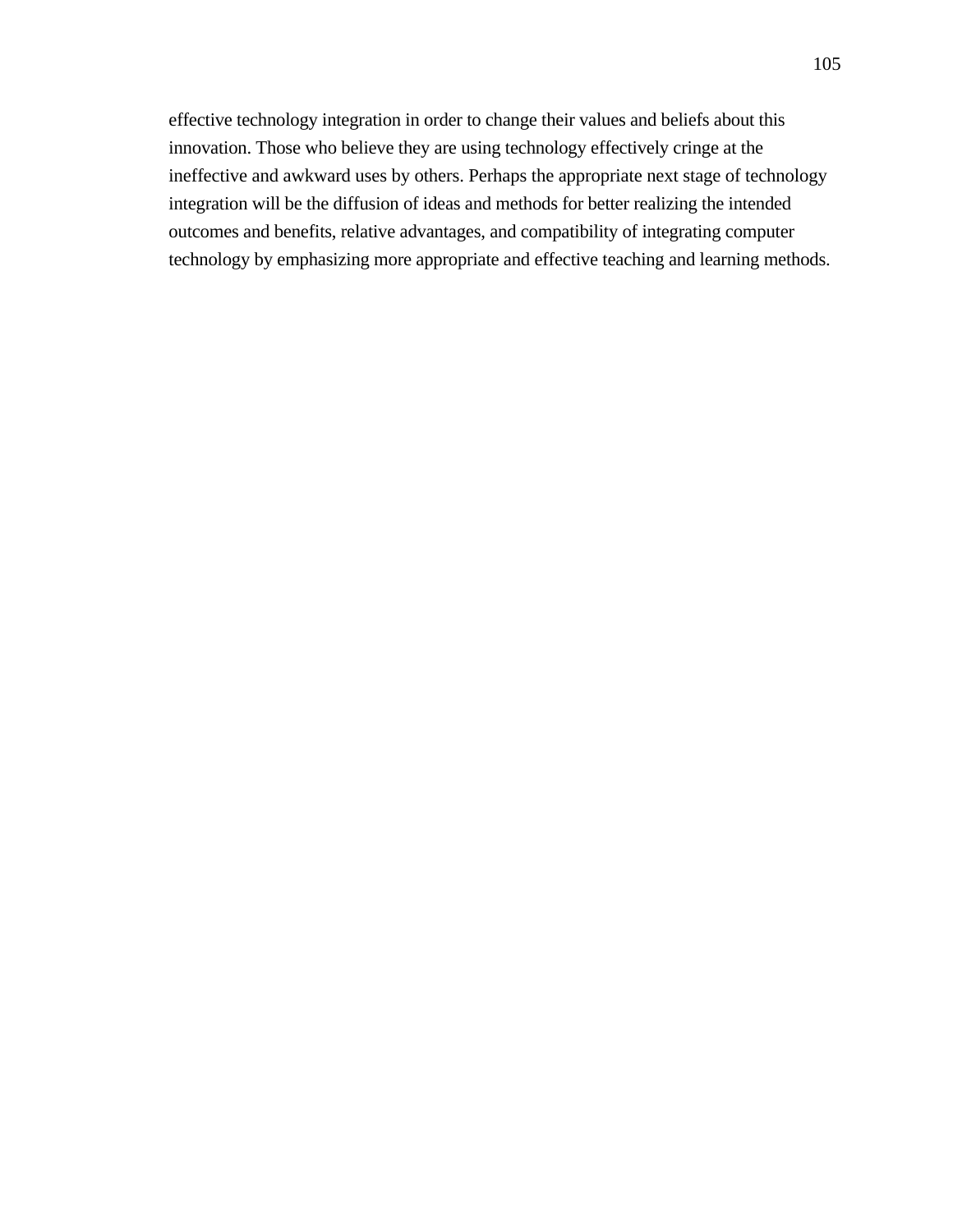effective technology integration in order to change their values and beliefs about this innovation. Those who believe they are using technology effectively cringe at the ineffective and awkward uses by others. Perhaps the appropriate next stage of technology integration will be the diffusion of ideas and methods for better realizing the intended outcomes and benefits, relative advantages, and compatibility of integrating computer technology by emphasizing more appropriate and effective teaching and learning methods.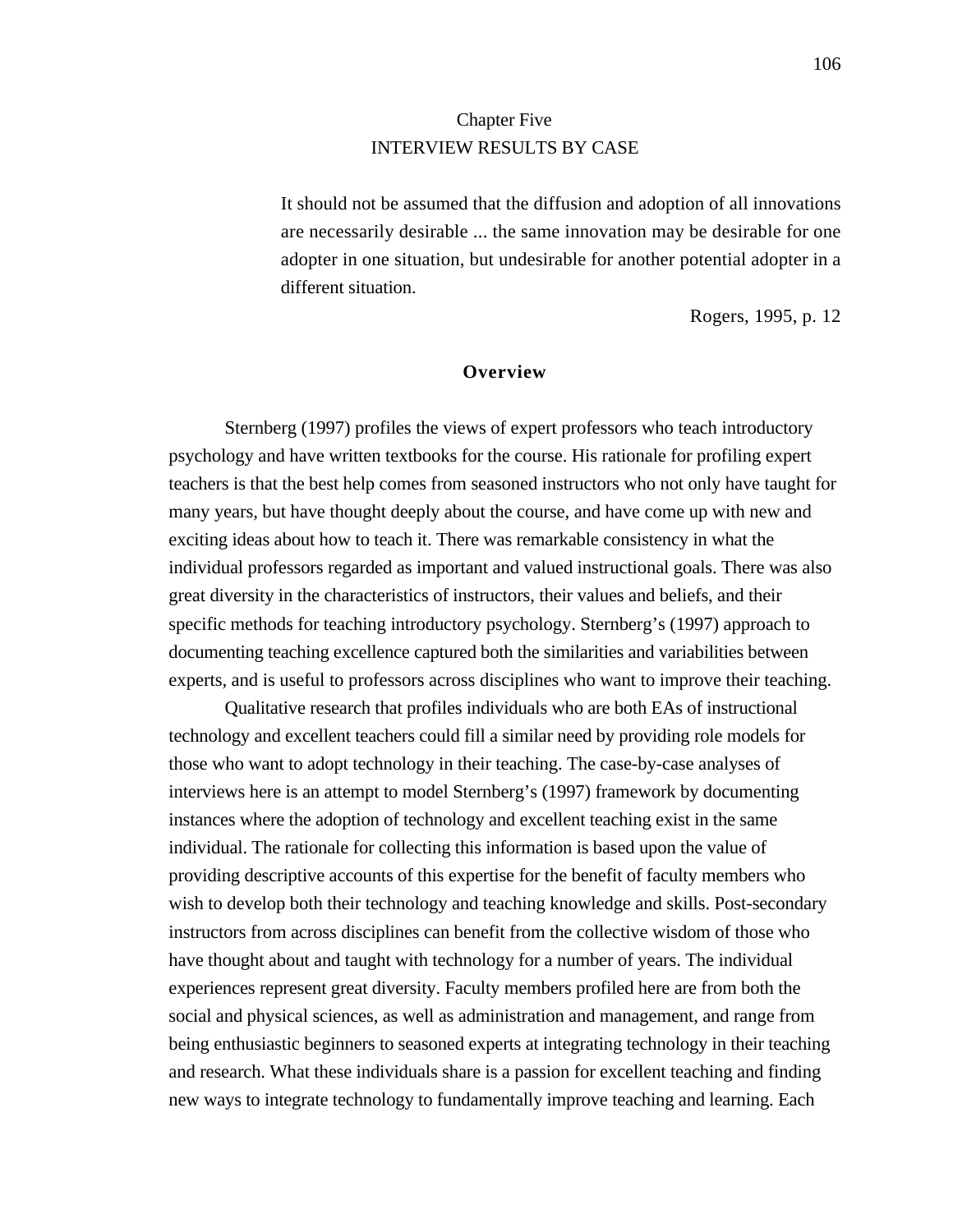# Chapter Five INTERVIEW RESULTS BY CASE

It should not be assumed that the diffusion and adoption of all innovations are necessarily desirable ... the same innovation may be desirable for one adopter in one situation, but undesirable for another potential adopter in a different situation.

Rogers, 1995, p. 12

# **Overview**

Sternberg (1997) profiles the views of expert professors who teach introductory psychology and have written textbooks for the course. His rationale for profiling expert teachers is that the best help comes from seasoned instructors who not only have taught for many years, but have thought deeply about the course, and have come up with new and exciting ideas about how to teach it. There was remarkable consistency in what the individual professors regarded as important and valued instructional goals. There was also great diversity in the characteristics of instructors, their values and beliefs, and their specific methods for teaching introductory psychology. Sternberg's (1997) approach to documenting teaching excellence captured both the similarities and variabilities between experts, and is useful to professors across disciplines who want to improve their teaching.

Qualitative research that profiles individuals who are both EAs of instructional technology and excellent teachers could fill a similar need by providing role models for those who want to adopt technology in their teaching. The case-by-case analyses of interviews here is an attempt to model Sternberg's (1997) framework by documenting instances where the adoption of technology and excellent teaching exist in the same individual. The rationale for collecting this information is based upon the value of providing descriptive accounts of this expertise for the benefit of faculty members who wish to develop both their technology and teaching knowledge and skills. Post-secondary instructors from across disciplines can benefit from the collective wisdom of those who have thought about and taught with technology for a number of years. The individual experiences represent great diversity. Faculty members profiled here are from both the social and physical sciences, as well as administration and management, and range from being enthusiastic beginners to seasoned experts at integrating technology in their teaching and research. What these individuals share is a passion for excellent teaching and finding new ways to integrate technology to fundamentally improve teaching and learning. Each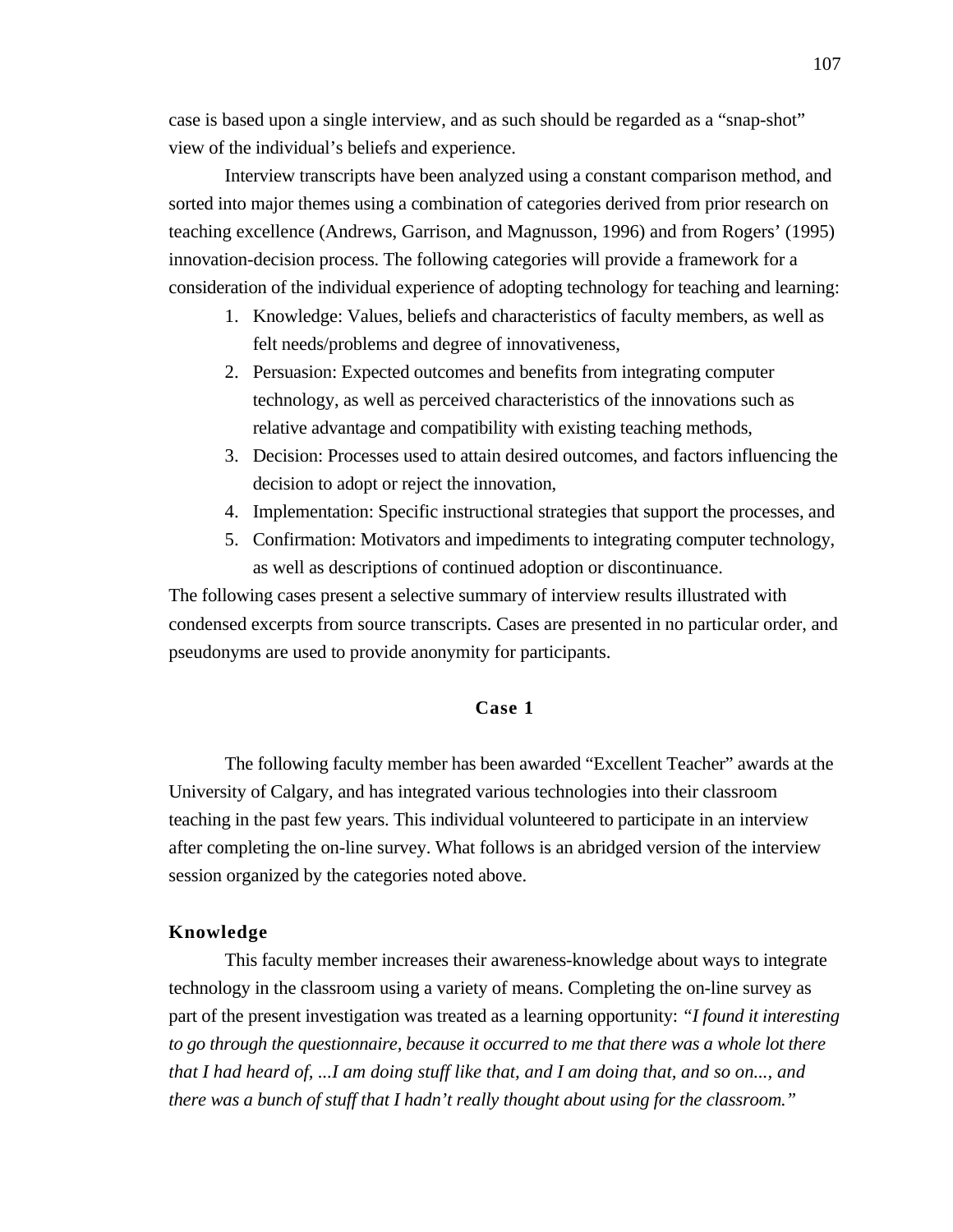case is based upon a single interview, and as such should be regarded as a "snap-shot" view of the individual's beliefs and experience.

Interview transcripts have been analyzed using a constant comparison method, and sorted into major themes using a combination of categories derived from prior research on teaching excellence (Andrews, Garrison, and Magnusson, 1996) and from Rogers' (1995) innovation-decision process. The following categories will provide a framework for a consideration of the individual experience of adopting technology for teaching and learning:

- 1. Knowledge: Values, beliefs and characteristics of faculty members, as well as felt needs/problems and degree of innovativeness,
- 2. Persuasion: Expected outcomes and benefits from integrating computer technology, as well as perceived characteristics of the innovations such as relative advantage and compatibility with existing teaching methods,
- 3. Decision: Processes used to attain desired outcomes, and factors influencing the decision to adopt or reject the innovation,
- 4. Implementation: Specific instructional strategies that support the processes, and
- 5. Confirmation: Motivators and impediments to integrating computer technology, as well as descriptions of continued adoption or discontinuance.

The following cases present a selective summary of interview results illustrated with condensed excerpts from source transcripts. Cases are presented in no particular order, and pseudonyms are used to provide anonymity for participants.

# **Case 1**

The following faculty member has been awarded "Excellent Teacher" awards at the University of Calgary, and has integrated various technologies into their classroom teaching in the past few years. This individual volunteered to participate in an interview after completing the on-line survey. What follows is an abridged version of the interview session organized by the categories noted above.

# **Knowledge**

This faculty member increases their awareness-knowledge about ways to integrate technology in the classroom using a variety of means. Completing the on-line survey as part of the present investigation was treated as a learning opportunity: *"I found it interesting to go through the questionnaire, because it occurred to me that there was a whole lot there that I had heard of, ...I am doing stuff like that, and I am doing that, and so on..., and there was a bunch of stuff that I hadn't really thought about using for the classroom."*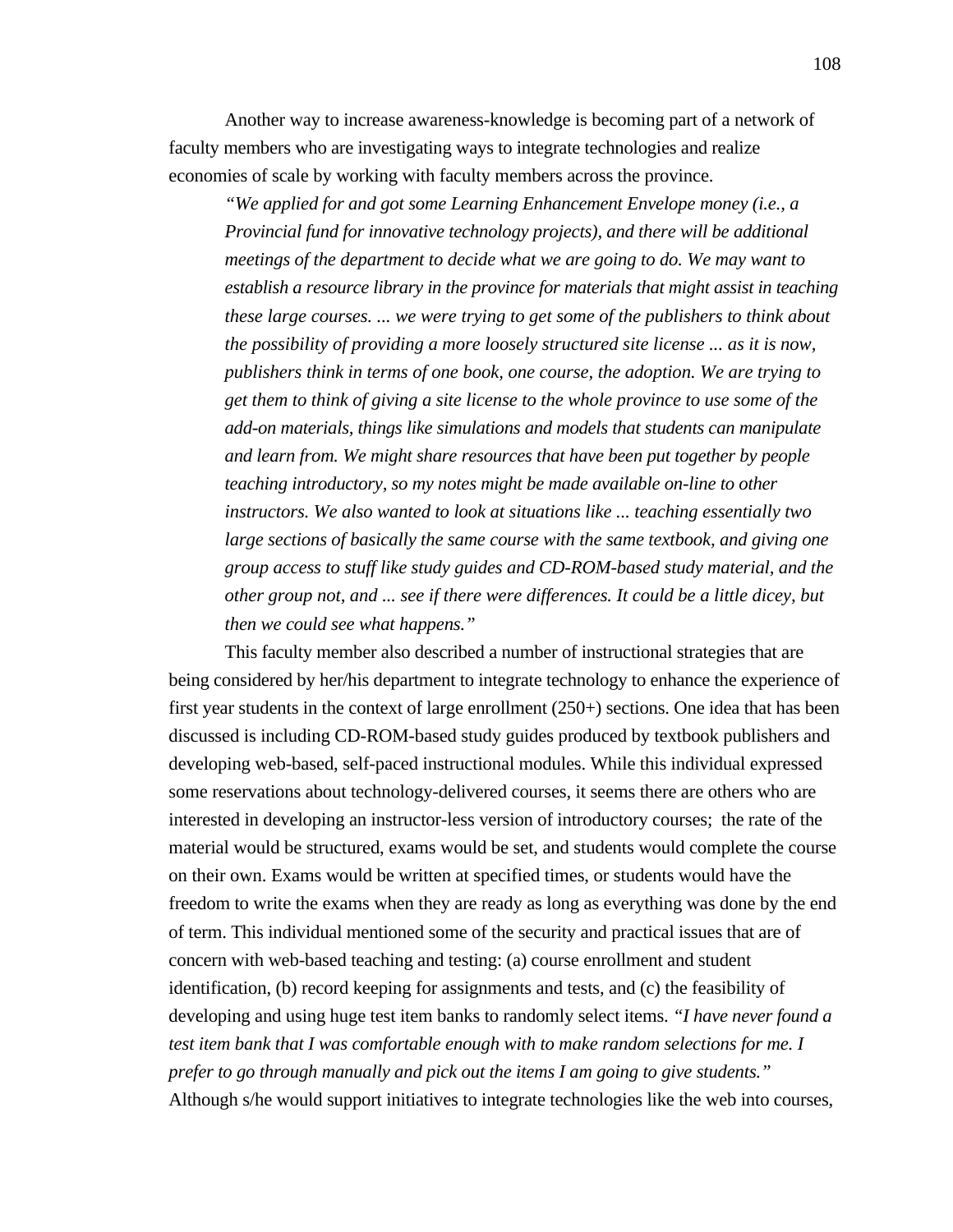Another way to increase awareness-knowledge is becoming part of a network of faculty members who are investigating ways to integrate technologies and realize economies of scale by working with faculty members across the province.

*"We applied for and got some Learning Enhancement Envelope money (i.e., a Provincial fund for innovative technology projects), and there will be additional meetings of the department to decide what we are going to do. We may want to establish a resource library in the province for materials that might assist in teaching these large courses. ... we were trying to get some of the publishers to think about the possibility of providing a more loosely structured site license ... as it is now, publishers think in terms of one book, one course, the adoption. We are trying to get them to think of giving a site license to the whole province to use some of the add-on materials, things like simulations and models that students can manipulate and learn from. We might share resources that have been put together by people teaching introductory, so my notes might be made available on-line to other instructors. We also wanted to look at situations like ... teaching essentially two large sections of basically the same course with the same textbook, and giving one group access to stuff like study guides and CD-ROM-based study material, and the other group not, and ... see if there were differences. It could be a little dicey, but then we could see what happens."*

This faculty member also described a number of instructional strategies that are being considered by her/his department to integrate technology to enhance the experience of first year students in the context of large enrollment (250+) sections. One idea that has been discussed is including CD-ROM-based study guides produced by textbook publishers and developing web-based, self-paced instructional modules. While this individual expressed some reservations about technology-delivered courses, it seems there are others who are interested in developing an instructor-less version of introductory courses; the rate of the material would be structured, exams would be set, and students would complete the course on their own. Exams would be written at specified times, or students would have the freedom to write the exams when they are ready as long as everything was done by the end of term. This individual mentioned some of the security and practical issues that are of concern with web-based teaching and testing: (a) course enrollment and student identification, (b) record keeping for assignments and tests, and (c) the feasibility of developing and using huge test item banks to randomly select items. *"I have never found a test item bank that I was comfortable enough with to make random selections for me. I prefer to go through manually and pick out the items I am going to give students."* Although s/he would support initiatives to integrate technologies like the web into courses,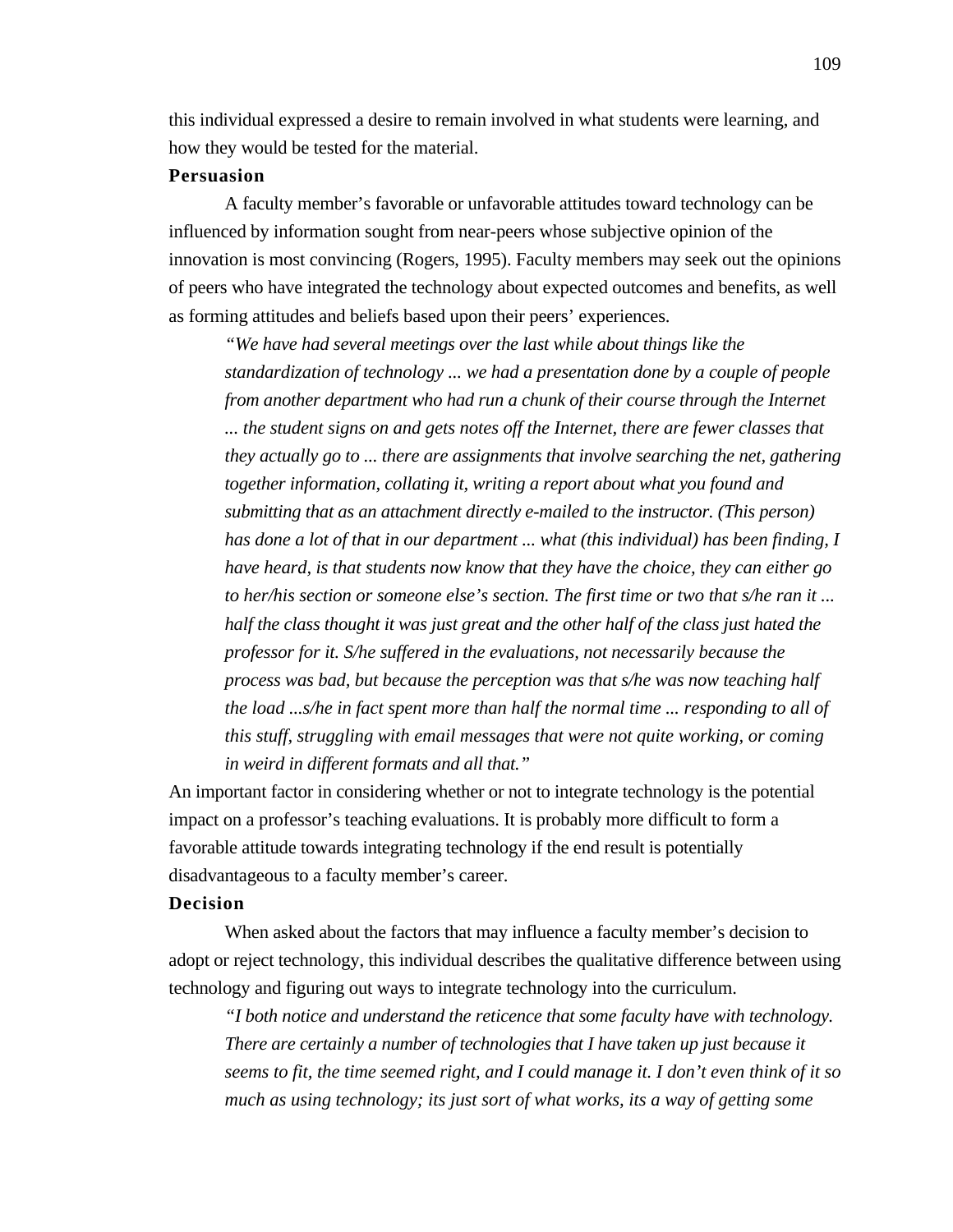this individual expressed a desire to remain involved in what students were learning, and how they would be tested for the material.

#### **Persuasion**

A faculty member's favorable or unfavorable attitudes toward technology can be influenced by information sought from near-peers whose subjective opinion of the innovation is most convincing (Rogers, 1995). Faculty members may seek out the opinions of peers who have integrated the technology about expected outcomes and benefits, as well as forming attitudes and beliefs based upon their peers' experiences.

*"We have had several meetings over the last while about things like the standardization of technology ... we had a presentation done by a couple of people from another department who had run a chunk of their course through the Internet ... the student signs on and gets notes off the Internet, there are fewer classes that they actually go to ... there are assignments that involve searching the net, gathering together information, collating it, writing a report about what you found and submitting that as an attachment directly e-mailed to the instructor. (This person) has done a lot of that in our department ... what (this individual) has been finding, I have heard, is that students now know that they have the choice, they can either go to her/his section or someone else's section. The first time or two that s/he ran it ... half the class thought it was just great and the other half of the class just hated the professor for it. S/he suffered in the evaluations, not necessarily because the process was bad, but because the perception was that s/he was now teaching half the load ...s/he in fact spent more than half the normal time ... responding to all of this stuff, struggling with email messages that were not quite working, or coming in weird in different formats and all that."*

An important factor in considering whether or not to integrate technology is the potential impact on a professor's teaching evaluations. It is probably more difficult to form a favorable attitude towards integrating technology if the end result is potentially disadvantageous to a faculty member's career.

### **Decision**

When asked about the factors that may influence a faculty member's decision to adopt or reject technology, this individual describes the qualitative difference between using technology and figuring out ways to integrate technology into the curriculum.

*"I both notice and understand the reticence that some faculty have with technology. There are certainly a number of technologies that I have taken up just because it seems to fit, the time seemed right, and I could manage it. I don't even think of it so much as using technology; its just sort of what works, its a way of getting some*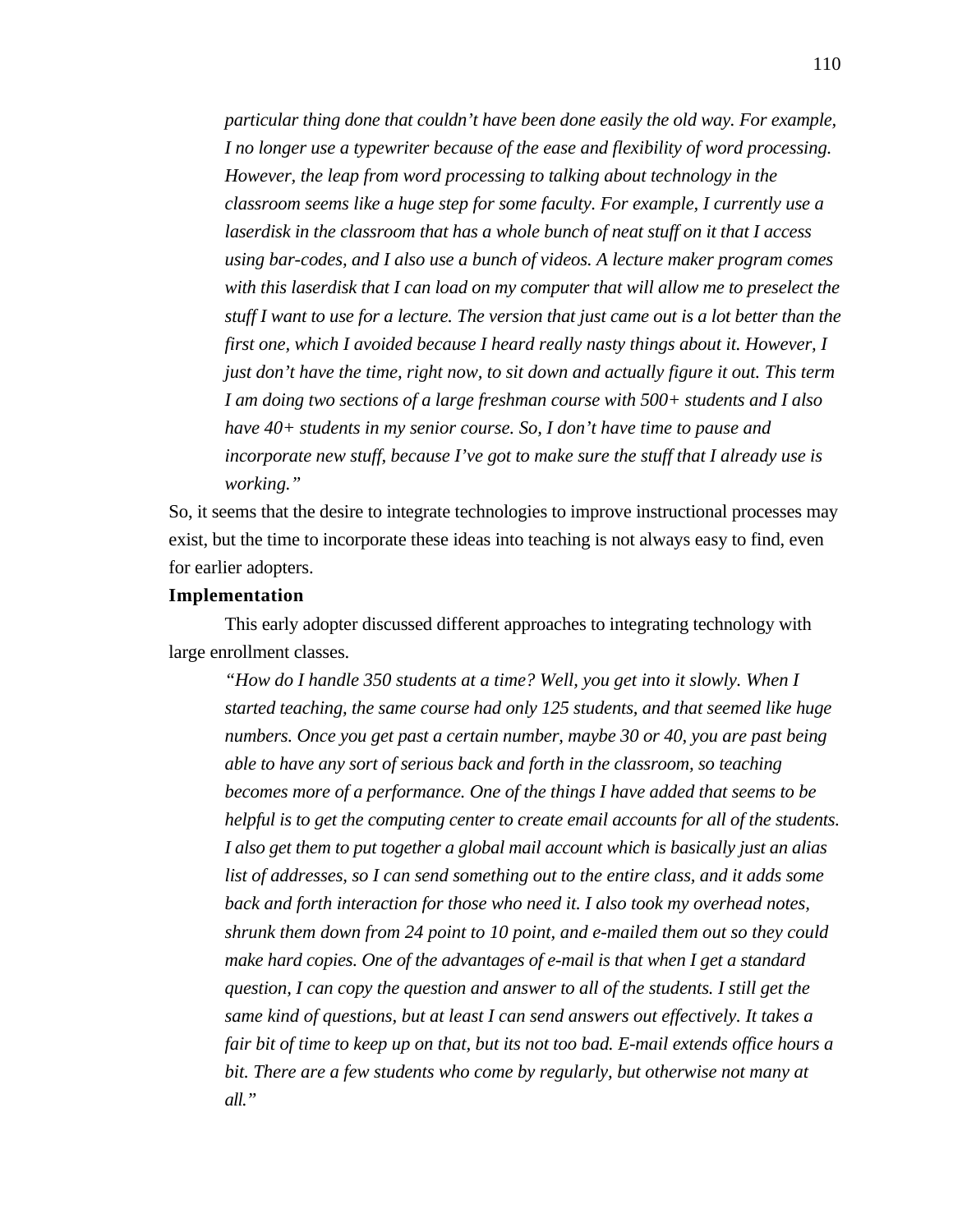*particular thing done that couldn't have been done easily the old way. For example, I no longer use a typewriter because of the ease and flexibility of word processing. However, the leap from word processing to talking about technology in the classroom seems like a huge step for some faculty. For example, I currently use a laserdisk in the classroom that has a whole bunch of neat stuff on it that I access using bar-codes, and I also use a bunch of videos. A lecture maker program comes with this laserdisk that I can load on my computer that will allow me to preselect the stuff I want to use for a lecture. The version that just came out is a lot better than the first one, which I avoided because I heard really nasty things about it. However, I just don't have the time, right now, to sit down and actually figure it out. This term I am doing two sections of a large freshman course with 500+ students and I also have 40+ students in my senior course. So, I don't have time to pause and incorporate new stuff, because I've got to make sure the stuff that I already use is working."*

So, it seems that the desire to integrate technologies to improve instructional processes may exist, but the time to incorporate these ideas into teaching is not always easy to find, even for earlier adopters.

#### **Implementation**

This early adopter discussed different approaches to integrating technology with large enrollment classes.

*"How do I handle 350 students at a time? Well, you get into it slowly. When I started teaching, the same course had only 125 students, and that seemed like huge numbers. Once you get past a certain number, maybe 30 or 40, you are past being able to have any sort of serious back and forth in the classroom, so teaching becomes more of a performance. One of the things I have added that seems to be helpful is to get the computing center to create email accounts for all of the students. I also get them to put together a global mail account which is basically just an alias list of addresses, so I can send something out to the entire class, and it adds some back and forth interaction for those who need it. I also took my overhead notes, shrunk them down from 24 point to 10 point, and e-mailed them out so they could make hard copies. One of the advantages of e-mail is that when I get a standard question, I can copy the question and answer to all of the students. I still get the same kind of questions, but at least I can send answers out effectively. It takes a fair bit of time to keep up on that, but its not too bad. E-mail extends office hours a bit. There are a few students who come by regularly, but otherwise not many at all."*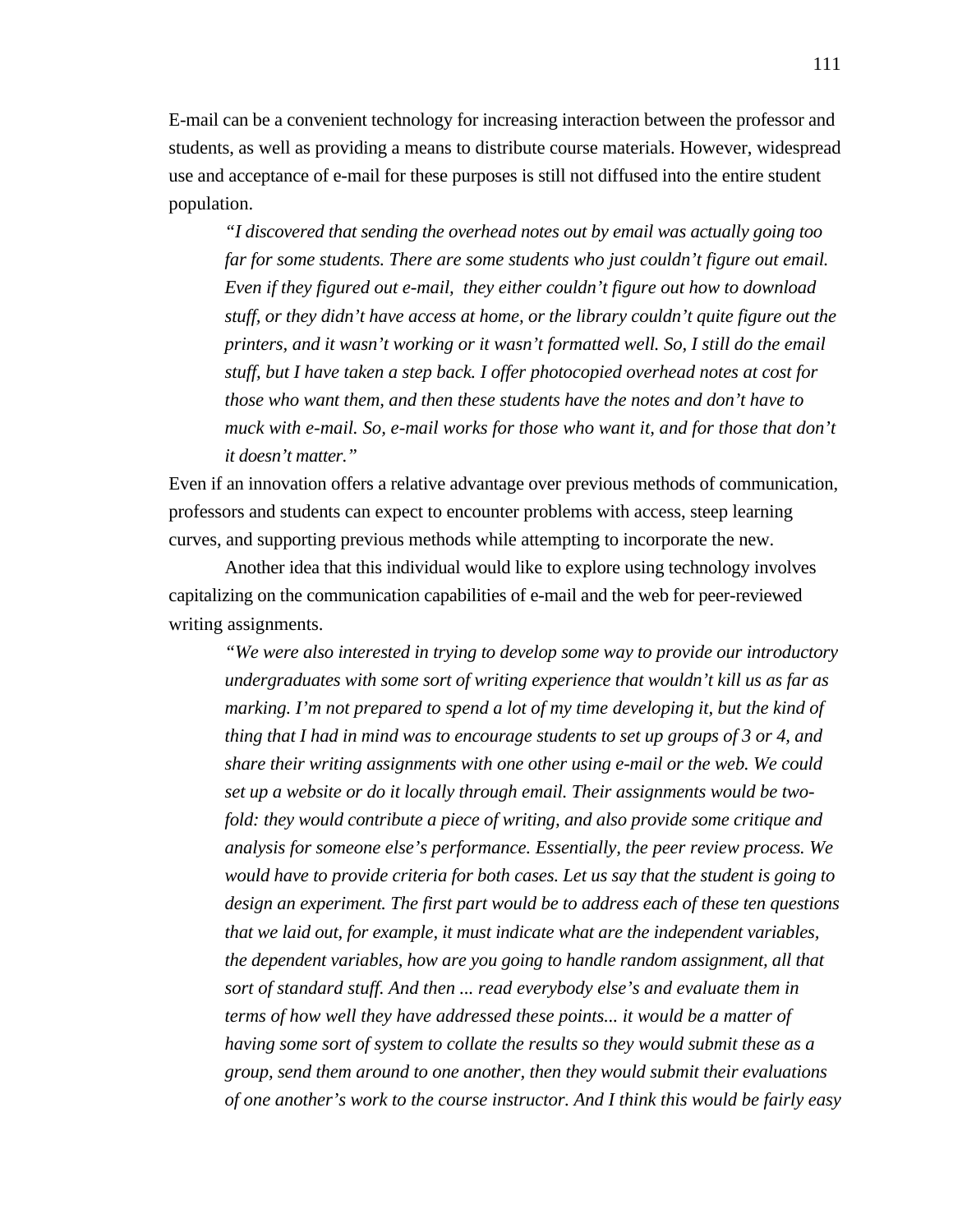E-mail can be a convenient technology for increasing interaction between the professor and students, as well as providing a means to distribute course materials. However, widespread use and acceptance of e-mail for these purposes is still not diffused into the entire student population.

*"I discovered that sending the overhead notes out by email was actually going too far for some students. There are some students who just couldn't figure out email. Even if they figured out e-mail, they either couldn't figure out how to download stuff, or they didn't have access at home, or the library couldn't quite figure out the printers, and it wasn't working or it wasn't formatted well. So, I still do the email stuff, but I have taken a step back. I offer photocopied overhead notes at cost for those who want them, and then these students have the notes and don't have to muck with e-mail. So, e-mail works for those who want it, and for those that don't it doesn't matter."*

Even if an innovation offers a relative advantage over previous methods of communication, professors and students can expect to encounter problems with access, steep learning curves, and supporting previous methods while attempting to incorporate the new.

Another idea that this individual would like to explore using technology involves capitalizing on the communication capabilities of e-mail and the web for peer-reviewed writing assignments.

*"We were also interested in trying to develop some way to provide our introductory undergraduates with some sort of writing experience that wouldn't kill us as far as marking. I'm not prepared to spend a lot of my time developing it, but the kind of thing that I had in mind was to encourage students to set up groups of 3 or 4, and share their writing assignments with one other using e-mail or the web. We could set up a website or do it locally through email. Their assignments would be twofold: they would contribute a piece of writing, and also provide some critique and analysis for someone else's performance. Essentially, the peer review process. We would have to provide criteria for both cases. Let us say that the student is going to design an experiment. The first part would be to address each of these ten questions that we laid out, for example, it must indicate what are the independent variables, the dependent variables, how are you going to handle random assignment, all that sort of standard stuff. And then ... read everybody else's and evaluate them in terms of how well they have addressed these points... it would be a matter of having some sort of system to collate the results so they would submit these as a group, send them around to one another, then they would submit their evaluations of one another's work to the course instructor. And I think this would be fairly easy*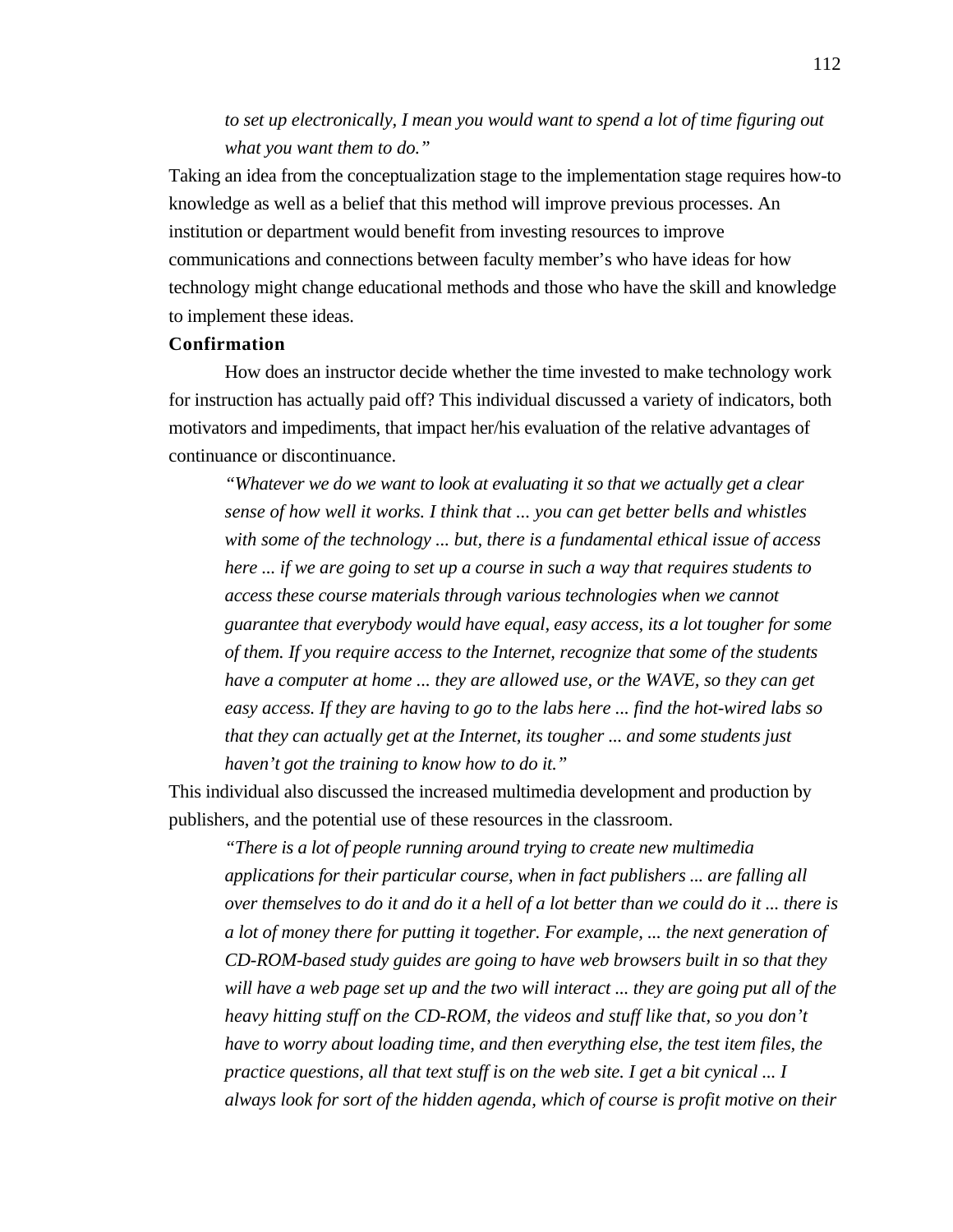# *to set up electronically, I mean you would want to spend a lot of time figuring out what you want them to do."*

Taking an idea from the conceptualization stage to the implementation stage requires how-to knowledge as well as a belief that this method will improve previous processes. An institution or department would benefit from investing resources to improve communications and connections between faculty member's who have ideas for how technology might change educational methods and those who have the skill and knowledge to implement these ideas.

# **Confirmation**

How does an instructor decide whether the time invested to make technology work for instruction has actually paid off? This individual discussed a variety of indicators, both motivators and impediments, that impact her/his evaluation of the relative advantages of continuance or discontinuance.

*"Whatever we do we want to look at evaluating it so that we actually get a clear sense of how well it works. I think that ... you can get better bells and whistles with some of the technology ... but, there is a fundamental ethical issue of access here ... if we are going to set up a course in such a way that requires students to access these course materials through various technologies when we cannot guarantee that everybody would have equal, easy access, its a lot tougher for some of them. If you require access to the Internet, recognize that some of the students have a computer at home ... they are allowed use, or the WAVE, so they can get easy access. If they are having to go to the labs here ... find the hot-wired labs so that they can actually get at the Internet, its tougher ... and some students just haven't got the training to know how to do it."*

This individual also discussed the increased multimedia development and production by publishers, and the potential use of these resources in the classroom.

*"There is a lot of people running around trying to create new multimedia applications for their particular course, when in fact publishers ... are falling all over themselves to do it and do it a hell of a lot better than we could do it ... there is a lot of money there for putting it together. For example, ... the next generation of CD-ROM-based study guides are going to have web browsers built in so that they will have a web page set up and the two will interact ... they are going put all of the heavy hitting stuff on the CD-ROM, the videos and stuff like that, so you don't have to worry about loading time, and then everything else, the test item files, the practice questions, all that text stuff is on the web site. I get a bit cynical ... I always look for sort of the hidden agenda, which of course is profit motive on their*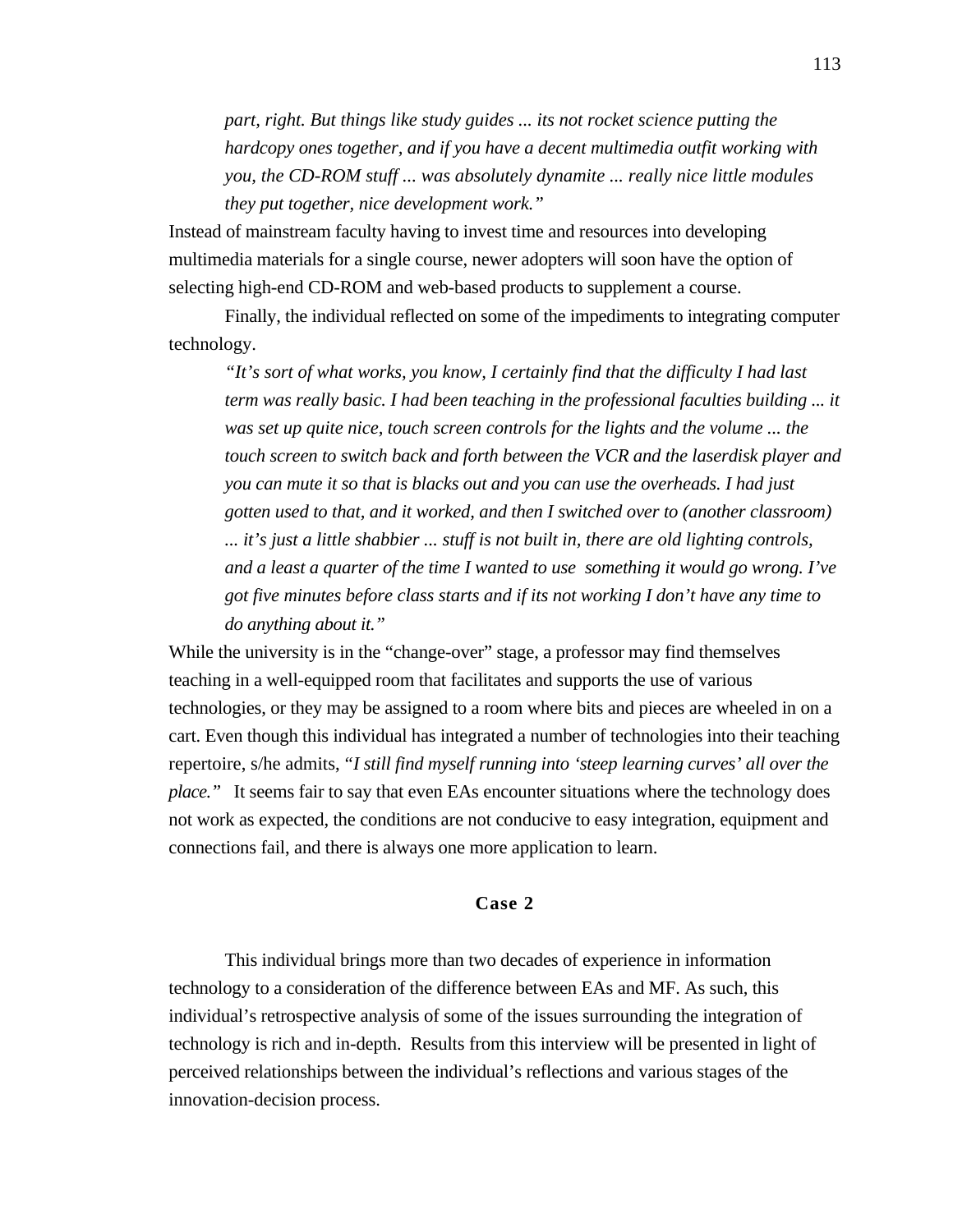*part, right. But things like study guides ... its not rocket science putting the hardcopy ones together, and if you have a decent multimedia outfit working with you, the CD-ROM stuff ... was absolutely dynamite ... really nice little modules they put together, nice development work."*

Instead of mainstream faculty having to invest time and resources into developing multimedia materials for a single course, newer adopters will soon have the option of selecting high-end CD-ROM and web-based products to supplement a course.

Finally, the individual reflected on some of the impediments to integrating computer technology.

*"It's sort of what works, you know, I certainly find that the difficulty I had last term was really basic. I had been teaching in the professional faculties building ... it was set up quite nice, touch screen controls for the lights and the volume ... the touch screen to switch back and forth between the VCR and the laserdisk player and you can mute it so that is blacks out and you can use the overheads. I had just gotten used to that, and it worked, and then I switched over to (another classroom) ... it's just a little shabbier ... stuff is not built in, there are old lighting controls, and a least a quarter of the time I wanted to use something it would go wrong. I've got five minutes before class starts and if its not working I don't have any time to do anything about it."*

While the university is in the "change-over" stage, a professor may find themselves teaching in a well-equipped room that facilitates and supports the use of various technologies, or they may be assigned to a room where bits and pieces are wheeled in on a cart. Even though this individual has integrated a number of technologies into their teaching repertoire, s/he admits, *"I still find myself running into 'steep learning curves' all over the place."* It seems fair to say that even EAs encounter situations where the technology does not work as expected, the conditions are not conducive to easy integration, equipment and connections fail, and there is always one more application to learn.

# **Case 2**

This individual brings more than two decades of experience in information technology to a consideration of the difference between EAs and MF. As such, this individual's retrospective analysis of some of the issues surrounding the integration of technology is rich and in-depth. Results from this interview will be presented in light of perceived relationships between the individual's reflections and various stages of the innovation-decision process.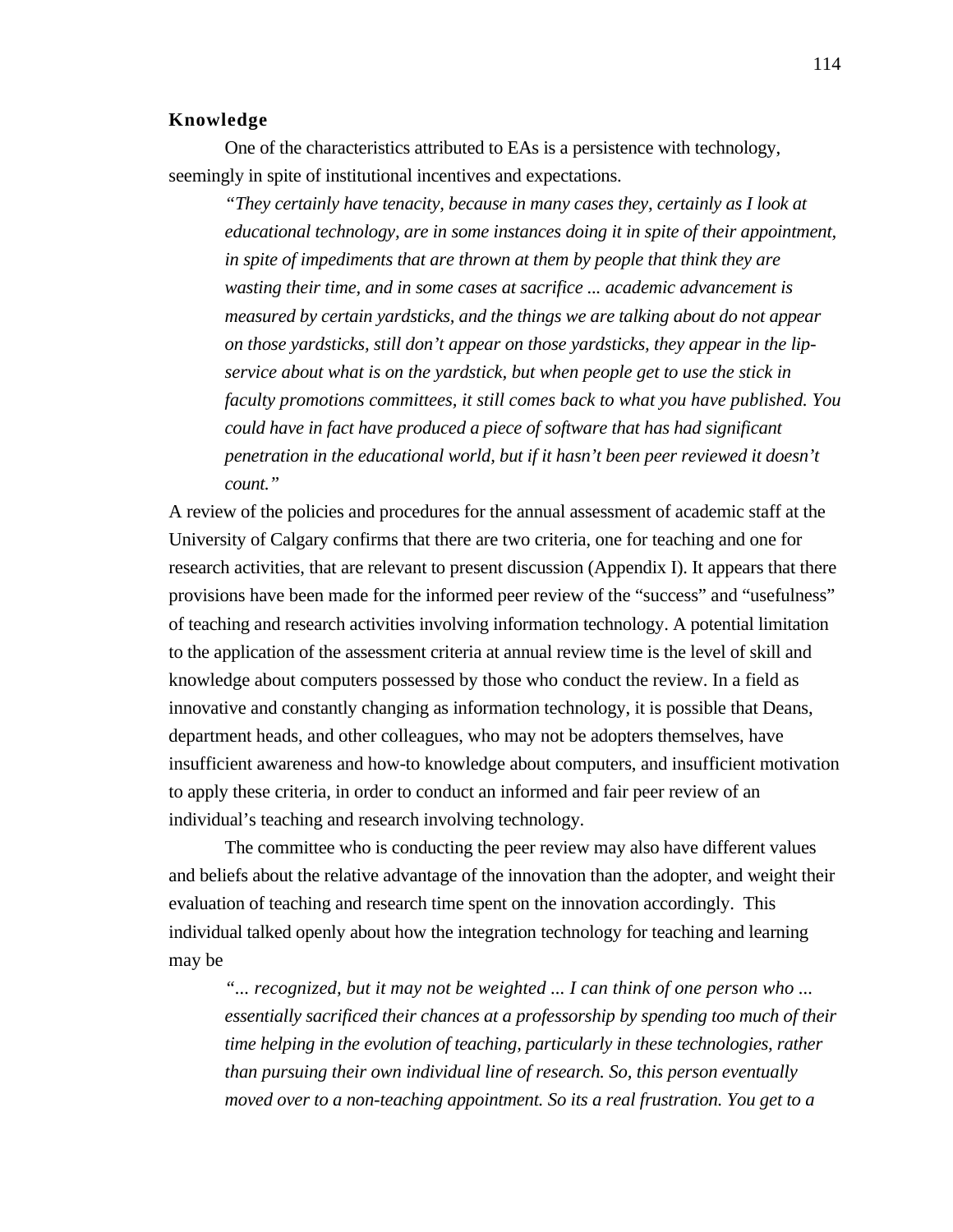#### **Knowledge**

One of the characteristics attributed to EAs is a persistence with technology, seemingly in spite of institutional incentives and expectations.

*"They certainly have tenacity, because in many cases they, certainly as I look at educational technology, are in some instances doing it in spite of their appointment, in spite of impediments that are thrown at them by people that think they are wasting their time, and in some cases at sacrifice ... academic advancement is measured by certain yardsticks, and the things we are talking about do not appear on those yardsticks, still don't appear on those yardsticks, they appear in the lipservice about what is on the yardstick, but when people get to use the stick in faculty promotions committees, it still comes back to what you have published. You could have in fact have produced a piece of software that has had significant penetration in the educational world, but if it hasn't been peer reviewed it doesn't count."*

A review of the policies and procedures for the annual assessment of academic staff at the University of Calgary confirms that there are two criteria, one for teaching and one for research activities, that are relevant to present discussion (Appendix I). It appears that there provisions have been made for the informed peer review of the "success" and "usefulness" of teaching and research activities involving information technology. A potential limitation to the application of the assessment criteria at annual review time is the level of skill and knowledge about computers possessed by those who conduct the review. In a field as innovative and constantly changing as information technology, it is possible that Deans, department heads, and other colleagues, who may not be adopters themselves, have insufficient awareness and how-to knowledge about computers, and insufficient motivation to apply these criteria, in order to conduct an informed and fair peer review of an individual's teaching and research involving technology.

The committee who is conducting the peer review may also have different values and beliefs about the relative advantage of the innovation than the adopter, and weight their evaluation of teaching and research time spent on the innovation accordingly. This individual talked openly about how the integration technology for teaching and learning may be

*"... recognized, but it may not be weighted ... I can think of one person who ... essentially sacrificed their chances at a professorship by spending too much of their time helping in the evolution of teaching, particularly in these technologies, rather than pursuing their own individual line of research. So, this person eventually moved over to a non-teaching appointment. So its a real frustration. You get to a*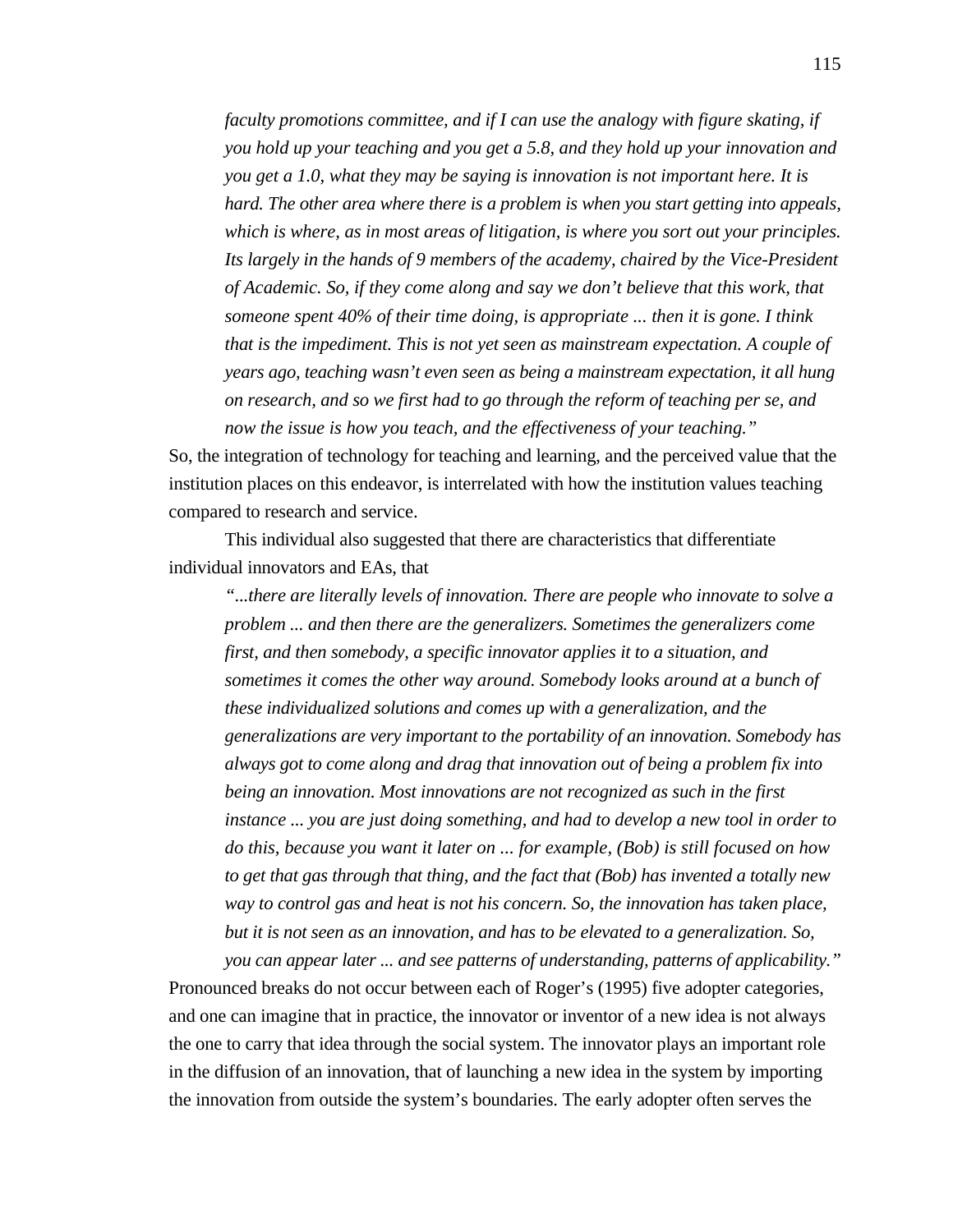*faculty promotions committee, and if I can use the analogy with figure skating, if you hold up your teaching and you get a 5.8, and they hold up your innovation and you get a 1.0, what they may be saying is innovation is not important here. It is hard. The other area where there is a problem is when you start getting into appeals, which is where, as in most areas of litigation, is where you sort out your principles. Its largely in the hands of 9 members of the academy, chaired by the Vice-President of Academic. So, if they come along and say we don't believe that this work, that someone spent 40% of their time doing, is appropriate ... then it is gone. I think that is the impediment. This is not yet seen as mainstream expectation. A couple of years ago, teaching wasn't even seen as being a mainstream expectation, it all hung on research, and so we first had to go through the reform of teaching per se, and now the issue is how you teach, and the effectiveness of your teaching."*

So, the integration of technology for teaching and learning, and the perceived value that the institution places on this endeavor, is interrelated with how the institution values teaching compared to research and service.

This individual also suggested that there are characteristics that differentiate individual innovators and EAs, that

*"...there are literally levels of innovation. There are people who innovate to solve a problem ... and then there are the generalizers. Sometimes the generalizers come first, and then somebody, a specific innovator applies it to a situation, and sometimes it comes the other way around. Somebody looks around at a bunch of these individualized solutions and comes up with a generalization, and the generalizations are very important to the portability of an innovation. Somebody has always got to come along and drag that innovation out of being a problem fix into being an innovation. Most innovations are not recognized as such in the first instance ... you are just doing something, and had to develop a new tool in order to do this, because you want it later on ... for example, (Bob) is still focused on how to get that gas through that thing, and the fact that (Bob) has invented a totally new way to control gas and heat is not his concern. So, the innovation has taken place, but it is not seen as an innovation, and has to be elevated to a generalization. So,*

*you can appear later ... and see patterns of understanding, patterns of applicability."* Pronounced breaks do not occur between each of Roger's (1995) five adopter categories, and one can imagine that in practice, the innovator or inventor of a new idea is not always the one to carry that idea through the social system. The innovator plays an important role in the diffusion of an innovation, that of launching a new idea in the system by importing the innovation from outside the system's boundaries. The early adopter often serves the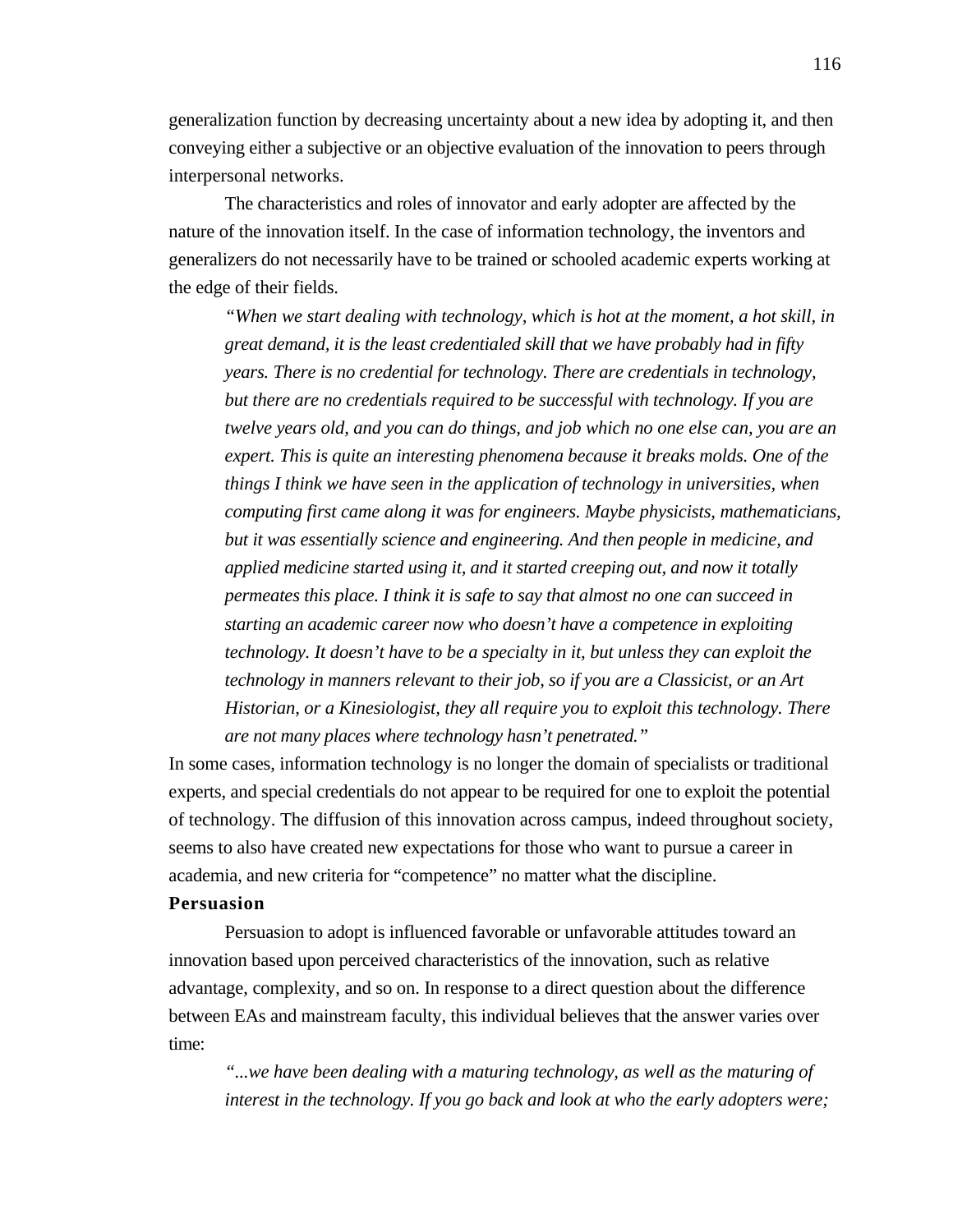generalization function by decreasing uncertainty about a new idea by adopting it, and then conveying either a subjective or an objective evaluation of the innovation to peers through interpersonal networks.

The characteristics and roles of innovator and early adopter are affected by the nature of the innovation itself. In the case of information technology, the inventors and generalizers do not necessarily have to be trained or schooled academic experts working at the edge of their fields.

*"When we start dealing with technology, which is hot at the moment, a hot skill, in great demand, it is the least credentialed skill that we have probably had in fifty years. There is no credential for technology. There are credentials in technology, but there are no credentials required to be successful with technology. If you are twelve years old, and you can do things, and job which no one else can, you are an expert. This is quite an interesting phenomena because it breaks molds. One of the things I think we have seen in the application of technology in universities, when computing first came along it was for engineers. Maybe physicists, mathematicians, but it was essentially science and engineering. And then people in medicine, and applied medicine started using it, and it started creeping out, and now it totally permeates this place. I think it is safe to say that almost no one can succeed in starting an academic career now who doesn't have a competence in exploiting technology. It doesn't have to be a specialty in it, but unless they can exploit the technology in manners relevant to their job, so if you are a Classicist, or an Art Historian, or a Kinesiologist, they all require you to exploit this technology. There are not many places where technology hasn't penetrated."*

In some cases, information technology is no longer the domain of specialists or traditional experts, and special credentials do not appear to be required for one to exploit the potential of technology. The diffusion of this innovation across campus, indeed throughout society, seems to also have created new expectations for those who want to pursue a career in academia, and new criteria for "competence" no matter what the discipline.

#### **Persuasion**

Persuasion to adopt is influenced favorable or unfavorable attitudes toward an innovation based upon perceived characteristics of the innovation, such as relative advantage, complexity, and so on. In response to a direct question about the difference between EAs and mainstream faculty, this individual believes that the answer varies over time:

*"...we have been dealing with a maturing technology, as well as the maturing of interest in the technology. If you go back and look at who the early adopters were;*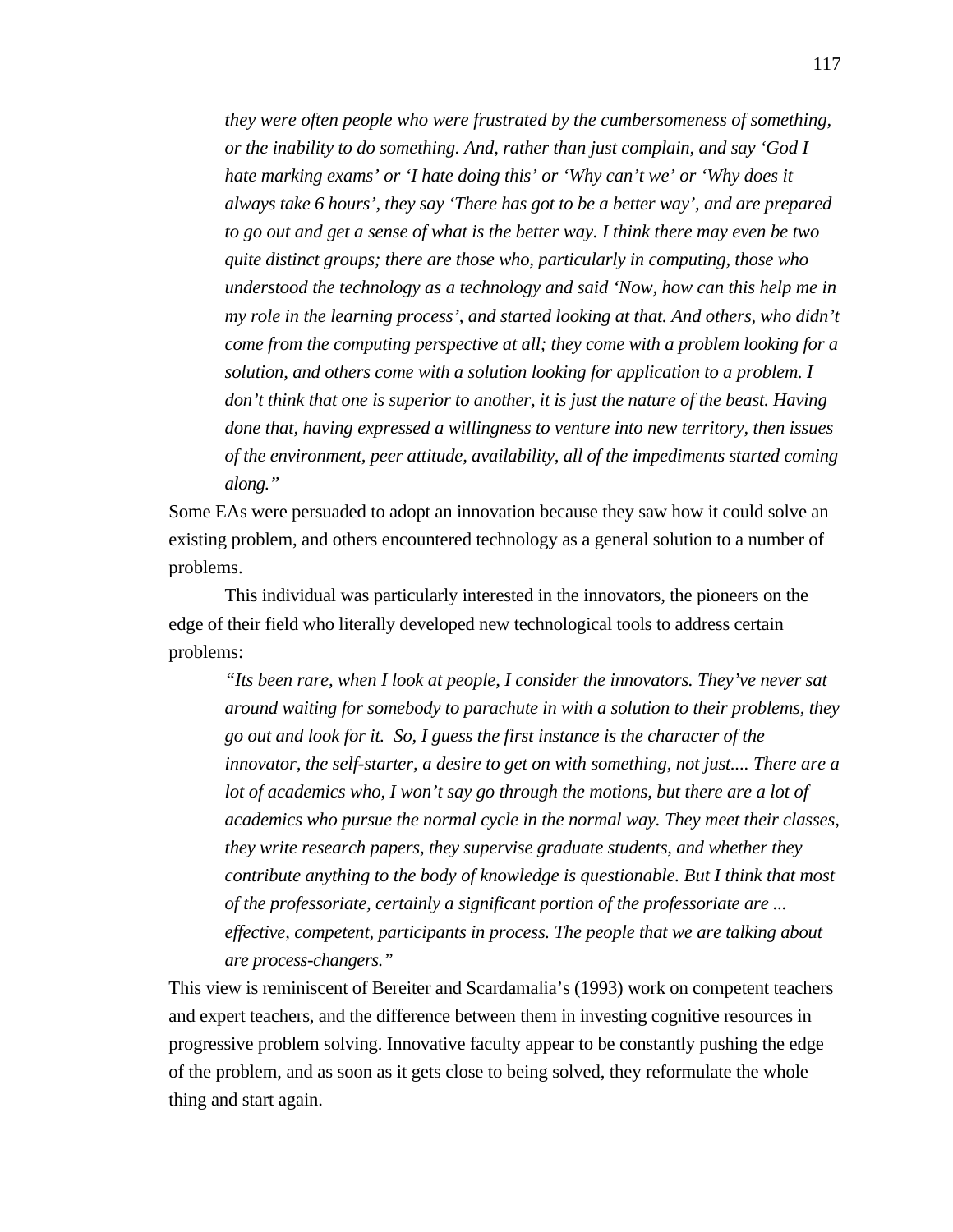*they were often people who were frustrated by the cumbersomeness of something, or the inability to do something. And, rather than just complain, and say 'God I hate marking exams' or 'I hate doing this' or 'Why can't we' or 'Why does it always take 6 hours', they say 'There has got to be a better way', and are prepared to go out and get a sense of what is the better way. I think there may even be two quite distinct groups; there are those who, particularly in computing, those who understood the technology as a technology and said 'Now, how can this help me in my role in the learning process', and started looking at that. And others, who didn't come from the computing perspective at all; they come with a problem looking for a solution, and others come with a solution looking for application to a problem. I don't think that one is superior to another, it is just the nature of the beast. Having done that, having expressed a willingness to venture into new territory, then issues of the environment, peer attitude, availability, all of the impediments started coming along."*

Some EAs were persuaded to adopt an innovation because they saw how it could solve an existing problem, and others encountered technology as a general solution to a number of problems.

This individual was particularly interested in the innovators, the pioneers on the edge of their field who literally developed new technological tools to address certain problems:

*"Its been rare, when I look at people, I consider the innovators. They've never sat around waiting for somebody to parachute in with a solution to their problems, they go out and look for it. So, I guess the first instance is the character of the innovator, the self-starter, a desire to get on with something, not just.... There are a lot of academics who, I won't say go through the motions, but there are a lot of academics who pursue the normal cycle in the normal way. They meet their classes, they write research papers, they supervise graduate students, and whether they contribute anything to the body of knowledge is questionable. But I think that most of the professoriate, certainly a significant portion of the professoriate are ... effective, competent, participants in process. The people that we are talking about are process-changers."*

This view is reminiscent of Bereiter and Scardamalia's (1993) work on competent teachers and expert teachers, and the difference between them in investing cognitive resources in progressive problem solving. Innovative faculty appear to be constantly pushing the edge of the problem, and as soon as it gets close to being solved, they reformulate the whole thing and start again.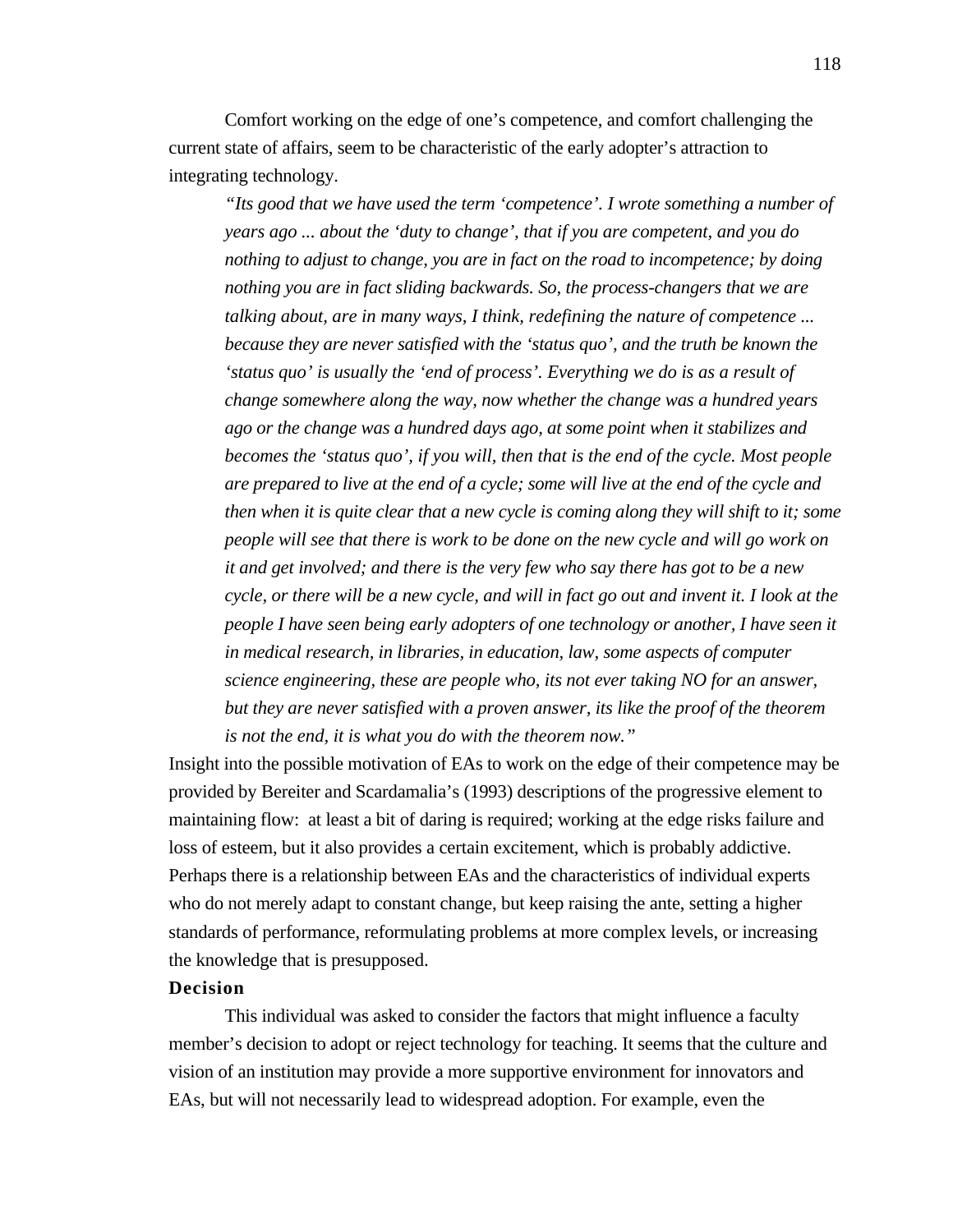Comfort working on the edge of one's competence, and comfort challenging the current state of affairs, seem to be characteristic of the early adopter's attraction to integrating technology.

*"Its good that we have used the term 'competence'. I wrote something a number of years ago ... about the 'duty to change', that if you are competent, and you do nothing to adjust to change, you are in fact on the road to incompetence; by doing nothing you are in fact sliding backwards. So, the process-changers that we are talking about, are in many ways, I think, redefining the nature of competence ... because they are never satisfied with the 'status quo', and the truth be known the 'status quo' is usually the 'end of process'. Everything we do is as a result of change somewhere along the way, now whether the change was a hundred years ago or the change was a hundred days ago, at some point when it stabilizes and becomes the 'status quo', if you will, then that is the end of the cycle. Most people are prepared to live at the end of a cycle; some will live at the end of the cycle and then when it is quite clear that a new cycle is coming along they will shift to it; some people will see that there is work to be done on the new cycle and will go work on it and get involved; and there is the very few who say there has got to be a new cycle, or there will be a new cycle, and will in fact go out and invent it. I look at the people I have seen being early adopters of one technology or another, I have seen it in medical research, in libraries, in education, law, some aspects of computer science engineering, these are people who, its not ever taking NO for an answer, but they are never satisfied with a proven answer, its like the proof of the theorem is not the end, it is what you do with the theorem now."*

Insight into the possible motivation of EAs to work on the edge of their competence may be provided by Bereiter and Scardamalia's (1993) descriptions of the progressive element to maintaining flow: at least a bit of daring is required; working at the edge risks failure and loss of esteem, but it also provides a certain excitement, which is probably addictive. Perhaps there is a relationship between EAs and the characteristics of individual experts who do not merely adapt to constant change, but keep raising the ante, setting a higher standards of performance, reformulating problems at more complex levels, or increasing the knowledge that is presupposed.

# **Decision**

This individual was asked to consider the factors that might influence a faculty member's decision to adopt or reject technology for teaching. It seems that the culture and vision of an institution may provide a more supportive environment for innovators and EAs, but will not necessarily lead to widespread adoption. For example, even the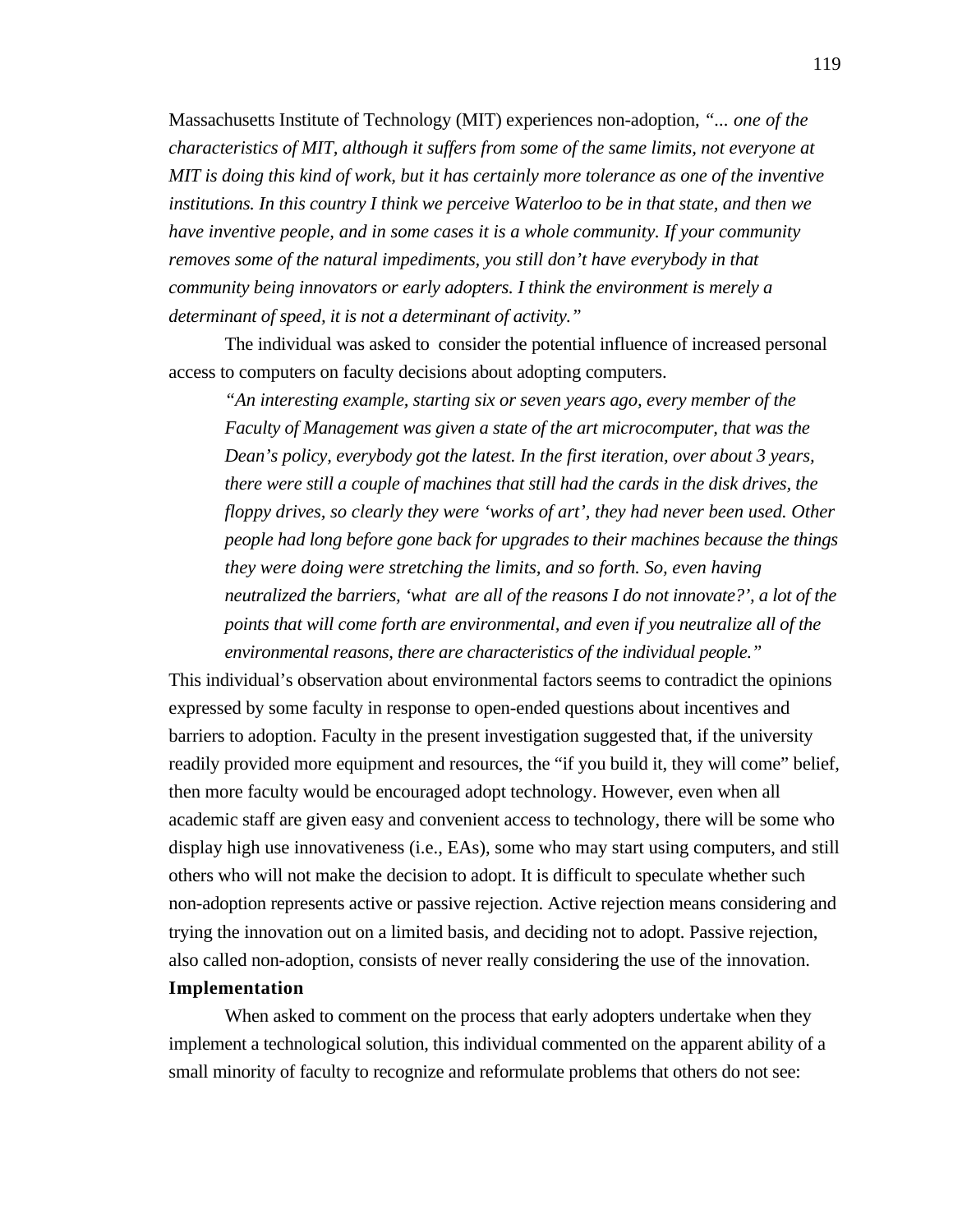Massachusetts Institute of Technology (MIT) experiences non-adoption, *"... one of the characteristics of MIT, although it suffers from some of the same limits, not everyone at MIT is doing this kind of work, but it has certainly more tolerance as one of the inventive institutions. In this country I think we perceive Waterloo to be in that state, and then we have inventive people, and in some cases it is a whole community. If your community removes some of the natural impediments, you still don't have everybody in that community being innovators or early adopters. I think the environment is merely a determinant of speed, it is not a determinant of activity."*

The individual was asked to consider the potential influence of increased personal access to computers on faculty decisions about adopting computers.

*"An interesting example, starting six or seven years ago, every member of the Faculty of Management was given a state of the art microcomputer, that was the Dean's policy, everybody got the latest. In the first iteration, over about 3 years, there were still a couple of machines that still had the cards in the disk drives, the floppy drives, so clearly they were 'works of art', they had never been used. Other people had long before gone back for upgrades to their machines because the things they were doing were stretching the limits, and so forth. So, even having neutralized the barriers, 'what are all of the reasons I do not innovate?', a lot of the points that will come forth are environmental, and even if you neutralize all of the environmental reasons, there are characteristics of the individual people."*

This individual's observation about environmental factors seems to contradict the opinions expressed by some faculty in response to open-ended questions about incentives and barriers to adoption. Faculty in the present investigation suggested that, if the university readily provided more equipment and resources, the "if you build it, they will come" belief, then more faculty would be encouraged adopt technology. However, even when all academic staff are given easy and convenient access to technology, there will be some who display high use innovativeness (i.e., EAs), some who may start using computers, and still others who will not make the decision to adopt. It is difficult to speculate whether such non-adoption represents active or passive rejection. Active rejection means considering and trying the innovation out on a limited basis, and deciding not to adopt. Passive rejection, also called non-adoption, consists of never really considering the use of the innovation. **Implementation**

When asked to comment on the process that early adopters undertake when they implement a technological solution, this individual commented on the apparent ability of a small minority of faculty to recognize and reformulate problems that others do not see: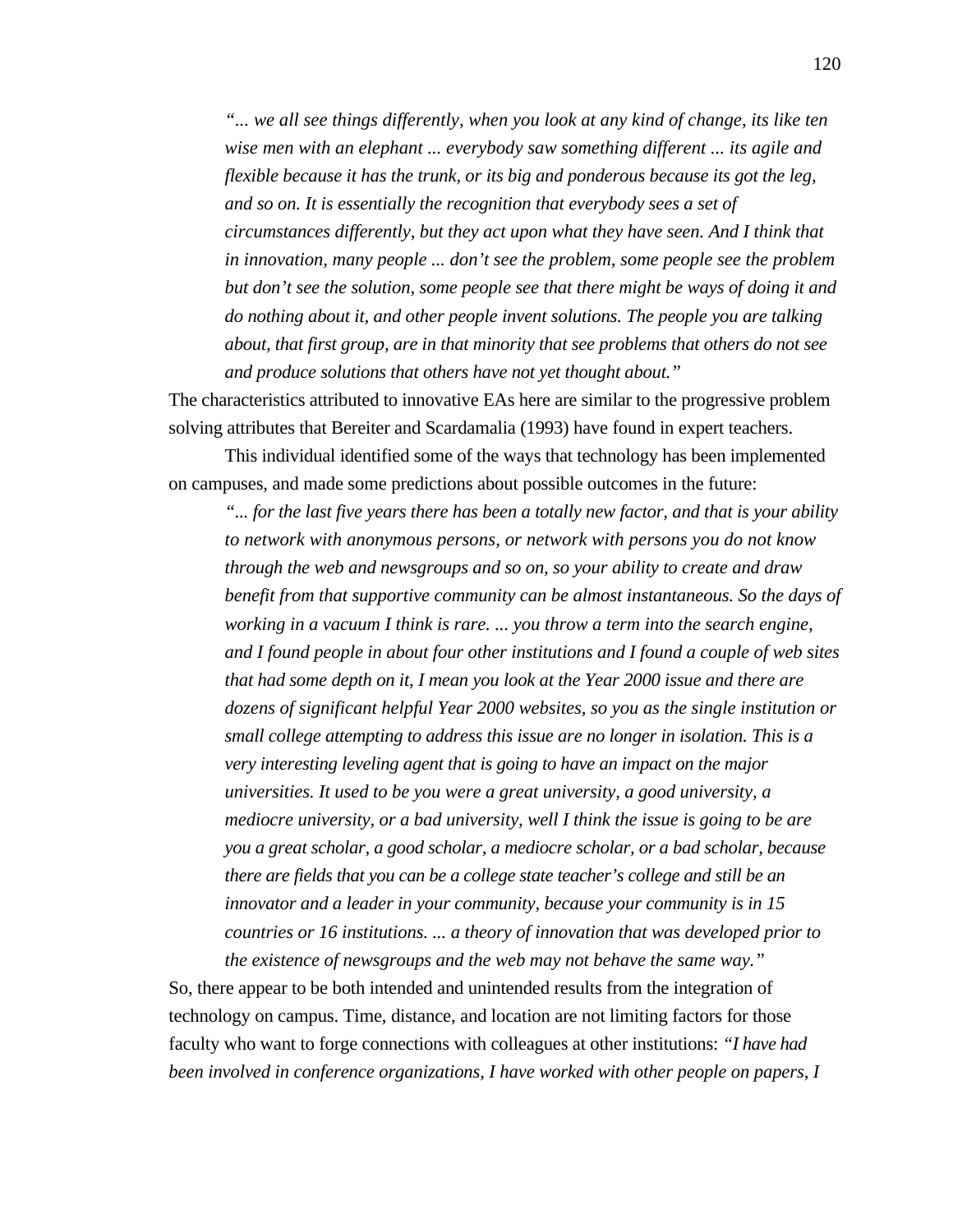*"... we all see things differently, when you look at any kind of change, its like ten wise men with an elephant ... everybody saw something different ... its agile and flexible because it has the trunk, or its big and ponderous because its got the leg, and so on. It is essentially the recognition that everybody sees a set of circumstances differently, but they act upon what they have seen. And I think that in innovation, many people ... don't see the problem, some people see the problem but don't see the solution, some people see that there might be ways of doing it and do nothing about it, and other people invent solutions. The people you are talking about, that first group, are in that minority that see problems that others do not see and produce solutions that others have not yet thought about."*

The characteristics attributed to innovative EAs here are similar to the progressive problem solving attributes that Bereiter and Scardamalia (1993) have found in expert teachers.

This individual identified some of the ways that technology has been implemented on campuses, and made some predictions about possible outcomes in the future:

*"... for the last five years there has been a totally new factor, and that is your ability to network with anonymous persons, or network with persons you do not know through the web and newsgroups and so on, so your ability to create and draw benefit from that supportive community can be almost instantaneous. So the days of working in a vacuum I think is rare. ... you throw a term into the search engine, and I found people in about four other institutions and I found a couple of web sites that had some depth on it, I mean you look at the Year 2000 issue and there are dozens of significant helpful Year 2000 websites, so you as the single institution or small college attempting to address this issue are no longer in isolation. This is a very interesting leveling agent that is going to have an impact on the major universities. It used to be you were a great university, a good university, a mediocre university, or a bad university, well I think the issue is going to be are you a great scholar, a good scholar, a mediocre scholar, or a bad scholar, because there are fields that you can be a college state teacher's college and still be an innovator and a leader in your community, because your community is in 15 countries or 16 institutions. ... a theory of innovation that was developed prior to the existence of newsgroups and the web may not behave the same way."*

So, there appear to be both intended and unintended results from the integration of technology on campus. Time, distance, and location are not limiting factors for those faculty who want to forge connections with colleagues at other institutions: *"I have had been involved in conference organizations, I have worked with other people on papers, I*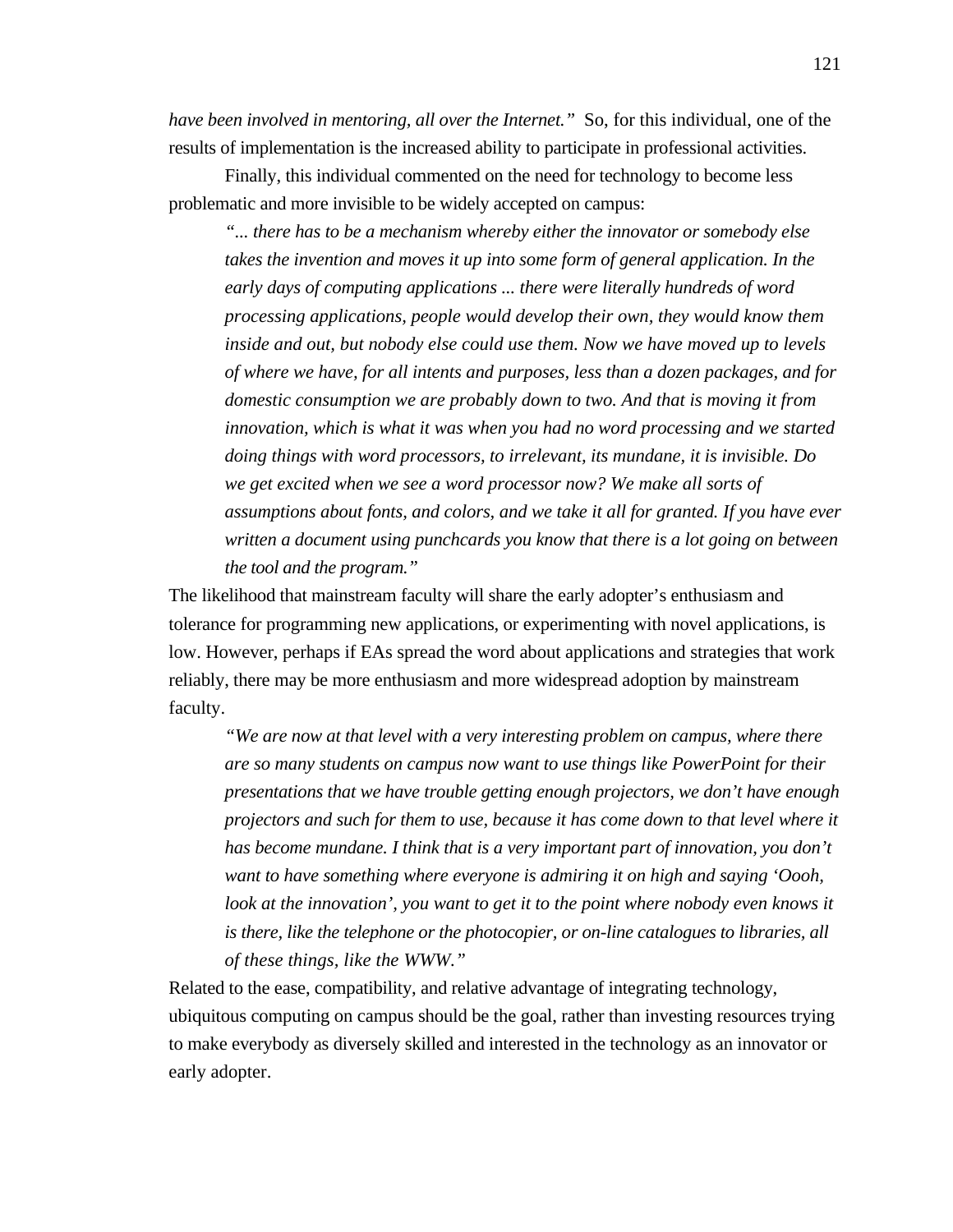*have been involved in mentoring, all over the Internet.*" So, for this individual, one of the results of implementation is the increased ability to participate in professional activities.

Finally, this individual commented on the need for technology to become less problematic and more invisible to be widely accepted on campus:

*"... there has to be a mechanism whereby either the innovator or somebody else takes the invention and moves it up into some form of general application. In the early days of computing applications ... there were literally hundreds of word processing applications, people would develop their own, they would know them inside and out, but nobody else could use them. Now we have moved up to levels of where we have, for all intents and purposes, less than a dozen packages, and for domestic consumption we are probably down to two. And that is moving it from innovation, which is what it was when you had no word processing and we started doing things with word processors, to irrelevant, its mundane, it is invisible. Do we get excited when we see a word processor now? We make all sorts of assumptions about fonts, and colors, and we take it all for granted. If you have ever written a document using punchcards you know that there is a lot going on between the tool and the program."*

The likelihood that mainstream faculty will share the early adopter's enthusiasm and tolerance for programming new applications, or experimenting with novel applications, is low. However, perhaps if EAs spread the word about applications and strategies that work reliably, there may be more enthusiasm and more widespread adoption by mainstream faculty.

*"We are now at that level with a very interesting problem on campus, where there are so many students on campus now want to use things like PowerPoint for their presentations that we have trouble getting enough projectors, we don't have enough projectors and such for them to use, because it has come down to that level where it has become mundane. I think that is a very important part of innovation, you don't want to have something where everyone is admiring it on high and saying 'Oooh, look at the innovation', you want to get it to the point where nobody even knows it is there, like the telephone or the photocopier, or on-line catalogues to libraries, all of these things, like the WWW."*

Related to the ease, compatibility, and relative advantage of integrating technology, ubiquitous computing on campus should be the goal, rather than investing resources trying to make everybody as diversely skilled and interested in the technology as an innovator or early adopter.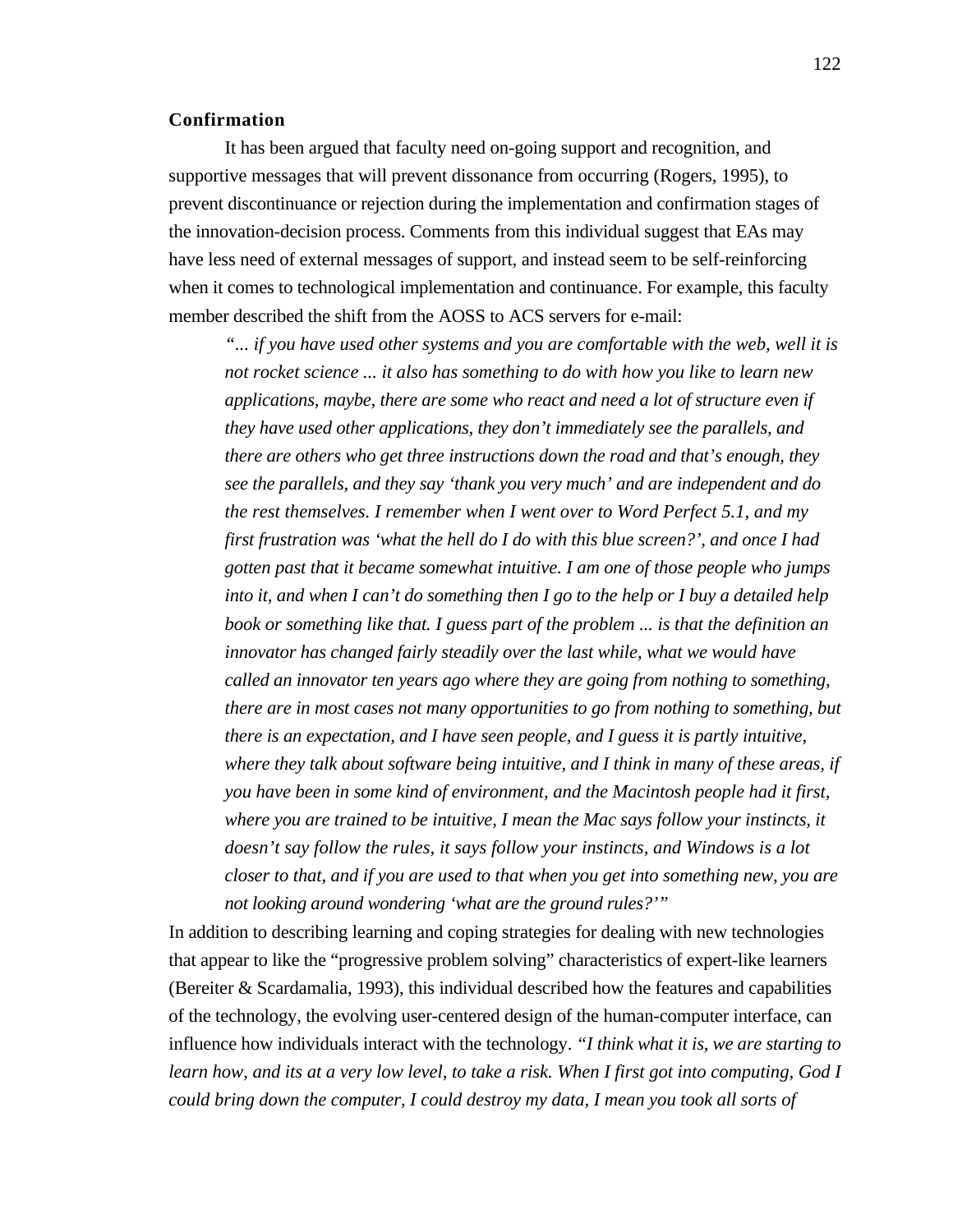#### **Confirmation**

It has been argued that faculty need on-going support and recognition, and supportive messages that will prevent dissonance from occurring (Rogers, 1995), to prevent discontinuance or rejection during the implementation and confirmation stages of the innovation-decision process. Comments from this individual suggest that EAs may have less need of external messages of support, and instead seem to be self-reinforcing when it comes to technological implementation and continuance. For example, this faculty member described the shift from the AOSS to ACS servers for e-mail:

*"... if you have used other systems and you are comfortable with the web, well it is not rocket science ... it also has something to do with how you like to learn new applications, maybe, there are some who react and need a lot of structure even if they have used other applications, they don't immediately see the parallels, and there are others who get three instructions down the road and that's enough, they see the parallels, and they say 'thank you very much' and are independent and do the rest themselves. I remember when I went over to Word Perfect 5.1, and my first frustration was 'what the hell do I do with this blue screen?', and once I had gotten past that it became somewhat intuitive. I am one of those people who jumps into it, and when I can't do something then I go to the help or I buy a detailed help book or something like that. I guess part of the problem ... is that the definition an innovator has changed fairly steadily over the last while, what we would have called an innovator ten years ago where they are going from nothing to something, there are in most cases not many opportunities to go from nothing to something, but there is an expectation, and I have seen people, and I guess it is partly intuitive, where they talk about software being intuitive, and I think in many of these areas, if you have been in some kind of environment, and the Macintosh people had it first, where you are trained to be intuitive, I mean the Mac says follow your instincts, it doesn't say follow the rules, it says follow your instincts, and Windows is a lot closer to that, and if you are used to that when you get into something new, you are not looking around wondering 'what are the ground rules?'"*

In addition to describing learning and coping strategies for dealing with new technologies that appear to like the "progressive problem solving" characteristics of expert-like learners (Bereiter & Scardamalia, 1993), this individual described how the features and capabilities of the technology, the evolving user-centered design of the human-computer interface, can influence how individuals interact with the technology. *"I think what it is, we are starting to learn how, and its at a very low level, to take a risk. When I first got into computing, God I could bring down the computer, I could destroy my data, I mean you took all sorts of*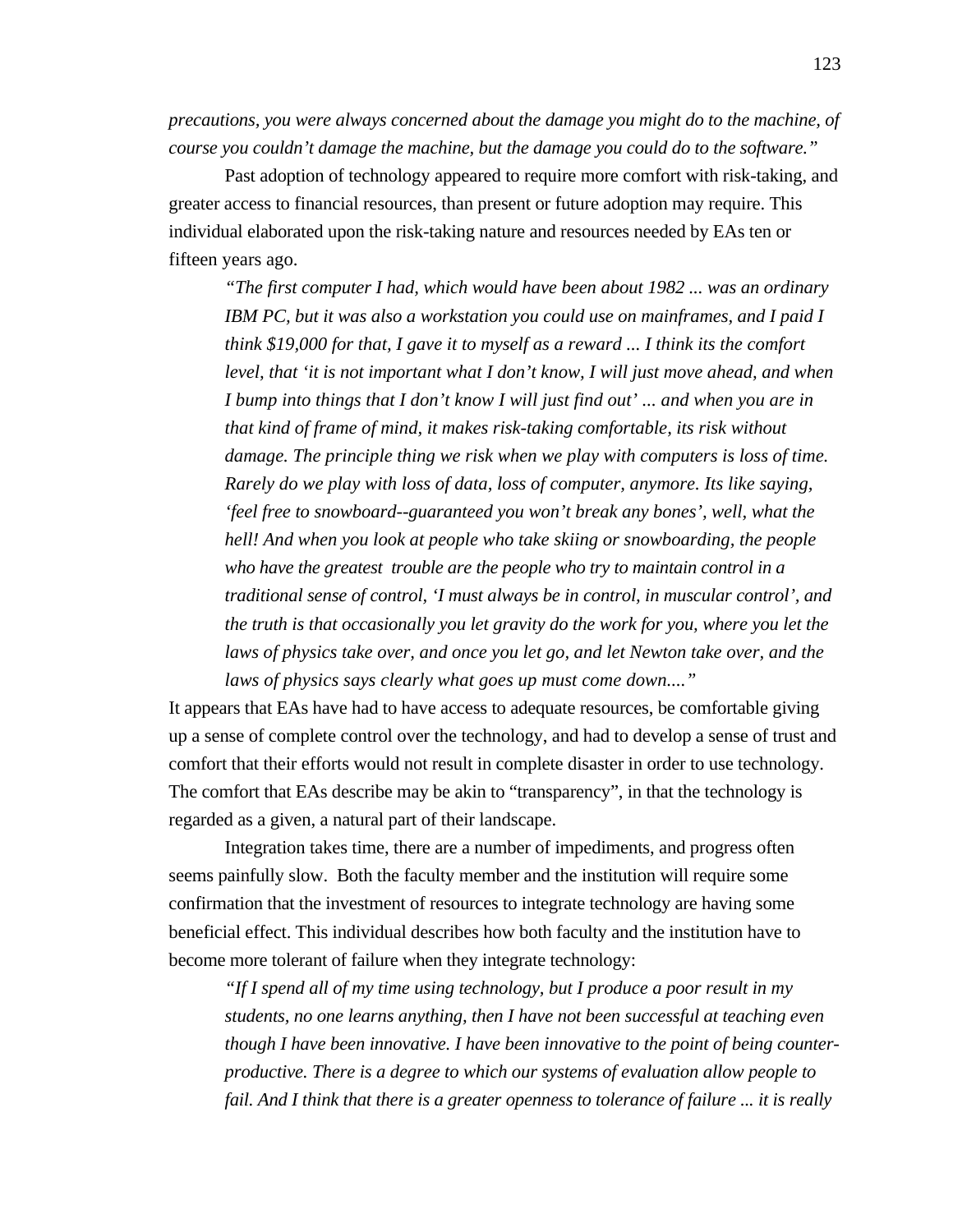*precautions, you were always concerned about the damage you might do to the machine, of course you couldn't damage the machine, but the damage you could do to the software."* 

Past adoption of technology appeared to require more comfort with risk-taking, and greater access to financial resources, than present or future adoption may require. This individual elaborated upon the risk-taking nature and resources needed by EAs ten or fifteen years ago.

*"The first computer I had, which would have been about 1982 ... was an ordinary IBM PC, but it was also a workstation you could use on mainframes, and I paid I think \$19,000 for that, I gave it to myself as a reward ... I think its the comfort level, that 'it is not important what I don't know, I will just move ahead, and when I bump into things that I don't know I will just find out' ... and when you are in that kind of frame of mind, it makes risk-taking comfortable, its risk without damage. The principle thing we risk when we play with computers is loss of time. Rarely do we play with loss of data, loss of computer, anymore. Its like saying, 'feel free to snowboard--guaranteed you won't break any bones', well, what the hell! And when you look at people who take skiing or snowboarding, the people who have the greatest trouble are the people who try to maintain control in a traditional sense of control, 'I must always be in control, in muscular control', and the truth is that occasionally you let gravity do the work for you, where you let the laws of physics take over, and once you let go, and let Newton take over, and the laws of physics says clearly what goes up must come down...."*

It appears that EAs have had to have access to adequate resources, be comfortable giving up a sense of complete control over the technology, and had to develop a sense of trust and comfort that their efforts would not result in complete disaster in order to use technology. The comfort that EAs describe may be akin to "transparency", in that the technology is regarded as a given, a natural part of their landscape.

Integration takes time, there are a number of impediments, and progress often seems painfully slow. Both the faculty member and the institution will require some confirmation that the investment of resources to integrate technology are having some beneficial effect. This individual describes how both faculty and the institution have to become more tolerant of failure when they integrate technology:

*"If I spend all of my time using technology, but I produce a poor result in my students, no one learns anything, then I have not been successful at teaching even though I have been innovative. I have been innovative to the point of being counterproductive. There is a degree to which our systems of evaluation allow people to fail. And I think that there is a greater openness to tolerance of failure ... it is really*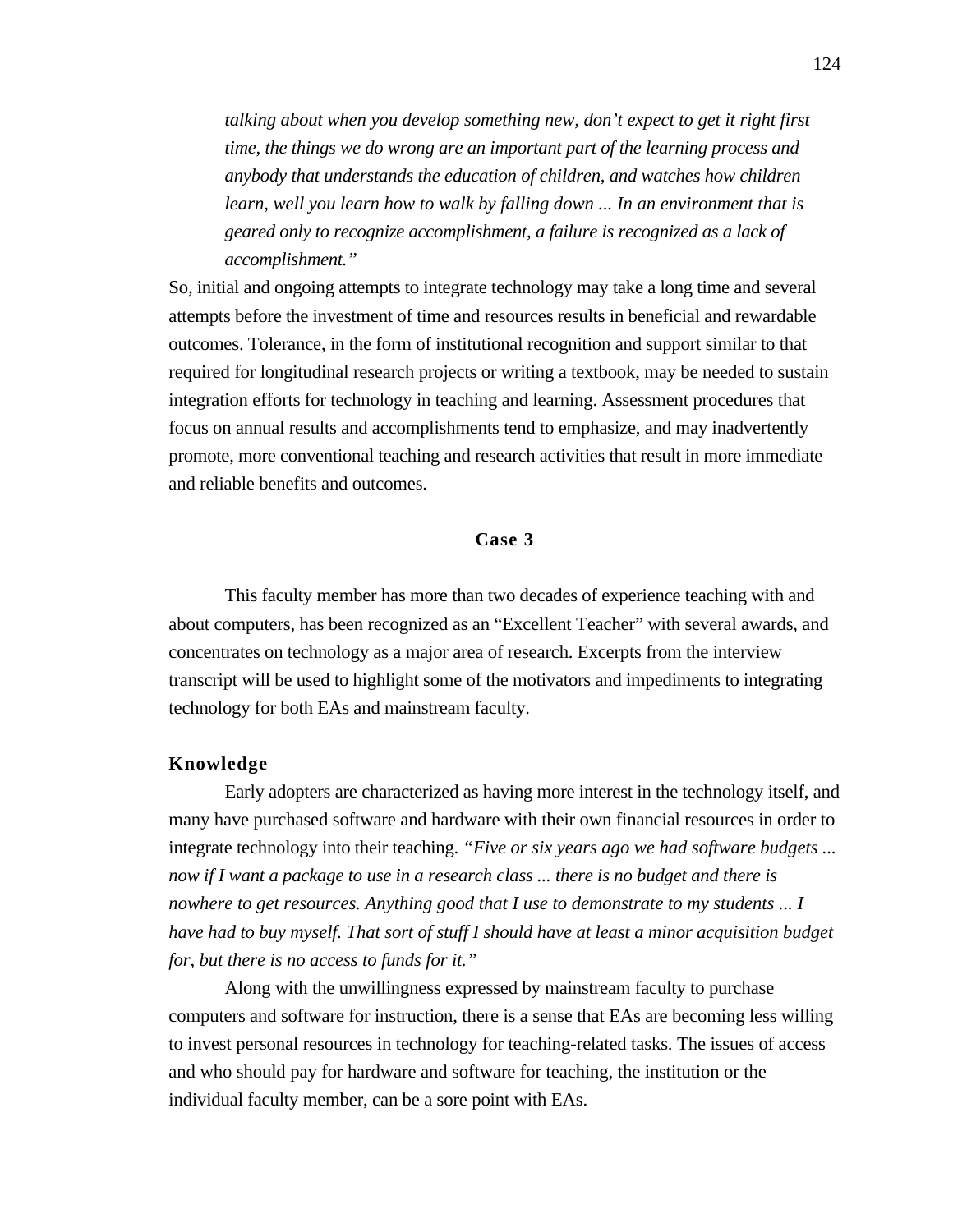*talking about when you develop something new, don't expect to get it right first time, the things we do wrong are an important part of the learning process and anybody that understands the education of children, and watches how children learn, well you learn how to walk by falling down ... In an environment that is geared only to recognize accomplishment, a failure is recognized as a lack of accomplishment."*

So, initial and ongoing attempts to integrate technology may take a long time and several attempts before the investment of time and resources results in beneficial and rewardable outcomes. Tolerance, in the form of institutional recognition and support similar to that required for longitudinal research projects or writing a textbook, may be needed to sustain integration efforts for technology in teaching and learning. Assessment procedures that focus on annual results and accomplishments tend to emphasize, and may inadvertently promote, more conventional teaching and research activities that result in more immediate and reliable benefits and outcomes.

# **Case 3**

This faculty member has more than two decades of experience teaching with and about computers, has been recognized as an "Excellent Teacher" with several awards, and concentrates on technology as a major area of research. Excerpts from the interview transcript will be used to highlight some of the motivators and impediments to integrating technology for both EAs and mainstream faculty.

#### **Knowledge**

Early adopters are characterized as having more interest in the technology itself, and many have purchased software and hardware with their own financial resources in order to integrate technology into their teaching. *"Five or six years ago we had software budgets ... now if I want a package to use in a research class ... there is no budget and there is nowhere to get resources. Anything good that I use to demonstrate to my students ... I have had to buy myself. That sort of stuff I should have at least a minor acquisition budget for, but there is no access to funds for it."*

Along with the unwillingness expressed by mainstream faculty to purchase computers and software for instruction, there is a sense that EAs are becoming less willing to invest personal resources in technology for teaching-related tasks. The issues of access and who should pay for hardware and software for teaching, the institution or the individual faculty member, can be a sore point with EAs.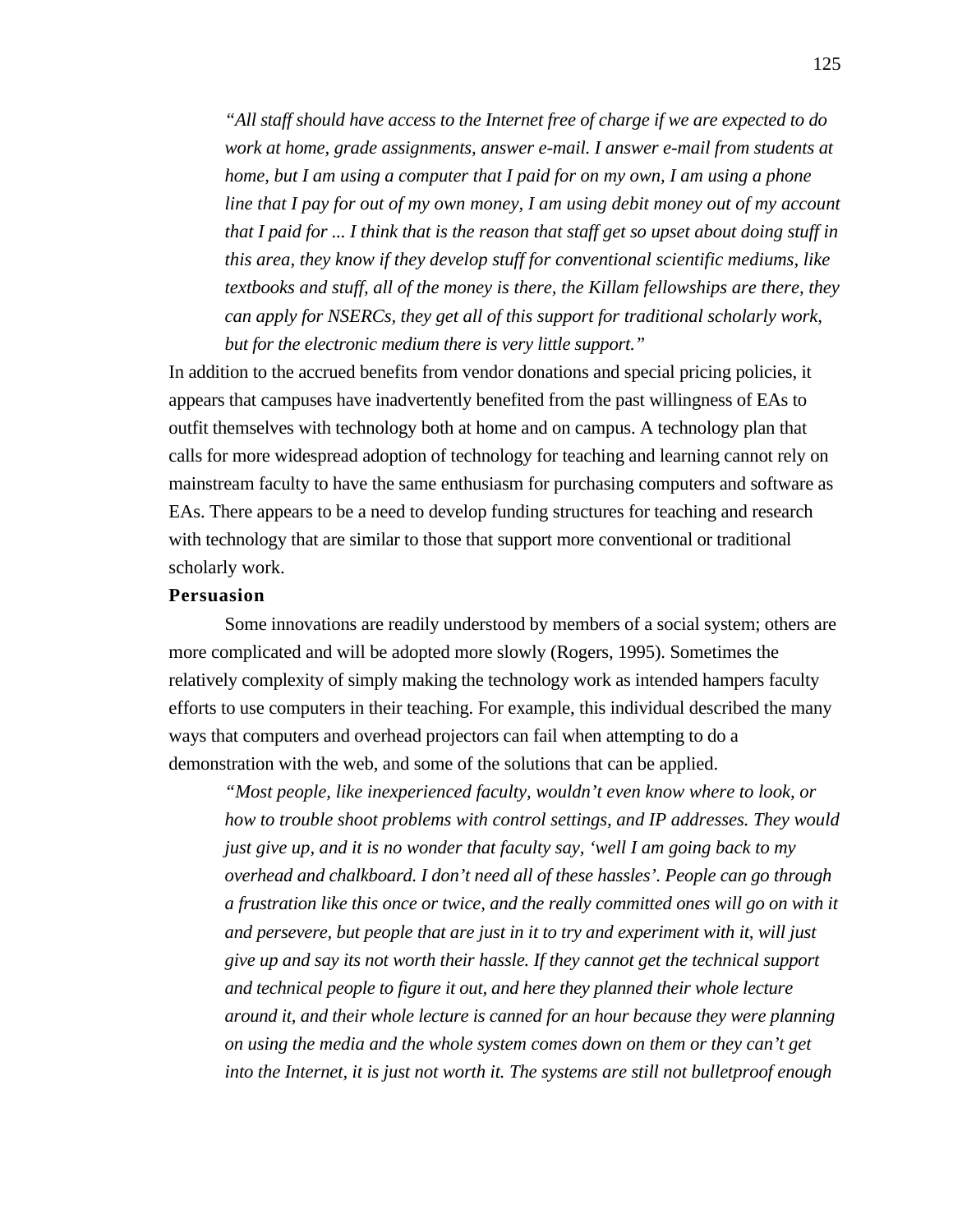*"All staff should have access to the Internet free of charge if we are expected to do work at home, grade assignments, answer e-mail. I answer e-mail from students at home, but I am using a computer that I paid for on my own, I am using a phone line that I pay for out of my own money, I am using debit money out of my account that I paid for ... I think that is the reason that staff get so upset about doing stuff in this area, they know if they develop stuff for conventional scientific mediums, like textbooks and stuff, all of the money is there, the Killam fellowships are there, they can apply for NSERCs, they get all of this support for traditional scholarly work, but for the electronic medium there is very little support."*

In addition to the accrued benefits from vendor donations and special pricing policies, it appears that campuses have inadvertently benefited from the past willingness of EAs to outfit themselves with technology both at home and on campus. A technology plan that calls for more widespread adoption of technology for teaching and learning cannot rely on mainstream faculty to have the same enthusiasm for purchasing computers and software as EAs. There appears to be a need to develop funding structures for teaching and research with technology that are similar to those that support more conventional or traditional scholarly work.

#### **Persuasion**

Some innovations are readily understood by members of a social system; others are more complicated and will be adopted more slowly (Rogers, 1995). Sometimes the relatively complexity of simply making the technology work as intended hampers faculty efforts to use computers in their teaching. For example, this individual described the many ways that computers and overhead projectors can fail when attempting to do a demonstration with the web, and some of the solutions that can be applied.

*"Most people, like inexperienced faculty, wouldn't even know where to look, or how to trouble shoot problems with control settings, and IP addresses. They would just give up, and it is no wonder that faculty say, 'well I am going back to my overhead and chalkboard. I don't need all of these hassles'. People can go through a frustration like this once or twice, and the really committed ones will go on with it and persevere, but people that are just in it to try and experiment with it, will just give up and say its not worth their hassle. If they cannot get the technical support and technical people to figure it out, and here they planned their whole lecture around it, and their whole lecture is canned for an hour because they were planning on using the media and the whole system comes down on them or they can't get into the Internet, it is just not worth it. The systems are still not bulletproof enough*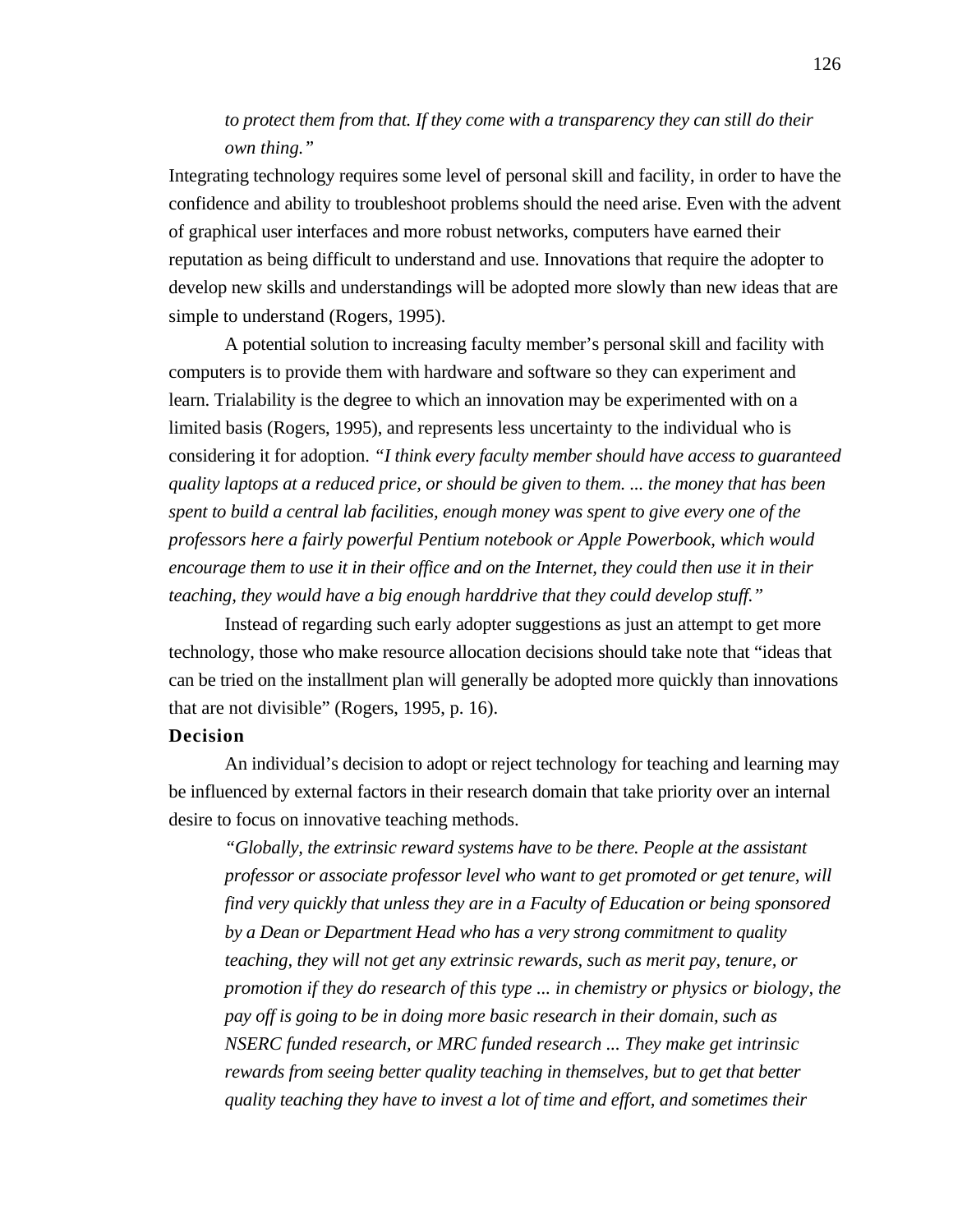# *to protect them from that. If they come with a transparency they can still do their own thing."*

Integrating technology requires some level of personal skill and facility, in order to have the confidence and ability to troubleshoot problems should the need arise. Even with the advent of graphical user interfaces and more robust networks, computers have earned their reputation as being difficult to understand and use. Innovations that require the adopter to develop new skills and understandings will be adopted more slowly than new ideas that are simple to understand (Rogers, 1995).

A potential solution to increasing faculty member's personal skill and facility with computers is to provide them with hardware and software so they can experiment and learn. Trialability is the degree to which an innovation may be experimented with on a limited basis (Rogers, 1995), and represents less uncertainty to the individual who is considering it for adoption. *"I think every faculty member should have access to guaranteed quality laptops at a reduced price, or should be given to them. ... the money that has been spent to build a central lab facilities, enough money was spent to give every one of the professors here a fairly powerful Pentium notebook or Apple Powerbook, which would encourage them to use it in their office and on the Internet, they could then use it in their teaching, they would have a big enough harddrive that they could develop stuff."*

Instead of regarding such early adopter suggestions as just an attempt to get more technology, those who make resource allocation decisions should take note that "ideas that can be tried on the installment plan will generally be adopted more quickly than innovations that are not divisible" (Rogers, 1995, p. 16).

## **Decision**

An individual's decision to adopt or reject technology for teaching and learning may be influenced by external factors in their research domain that take priority over an internal desire to focus on innovative teaching methods.

*"Globally, the extrinsic reward systems have to be there. People at the assistant professor or associate professor level who want to get promoted or get tenure, will find very quickly that unless they are in a Faculty of Education or being sponsored by a Dean or Department Head who has a very strong commitment to quality teaching, they will not get any extrinsic rewards, such as merit pay, tenure, or promotion if they do research of this type ... in chemistry or physics or biology, the pay off is going to be in doing more basic research in their domain, such as NSERC funded research, or MRC funded research ... They make get intrinsic rewards from seeing better quality teaching in themselves, but to get that better quality teaching they have to invest a lot of time and effort, and sometimes their*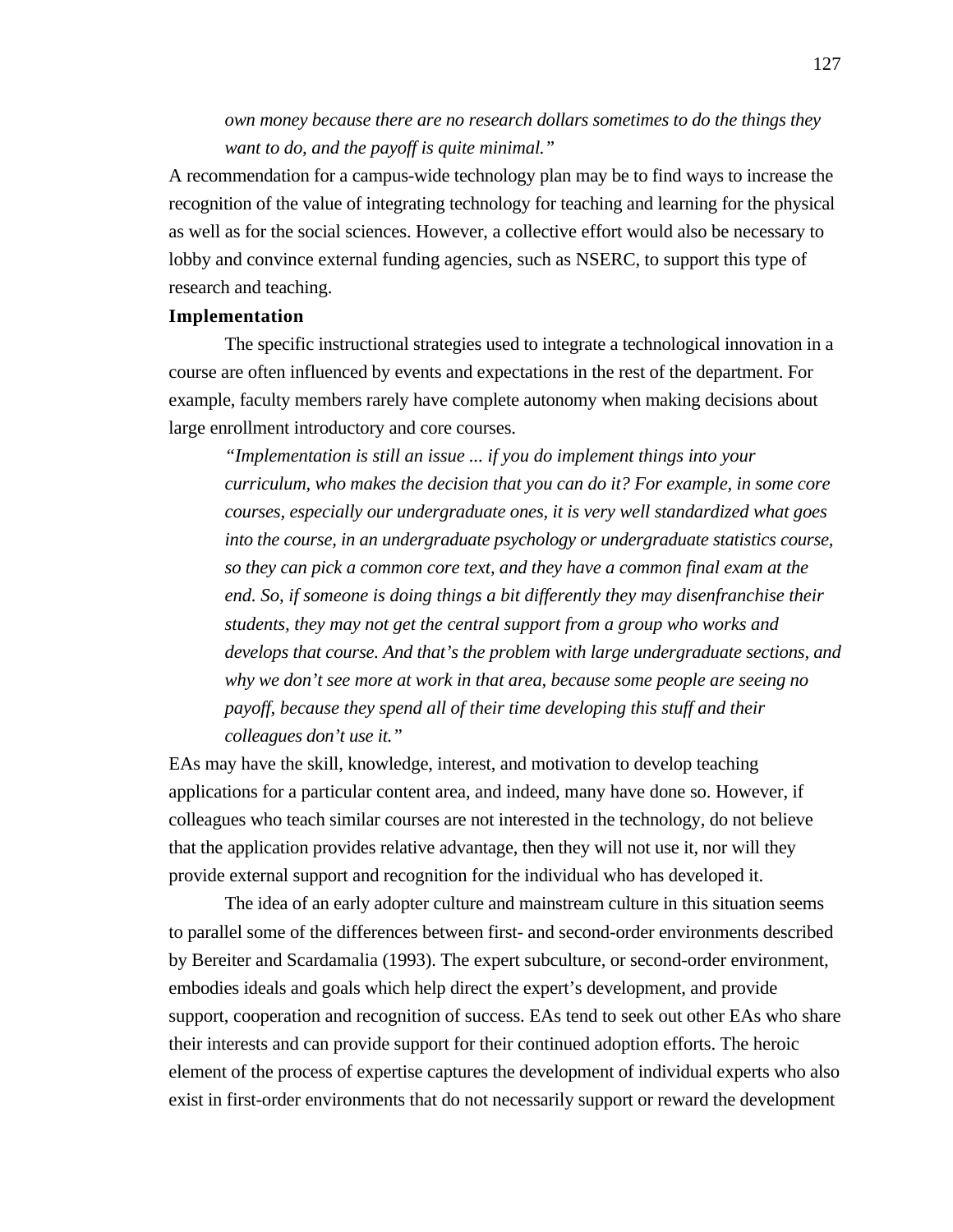*own money because there are no research dollars sometimes to do the things they want to do, and the payoff is quite minimal."*

A recommendation for a campus-wide technology plan may be to find ways to increase the recognition of the value of integrating technology for teaching and learning for the physical as well as for the social sciences. However, a collective effort would also be necessary to lobby and convince external funding agencies, such as NSERC, to support this type of research and teaching.

# **Implementation**

The specific instructional strategies used to integrate a technological innovation in a course are often influenced by events and expectations in the rest of the department. For example, faculty members rarely have complete autonomy when making decisions about large enrollment introductory and core courses.

*"Implementation is still an issue ... if you do implement things into your curriculum, who makes the decision that you can do it? For example, in some core courses, especially our undergraduate ones, it is very well standardized what goes into the course, in an undergraduate psychology or undergraduate statistics course, so they can pick a common core text, and they have a common final exam at the end. So, if someone is doing things a bit differently they may disenfranchise their students, they may not get the central support from a group who works and develops that course. And that's the problem with large undergraduate sections, and why we don't see more at work in that area, because some people are seeing no payoff, because they spend all of their time developing this stuff and their colleagues don't use it."*

EAs may have the skill, knowledge, interest, and motivation to develop teaching applications for a particular content area, and indeed, many have done so. However, if colleagues who teach similar courses are not interested in the technology, do not believe that the application provides relative advantage, then they will not use it, nor will they provide external support and recognition for the individual who has developed it.

The idea of an early adopter culture and mainstream culture in this situation seems to parallel some of the differences between first- and second-order environments described by Bereiter and Scardamalia (1993). The expert subculture, or second-order environment, embodies ideals and goals which help direct the expert's development, and provide support, cooperation and recognition of success. EAs tend to seek out other EAs who share their interests and can provide support for their continued adoption efforts. The heroic element of the process of expertise captures the development of individual experts who also exist in first-order environments that do not necessarily support or reward the development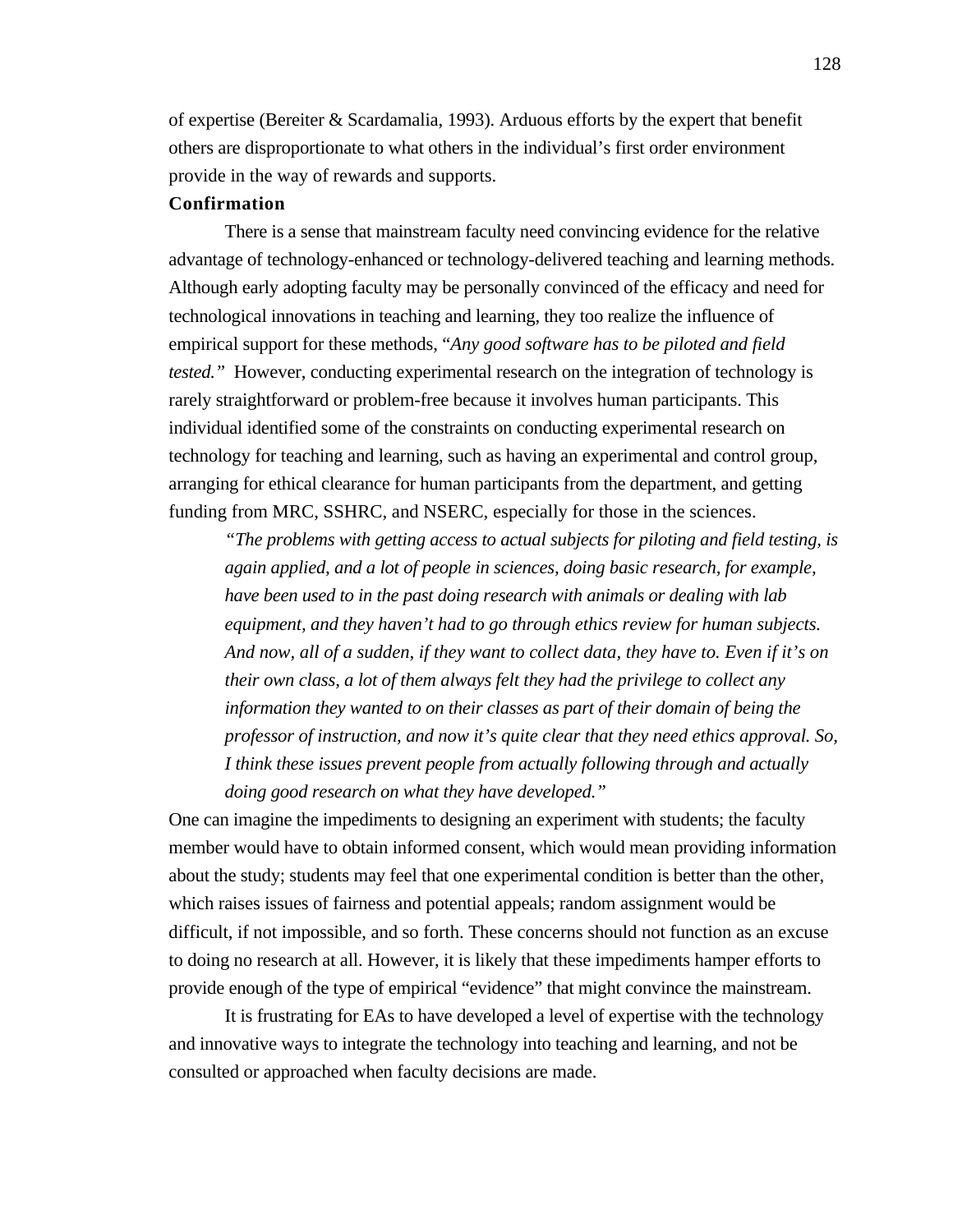of expertise (Bereiter & Scardamalia, 1993). Arduous efforts by the expert that benefit others are disproportionate to what others in the individual's first order environment provide in the way of rewards and supports.

# **Confirmation**

There is a sense that mainstream faculty need convincing evidence for the relative advantage of technology-enhanced or technology-delivered teaching and learning methods. Although early adopting faculty may be personally convinced of the efficacy and need for technological innovations in teaching and learning, they too realize the influence of empirical support for these methods, "*Any good software has to be piloted and field tested."* However, conducting experimental research on the integration of technology is rarely straightforward or problem-free because it involves human participants. This individual identified some of the constraints on conducting experimental research on technology for teaching and learning, such as having an experimental and control group, arranging for ethical clearance for human participants from the department, and getting funding from MRC, SSHRC, and NSERC, especially for those in the sciences.

*"The problems with getting access to actual subjects for piloting and field testing, is again applied, and a lot of people in sciences, doing basic research, for example, have been used to in the past doing research with animals or dealing with lab equipment, and they haven't had to go through ethics review for human subjects. And now, all of a sudden, if they want to collect data, they have to. Even if it's on their own class, a lot of them always felt they had the privilege to collect any information they wanted to on their classes as part of their domain of being the professor of instruction, and now it's quite clear that they need ethics approval. So, I think these issues prevent people from actually following through and actually doing good research on what they have developed."*

One can imagine the impediments to designing an experiment with students; the faculty member would have to obtain informed consent, which would mean providing information about the study; students may feel that one experimental condition is better than the other, which raises issues of fairness and potential appeals; random assignment would be difficult, if not impossible, and so forth. These concerns should not function as an excuse to doing no research at all. However, it is likely that these impediments hamper efforts to provide enough of the type of empirical "evidence" that might convince the mainstream.

It is frustrating for EAs to have developed a level of expertise with the technology and innovative ways to integrate the technology into teaching and learning, and not be consulted or approached when faculty decisions are made.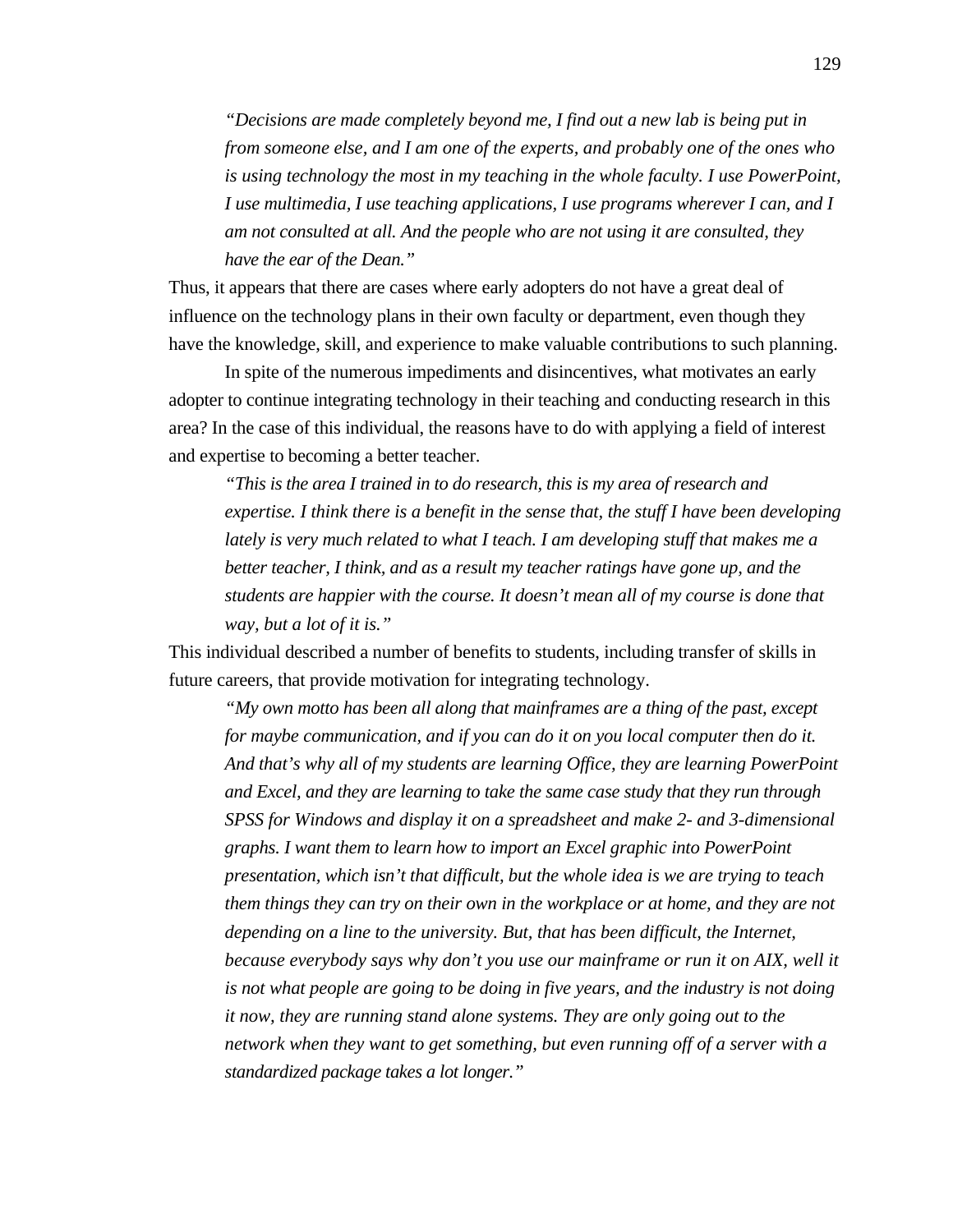*"Decisions are made completely beyond me, I find out a new lab is being put in from someone else, and I am one of the experts, and probably one of the ones who is using technology the most in my teaching in the whole faculty. I use PowerPoint, I use multimedia, I use teaching applications, I use programs wherever I can, and I am not consulted at all. And the people who are not using it are consulted, they have the ear of the Dean."*

Thus, it appears that there are cases where early adopters do not have a great deal of influence on the technology plans in their own faculty or department, even though they have the knowledge, skill, and experience to make valuable contributions to such planning.

In spite of the numerous impediments and disincentives, what motivates an early adopter to continue integrating technology in their teaching and conducting research in this area? In the case of this individual, the reasons have to do with applying a field of interest and expertise to becoming a better teacher.

*"This is the area I trained in to do research, this is my area of research and expertise. I think there is a benefit in the sense that, the stuff I have been developing lately is very much related to what I teach. I am developing stuff that makes me a better teacher, I think, and as a result my teacher ratings have gone up, and the students are happier with the course. It doesn't mean all of my course is done that way, but a lot of it is."*

This individual described a number of benefits to students, including transfer of skills in future careers, that provide motivation for integrating technology.

*"My own motto has been all along that mainframes are a thing of the past, except for maybe communication, and if you can do it on you local computer then do it. And that's why all of my students are learning Office, they are learning PowerPoint and Excel, and they are learning to take the same case study that they run through SPSS for Windows and display it on a spreadsheet and make 2- and 3-dimensional graphs. I want them to learn how to import an Excel graphic into PowerPoint presentation, which isn't that difficult, but the whole idea is we are trying to teach them things they can try on their own in the workplace or at home, and they are not depending on a line to the university. But, that has been difficult, the Internet, because everybody says why don't you use our mainframe or run it on AIX, well it is not what people are going to be doing in five years, and the industry is not doing it now, they are running stand alone systems. They are only going out to the network when they want to get something, but even running off of a server with a standardized package takes a lot longer."*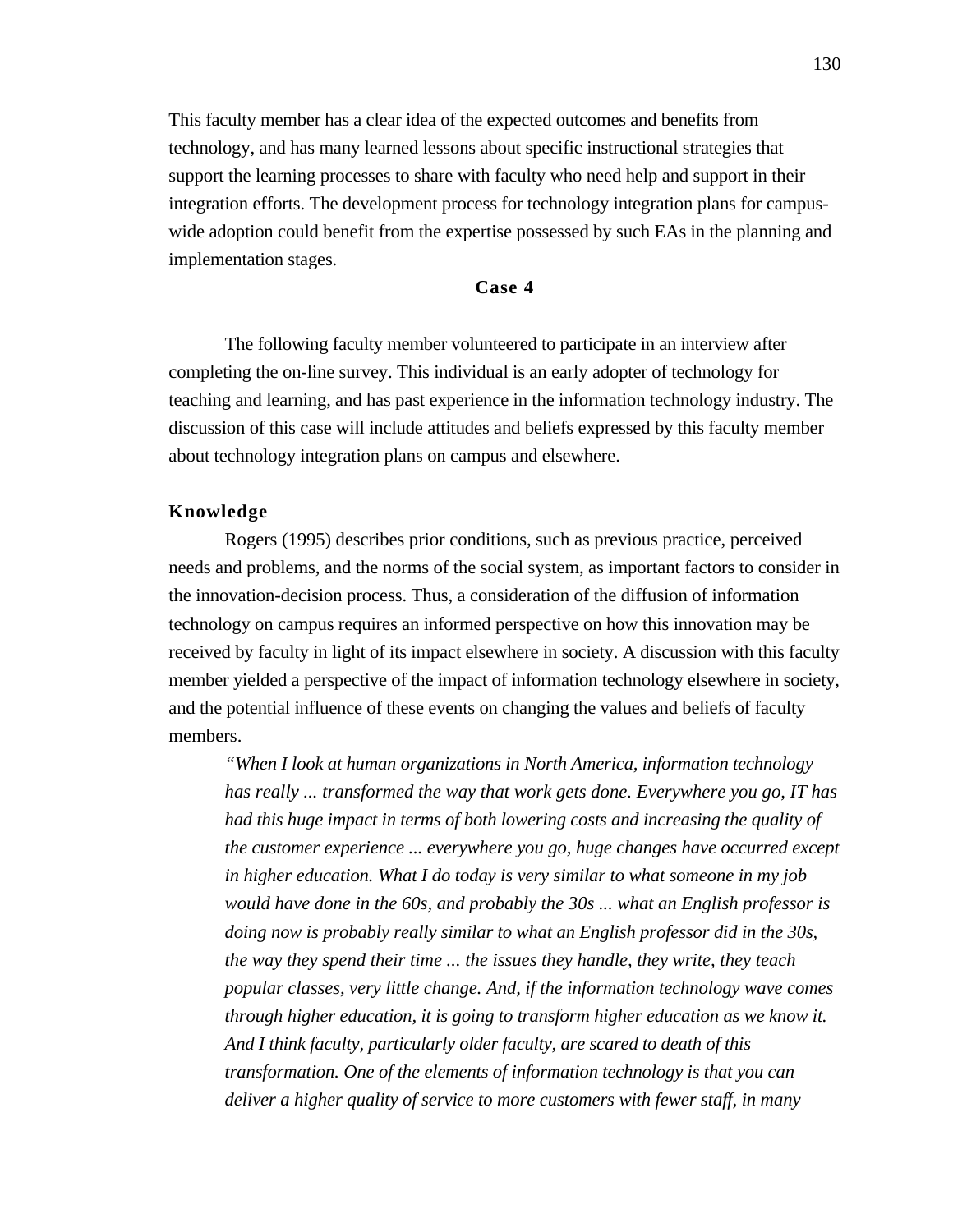This faculty member has a clear idea of the expected outcomes and benefits from technology, and has many learned lessons about specific instructional strategies that support the learning processes to share with faculty who need help and support in their integration efforts. The development process for technology integration plans for campuswide adoption could benefit from the expertise possessed by such EAs in the planning and implementation stages.

#### **Case 4**

The following faculty member volunteered to participate in an interview after completing the on-line survey. This individual is an early adopter of technology for teaching and learning, and has past experience in the information technology industry. The discussion of this case will include attitudes and beliefs expressed by this faculty member about technology integration plans on campus and elsewhere.

# **Knowledge**

Rogers (1995) describes prior conditions, such as previous practice, perceived needs and problems, and the norms of the social system, as important factors to consider in the innovation-decision process. Thus, a consideration of the diffusion of information technology on campus requires an informed perspective on how this innovation may be received by faculty in light of its impact elsewhere in society. A discussion with this faculty member yielded a perspective of the impact of information technology elsewhere in society, and the potential influence of these events on changing the values and beliefs of faculty members.

*"When I look at human organizations in North America, information technology has really ... transformed the way that work gets done. Everywhere you go, IT has had this huge impact in terms of both lowering costs and increasing the quality of the customer experience ... everywhere you go, huge changes have occurred except in higher education. What I do today is very similar to what someone in my job would have done in the 60s, and probably the 30s ... what an English professor is doing now is probably really similar to what an English professor did in the 30s, the way they spend their time ... the issues they handle, they write, they teach popular classes, very little change. And, if the information technology wave comes through higher education, it is going to transform higher education as we know it. And I think faculty, particularly older faculty, are scared to death of this transformation. One of the elements of information technology is that you can deliver a higher quality of service to more customers with fewer staff, in many*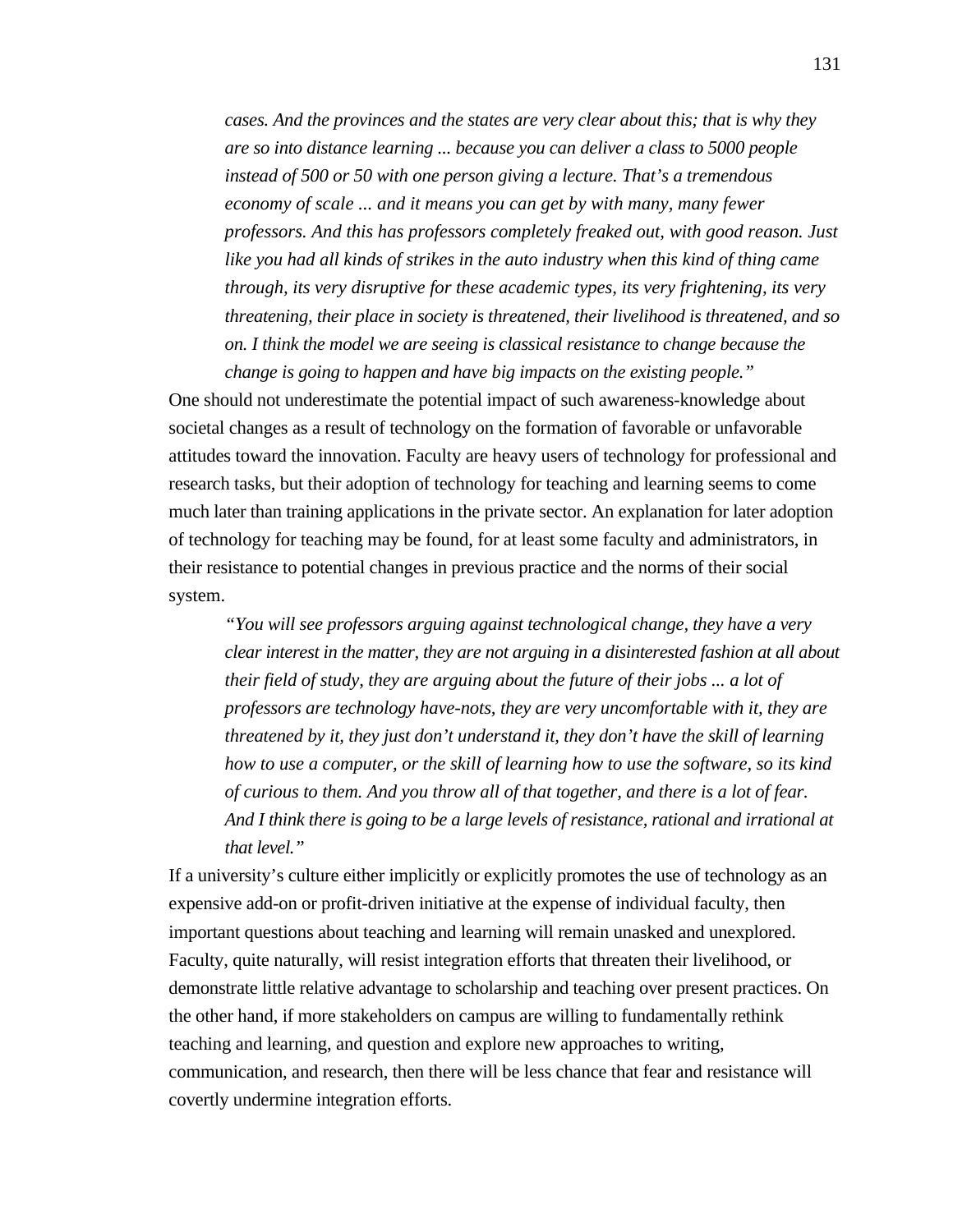*cases. And the provinces and the states are very clear about this; that is why they are so into distance learning ... because you can deliver a class to 5000 people instead of 500 or 50 with one person giving a lecture. That's a tremendous economy of scale ... and it means you can get by with many, many fewer professors. And this has professors completely freaked out, with good reason. Just like you had all kinds of strikes in the auto industry when this kind of thing came through, its very disruptive for these academic types, its very frightening, its very threatening, their place in society is threatened, their livelihood is threatened, and so on. I think the model we are seeing is classical resistance to change because the change is going to happen and have big impacts on the existing people."*

One should not underestimate the potential impact of such awareness-knowledge about societal changes as a result of technology on the formation of favorable or unfavorable attitudes toward the innovation. Faculty are heavy users of technology for professional and research tasks, but their adoption of technology for teaching and learning seems to come much later than training applications in the private sector. An explanation for later adoption of technology for teaching may be found, for at least some faculty and administrators, in their resistance to potential changes in previous practice and the norms of their social system.

*"You will see professors arguing against technological change, they have a very clear interest in the matter, they are not arguing in a disinterested fashion at all about their field of study, they are arguing about the future of their jobs ... a lot of professors are technology have-nots, they are very uncomfortable with it, they are threatened by it, they just don't understand it, they don't have the skill of learning how to use a computer, or the skill of learning how to use the software, so its kind of curious to them. And you throw all of that together, and there is a lot of fear. And I think there is going to be a large levels of resistance, rational and irrational at that level."*

If a university's culture either implicitly or explicitly promotes the use of technology as an expensive add-on or profit-driven initiative at the expense of individual faculty, then important questions about teaching and learning will remain unasked and unexplored. Faculty, quite naturally, will resist integration efforts that threaten their livelihood, or demonstrate little relative advantage to scholarship and teaching over present practices. On the other hand, if more stakeholders on campus are willing to fundamentally rethink teaching and learning, and question and explore new approaches to writing, communication, and research, then there will be less chance that fear and resistance will covertly undermine integration efforts.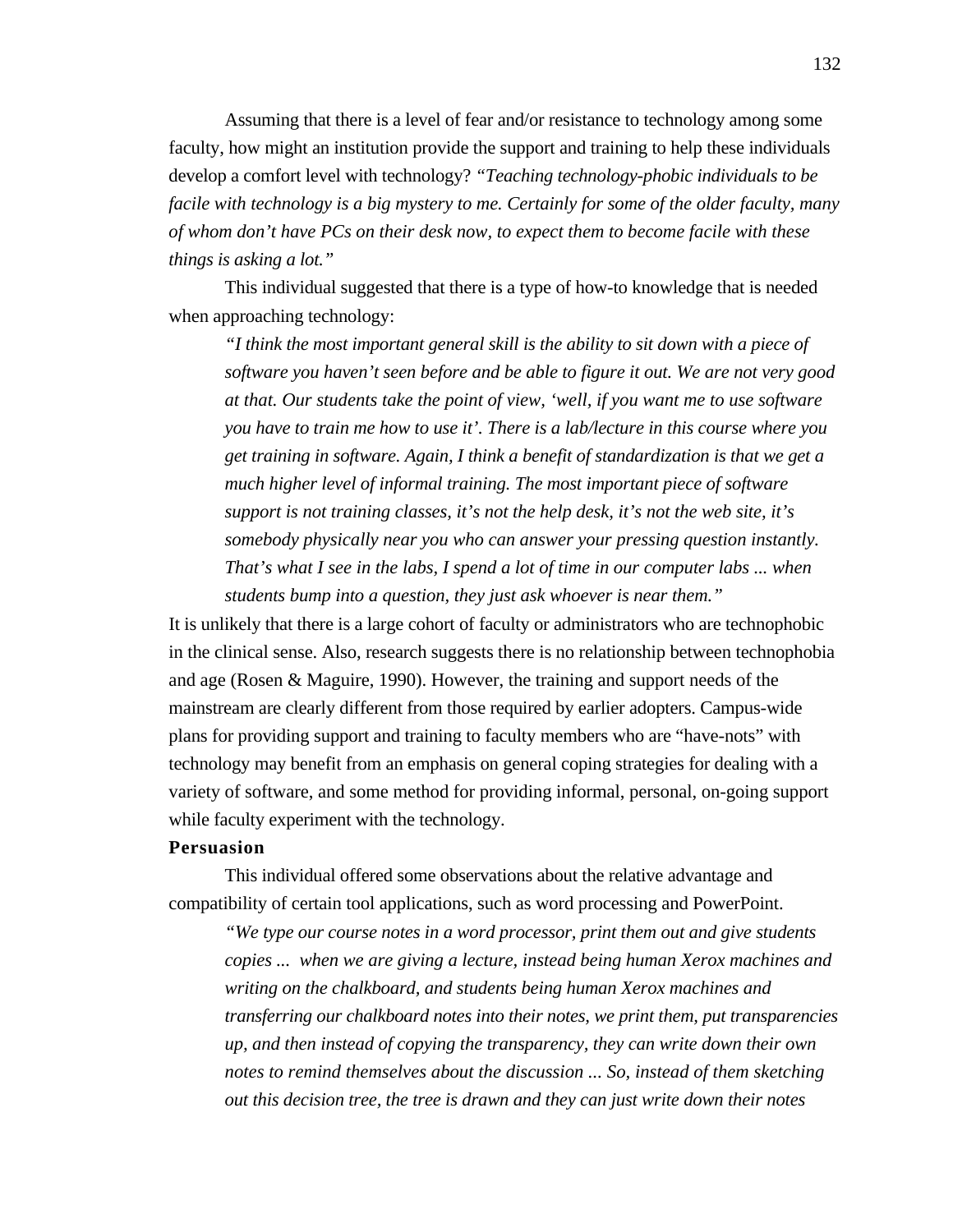Assuming that there is a level of fear and/or resistance to technology among some faculty, how might an institution provide the support and training to help these individuals develop a comfort level with technology? *"Teaching technology-phobic individuals to be facile with technology is a big mystery to me. Certainly for some of the older faculty, many of whom don't have PCs on their desk now, to expect them to become facile with these things is asking a lot."*

This individual suggested that there is a type of how-to knowledge that is needed when approaching technology:

*"I think the most important general skill is the ability to sit down with a piece of software you haven't seen before and be able to figure it out. We are not very good at that. Our students take the point of view, 'well, if you want me to use software you have to train me how to use it'. There is a lab/lecture in this course where you get training in software. Again, I think a benefit of standardization is that we get a much higher level of informal training. The most important piece of software support is not training classes, it's not the help desk, it's not the web site, it's somebody physically near you who can answer your pressing question instantly. That's what I see in the labs, I spend a lot of time in our computer labs ... when students bump into a question, they just ask whoever is near them."*

It is unlikely that there is a large cohort of faculty or administrators who are technophobic in the clinical sense. Also, research suggests there is no relationship between technophobia and age (Rosen & Maguire, 1990). However, the training and support needs of the mainstream are clearly different from those required by earlier adopters. Campus-wide plans for providing support and training to faculty members who are "have-nots" with technology may benefit from an emphasis on general coping strategies for dealing with a variety of software, and some method for providing informal, personal, on-going support while faculty experiment with the technology.

## **Persuasion**

This individual offered some observations about the relative advantage and compatibility of certain tool applications, such as word processing and PowerPoint.

*"We type our course notes in a word processor, print them out and give students copies ... when we are giving a lecture, instead being human Xerox machines and writing on the chalkboard, and students being human Xerox machines and transferring our chalkboard notes into their notes, we print them, put transparencies up, and then instead of copying the transparency, they can write down their own notes to remind themselves about the discussion ... So, instead of them sketching out this decision tree, the tree is drawn and they can just write down their notes*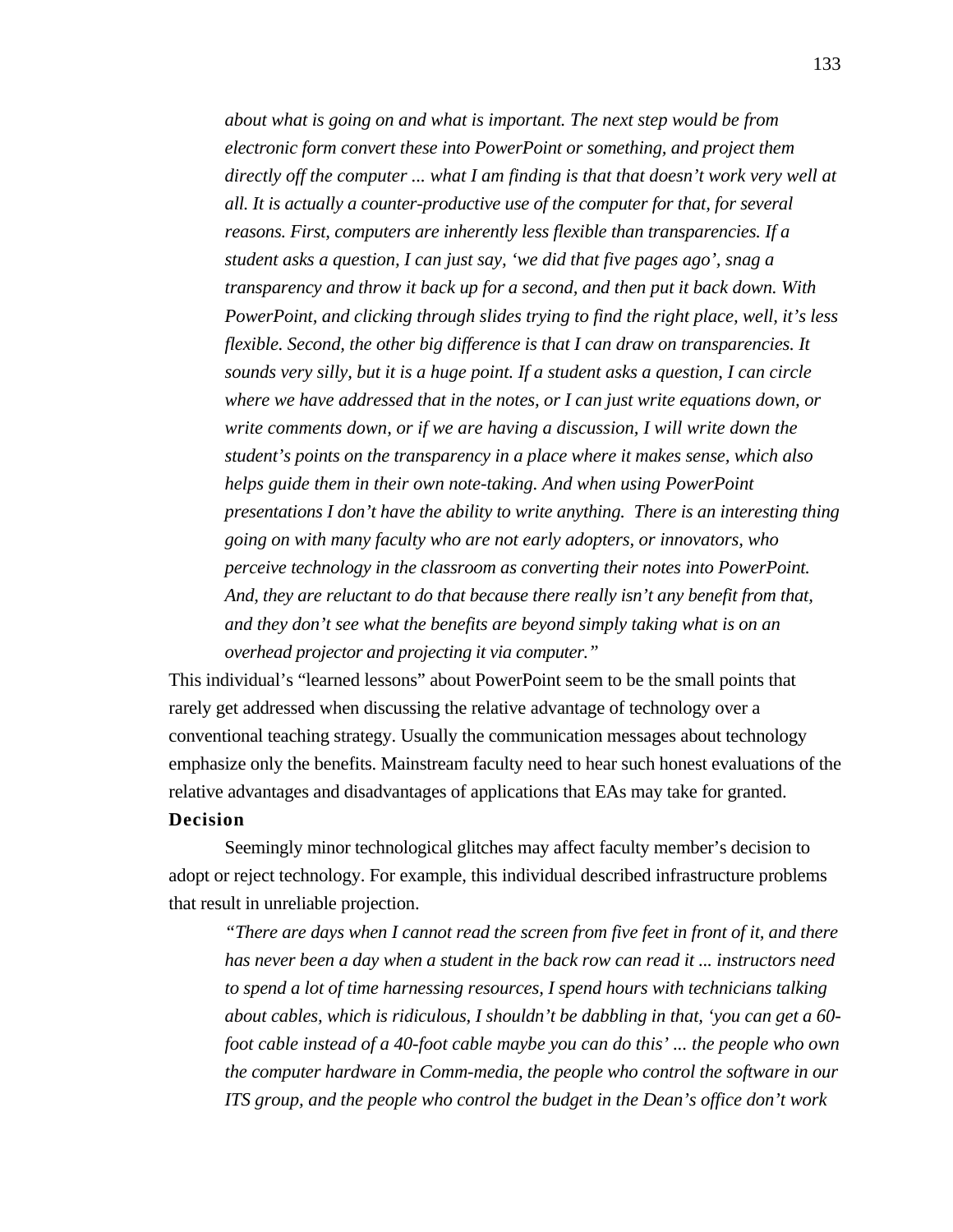*about what is going on and what is important. The next step would be from electronic form convert these into PowerPoint or something, and project them directly off the computer ... what I am finding is that that doesn't work very well at all. It is actually a counter-productive use of the computer for that, for several reasons. First, computers are inherently less flexible than transparencies. If a student asks a question, I can just say, 'we did that five pages ago', snag a transparency and throw it back up for a second, and then put it back down. With PowerPoint, and clicking through slides trying to find the right place, well, it's less flexible. Second, the other big difference is that I can draw on transparencies. It sounds very silly, but it is a huge point. If a student asks a question, I can circle where we have addressed that in the notes, or I can just write equations down, or write comments down, or if we are having a discussion, I will write down the student's points on the transparency in a place where it makes sense, which also helps guide them in their own note-taking. And when using PowerPoint presentations I don't have the ability to write anything. There is an interesting thing going on with many faculty who are not early adopters, or innovators, who perceive technology in the classroom as converting their notes into PowerPoint. And, they are reluctant to do that because there really isn't any benefit from that, and they don't see what the benefits are beyond simply taking what is on an overhead projector and projecting it via computer."*

This individual's "learned lessons" about PowerPoint seem to be the small points that rarely get addressed when discussing the relative advantage of technology over a conventional teaching strategy. Usually the communication messages about technology emphasize only the benefits. Mainstream faculty need to hear such honest evaluations of the relative advantages and disadvantages of applications that EAs may take for granted.

## **Decision**

Seemingly minor technological glitches may affect faculty member's decision to adopt or reject technology. For example, this individual described infrastructure problems that result in unreliable projection.

*"There are days when I cannot read the screen from five feet in front of it, and there has never been a day when a student in the back row can read it ... instructors need to spend a lot of time harnessing resources, I spend hours with technicians talking about cables, which is ridiculous, I shouldn't be dabbling in that, 'you can get a 60 foot cable instead of a 40-foot cable maybe you can do this' ... the people who own the computer hardware in Comm-media, the people who control the software in our ITS group, and the people who control the budget in the Dean's office don't work*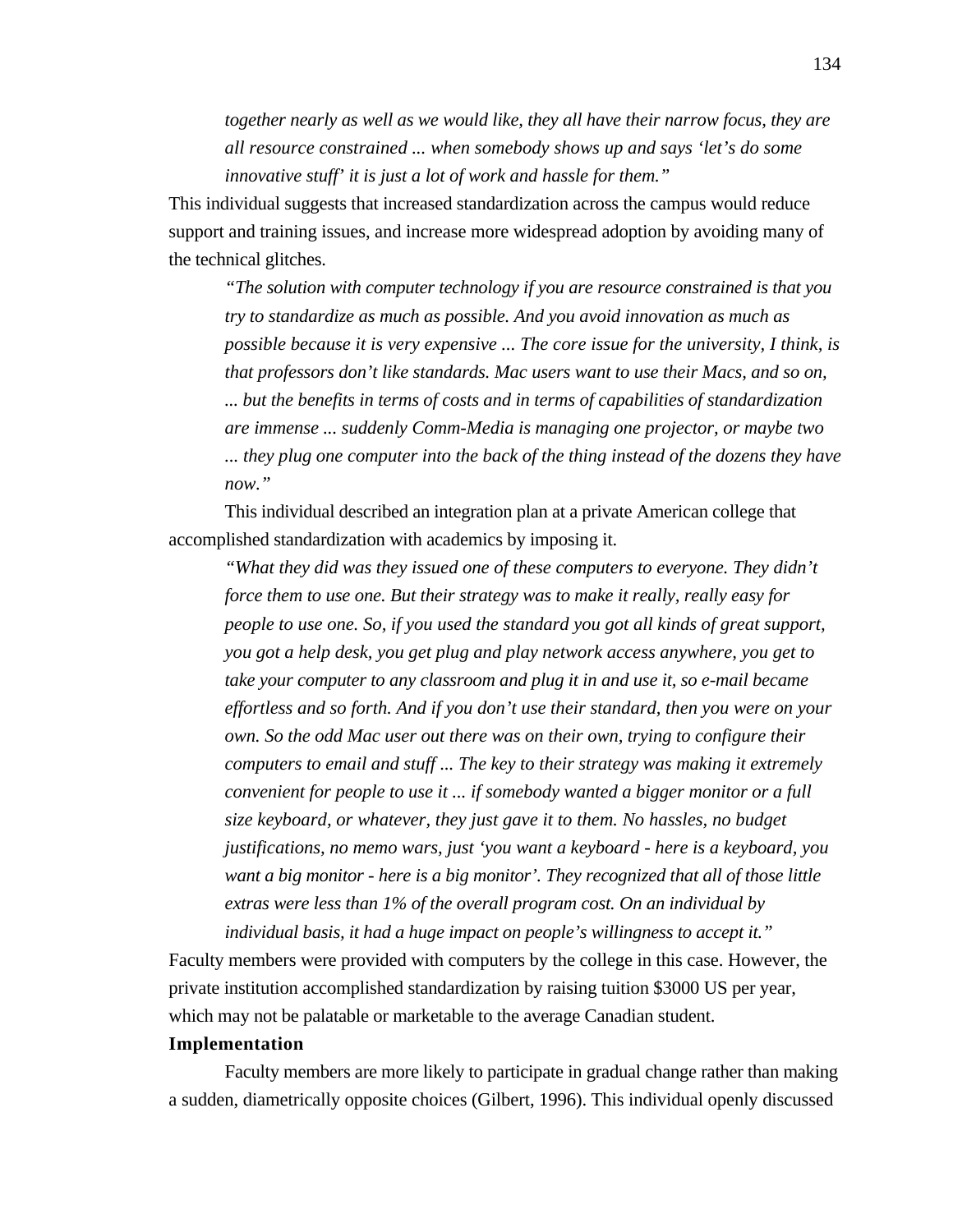*together nearly as well as we would like, they all have their narrow focus, they are all resource constrained ... when somebody shows up and says 'let's do some innovative stuff' it is just a lot of work and hassle for them."*

This individual suggests that increased standardization across the campus would reduce support and training issues, and increase more widespread adoption by avoiding many of the technical glitches.

*"The solution with computer technology if you are resource constrained is that you try to standardize as much as possible. And you avoid innovation as much as possible because it is very expensive ... The core issue for the university, I think, is that professors don't like standards. Mac users want to use their Macs, and so on, ... but the benefits in terms of costs and in terms of capabilities of standardization are immense ... suddenly Comm-Media is managing one projector, or maybe two ... they plug one computer into the back of the thing instead of the dozens they have now."*

This individual described an integration plan at a private American college that accomplished standardization with academics by imposing it.

*"What they did was they issued one of these computers to everyone. They didn't force them to use one. But their strategy was to make it really, really easy for people to use one. So, if you used the standard you got all kinds of great support, you got a help desk, you get plug and play network access anywhere, you get to take your computer to any classroom and plug it in and use it, so e-mail became effortless and so forth. And if you don't use their standard, then you were on your own. So the odd Mac user out there was on their own, trying to configure their computers to email and stuff ... The key to their strategy was making it extremely convenient for people to use it ... if somebody wanted a bigger monitor or a full size keyboard, or whatever, they just gave it to them. No hassles, no budget justifications, no memo wars, just 'you want a keyboard - here is a keyboard, you want a big monitor - here is a big monitor'. They recognized that all of those little extras were less than 1% of the overall program cost. On an individual by individual basis, it had a huge impact on people's willingness to accept it."*

Faculty members were provided with computers by the college in this case. However, the private institution accomplished standardization by raising tuition \$3000 US per year, which may not be palatable or marketable to the average Canadian student.

## **Implementation**

Faculty members are more likely to participate in gradual change rather than making a sudden, diametrically opposite choices (Gilbert, 1996). This individual openly discussed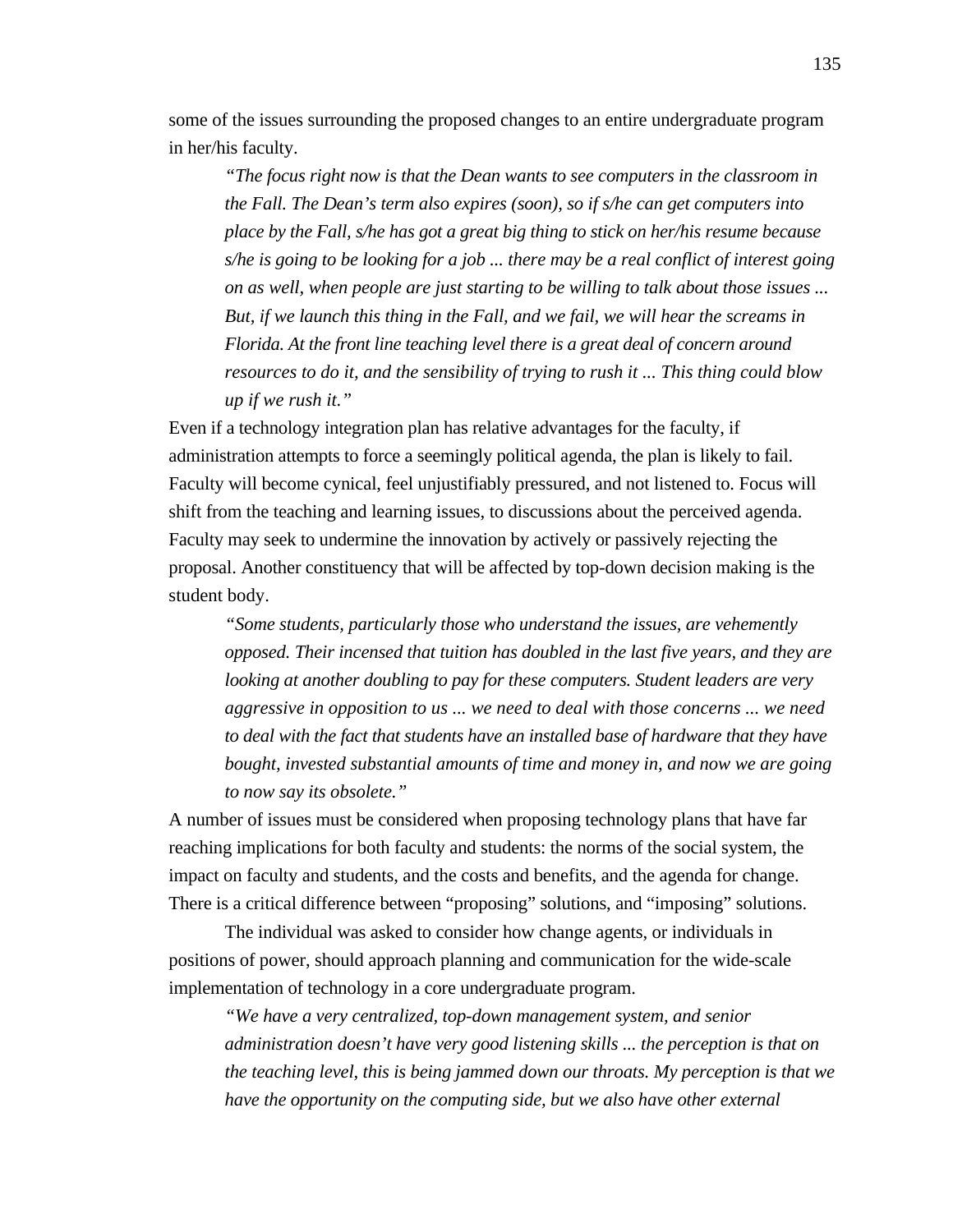some of the issues surrounding the proposed changes to an entire undergraduate program in her/his faculty.

*"The focus right now is that the Dean wants to see computers in the classroom in the Fall. The Dean's term also expires (soon), so if s/he can get computers into place by the Fall, s/he has got a great big thing to stick on her/his resume because s/he is going to be looking for a job ... there may be a real conflict of interest going on as well, when people are just starting to be willing to talk about those issues ... But, if we launch this thing in the Fall, and we fail, we will hear the screams in Florida. At the front line teaching level there is a great deal of concern around resources to do it, and the sensibility of trying to rush it ... This thing could blow up if we rush it."*

Even if a technology integration plan has relative advantages for the faculty, if administration attempts to force a seemingly political agenda, the plan is likely to fail. Faculty will become cynical, feel unjustifiably pressured, and not listened to. Focus will shift from the teaching and learning issues, to discussions about the perceived agenda. Faculty may seek to undermine the innovation by actively or passively rejecting the proposal. Another constituency that will be affected by top-down decision making is the student body.

*"Some students, particularly those who understand the issues, are vehemently opposed. Their incensed that tuition has doubled in the last five years, and they are looking at another doubling to pay for these computers. Student leaders are very aggressive in opposition to us ... we need to deal with those concerns ... we need to deal with the fact that students have an installed base of hardware that they have bought, invested substantial amounts of time and money in, and now we are going to now say its obsolete."*

A number of issues must be considered when proposing technology plans that have far reaching implications for both faculty and students: the norms of the social system, the impact on faculty and students, and the costs and benefits, and the agenda for change. There is a critical difference between "proposing" solutions, and "imposing" solutions.

The individual was asked to consider how change agents, or individuals in positions of power, should approach planning and communication for the wide-scale implementation of technology in a core undergraduate program.

*"We have a very centralized, top-down management system, and senior administration doesn't have very good listening skills ... the perception is that on the teaching level, this is being jammed down our throats. My perception is that we have the opportunity on the computing side, but we also have other external*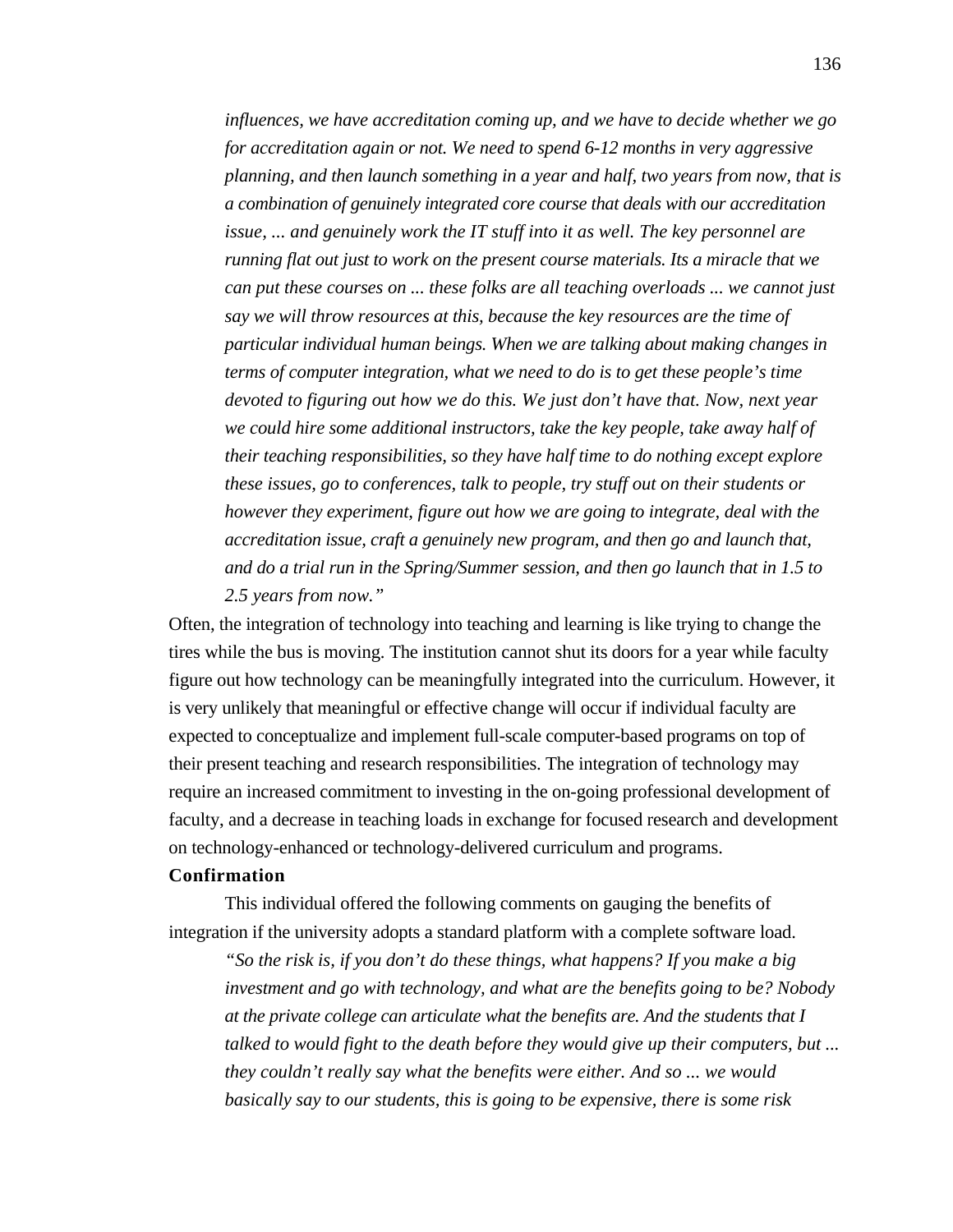*influences, we have accreditation coming up, and we have to decide whether we go for accreditation again or not. We need to spend 6-12 months in very aggressive planning, and then launch something in a year and half, two years from now, that is a combination of genuinely integrated core course that deals with our accreditation issue, ... and genuinely work the IT stuff into it as well. The key personnel are running flat out just to work on the present course materials. Its a miracle that we can put these courses on ... these folks are all teaching overloads ... we cannot just say we will throw resources at this, because the key resources are the time of particular individual human beings. When we are talking about making changes in terms of computer integration, what we need to do is to get these people's time devoted to figuring out how we do this. We just don't have that. Now, next year we could hire some additional instructors, take the key people, take away half of their teaching responsibilities, so they have half time to do nothing except explore these issues, go to conferences, talk to people, try stuff out on their students or however they experiment, figure out how we are going to integrate, deal with the accreditation issue, craft a genuinely new program, and then go and launch that, and do a trial run in the Spring/Summer session, and then go launch that in 1.5 to 2.5 years from now."*

Often, the integration of technology into teaching and learning is like trying to change the tires while the bus is moving. The institution cannot shut its doors for a year while faculty figure out how technology can be meaningfully integrated into the curriculum. However, it is very unlikely that meaningful or effective change will occur if individual faculty are expected to conceptualize and implement full-scale computer-based programs on top of their present teaching and research responsibilities. The integration of technology may require an increased commitment to investing in the on-going professional development of faculty, and a decrease in teaching loads in exchange for focused research and development on technology-enhanced or technology-delivered curriculum and programs.

## **Confirmation**

This individual offered the following comments on gauging the benefits of integration if the university adopts a standard platform with a complete software load.

*"So the risk is, if you don't do these things, what happens? If you make a big investment and go with technology, and what are the benefits going to be? Nobody at the private college can articulate what the benefits are. And the students that I talked to would fight to the death before they would give up their computers, but ... they couldn't really say what the benefits were either. And so ... we would basically say to our students, this is going to be expensive, there is some risk*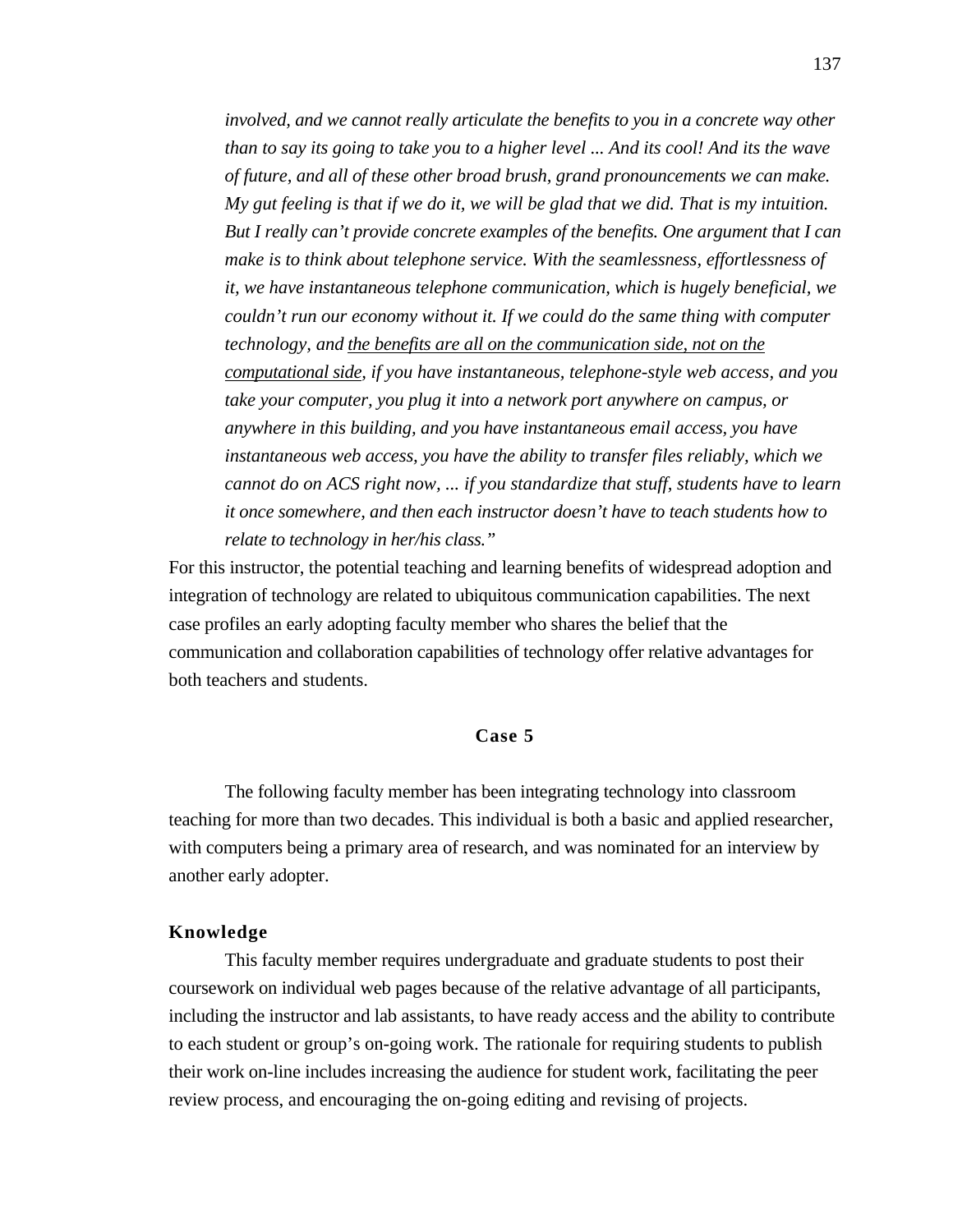*involved, and we cannot really articulate the benefits to you in a concrete way other than to say its going to take you to a higher level ... And its cool! And its the wave of future, and all of these other broad brush, grand pronouncements we can make. My gut feeling is that if we do it, we will be glad that we did. That is my intuition. But I really can't provide concrete examples of the benefits. One argument that I can make is to think about telephone service. With the seamlessness, effortlessness of it, we have instantaneous telephone communication, which is hugely beneficial, we couldn't run our economy without it. If we could do the same thing with computer technology, and the benefits are all on the communication side, not on the computational side , if you have instantaneous, telephone-style web access, and you take your computer, you plug it into a network port anywhere on campus, or anywhere in this building, and you have instantaneous email access, you have instantaneous web access, you have the ability to transfer files reliably, which we cannot do on ACS right now, ... if you standardize that stuff, students have to learn it once somewhere, and then each instructor doesn't have to teach students how to relate to technology in her/his class."*

For this instructor, the potential teaching and learning benefits of widespread adoption and integration of technology are related to ubiquitous communication capabilities. The next case profiles an early adopting faculty member who shares the belief that the communication and collaboration capabilities of technology offer relative advantages for both teachers and students.

## **Case 5**

The following faculty member has been integrating technology into classroom teaching for more than two decades. This individual is both a basic and applied researcher, with computers being a primary area of research, and was nominated for an interview by another early adopter.

## **Knowledge**

This faculty member requires undergraduate and graduate students to post their coursework on individual web pages because of the relative advantage of all participants, including the instructor and lab assistants, to have ready access and the ability to contribute to each student or group's on-going work. The rationale for requiring students to publish their work on-line includes increasing the audience for student work, facilitating the peer review process, and encouraging the on-going editing and revising of projects.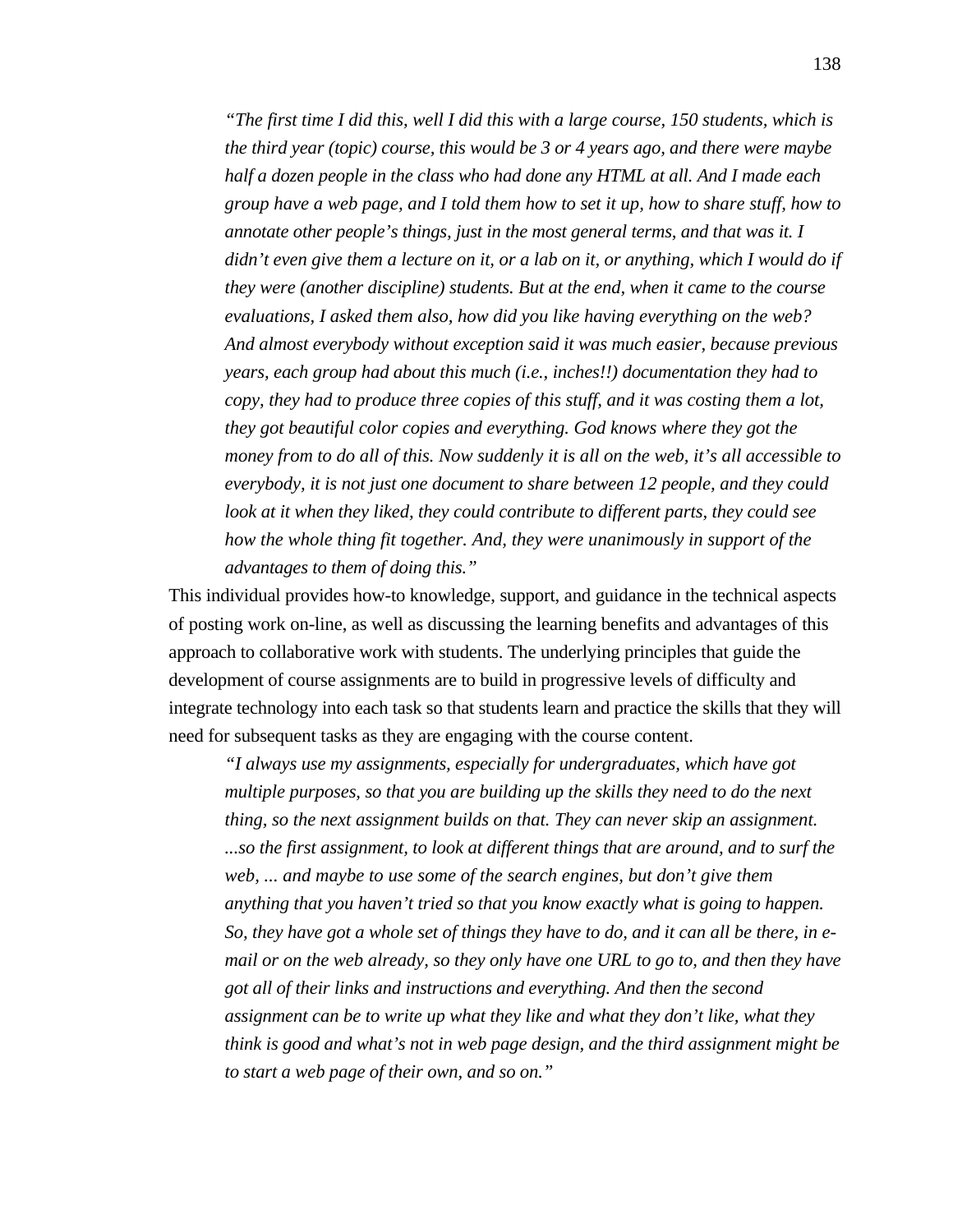*"The first time I did this, well I did this with a large course, 150 students, which is the third year (topic) course, this would be 3 or 4 years ago, and there were maybe half a dozen people in the class who had done any HTML at all. And I made each group have a web page, and I told them how to set it up, how to share stuff, how to annotate other people's things, just in the most general terms, and that was it. I didn't even give them a lecture on it, or a lab on it, or anything, which I would do if they were (another discipline) students. But at the end, when it came to the course evaluations, I asked them also, how did you like having everything on the web? And almost everybody without exception said it was much easier, because previous years, each group had about this much (i.e., inches!!) documentation they had to copy, they had to produce three copies of this stuff, and it was costing them a lot, they got beautiful color copies and everything. God knows where they got the money from to do all of this. Now suddenly it is all on the web, it's all accessible to everybody, it is not just one document to share between 12 people, and they could look at it when they liked, they could contribute to different parts, they could see how the whole thing fit together. And, they were unanimously in support of the advantages to them of doing this."*

This individual provides how-to knowledge, support, and guidance in the technical aspects of posting work on-line, as well as discussing the learning benefits and advantages of this approach to collaborative work with students. The underlying principles that guide the development of course assignments are to build in progressive levels of difficulty and integrate technology into each task so that students learn and practice the skills that they will need for subsequent tasks as they are engaging with the course content.

*"I always use my assignments, especially for undergraduates, which have got multiple purposes, so that you are building up the skills they need to do the next thing, so the next assignment builds on that. They can never skip an assignment. ...so the first assignment, to look at different things that are around, and to surf the web, ... and maybe to use some of the search engines, but don't give them anything that you haven't tried so that you know exactly what is going to happen. So, they have got a whole set of things they have to do, and it can all be there, in email or on the web already, so they only have one URL to go to, and then they have got all of their links and instructions and everything. And then the second assignment can be to write up what they like and what they don't like, what they think is good and what's not in web page design, and the third assignment might be to start a web page of their own, and so on."*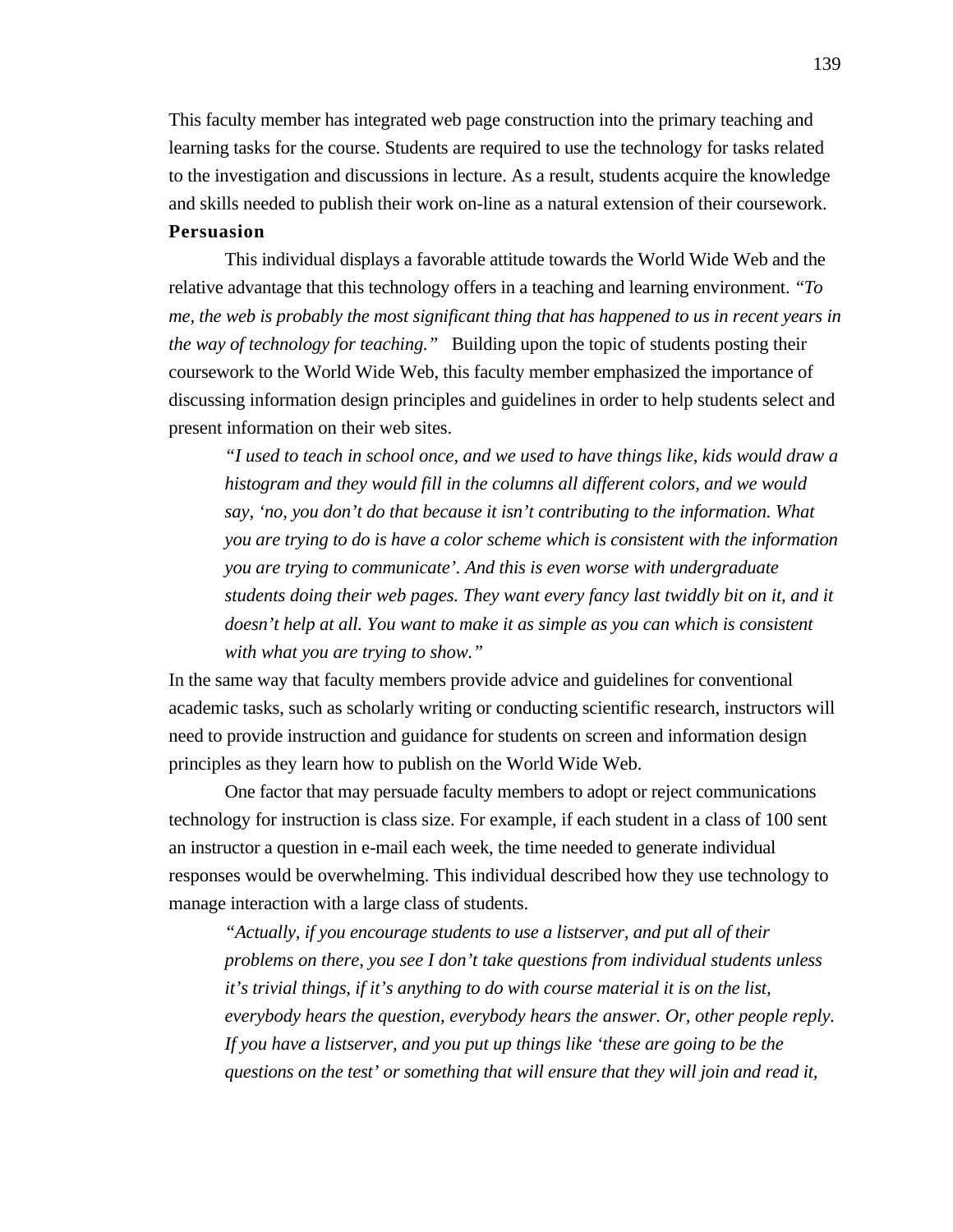This faculty member has integrated web page construction into the primary teaching and learning tasks for the course. Students are required to use the technology for tasks related to the investigation and discussions in lecture. As a result, students acquire the knowledge and skills needed to publish their work on-line as a natural extension of their coursework.

## **Persuasion**

This individual displays a favorable attitude towards the World Wide Web and the relative advantage that this technology offers in a teaching and learning environment. *"To me, the web is probably the most significant thing that has happened to us in recent years in the way of technology for teaching."* Building upon the topic of students posting their coursework to the World Wide Web, this faculty member emphasized the importance of discussing information design principles and guidelines in order to help students select and present information on their web sites.

*"I used to teach in school once, and we used to have things like, kids would draw a histogram and they would fill in the columns all different colors, and we would say, 'no, you don't do that because it isn't contributing to the information. What you are trying to do is have a color scheme which is consistent with the information you are trying to communicate'. And this is even worse with undergraduate students doing their web pages. They want every fancy last twiddly bit on it, and it doesn't help at all. You want to make it as simple as you can which is consistent with what you are trying to show."*

In the same way that faculty members provide advice and guidelines for conventional academic tasks, such as scholarly writing or conducting scientific research, instructors will need to provide instruction and guidance for students on screen and information design principles as they learn how to publish on the World Wide Web.

One factor that may persuade faculty members to adopt or reject communications technology for instruction is class size. For example, if each student in a class of 100 sent an instructor a question in e-mail each week, the time needed to generate individual responses would be overwhelming. This individual described how they use technology to manage interaction with a large class of students.

*"Actually, if you encourage students to use a listserver, and put all of their problems on there, you see I don't take questions from individual students unless it's trivial things, if it's anything to do with course material it is on the list, everybody hears the question, everybody hears the answer. Or, other people reply. If you have a listserver, and you put up things like 'these are going to be the questions on the test' or something that will ensure that they will join and read it,*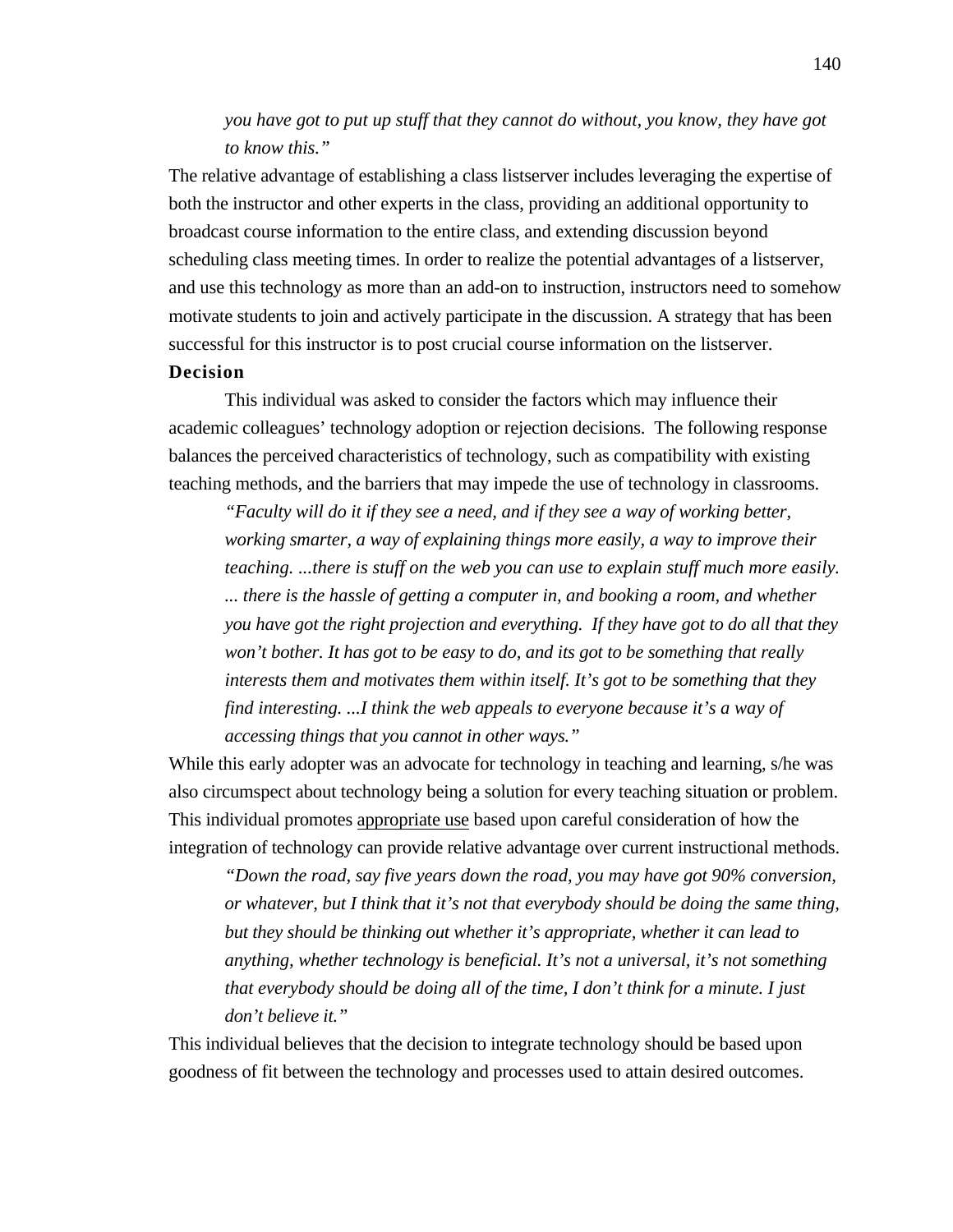# *you have got to put up stuff that they cannot do without, you know, they have got to know this."*

The relative advantage of establishing a class listserver includes leveraging the expertise of both the instructor and other experts in the class, providing an additional opportunity to broadcast course information to the entire class, and extending discussion beyond scheduling class meeting times. In order to realize the potential advantages of a listserver, and use this technology as more than an add-on to instruction, instructors need to somehow motivate students to join and actively participate in the discussion. A strategy that has been successful for this instructor is to post crucial course information on the listserver. **Decision**

This individual was asked to consider the factors which may influence their academic colleagues' technology adoption or rejection decisions. The following response balances the perceived characteristics of technology, such as compatibility with existing teaching methods, and the barriers that may impede the use of technology in classrooms.

*"Faculty will do it if they see a need, and if they see a way of working better, working smarter, a way of explaining things more easily, a way to improve their teaching. ...there is stuff on the web you can use to explain stuff much more easily. ... there is the hassle of getting a computer in, and booking a room, and whether you have got the right projection and everything. If they have got to do all that they won't bother. It has got to be easy to do, and its got to be something that really interests them and motivates them within itself. It's got to be something that they find interesting. ...I think the web appeals to everyone because it's a way of accessing things that you cannot in other ways."*

While this early adopter was an advocate for technology in teaching and learning, s/he was also circumspect about technology being a solution for every teaching situation or problem. This individual promotes appropriate use based upon careful consideration of how the integration of technology can provide relative advantage over current instructional methods.

*"Down the road, say five years down the road, you may have got 90% conversion, or whatever, but I think that it's not that everybody should be doing the same thing, but they should be thinking out whether it's appropriate, whether it can lead to anything, whether technology is beneficial. It's not a universal, it's not something that everybody should be doing all of the time, I don't think for a minute. I just don't believe it."*

This individual believes that the decision to integrate technology should be based upon goodness of fit between the technology and processes used to attain desired outcomes.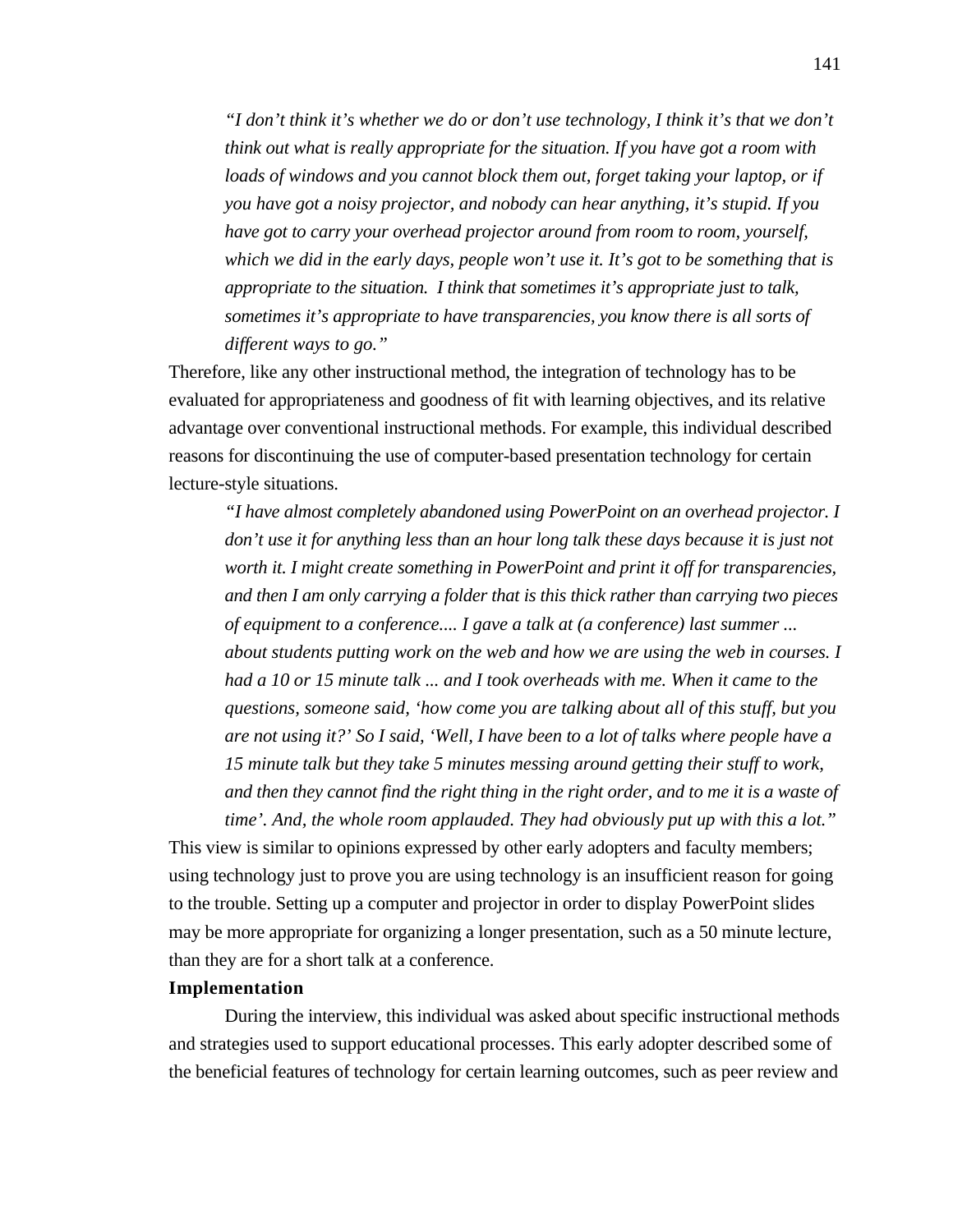*"I don't think it's whether we do or don't use technology, I think it's that we don't think out what is really appropriate for the situation. If you have got a room with loads of windows and you cannot block them out, forget taking your laptop, or if you have got a noisy projector, and nobody can hear anything, it's stupid. If you have got to carry your overhead projector around from room to room, yourself, which we did in the early days, people won't use it. It's got to be something that is appropriate to the situation. I think that sometimes it's appropriate just to talk, sometimes it's appropriate to have transparencies, you know there is all sorts of different ways to go."*

Therefore, like any other instructional method, the integration of technology has to be evaluated for appropriateness and goodness of fit with learning objectives, and its relative advantage over conventional instructional methods. For example, this individual described reasons for discontinuing the use of computer-based presentation technology for certain lecture-style situations.

*"I have almost completely abandoned using PowerPoint on an overhead projector. I don't use it for anything less than an hour long talk these days because it is just not worth it. I might create something in PowerPoint and print it off for transparencies, and then I am only carrying a folder that is this thick rather than carrying two pieces of equipment to a conference.... I gave a talk at (a conference) last summer ... about students putting work on the web and how we are using the web in courses. I had a 10 or 15 minute talk ... and I took overheads with me. When it came to the questions, someone said, 'how come you are talking about all of this stuff, but you are not using it?' So I said, 'Well, I have been to a lot of talks where people have a 15 minute talk but they take 5 minutes messing around getting their stuff to work, and then they cannot find the right thing in the right order, and to me it is a waste of time'. And, the whole room applauded. They had obviously put up with this a lot."*

This view is similar to opinions expressed by other early adopters and faculty members; using technology just to prove you are using technology is an insufficient reason for going to the trouble. Setting up a computer and projector in order to display PowerPoint slides may be more appropriate for organizing a longer presentation, such as a 50 minute lecture, than they are for a short talk at a conference.

## **Implementation**

During the interview, this individual was asked about specific instructional methods and strategies used to support educational processes. This early adopter described some of the beneficial features of technology for certain learning outcomes, such as peer review and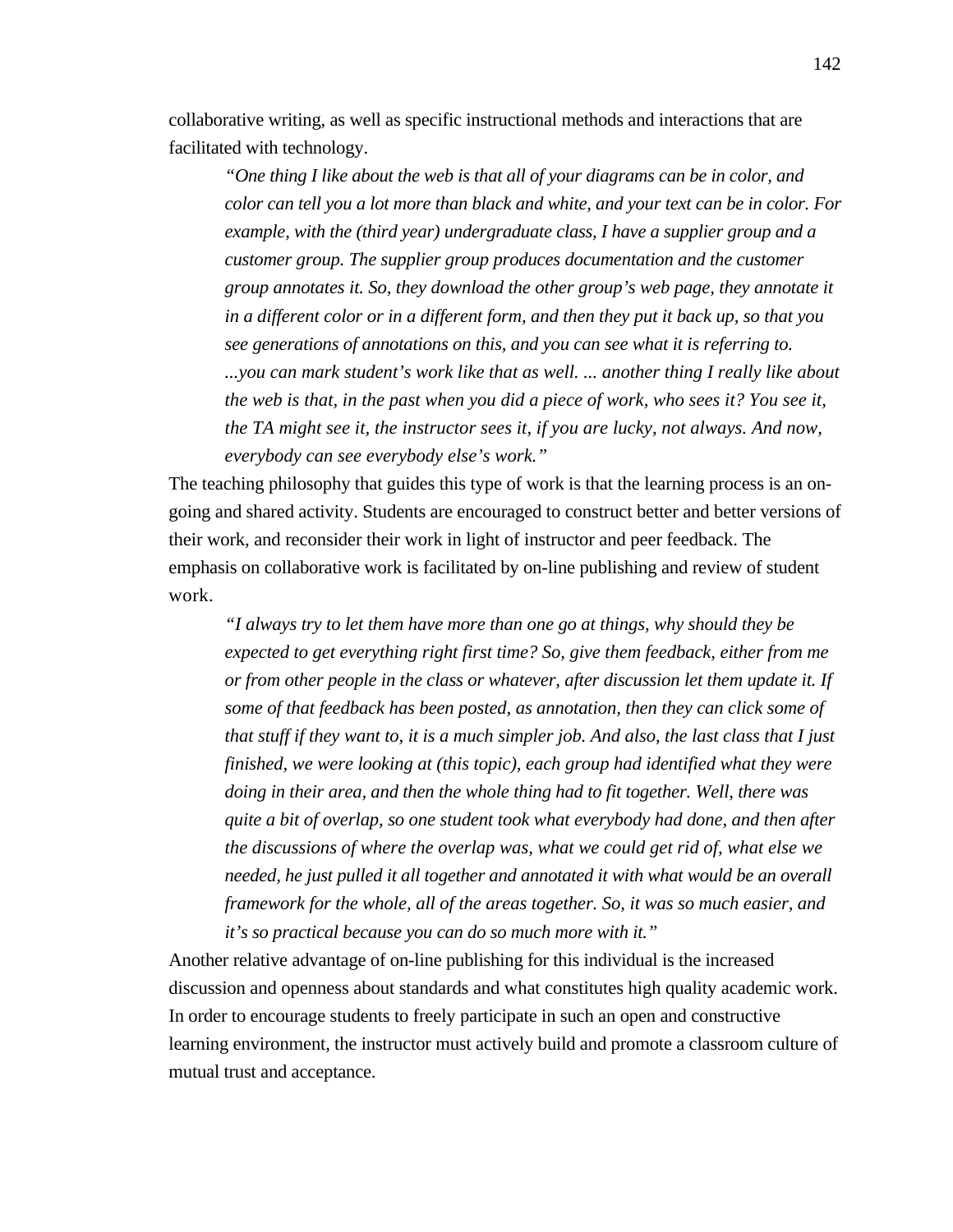collaborative writing, as well as specific instructional methods and interactions that are facilitated with technology.

*"One thing I like about the web is that all of your diagrams can be in color, and color can tell you a lot more than black and white, and your text can be in color. For example, with the (third year) undergraduate class, I have a supplier group and a customer group. The supplier group produces documentation and the customer group annotates it. So, they download the other group's web page, they annotate it in a different color or in a different form, and then they put it back up, so that you see generations of annotations on this, and you can see what it is referring to. ...you can mark student's work like that as well. ... another thing I really like about the web is that, in the past when you did a piece of work, who sees it? You see it, the TA might see it, the instructor sees it, if you are lucky, not always. And now, everybody can see everybody else's work."*

The teaching philosophy that guides this type of work is that the learning process is an ongoing and shared activity. Students are encouraged to construct better and better versions of their work, and reconsider their work in light of instructor and peer feedback. The emphasis on collaborative work is facilitated by on-line publishing and review of student work.

*"I always try to let them have more than one go at things, why should they be expected to get everything right first time? So, give them feedback, either from me or from other people in the class or whatever, after discussion let them update it. If some of that feedback has been posted, as annotation, then they can click some of that stuff if they want to, it is a much simpler job. And also, the last class that I just finished, we were looking at (this topic), each group had identified what they were doing in their area, and then the whole thing had to fit together. Well, there was quite a bit of overlap, so one student took what everybody had done, and then after the discussions of where the overlap was, what we could get rid of, what else we needed, he just pulled it all together and annotated it with what would be an overall framework for the whole, all of the areas together. So, it was so much easier, and it's so practical because you can do so much more with it."*

Another relative advantage of on-line publishing for this individual is the increased discussion and openness about standards and what constitutes high quality academic work. In order to encourage students to freely participate in such an open and constructive learning environment, the instructor must actively build and promote a classroom culture of mutual trust and acceptance.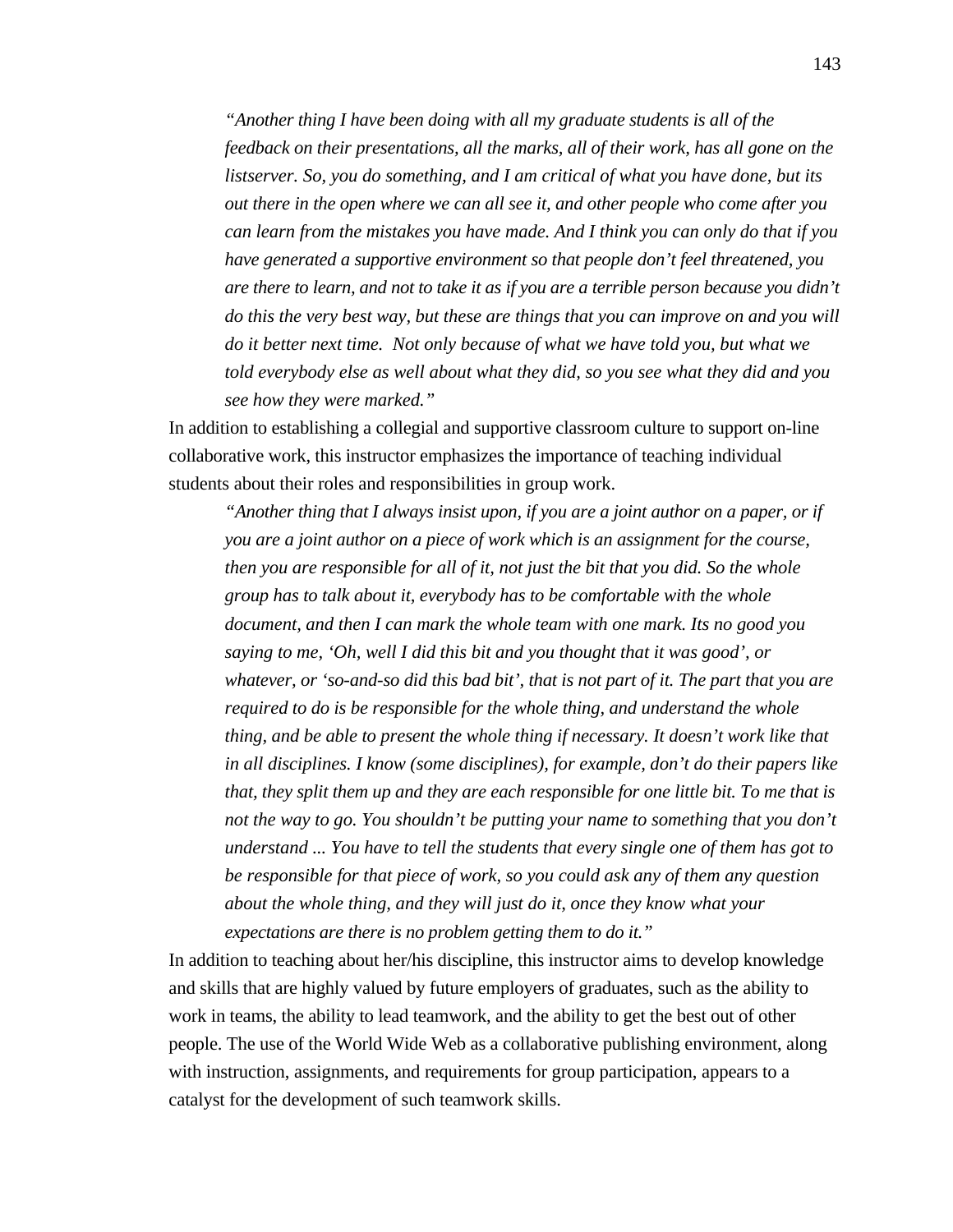*"Another thing I have been doing with all my graduate students is all of the feedback on their presentations, all the marks, all of their work, has all gone on the listserver. So, you do something, and I am critical of what you have done, but its out there in the open where we can all see it, and other people who come after you can learn from the mistakes you have made. And I think you can only do that if you have generated a supportive environment so that people don't feel threatened, you are there to learn, and not to take it as if you are a terrible person because you didn't do this the very best way, but these are things that you can improve on and you will do it better next time. Not only because of what we have told you, but what we told everybody else as well about what they did, so you see what they did and you see how they were marked."*

In addition to establishing a collegial and supportive classroom culture to support on-line collaborative work, this instructor emphasizes the importance of teaching individual students about their roles and responsibilities in group work.

*"Another thing that I always insist upon, if you are a joint author on a paper, or if you are a joint author on a piece of work which is an assignment for the course, then you are responsible for all of it, not just the bit that you did. So the whole group has to talk about it, everybody has to be comfortable with the whole document, and then I can mark the whole team with one mark. Its no good you saying to me, 'Oh, well I did this bit and you thought that it was good', or whatever, or 'so-and-so did this bad bit', that is not part of it. The part that you are required to do is be responsible for the whole thing, and understand the whole thing, and be able to present the whole thing if necessary. It doesn't work like that in all disciplines. I know (some disciplines), for example, don't do their papers like that, they split them up and they are each responsible for one little bit. To me that is not the way to go. You shouldn't be putting your name to something that you don't understand ... You have to tell the students that every single one of them has got to be responsible for that piece of work, so you could ask any of them any question about the whole thing, and they will just do it, once they know what your expectations are there is no problem getting them to do it."*

In addition to teaching about her/his discipline, this instructor aims to develop knowledge and skills that are highly valued by future employers of graduates, such as the ability to work in teams, the ability to lead teamwork, and the ability to get the best out of other people. The use of the World Wide Web as a collaborative publishing environment, along with instruction, assignments, and requirements for group participation, appears to a catalyst for the development of such teamwork skills.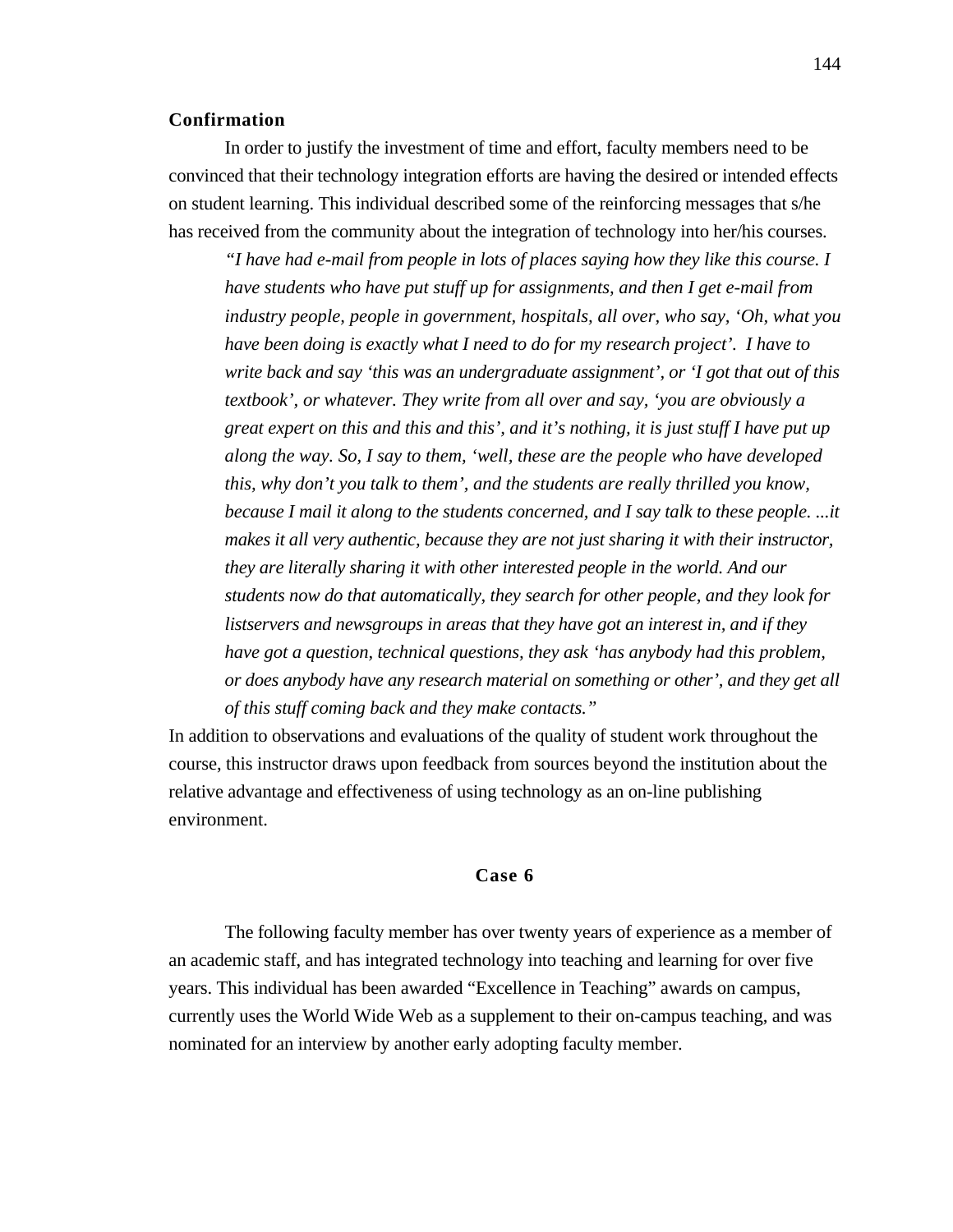#### **Confirmation**

In order to justify the investment of time and effort, faculty members need to be convinced that their technology integration efforts are having the desired or intended effects on student learning. This individual described some of the reinforcing messages that s/he has received from the community about the integration of technology into her/his courses.

*"I have had e-mail from people in lots of places saying how they like this course. I have students who have put stuff up for assignments, and then I get e-mail from industry people, people in government, hospitals, all over, who say, 'Oh, what you have been doing is exactly what I need to do for my research project'. I have to write back and say 'this was an undergraduate assignment', or 'I got that out of this textbook', or whatever. They write from all over and say, 'you are obviously a great expert on this and this and this', and it's nothing, it is just stuff I have put up along the way. So, I say to them, 'well, these are the people who have developed this, why don't you talk to them', and the students are really thrilled you know, because I mail it along to the students concerned, and I say talk to these people. ...it makes it all very authentic, because they are not just sharing it with their instructor, they are literally sharing it with other interested people in the world. And our students now do that automatically, they search for other people, and they look for listservers and newsgroups in areas that they have got an interest in, and if they have got a question, technical questions, they ask 'has anybody had this problem, or does anybody have any research material on something or other', and they get all of this stuff coming back and they make contacts."*

In addition to observations and evaluations of the quality of student work throughout the course, this instructor draws upon feedback from sources beyond the institution about the relative advantage and effectiveness of using technology as an on-line publishing environment.

### **Case 6**

The following faculty member has over twenty years of experience as a member of an academic staff, and has integrated technology into teaching and learning for over five years. This individual has been awarded "Excellence in Teaching" awards on campus, currently uses the World Wide Web as a supplement to their on-campus teaching, and was nominated for an interview by another early adopting faculty member.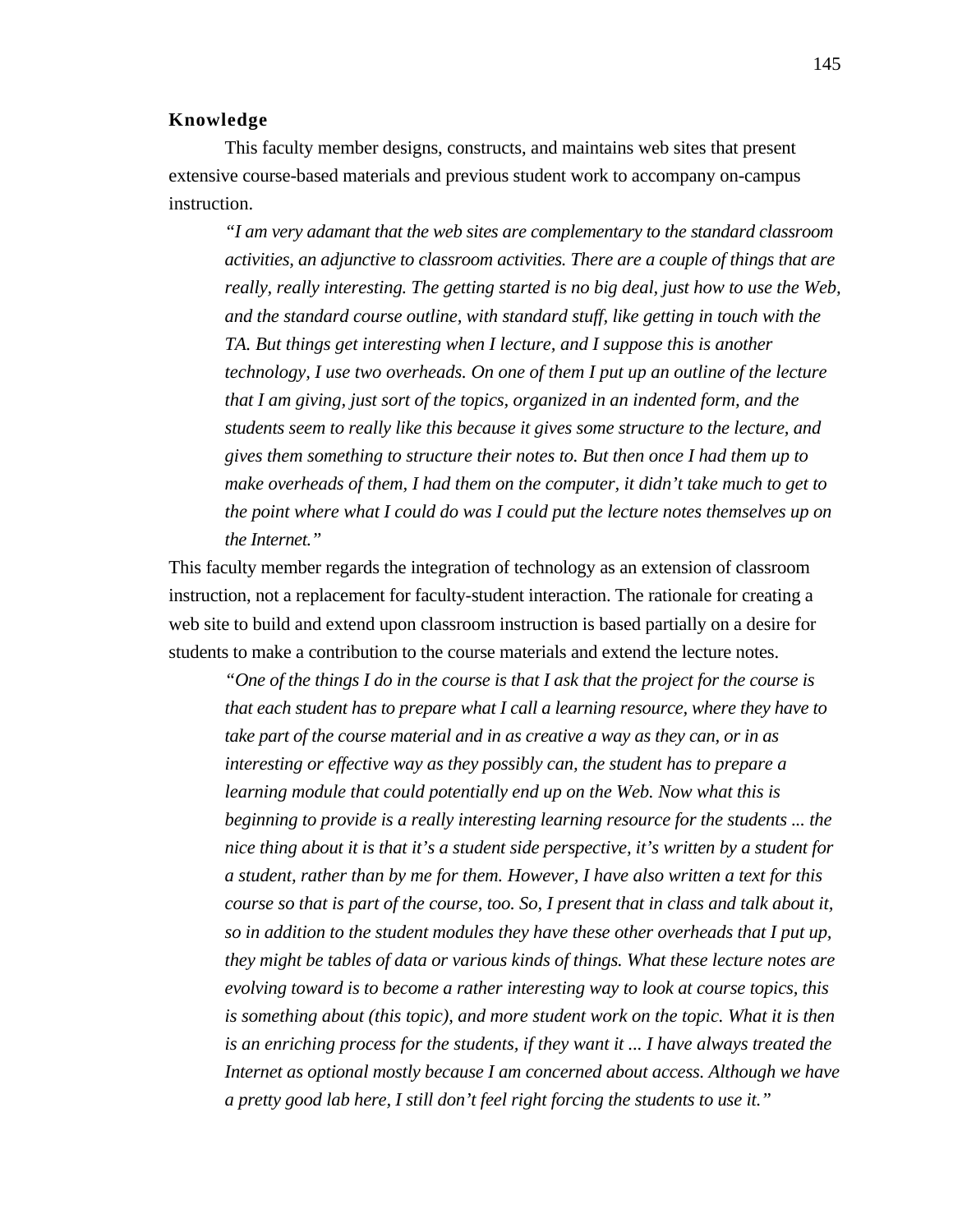### **Knowledge**

This faculty member designs, constructs, and maintains web sites that present extensive course-based materials and previous student work to accompany on-campus instruction.

*"I am very adamant that the web sites are complementary to the standard classroom activities, an adjunctive to classroom activities. There are a couple of things that are really, really interesting. The getting started is no big deal, just how to use the Web, and the standard course outline, with standard stuff, like getting in touch with the TA. But things get interesting when I lecture, and I suppose this is another technology, I use two overheads. On one of them I put up an outline of the lecture that I am giving, just sort of the topics, organized in an indented form, and the students seem to really like this because it gives some structure to the lecture, and gives them something to structure their notes to. But then once I had them up to make overheads of them, I had them on the computer, it didn't take much to get to the point where what I could do was I could put the lecture notes themselves up on the Internet."*

This faculty member regards the integration of technology as an extension of classroom instruction, not a replacement for faculty-student interaction. The rationale for creating a web site to build and extend upon classroom instruction is based partially on a desire for students to make a contribution to the course materials and extend the lecture notes.

*"One of the things I do in the course is that I ask that the project for the course is that each student has to prepare what I call a learning resource, where they have to take part of the course material and in as creative a way as they can, or in as interesting or effective way as they possibly can, the student has to prepare a learning module that could potentially end up on the Web. Now what this is beginning to provide is a really interesting learning resource for the students ... the nice thing about it is that it's a student side perspective, it's written by a student for a student, rather than by me for them. However, I have also written a text for this course so that is part of the course, too. So, I present that in class and talk about it, so in addition to the student modules they have these other overheads that I put up, they might be tables of data or various kinds of things. What these lecture notes are evolving toward is to become a rather interesting way to look at course topics, this is something about (this topic), and more student work on the topic. What it is then is an enriching process for the students, if they want it ... I have always treated the Internet as optional mostly because I am concerned about access. Although we have a pretty good lab here, I still don't feel right forcing the students to use it."*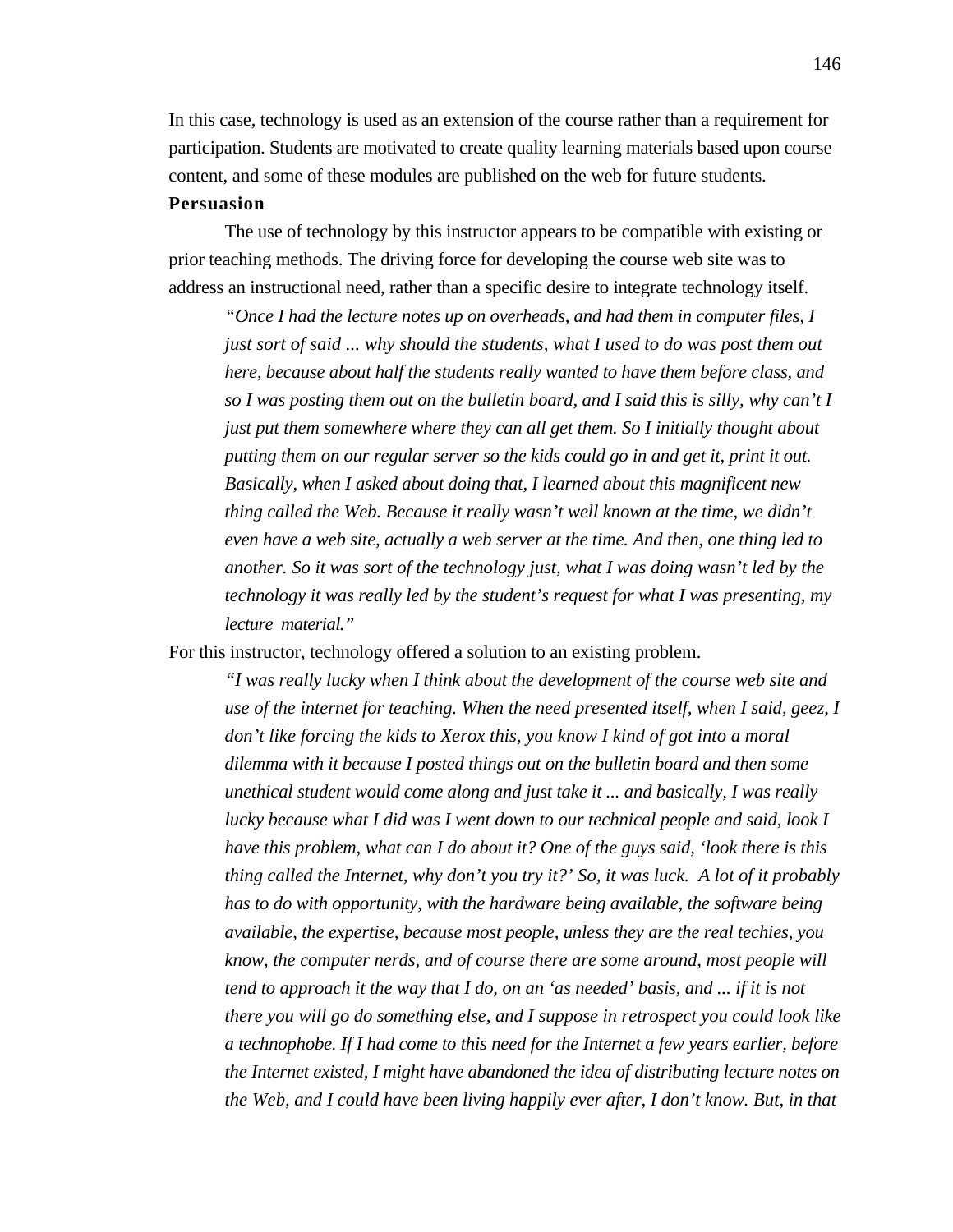In this case, technology is used as an extension of the course rather than a requirement for participation. Students are motivated to create quality learning materials based upon course content, and some of these modules are published on the web for future students.

## **Persuasion**

The use of technology by this instructor appears to be compatible with existing or prior teaching methods. The driving force for developing the course web site was to address an instructional need, rather than a specific desire to integrate technology itself.

*"Once I had the lecture notes up on overheads, and had them in computer files, I just sort of said ... why should the students, what I used to do was post them out here, because about half the students really wanted to have them before class, and so I was posting them out on the bulletin board, and I said this is silly, why can't I just put them somewhere where they can all get them. So I initially thought about putting them on our regular server so the kids could go in and get it, print it out. Basically, when I asked about doing that, I learned about this magnificent new thing called the Web. Because it really wasn't well known at the time, we didn't even have a web site, actually a web server at the time. And then, one thing led to another. So it was sort of the technology just, what I was doing wasn't led by the technology it was really led by the student's request for what I was presenting, my lecture material."*

For this instructor, technology offered a solution to an existing problem.

*"I was really lucky when I think about the development of the course web site and use of the internet for teaching. When the need presented itself, when I said, geez, I don't like forcing the kids to Xerox this, you know I kind of got into a moral dilemma with it because I posted things out on the bulletin board and then some unethical student would come along and just take it ... and basically, I was really lucky because what I did was I went down to our technical people and said, look I have this problem, what can I do about it? One of the guys said, 'look there is this thing called the Internet, why don't you try it?' So, it was luck. A lot of it probably has to do with opportunity, with the hardware being available, the software being available, the expertise, because most people, unless they are the real techies, you know, the computer nerds, and of course there are some around, most people will tend to approach it the way that I do, on an 'as needed' basis, and ... if it is not there you will go do something else, and I suppose in retrospect you could look like a technophobe. If I had come to this need for the Internet a few years earlier, before the Internet existed, I might have abandoned the idea of distributing lecture notes on the Web, and I could have been living happily ever after, I don't know. But, in that*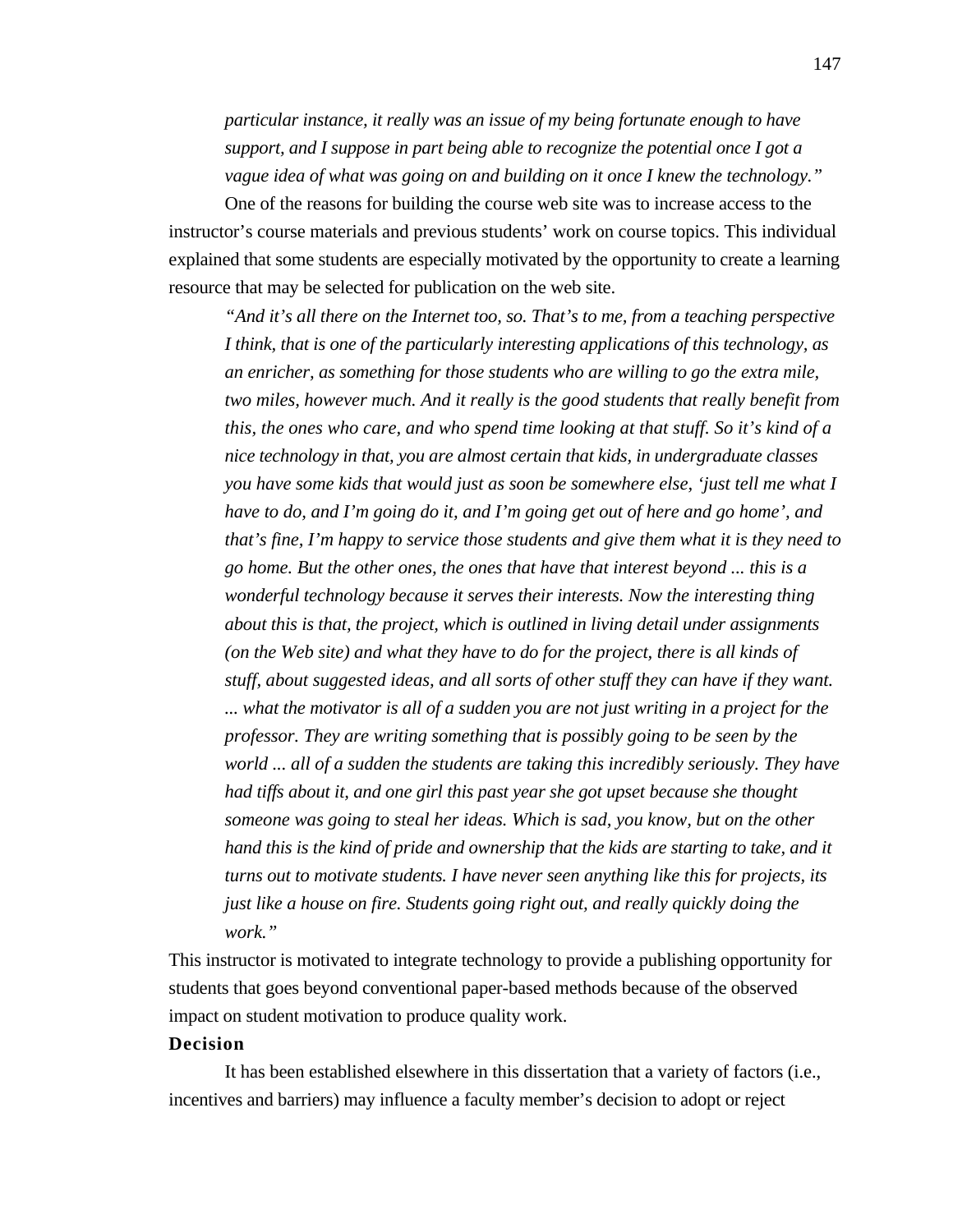*particular instance, it really was an issue of my being fortunate enough to have support, and I suppose in part being able to recognize the potential once I got a vague idea of what was going on and building on it once I knew the technology."*

One of the reasons for building the course web site was to increase access to the instructor's course materials and previous students' work on course topics. This individual explained that some students are especially motivated by the opportunity to create a learning resource that may be selected for publication on the web site.

*"And it's all there on the Internet too, so. That's to me, from a teaching perspective I think, that is one of the particularly interesting applications of this technology, as an enricher, as something for those students who are willing to go the extra mile, two miles, however much. And it really is the good students that really benefit from this, the ones who care, and who spend time looking at that stuff. So it's kind of a nice technology in that, you are almost certain that kids, in undergraduate classes you have some kids that would just as soon be somewhere else, 'just tell me what I have to do, and I'm going do it, and I'm going get out of here and go home', and that's fine, I'm happy to service those students and give them what it is they need to go home. But the other ones, the ones that have that interest beyond ... this is a wonderful technology because it serves their interests. Now the interesting thing about this is that, the project, which is outlined in living detail under assignments (on the Web site) and what they have to do for the project, there is all kinds of stuff, about suggested ideas, and all sorts of other stuff they can have if they want. ... what the motivator is all of a sudden you are not just writing in a project for the professor. They are writing something that is possibly going to be seen by the world ... all of a sudden the students are taking this incredibly seriously. They have had tiffs about it, and one girl this past year she got upset because she thought someone was going to steal her ideas. Which is sad, you know, but on the other hand this is the kind of pride and ownership that the kids are starting to take, and it turns out to motivate students. I have never seen anything like this for projects, its just like a house on fire. Students going right out, and really quickly doing the work."*

This instructor is motivated to integrate technology to provide a publishing opportunity for students that goes beyond conventional paper-based methods because of the observed impact on student motivation to produce quality work.

## **Decision**

It has been established elsewhere in this dissertation that a variety of factors (i.e., incentives and barriers) may influence a faculty member's decision to adopt or reject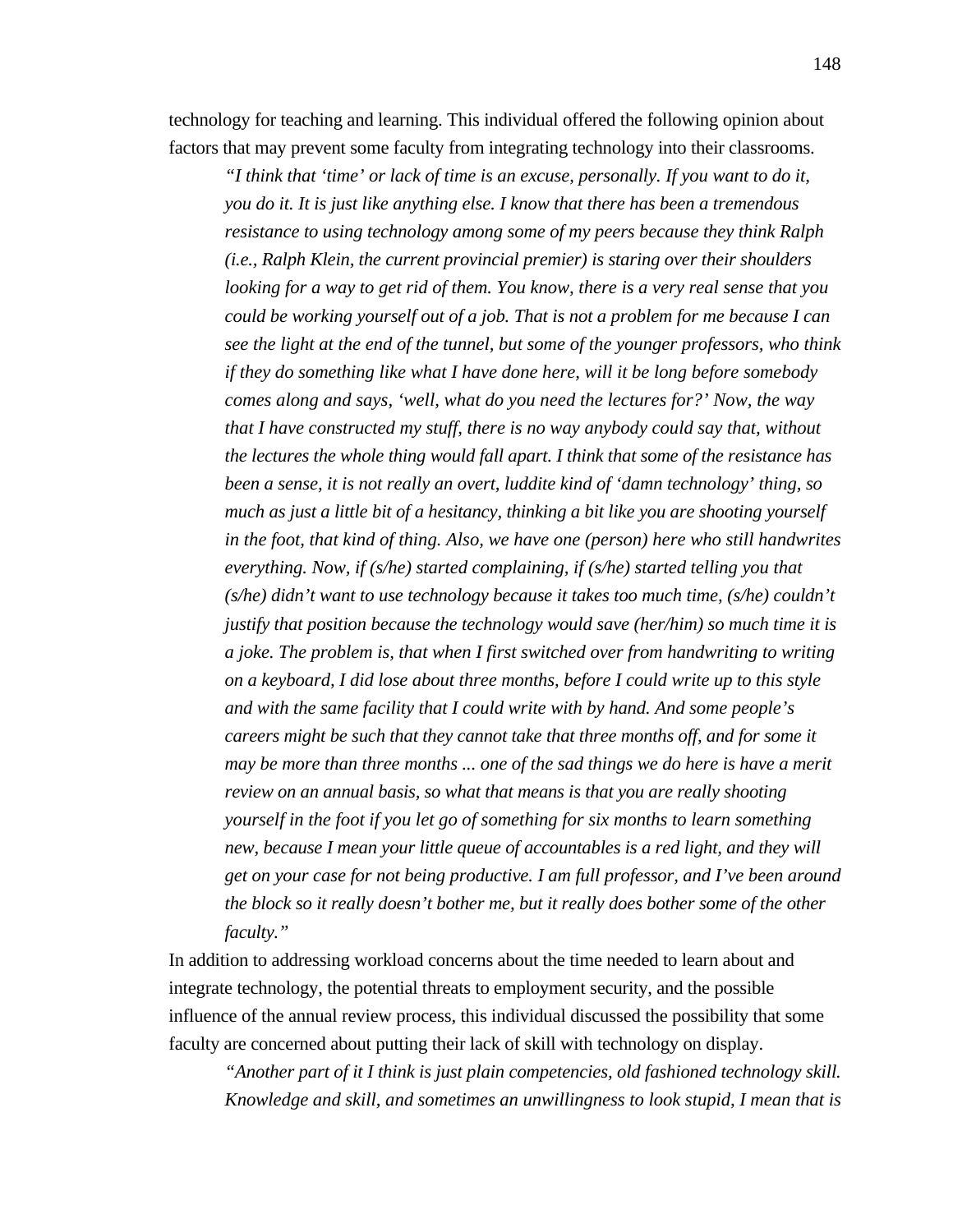technology for teaching and learning. This individual offered the following opinion about factors that may prevent some faculty from integrating technology into their classrooms.

*"I think that 'time' or lack of time is an excuse, personally. If you want to do it, you do it. It is just like anything else. I know that there has been a tremendous resistance to using technology among some of my peers because they think Ralph (i.e., Ralph Klein, the current provincial premier) is staring over their shoulders looking for a way to get rid of them. You know, there is a very real sense that you could be working yourself out of a job. That is not a problem for me because I can see the light at the end of the tunnel, but some of the younger professors, who think if they do something like what I have done here, will it be long before somebody comes along and says, 'well, what do you need the lectures for?' Now, the way that I have constructed my stuff, there is no way anybody could say that, without the lectures the whole thing would fall apart. I think that some of the resistance has been a sense, it is not really an overt, luddite kind of 'damn technology' thing, so much as just a little bit of a hesitancy, thinking a bit like you are shooting yourself in the foot, that kind of thing. Also, we have one (person) here who still handwrites everything. Now, if (s/he) started complaining, if (s/he) started telling you that (s/he) didn't want to use technology because it takes too much time, (s/he) couldn't justify that position because the technology would save (her/him) so much time it is a joke. The problem is, that when I first switched over from handwriting to writing on a keyboard, I did lose about three months, before I could write up to this style and with the same facility that I could write with by hand. And some people's careers might be such that they cannot take that three months off, and for some it may be more than three months ... one of the sad things we do here is have a merit review on an annual basis, so what that means is that you are really shooting yourself in the foot if you let go of something for six months to learn something new, because I mean your little queue of accountables is a red light, and they will get on your case for not being productive. I am full professor, and I've been around the block so it really doesn't bother me, but it really does bother some of the other faculty."*

In addition to addressing workload concerns about the time needed to learn about and integrate technology, the potential threats to employment security, and the possible influence of the annual review process, this individual discussed the possibility that some faculty are concerned about putting their lack of skill with technology on display.

*"Another part of it I think is just plain competencies, old fashioned technology skill. Knowledge and skill, and sometimes an unwillingness to look stupid, I mean that is*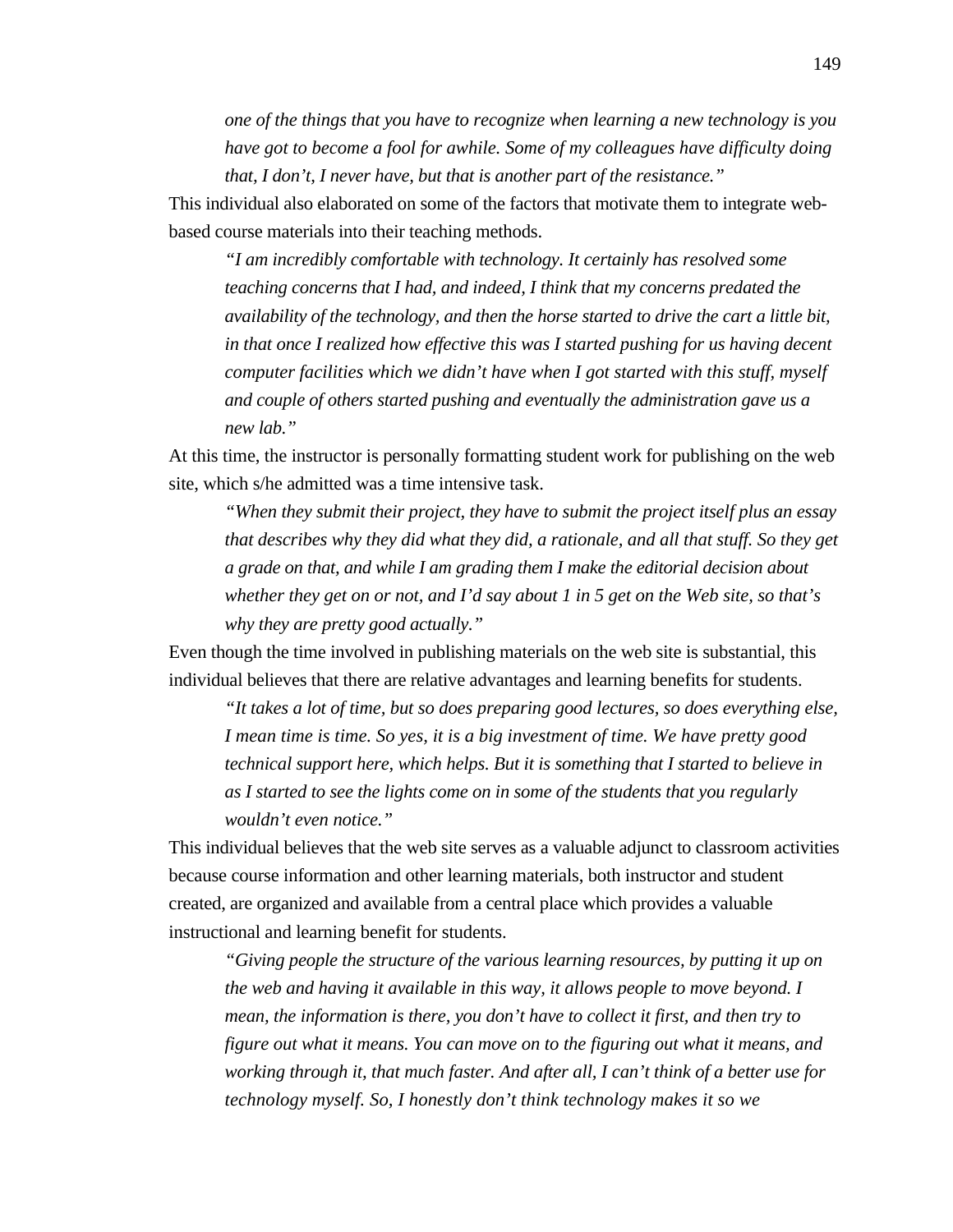*one of the things that you have to recognize when learning a new technology is you have got to become a fool for awhile. Some of my colleagues have difficulty doing that, I don't, I never have, but that is another part of the resistance."*

This individual also elaborated on some of the factors that motivate them to integrate webbased course materials into their teaching methods.

*"I am incredibly comfortable with technology. It certainly has resolved some teaching concerns that I had, and indeed, I think that my concerns predated the availability of the technology, and then the horse started to drive the cart a little bit, in that once I realized how effective this was I started pushing for us having decent computer facilities which we didn't have when I got started with this stuff, myself and couple of others started pushing and eventually the administration gave us a new lab."*

At this time, the instructor is personally formatting student work for publishing on the web site, which s/he admitted was a time intensive task.

*"When they submit their project, they have to submit the project itself plus an essay that describes why they did what they did, a rationale, and all that stuff. So they get a grade on that, and while I am grading them I make the editorial decision about whether they get on or not, and I'd say about 1 in 5 get on the Web site, so that's why they are pretty good actually."*

Even though the time involved in publishing materials on the web site is substantial, this individual believes that there are relative advantages and learning benefits for students.

*"It takes a lot of time, but so does preparing good lectures, so does everything else, I mean time is time. So yes, it is a big investment of time. We have pretty good technical support here, which helps. But it is something that I started to believe in as I started to see the lights come on in some of the students that you regularly wouldn't even notice."*

This individual believes that the web site serves as a valuable adjunct to classroom activities because course information and other learning materials, both instructor and student created, are organized and available from a central place which provides a valuable instructional and learning benefit for students.

*"Giving people the structure of the various learning resources, by putting it up on the web and having it available in this way, it allows people to move beyond. I mean, the information is there, you don't have to collect it first, and then try to figure out what it means. You can move on to the figuring out what it means, and working through it, that much faster. And after all, I can't think of a better use for technology myself. So, I honestly don't think technology makes it so we*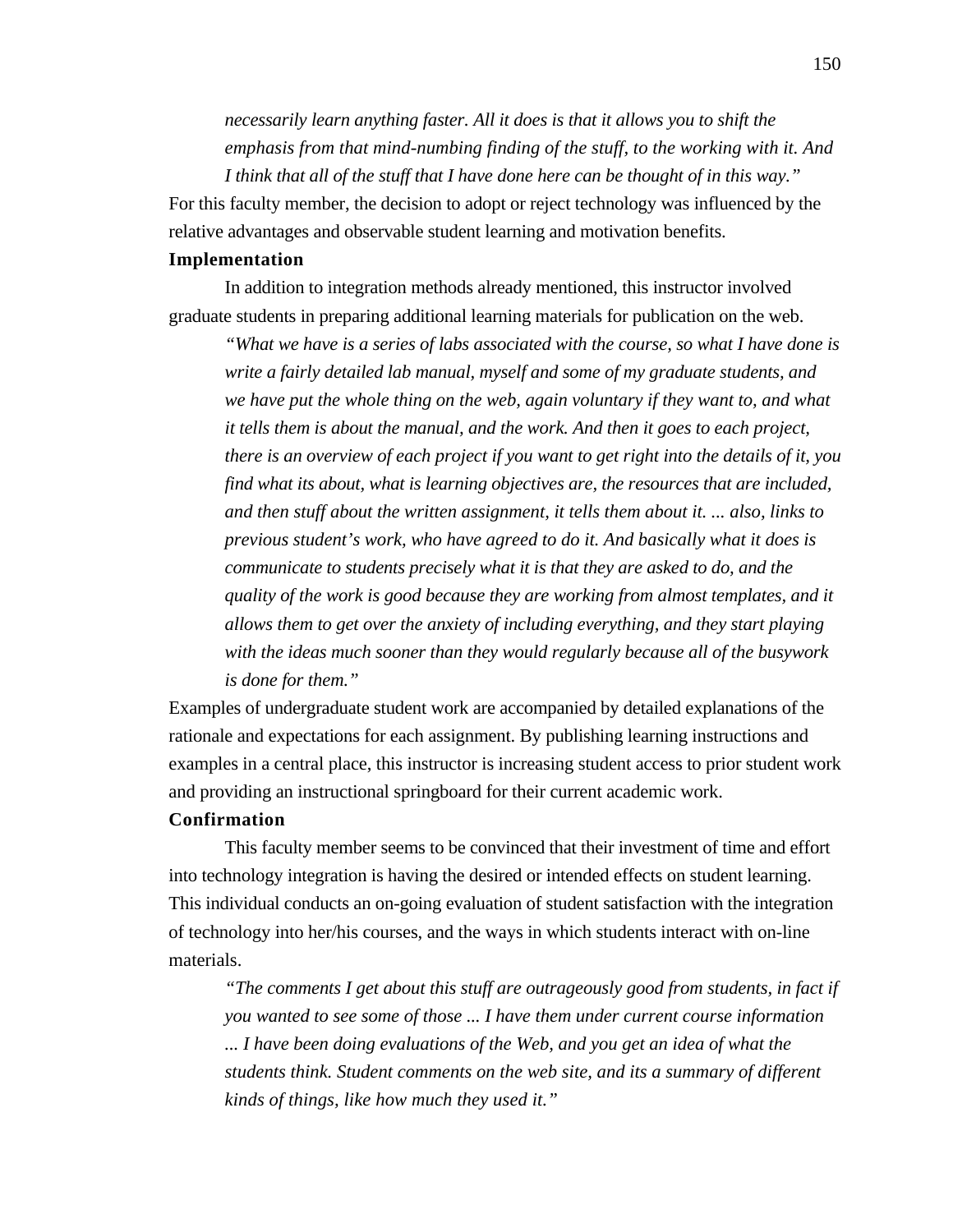*necessarily learn anything faster. All it does is that it allows you to shift the emphasis from that mind-numbing finding of the stuff, to the working with it. And I think that all of the stuff that I have done here can be thought of in this way."*

For this faculty member, the decision to adopt or reject technology was influenced by the relative advantages and observable student learning and motivation benefits.

## **Implementation**

In addition to integration methods already mentioned, this instructor involved graduate students in preparing additional learning materials for publication on the web.

*"What we have is a series of labs associated with the course, so what I have done is write a fairly detailed lab manual, myself and some of my graduate students, and we have put the whole thing on the web, again voluntary if they want to, and what it tells them is about the manual, and the work. And then it goes to each project, there is an overview of each project if you want to get right into the details of it, you find what its about, what is learning objectives are, the resources that are included, and then stuff about the written assignment, it tells them about it. ... also, links to previous student's work, who have agreed to do it. And basically what it does is communicate to students precisely what it is that they are asked to do, and the quality of the work is good because they are working from almost templates, and it allows them to get over the anxiety of including everything, and they start playing with the ideas much sooner than they would regularly because all of the busywork is done for them."*

Examples of undergraduate student work are accompanied by detailed explanations of the rationale and expectations for each assignment. By publishing learning instructions and examples in a central place, this instructor is increasing student access to prior student work and providing an instructional springboard for their current academic work.

## **Confirmation**

This faculty member seems to be convinced that their investment of time and effort into technology integration is having the desired or intended effects on student learning. This individual conducts an on-going evaluation of student satisfaction with the integration of technology into her/his courses, and the ways in which students interact with on-line materials.

*"The comments I get about this stuff are outrageously good from students, in fact if you wanted to see some of those ... I have them under current course information ... I have been doing evaluations of the Web, and you get an idea of what the students think. Student comments on the web site, and its a summary of different kinds of things, like how much they used it."*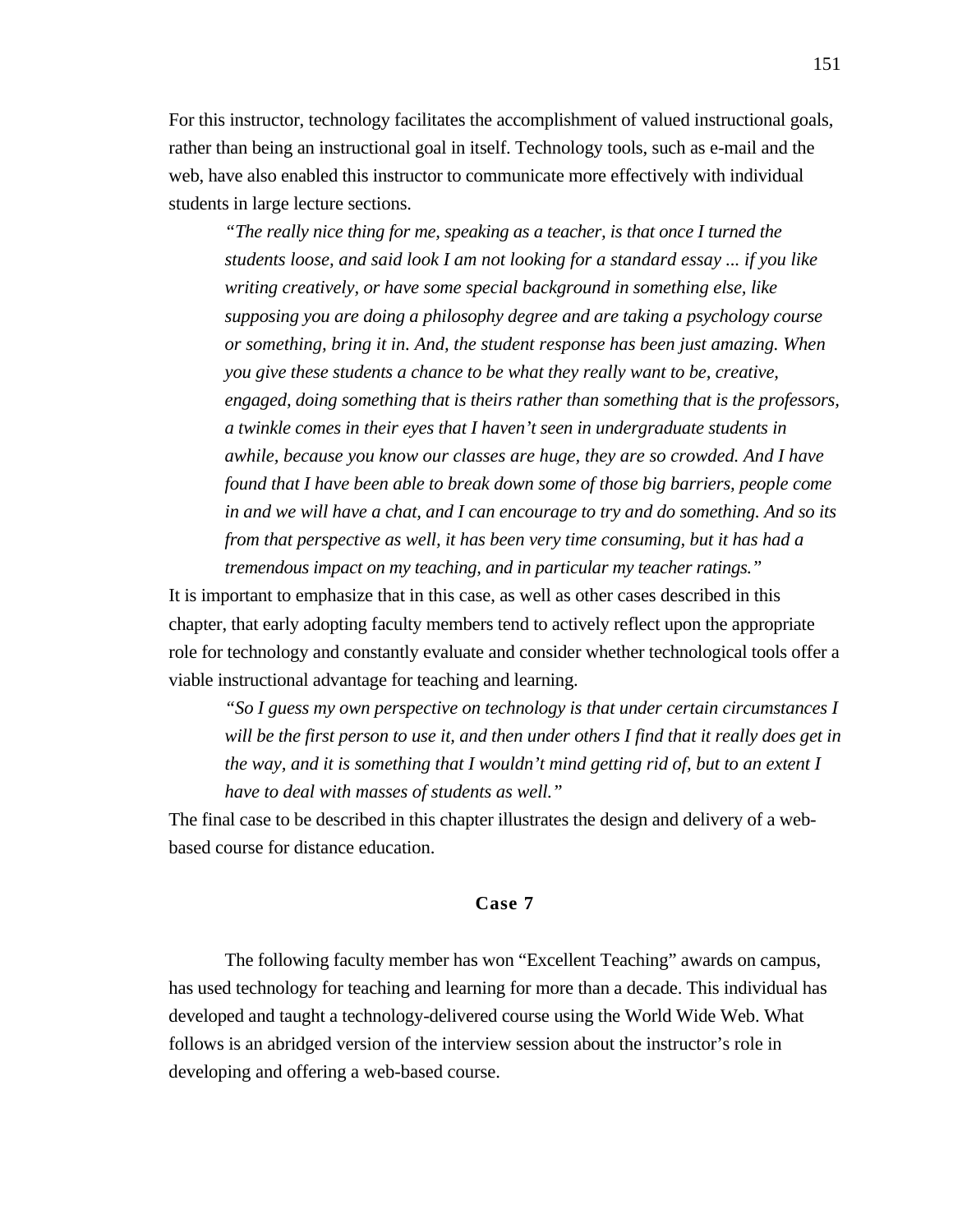For this instructor, technology facilitates the accomplishment of valued instructional goals, rather than being an instructional goal in itself. Technology tools, such as e-mail and the web, have also enabled this instructor to communicate more effectively with individual students in large lecture sections.

*"The really nice thing for me, speaking as a teacher, is that once I turned the students loose, and said look I am not looking for a standard essay ... if you like writing creatively, or have some special background in something else, like supposing you are doing a philosophy degree and are taking a psychology course or something, bring it in. And, the student response has been just amazing. When you give these students a chance to be what they really want to be, creative, engaged, doing something that is theirs rather than something that is the professors, a twinkle comes in their eyes that I haven't seen in undergraduate students in awhile, because you know our classes are huge, they are so crowded. And I have found that I have been able to break down some of those big barriers, people come in and we will have a chat, and I can encourage to try and do something. And so its from that perspective as well, it has been very time consuming, but it has had a tremendous impact on my teaching, and in particular my teacher ratings."*

It is important to emphasize that in this case, as well as other cases described in this chapter, that early adopting faculty members tend to actively reflect upon the appropriate role for technology and constantly evaluate and consider whether technological tools offer a viable instructional advantage for teaching and learning.

*"So I guess my own perspective on technology is that under certain circumstances I will be the first person to use it, and then under others I find that it really does get in the way, and it is something that I wouldn't mind getting rid of, but to an extent I have to deal with masses of students as well."*

The final case to be described in this chapter illustrates the design and delivery of a webbased course for distance education.

## **Case 7**

The following faculty member has won "Excellent Teaching" awards on campus, has used technology for teaching and learning for more than a decade. This individual has developed and taught a technology-delivered course using the World Wide Web. What follows is an abridged version of the interview session about the instructor's role in developing and offering a web-based course.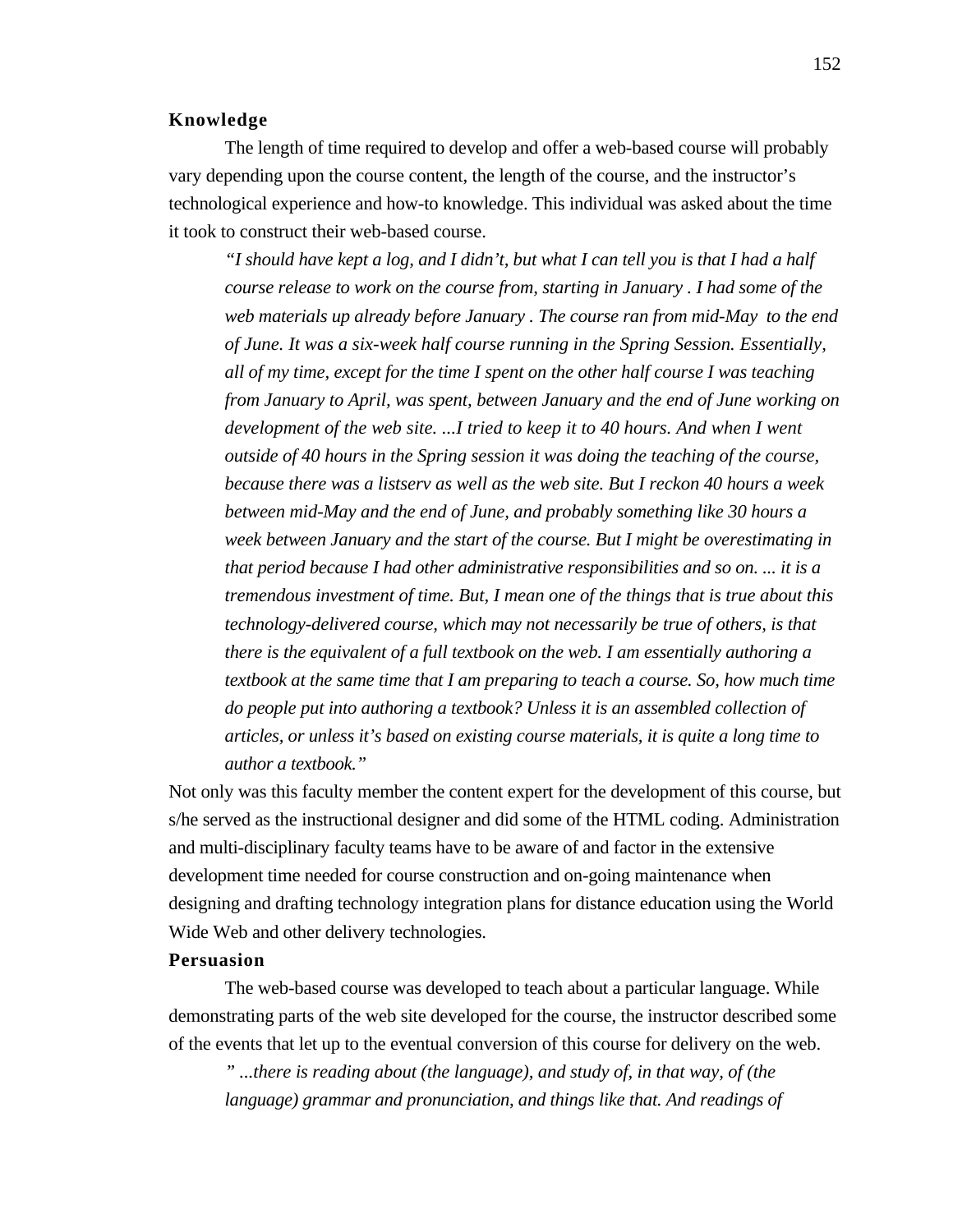### **Knowledge**

The length of time required to develop and offer a web-based course will probably vary depending upon the course content, the length of the course, and the instructor's technological experience and how-to knowledge. This individual was asked about the time it took to construct their web-based course.

*"I should have kept a log, and I didn't, but what I can tell you is that I had a half course release to work on the course from, starting in January . I had some of the web materials up already before January . The course ran from mid-May to the end of June. It was a six-week half course running in the Spring Session. Essentially, all of my time, except for the time I spent on the other half course I was teaching from January to April, was spent, between January and the end of June working on development of the web site. ...I tried to keep it to 40 hours. And when I went outside of 40 hours in the Spring session it was doing the teaching of the course, because there was a listserv as well as the web site. But I reckon 40 hours a week between mid-May and the end of June, and probably something like 30 hours a week between January and the start of the course. But I might be overestimating in that period because I had other administrative responsibilities and so on. ... it is a tremendous investment of time. But, I mean one of the things that is true about this technology-delivered course, which may not necessarily be true of others, is that there is the equivalent of a full textbook on the web. I am essentially authoring a textbook at the same time that I am preparing to teach a course. So, how much time do people put into authoring a textbook? Unless it is an assembled collection of articles, or unless it's based on existing course materials, it is quite a long time to author a textbook."*

Not only was this faculty member the content expert for the development of this course, but s/he served as the instructional designer and did some of the HTML coding. Administration and multi-disciplinary faculty teams have to be aware of and factor in the extensive development time needed for course construction and on-going maintenance when designing and drafting technology integration plans for distance education using the World Wide Web and other delivery technologies.

## **Persuasion**

The web-based course was developed to teach about a particular language. While demonstrating parts of the web site developed for the course, the instructor described some of the events that let up to the eventual conversion of this course for delivery on the web.

*" ...there is reading about (the language), and study of, in that way, of (the language) grammar and pronunciation, and things like that. And readings of*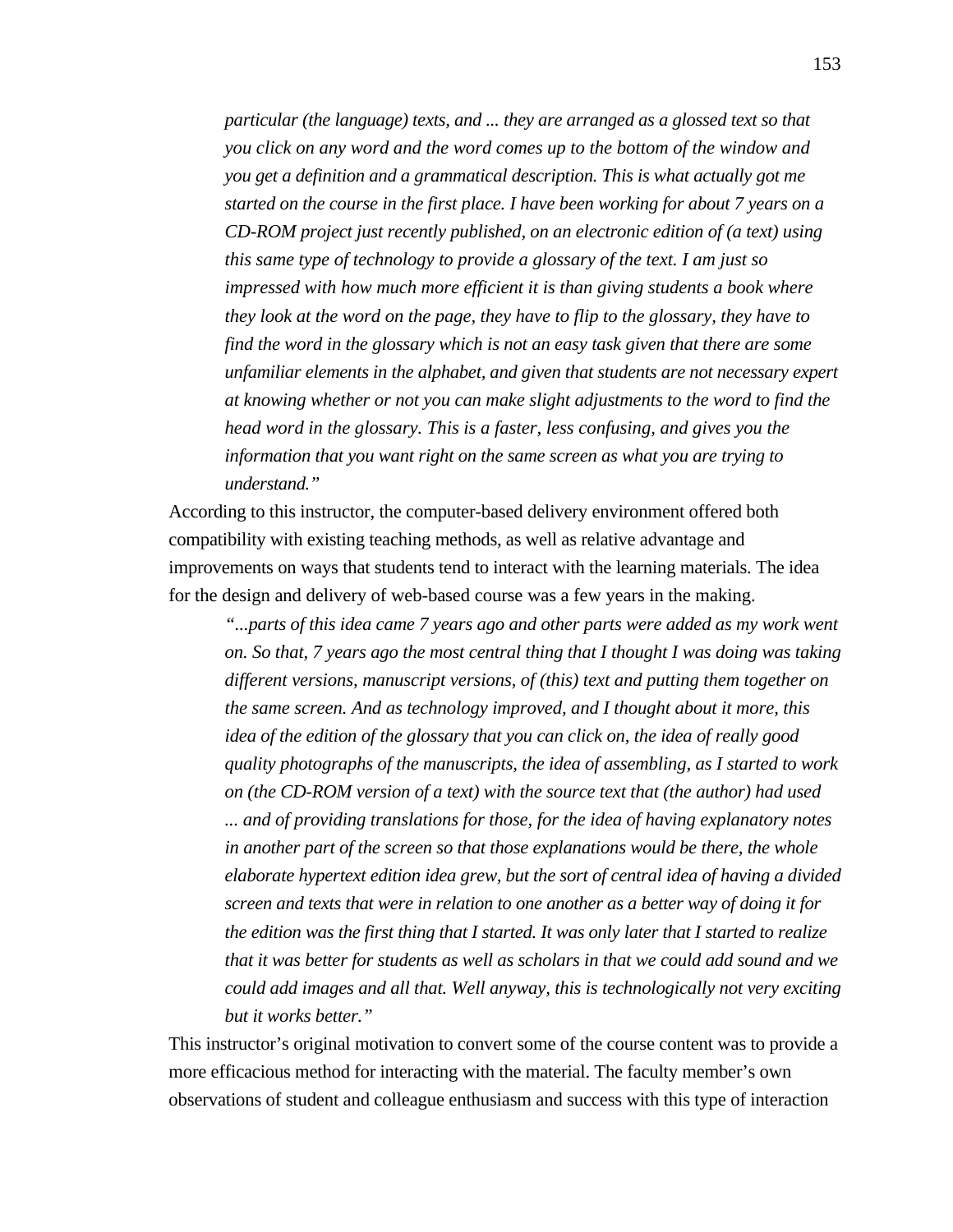*particular (the language) texts, and ... they are arranged as a glossed text so that you click on any word and the word comes up to the bottom of the window and you get a definition and a grammatical description. This is what actually got me started on the course in the first place. I have been working for about 7 years on a CD-ROM project just recently published, on an electronic edition of (a text) using this same type of technology to provide a glossary of the text. I am just so impressed with how much more efficient it is than giving students a book where they look at the word on the page, they have to flip to the glossary, they have to find the word in the glossary which is not an easy task given that there are some unfamiliar elements in the alphabet, and given that students are not necessary expert at knowing whether or not you can make slight adjustments to the word to find the head word in the glossary. This is a faster, less confusing, and gives you the information that you want right on the same screen as what you are trying to understand."*

According to this instructor, the computer-based delivery environment offered both compatibility with existing teaching methods, as well as relative advantage and improvements on ways that students tend to interact with the learning materials. The idea for the design and delivery of web-based course was a few years in the making.

*"...parts of this idea came 7 years ago and other parts were added as my work went on. So that, 7 years ago the most central thing that I thought I was doing was taking different versions, manuscript versions, of (this) text and putting them together on the same screen. And as technology improved, and I thought about it more, this idea of the edition of the glossary that you can click on, the idea of really good quality photographs of the manuscripts, the idea of assembling, as I started to work on (the CD-ROM version of a text) with the source text that (the author) had used ... and of providing translations for those, for the idea of having explanatory notes in another part of the screen so that those explanations would be there, the whole elaborate hypertext edition idea grew, but the sort of central idea of having a divided screen and texts that were in relation to one another as a better way of doing it for the edition was the first thing that I started. It was only later that I started to realize that it was better for students as well as scholars in that we could add sound and we could add images and all that. Well anyway, this is technologically not very exciting but it works better."*

This instructor's original motivation to convert some of the course content was to provide a more efficacious method for interacting with the material. The faculty member's own observations of student and colleague enthusiasm and success with this type of interaction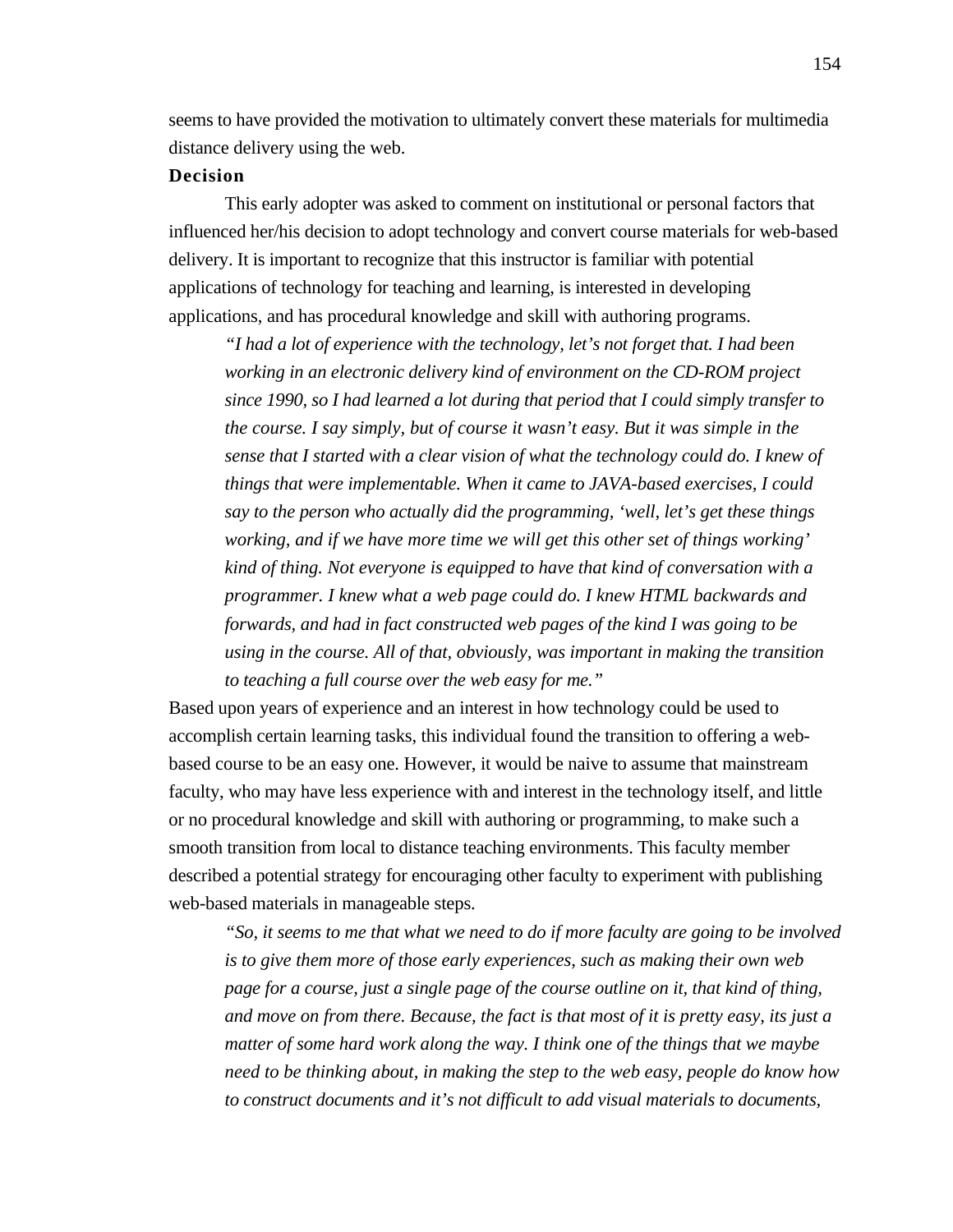seems to have provided the motivation to ultimately convert these materials for multimedia distance delivery using the web.

## **Decision**

This early adopter was asked to comment on institutional or personal factors that influenced her/his decision to adopt technology and convert course materials for web-based delivery. It is important to recognize that this instructor is familiar with potential applications of technology for teaching and learning, is interested in developing applications, and has procedural knowledge and skill with authoring programs.

*"I had a lot of experience with the technology, let's not forget that. I had been working in an electronic delivery kind of environment on the CD-ROM project since 1990, so I had learned a lot during that period that I could simply transfer to the course. I say simply, but of course it wasn't easy. But it was simple in the sense that I started with a clear vision of what the technology could do. I knew of things that were implementable. When it came to JAVA-based exercises, I could say to the person who actually did the programming, 'well, let's get these things working, and if we have more time we will get this other set of things working' kind of thing. Not everyone is equipped to have that kind of conversation with a programmer. I knew what a web page could do. I knew HTML backwards and forwards, and had in fact constructed web pages of the kind I was going to be using in the course. All of that, obviously, was important in making the transition to teaching a full course over the web easy for me."*

Based upon years of experience and an interest in how technology could be used to accomplish certain learning tasks, this individual found the transition to offering a webbased course to be an easy one. However, it would be naive to assume that mainstream faculty, who may have less experience with and interest in the technology itself, and little or no procedural knowledge and skill with authoring or programming, to make such a smooth transition from local to distance teaching environments. This faculty member described a potential strategy for encouraging other faculty to experiment with publishing web-based materials in manageable steps.

*"So, it seems to me that what we need to do if more faculty are going to be involved is to give them more of those early experiences, such as making their own web page for a course, just a single page of the course outline on it, that kind of thing, and move on from there. Because, the fact is that most of it is pretty easy, its just a matter of some hard work along the way. I think one of the things that we maybe need to be thinking about, in making the step to the web easy, people do know how to construct documents and it's not difficult to add visual materials to documents,*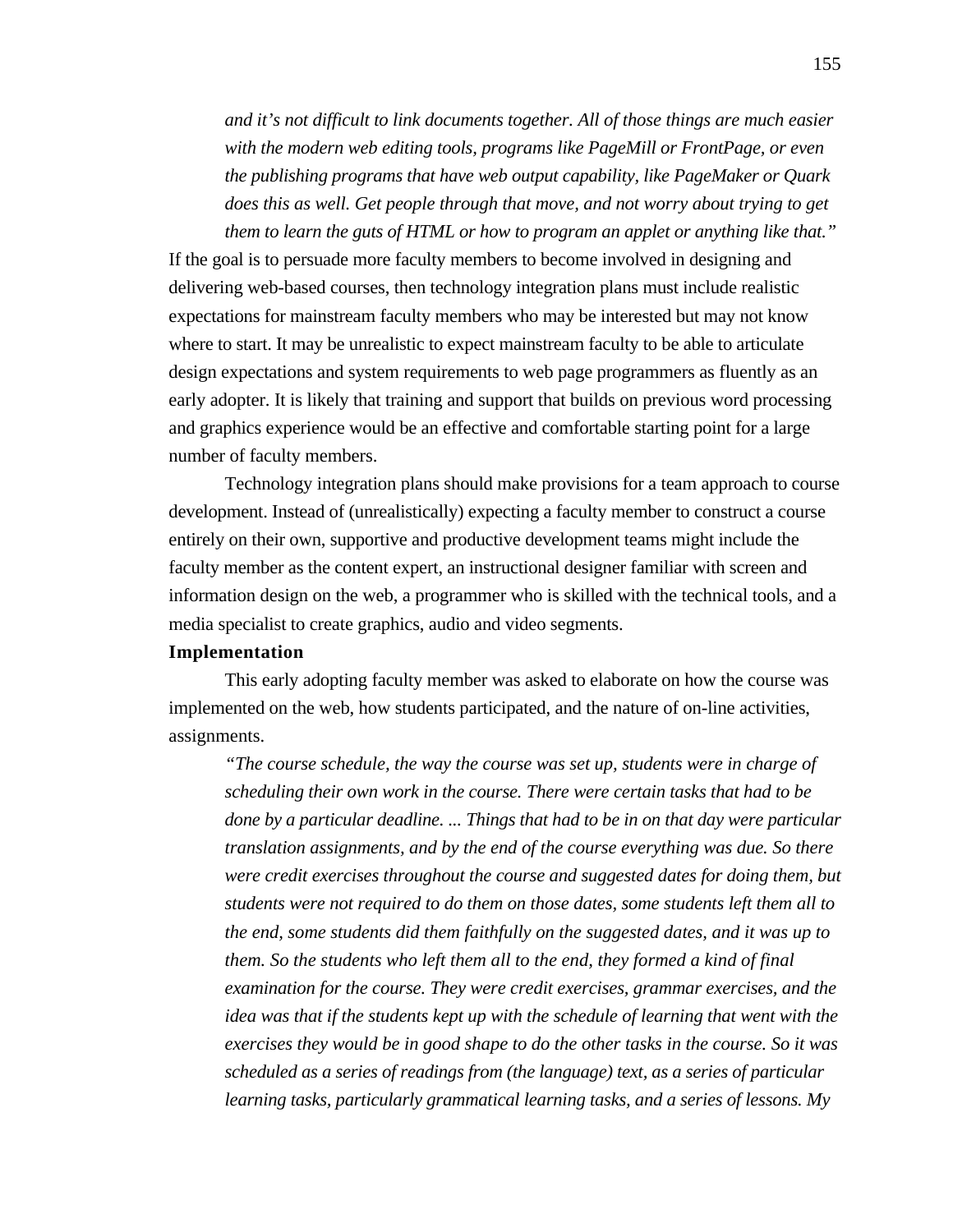*and it's not difficult to link documents together. All of those things are much easier with the modern web editing tools, programs like PageMill or FrontPage, or even the publishing programs that have web output capability, like PageMaker or Quark does this as well. Get people through that move, and not worry about trying to get them to learn the guts of HTML or how to program an applet or anything like that."*

If the goal is to persuade more faculty members to become involved in designing and delivering web-based courses, then technology integration plans must include realistic expectations for mainstream faculty members who may be interested but may not know where to start. It may be unrealistic to expect mainstream faculty to be able to articulate design expectations and system requirements to web page programmers as fluently as an early adopter. It is likely that training and support that builds on previous word processing and graphics experience would be an effective and comfortable starting point for a large number of faculty members.

Technology integration plans should make provisions for a team approach to course development. Instead of (unrealistically) expecting a faculty member to construct a course entirely on their own, supportive and productive development teams might include the faculty member as the content expert, an instructional designer familiar with screen and information design on the web, a programmer who is skilled with the technical tools, and a media specialist to create graphics, audio and video segments.

#### **Implementation**

This early adopting faculty member was asked to elaborate on how the course was implemented on the web, how students participated, and the nature of on-line activities, assignments.

*"The course schedule, the way the course was set up, students were in charge of scheduling their own work in the course. There were certain tasks that had to be done by a particular deadline. ... Things that had to be in on that day were particular translation assignments, and by the end of the course everything was due. So there were credit exercises throughout the course and suggested dates for doing them, but students were not required to do them on those dates, some students left them all to the end, some students did them faithfully on the suggested dates, and it was up to them. So the students who left them all to the end, they formed a kind of final examination for the course. They were credit exercises, grammar exercises, and the idea was that if the students kept up with the schedule of learning that went with the exercises they would be in good shape to do the other tasks in the course. So it was scheduled as a series of readings from (the language) text, as a series of particular learning tasks, particularly grammatical learning tasks, and a series of lessons. My*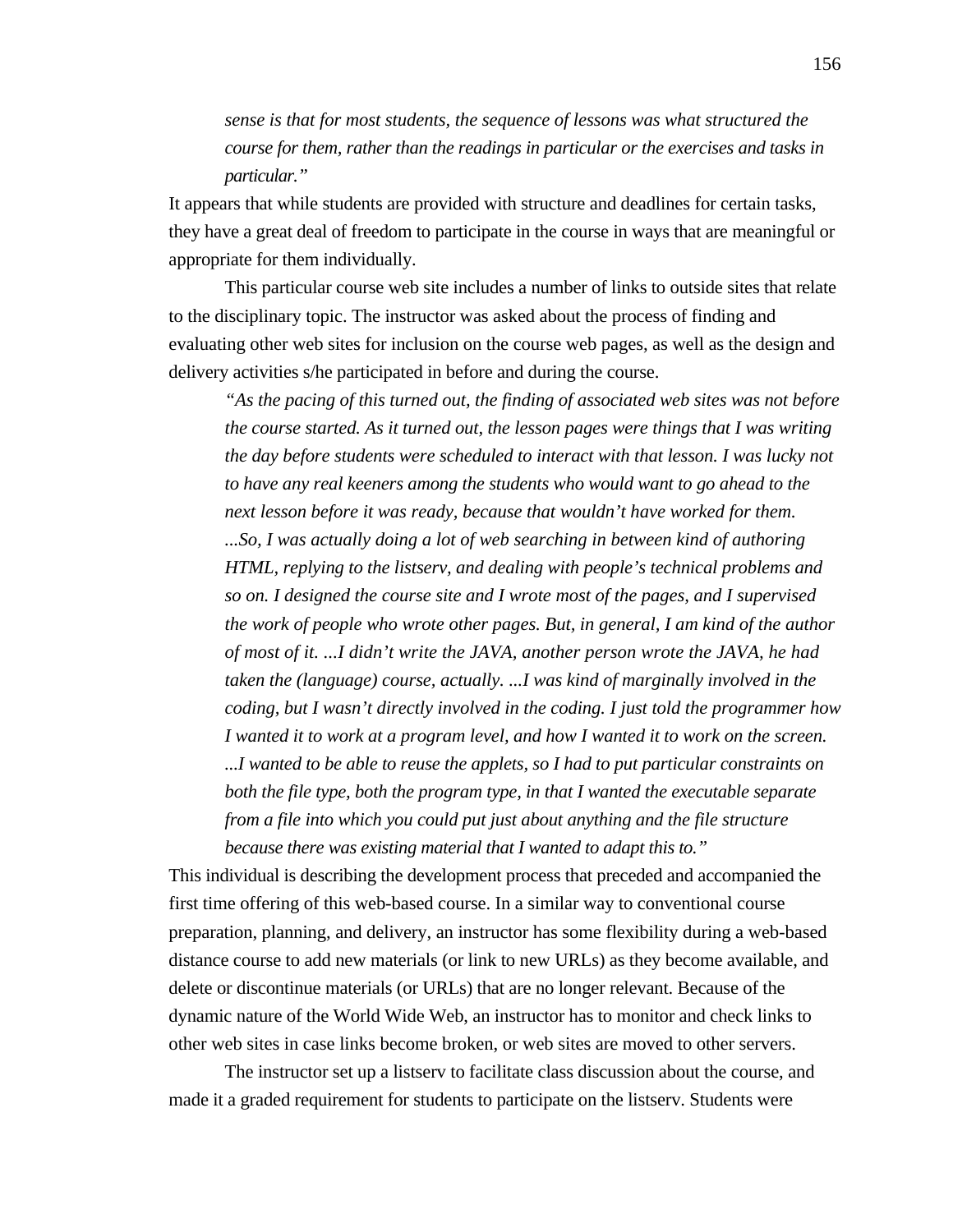*sense is that for most students, the sequence of lessons was what structured the course for them, rather than the readings in particular or the exercises and tasks in particular."*

It appears that while students are provided with structure and deadlines for certain tasks, they have a great deal of freedom to participate in the course in ways that are meaningful or appropriate for them individually.

This particular course web site includes a number of links to outside sites that relate to the disciplinary topic. The instructor was asked about the process of finding and evaluating other web sites for inclusion on the course web pages, as well as the design and delivery activities s/he participated in before and during the course.

*"As the pacing of this turned out, the finding of associated web sites was not before the course started. As it turned out, the lesson pages were things that I was writing the day before students were scheduled to interact with that lesson. I was lucky not to have any real keeners among the students who would want to go ahead to the next lesson before it was ready, because that wouldn't have worked for them. ...So, I was actually doing a lot of web searching in between kind of authoring HTML, replying to the listserv, and dealing with people's technical problems and so on. I designed the course site and I wrote most of the pages, and I supervised the work of people who wrote other pages. But, in general, I am kind of the author of most of it. ...I didn't write the JAVA, another person wrote the JAVA, he had taken the (language) course, actually. ...I was kind of marginally involved in the coding, but I wasn't directly involved in the coding. I just told the programmer how I wanted it to work at a program level, and how I wanted it to work on the screen. ...I wanted to be able to reuse the applets, so I had to put particular constraints on both the file type, both the program type, in that I wanted the executable separate from a file into which you could put just about anything and the file structure because there was existing material that I wanted to adapt this to."*

This individual is describing the development process that preceded and accompanied the first time offering of this web-based course. In a similar way to conventional course preparation, planning, and delivery, an instructor has some flexibility during a web-based distance course to add new materials (or link to new URLs) as they become available, and delete or discontinue materials (or URLs) that are no longer relevant. Because of the dynamic nature of the World Wide Web, an instructor has to monitor and check links to other web sites in case links become broken, or web sites are moved to other servers.

The instructor set up a listserv to facilitate class discussion about the course, and made it a graded requirement for students to participate on the listserv. Students were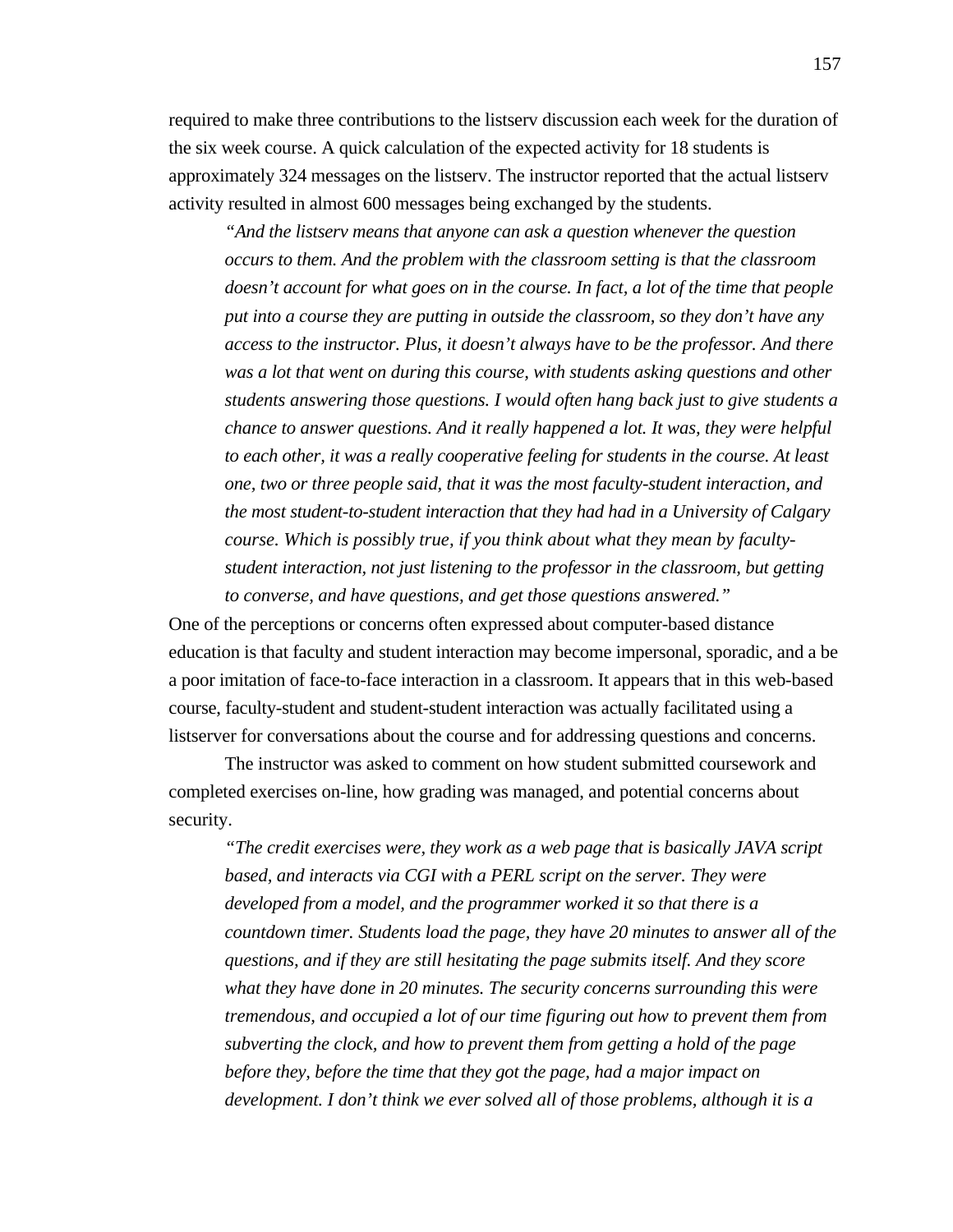required to make three contributions to the listserv discussion each week for the duration of the six week course. A quick calculation of the expected activity for 18 students is approximately 324 messages on the listserv. The instructor reported that the actual listserv activity resulted in almost 600 messages being exchanged by the students.

*"And the listserv means that anyone can ask a question whenever the question occurs to them. And the problem with the classroom setting is that the classroom doesn't account for what goes on in the course. In fact, a lot of the time that people put into a course they are putting in outside the classroom, so they don't have any access to the instructor. Plus, it doesn't always have to be the professor. And there was a lot that went on during this course, with students asking questions and other students answering those questions. I would often hang back just to give students a chance to answer questions. And it really happened a lot. It was, they were helpful to each other, it was a really cooperative feeling for students in the course. At least one, two or three people said, that it was the most faculty-student interaction, and the most student-to-student interaction that they had had in a University of Calgary course. Which is possibly true, if you think about what they mean by facultystudent interaction, not just listening to the professor in the classroom, but getting to converse, and have questions, and get those questions answered."*

One of the perceptions or concerns often expressed about computer-based distance education is that faculty and student interaction may become impersonal, sporadic, and a be a poor imitation of face-to-face interaction in a classroom. It appears that in this web-based course, faculty-student and student-student interaction was actually facilitated using a listserver for conversations about the course and for addressing questions and concerns.

The instructor was asked to comment on how student submitted coursework and completed exercises on-line, how grading was managed, and potential concerns about security.

*"The credit exercises were, they work as a web page that is basically JAVA script based, and interacts via CGI with a PERL script on the server. They were developed from a model, and the programmer worked it so that there is a countdown timer. Students load the page, they have 20 minutes to answer all of the questions, and if they are still hesitating the page submits itself. And they score what they have done in 20 minutes. The security concerns surrounding this were tremendous, and occupied a lot of our time figuring out how to prevent them from subverting the clock, and how to prevent them from getting a hold of the page before they, before the time that they got the page, had a major impact on development. I don't think we ever solved all of those problems, although it is a*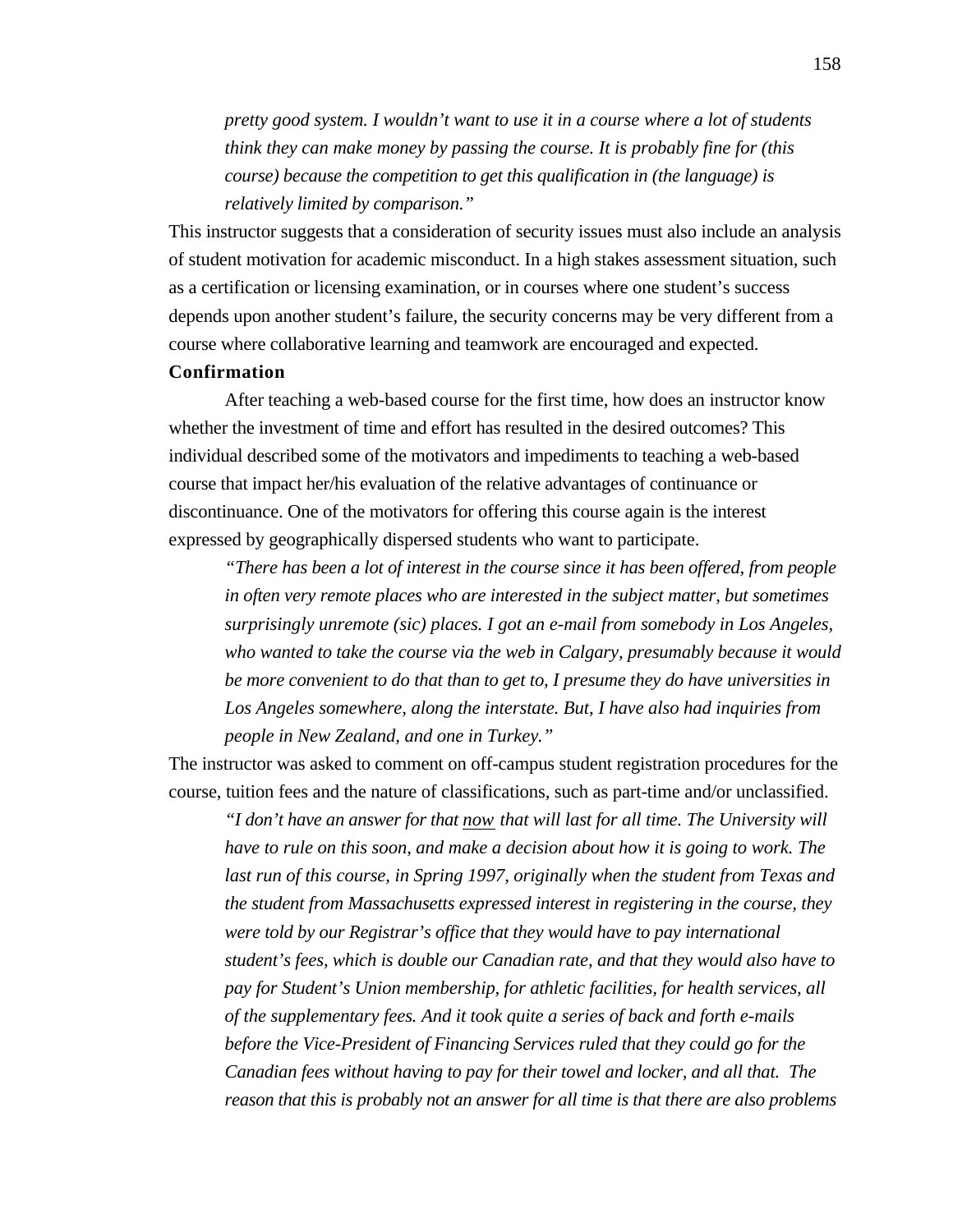*pretty good system. I wouldn't want to use it in a course where a lot of students think they can make money by passing the course. It is probably fine for (this course) because the competition to get this qualification in (the language) is relatively limited by comparison."*

This instructor suggests that a consideration of security issues must also include an analysis of student motivation for academic misconduct. In a high stakes assessment situation, such as a certification or licensing examination, or in courses where one student's success depends upon another student's failure, the security concerns may be very different from a course where collaborative learning and teamwork are encouraged and expected.

## **Confirmation**

After teaching a web-based course for the first time, how does an instructor know whether the investment of time and effort has resulted in the desired outcomes? This individual described some of the motivators and impediments to teaching a web-based course that impact her/his evaluation of the relative advantages of continuance or discontinuance. One of the motivators for offering this course again is the interest expressed by geographically dispersed students who want to participate.

*"There has been a lot of interest in the course since it has been offered, from people in often very remote places who are interested in the subject matter, but sometimes surprisingly unremote (sic) places. I got an e-mail from somebody in Los Angeles, who wanted to take the course via the web in Calgary, presumably because it would be more convenient to do that than to get to, I presume they do have universities in Los Angeles somewhere, along the interstate. But, I have also had inquiries from people in New Zealand, and one in Turkey."*

The instructor was asked to comment on off-campus student registration procedures for the course, tuition fees and the nature of classifications, such as part-time and/or unclassified.

*"I don't have an answer for that now that will last for all time. The University will have to rule on this soon, and make a decision about how it is going to work. The last run of this course, in Spring 1997, originally when the student from Texas and the student from Massachusetts expressed interest in registering in the course, they were told by our Registrar's office that they would have to pay international student's fees, which is double our Canadian rate, and that they would also have to pay for Student's Union membership, for athletic facilities, for health services, all of the supplementary fees. And it took quite a series of back and forth e-mails before the Vice-President of Financing Services ruled that they could go for the Canadian fees without having to pay for their towel and locker, and all that. The reason that this is probably not an answer for all time is that there are also problems*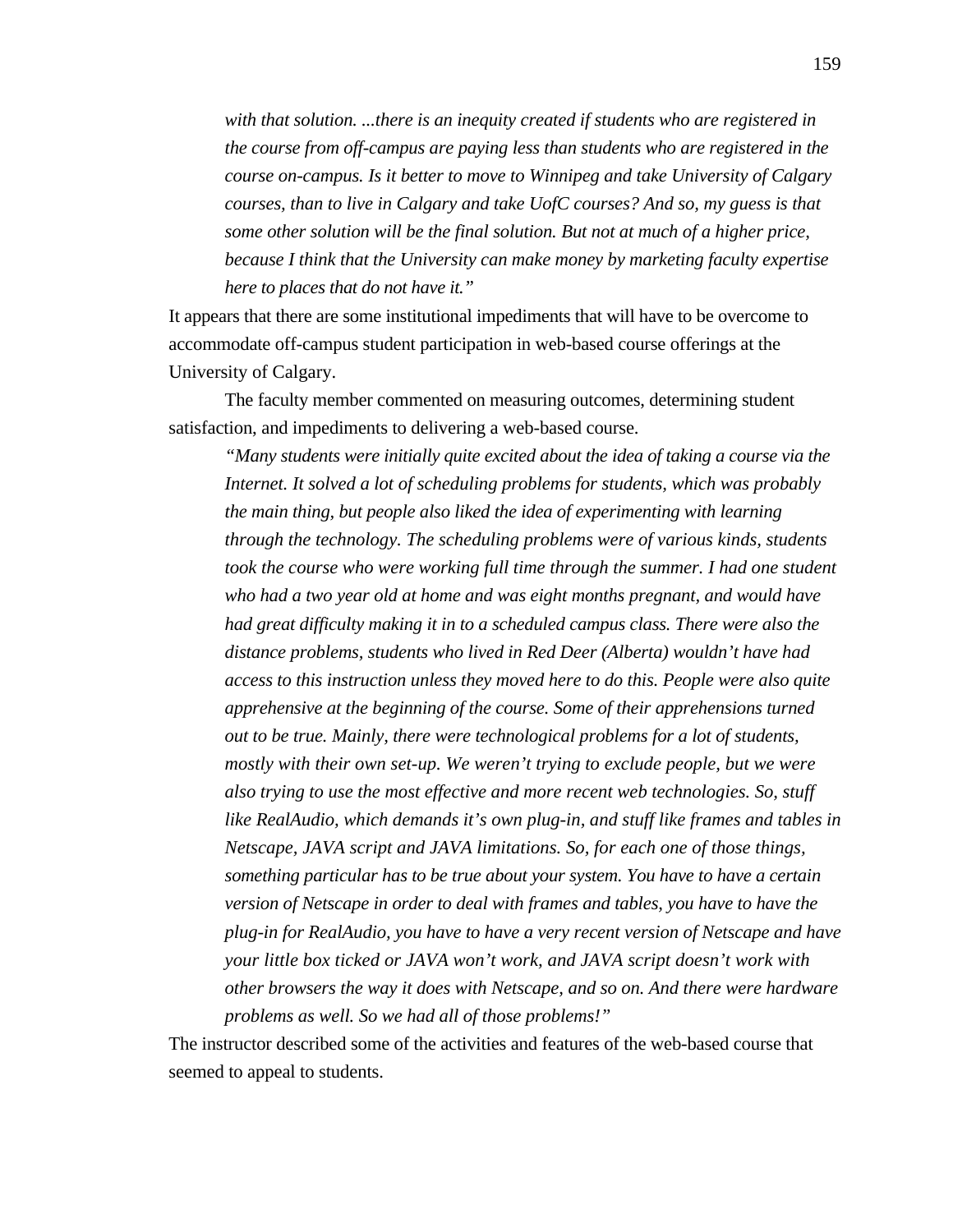*with that solution. ...there is an inequity created if students who are registered in the course from off-campus are paying less than students who are registered in the course on-campus. Is it better to move to Winnipeg and take University of Calgary courses, than to live in Calgary and take UofC courses? And so, my guess is that some other solution will be the final solution. But not at much of a higher price, because I think that the University can make money by marketing faculty expertise here to places that do not have it."*

It appears that there are some institutional impediments that will have to be overcome to accommodate off-campus student participation in web-based course offerings at the University of Calgary.

The faculty member commented on measuring outcomes, determining student satisfaction, and impediments to delivering a web-based course.

*"Many students were initially quite excited about the idea of taking a course via the Internet. It solved a lot of scheduling problems for students, which was probably the main thing, but people also liked the idea of experimenting with learning through the technology. The scheduling problems were of various kinds, students took the course who were working full time through the summer. I had one student who had a two year old at home and was eight months pregnant, and would have had great difficulty making it in to a scheduled campus class. There were also the distance problems, students who lived in Red Deer (Alberta) wouldn't have had access to this instruction unless they moved here to do this. People were also quite apprehensive at the beginning of the course. Some of their apprehensions turned out to be true. Mainly, there were technological problems for a lot of students, mostly with their own set-up. We weren't trying to exclude people, but we were also trying to use the most effective and more recent web technologies. So, stuff like RealAudio, which demands it's own plug-in, and stuff like frames and tables in Netscape, JAVA script and JAVA limitations. So, for each one of those things, something particular has to be true about your system. You have to have a certain version of Netscape in order to deal with frames and tables, you have to have the plug-in for RealAudio, you have to have a very recent version of Netscape and have your little box ticked or JAVA won't work, and JAVA script doesn't work with other browsers the way it does with Netscape, and so on. And there were hardware problems as well. So we had all of those problems!"*

The instructor described some of the activities and features of the web-based course that seemed to appeal to students.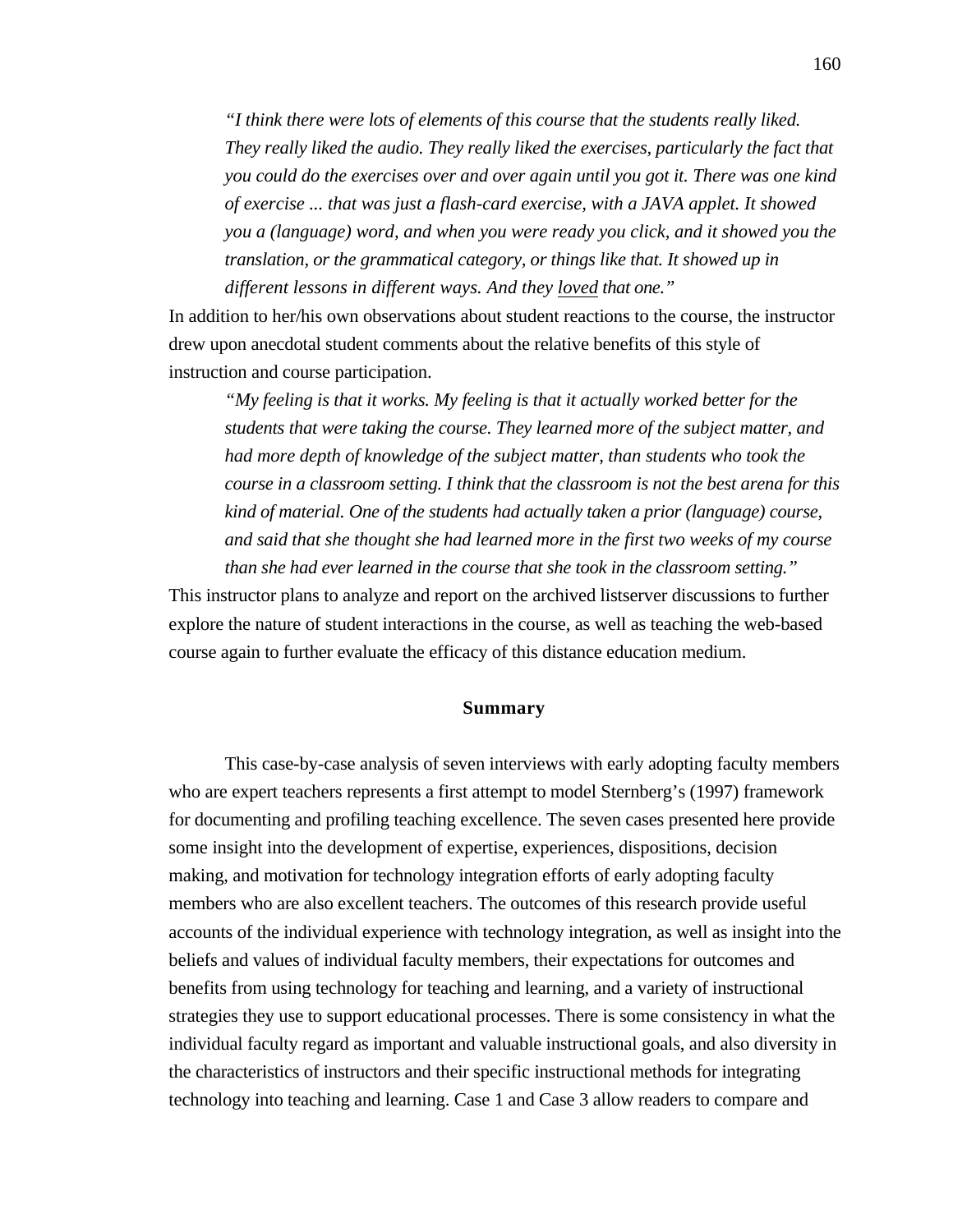*"I think there were lots of elements of this course that the students really liked. They really liked the audio. They really liked the exercises, particularly the fact that you could do the exercises over and over again until you got it. There was one kind of exercise ... that was just a flash-card exercise, with a JAVA applet. It showed you a (language) word, and when you were ready you click, and it showed you the translation, or the grammatical category, or things like that. It showed up in different lessons in different ways. And they loved that one."*

In addition to her/his own observations about student reactions to the course, the instructor drew upon anecdotal student comments about the relative benefits of this style of instruction and course participation.

*"My feeling is that it works. My feeling is that it actually worked better for the students that were taking the course. They learned more of the subject matter, and had more depth of knowledge of the subject matter, than students who took the course in a classroom setting. I think that the classroom is not the best arena for this kind of material. One of the students had actually taken a prior (language) course, and said that she thought she had learned more in the first two weeks of my course than she had ever learned in the course that she took in the classroom setting."*

This instructor plans to analyze and report on the archived listserver discussions to further explore the nature of student interactions in the course, as well as teaching the web-based course again to further evaluate the efficacy of this distance education medium.

#### **Summary**

This case-by-case analysis of seven interviews with early adopting faculty members who are expert teachers represents a first attempt to model Sternberg's (1997) framework for documenting and profiling teaching excellence. The seven cases presented here provide some insight into the development of expertise, experiences, dispositions, decision making, and motivation for technology integration efforts of early adopting faculty members who are also excellent teachers. The outcomes of this research provide useful accounts of the individual experience with technology integration, as well as insight into the beliefs and values of individual faculty members, their expectations for outcomes and benefits from using technology for teaching and learning, and a variety of instructional strategies they use to support educational processes. There is some consistency in what the individual faculty regard as important and valuable instructional goals, and also diversity in the characteristics of instructors and their specific instructional methods for integrating technology into teaching and learning. Case 1 and Case 3 allow readers to compare and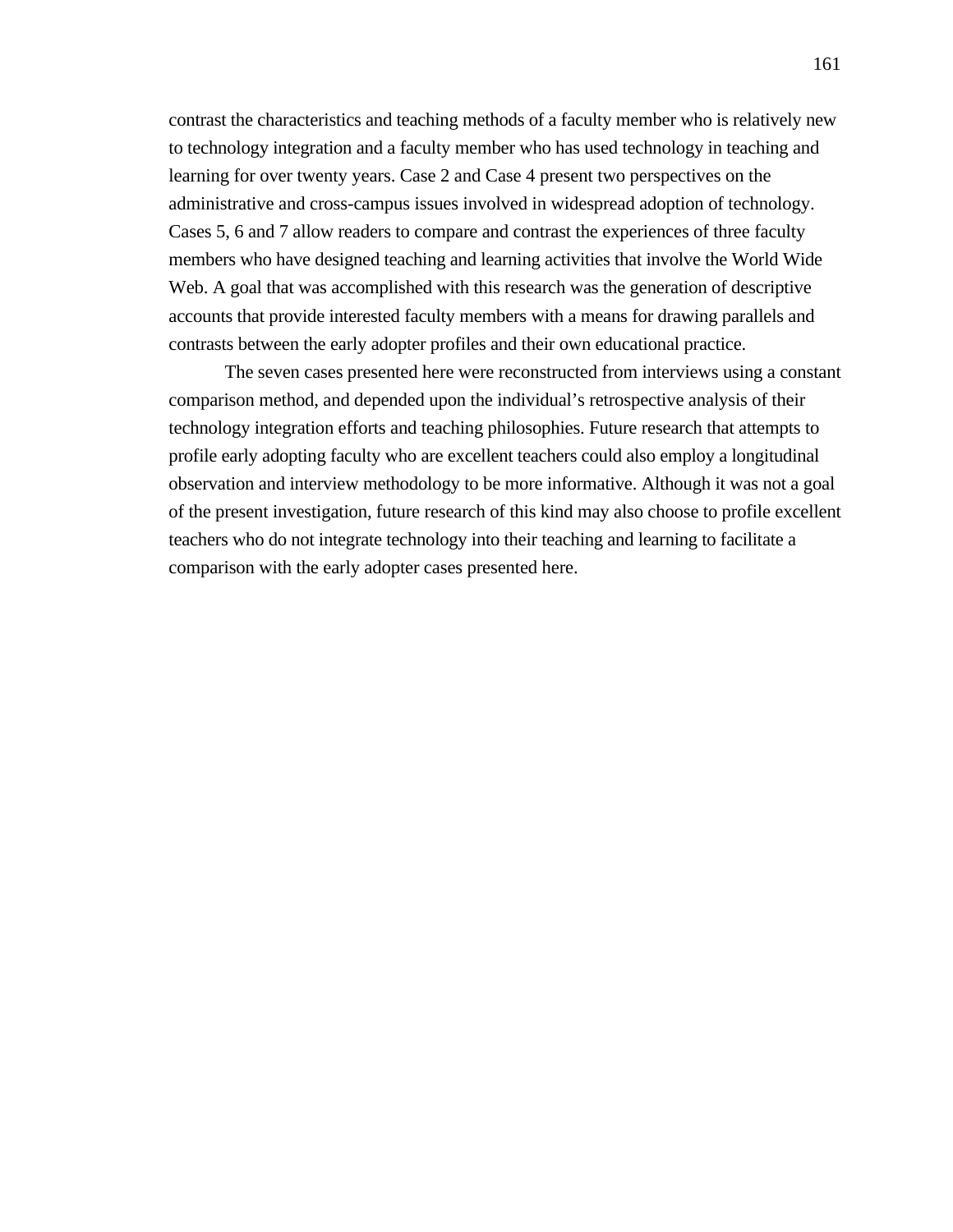contrast the characteristics and teaching methods of a faculty member who is relatively new to technology integration and a faculty member who has used technology in teaching and learning for over twenty years. Case 2 and Case 4 present two perspectives on the administrative and cross-campus issues involved in widespread adoption of technology. Cases 5, 6 and 7 allow readers to compare and contrast the experiences of three faculty members who have designed teaching and learning activities that involve the World Wide Web. A goal that was accomplished with this research was the generation of descriptive accounts that provide interested faculty members with a means for drawing parallels and contrasts between the early adopter profiles and their own educational practice.

The seven cases presented here were reconstructed from interviews using a constant comparison method, and depended upon the individual's retrospective analysis of their technology integration efforts and teaching philosophies. Future research that attempts to profile early adopting faculty who are excellent teachers could also employ a longitudinal observation and interview methodology to be more informative. Although it was not a goal of the present investigation, future research of this kind may also choose to profile excellent teachers who do not integrate technology into their teaching and learning to facilitate a comparison with the early adopter cases presented here.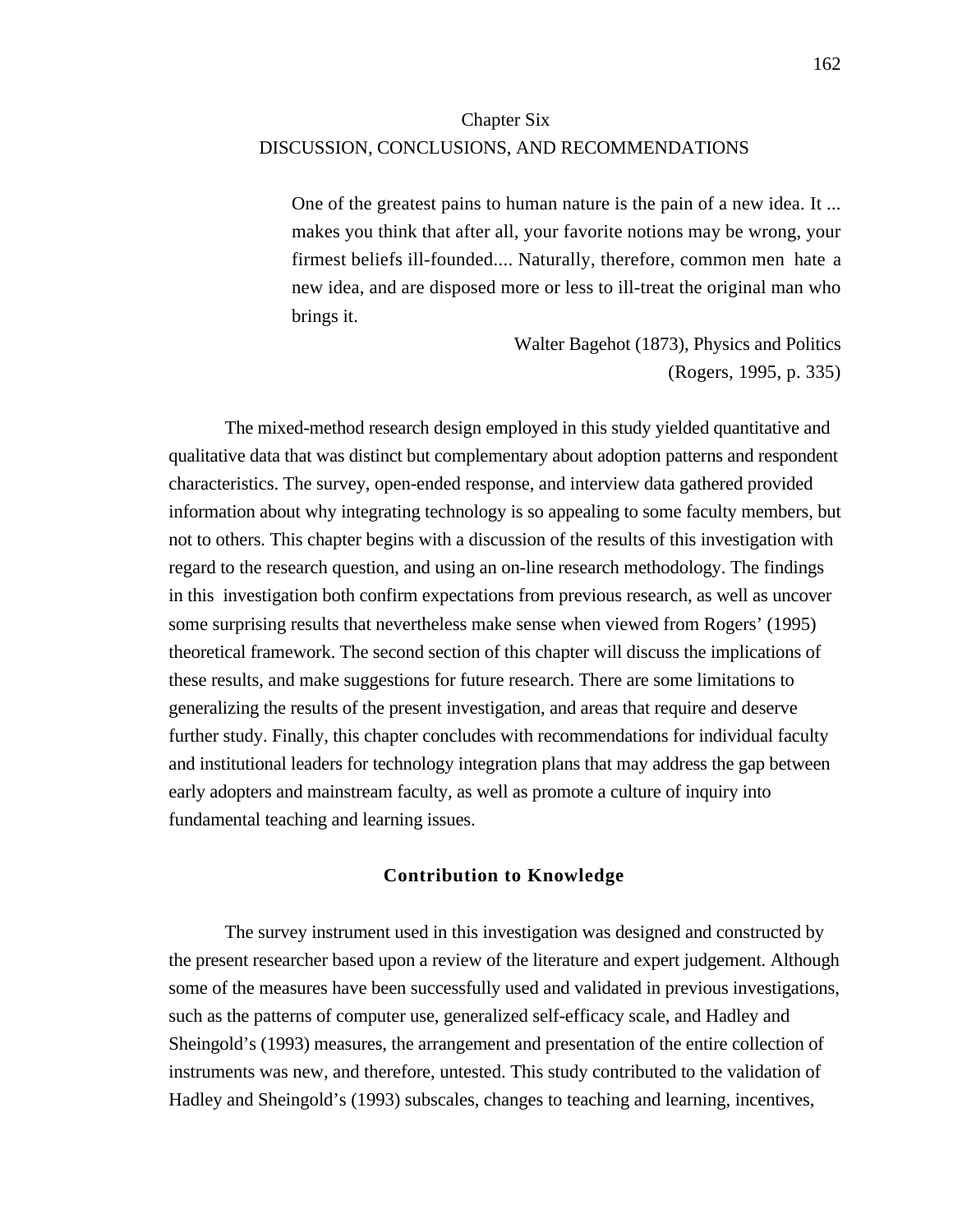# Chapter Six DISCUSSION, CONCLUSIONS, AND RECOMMENDATIONS

One of the greatest pains to human nature is the pain of a new idea. It ... makes you think that after all, your favorite notions may be wrong, your firmest beliefs ill-founded.... Naturally, therefore, common men hate a new idea, and are disposed more or less to ill-treat the original man who brings it.

> Walter Bagehot (1873), Physics and Politics (Rogers, 1995, p. 335)

The mixed-method research design employed in this study yielded quantitative and qualitative data that was distinct but complementary about adoption patterns and respondent characteristics. The survey, open-ended response, and interview data gathered provided information about why integrating technology is so appealing to some faculty members, but not to others. This chapter begins with a discussion of the results of this investigation with regard to the research question, and using an on-line research methodology. The findings in this investigation both confirm expectations from previous research, as well as uncover some surprising results that nevertheless make sense when viewed from Rogers' (1995) theoretical framework. The second section of this chapter will discuss the implications of these results, and make suggestions for future research. There are some limitations to generalizing the results of the present investigation, and areas that require and deserve further study. Finally, this chapter concludes with recommendations for individual faculty and institutional leaders for technology integration plans that may address the gap between early adopters and mainstream faculty, as well as promote a culture of inquiry into fundamental teaching and learning issues.

## **Contribution to Knowledge**

The survey instrument used in this investigation was designed and constructed by the present researcher based upon a review of the literature and expert judgement. Although some of the measures have been successfully used and validated in previous investigations, such as the patterns of computer use, generalized self-efficacy scale, and Hadley and Sheingold's (1993) measures, the arrangement and presentation of the entire collection of instruments was new, and therefore, untested. This study contributed to the validation of Hadley and Sheingold's (1993) subscales, changes to teaching and learning, incentives,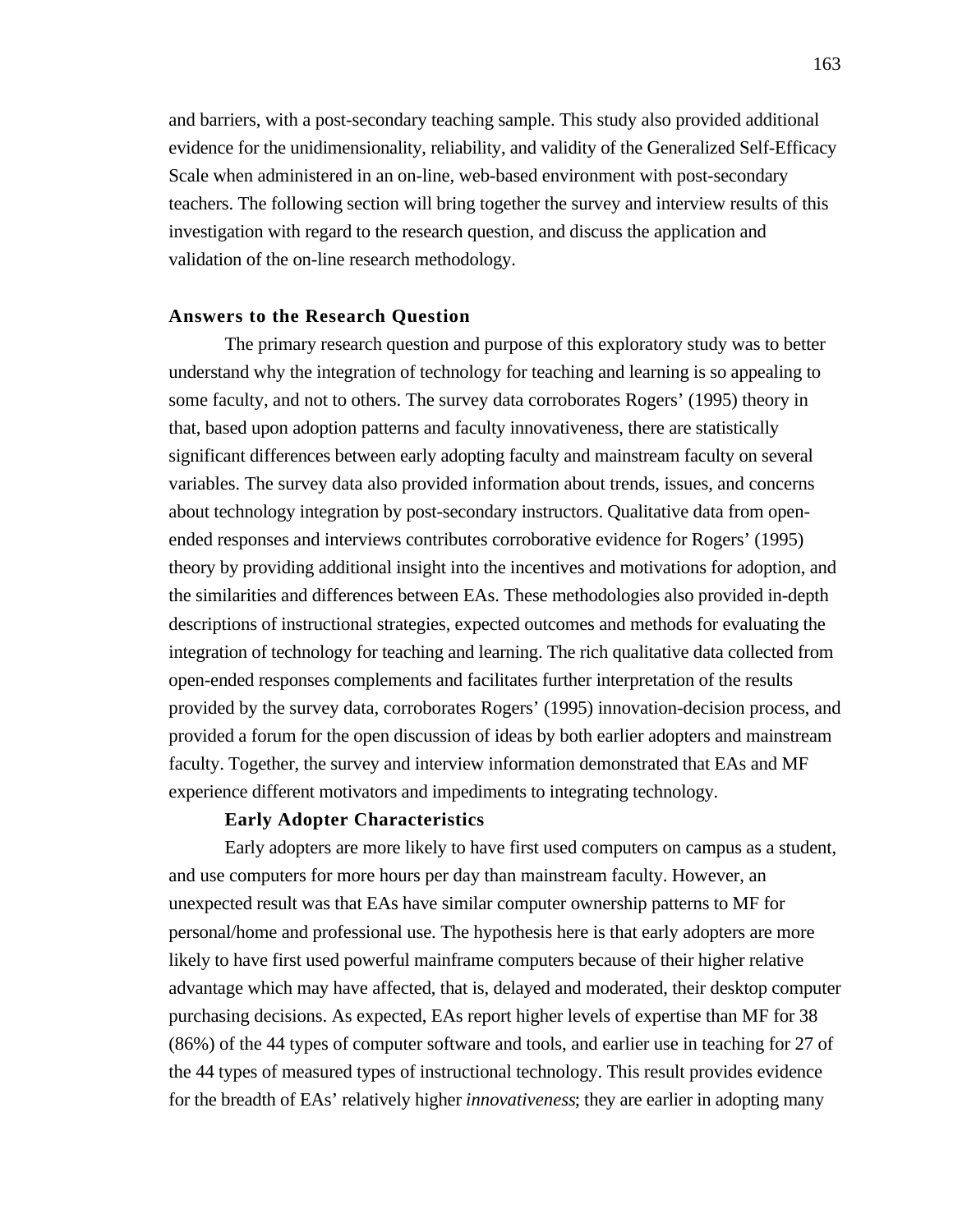and barriers, with a post-secondary teaching sample. This study also provided additional evidence for the unidimensionality, reliability, and validity of the Generalized Self-Efficacy Scale when administered in an on-line, web-based environment with post-secondary teachers. The following section will bring together the survey and interview results of this investigation with regard to the research question, and discuss the application and validation of the on-line research methodology.

## **Answers to the Research Question**

The primary research question and purpose of this exploratory study was to better understand why the integration of technology for teaching and learning is so appealing to some faculty, and not to others. The survey data corroborates Rogers' (1995) theory in that, based upon adoption patterns and faculty innovativeness, there are statistically significant differences between early adopting faculty and mainstream faculty on several variables. The survey data also provided information about trends, issues, and concerns about technology integration by post-secondary instructors. Qualitative data from openended responses and interviews contributes corroborative evidence for Rogers' (1995) theory by providing additional insight into the incentives and motivations for adoption, and the similarities and differences between EAs. These methodologies also provided in-depth descriptions of instructional strategies, expected outcomes and methods for evaluating the integration of technology for teaching and learning. The rich qualitative data collected from open-ended responses complements and facilitates further interpretation of the results provided by the survey data, corroborates Rogers' (1995) innovation-decision process, and provided a forum for the open discussion of ideas by both earlier adopters and mainstream faculty. Together, the survey and interview information demonstrated that EAs and MF experience different motivators and impediments to integrating technology.

## **Early Adopter Characteristics**

Early adopters are more likely to have first used computers on campus as a student, and use computers for more hours per day than mainstream faculty. However, an unexpected result was that EAs have similar computer ownership patterns to MF for personal/home and professional use. The hypothesis here is that early adopters are more likely to have first used powerful mainframe computers because of their higher relative advantage which may have affected, that is, delayed and moderated, their desktop computer purchasing decisions. As expected, EAs report higher levels of expertise than MF for 38 (86%) of the 44 types of computer software and tools, and earlier use in teaching for 27 of the 44 types of measured types of instructional technology. This result provides evidence for the breadth of EAs' relatively higher *innovativeness*; they are earlier in adopting many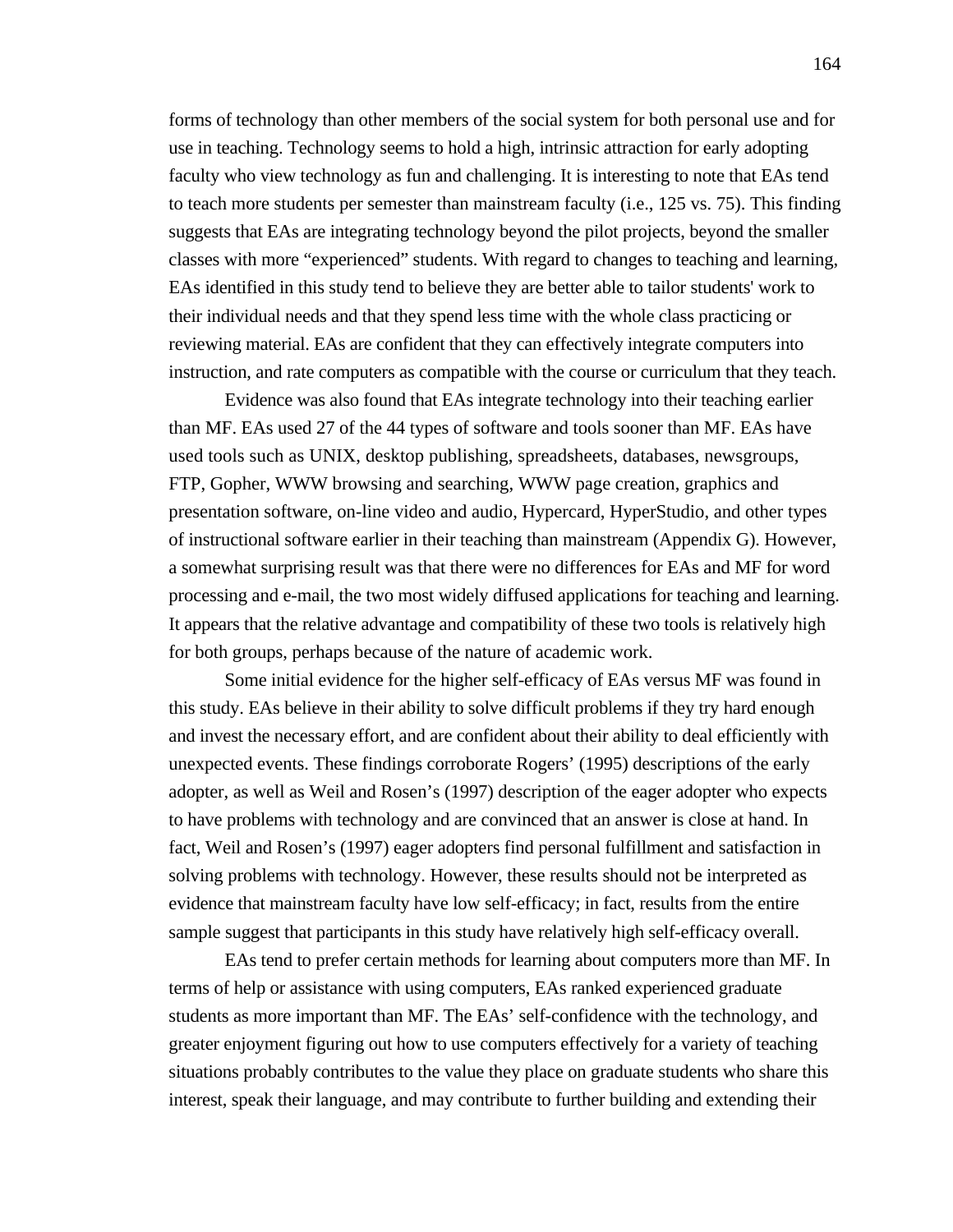forms of technology than other members of the social system for both personal use and for use in teaching. Technology seems to hold a high, intrinsic attraction for early adopting faculty who view technology as fun and challenging. It is interesting to note that EAs tend to teach more students per semester than mainstream faculty (i.e., 125 vs. 75). This finding suggests that EAs are integrating technology beyond the pilot projects, beyond the smaller classes with more "experienced" students. With regard to changes to teaching and learning, EAs identified in this study tend to believe they are better able to tailor students' work to their individual needs and that they spend less time with the whole class practicing or reviewing material. EAs are confident that they can effectively integrate computers into instruction, and rate computers as compatible with the course or curriculum that they teach.

Evidence was also found that EAs integrate technology into their teaching earlier than MF. EAs used 27 of the 44 types of software and tools sooner than MF. EAs have used tools such as UNIX, desktop publishing, spreadsheets, databases, newsgroups, FTP, Gopher, WWW browsing and searching, WWW page creation, graphics and presentation software, on-line video and audio, Hypercard, HyperStudio, and other types of instructional software earlier in their teaching than mainstream (Appendix G). However, a somewhat surprising result was that there were no differences for EAs and MF for word processing and e-mail, the two most widely diffused applications for teaching and learning. It appears that the relative advantage and compatibility of these two tools is relatively high for both groups, perhaps because of the nature of academic work.

Some initial evidence for the higher self-efficacy of EAs versus MF was found in this study. EAs believe in their ability to solve difficult problems if they try hard enough and invest the necessary effort, and are confident about their ability to deal efficiently with unexpected events. These findings corroborate Rogers' (1995) descriptions of the early adopter, as well as Weil and Rosen's (1997) description of the eager adopter who expects to have problems with technology and are convinced that an answer is close at hand. In fact, Weil and Rosen's (1997) eager adopters find personal fulfillment and satisfaction in solving problems with technology. However, these results should not be interpreted as evidence that mainstream faculty have low self-efficacy; in fact, results from the entire sample suggest that participants in this study have relatively high self-efficacy overall.

EAs tend to prefer certain methods for learning about computers more than MF. In terms of help or assistance with using computers, EAs ranked experienced graduate students as more important than MF. The EAs' self-confidence with the technology, and greater enjoyment figuring out how to use computers effectively for a variety of teaching situations probably contributes to the value they place on graduate students who share this interest, speak their language, and may contribute to further building and extending their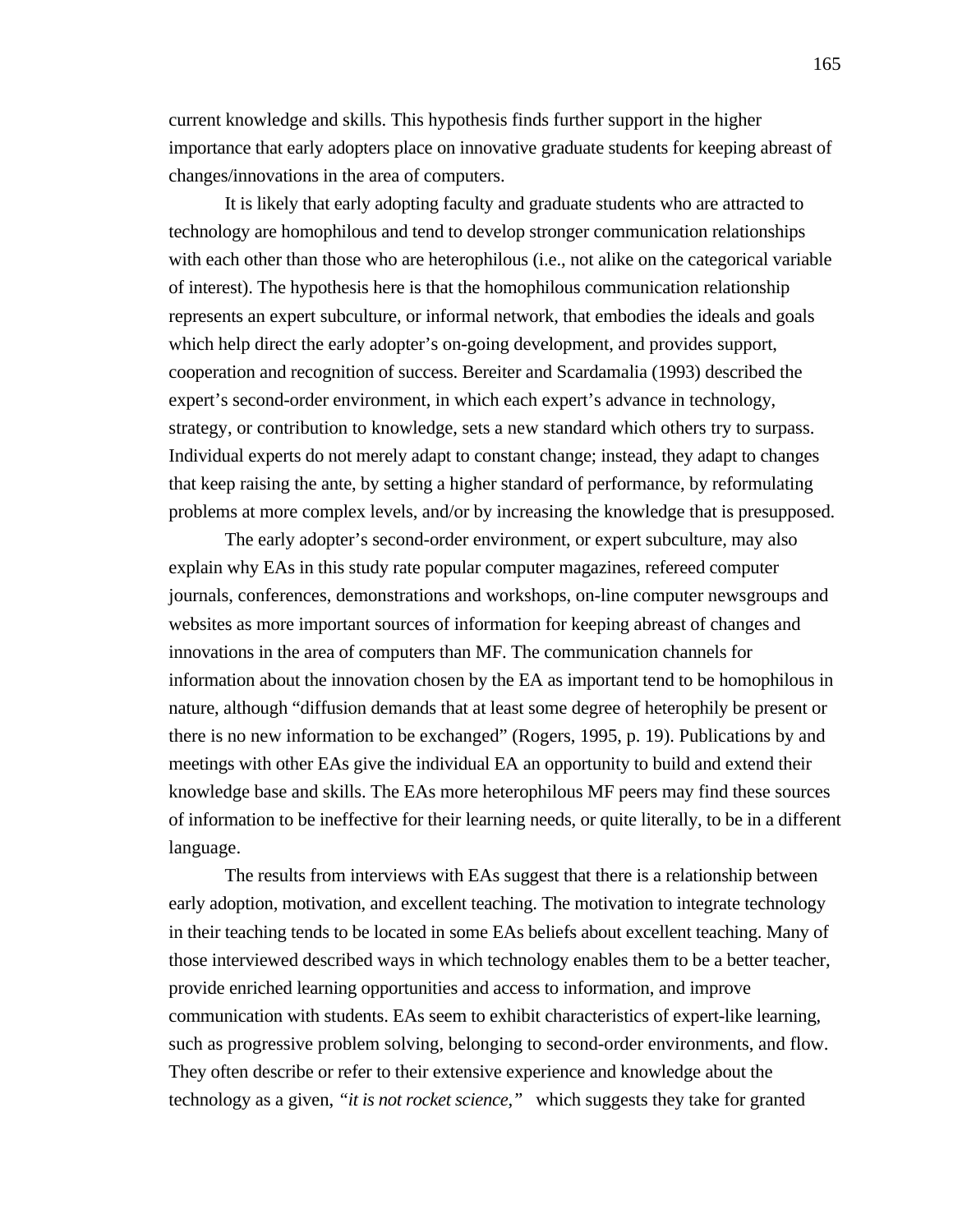current knowledge and skills. This hypothesis finds further support in the higher importance that early adopters place on innovative graduate students for keeping abreast of changes/innovations in the area of computers.

It is likely that early adopting faculty and graduate students who are attracted to technology are homophilous and tend to develop stronger communication relationships with each other than those who are heterophilous (i.e., not alike on the categorical variable of interest). The hypothesis here is that the homophilous communication relationship represents an expert subculture, or informal network, that embodies the ideals and goals which help direct the early adopter's on-going development, and provides support, cooperation and recognition of success. Bereiter and Scardamalia (1993) described the expert's second-order environment, in which each expert's advance in technology, strategy, or contribution to knowledge, sets a new standard which others try to surpass. Individual experts do not merely adapt to constant change; instead, they adapt to changes that keep raising the ante, by setting a higher standard of performance, by reformulating problems at more complex levels, and/or by increasing the knowledge that is presupposed.

The early adopter's second-order environment, or expert subculture, may also explain why EAs in this study rate popular computer magazines, refereed computer journals, conferences, demonstrations and workshops, on-line computer newsgroups and websites as more important sources of information for keeping abreast of changes and innovations in the area of computers than MF. The communication channels for information about the innovation chosen by the EA as important tend to be homophilous in nature, although "diffusion demands that at least some degree of heterophily be present or there is no new information to be exchanged" (Rogers, 1995, p. 19). Publications by and meetings with other EAs give the individual EA an opportunity to build and extend their knowledge base and skills. The EAs more heterophilous MF peers may find these sources of information to be ineffective for their learning needs, or quite literally, to be in a different language.

The results from interviews with EAs suggest that there is a relationship between early adoption, motivation, and excellent teaching. The motivation to integrate technology in their teaching tends to be located in some EAs beliefs about excellent teaching. Many of those interviewed described ways in which technology enables them to be a better teacher, provide enriched learning opportunities and access to information, and improve communication with students. EAs seem to exhibit characteristics of expert-like learning, such as progressive problem solving, belonging to second-order environments, and flow. They often describe or refer to their extensive experience and knowledge about the technology as a given, *"it is not rocket science,"* which suggests they take for granted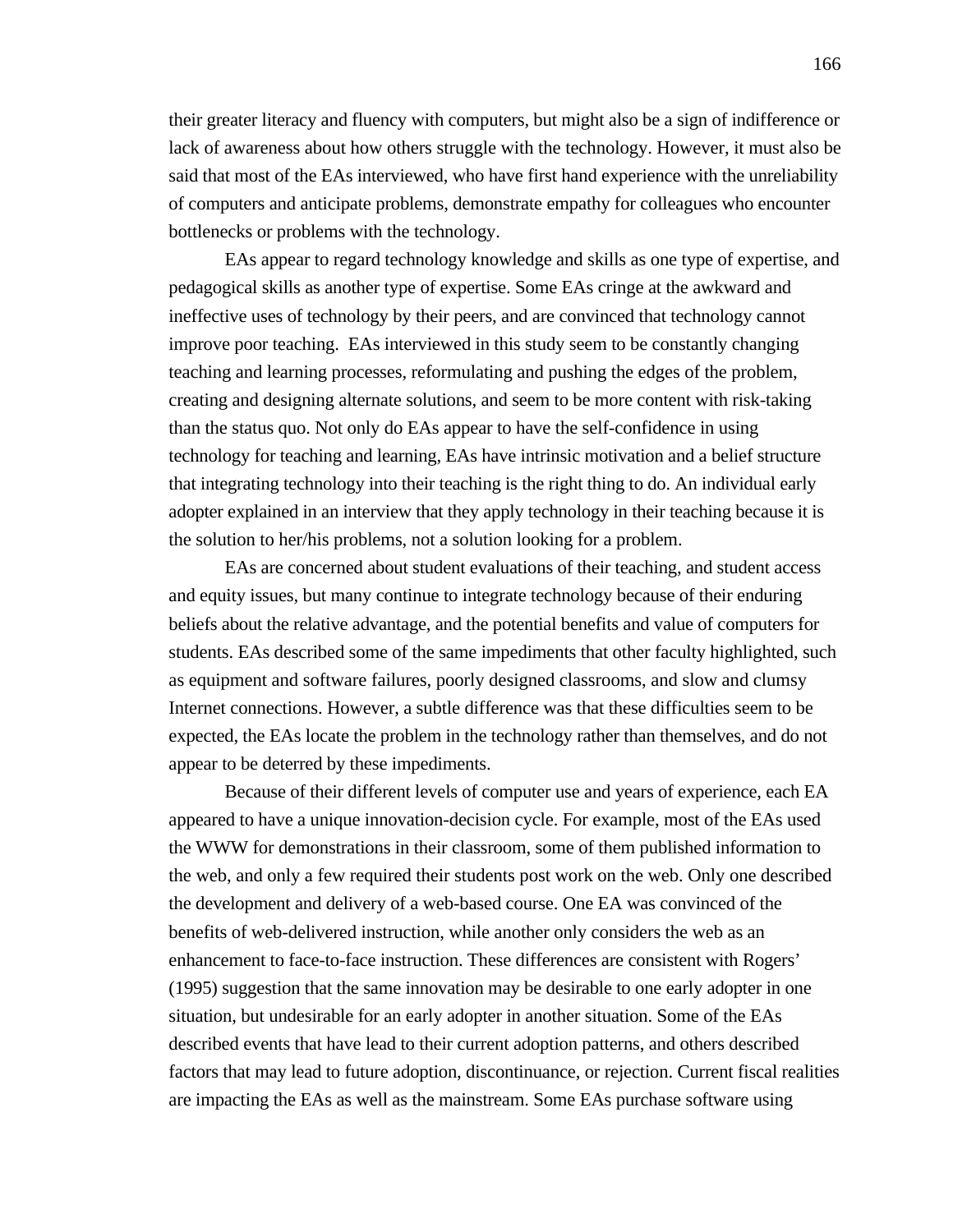their greater literacy and fluency with computers, but might also be a sign of indifference or lack of awareness about how others struggle with the technology. However, it must also be said that most of the EAs interviewed, who have first hand experience with the unreliability of computers and anticipate problems, demonstrate empathy for colleagues who encounter bottlenecks or problems with the technology.

EAs appear to regard technology knowledge and skills as one type of expertise, and pedagogical skills as another type of expertise. Some EAs cringe at the awkward and ineffective uses of technology by their peers, and are convinced that technology cannot improve poor teaching. EAs interviewed in this study seem to be constantly changing teaching and learning processes, reformulating and pushing the edges of the problem, creating and designing alternate solutions, and seem to be more content with risk-taking than the status quo. Not only do EAs appear to have the self-confidence in using technology for teaching and learning, EAs have intrinsic motivation and a belief structure that integrating technology into their teaching is the right thing to do. An individual early adopter explained in an interview that they apply technology in their teaching because it is the solution to her/his problems, not a solution looking for a problem.

EAs are concerned about student evaluations of their teaching, and student access and equity issues, but many continue to integrate technology because of their enduring beliefs about the relative advantage, and the potential benefits and value of computers for students. EAs described some of the same impediments that other faculty highlighted, such as equipment and software failures, poorly designed classrooms, and slow and clumsy Internet connections. However, a subtle difference was that these difficulties seem to be expected, the EAs locate the problem in the technology rather than themselves, and do not appear to be deterred by these impediments.

Because of their different levels of computer use and years of experience, each EA appeared to have a unique innovation-decision cycle. For example, most of the EAs used the WWW for demonstrations in their classroom, some of them published information to the web, and only a few required their students post work on the web. Only one described the development and delivery of a web-based course. One EA was convinced of the benefits of web-delivered instruction, while another only considers the web as an enhancement to face-to-face instruction. These differences are consistent with Rogers' (1995) suggestion that the same innovation may be desirable to one early adopter in one situation, but undesirable for an early adopter in another situation. Some of the EAs described events that have lead to their current adoption patterns, and others described factors that may lead to future adoption, discontinuance, or rejection. Current fiscal realities are impacting the EAs as well as the mainstream. Some EAs purchase software using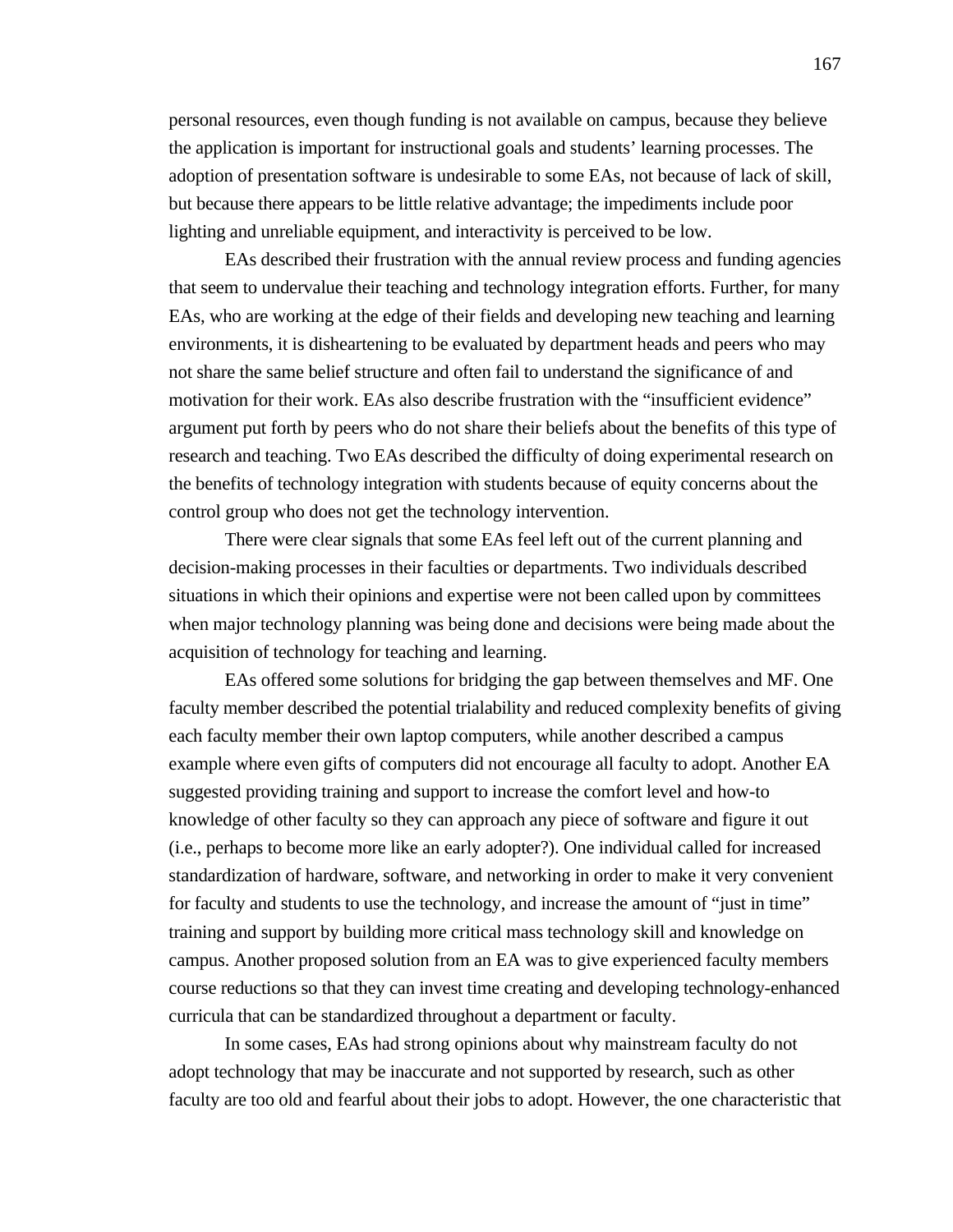personal resources, even though funding is not available on campus, because they believe the application is important for instructional goals and students' learning processes. The adoption of presentation software is undesirable to some EAs, not because of lack of skill, but because there appears to be little relative advantage; the impediments include poor lighting and unreliable equipment, and interactivity is perceived to be low.

EAs described their frustration with the annual review process and funding agencies that seem to undervalue their teaching and technology integration efforts. Further, for many EAs, who are working at the edge of their fields and developing new teaching and learning environments, it is disheartening to be evaluated by department heads and peers who may not share the same belief structure and often fail to understand the significance of and motivation for their work. EAs also describe frustration with the "insufficient evidence" argument put forth by peers who do not share their beliefs about the benefits of this type of research and teaching. Two EAs described the difficulty of doing experimental research on the benefits of technology integration with students because of equity concerns about the control group who does not get the technology intervention.

There were clear signals that some EAs feel left out of the current planning and decision-making processes in their faculties or departments. Two individuals described situations in which their opinions and expertise were not been called upon by committees when major technology planning was being done and decisions were being made about the acquisition of technology for teaching and learning.

EAs offered some solutions for bridging the gap between themselves and MF. One faculty member described the potential trialability and reduced complexity benefits of giving each faculty member their own laptop computers, while another described a campus example where even gifts of computers did not encourage all faculty to adopt. Another EA suggested providing training and support to increase the comfort level and how-to knowledge of other faculty so they can approach any piece of software and figure it out (i.e., perhaps to become more like an early adopter?). One individual called for increased standardization of hardware, software, and networking in order to make it very convenient for faculty and students to use the technology, and increase the amount of "just in time" training and support by building more critical mass technology skill and knowledge on campus. Another proposed solution from an EA was to give experienced faculty members course reductions so that they can invest time creating and developing technology-enhanced curricula that can be standardized throughout a department or faculty.

In some cases, EAs had strong opinions about why mainstream faculty do not adopt technology that may be inaccurate and not supported by research, such as other faculty are too old and fearful about their jobs to adopt. However, the one characteristic that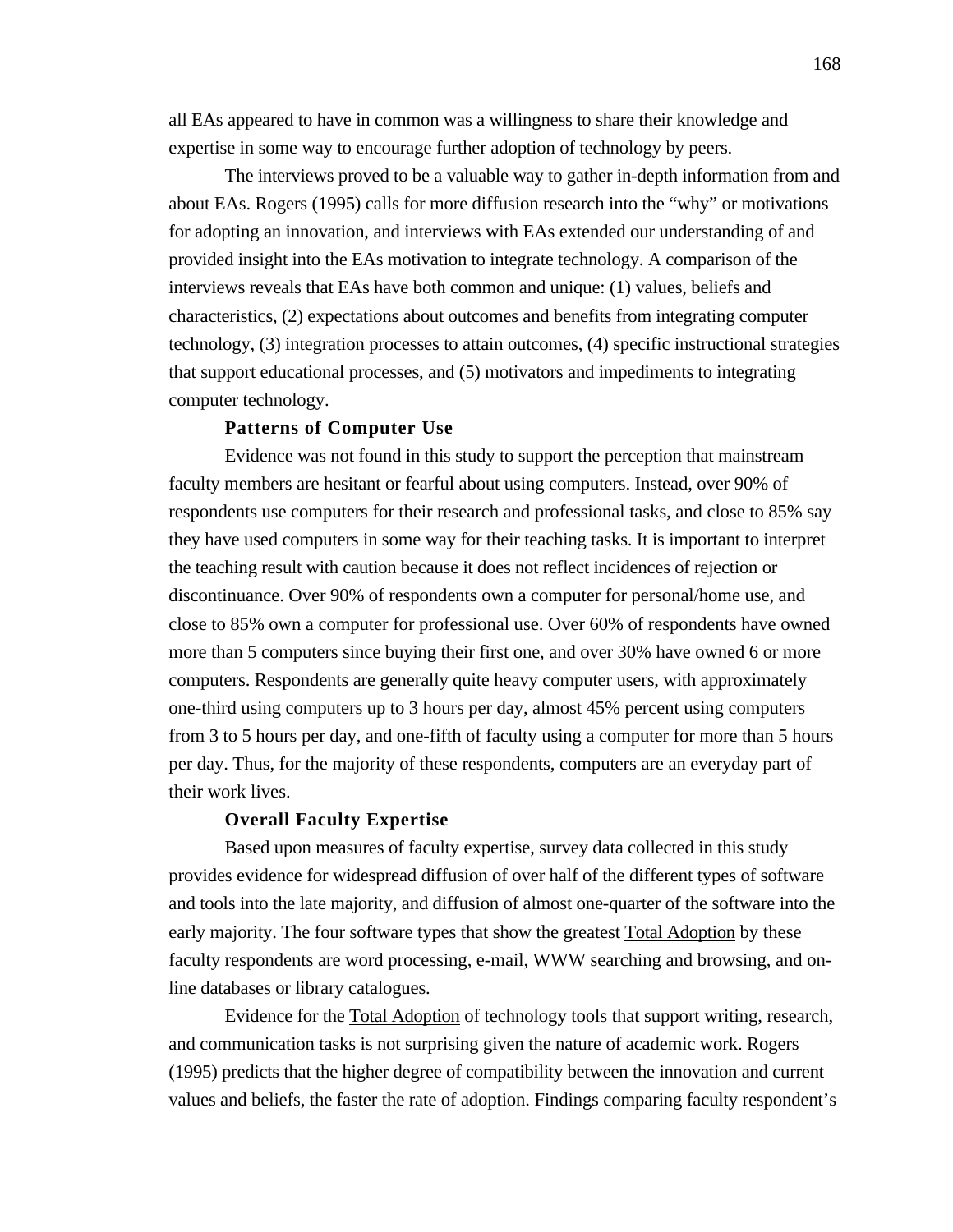all EAs appeared to have in common was a willingness to share their knowledge and expertise in some way to encourage further adoption of technology by peers.

The interviews proved to be a valuable way to gather in-depth information from and about EAs. Rogers (1995) calls for more diffusion research into the "why" or motivations for adopting an innovation, and interviews with EAs extended our understanding of and provided insight into the EAs motivation to integrate technology. A comparison of the interviews reveals that EAs have both common and unique: (1) values, beliefs and characteristics, (2) expectations about outcomes and benefits from integrating computer technology, (3) integration processes to attain outcomes, (4) specific instructional strategies that support educational processes, and (5) motivators and impediments to integrating computer technology.

## **Patterns of Computer Use**

Evidence was not found in this study to support the perception that mainstream faculty members are hesitant or fearful about using computers. Instead, over 90% of respondents use computers for their research and professional tasks, and close to 85% say they have used computers in some way for their teaching tasks. It is important to interpret the teaching result with caution because it does not reflect incidences of rejection or discontinuance. Over 90% of respondents own a computer for personal/home use, and close to 85% own a computer for professional use. Over 60% of respondents have owned more than 5 computers since buying their first one, and over 30% have owned 6 or more computers. Respondents are generally quite heavy computer users, with approximately one-third using computers up to 3 hours per day, almost 45% percent using computers from 3 to 5 hours per day, and one-fifth of faculty using a computer for more than 5 hours per day. Thus, for the majority of these respondents, computers are an everyday part of their work lives.

# **Overall Faculty Expertise**

Based upon measures of faculty expertise, survey data collected in this study provides evidence for widespread diffusion of over half of the different types of software and tools into the late majority, and diffusion of almost one-quarter of the software into the early majority. The four software types that show the greatest Total Adoption by these faculty respondents are word processing, e-mail, WWW searching and browsing, and online databases or library catalogues.

Evidence for the Total Adoption of technology tools that support writing, research, and communication tasks is not surprising given the nature of academic work. Rogers (1995) predicts that the higher degree of compatibility between the innovation and current values and beliefs, the faster the rate of adoption. Findings comparing faculty respondent's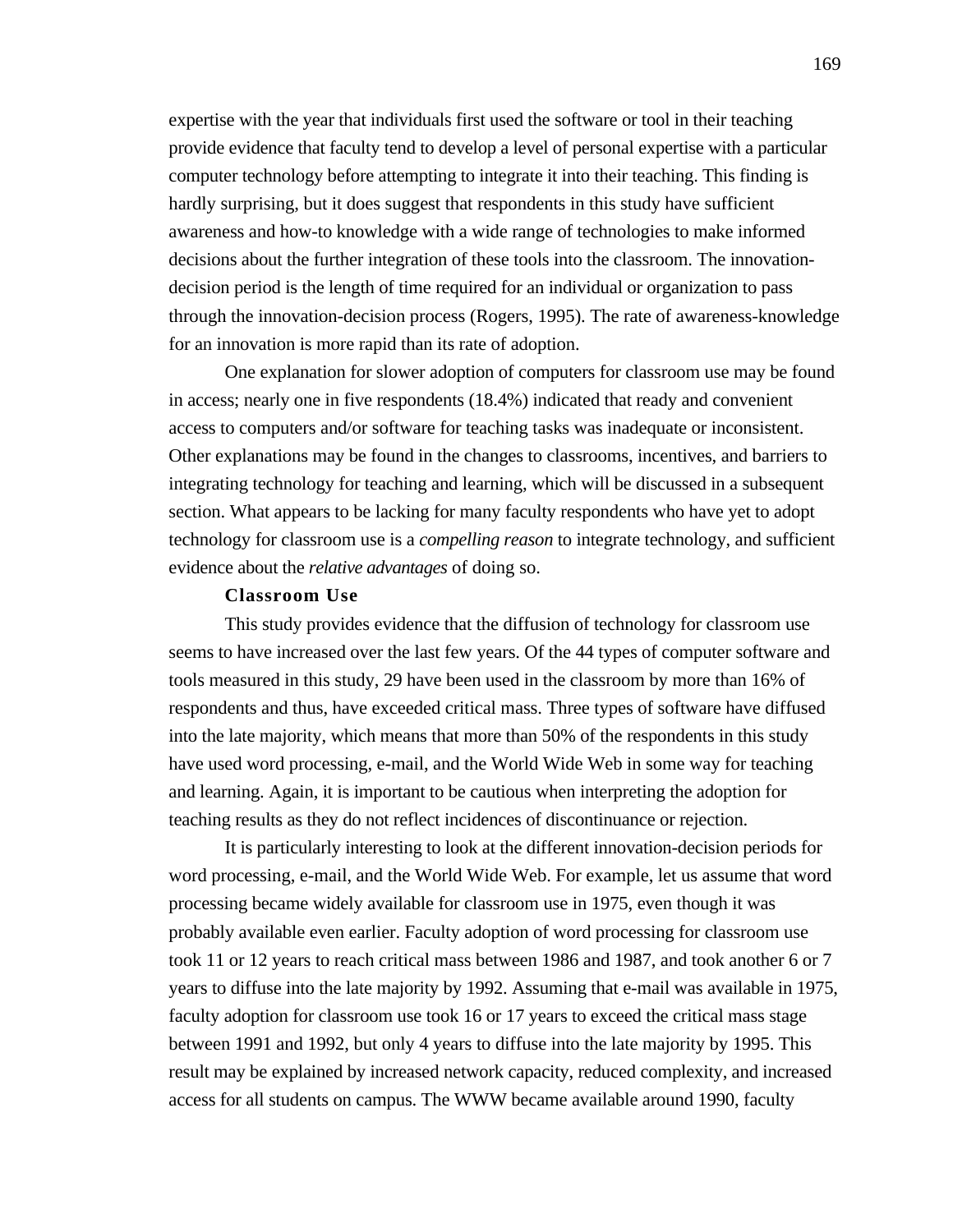expertise with the year that individuals first used the software or tool in their teaching provide evidence that faculty tend to develop a level of personal expertise with a particular computer technology before attempting to integrate it into their teaching. This finding is hardly surprising, but it does suggest that respondents in this study have sufficient awareness and how-to knowledge with a wide range of technologies to make informed decisions about the further integration of these tools into the classroom. The innovationdecision period is the length of time required for an individual or organization to pass through the innovation-decision process (Rogers, 1995). The rate of awareness-knowledge for an innovation is more rapid than its rate of adoption.

One explanation for slower adoption of computers for classroom use may be found in access; nearly one in five respondents (18.4%) indicated that ready and convenient access to computers and/or software for teaching tasks was inadequate or inconsistent. Other explanations may be found in the changes to classrooms, incentives, and barriers to integrating technology for teaching and learning, which will be discussed in a subsequent section. What appears to be lacking for many faculty respondents who have yet to adopt technology for classroom use is a *compelling reason* to integrate technology, and sufficient evidence about the *relative advantages* of doing so.

#### **Classroom Use**

This study provides evidence that the diffusion of technology for classroom use seems to have increased over the last few years. Of the 44 types of computer software and tools measured in this study, 29 have been used in the classroom by more than 16% of respondents and thus, have exceeded critical mass. Three types of software have diffused into the late majority, which means that more than 50% of the respondents in this study have used word processing, e-mail, and the World Wide Web in some way for teaching and learning. Again, it is important to be cautious when interpreting the adoption for teaching results as they do not reflect incidences of discontinuance or rejection.

It is particularly interesting to look at the different innovation-decision periods for word processing, e-mail, and the World Wide Web. For example, let us assume that word processing became widely available for classroom use in 1975, even though it was probably available even earlier. Faculty adoption of word processing for classroom use took 11 or 12 years to reach critical mass between 1986 and 1987, and took another 6 or 7 years to diffuse into the late majority by 1992. Assuming that e-mail was available in 1975, faculty adoption for classroom use took 16 or 17 years to exceed the critical mass stage between 1991 and 1992, but only 4 years to diffuse into the late majority by 1995. This result may be explained by increased network capacity, reduced complexity, and increased access for all students on campus. The WWW became available around 1990, faculty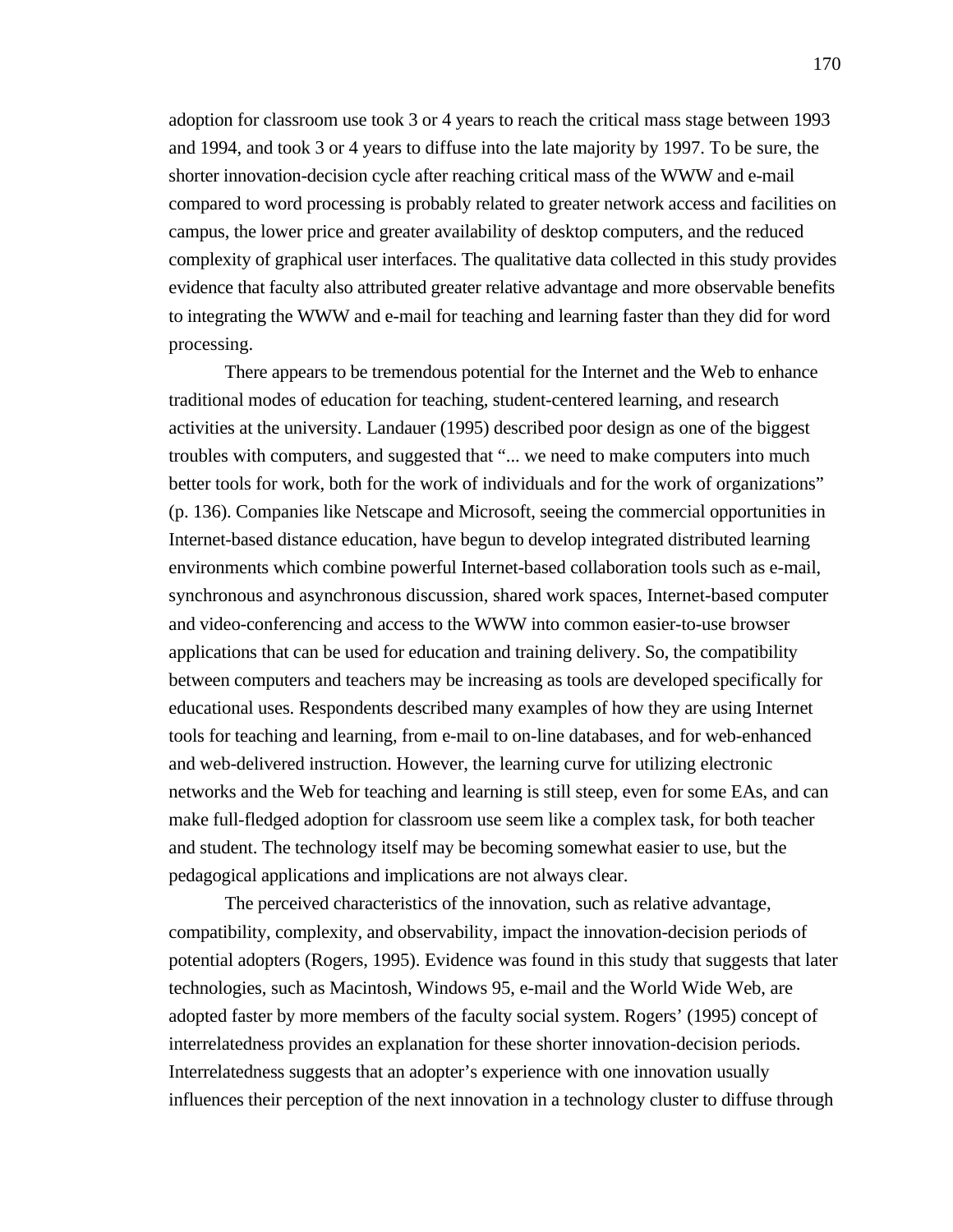adoption for classroom use took 3 or 4 years to reach the critical mass stage between 1993 and 1994, and took 3 or 4 years to diffuse into the late majority by 1997. To be sure, the shorter innovation-decision cycle after reaching critical mass of the WWW and e-mail compared to word processing is probably related to greater network access and facilities on campus, the lower price and greater availability of desktop computers, and the reduced complexity of graphical user interfaces. The qualitative data collected in this study provides evidence that faculty also attributed greater relative advantage and more observable benefits to integrating the WWW and e-mail for teaching and learning faster than they did for word processing.

There appears to be tremendous potential for the Internet and the Web to enhance traditional modes of education for teaching, student-centered learning, and research activities at the university. Landauer (1995) described poor design as one of the biggest troubles with computers, and suggested that "... we need to make computers into much better tools for work, both for the work of individuals and for the work of organizations" (p. 136). Companies like Netscape and Microsoft, seeing the commercial opportunities in Internet-based distance education, have begun to develop integrated distributed learning environments which combine powerful Internet-based collaboration tools such as e-mail, synchronous and asynchronous discussion, shared work spaces, Internet-based computer and video-conferencing and access to the WWW into common easier-to-use browser applications that can be used for education and training delivery. So, the compatibility between computers and teachers may be increasing as tools are developed specifically for educational uses. Respondents described many examples of how they are using Internet tools for teaching and learning, from e-mail to on-line databases, and for web-enhanced and web-delivered instruction. However, the learning curve for utilizing electronic networks and the Web for teaching and learning is still steep, even for some EAs, and can make full-fledged adoption for classroom use seem like a complex task, for both teacher and student. The technology itself may be becoming somewhat easier to use, but the pedagogical applications and implications are not always clear.

The perceived characteristics of the innovation, such as relative advantage, compatibility, complexity, and observability, impact the innovation-decision periods of potential adopters (Rogers, 1995). Evidence was found in this study that suggests that later technologies, such as Macintosh, Windows 95, e-mail and the World Wide Web, are adopted faster by more members of the faculty social system. Rogers' (1995) concept of interrelatedness provides an explanation for these shorter innovation-decision periods. Interrelatedness suggests that an adopter's experience with one innovation usually influences their perception of the next innovation in a technology cluster to diffuse through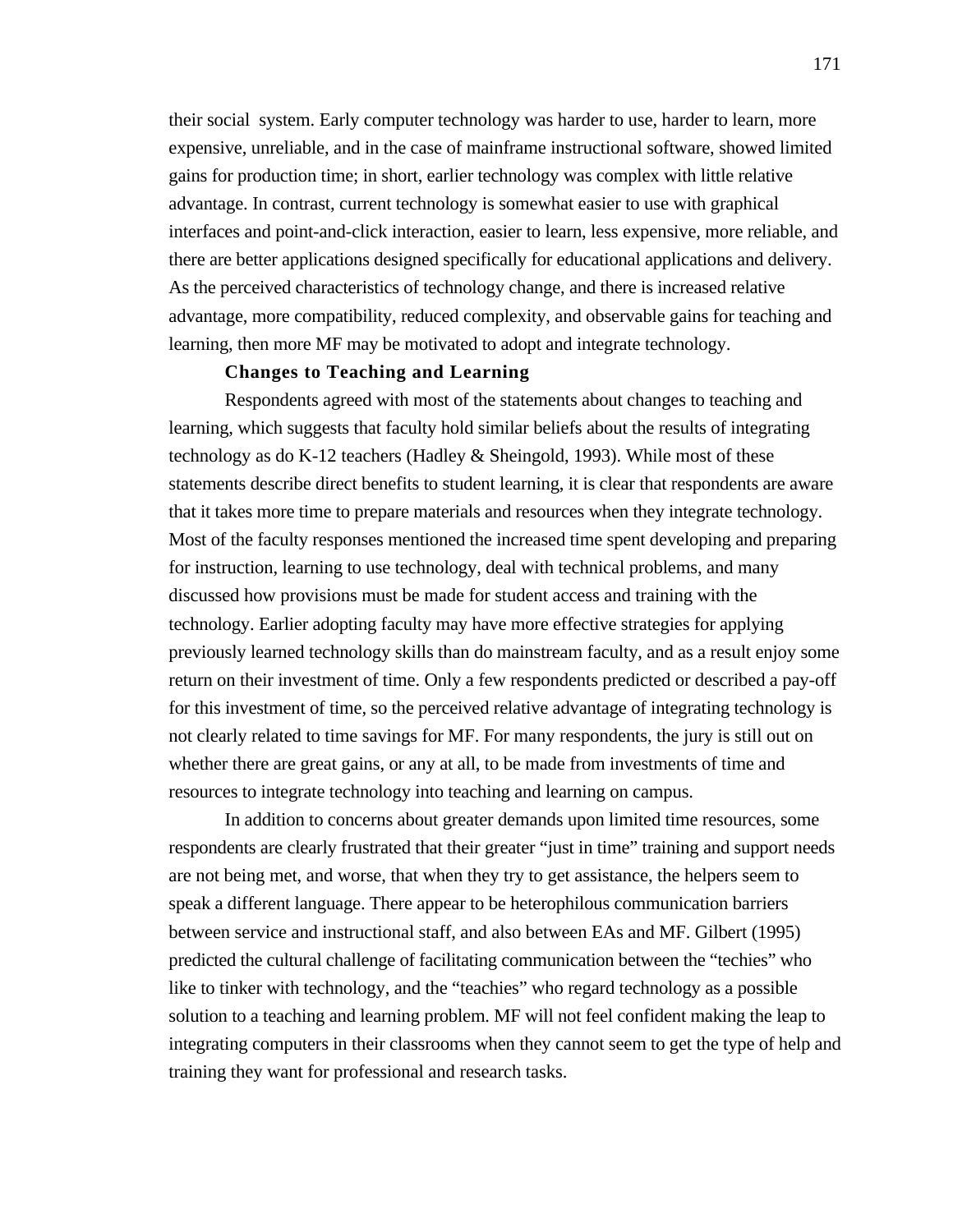their social system. Early computer technology was harder to use, harder to learn, more expensive, unreliable, and in the case of mainframe instructional software, showed limited gains for production time; in short, earlier technology was complex with little relative advantage. In contrast, current technology is somewhat easier to use with graphical interfaces and point-and-click interaction, easier to learn, less expensive, more reliable, and there are better applications designed specifically for educational applications and delivery. As the perceived characteristics of technology change, and there is increased relative advantage, more compatibility, reduced complexity, and observable gains for teaching and learning, then more MF may be motivated to adopt and integrate technology.

# **Changes to Teaching and Learning**

Respondents agreed with most of the statements about changes to teaching and learning, which suggests that faculty hold similar beliefs about the results of integrating technology as do K-12 teachers (Hadley & Sheingold, 1993). While most of these statements describe direct benefits to student learning, it is clear that respondents are aware that it takes more time to prepare materials and resources when they integrate technology. Most of the faculty responses mentioned the increased time spent developing and preparing for instruction, learning to use technology, deal with technical problems, and many discussed how provisions must be made for student access and training with the technology. Earlier adopting faculty may have more effective strategies for applying previously learned technology skills than do mainstream faculty, and as a result enjoy some return on their investment of time. Only a few respondents predicted or described a pay-off for this investment of time, so the perceived relative advantage of integrating technology is not clearly related to time savings for MF. For many respondents, the jury is still out on whether there are great gains, or any at all, to be made from investments of time and resources to integrate technology into teaching and learning on campus.

In addition to concerns about greater demands upon limited time resources, some respondents are clearly frustrated that their greater "just in time" training and support needs are not being met, and worse, that when they try to get assistance, the helpers seem to speak a different language. There appear to be heterophilous communication barriers between service and instructional staff, and also between EAs and MF. Gilbert (1995) predicted the cultural challenge of facilitating communication between the "techies" who like to tinker with technology, and the "teachies" who regard technology as a possible solution to a teaching and learning problem. MF will not feel confident making the leap to integrating computers in their classrooms when they cannot seem to get the type of help and training they want for professional and research tasks.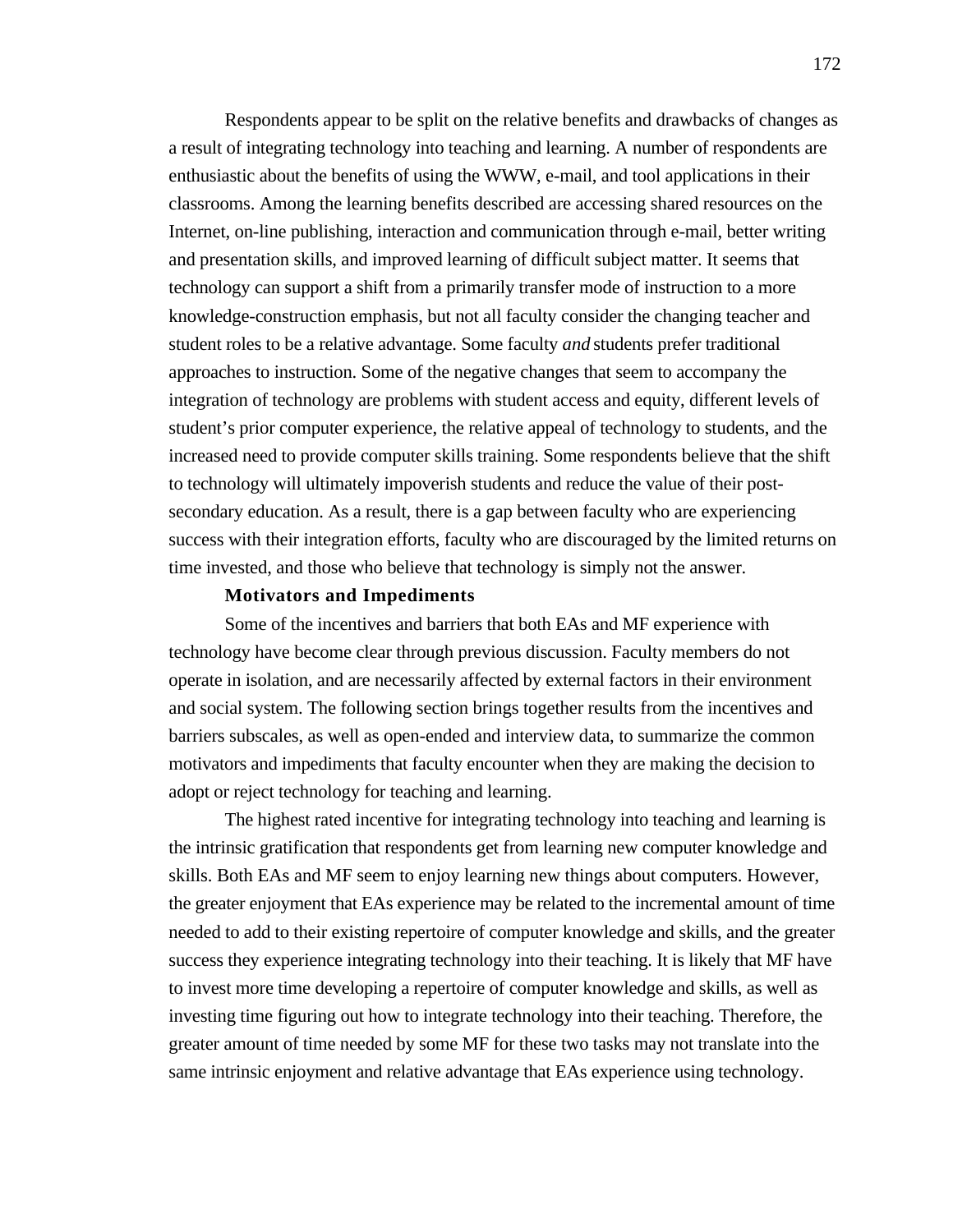Respondents appear to be split on the relative benefits and drawbacks of changes as a result of integrating technology into teaching and learning. A number of respondents are enthusiastic about the benefits of using the WWW, e-mail, and tool applications in their classrooms. Among the learning benefits described are accessing shared resources on the Internet, on-line publishing, interaction and communication through e-mail, better writing and presentation skills, and improved learning of difficult subject matter. It seems that technology can support a shift from a primarily transfer mode of instruction to a more knowledge-construction emphasis, but not all faculty consider the changing teacher and student roles to be a relative advantage. Some faculty *and* students prefer traditional approaches to instruction. Some of the negative changes that seem to accompany the integration of technology are problems with student access and equity, different levels of student's prior computer experience, the relative appeal of technology to students, and the increased need to provide computer skills training. Some respondents believe that the shift to technology will ultimately impoverish students and reduce the value of their postsecondary education. As a result, there is a gap between faculty who are experiencing success with their integration efforts, faculty who are discouraged by the limited returns on time invested, and those who believe that technology is simply not the answer.

#### **Motivators and Impediments**

Some of the incentives and barriers that both EAs and MF experience with technology have become clear through previous discussion. Faculty members do not operate in isolation, and are necessarily affected by external factors in their environment and social system. The following section brings together results from the incentives and barriers subscales, as well as open-ended and interview data, to summarize the common motivators and impediments that faculty encounter when they are making the decision to adopt or reject technology for teaching and learning.

The highest rated incentive for integrating technology into teaching and learning is the intrinsic gratification that respondents get from learning new computer knowledge and skills. Both EAs and MF seem to enjoy learning new things about computers. However, the greater enjoyment that EAs experience may be related to the incremental amount of time needed to add to their existing repertoire of computer knowledge and skills, and the greater success they experience integrating technology into their teaching. It is likely that MF have to invest more time developing a repertoire of computer knowledge and skills, as well as investing time figuring out how to integrate technology into their teaching. Therefore, the greater amount of time needed by some MF for these two tasks may not translate into the same intrinsic enjoyment and relative advantage that EAs experience using technology.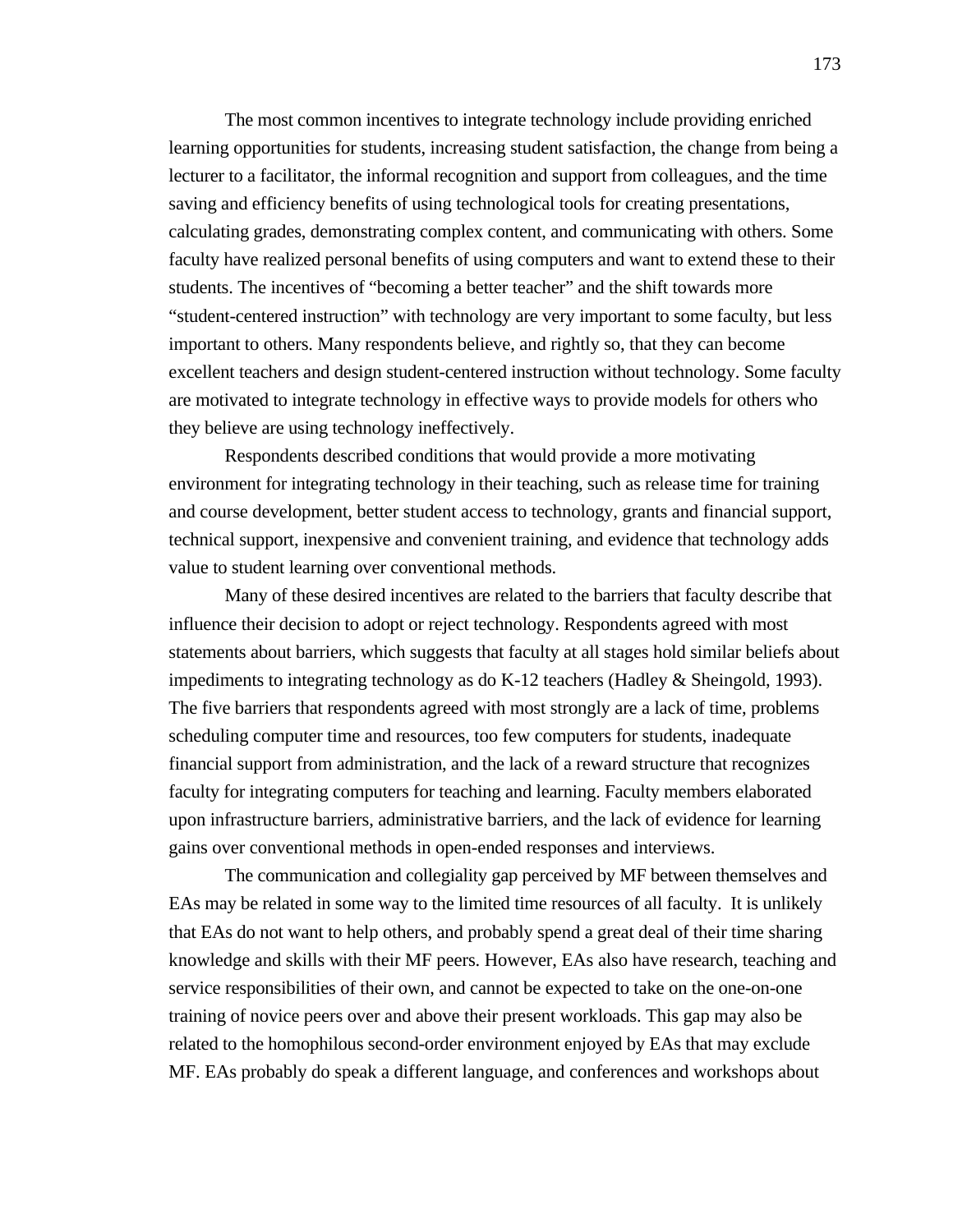The most common incentives to integrate technology include providing enriched learning opportunities for students, increasing student satisfaction, the change from being a lecturer to a facilitator, the informal recognition and support from colleagues, and the time saving and efficiency benefits of using technological tools for creating presentations, calculating grades, demonstrating complex content, and communicating with others. Some faculty have realized personal benefits of using computers and want to extend these to their students. The incentives of "becoming a better teacher" and the shift towards more "student-centered instruction" with technology are very important to some faculty, but less important to others. Many respondents believe, and rightly so, that they can become excellent teachers and design student-centered instruction without technology. Some faculty are motivated to integrate technology in effective ways to provide models for others who they believe are using technology ineffectively.

Respondents described conditions that would provide a more motivating environment for integrating technology in their teaching, such as release time for training and course development, better student access to technology, grants and financial support, technical support, inexpensive and convenient training, and evidence that technology adds value to student learning over conventional methods.

Many of these desired incentives are related to the barriers that faculty describe that influence their decision to adopt or reject technology. Respondents agreed with most statements about barriers, which suggests that faculty at all stages hold similar beliefs about impediments to integrating technology as do K-12 teachers (Hadley & Sheingold, 1993). The five barriers that respondents agreed with most strongly are a lack of time, problems scheduling computer time and resources, too few computers for students, inadequate financial support from administration, and the lack of a reward structure that recognizes faculty for integrating computers for teaching and learning. Faculty members elaborated upon infrastructure barriers, administrative barriers, and the lack of evidence for learning gains over conventional methods in open-ended responses and interviews.

The communication and collegiality gap perceived by MF between themselves and EAs may be related in some way to the limited time resources of all faculty. It is unlikely that EAs do not want to help others, and probably spend a great deal of their time sharing knowledge and skills with their MF peers. However, EAs also have research, teaching and service responsibilities of their own, and cannot be expected to take on the one-on-one training of novice peers over and above their present workloads. This gap may also be related to the homophilous second-order environment enjoyed by EAs that may exclude MF. EAs probably do speak a different language, and conferences and workshops about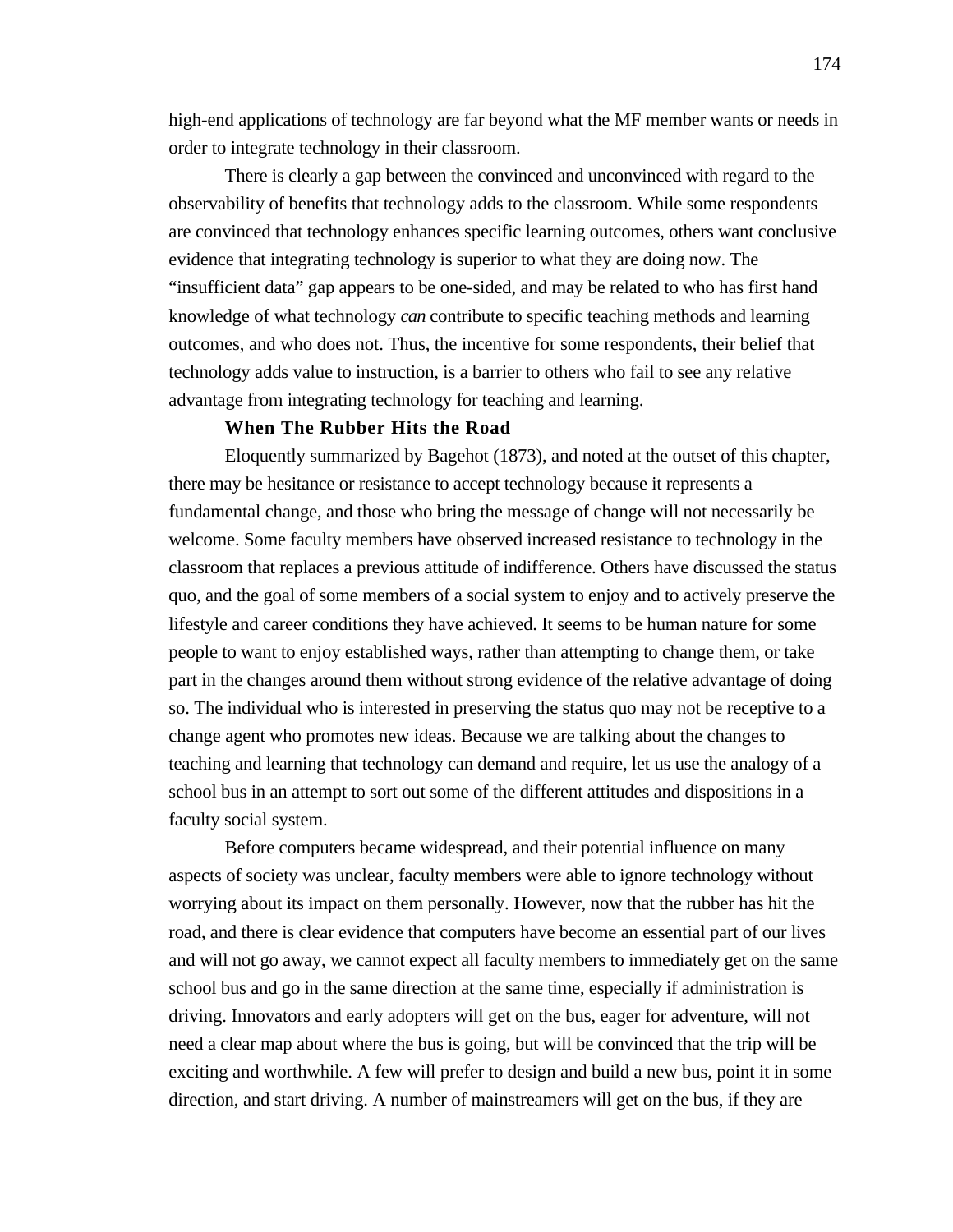high-end applications of technology are far beyond what the MF member wants or needs in order to integrate technology in their classroom.

There is clearly a gap between the convinced and unconvinced with regard to the observability of benefits that technology adds to the classroom. While some respondents are convinced that technology enhances specific learning outcomes, others want conclusive evidence that integrating technology is superior to what they are doing now. The "insufficient data" gap appears to be one-sided, and may be related to who has first hand knowledge of what technology *can* contribute to specific teaching methods and learning outcomes, and who does not. Thus, the incentive for some respondents, their belief that technology adds value to instruction, is a barrier to others who fail to see any relative advantage from integrating technology for teaching and learning.

## **When The Rubber Hits the Road**

Eloquently summarized by Bagehot (1873), and noted at the outset of this chapter, there may be hesitance or resistance to accept technology because it represents a fundamental change, and those who bring the message of change will not necessarily be welcome. Some faculty members have observed increased resistance to technology in the classroom that replaces a previous attitude of indifference. Others have discussed the status quo, and the goal of some members of a social system to enjoy and to actively preserve the lifestyle and career conditions they have achieved. It seems to be human nature for some people to want to enjoy established ways, rather than attempting to change them, or take part in the changes around them without strong evidence of the relative advantage of doing so. The individual who is interested in preserving the status quo may not be receptive to a change agent who promotes new ideas. Because we are talking about the changes to teaching and learning that technology can demand and require, let us use the analogy of a school bus in an attempt to sort out some of the different attitudes and dispositions in a faculty social system.

Before computers became widespread, and their potential influence on many aspects of society was unclear, faculty members were able to ignore technology without worrying about its impact on them personally. However, now that the rubber has hit the road, and there is clear evidence that computers have become an essential part of our lives and will not go away, we cannot expect all faculty members to immediately get on the same school bus and go in the same direction at the same time, especially if administration is driving. Innovators and early adopters will get on the bus, eager for adventure, will not need a clear map about where the bus is going, but will be convinced that the trip will be exciting and worthwhile. A few will prefer to design and build a new bus, point it in some direction, and start driving. A number of mainstreamers will get on the bus, if they are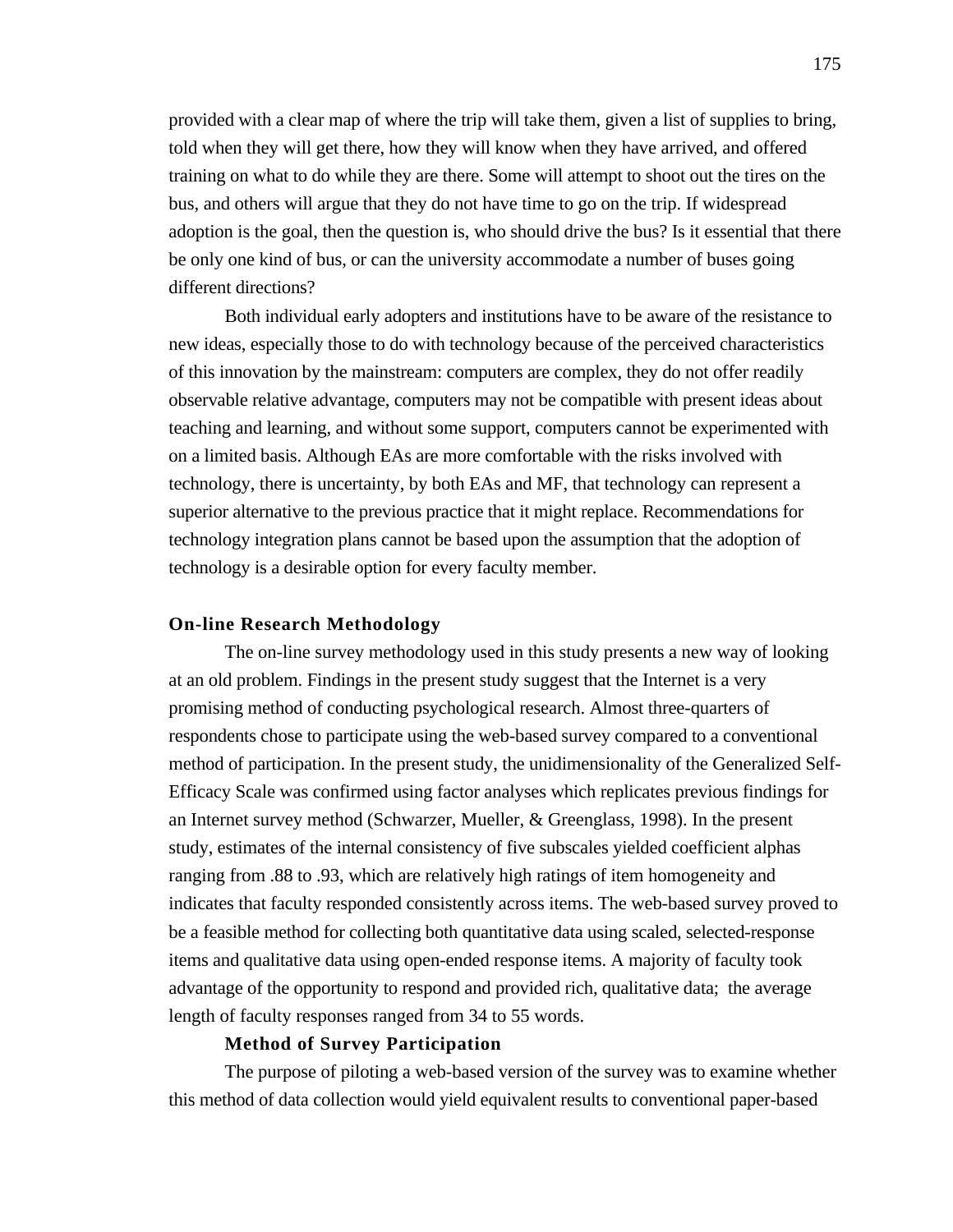provided with a clear map of where the trip will take them, given a list of supplies to bring, told when they will get there, how they will know when they have arrived, and offered training on what to do while they are there. Some will attempt to shoot out the tires on the bus, and others will argue that they do not have time to go on the trip. If widespread adoption is the goal, then the question is, who should drive the bus? Is it essential that there be only one kind of bus, or can the university accommodate a number of buses going different directions?

Both individual early adopters and institutions have to be aware of the resistance to new ideas, especially those to do with technology because of the perceived characteristics of this innovation by the mainstream: computers are complex, they do not offer readily observable relative advantage, computers may not be compatible with present ideas about teaching and learning, and without some support, computers cannot be experimented with on a limited basis. Although EAs are more comfortable with the risks involved with technology, there is uncertainty, by both EAs and MF, that technology can represent a superior alternative to the previous practice that it might replace. Recommendations for technology integration plans cannot be based upon the assumption that the adoption of technology is a desirable option for every faculty member.

#### **On-line Research Methodology**

The on-line survey methodology used in this study presents a new way of looking at an old problem. Findings in the present study suggest that the Internet is a very promising method of conducting psychological research. Almost three-quarters of respondents chose to participate using the web-based survey compared to a conventional method of participation. In the present study, the unidimensionality of the Generalized Self-Efficacy Scale was confirmed using factor analyses which replicates previous findings for an Internet survey method (Schwarzer, Mueller, & Greenglass, 1998). In the present study, estimates of the internal consistency of five subscales yielded coefficient alphas ranging from .88 to .93, which are relatively high ratings of item homogeneity and indicates that faculty responded consistently across items. The web-based survey proved to be a feasible method for collecting both quantitative data using scaled, selected-response items and qualitative data using open-ended response items. A majority of faculty took advantage of the opportunity to respond and provided rich, qualitative data; the average length of faculty responses ranged from 34 to 55 words.

# **Method of Survey Participation**

The purpose of piloting a web-based version of the survey was to examine whether this method of data collection would yield equivalent results to conventional paper-based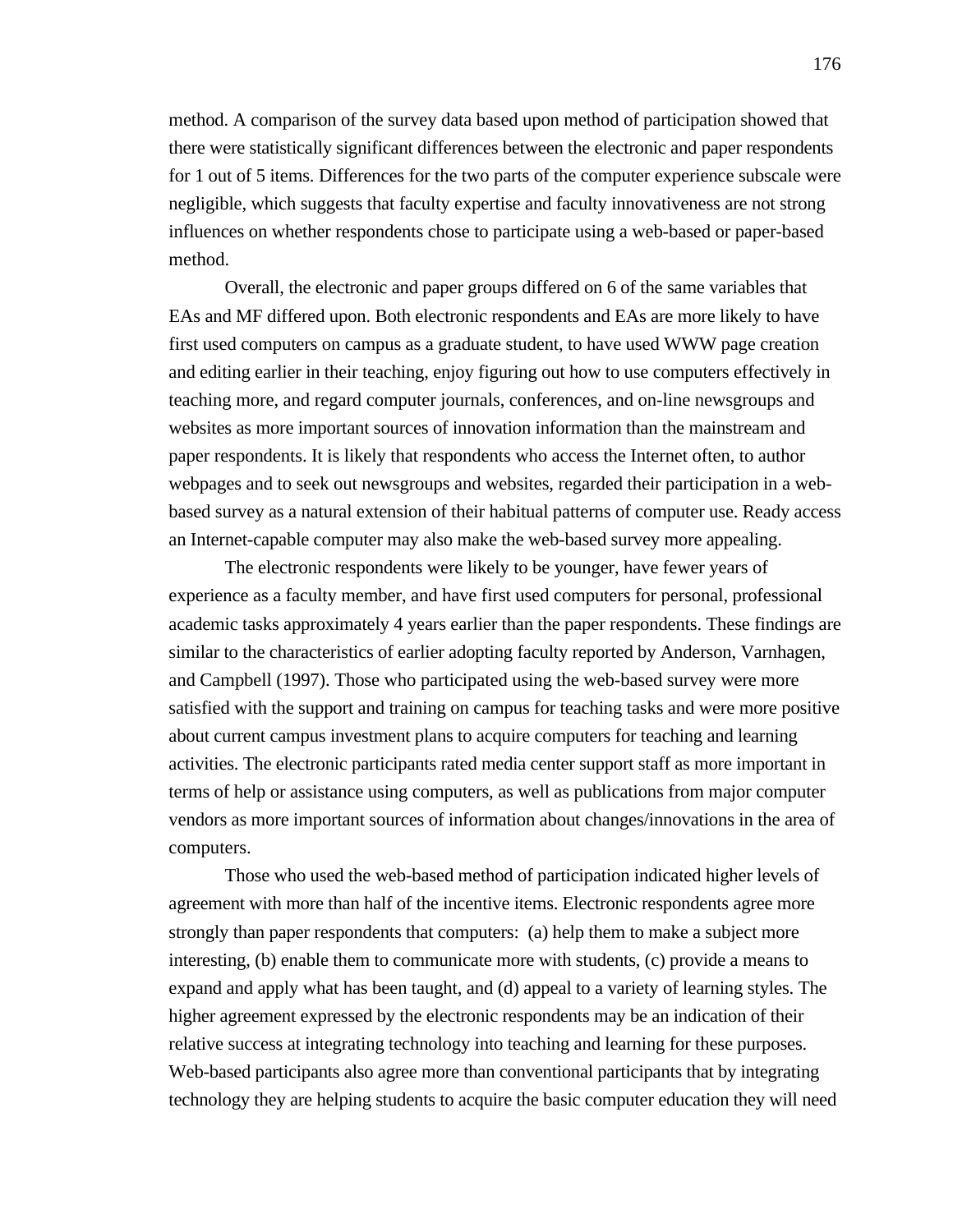method. A comparison of the survey data based upon method of participation showed that there were statistically significant differences between the electronic and paper respondents for 1 out of 5 items. Differences for the two parts of the computer experience subscale were negligible, which suggests that faculty expertise and faculty innovativeness are not strong influences on whether respondents chose to participate using a web-based or paper-based method.

Overall, the electronic and paper groups differed on 6 of the same variables that EAs and MF differed upon. Both electronic respondents and EAs are more likely to have first used computers on campus as a graduate student, to have used WWW page creation and editing earlier in their teaching, enjoy figuring out how to use computers effectively in teaching more, and regard computer journals, conferences, and on-line newsgroups and websites as more important sources of innovation information than the mainstream and paper respondents. It is likely that respondents who access the Internet often, to author webpages and to seek out newsgroups and websites, regarded their participation in a webbased survey as a natural extension of their habitual patterns of computer use. Ready access an Internet-capable computer may also make the web-based survey more appealing.

The electronic respondents were likely to be younger, have fewer years of experience as a faculty member, and have first used computers for personal, professional academic tasks approximately 4 years earlier than the paper respondents. These findings are similar to the characteristics of earlier adopting faculty reported by Anderson, Varnhagen, and Campbell (1997). Those who participated using the web-based survey were more satisfied with the support and training on campus for teaching tasks and were more positive about current campus investment plans to acquire computers for teaching and learning activities. The electronic participants rated media center support staff as more important in terms of help or assistance using computers, as well as publications from major computer vendors as more important sources of information about changes/innovations in the area of computers.

Those who used the web-based method of participation indicated higher levels of agreement with more than half of the incentive items. Electronic respondents agree more strongly than paper respondents that computers: (a) help them to make a subject more interesting, (b) enable them to communicate more with students, (c) provide a means to expand and apply what has been taught, and (d) appeal to a variety of learning styles. The higher agreement expressed by the electronic respondents may be an indication of their relative success at integrating technology into teaching and learning for these purposes. Web-based participants also agree more than conventional participants that by integrating technology they are helping students to acquire the basic computer education they will need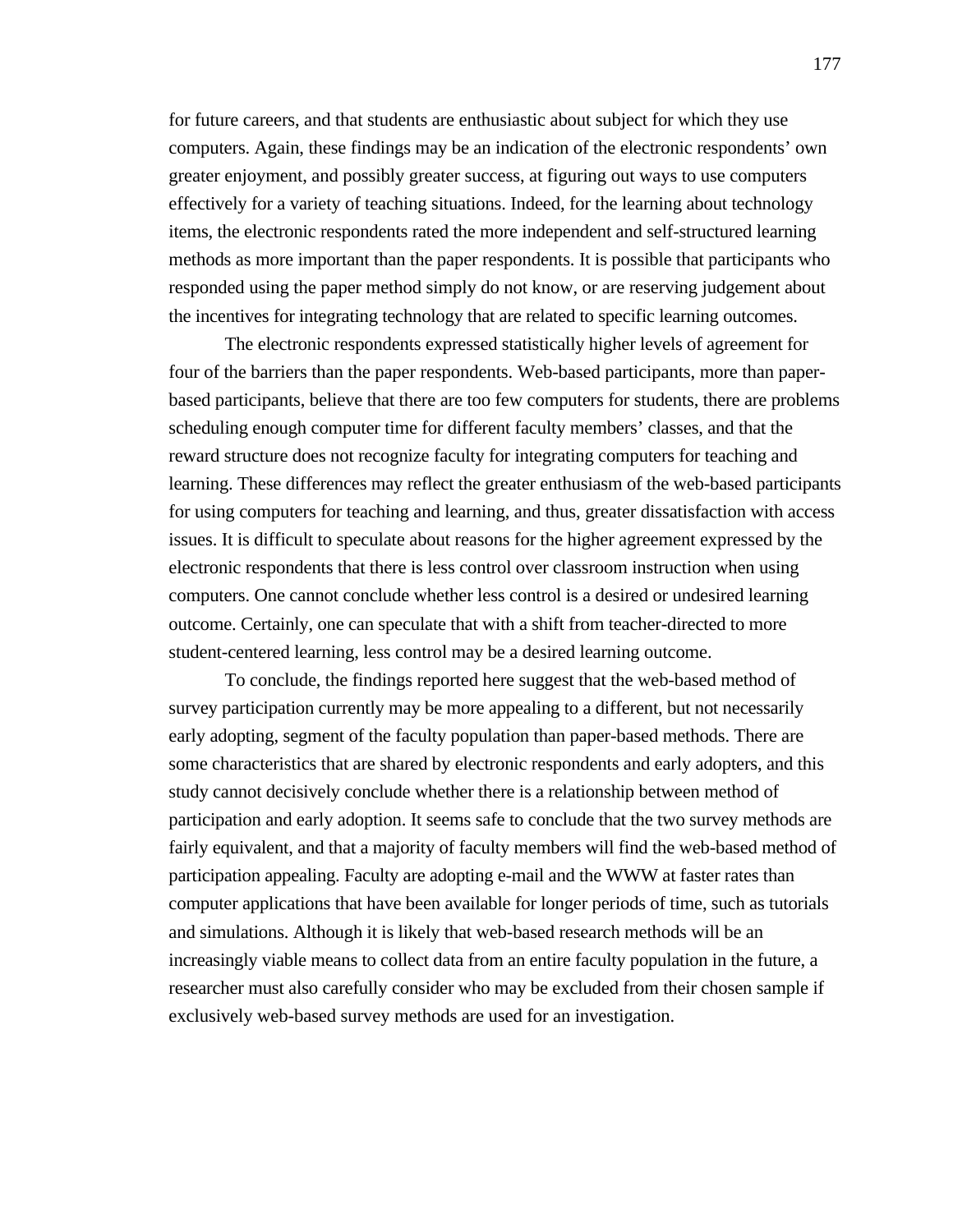for future careers, and that students are enthusiastic about subject for which they use computers. Again, these findings may be an indication of the electronic respondents' own greater enjoyment, and possibly greater success, at figuring out ways to use computers effectively for a variety of teaching situations. Indeed, for the learning about technology items, the electronic respondents rated the more independent and self-structured learning methods as more important than the paper respondents. It is possible that participants who responded using the paper method simply do not know, or are reserving judgement about the incentives for integrating technology that are related to specific learning outcomes.

The electronic respondents expressed statistically higher levels of agreement for four of the barriers than the paper respondents. Web-based participants, more than paperbased participants, believe that there are too few computers for students, there are problems scheduling enough computer time for different faculty members' classes, and that the reward structure does not recognize faculty for integrating computers for teaching and learning. These differences may reflect the greater enthusiasm of the web-based participants for using computers for teaching and learning, and thus, greater dissatisfaction with access issues. It is difficult to speculate about reasons for the higher agreement expressed by the electronic respondents that there is less control over classroom instruction when using computers. One cannot conclude whether less control is a desired or undesired learning outcome. Certainly, one can speculate that with a shift from teacher-directed to more student-centered learning, less control may be a desired learning outcome.

To conclude, the findings reported here suggest that the web-based method of survey participation currently may be more appealing to a different, but not necessarily early adopting, segment of the faculty population than paper-based methods. There are some characteristics that are shared by electronic respondents and early adopters, and this study cannot decisively conclude whether there is a relationship between method of participation and early adoption. It seems safe to conclude that the two survey methods are fairly equivalent, and that a majority of faculty members will find the web-based method of participation appealing. Faculty are adopting e-mail and the WWW at faster rates than computer applications that have been available for longer periods of time, such as tutorials and simulations. Although it is likely that web-based research methods will be an increasingly viable means to collect data from an entire faculty population in the future, a researcher must also carefully consider who may be excluded from their chosen sample if exclusively web-based survey methods are used for an investigation.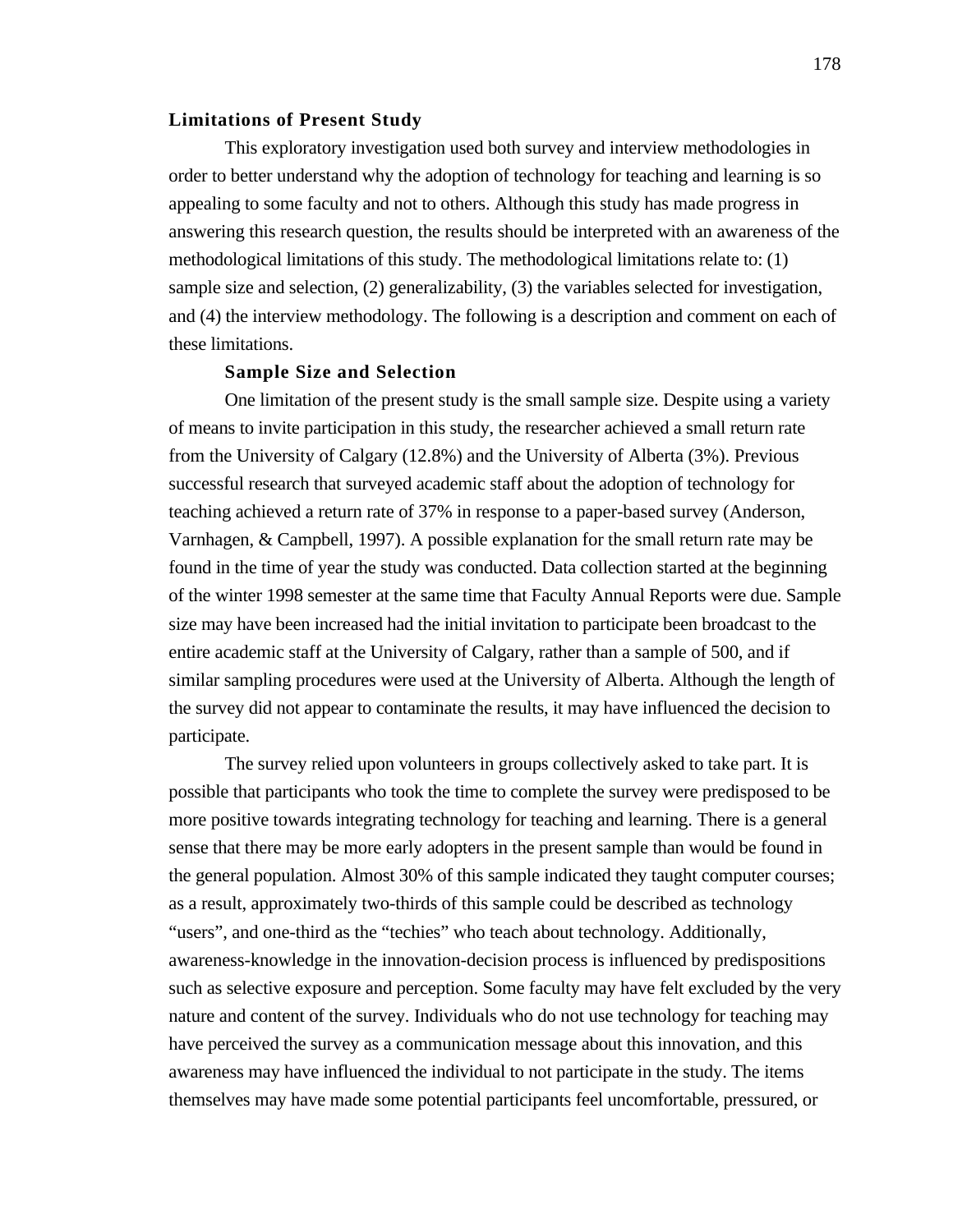## **Limitations of Present Study**

This exploratory investigation used both survey and interview methodologies in order to better understand why the adoption of technology for teaching and learning is so appealing to some faculty and not to others. Although this study has made progress in answering this research question, the results should be interpreted with an awareness of the methodological limitations of this study. The methodological limitations relate to: (1) sample size and selection, (2) generalizability, (3) the variables selected for investigation, and (4) the interview methodology. The following is a description and comment on each of these limitations.

# **Sample Size and Selection**

One limitation of the present study is the small sample size. Despite using a variety of means to invite participation in this study, the researcher achieved a small return rate from the University of Calgary (12.8%) and the University of Alberta (3%). Previous successful research that surveyed academic staff about the adoption of technology for teaching achieved a return rate of 37% in response to a paper-based survey (Anderson, Varnhagen, & Campbell, 1997). A possible explanation for the small return rate may be found in the time of year the study was conducted. Data collection started at the beginning of the winter 1998 semester at the same time that Faculty Annual Reports were due. Sample size may have been increased had the initial invitation to participate been broadcast to the entire academic staff at the University of Calgary, rather than a sample of 500, and if similar sampling procedures were used at the University of Alberta. Although the length of the survey did not appear to contaminate the results, it may have influenced the decision to participate.

The survey relied upon volunteers in groups collectively asked to take part. It is possible that participants who took the time to complete the survey were predisposed to be more positive towards integrating technology for teaching and learning. There is a general sense that there may be more early adopters in the present sample than would be found in the general population. Almost 30% of this sample indicated they taught computer courses; as a result, approximately two-thirds of this sample could be described as technology "users", and one-third as the "techies" who teach about technology. Additionally, awareness-knowledge in the innovation-decision process is influenced by predispositions such as selective exposure and perception. Some faculty may have felt excluded by the very nature and content of the survey. Individuals who do not use technology for teaching may have perceived the survey as a communication message about this innovation, and this awareness may have influenced the individual to not participate in the study. The items themselves may have made some potential participants feel uncomfortable, pressured, or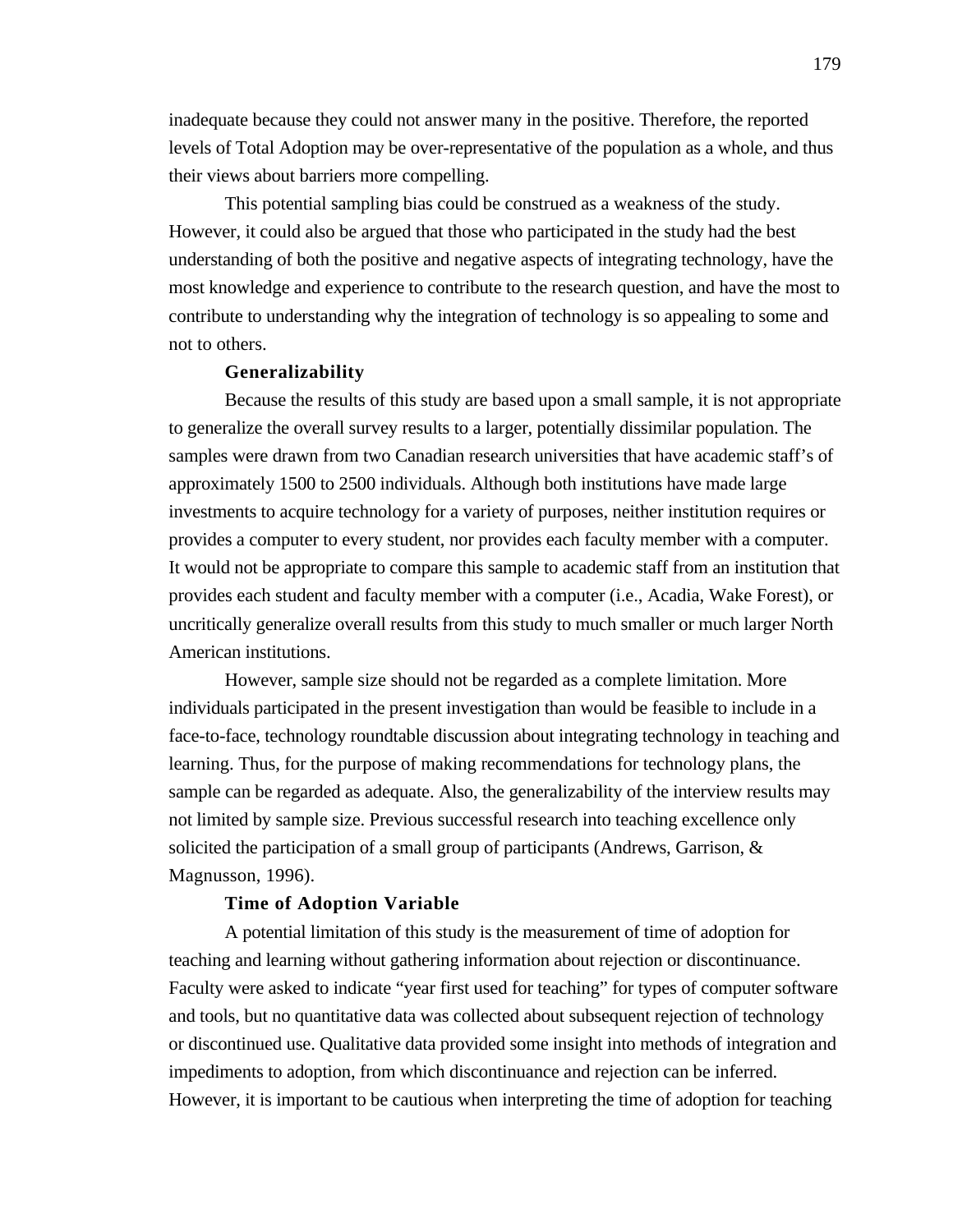inadequate because they could not answer many in the positive. Therefore, the reported levels of Total Adoption may be over-representative of the population as a whole, and thus their views about barriers more compelling.

This potential sampling bias could be construed as a weakness of the study. However, it could also be argued that those who participated in the study had the best understanding of both the positive and negative aspects of integrating technology, have the most knowledge and experience to contribute to the research question, and have the most to contribute to understanding why the integration of technology is so appealing to some and not to others.

#### **Generalizability**

Because the results of this study are based upon a small sample, it is not appropriate to generalize the overall survey results to a larger, potentially dissimilar population. The samples were drawn from two Canadian research universities that have academic staff's of approximately 1500 to 2500 individuals. Although both institutions have made large investments to acquire technology for a variety of purposes, neither institution requires or provides a computer to every student, nor provides each faculty member with a computer. It would not be appropriate to compare this sample to academic staff from an institution that provides each student and faculty member with a computer (i.e., Acadia, Wake Forest), or uncritically generalize overall results from this study to much smaller or much larger North American institutions.

However, sample size should not be regarded as a complete limitation. More individuals participated in the present investigation than would be feasible to include in a face-to-face, technology roundtable discussion about integrating technology in teaching and learning. Thus, for the purpose of making recommendations for technology plans, the sample can be regarded as adequate. Also, the generalizability of the interview results may not limited by sample size. Previous successful research into teaching excellence only solicited the participation of a small group of participants (Andrews, Garrison, & Magnusson, 1996).

#### **Time of Adoption Variable**

A potential limitation of this study is the measurement of time of adoption for teaching and learning without gathering information about rejection or discontinuance. Faculty were asked to indicate "year first used for teaching" for types of computer software and tools, but no quantitative data was collected about subsequent rejection of technology or discontinued use. Qualitative data provided some insight into methods of integration and impediments to adoption, from which discontinuance and rejection can be inferred. However, it is important to be cautious when interpreting the time of adoption for teaching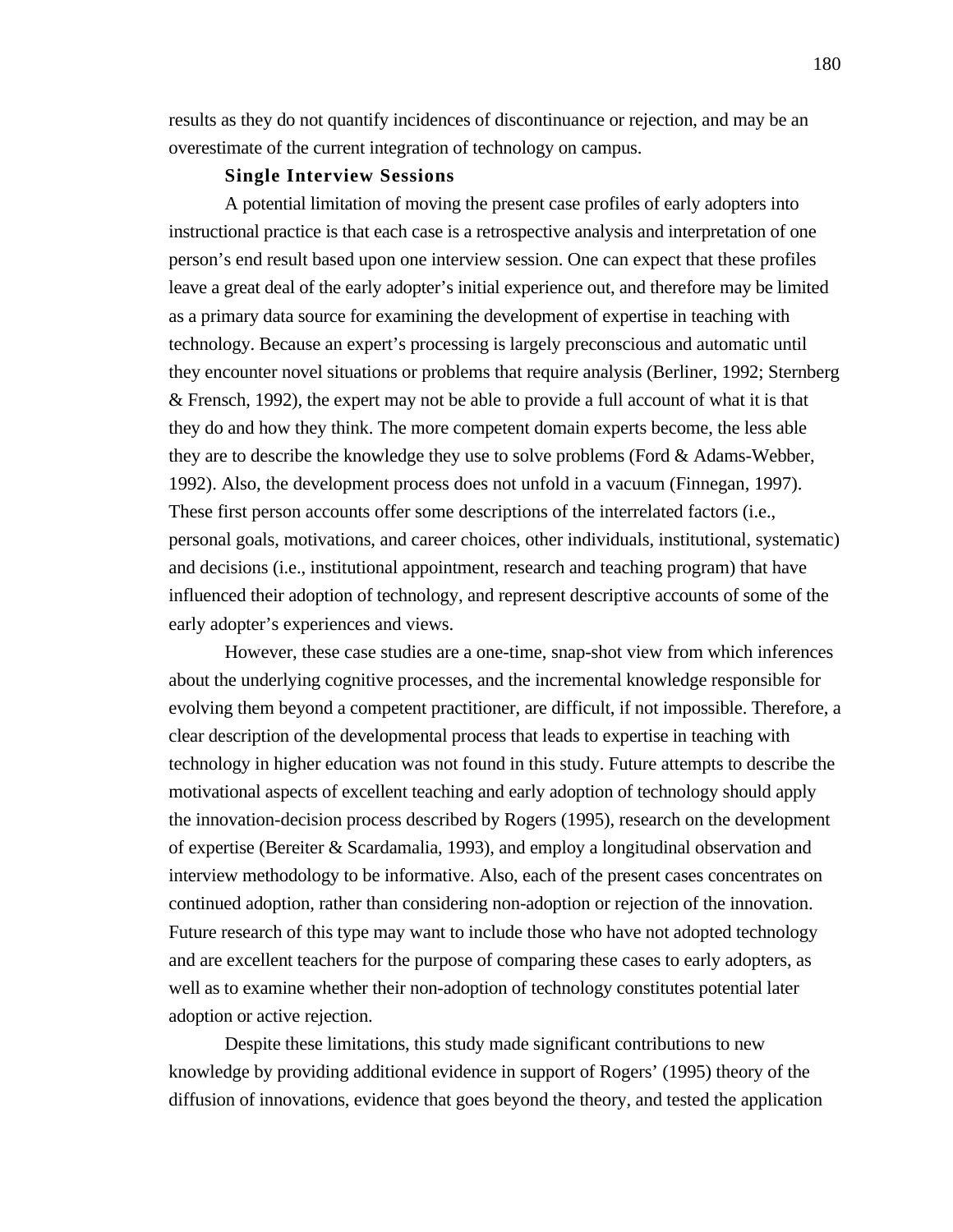results as they do not quantify incidences of discontinuance or rejection, and may be an overestimate of the current integration of technology on campus.

#### **Single Interview Sessions**

A potential limitation of moving the present case profiles of early adopters into instructional practice is that each case is a retrospective analysis and interpretation of one person's end result based upon one interview session. One can expect that these profiles leave a great deal of the early adopter's initial experience out, and therefore may be limited as a primary data source for examining the development of expertise in teaching with technology. Because an expert's processing is largely preconscious and automatic until they encounter novel situations or problems that require analysis (Berliner, 1992; Sternberg & Frensch, 1992), the expert may not be able to provide a full account of what it is that they do and how they think. The more competent domain experts become, the less able they are to describe the knowledge they use to solve problems (Ford & Adams-Webber, 1992). Also, the development process does not unfold in a vacuum (Finnegan, 1997). These first person accounts offer some descriptions of the interrelated factors (i.e., personal goals, motivations, and career choices, other individuals, institutional, systematic) and decisions (i.e., institutional appointment, research and teaching program) that have influenced their adoption of technology, and represent descriptive accounts of some of the early adopter's experiences and views.

However, these case studies are a one-time, snap-shot view from which inferences about the underlying cognitive processes, and the incremental knowledge responsible for evolving them beyond a competent practitioner, are difficult, if not impossible. Therefore, a clear description of the developmental process that leads to expertise in teaching with technology in higher education was not found in this study. Future attempts to describe the motivational aspects of excellent teaching and early adoption of technology should apply the innovation-decision process described by Rogers (1995), research on the development of expertise (Bereiter & Scardamalia, 1993), and employ a longitudinal observation and interview methodology to be informative. Also, each of the present cases concentrates on continued adoption, rather than considering non-adoption or rejection of the innovation. Future research of this type may want to include those who have not adopted technology and are excellent teachers for the purpose of comparing these cases to early adopters, as well as to examine whether their non-adoption of technology constitutes potential later adoption or active rejection.

Despite these limitations, this study made significant contributions to new knowledge by providing additional evidence in support of Rogers' (1995) theory of the diffusion of innovations, evidence that goes beyond the theory, and tested the application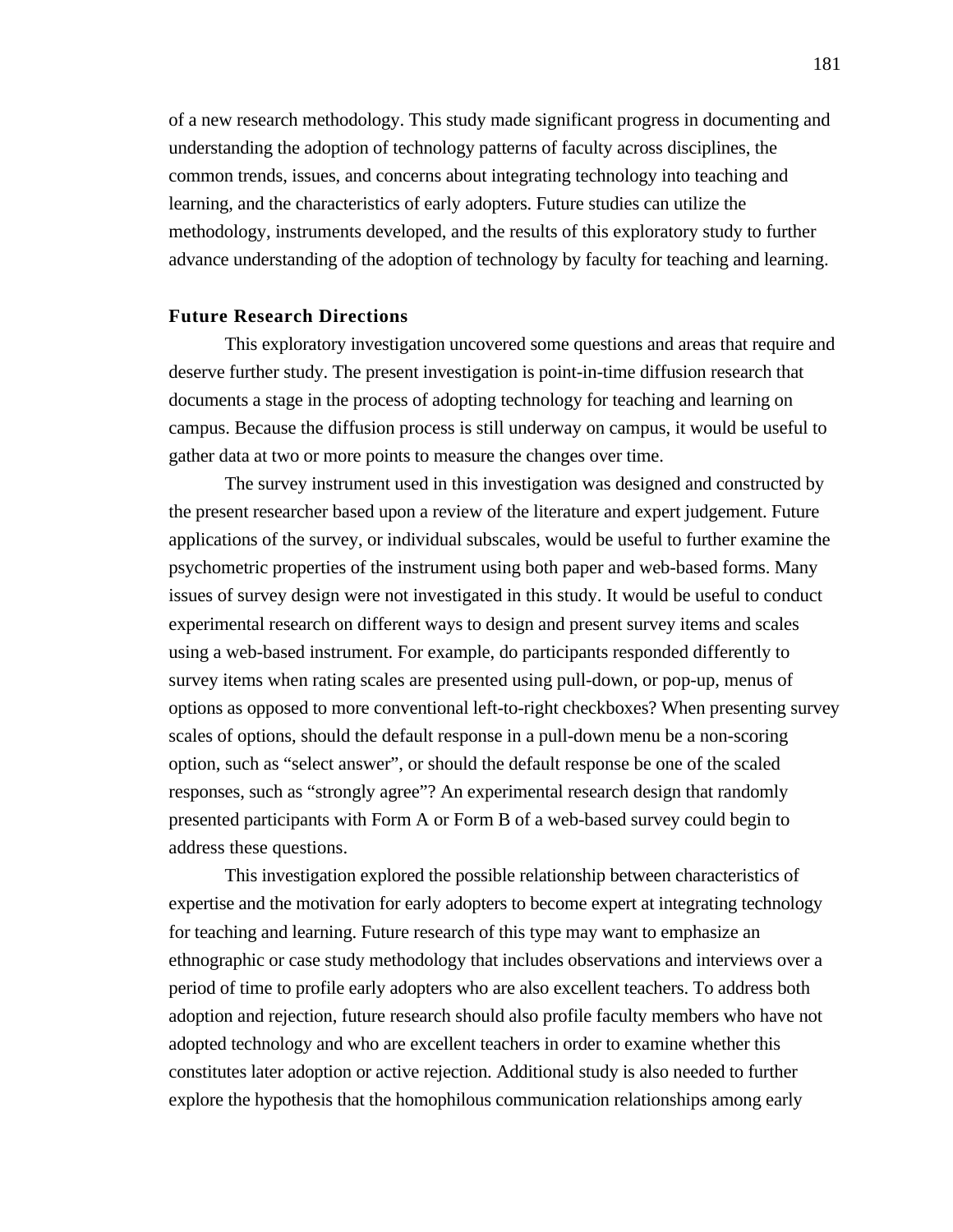of a new research methodology. This study made significant progress in documenting and understanding the adoption of technology patterns of faculty across disciplines, the common trends, issues, and concerns about integrating technology into teaching and learning, and the characteristics of early adopters. Future studies can utilize the methodology, instruments developed, and the results of this exploratory study to further advance understanding of the adoption of technology by faculty for teaching and learning.

## **Future Research Directions**

This exploratory investigation uncovered some questions and areas that require and deserve further study. The present investigation is point-in-time diffusion research that documents a stage in the process of adopting technology for teaching and learning on campus. Because the diffusion process is still underway on campus, it would be useful to gather data at two or more points to measure the changes over time.

The survey instrument used in this investigation was designed and constructed by the present researcher based upon a review of the literature and expert judgement. Future applications of the survey, or individual subscales, would be useful to further examine the psychometric properties of the instrument using both paper and web-based forms. Many issues of survey design were not investigated in this study. It would be useful to conduct experimental research on different ways to design and present survey items and scales using a web-based instrument. For example, do participants responded differently to survey items when rating scales are presented using pull-down, or pop-up, menus of options as opposed to more conventional left-to-right checkboxes? When presenting survey scales of options, should the default response in a pull-down menu be a non-scoring option, such as "select answer", or should the default response be one of the scaled responses, such as "strongly agree"? An experimental research design that randomly presented participants with Form A or Form B of a web-based survey could begin to address these questions.

This investigation explored the possible relationship between characteristics of expertise and the motivation for early adopters to become expert at integrating technology for teaching and learning. Future research of this type may want to emphasize an ethnographic or case study methodology that includes observations and interviews over a period of time to profile early adopters who are also excellent teachers. To address both adoption and rejection, future research should also profile faculty members who have not adopted technology and who are excellent teachers in order to examine whether this constitutes later adoption or active rejection. Additional study is also needed to further explore the hypothesis that the homophilous communication relationships among early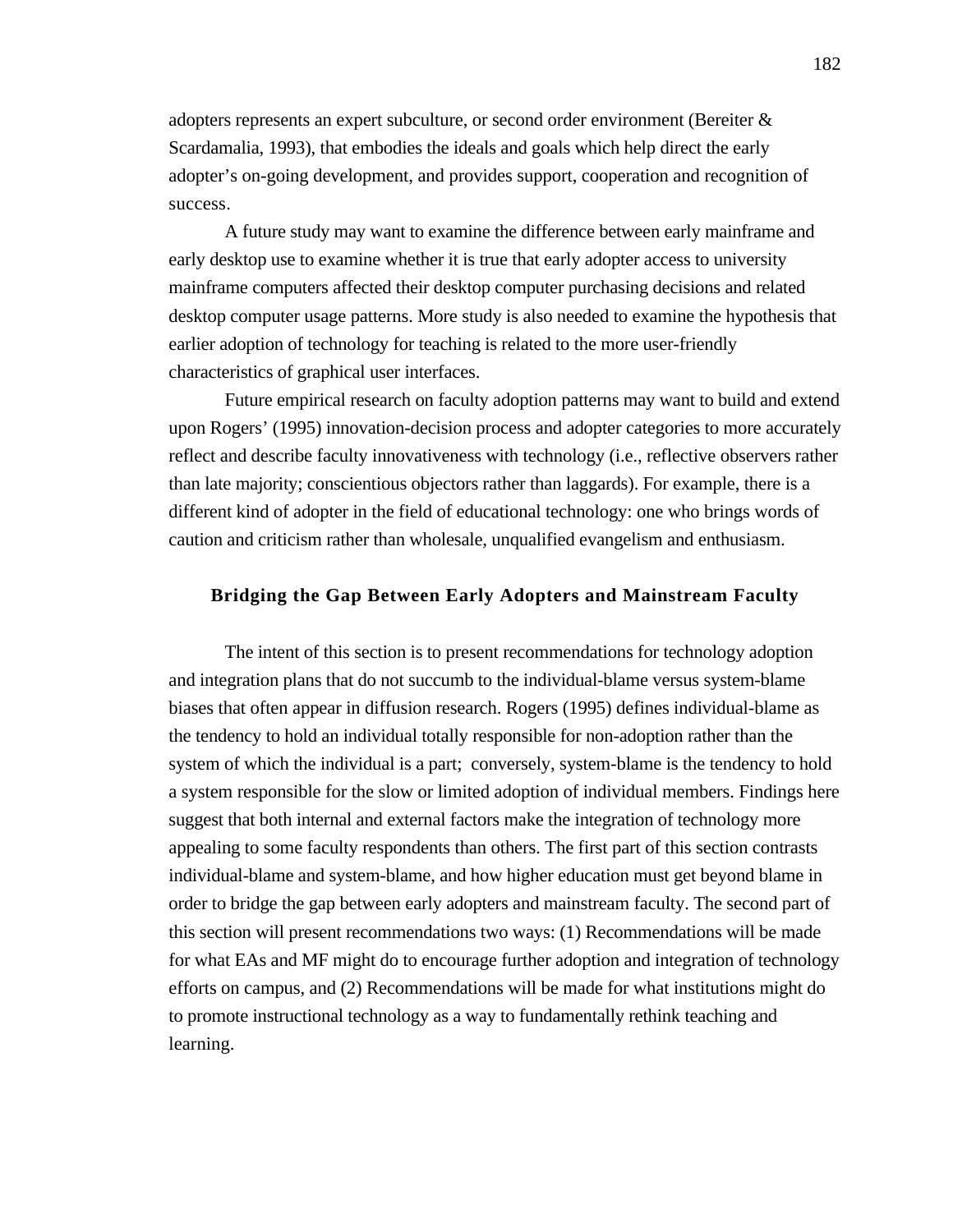adopters represents an expert subculture, or second order environment (Bereiter & Scardamalia, 1993), that embodies the ideals and goals which help direct the early adopter's on-going development, and provides support, cooperation and recognition of success.

A future study may want to examine the difference between early mainframe and early desktop use to examine whether it is true that early adopter access to university mainframe computers affected their desktop computer purchasing decisions and related desktop computer usage patterns. More study is also needed to examine the hypothesis that earlier adoption of technology for teaching is related to the more user-friendly characteristics of graphical user interfaces.

Future empirical research on faculty adoption patterns may want to build and extend upon Rogers' (1995) innovation-decision process and adopter categories to more accurately reflect and describe faculty innovativeness with technology (i.e., reflective observers rather than late majority; conscientious objectors rather than laggards). For example, there is a different kind of adopter in the field of educational technology: one who brings words of caution and criticism rather than wholesale, unqualified evangelism and enthusiasm.

#### **Bridging the Gap Between Early Adopters and Mainstream Faculty**

The intent of this section is to present recommendations for technology adoption and integration plans that do not succumb to the individual-blame versus system-blame biases that often appear in diffusion research. Rogers (1995) defines individual-blame as the tendency to hold an individual totally responsible for non-adoption rather than the system of which the individual is a part; conversely, system-blame is the tendency to hold a system responsible for the slow or limited adoption of individual members. Findings here suggest that both internal and external factors make the integration of technology more appealing to some faculty respondents than others. The first part of this section contrasts individual-blame and system-blame, and how higher education must get beyond blame in order to bridge the gap between early adopters and mainstream faculty. The second part of this section will present recommendations two ways: (1) Recommendations will be made for what EAs and MF might do to encourage further adoption and integration of technology efforts on campus, and (2) Recommendations will be made for what institutions might do to promote instructional technology as a way to fundamentally rethink teaching and learning.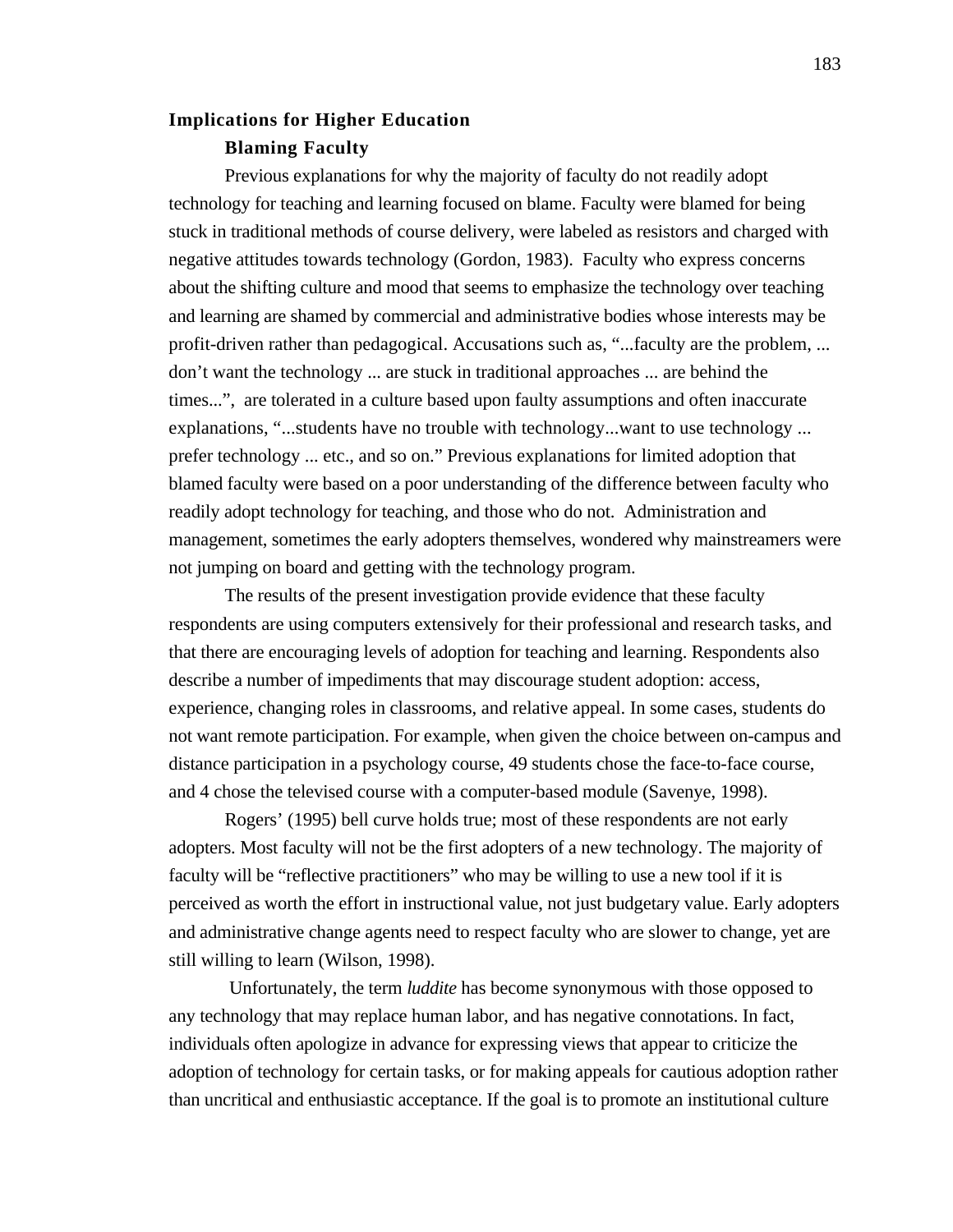# **Implications for Higher Education Blaming Faculty**

Previous explanations for why the majority of faculty do not readily adopt technology for teaching and learning focused on blame. Faculty were blamed for being stuck in traditional methods of course delivery, were labeled as resistors and charged with negative attitudes towards technology (Gordon, 1983). Faculty who express concerns about the shifting culture and mood that seems to emphasize the technology over teaching and learning are shamed by commercial and administrative bodies whose interests may be profit-driven rather than pedagogical. Accusations such as, "...faculty are the problem, ... don't want the technology ... are stuck in traditional approaches ... are behind the times...", are tolerated in a culture based upon faulty assumptions and often inaccurate explanations, "...students have no trouble with technology...want to use technology ... prefer technology ... etc., and so on." Previous explanations for limited adoption that blamed faculty were based on a poor understanding of the difference between faculty who readily adopt technology for teaching, and those who do not. Administration and management, sometimes the early adopters themselves, wondered why mainstreamers were not jumping on board and getting with the technology program.

The results of the present investigation provide evidence that these faculty respondents are using computers extensively for their professional and research tasks, and that there are encouraging levels of adoption for teaching and learning. Respondents also describe a number of impediments that may discourage student adoption: access, experience, changing roles in classrooms, and relative appeal. In some cases, students do not want remote participation. For example, when given the choice between on-campus and distance participation in a psychology course, 49 students chose the face-to-face course, and 4 chose the televised course with a computer-based module (Savenye, 1998).

Rogers' (1995) bell curve holds true; most of these respondents are not early adopters. Most faculty will not be the first adopters of a new technology. The majority of faculty will be "reflective practitioners" who may be willing to use a new tool if it is perceived as worth the effort in instructional value, not just budgetary value. Early adopters and administrative change agents need to respect faculty who are slower to change, yet are still willing to learn (Wilson, 1998).

 Unfortunately, the term *luddite* has become synonymous with those opposed to any technology that may replace human labor, and has negative connotations. In fact, individuals often apologize in advance for expressing views that appear to criticize the adoption of technology for certain tasks, or for making appeals for cautious adoption rather than uncritical and enthusiastic acceptance. If the goal is to promote an institutional culture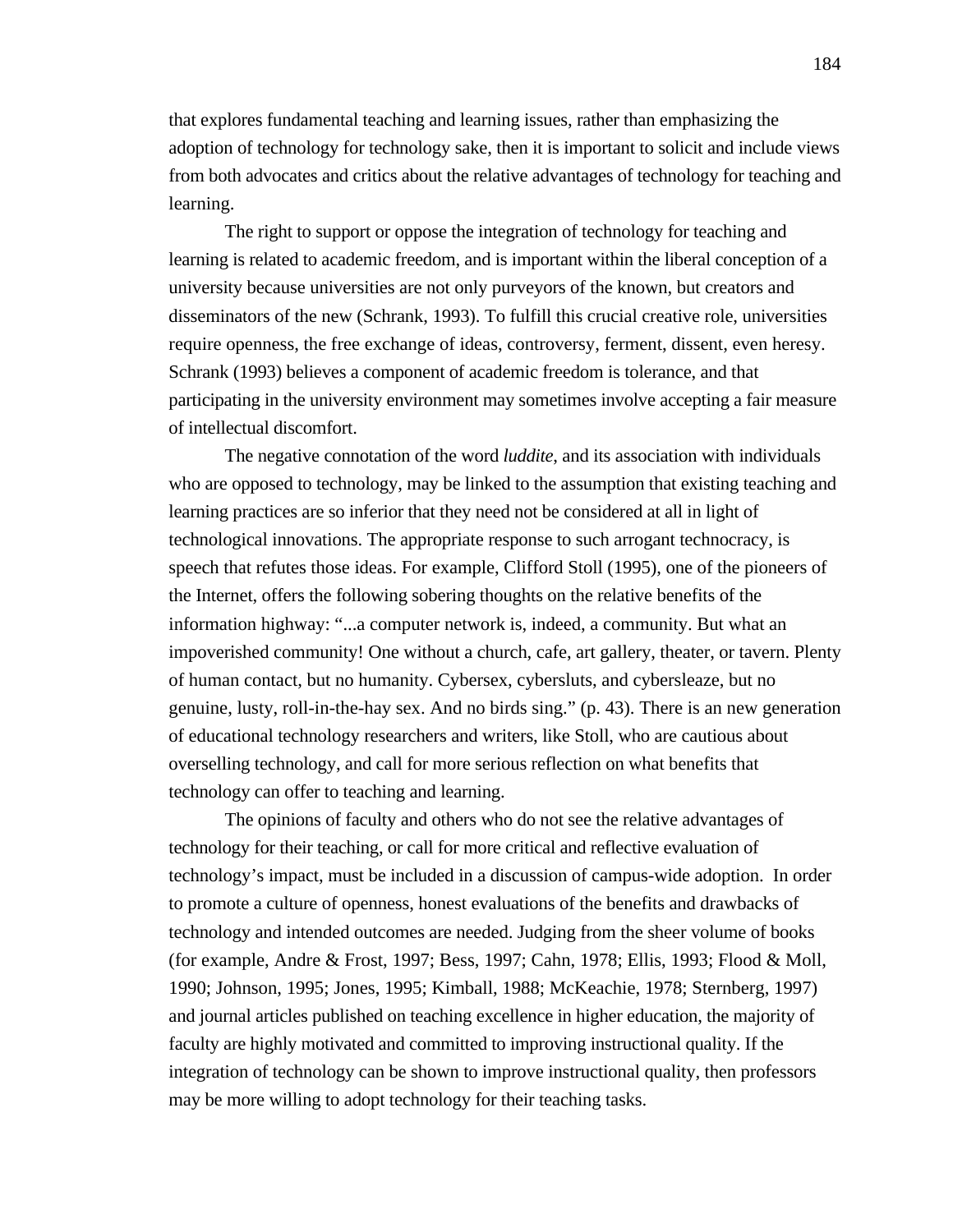that explores fundamental teaching and learning issues, rather than emphasizing the adoption of technology for technology sake, then it is important to solicit and include views from both advocates and critics about the relative advantages of technology for teaching and learning.

The right to support or oppose the integration of technology for teaching and learning is related to academic freedom, and is important within the liberal conception of a university because universities are not only purveyors of the known, but creators and disseminators of the new (Schrank, 1993). To fulfill this crucial creative role, universities require openness, the free exchange of ideas, controversy, ferment, dissent, even heresy. Schrank (1993) believes a component of academic freedom is tolerance, and that participating in the university environment may sometimes involve accepting a fair measure of intellectual discomfort.

The negative connotation of the word *luddite*, and its association with individuals who are opposed to technology, may be linked to the assumption that existing teaching and learning practices are so inferior that they need not be considered at all in light of technological innovations. The appropriate response to such arrogant technocracy, is speech that refutes those ideas. For example, Clifford Stoll (1995), one of the pioneers of the Internet, offers the following sobering thoughts on the relative benefits of the information highway: "...a computer network is, indeed, a community. But what an impoverished community! One without a church, cafe, art gallery, theater, or tavern. Plenty of human contact, but no humanity. Cybersex, cybersluts, and cybersleaze, but no genuine, lusty, roll-in-the-hay sex. And no birds sing." (p. 43). There is an new generation of educational technology researchers and writers, like Stoll, who are cautious about overselling technology, and call for more serious reflection on what benefits that technology can offer to teaching and learning.

The opinions of faculty and others who do not see the relative advantages of technology for their teaching, or call for more critical and reflective evaluation of technology's impact, must be included in a discussion of campus-wide adoption. In order to promote a culture of openness, honest evaluations of the benefits and drawbacks of technology and intended outcomes are needed. Judging from the sheer volume of books (for example, Andre & Frost, 1997; Bess, 1997; Cahn, 1978; Ellis, 1993; Flood & Moll, 1990; Johnson, 1995; Jones, 1995; Kimball, 1988; McKeachie, 1978; Sternberg, 1997) and journal articles published on teaching excellence in higher education, the majority of faculty are highly motivated and committed to improving instructional quality. If the integration of technology can be shown to improve instructional quality, then professors may be more willing to adopt technology for their teaching tasks.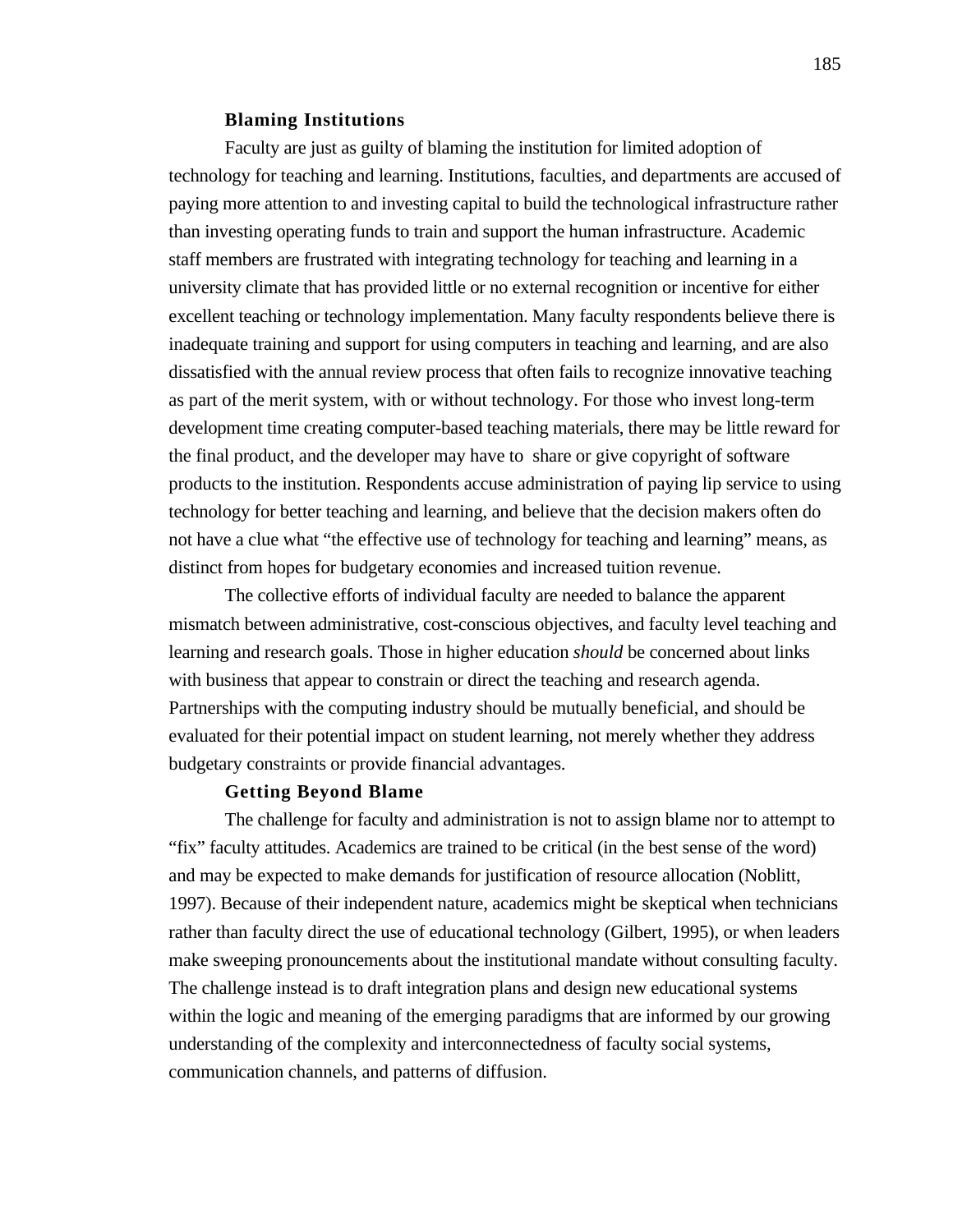## **Blaming Institutions**

Faculty are just as guilty of blaming the institution for limited adoption of technology for teaching and learning. Institutions, faculties, and departments are accused of paying more attention to and investing capital to build the technological infrastructure rather than investing operating funds to train and support the human infrastructure. Academic staff members are frustrated with integrating technology for teaching and learning in a university climate that has provided little or no external recognition or incentive for either excellent teaching or technology implementation. Many faculty respondents believe there is inadequate training and support for using computers in teaching and learning, and are also dissatisfied with the annual review process that often fails to recognize innovative teaching as part of the merit system, with or without technology. For those who invest long-term development time creating computer-based teaching materials, there may be little reward for the final product, and the developer may have to share or give copyright of software products to the institution. Respondents accuse administration of paying lip service to using technology for better teaching and learning, and believe that the decision makers often do not have a clue what "the effective use of technology for teaching and learning" means, as distinct from hopes for budgetary economies and increased tuition revenue.

The collective efforts of individual faculty are needed to balance the apparent mismatch between administrative, cost-conscious objectives, and faculty level teaching and learning and research goals. Those in higher education *should* be concerned about links with business that appear to constrain or direct the teaching and research agenda. Partnerships with the computing industry should be mutually beneficial, and should be evaluated for their potential impact on student learning, not merely whether they address budgetary constraints or provide financial advantages.

# **Getting Beyond Blame**

The challenge for faculty and administration is not to assign blame nor to attempt to "fix" faculty attitudes. Academics are trained to be critical (in the best sense of the word) and may be expected to make demands for justification of resource allocation (Noblitt, 1997). Because of their independent nature, academics might be skeptical when technicians rather than faculty direct the use of educational technology (Gilbert, 1995), or when leaders make sweeping pronouncements about the institutional mandate without consulting faculty. The challenge instead is to draft integration plans and design new educational systems within the logic and meaning of the emerging paradigms that are informed by our growing understanding of the complexity and interconnectedness of faculty social systems, communication channels, and patterns of diffusion.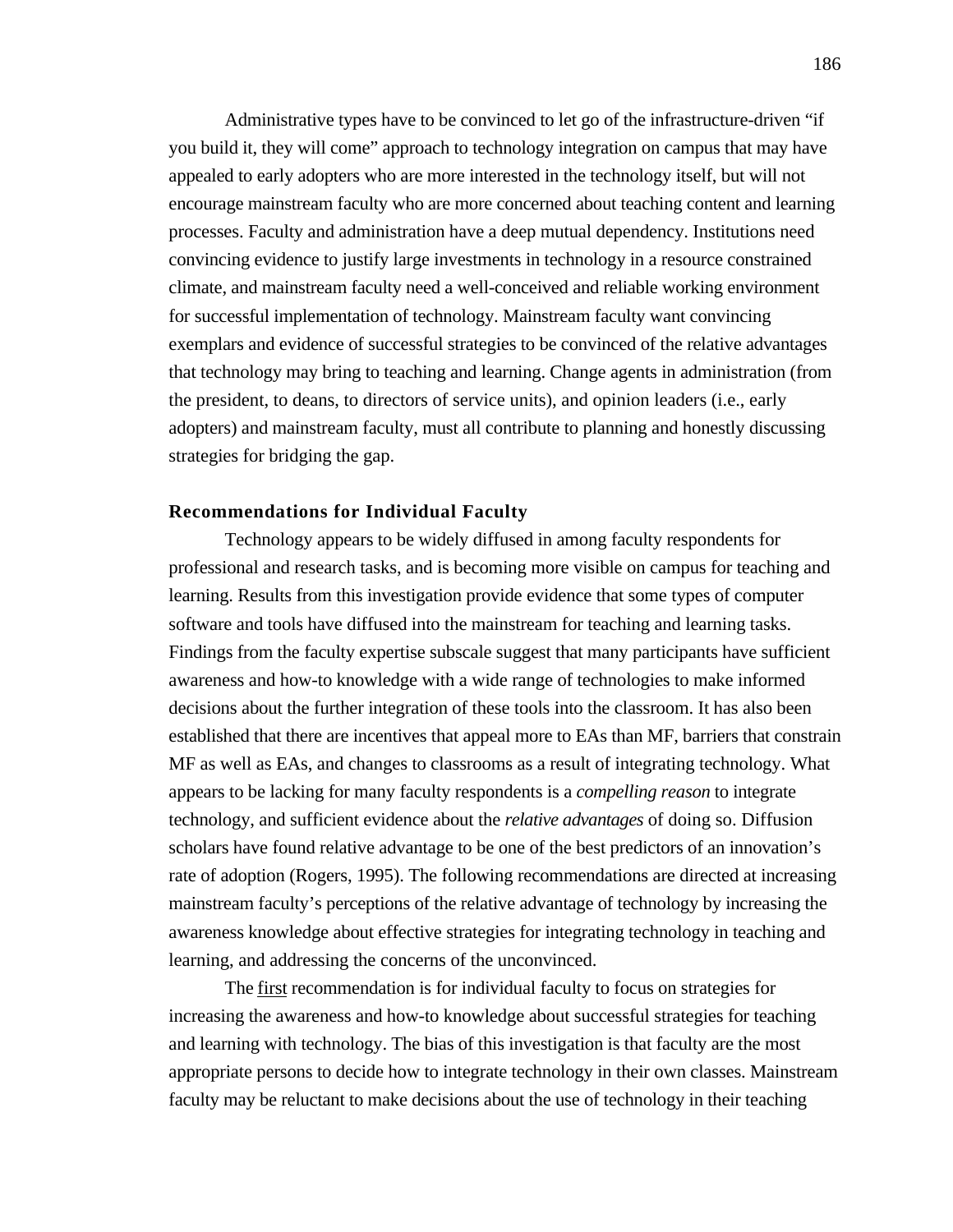Administrative types have to be convinced to let go of the infrastructure-driven "if you build it, they will come" approach to technology integration on campus that may have appealed to early adopters who are more interested in the technology itself, but will not encourage mainstream faculty who are more concerned about teaching content and learning processes. Faculty and administration have a deep mutual dependency. Institutions need convincing evidence to justify large investments in technology in a resource constrained climate, and mainstream faculty need a well-conceived and reliable working environment for successful implementation of technology. Mainstream faculty want convincing exemplars and evidence of successful strategies to be convinced of the relative advantages that technology may bring to teaching and learning. Change agents in administration (from the president, to deans, to directors of service units), and opinion leaders (i.e., early adopters) and mainstream faculty, must all contribute to planning and honestly discussing strategies for bridging the gap.

## **Recommendations for Individual Faculty**

Technology appears to be widely diffused in among faculty respondents for professional and research tasks, and is becoming more visible on campus for teaching and learning. Results from this investigation provide evidence that some types of computer software and tools have diffused into the mainstream for teaching and learning tasks. Findings from the faculty expertise subscale suggest that many participants have sufficient awareness and how-to knowledge with a wide range of technologies to make informed decisions about the further integration of these tools into the classroom. It has also been established that there are incentives that appeal more to EAs than MF, barriers that constrain MF as well as EAs, and changes to classrooms as a result of integrating technology. What appears to be lacking for many faculty respondents is a *compelling reason* to integrate technology, and sufficient evidence about the *relative advantages* of doing so. Diffusion scholars have found relative advantage to be one of the best predictors of an innovation's rate of adoption (Rogers, 1995). The following recommendations are directed at increasing mainstream faculty's perceptions of the relative advantage of technology by increasing the awareness knowledge about effective strategies for integrating technology in teaching and learning, and addressing the concerns of the unconvinced.

The first recommendation is for individual faculty to focus on strategies for increasing the awareness and how-to knowledge about successful strategies for teaching and learning with technology. The bias of this investigation is that faculty are the most appropriate persons to decide how to integrate technology in their own classes. Mainstream faculty may be reluctant to make decisions about the use of technology in their teaching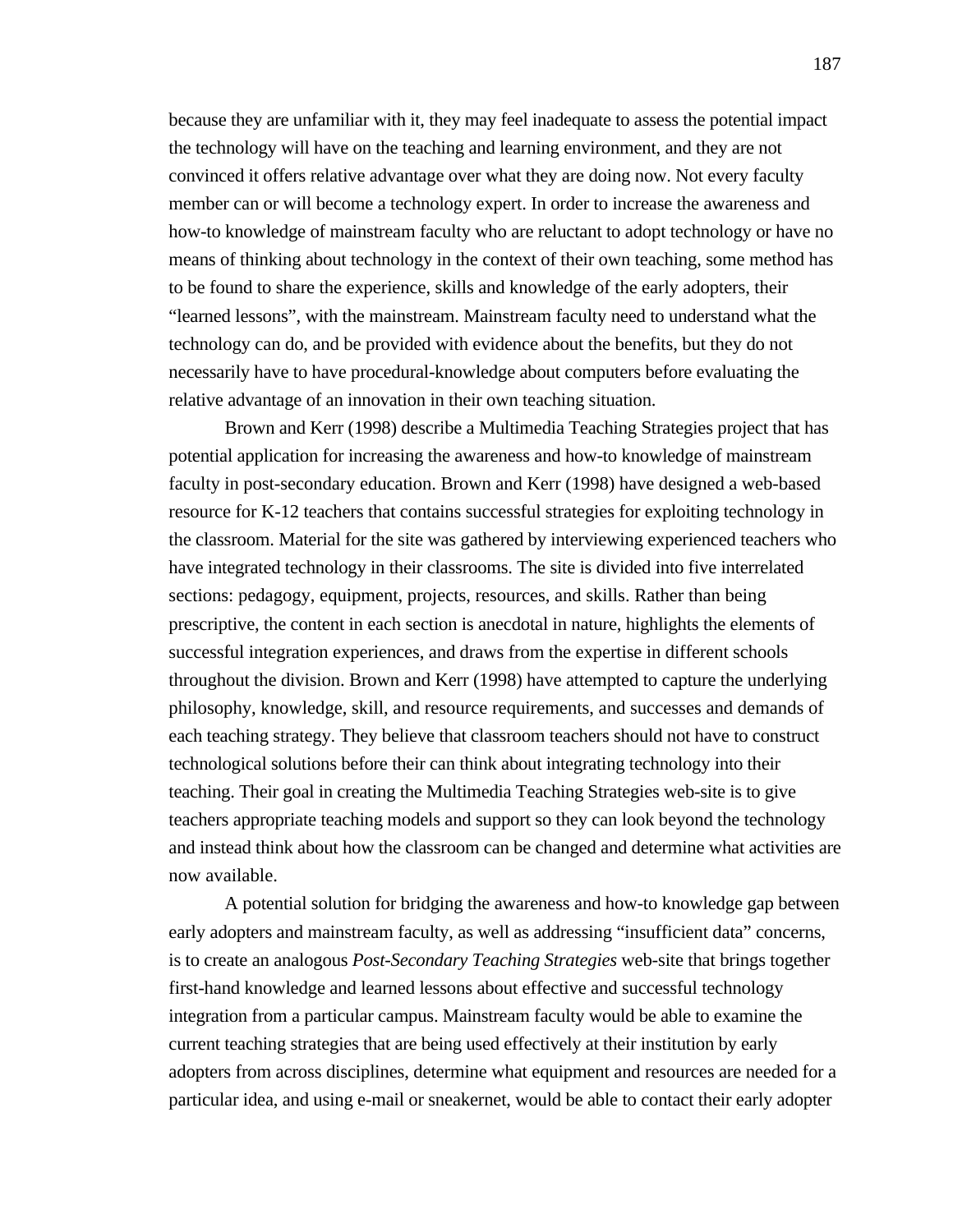because they are unfamiliar with it, they may feel inadequate to assess the potential impact the technology will have on the teaching and learning environment, and they are not convinced it offers relative advantage over what they are doing now. Not every faculty member can or will become a technology expert. In order to increase the awareness and how-to knowledge of mainstream faculty who are reluctant to adopt technology or have no means of thinking about technology in the context of their own teaching, some method has to be found to share the experience, skills and knowledge of the early adopters, their "learned lessons", with the mainstream. Mainstream faculty need to understand what the technology can do, and be provided with evidence about the benefits, but they do not necessarily have to have procedural-knowledge about computers before evaluating the relative advantage of an innovation in their own teaching situation.

Brown and Kerr (1998) describe a Multimedia Teaching Strategies project that has potential application for increasing the awareness and how-to knowledge of mainstream faculty in post-secondary education. Brown and Kerr (1998) have designed a web-based resource for K-12 teachers that contains successful strategies for exploiting technology in the classroom. Material for the site was gathered by interviewing experienced teachers who have integrated technology in their classrooms. The site is divided into five interrelated sections: pedagogy, equipment, projects, resources, and skills. Rather than being prescriptive, the content in each section is anecdotal in nature, highlights the elements of successful integration experiences, and draws from the expertise in different schools throughout the division. Brown and Kerr (1998) have attempted to capture the underlying philosophy, knowledge, skill, and resource requirements, and successes and demands of each teaching strategy. They believe that classroom teachers should not have to construct technological solutions before their can think about integrating technology into their teaching. Their goal in creating the Multimedia Teaching Strategies web-site is to give teachers appropriate teaching models and support so they can look beyond the technology and instead think about how the classroom can be changed and determine what activities are now available.

A potential solution for bridging the awareness and how-to knowledge gap between early adopters and mainstream faculty, as well as addressing "insufficient data" concerns, is to create an analogous *Post-Secondary Teaching Strategies* web-site that brings together first-hand knowledge and learned lessons about effective and successful technology integration from a particular campus. Mainstream faculty would be able to examine the current teaching strategies that are being used effectively at their institution by early adopters from across disciplines, determine what equipment and resources are needed for a particular idea, and using e-mail or sneakernet, would be able to contact their early adopter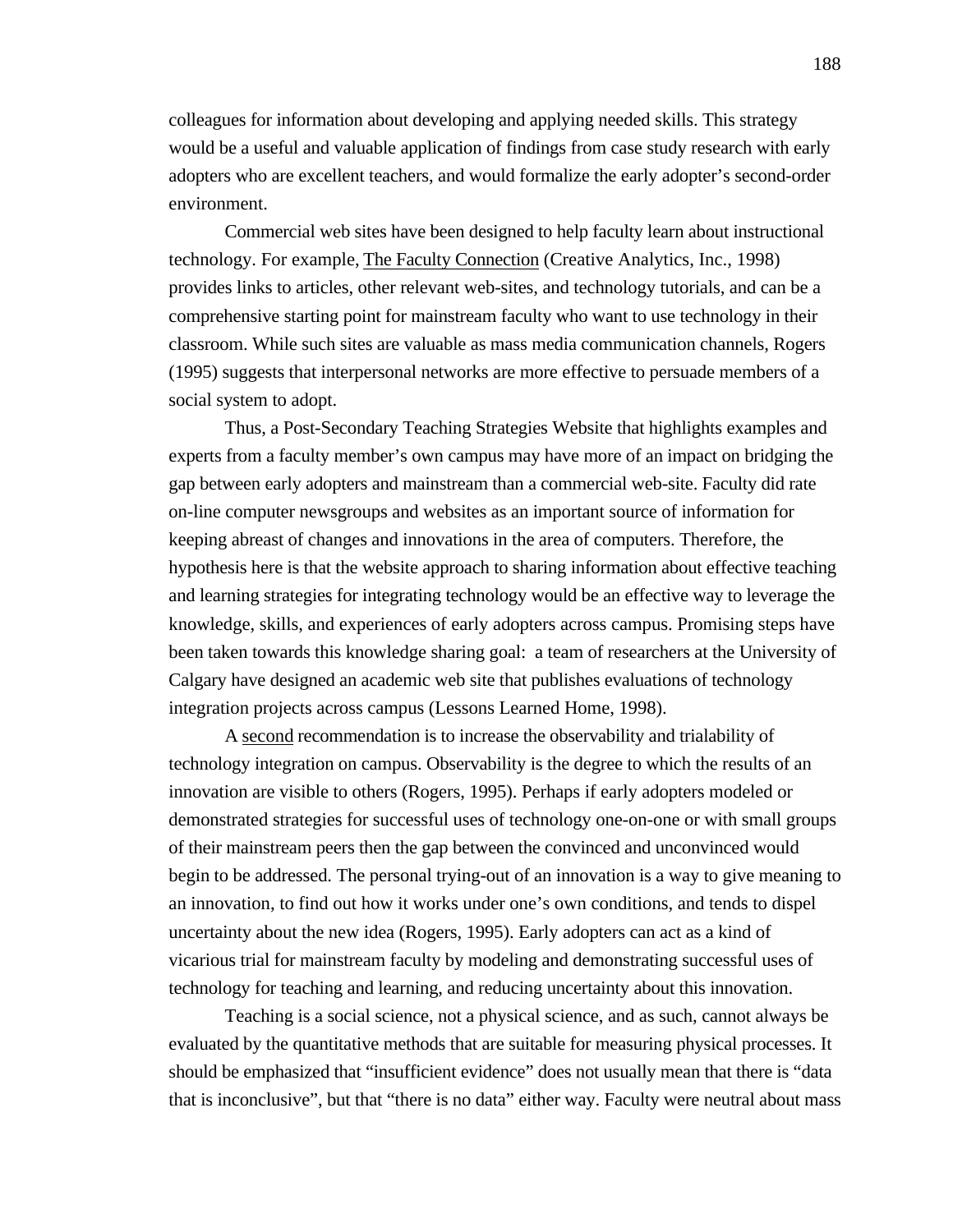colleagues for information about developing and applying needed skills. This strategy would be a useful and valuable application of findings from case study research with early adopters who are excellent teachers, and would formalize the early adopter's second-order environment.

Commercial web sites have been designed to help faculty learn about instructional technology. For example, The Faculty Connection (Creative Analytics, Inc., 1998) provides links to articles, other relevant web-sites, and technology tutorials, and can be a comprehensive starting point for mainstream faculty who want to use technology in their classroom. While such sites are valuable as mass media communication channels, Rogers (1995) suggests that interpersonal networks are more effective to persuade members of a social system to adopt.

Thus, a Post-Secondary Teaching Strategies Website that highlights examples and experts from a faculty member's own campus may have more of an impact on bridging the gap between early adopters and mainstream than a commercial web-site. Faculty did rate on-line computer newsgroups and websites as an important source of information for keeping abreast of changes and innovations in the area of computers. Therefore, the hypothesis here is that the website approach to sharing information about effective teaching and learning strategies for integrating technology would be an effective way to leverage the knowledge, skills, and experiences of early adopters across campus. Promising steps have been taken towards this knowledge sharing goal: a team of researchers at the University of Calgary have designed an academic web site that publishes evaluations of technology integration projects across campus (Lessons Learned Home, 1998).

A second recommendation is to increase the observability and trialability of technology integration on campus. Observability is the degree to which the results of an innovation are visible to others (Rogers, 1995). Perhaps if early adopters modeled or demonstrated strategies for successful uses of technology one-on-one or with small groups of their mainstream peers then the gap between the convinced and unconvinced would begin to be addressed. The personal trying-out of an innovation is a way to give meaning to an innovation, to find out how it works under one's own conditions, and tends to dispel uncertainty about the new idea (Rogers, 1995). Early adopters can act as a kind of vicarious trial for mainstream faculty by modeling and demonstrating successful uses of technology for teaching and learning, and reducing uncertainty about this innovation.

Teaching is a social science, not a physical science, and as such, cannot always be evaluated by the quantitative methods that are suitable for measuring physical processes. It should be emphasized that "insufficient evidence" does not usually mean that there is "data that is inconclusive", but that "there is no data" either way. Faculty were neutral about mass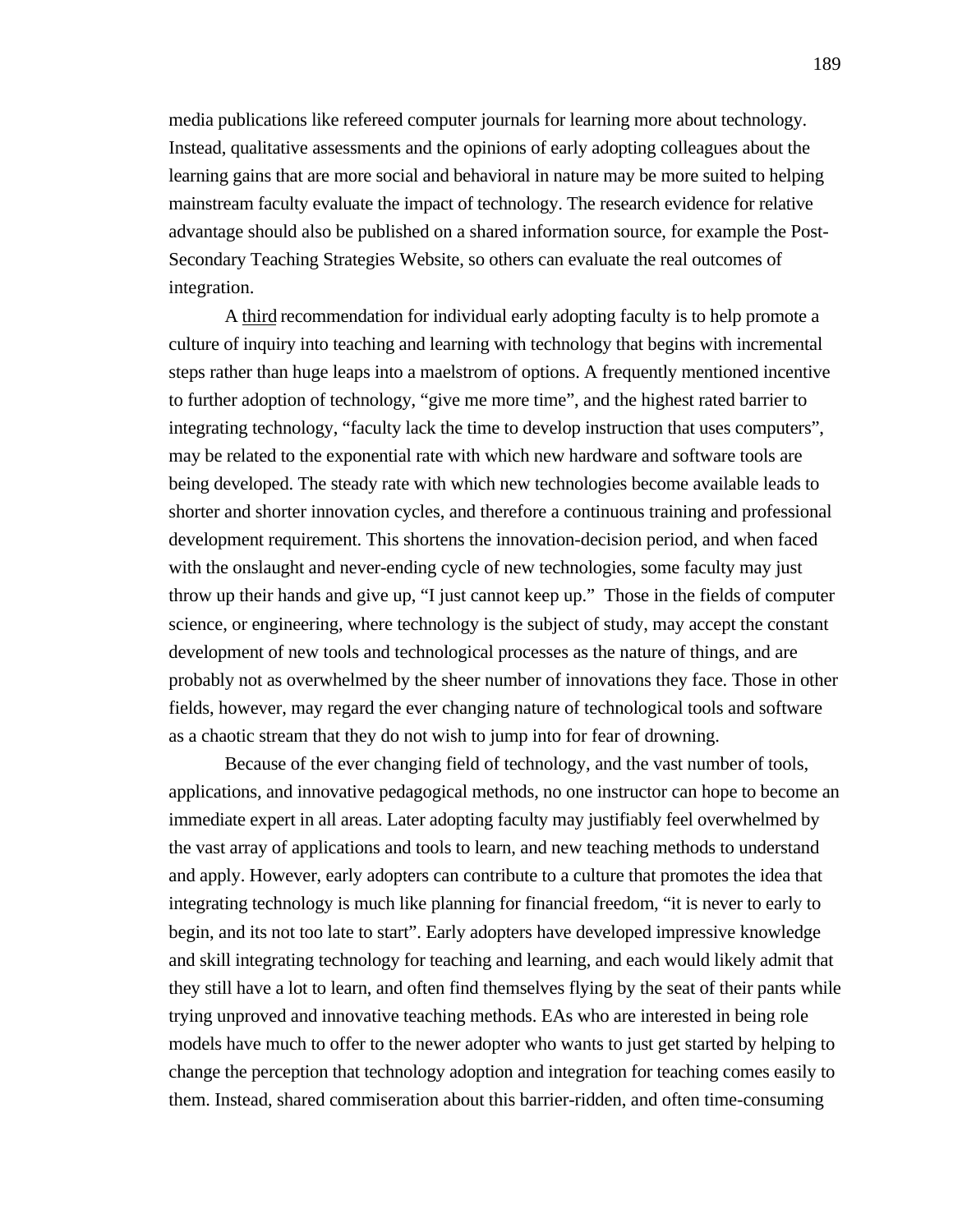media publications like refereed computer journals for learning more about technology. Instead, qualitative assessments and the opinions of early adopting colleagues about the learning gains that are more social and behavioral in nature may be more suited to helping mainstream faculty evaluate the impact of technology. The research evidence for relative advantage should also be published on a shared information source, for example the Post-Secondary Teaching Strategies Website, so others can evaluate the real outcomes of integration.

A third recommendation for individual early adopting faculty is to help promote a culture of inquiry into teaching and learning with technology that begins with incremental steps rather than huge leaps into a maelstrom of options. A frequently mentioned incentive to further adoption of technology, "give me more time", and the highest rated barrier to integrating technology, "faculty lack the time to develop instruction that uses computers", may be related to the exponential rate with which new hardware and software tools are being developed. The steady rate with which new technologies become available leads to shorter and shorter innovation cycles, and therefore a continuous training and professional development requirement. This shortens the innovation-decision period, and when faced with the onslaught and never-ending cycle of new technologies, some faculty may just throw up their hands and give up, "I just cannot keep up." Those in the fields of computer science, or engineering, where technology is the subject of study, may accept the constant development of new tools and technological processes as the nature of things, and are probably not as overwhelmed by the sheer number of innovations they face. Those in other fields, however, may regard the ever changing nature of technological tools and software as a chaotic stream that they do not wish to jump into for fear of drowning.

Because of the ever changing field of technology, and the vast number of tools, applications, and innovative pedagogical methods, no one instructor can hope to become an immediate expert in all areas. Later adopting faculty may justifiably feel overwhelmed by the vast array of applications and tools to learn, and new teaching methods to understand and apply. However, early adopters can contribute to a culture that promotes the idea that integrating technology is much like planning for financial freedom, "it is never to early to begin, and its not too late to start". Early adopters have developed impressive knowledge and skill integrating technology for teaching and learning, and each would likely admit that they still have a lot to learn, and often find themselves flying by the seat of their pants while trying unproved and innovative teaching methods. EAs who are interested in being role models have much to offer to the newer adopter who wants to just get started by helping to change the perception that technology adoption and integration for teaching comes easily to them. Instead, shared commiseration about this barrier-ridden, and often time-consuming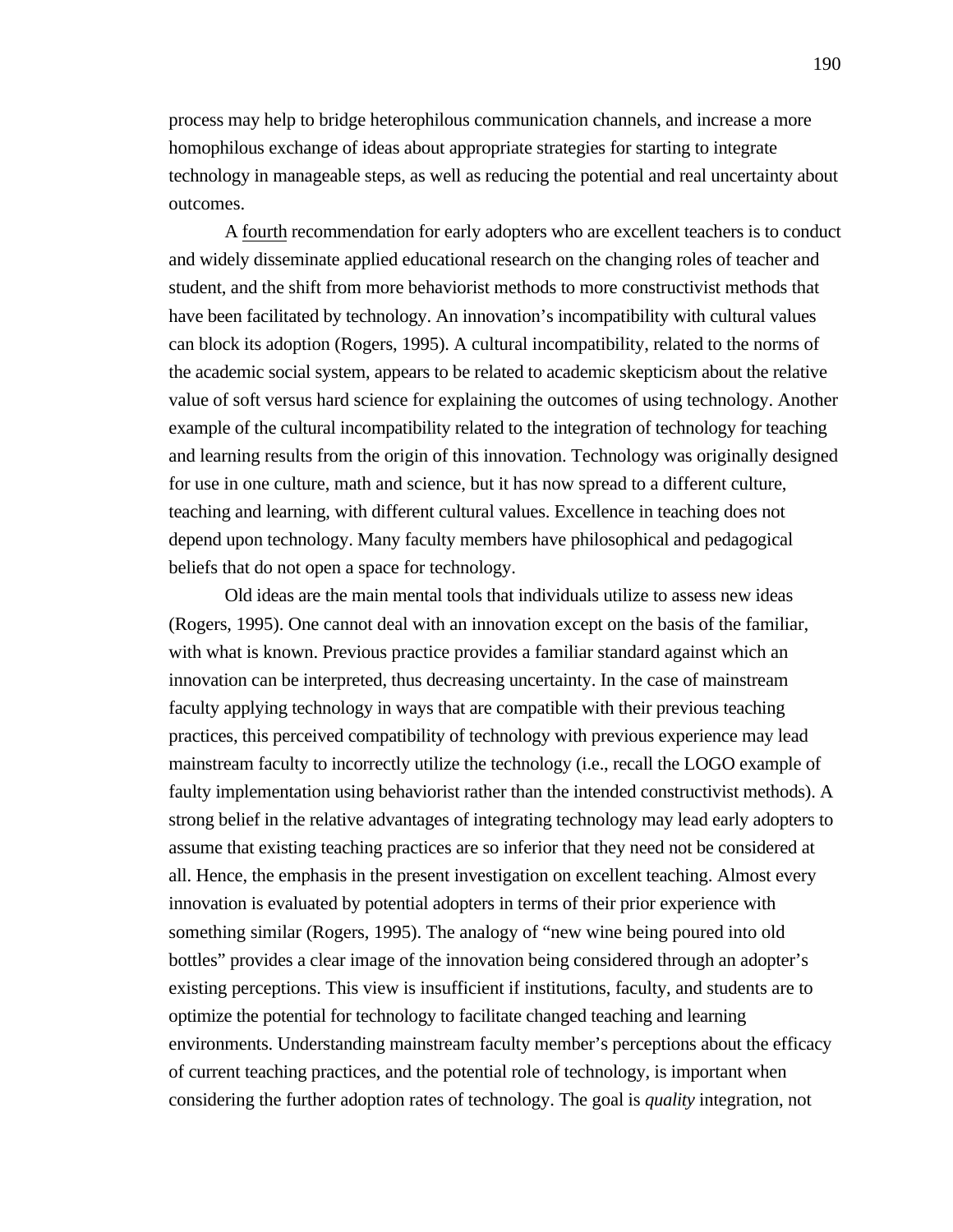process may help to bridge heterophilous communication channels, and increase a more homophilous exchange of ideas about appropriate strategies for starting to integrate technology in manageable steps, as well as reducing the potential and real uncertainty about outcomes.

A fourth recommendation for early adopters who are excellent teachers is to conduct and widely disseminate applied educational research on the changing roles of teacher and student, and the shift from more behaviorist methods to more constructivist methods that have been facilitated by technology. An innovation's incompatibility with cultural values can block its adoption (Rogers, 1995). A cultural incompatibility, related to the norms of the academic social system, appears to be related to academic skepticism about the relative value of soft versus hard science for explaining the outcomes of using technology. Another example of the cultural incompatibility related to the integration of technology for teaching and learning results from the origin of this innovation. Technology was originally designed for use in one culture, math and science, but it has now spread to a different culture, teaching and learning, with different cultural values. Excellence in teaching does not depend upon technology. Many faculty members have philosophical and pedagogical beliefs that do not open a space for technology.

Old ideas are the main mental tools that individuals utilize to assess new ideas (Rogers, 1995). One cannot deal with an innovation except on the basis of the familiar, with what is known. Previous practice provides a familiar standard against which an innovation can be interpreted, thus decreasing uncertainty. In the case of mainstream faculty applying technology in ways that are compatible with their previous teaching practices, this perceived compatibility of technology with previous experience may lead mainstream faculty to incorrectly utilize the technology (i.e., recall the LOGO example of faulty implementation using behaviorist rather than the intended constructivist methods). A strong belief in the relative advantages of integrating technology may lead early adopters to assume that existing teaching practices are so inferior that they need not be considered at all. Hence, the emphasis in the present investigation on excellent teaching. Almost every innovation is evaluated by potential adopters in terms of their prior experience with something similar (Rogers, 1995). The analogy of "new wine being poured into old bottles" provides a clear image of the innovation being considered through an adopter's existing perceptions. This view is insufficient if institutions, faculty, and students are to optimize the potential for technology to facilitate changed teaching and learning environments. Understanding mainstream faculty member's perceptions about the efficacy of current teaching practices, and the potential role of technology, is important when considering the further adoption rates of technology. The goal is *quality* integration, not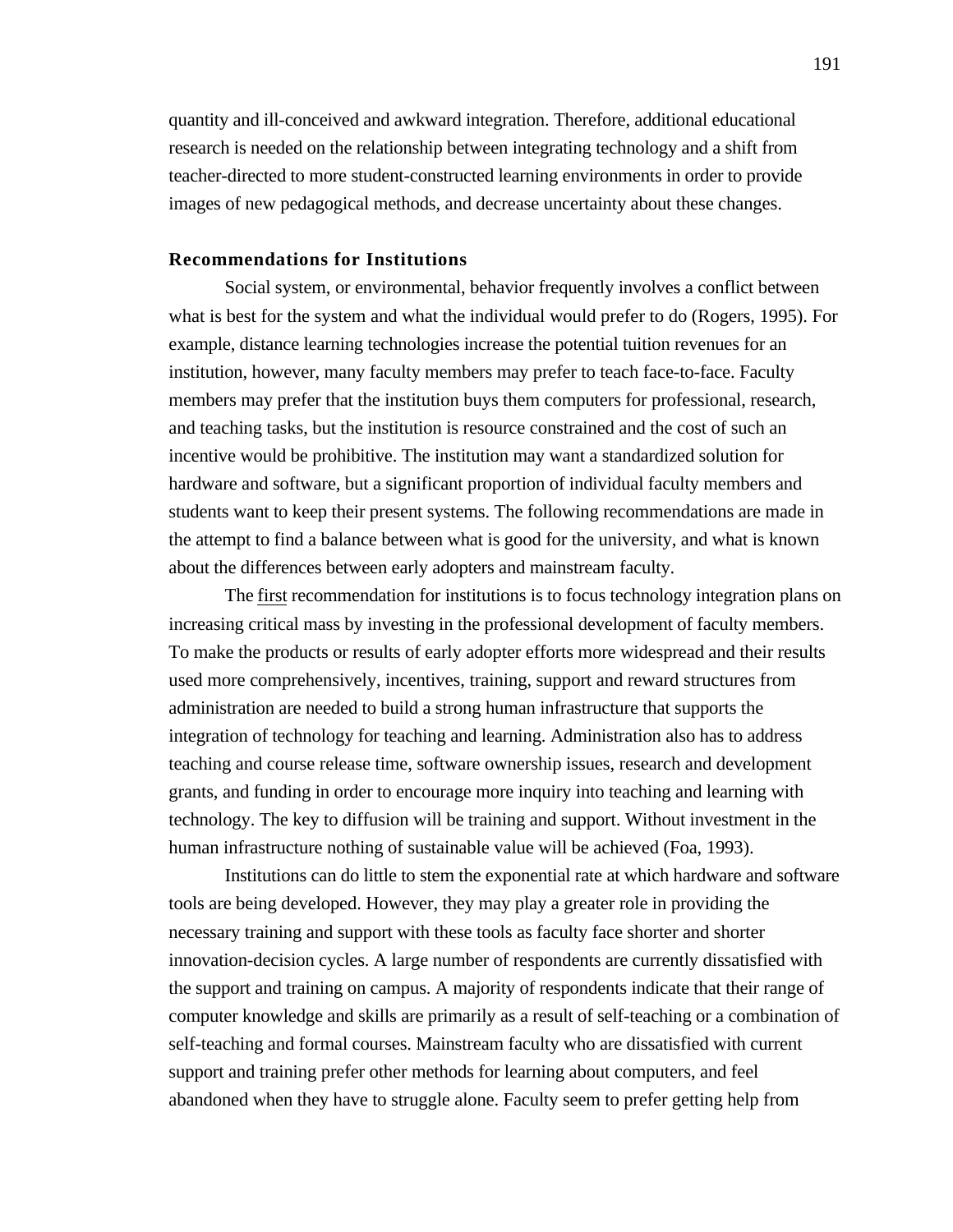quantity and ill-conceived and awkward integration. Therefore, additional educational research is needed on the relationship between integrating technology and a shift from teacher-directed to more student-constructed learning environments in order to provide images of new pedagogical methods, and decrease uncertainty about these changes.

# **Recommendations for Institutions**

Social system, or environmental, behavior frequently involves a conflict between what is best for the system and what the individual would prefer to do (Rogers, 1995). For example, distance learning technologies increase the potential tuition revenues for an institution, however, many faculty members may prefer to teach face-to-face. Faculty members may prefer that the institution buys them computers for professional, research, and teaching tasks, but the institution is resource constrained and the cost of such an incentive would be prohibitive. The institution may want a standardized solution for hardware and software, but a significant proportion of individual faculty members and students want to keep their present systems. The following recommendations are made in the attempt to find a balance between what is good for the university, and what is known about the differences between early adopters and mainstream faculty.

The first recommendation for institutions is to focus technology integration plans on increasing critical mass by investing in the professional development of faculty members. To make the products or results of early adopter efforts more widespread and their results used more comprehensively, incentives, training, support and reward structures from administration are needed to build a strong human infrastructure that supports the integration of technology for teaching and learning. Administration also has to address teaching and course release time, software ownership issues, research and development grants, and funding in order to encourage more inquiry into teaching and learning with technology. The key to diffusion will be training and support. Without investment in the human infrastructure nothing of sustainable value will be achieved (Foa, 1993).

Institutions can do little to stem the exponential rate at which hardware and software tools are being developed. However, they may play a greater role in providing the necessary training and support with these tools as faculty face shorter and shorter innovation-decision cycles. A large number of respondents are currently dissatisfied with the support and training on campus. A majority of respondents indicate that their range of computer knowledge and skills are primarily as a result of self-teaching or a combination of self-teaching and formal courses. Mainstream faculty who are dissatisfied with current support and training prefer other methods for learning about computers, and feel abandoned when they have to struggle alone. Faculty seem to prefer getting help from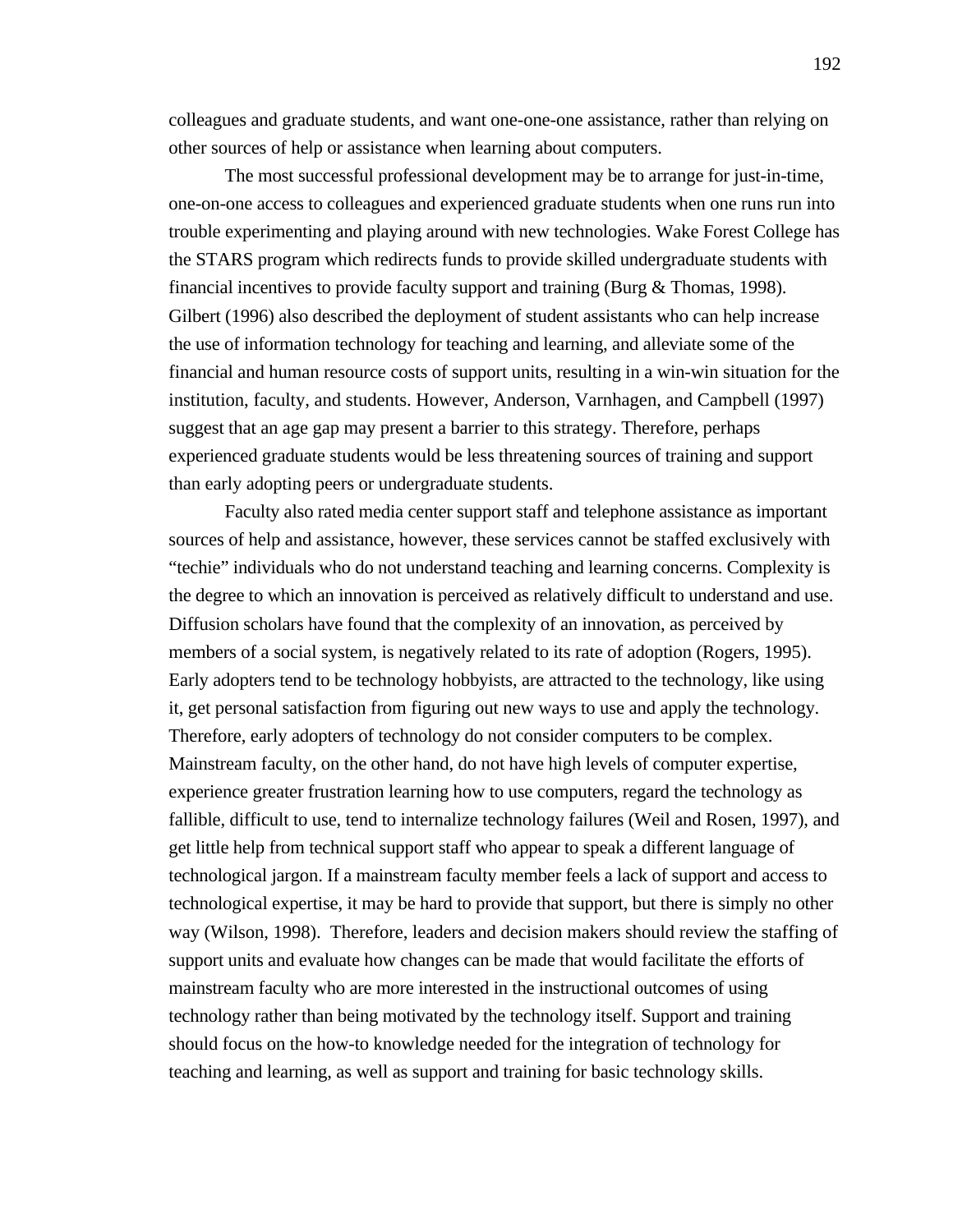colleagues and graduate students, and want one-one-one assistance, rather than relying on other sources of help or assistance when learning about computers.

The most successful professional development may be to arrange for just-in-time, one-on-one access to colleagues and experienced graduate students when one runs run into trouble experimenting and playing around with new technologies. Wake Forest College has the STARS program which redirects funds to provide skilled undergraduate students with financial incentives to provide faculty support and training (Burg & Thomas, 1998). Gilbert (1996) also described the deployment of student assistants who can help increase the use of information technology for teaching and learning, and alleviate some of the financial and human resource costs of support units, resulting in a win-win situation for the institution, faculty, and students. However, Anderson, Varnhagen, and Campbell (1997) suggest that an age gap may present a barrier to this strategy. Therefore, perhaps experienced graduate students would be less threatening sources of training and support than early adopting peers or undergraduate students.

Faculty also rated media center support staff and telephone assistance as important sources of help and assistance, however, these services cannot be staffed exclusively with "techie" individuals who do not understand teaching and learning concerns. Complexity is the degree to which an innovation is perceived as relatively difficult to understand and use. Diffusion scholars have found that the complexity of an innovation, as perceived by members of a social system, is negatively related to its rate of adoption (Rogers, 1995). Early adopters tend to be technology hobbyists, are attracted to the technology, like using it, get personal satisfaction from figuring out new ways to use and apply the technology. Therefore, early adopters of technology do not consider computers to be complex. Mainstream faculty, on the other hand, do not have high levels of computer expertise, experience greater frustration learning how to use computers, regard the technology as fallible, difficult to use, tend to internalize technology failures (Weil and Rosen, 1997), and get little help from technical support staff who appear to speak a different language of technological jargon. If a mainstream faculty member feels a lack of support and access to technological expertise, it may be hard to provide that support, but there is simply no other way (Wilson, 1998). Therefore, leaders and decision makers should review the staffing of support units and evaluate how changes can be made that would facilitate the efforts of mainstream faculty who are more interested in the instructional outcomes of using technology rather than being motivated by the technology itself. Support and training should focus on the how-to knowledge needed for the integration of technology for teaching and learning, as well as support and training for basic technology skills.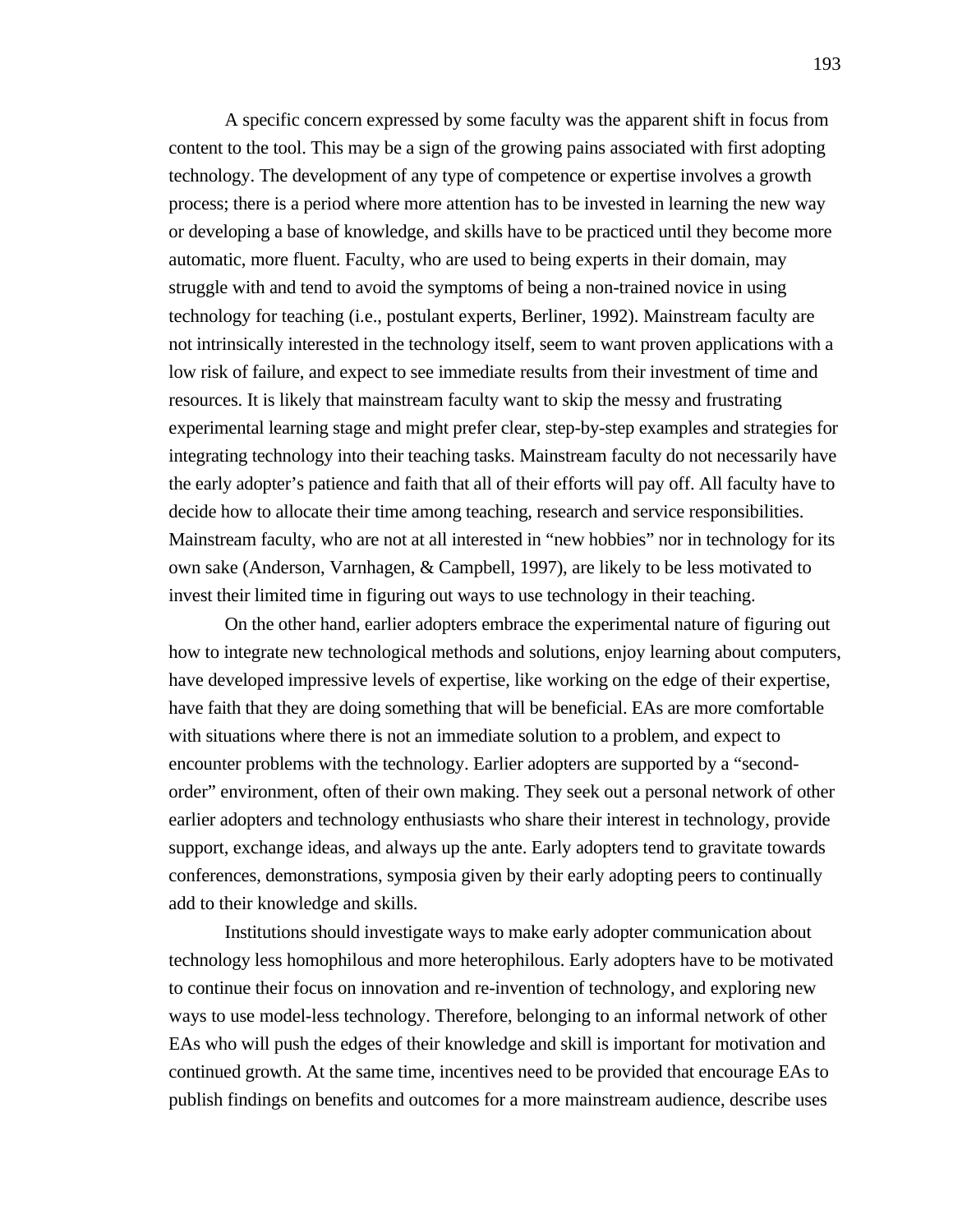A specific concern expressed by some faculty was the apparent shift in focus from content to the tool. This may be a sign of the growing pains associated with first adopting technology. The development of any type of competence or expertise involves a growth process; there is a period where more attention has to be invested in learning the new way or developing a base of knowledge, and skills have to be practiced until they become more automatic, more fluent. Faculty, who are used to being experts in their domain, may struggle with and tend to avoid the symptoms of being a non-trained novice in using technology for teaching (i.e., postulant experts, Berliner, 1992). Mainstream faculty are not intrinsically interested in the technology itself, seem to want proven applications with a low risk of failure, and expect to see immediate results from their investment of time and resources. It is likely that mainstream faculty want to skip the messy and frustrating experimental learning stage and might prefer clear, step-by-step examples and strategies for integrating technology into their teaching tasks. Mainstream faculty do not necessarily have the early adopter's patience and faith that all of their efforts will pay off. All faculty have to decide how to allocate their time among teaching, research and service responsibilities. Mainstream faculty, who are not at all interested in "new hobbies" nor in technology for its own sake (Anderson, Varnhagen, & Campbell, 1997), are likely to be less motivated to invest their limited time in figuring out ways to use technology in their teaching.

On the other hand, earlier adopters embrace the experimental nature of figuring out how to integrate new technological methods and solutions, enjoy learning about computers, have developed impressive levels of expertise, like working on the edge of their expertise, have faith that they are doing something that will be beneficial. EAs are more comfortable with situations where there is not an immediate solution to a problem, and expect to encounter problems with the technology. Earlier adopters are supported by a "secondorder" environment, often of their own making. They seek out a personal network of other earlier adopters and technology enthusiasts who share their interest in technology, provide support, exchange ideas, and always up the ante. Early adopters tend to gravitate towards conferences, demonstrations, symposia given by their early adopting peers to continually add to their knowledge and skills.

Institutions should investigate ways to make early adopter communication about technology less homophilous and more heterophilous. Early adopters have to be motivated to continue their focus on innovation and re-invention of technology, and exploring new ways to use model-less technology. Therefore, belonging to an informal network of other EAs who will push the edges of their knowledge and skill is important for motivation and continued growth. At the same time, incentives need to be provided that encourage EAs to publish findings on benefits and outcomes for a more mainstream audience, describe uses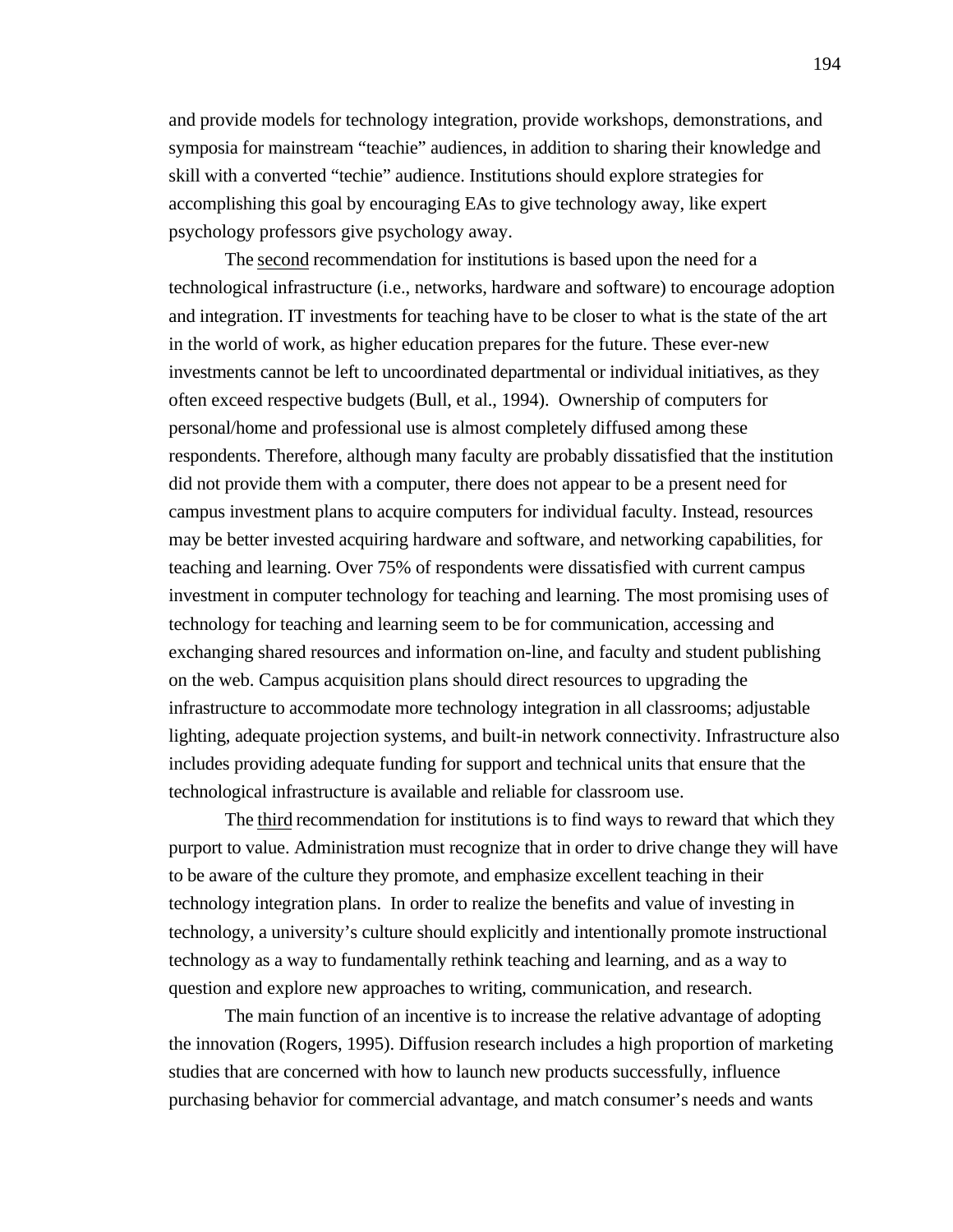and provide models for technology integration, provide workshops, demonstrations, and symposia for mainstream "teachie" audiences, in addition to sharing their knowledge and skill with a converted "techie" audience. Institutions should explore strategies for accomplishing this goal by encouraging EAs to give technology away, like expert psychology professors give psychology away.

The second recommendation for institutions is based upon the need for a technological infrastructure (i.e., networks, hardware and software) to encourage adoption and integration. IT investments for teaching have to be closer to what is the state of the art in the world of work, as higher education prepares for the future. These ever-new investments cannot be left to uncoordinated departmental or individual initiatives, as they often exceed respective budgets (Bull, et al., 1994). Ownership of computers for personal/home and professional use is almost completely diffused among these respondents. Therefore, although many faculty are probably dissatisfied that the institution did not provide them with a computer, there does not appear to be a present need for campus investment plans to acquire computers for individual faculty. Instead, resources may be better invested acquiring hardware and software, and networking capabilities, for teaching and learning. Over 75% of respondents were dissatisfied with current campus investment in computer technology for teaching and learning. The most promising uses of technology for teaching and learning seem to be for communication, accessing and exchanging shared resources and information on-line, and faculty and student publishing on the web. Campus acquisition plans should direct resources to upgrading the infrastructure to accommodate more technology integration in all classrooms; adjustable lighting, adequate projection systems, and built-in network connectivity. Infrastructure also includes providing adequate funding for support and technical units that ensure that the technological infrastructure is available and reliable for classroom use.

The third recommendation for institutions is to find ways to reward that which they purport to value. Administration must recognize that in order to drive change they will have to be aware of the culture they promote, and emphasize excellent teaching in their technology integration plans. In order to realize the benefits and value of investing in technology, a university's culture should explicitly and intentionally promote instructional technology as a way to fundamentally rethink teaching and learning, and as a way to question and explore new approaches to writing, communication, and research.

The main function of an incentive is to increase the relative advantage of adopting the innovation (Rogers, 1995). Diffusion research includes a high proportion of marketing studies that are concerned with how to launch new products successfully, influence purchasing behavior for commercial advantage, and match consumer's needs and wants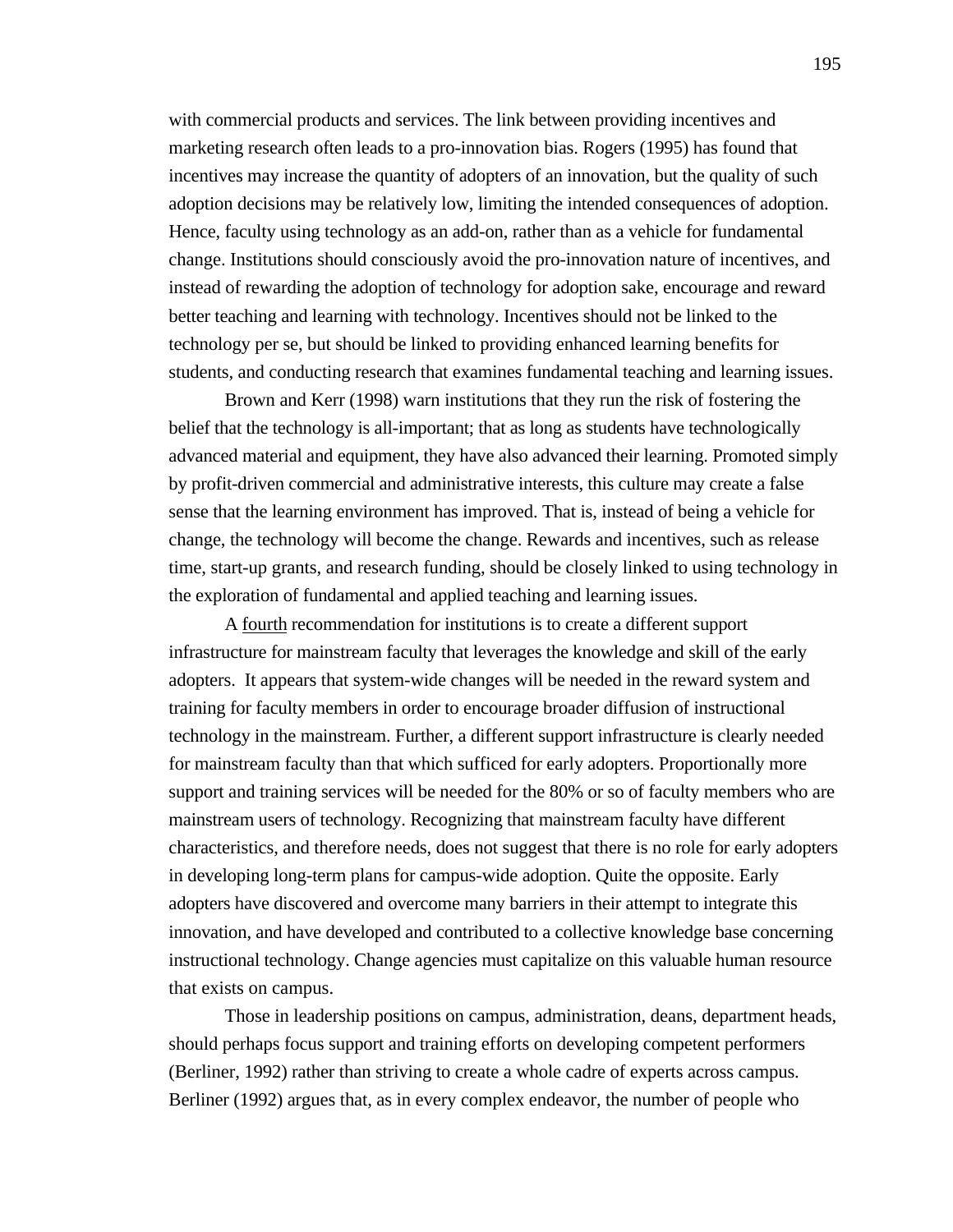with commercial products and services. The link between providing incentives and marketing research often leads to a pro-innovation bias. Rogers (1995) has found that incentives may increase the quantity of adopters of an innovation, but the quality of such adoption decisions may be relatively low, limiting the intended consequences of adoption. Hence, faculty using technology as an add-on, rather than as a vehicle for fundamental change. Institutions should consciously avoid the pro-innovation nature of incentives, and instead of rewarding the adoption of technology for adoption sake, encourage and reward better teaching and learning with technology. Incentives should not be linked to the technology per se, but should be linked to providing enhanced learning benefits for students, and conducting research that examines fundamental teaching and learning issues.

Brown and Kerr (1998) warn institutions that they run the risk of fostering the belief that the technology is all-important; that as long as students have technologically advanced material and equipment, they have also advanced their learning. Promoted simply by profit-driven commercial and administrative interests, this culture may create a false sense that the learning environment has improved. That is, instead of being a vehicle for change, the technology will become the change. Rewards and incentives, such as release time, start-up grants, and research funding, should be closely linked to using technology in the exploration of fundamental and applied teaching and learning issues.

A fourth recommendation for institutions is to create a different support infrastructure for mainstream faculty that leverages the knowledge and skill of the early adopters. It appears that system-wide changes will be needed in the reward system and training for faculty members in order to encourage broader diffusion of instructional technology in the mainstream. Further, a different support infrastructure is clearly needed for mainstream faculty than that which sufficed for early adopters. Proportionally more support and training services will be needed for the 80% or so of faculty members who are mainstream users of technology. Recognizing that mainstream faculty have different characteristics, and therefore needs, does not suggest that there is no role for early adopters in developing long-term plans for campus-wide adoption. Quite the opposite. Early adopters have discovered and overcome many barriers in their attempt to integrate this innovation, and have developed and contributed to a collective knowledge base concerning instructional technology. Change agencies must capitalize on this valuable human resource that exists on campus.

Those in leadership positions on campus, administration, deans, department heads, should perhaps focus support and training efforts on developing competent performers (Berliner, 1992) rather than striving to create a whole cadre of experts across campus. Berliner (1992) argues that, as in every complex endeavor, the number of people who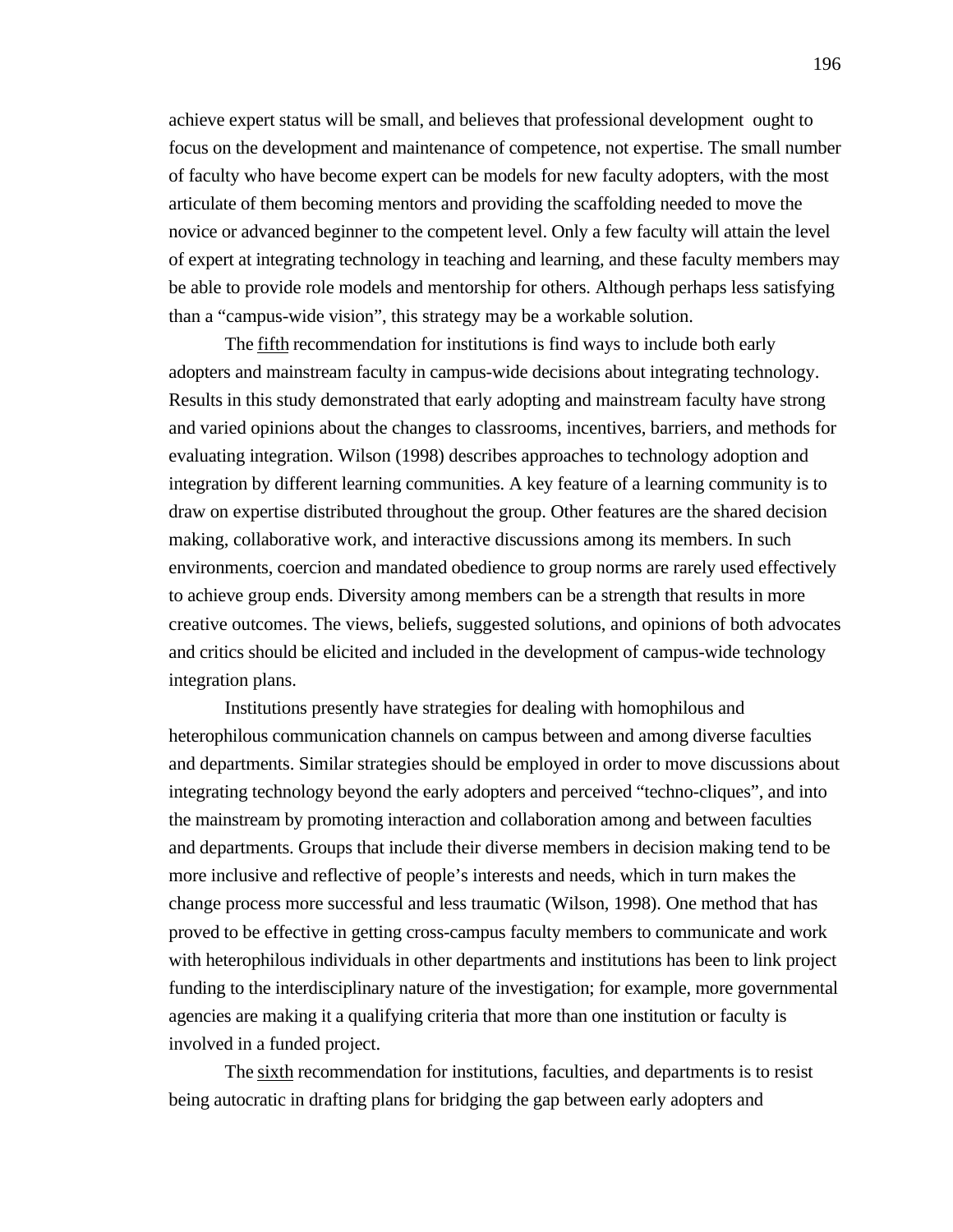achieve expert status will be small, and believes that professional development ought to focus on the development and maintenance of competence, not expertise. The small number of faculty who have become expert can be models for new faculty adopters, with the most articulate of them becoming mentors and providing the scaffolding needed to move the novice or advanced beginner to the competent level. Only a few faculty will attain the level of expert at integrating technology in teaching and learning, and these faculty members may be able to provide role models and mentorship for others. Although perhaps less satisfying than a "campus-wide vision", this strategy may be a workable solution.

The fifth recommendation for institutions is find ways to include both early adopters and mainstream faculty in campus-wide decisions about integrating technology. Results in this study demonstrated that early adopting and mainstream faculty have strong and varied opinions about the changes to classrooms, incentives, barriers, and methods for evaluating integration. Wilson (1998) describes approaches to technology adoption and integration by different learning communities. A key feature of a learning community is to draw on expertise distributed throughout the group. Other features are the shared decision making, collaborative work, and interactive discussions among its members. In such environments, coercion and mandated obedience to group norms are rarely used effectively to achieve group ends. Diversity among members can be a strength that results in more creative outcomes. The views, beliefs, suggested solutions, and opinions of both advocates and critics should be elicited and included in the development of campus-wide technology integration plans.

Institutions presently have strategies for dealing with homophilous and heterophilous communication channels on campus between and among diverse faculties and departments. Similar strategies should be employed in order to move discussions about integrating technology beyond the early adopters and perceived "techno-cliques", and into the mainstream by promoting interaction and collaboration among and between faculties and departments. Groups that include their diverse members in decision making tend to be more inclusive and reflective of people's interests and needs, which in turn makes the change process more successful and less traumatic (Wilson, 1998). One method that has proved to be effective in getting cross-campus faculty members to communicate and work with heterophilous individuals in other departments and institutions has been to link project funding to the interdisciplinary nature of the investigation; for example, more governmental agencies are making it a qualifying criteria that more than one institution or faculty is involved in a funded project.

The sixth recommendation for institutions, faculties, and departments is to resist being autocratic in drafting plans for bridging the gap between early adopters and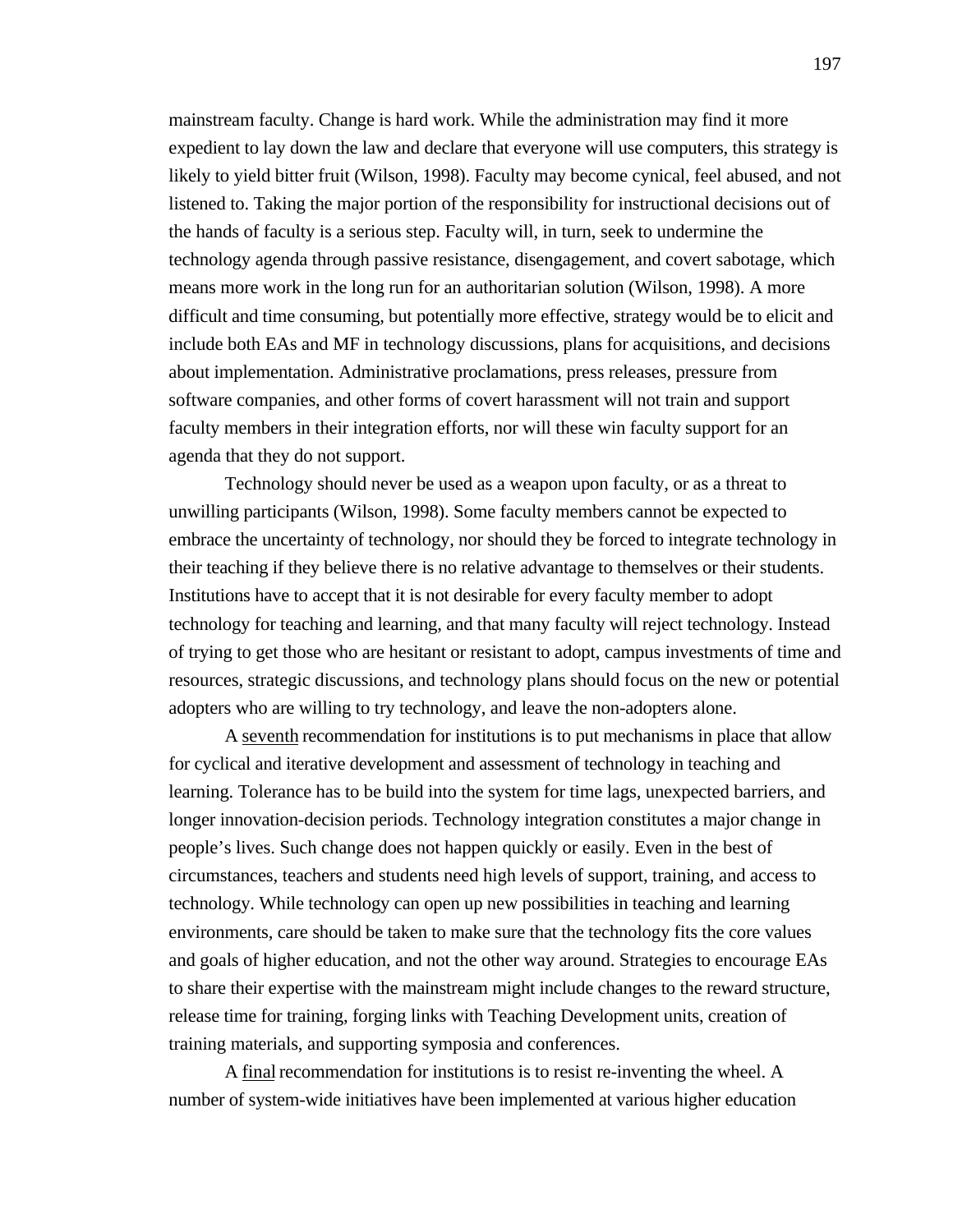mainstream faculty. Change is hard work. While the administration may find it more expedient to lay down the law and declare that everyone will use computers, this strategy is likely to yield bitter fruit (Wilson, 1998). Faculty may become cynical, feel abused, and not listened to. Taking the major portion of the responsibility for instructional decisions out of the hands of faculty is a serious step. Faculty will, in turn, seek to undermine the technology agenda through passive resistance, disengagement, and covert sabotage, which means more work in the long run for an authoritarian solution (Wilson, 1998). A more difficult and time consuming, but potentially more effective, strategy would be to elicit and include both EAs and MF in technology discussions, plans for acquisitions, and decisions about implementation. Administrative proclamations, press releases, pressure from software companies, and other forms of covert harassment will not train and support faculty members in their integration efforts, nor will these win faculty support for an agenda that they do not support.

Technology should never be used as a weapon upon faculty, or as a threat to unwilling participants (Wilson, 1998). Some faculty members cannot be expected to embrace the uncertainty of technology, nor should they be forced to integrate technology in their teaching if they believe there is no relative advantage to themselves or their students. Institutions have to accept that it is not desirable for every faculty member to adopt technology for teaching and learning, and that many faculty will reject technology. Instead of trying to get those who are hesitant or resistant to adopt, campus investments of time and resources, strategic discussions, and technology plans should focus on the new or potential adopters who are willing to try technology, and leave the non-adopters alone.

A seventh recommendation for institutions is to put mechanisms in place that allow for cyclical and iterative development and assessment of technology in teaching and learning. Tolerance has to be build into the system for time lags, unexpected barriers, and longer innovation-decision periods. Technology integration constitutes a major change in people's lives. Such change does not happen quickly or easily. Even in the best of circumstances, teachers and students need high levels of support, training, and access to technology. While technology can open up new possibilities in teaching and learning environments, care should be taken to make sure that the technology fits the core values and goals of higher education, and not the other way around. Strategies to encourage EAs to share their expertise with the mainstream might include changes to the reward structure, release time for training, forging links with Teaching Development units, creation of training materials, and supporting symposia and conferences.

A final recommendation for institutions is to resist re-inventing the wheel. A number of system-wide initiatives have been implemented at various higher education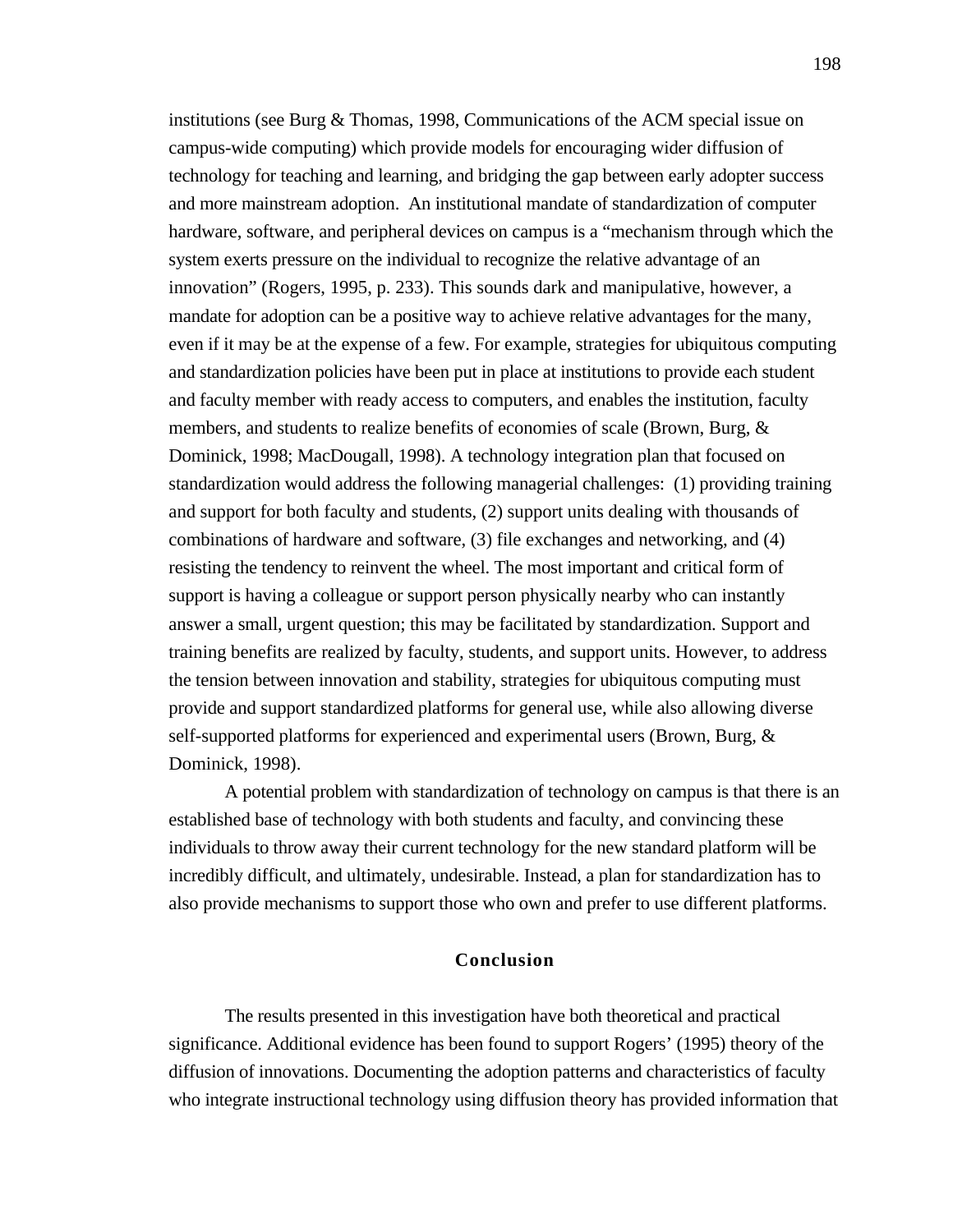institutions (see Burg & Thomas, 1998, Communications of the ACM special issue on campus-wide computing) which provide models for encouraging wider diffusion of technology for teaching and learning, and bridging the gap between early adopter success and more mainstream adoption. An institutional mandate of standardization of computer hardware, software, and peripheral devices on campus is a "mechanism through which the system exerts pressure on the individual to recognize the relative advantage of an innovation" (Rogers, 1995, p. 233). This sounds dark and manipulative, however, a mandate for adoption can be a positive way to achieve relative advantages for the many, even if it may be at the expense of a few. For example, strategies for ubiquitous computing and standardization policies have been put in place at institutions to provide each student and faculty member with ready access to computers, and enables the institution, faculty members, and students to realize benefits of economies of scale (Brown, Burg, & Dominick, 1998; MacDougall, 1998). A technology integration plan that focused on standardization would address the following managerial challenges: (1) providing training and support for both faculty and students, (2) support units dealing with thousands of combinations of hardware and software, (3) file exchanges and networking, and (4) resisting the tendency to reinvent the wheel. The most important and critical form of support is having a colleague or support person physically nearby who can instantly answer a small, urgent question; this may be facilitated by standardization. Support and training benefits are realized by faculty, students, and support units. However, to address the tension between innovation and stability, strategies for ubiquitous computing must provide and support standardized platforms for general use, while also allowing diverse self-supported platforms for experienced and experimental users (Brown, Burg, & Dominick, 1998).

A potential problem with standardization of technology on campus is that there is an established base of technology with both students and faculty, and convincing these individuals to throw away their current technology for the new standard platform will be incredibly difficult, and ultimately, undesirable. Instead, a plan for standardization has to also provide mechanisms to support those who own and prefer to use different platforms.

# **Conclusion**

The results presented in this investigation have both theoretical and practical significance. Additional evidence has been found to support Rogers' (1995) theory of the diffusion of innovations. Documenting the adoption patterns and characteristics of faculty who integrate instructional technology using diffusion theory has provided information that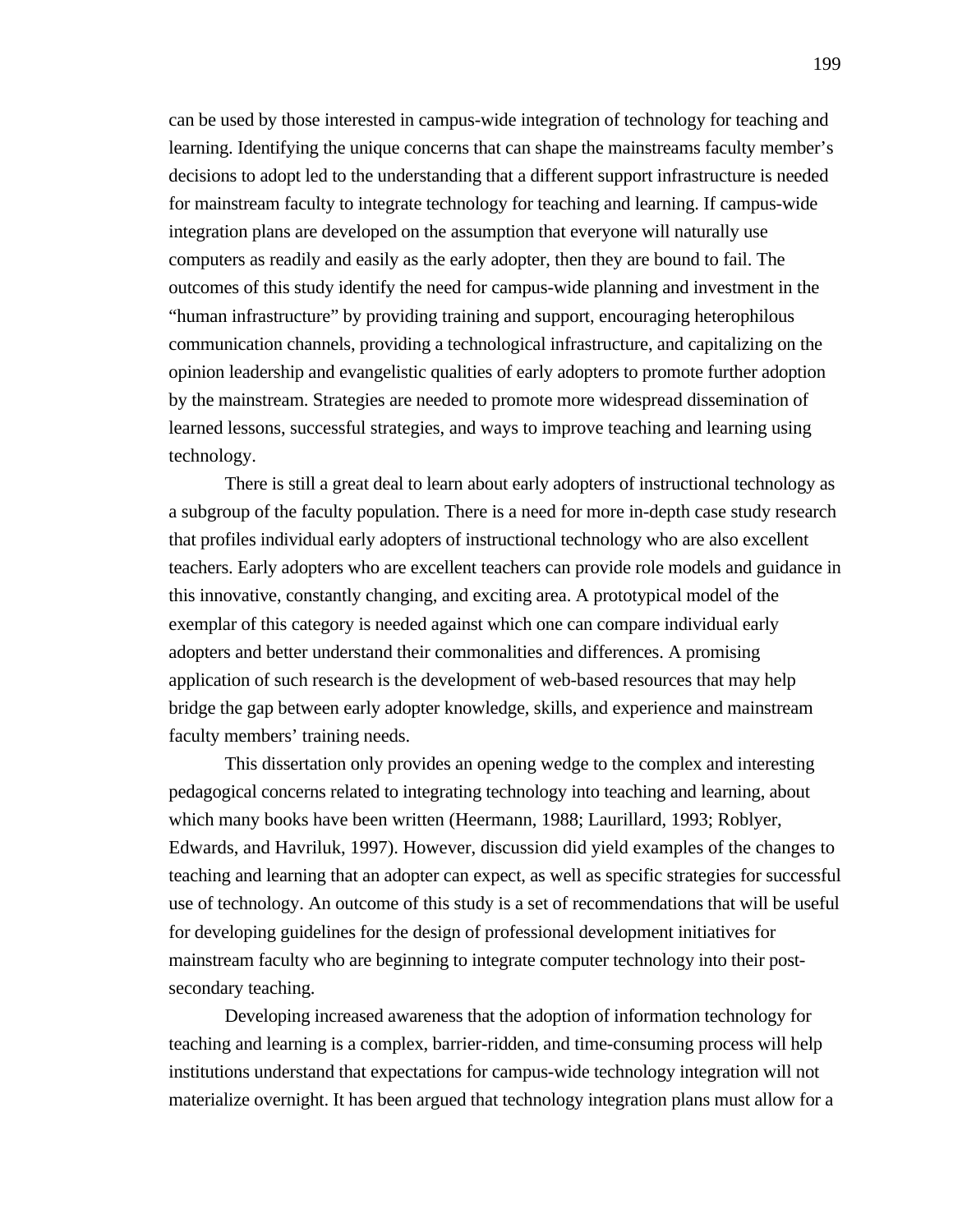can be used by those interested in campus-wide integration of technology for teaching and learning. Identifying the unique concerns that can shape the mainstreams faculty member's decisions to adopt led to the understanding that a different support infrastructure is needed for mainstream faculty to integrate technology for teaching and learning. If campus-wide integration plans are developed on the assumption that everyone will naturally use computers as readily and easily as the early adopter, then they are bound to fail. The outcomes of this study identify the need for campus-wide planning and investment in the "human infrastructure" by providing training and support, encouraging heterophilous communication channels, providing a technological infrastructure, and capitalizing on the opinion leadership and evangelistic qualities of early adopters to promote further adoption by the mainstream. Strategies are needed to promote more widespread dissemination of learned lessons, successful strategies, and ways to improve teaching and learning using technology.

There is still a great deal to learn about early adopters of instructional technology as a subgroup of the faculty population. There is a need for more in-depth case study research that profiles individual early adopters of instructional technology who are also excellent teachers. Early adopters who are excellent teachers can provide role models and guidance in this innovative, constantly changing, and exciting area. A prototypical model of the exemplar of this category is needed against which one can compare individual early adopters and better understand their commonalities and differences. A promising application of such research is the development of web-based resources that may help bridge the gap between early adopter knowledge, skills, and experience and mainstream faculty members' training needs.

This dissertation only provides an opening wedge to the complex and interesting pedagogical concerns related to integrating technology into teaching and learning, about which many books have been written (Heermann, 1988; Laurillard, 1993; Roblyer, Edwards, and Havriluk, 1997). However, discussion did yield examples of the changes to teaching and learning that an adopter can expect, as well as specific strategies for successful use of technology. An outcome of this study is a set of recommendations that will be useful for developing guidelines for the design of professional development initiatives for mainstream faculty who are beginning to integrate computer technology into their postsecondary teaching.

Developing increased awareness that the adoption of information technology for teaching and learning is a complex, barrier-ridden, and time-consuming process will help institutions understand that expectations for campus-wide technology integration will not materialize overnight. It has been argued that technology integration plans must allow for a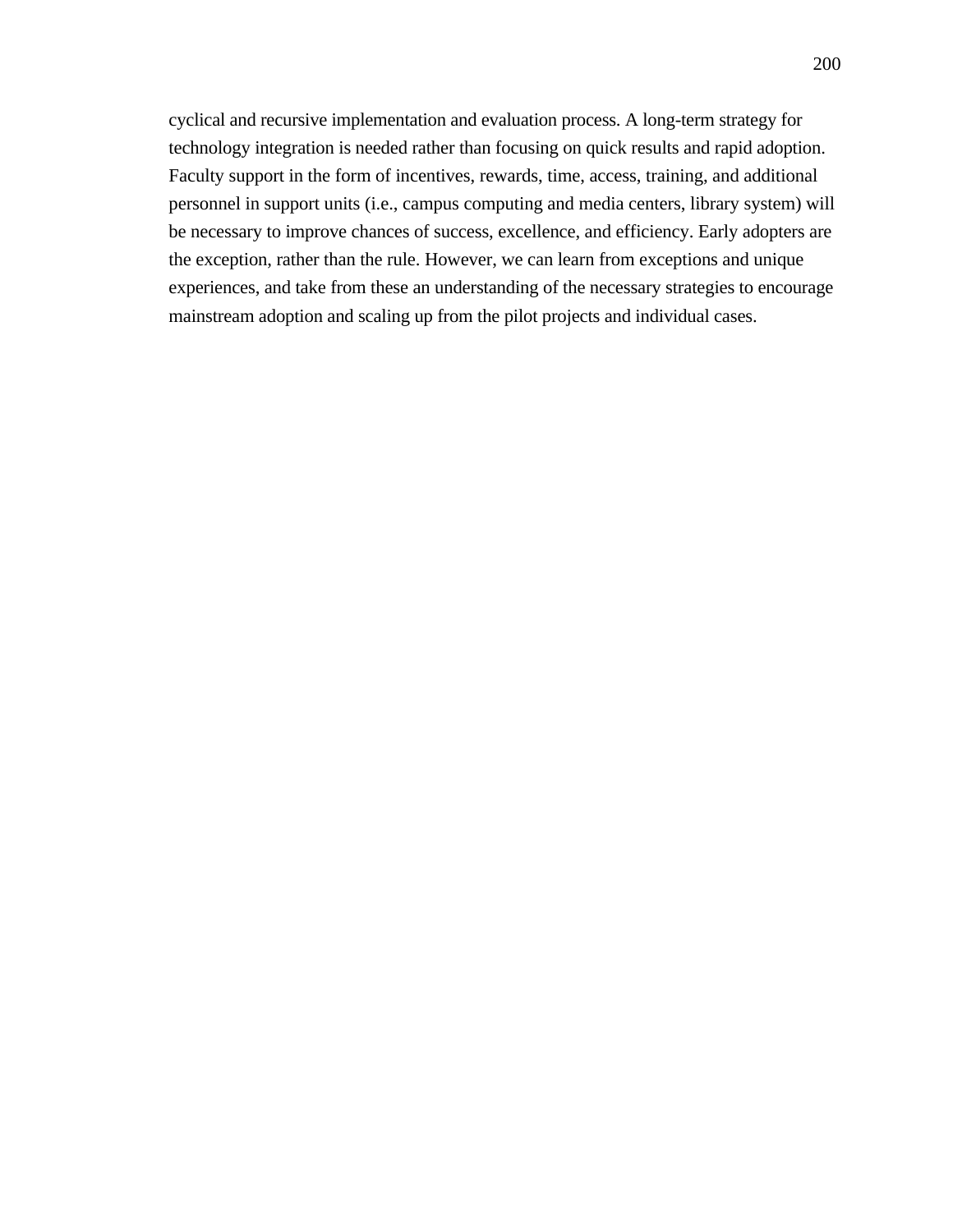cyclical and recursive implementation and evaluation process. A long-term strategy for technology integration is needed rather than focusing on quick results and rapid adoption. Faculty support in the form of incentives, rewards, time, access, training, and additional personnel in support units (i.e., campus computing and media centers, library system) will be necessary to improve chances of success, excellence, and efficiency. Early adopters are the exception, rather than the rule. However, we can learn from exceptions and unique experiences, and take from these an understanding of the necessary strategies to encourage mainstream adoption and scaling up from the pilot projects and individual cases.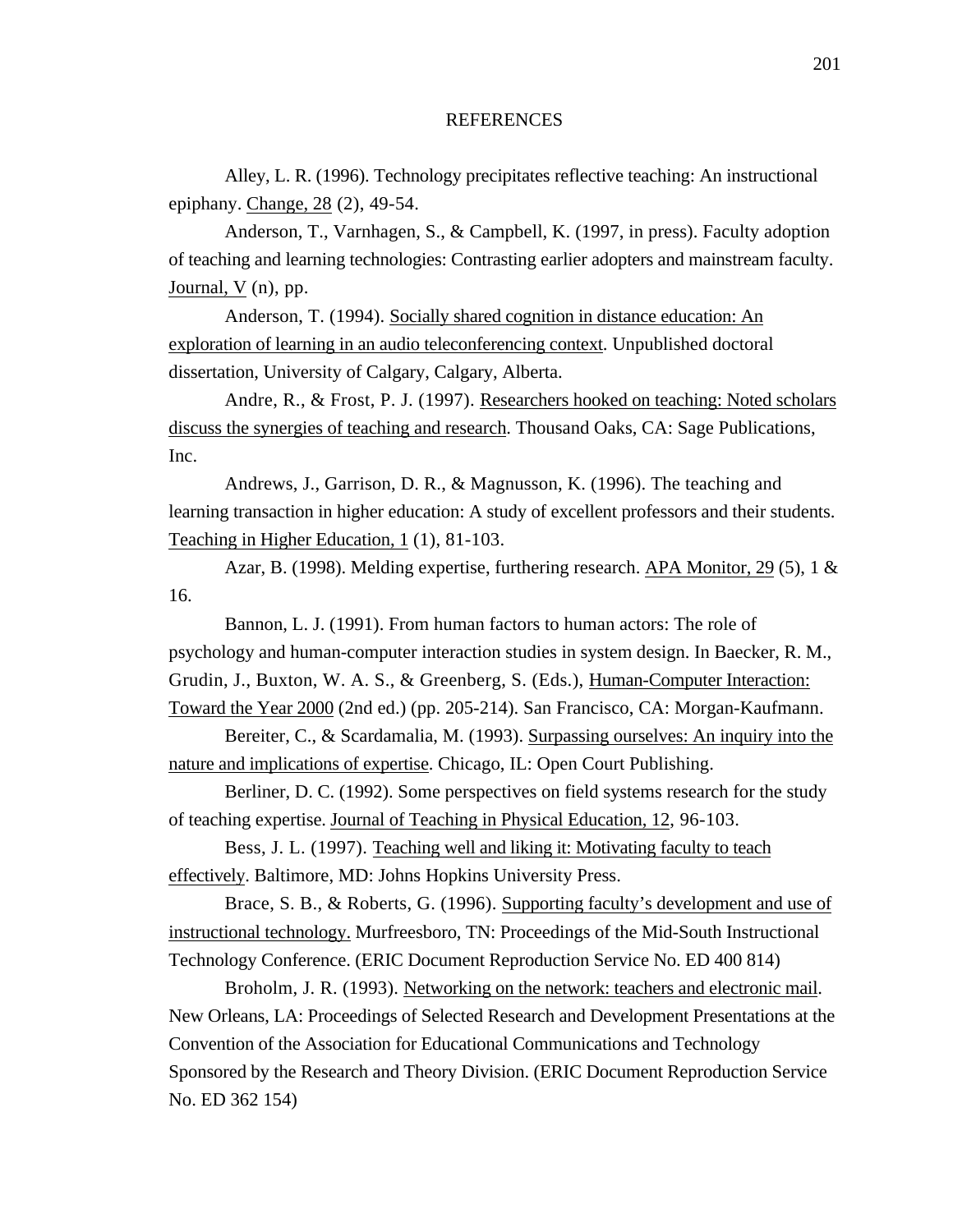## **REFERENCES**

Alley, L. R. (1996). Technology precipitates reflective teaching: An instructional epiphany. Change, 28 (2), 49-54.

Anderson, T., Varnhagen, S., & Campbell, K. (1997, in press). Faculty adoption of teaching and learning technologies: Contrasting earlier adopters and mainstream faculty. Journal, V (n), pp.

Anderson, T. (1994). Socially shared cognition in distance education: An exploration of learning in an audio teleconferencing context. Unpublished doctoral dissertation, University of Calgary, Calgary, Alberta.

Andre, R., & Frost, P. J. (1997). Researchers hooked on teaching: Noted scholars discuss the synergies of teaching and research. Thousand Oaks, CA: Sage Publications, Inc.

Andrews, J., Garrison, D. R., & Magnusson, K. (1996). The teaching and learning transaction in higher education: A study of excellent professors and their students. Teaching in Higher Education, 1 (1), 81-103.

Azar, B. (1998). Melding expertise, furthering research. APA Monitor, 29 (5), 1 & 16.

Bannon, L. J. (1991). From human factors to human actors: The role of psychology and human-computer interaction studies in system design. In Baecker, R. M., Grudin, J., Buxton, W. A. S., & Greenberg, S. (Eds.), Human-Computer Interaction: Toward the Year 2000 (2nd ed.) (pp. 205-214). San Francisco, CA: Morgan-Kaufmann.

Bereiter, C., & Scardamalia, M. (1993). Surpassing ourselves: An inquiry into the nature and implications of expertise. Chicago, IL: Open Court Publishing.

Berliner, D. C. (1992). Some perspectives on field systems research for the study of teaching expertise. Journal of Teaching in Physical Education, 12 , 96-103.

Bess, J. L. (1997). Teaching well and liking it: Motivating faculty to teach effectively. Baltimore, MD: Johns Hopkins University Press.

Brace, S. B., & Roberts, G. (1996). Supporting faculty's development and use of instructional technology. Murfreesboro, TN: Proceedings of the Mid-South Instructional Technology Conference. (ERIC Document Reproduction Service No. ED 400 814)

Broholm, J. R. (1993). Networking on the network: teachers and electronic mail. New Orleans, LA: Proceedings of Selected Research and Development Presentations at the Convention of the Association for Educational Communications and Technology Sponsored by the Research and Theory Division. (ERIC Document Reproduction Service No. ED 362 154)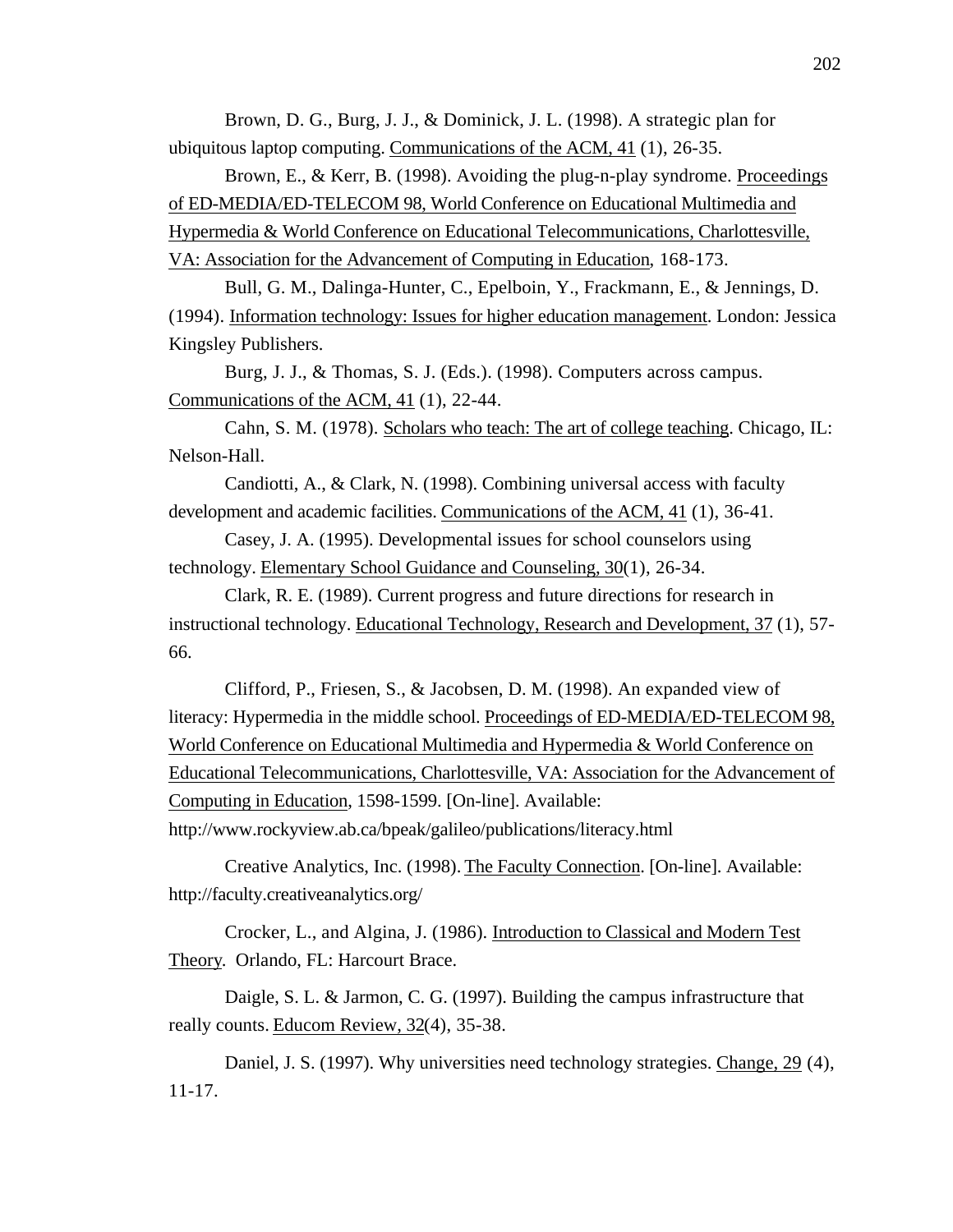Brown, D. G., Burg, J. J., & Dominick, J. L. (1998). A strategic plan for ubiquitous laptop computing. Communications of the ACM, 41 (1), 26-35.

Brown, E., & Kerr, B. (1998). Avoiding the plug-n-play syndrome. Proceedings of ED-MEDIA/ED-TELECOM 98, World Conference on Educational Multimedia and Hypermedia & World Conference on Educational Telecommunications, Charlottesville, VA: Association for the Advancement of Computing in Education, 168-173.

Bull, G. M., Dalinga-Hunter, C., Epelboin, Y., Frackmann, E., & Jennings, D. (1994). Information technology: Issues for higher education management . London: Jessica Kingsley Publishers.

Burg, J. J., & Thomas, S. J. (Eds.). (1998). Computers across campus. Communications of the ACM, 41 (1), 22-44.

Cahn, S. M. (1978). Scholars who teach: The art of college teaching. Chicago, IL: Nelson-Hall.

Candiotti, A., & Clark, N. (1998). Combining universal access with faculty development and academic facilities. Communications of the ACM, 41 (1), 36-41.

Casey, J. A. (1995). Developmental issues for school counselors using technology. Elementary School Guidance and Counseling, 30(1), 26-34.

Clark, R. E. (1989). Current progress and future directions for research in instructional technology. Educational Technology, Research and Development, 37 (1), 57- 66.

Clifford, P., Friesen, S., & Jacobsen, D. M. (1998). An expanded view of literacy: Hypermedia in the middle school. Proceedings of ED-MEDIA/ED-TELECOM 98, World Conference on Educational Multimedia and Hypermedia & World Conference on Educational Telecommunications, Charlottesville, VA: Association for the Advancement of Computing in Education, 1598-1599. [On-line]. Available: http://www.rockyview.ab.ca/bpeak/galileo/publications/literacy.html

Creative Analytics, Inc. (1998). The Faculty Connection . [On-line]. Available: http://faculty.creativeanalytics.org/

Crocker, L., and Algina, J. (1986). Introduction to Classical and Modern Test Theory. Orlando, FL: Harcourt Brace.

Daigle, S. L. & Jarmon, C. G. (1997). Building the campus infrastructure that really counts. Educom Review, 32(4), 35-38.

Daniel, J. S. (1997). Why universities need technology strategies. Change, 29 (4), 11-17.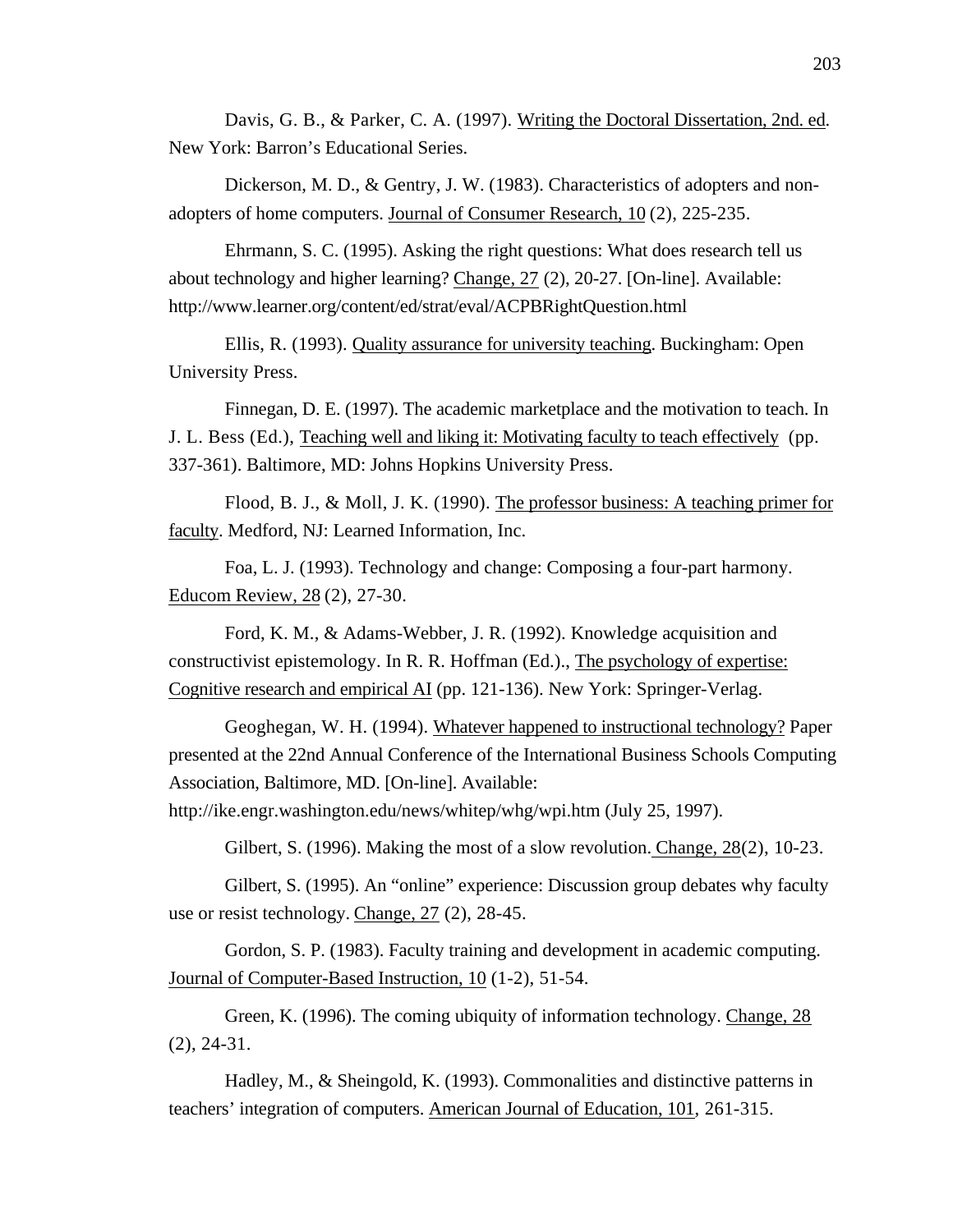Davis, G. B., & Parker, C. A. (1997). Writing the Doctoral Dissertation, 2nd. ed. New York: Barron's Educational Series.

Dickerson, M. D., & Gentry, J. W. (1983). Characteristics of adopters and nonadopters of home computers. Journal of Consumer Research, 10 (2), 225-235.

Ehrmann, S. C. (1995). Asking the right questions: What does research tell us about technology and higher learning? Change, 27 (2), 20-27. [On-line]. Available: http://www.learner.org/content/ed/strat/eval/ACPBRightQuestion.html

Ellis, R. (1993). Quality assurance for university teaching . Buckingham: Open University Press.

Finnegan, D. E. (1997). The academic marketplace and the motivation to teach. In J. L. Bess (Ed.), Teaching well and liking it: Motivating faculty to teach effectively (pp. 337-361). Baltimore, MD: Johns Hopkins University Press.

Flood, B. J., & Moll, J. K. (1990). The professor business: A teaching primer for faculty. Medford, NJ: Learned Information, Inc.

Foa, L. J. (1993). Technology and change: Composing a four-part harmony. Educom Review, 28 (2), 27-30.

Ford, K. M., & Adams-Webber, J. R. (1992). Knowledge acquisition and constructivist epistemology. In R. R. Hoffman (Ed.)., The psychology of expertise: Cognitive research and empirical AI (pp. 121-136). New York: Springer-Verlag.

Geoghegan, W. H. (1994). Whatever happened to instructional technology? Paper presented at the 22nd Annual Conference of the International Business Schools Computing Association, Baltimore, MD. [On-line]. Available:

http://ike.engr.washington.edu/news/whitep/whg/wpi.htm (July 25, 1997).

Gilbert, S.  $(1996)$ . Making the most of a slow revolution. Change,  $28(2)$ ,  $10-23$ .

Gilbert, S. (1995). An "online" experience: Discussion group debates why faculty use or resist technology. Change, 27 (2), 28-45.

Gordon, S. P. (1983). Faculty training and development in academic computing. Journal of Computer-Based Instruction, 10 (1-2), 51-54.

Green, K. (1996). The coming ubiquity of information technology. Change, 28 (2), 24-31.

Hadley, M., & Sheingold, K. (1993). Commonalities and distinctive patterns in teachers' integration of computers. American Journal of Education, 101 , 261-315.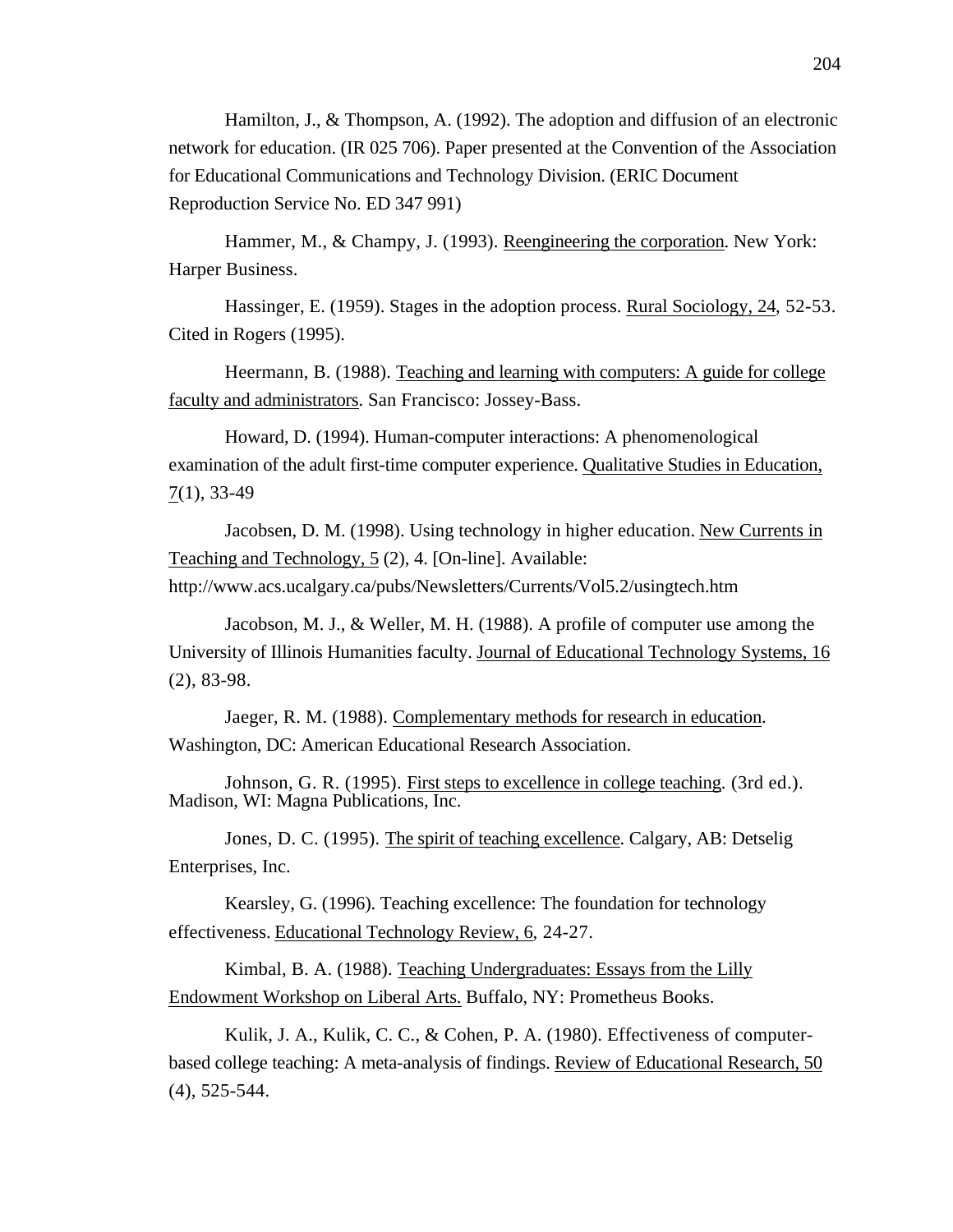Hamilton, J., & Thompson, A. (1992). The adoption and diffusion of an electronic network for education. (IR 025 706). Paper presented at the Convention of the Association for Educational Communications and Technology Division. (ERIC Document Reproduction Service No. ED 347 991)

Hammer, M., & Champy, J. (1993). Reengineering the corporation . New York: Harper Business.

Hassinger, E. (1959). Stages in the adoption process. Rural Sociology, 24, 52-53. Cited in Rogers (1995).

Heermann, B. (1988). Teaching and learning with computers: A guide for college faculty and administrators. San Francisco: Jossey-Bass.

Howard, D. (1994). Human-computer interactions: A phenomenological examination of the adult first-time computer experience. Qualitative Studies in Education,  $7(1), 33-49$ 

Jacobsen, D. M. (1998). Using technology in higher education. New Currents in Teaching and Technology, 5 (2), 4. [On-line]. Available:

http://www.acs.ucalgary.ca/pubs/Newsletters/Currents/Vol5.2/usingtech.htm

Jacobson, M. J., & Weller, M. H. (1988). A profile of computer use among the University of Illinois Humanities faculty. Journal of Educational Technology Systems, 16 (2), 83-98.

Jaeger, R. M. (1988). Complementary methods for research in education. Washington, DC: American Educational Research Association.

Johnson, G. R. (1995). First steps to excellence in college teaching. (3rd ed.). Madison, WI: Magna Publications, Inc.

Jones, D. C. (1995). The spirit of teaching excellence . Calgary, AB: Detselig Enterprises, Inc.

Kearsley, G. (1996). Teaching excellence: The foundation for technology effectiveness. Educational Technology Review, 6, 24-27.

Kimbal, B. A. (1988). Teaching Undergraduates: Essays from the Lilly Endowment Workshop on Liberal Arts. Buffalo, NY: Prometheus Books.

Kulik, J. A., Kulik, C. C., & Cohen, P. A. (1980). Effectiveness of computerbased college teaching: A meta-analysis of findings. Review of Educational Research, 50 (4), 525-544.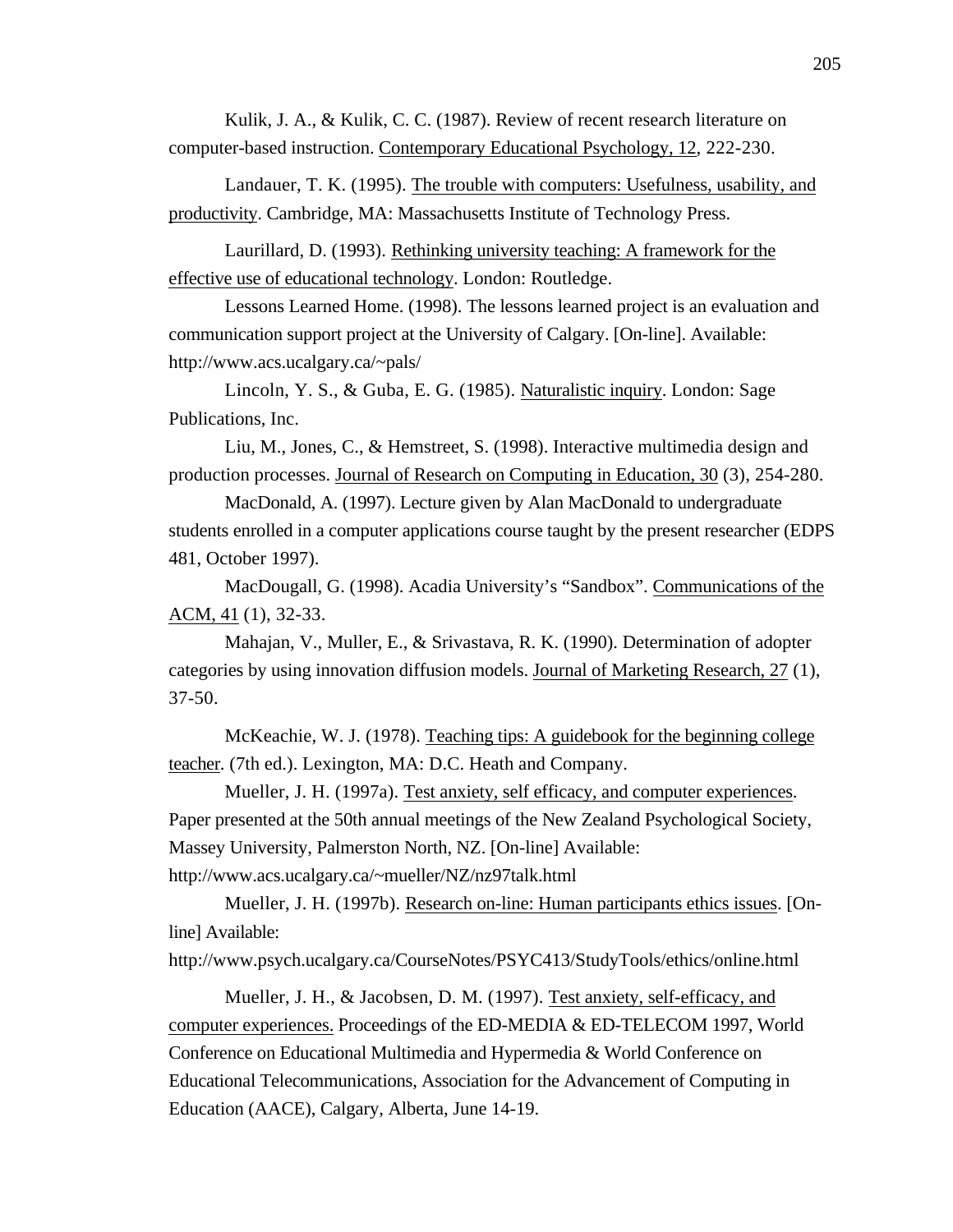Kulik, J. A., & Kulik, C. C. (1987). Review of recent research literature on computer-based instruction. Contemporary Educational Psychology, 12 , 222-230.

Landauer, T. K. (1995). The trouble with computers: Usefulness, usability, and productivity. Cambridge, MA: Massachusetts Institute of Technology Press.

Laurillard, D. (1993). Rethinking university teaching: A framework for the effective use of educational technology . London: Routledge.

Lessons Learned Home. (1998). The lessons learned project is an evaluation and communication support project at the University of Calgary. [On-line]. Available: http://www.acs.ucalgary.ca/~pals/

Lincoln, Y. S., & Guba, E. G. (1985). Naturalistic inquiry . London: Sage Publications, Inc.

Liu, M., Jones, C., & Hemstreet, S. (1998). Interactive multimedia design and production processes. Journal of Research on Computing in Education, 30 (3), 254-280.

MacDonald, A. (1997). Lecture given by Alan MacDonald to undergraduate students enrolled in a computer applications course taught by the present researcher (EDPS 481, October 1997).

MacDougall, G. (1998). Acadia University's "Sandbox". Communications of the ACM, 41 (1), 32-33.

Mahajan, V., Muller, E., & Srivastava, R. K. (1990). Determination of adopter categories by using innovation diffusion models. Journal of Marketing Research, 27 (1), 37-50.

McKeachie, W. J. (1978). Teaching tips: A guidebook for the beginning college teacher . (7th ed.). Lexington, MA: D.C. Heath and Company.

Mueller, J. H. (1997a). Test anxiety, self efficacy, and computer experiences . Paper presented at the 50th annual meetings of the New Zealand Psychological Society, Massey University, Palmerston North, NZ. [On-line] Available: http://www.acs.ucalgary.ca/~mueller/NZ/nz97talk.html

Mueller, J. H. (1997b). Research on-line: Human participants ethics issues . [Online] Available:

http://www.psych.ucalgary.ca/CourseNotes/PSYC413/StudyTools/ethics/online.html

Mueller, J. H., & Jacobsen, D. M. (1997). Test anxiety, self-efficacy, and computer experiences. Proceedings of the ED-MEDIA & ED-TELECOM 1997, World Conference on Educational Multimedia and Hypermedia & World Conference on Educational Telecommunications, Association for the Advancement of Computing in Education (AACE), Calgary, Alberta, June 14-19.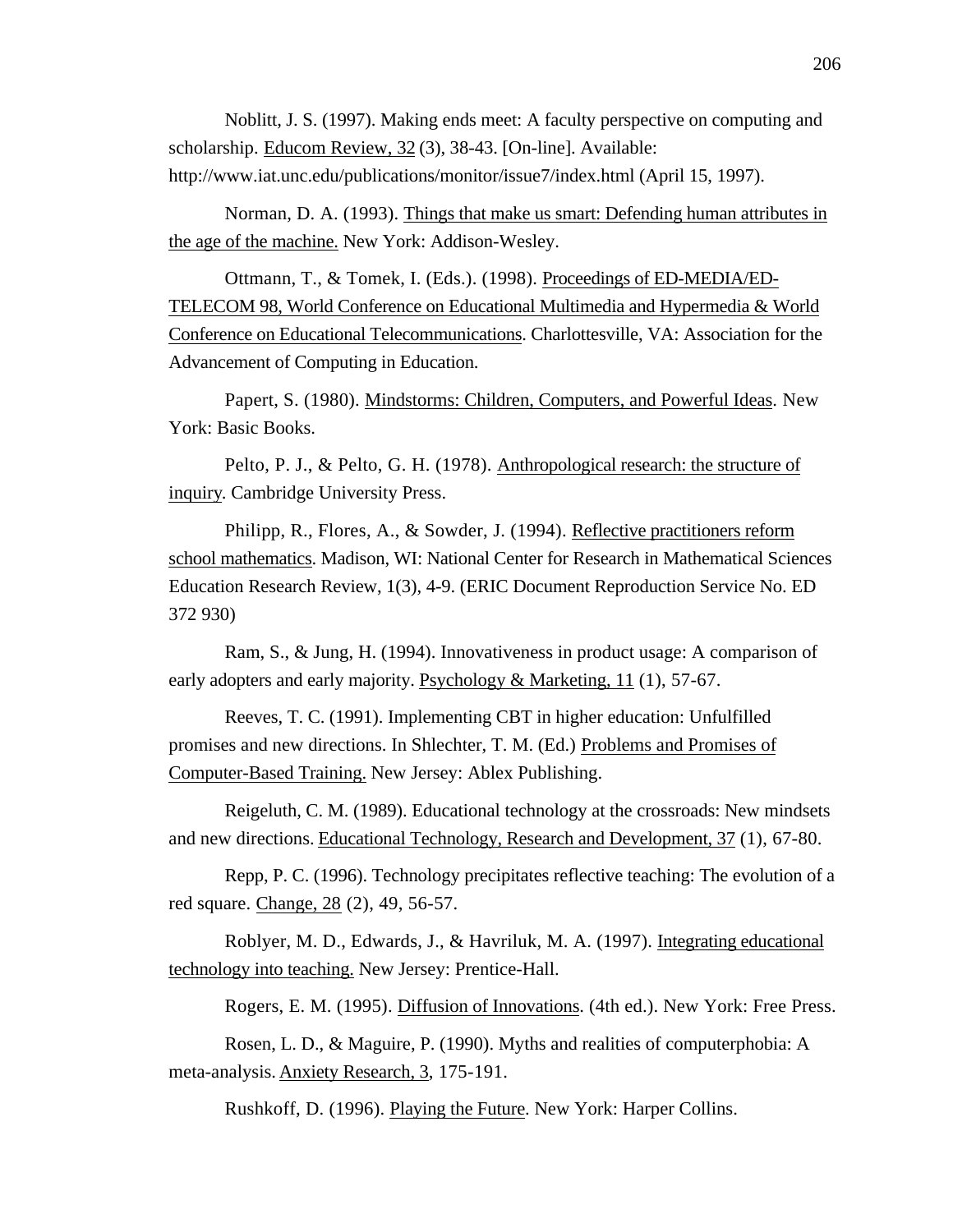Noblitt, J. S. (1997). Making ends meet: A faculty perspective on computing and scholarship. Educom Review, 32 (3), 38-43. [On-line]. Available: http://www.iat.unc.edu/publications/monitor/issue7/index.html (April 15, 1997).

Norman, D. A. (1993). Things that make us smart: Defending human attributes in the age of the machine. New York: Addison-Wesley.

Ottmann, T., & Tomek, I. (Eds.). (1998). Proceedings of ED-MEDIA/ED- TELECOM 98, World Conference on Educational Multimedia and Hypermedia & World Conference on Educational Telecommunications . Charlottesville, VA: Association for the Advancement of Computing in Education.

Papert, S. (1980). Mindstorms: Children, Computers, and Powerful Ideas. New York: Basic Books.

Pelto, P. J., & Pelto, G. H. (1978). Anthropological research: the structure of inquiry. Cambridge University Press.

Philipp, R., Flores, A., & Sowder, J. (1994). Reflective practitioners reform school mathematics . Madison, WI: National Center for Research in Mathematical Sciences Education Research Review, 1(3), 4-9. (ERIC Document Reproduction Service No. ED 372 930)

Ram, S., & Jung, H. (1994). Innovativeness in product usage: A comparison of early adopters and early majority. Psychology & Marketing, 11 (1), 57-67.

Reeves, T. C. (1991). Implementing CBT in higher education: Unfulfilled promises and new directions. In Shlechter, T. M. (Ed.) Problems and Promises of Computer-Based Training. New Jersey: Ablex Publishing.

Reigeluth, C. M. (1989). Educational technology at the crossroads: New mindsets and new directions. Educational Technology, Research and Development, 37 (1), 67-80.

Repp, P. C. (1996). Technology precipitates reflective teaching: The evolution of a red square. Change, 28 (2), 49, 56-57.

Roblyer, M. D., Edwards, J., & Havriluk, M. A. (1997). Integrating educational technology into teaching. New Jersey: Prentice-Hall.

Rogers, E. M. (1995). Diffusion of Innovations . (4th ed.). New York: Free Press.

Rosen, L. D., & Maguire, P. (1990). Myths and realities of computerphobia: A meta-analysis. Anxiety Research, 3, 175-191.

Rushkoff, D. (1996). Playing the Future . New York: Harper Collins.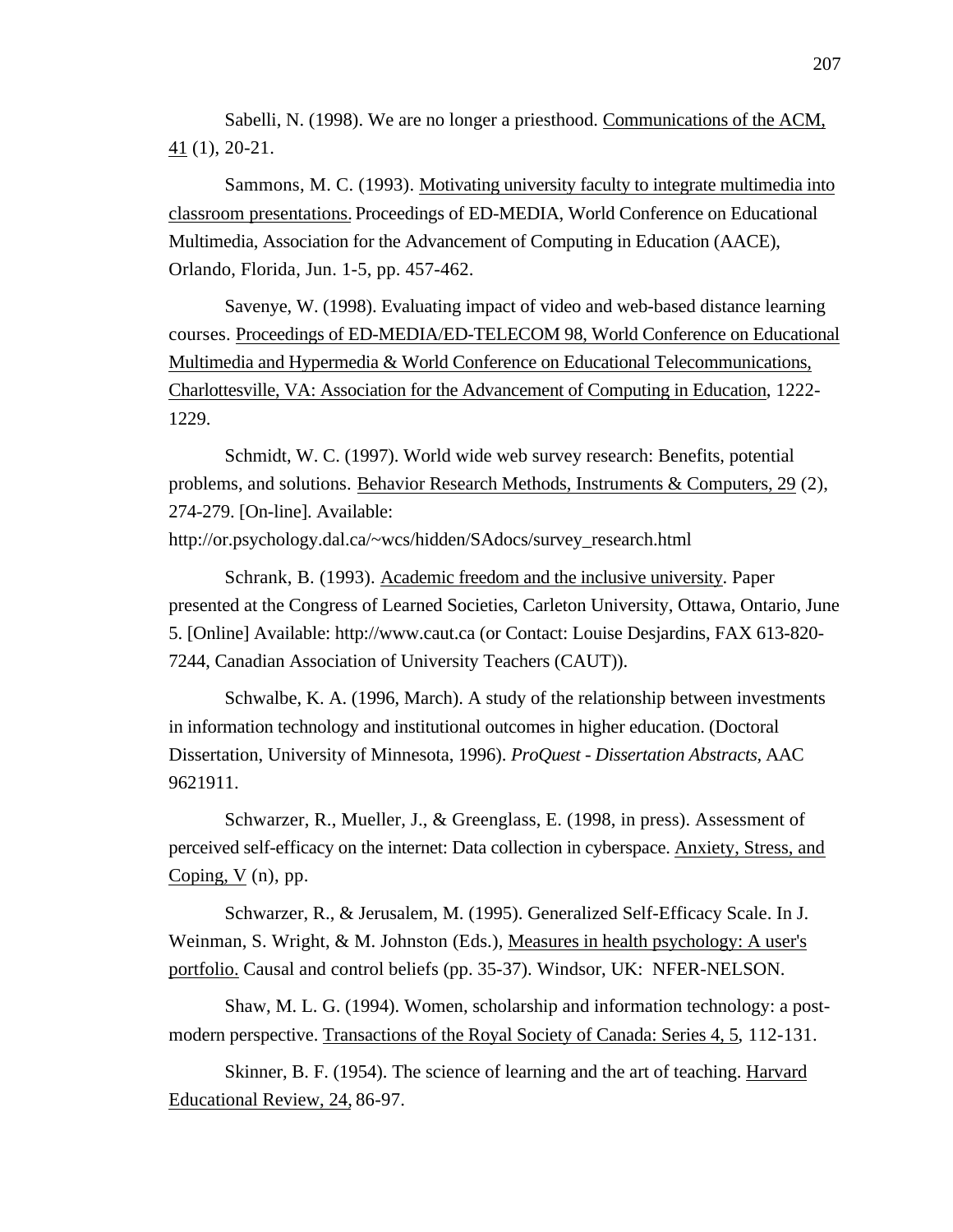Sabelli, N. (1998). We are no longer a priesthood. Communications of the ACM, 41(1), 20-21.

Sammons, M. C. (1993). Motivating university faculty to integrate multimedia into classroom presentations. Proceedings of ED-MEDIA, World Conference on Educational Multimedia, Association for the Advancement of Computing in Education (AACE), Orlando, Florida, Jun. 1-5, pp. 457-462.

Savenye, W. (1998). Evaluating impact of video and web-based distance learning courses. Proceedings of ED-MEDIA/ED-TELECOM 98, World Conference on Educational Multimedia and Hypermedia & World Conference on Educational Telecommunications, Charlottesville, VA: Association for the Advancement of Computing in Education, 1222-1229.

Schmidt, W. C. (1997). World wide web survey research: Benefits, potential problems, and solutions. Behavior Research Methods, Instruments & Computers, 29 (2), 274-279. [On-line]. Available: http://or.psychology.dal.ca/~wcs/hidden/SAdocs/survey\_research.html

Schrank, B. (1993). Academic freedom and the inclusive university . Paper presented at the Congress of Learned Societies, Carleton University, Ottawa, Ontario, June 5. [Online] Available: http://www.caut.ca (or Contact: Louise Desjardins, FAX 613-820- 7244, Canadian Association of University Teachers (CAUT)).

Schwalbe, K. A. (1996, March). A study of the relationship between investments in information technology and institutional outcomes in higher education. (Doctoral Dissertation, University of Minnesota, 1996). *ProQuest - Dissertation Abstracts,* AAC 9621911.

Schwarzer, R., Mueller, J., & Greenglass, E. (1998, in press). Assessment of perceived self-efficacy on the internet: Data collection in cyberspace. Anxiety, Stress, and Coping, V (n), pp.

Schwarzer, R., & Jerusalem, M. (1995). Generalized Self-Efficacy Scale. In J. Weinman, S. Wright, & M. Johnston (Eds.), Measures in health psychology: A user's portfolio. Causal and control beliefs (pp. 35-37). Windsor, UK: NFER-NELSON.

Shaw, M. L. G. (1994). Women, scholarship and information technology: a postmodern perspective. Transactions of the Royal Society of Canada: Series 4, 5, 112-131.

Skinner, B. F. (1954). The science of learning and the art of teaching. Harvard Educational Review, 24, 86-97.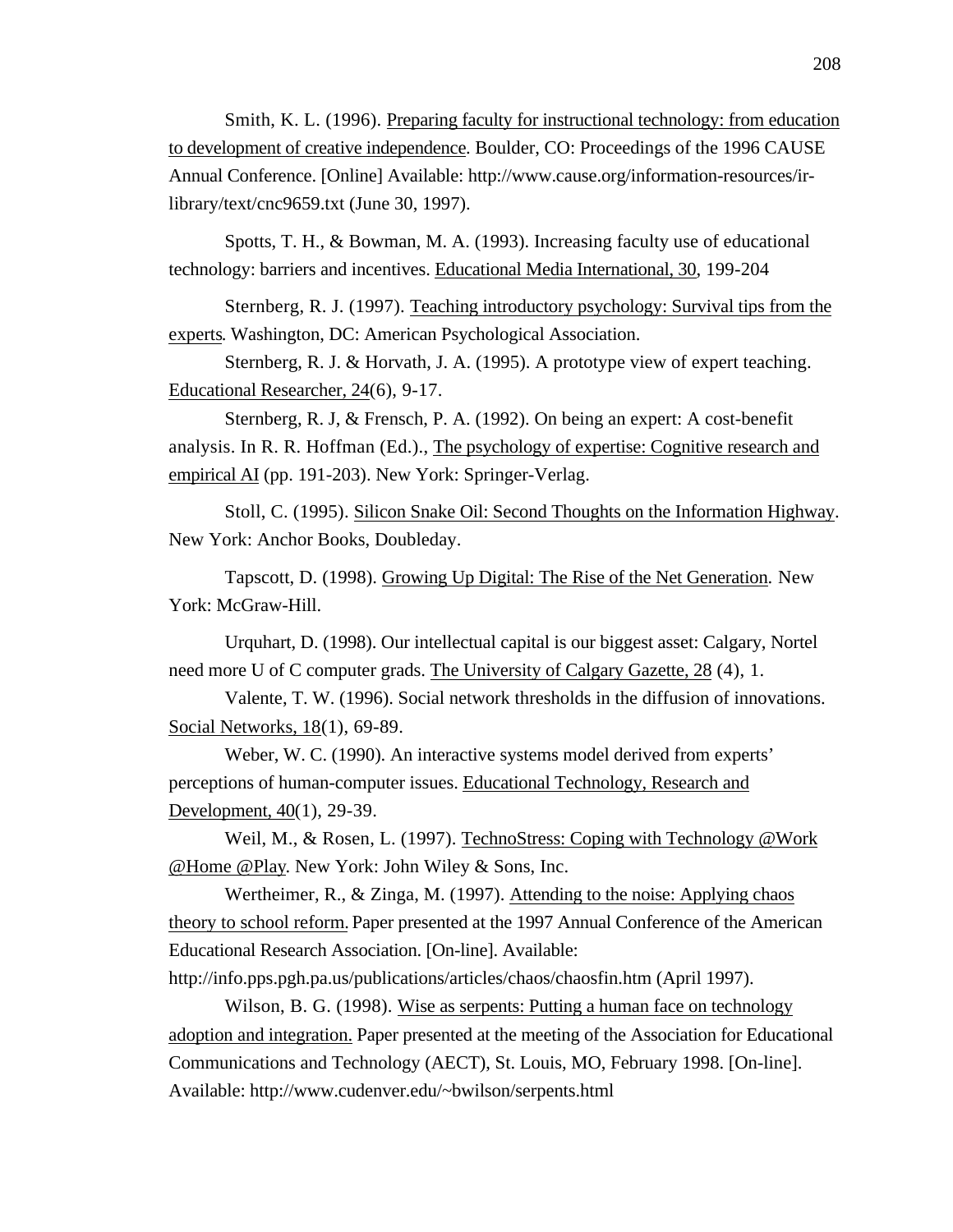Smith, K. L. (1996). Preparing faculty for instructional technology: from education to development of creative independence . Boulder, CO: Proceedings of the 1996 CAUSE Annual Conference. [Online] Available: http://www.cause.org/information-resources/irlibrary/text/cnc9659.txt (June 30, 1997).

Spotts, T. H., & Bowman, M. A. (1993). Increasing faculty use of educational technology: barriers and incentives. Educational Media International, 30 , 199-204

Sternberg, R. J. (1997). Teaching introductory psychology: Survival tips from the experts. Washington, DC: American Psychological Association.

Sternberg, R. J. & Horvath, J. A. (1995). A prototype view of expert teaching. Educational Researcher, 24(6), 9-17.

Sternberg, R. J, & Frensch, P. A. (1992). On being an expert: A cost-benefit analysis. In R. R. Hoffman (Ed.)., The psychology of expertise: Cognitive research and empirical AI (pp. 191-203). New York: Springer-Verlag.

Stoll, C. (1995). Silicon Snake Oil: Second Thoughts on the Information Highway . New York: Anchor Books, Doubleday.

Tapscott, D. (1998). Growing Up Digital: The Rise of the Net Generation . New York: McGraw-Hill.

Urquhart, D. (1998). Our intellectual capital is our biggest asset: Calgary, Nortel need more U of C computer grads. The University of Calgary Gazette, 28 (4), 1.

Valente, T. W. (1996). Social network thresholds in the diffusion of innovations. Social Networks, 18(1), 69-89.

Weber, W. C. (1990). An interactive systems model derived from experts' perceptions of human-computer issues. Educational Technology, Research and Development,  $40(1)$ , 29-39.

Weil, M., & Rosen, L. (1997). TechnoStress: Coping with Technology @Work @Home @Play. New York: John Wiley & Sons, Inc.

Wertheimer, R., & Zinga, M. (1997). Attending to the noise: Applying chaos theory to school reform. Paper presented at the 1997 Annual Conference of the American Educational Research Association. [On-line]. Available:

http://info.pps.pgh.pa.us/publications/articles/chaos/chaosfin.htm (April 1997).

Wilson, B. G. (1998). Wise as serpents: Putting a human face on technology adoption and integration. Paper presented at the meeting of the Association for Educational Communications and Technology (AECT), St. Louis, MO, February 1998. [On-line]. Available: http://www.cudenver.edu/~bwilson/serpents.html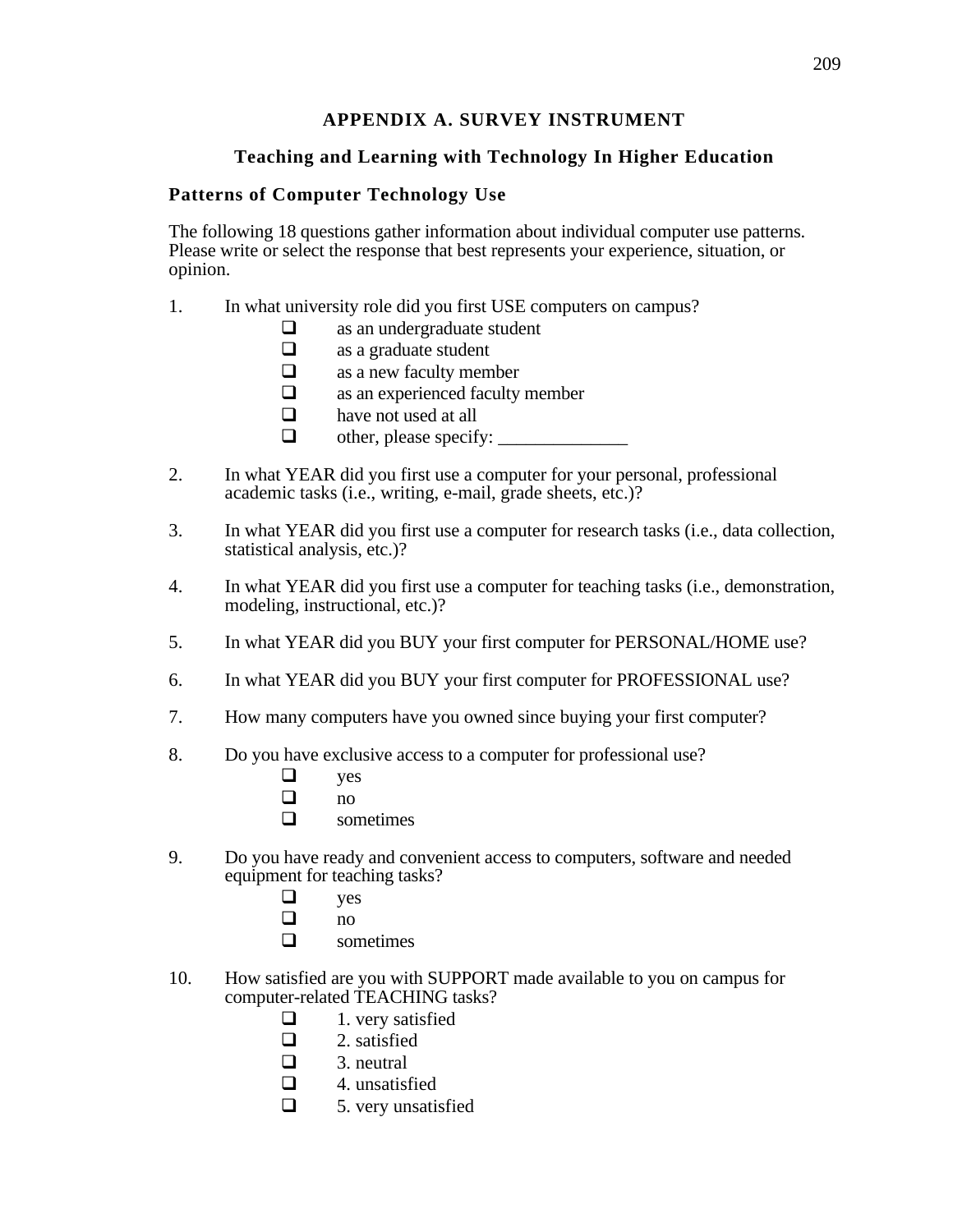# **APPENDIX A. SURVEY INSTRUMENT**

# **Teaching and Learning with Technology In Higher Education**

# **Patterns of Computer Technology Use**

The following 18 questions gather information about individual computer use patterns. Please write or select the response that best represents your experience, situation, or opinion.

- 1. In what university role did you first USE computers on campus?
	- $\Box$  as an undergraduate student<br> $\Box$  as a graduate student
	- as a graduate student
	- $\Box$  as a new faculty member
	- $\Box$  as an experienced faculty member
	- $\Box$  have not used at all
	- $\Box$  other, please specify:
- 2. In what YEAR did you first use a computer for your personal, professional academic tasks (i.e., writing, e-mail, grade sheets, etc.)?
- 3. In what YEAR did you first use a computer for research tasks (i.e., data collection, statistical analysis, etc.)?
- 4. In what YEAR did you first use a computer for teaching tasks (i.e., demonstration, modeling, instructional, etc.)?
- 5. In what YEAR did you BUY your first computer for PERSONAL/HOME use?
- 6. In what YEAR did you BUY your first computer for PROFESSIONAL use?
- 7. How many computers have you owned since buying your first computer?
- 8. Do you have exclusive access to a computer for professional use?
	-
	- $\Box$  yes  $no$
	- $\Box$  sometimes
- 9. Do you have ready and convenient access to computers, software and needed equipment for teaching tasks?
	- $\Box$  yes
	- $no$
	- $\Box$  sometimes
- 10. How satisfied are you with SUPPORT made available to you on campus for computer-related TEACHING tasks?
	- $\Box$  1. very satisfied
	- $\Box$  2. satisfied
	- $\Box$  3. neutral
	- $\Box$  4. unsatisfied
	- $\Box$  5. very unsatisfied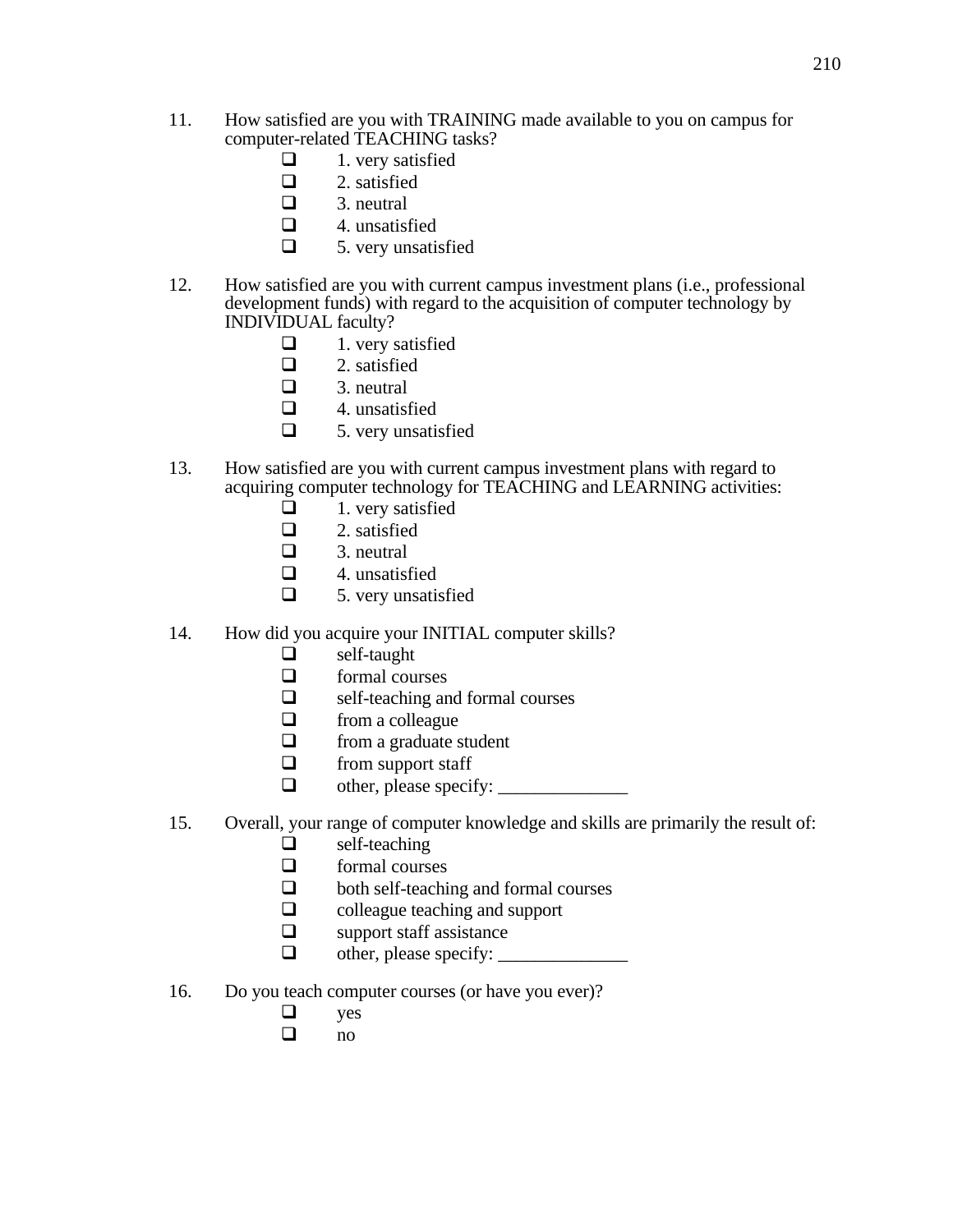- 11. How satisfied are you with TRAINING made available to you on campus for computer-related TEACHING tasks?
	- $\Box$  1. very satisfied<br> $\Box$  2. satisfied
		- 2. satisfied
	- $\Box$  3. neutral
	- $\Box$  4. unsatisfied
	- $\Box$  5. very unsatisfied
- 12. How satisfied are you with current campus investment plans (i.e., professional development funds) with regard to the acquisition of computer technology by INDIVIDUAL faculty?
	- $\Box$  1. very satisfied
	- $\Box$  2. satisfied<br> $\Box$  3. neutral
		- 3. neutral
	- $\Box$  4. unsatisfied
	- $\Box$  5. very unsatisfied
- 13. How satisfied are you with current campus investment plans with regard to acquiring computer technology for TEACHING and LEARNING activities:
	- $\Box$  1. very satisfied
	- $\Box$  2. satisfied
	- $\Box$  3. neutral
	- $\Box$  4. unsatisfied
	- $\Box$  5. very unsatisfied
- 14. How did you acquire your INITIAL computer skills?
	- $\Box$  self-taught
	- $\Box$  formal courses
	- $\Box$  self-teaching and formal courses
	- $\Box$  from a colleague
	- $\Box$  from a graduate student
	- $\Box$  from support staff
	- $\Box$  other, please specify:  $\Box$
- 15. Overall, your range of computer knowledge and skills are primarily the result of:
	- $\Box$  self-teaching
	- $\Box$  formal courses
	- $\Box$  both self-teaching and formal courses
	- $\Box$  colleague teaching and support
	- $\Box$  support staff assistance
	- $\Box$  other, please specify:  $\Box$
- 16. Do you teach computer courses (or have you ever)?
	- $\Box$  yes
	- $\Box$  no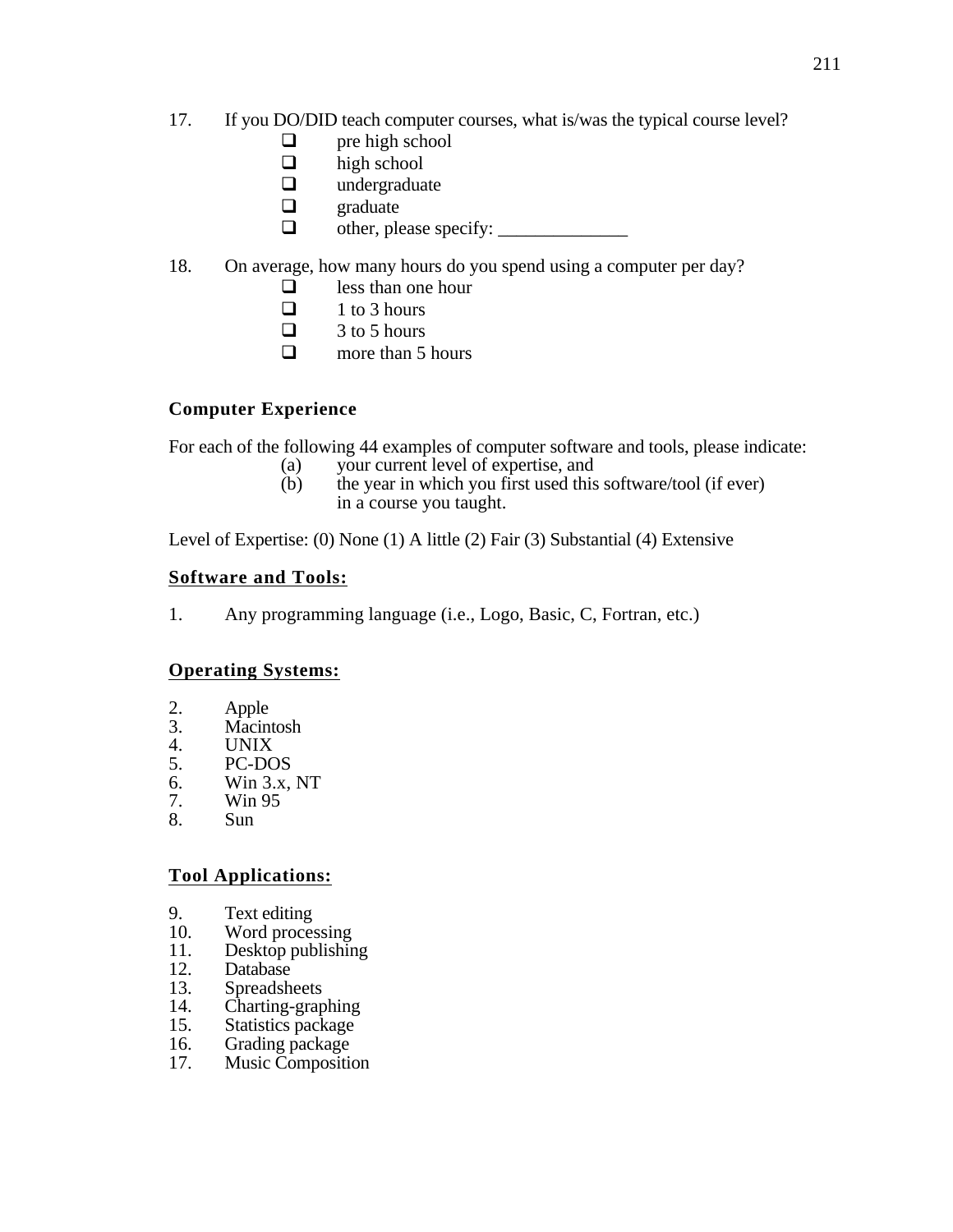- 17. If you DO/DID teach computer courses, what is/was the typical course level?
	- $\Box$  pre high school
	- $\Box$  high school
	- $\Box$  undergraduate
	- $\Box$  graduate
	- $\Box$  other, please specify:

# 18. On average, how many hours do you spend using a computer per day?

- $\Box$  less than one hour
- $\Box$  1 to 3 hours
- $\Box$  3 to 5 hours
- $\Box$  more than 5 hours

# **Computer Experience**

For each of the following 44 examples of computer software and tools, please indicate:

- (a) your current level of expertise, and
- (b) the year in which you first used this software/tool (if ever) in a course you taught.

Level of Expertise: (0) None (1) A little (2) Fair (3) Substantial (4) Extensive

# **Software and Tools:**

1. Any programming language (i.e., Logo, Basic, C, Fortran, etc.)

# **Operating Systems:**

- 2. Apple<br>3. Macint
- 3. Macintosh
- 4. UNIX<br>5. PC-DC
- 5. PC-DOS<br>6. Win 3.x,
- 6. Win 3.x, NT<br>7. Win 95
- 7. Win 95
- 8. Sun

## **Tool Applications:**

- 9. Text editing<br>10. Word proces
- 10. Word processing<br>11. Desktop publishin
- 11. Desktop publishing<br>12. Database
- 12. Database<br>13. Spreadsh
- **Spreadsheets**
- 14. Charting-graphing<br>15. Statistics package
- 15. Statistics package<br>16. Grading package
- 16. Grading package<br>17. Music Compositie
- **Music Composition**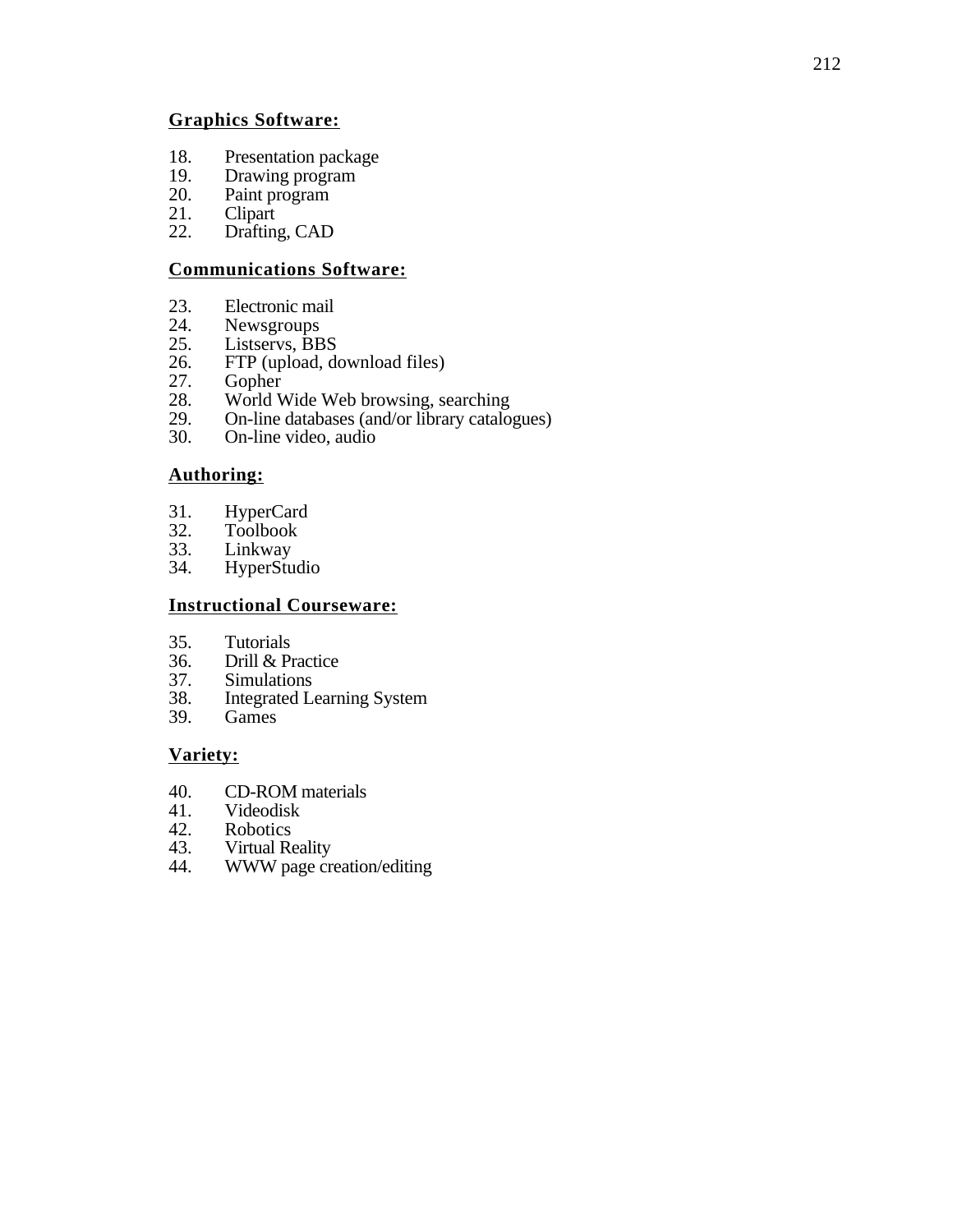## **Graphics Software:**

- 18. Presentation package<br>19. Drawing program
- 19. Drawing program<br>20. Paint program
- 20. Paint program<br>21. Clipart
- 21. Clipart<br>22. Drafting
- Drafting, CAD

## **Communications Software:**

- 23. Electronic mail<br>24. Newsgroups
- 24. Newsgroups<br>25. Listservs. BB
- 25. Listservs, BBS<br>26. FTP (upload, do
- 26. FTP (upload, download files)<br>27. Gopher
- 
- 27. Gopher<br>28. World V 28. World Wide Web browsing, searching<br>29. On-line databases (and/or library catalo
- 29. On-line databases (and/or library catalogues)<br>30. On-line video, audio
- On-line video, audio

## **Authoring:**

- 31. HyperCard<br>32. Toolbook
- 32. Toolbook<br>33. Linkway
- 33. Linkway<br>34. HyperStu
- **HyperStudio**

## **Instructional Courseware:**

- 
- 35. Tutorials<br>36. Drill & Pi 36. Drill & Practice<br>37. Simulations
- 37. Simulations<br>38. Integrated Le
- 38. Integrated Learning System
- Games

## **Variety:**

- 40. CD-ROM materials<br>41. Videodisk
- 41. Videodisk<br>42. Robotics
- 42. Robotics<br>43. Virtual Re
- 43. Virtual Reality<br>44. WWW page cr
- WWW page creation/editing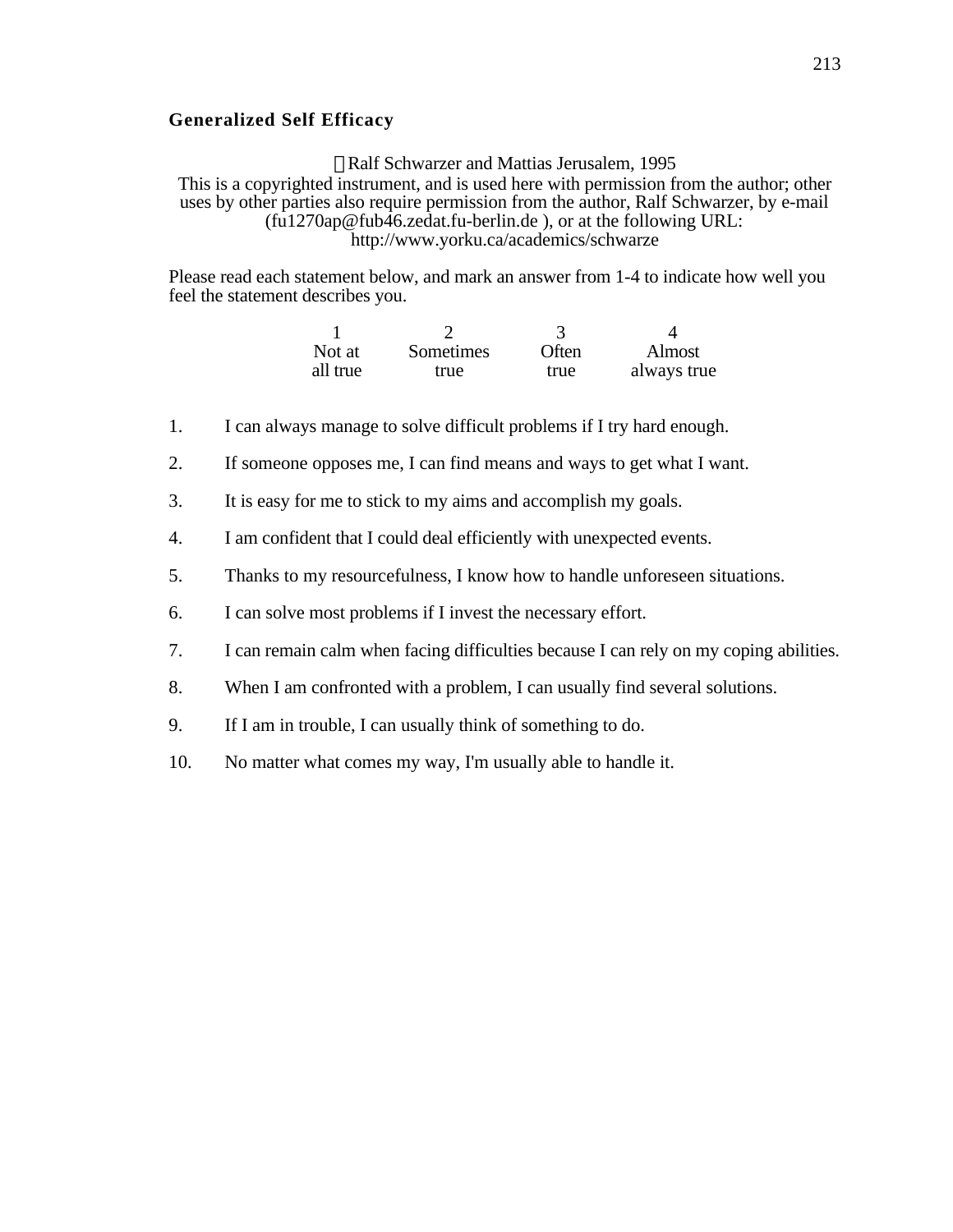#### **Generalized Self Efficacy**

Ralf Schwarzer and Mattias Jerusalem, 1995 This is a copyrighted instrument, and is used here with permission from the author; other uses by other parties also require permission from the author, Ralf Schwarzer, by e-mail (fu1270ap@fub46.zedat.fu-berlin.de ), or at the following URL: http://www.yorku.ca/academics/schwarze

Please read each statement below, and mark an answer from 1-4 to indicate how well you feel the statement describes you.

| Not at   | Sometimes | Often | Almost      |
|----------|-----------|-------|-------------|
| all true | true      | true  | always true |

- 1. I can always manage to solve difficult problems if I try hard enough.
- 2. If someone opposes me, I can find means and ways to get what I want.
- 3. It is easy for me to stick to my aims and accomplish my goals.
- 4. I am confident that I could deal efficiently with unexpected events.
- 5. Thanks to my resourcefulness, I know how to handle unforeseen situations.
- 6. I can solve most problems if I invest the necessary effort.
- 7. I can remain calm when facing difficulties because I can rely on my coping abilities.
- 8. When I am confronted with a problem, I can usually find several solutions.
- 9. If I am in trouble, I can usually think of something to do.
- 10. No matter what comes my way, I'm usually able to handle it.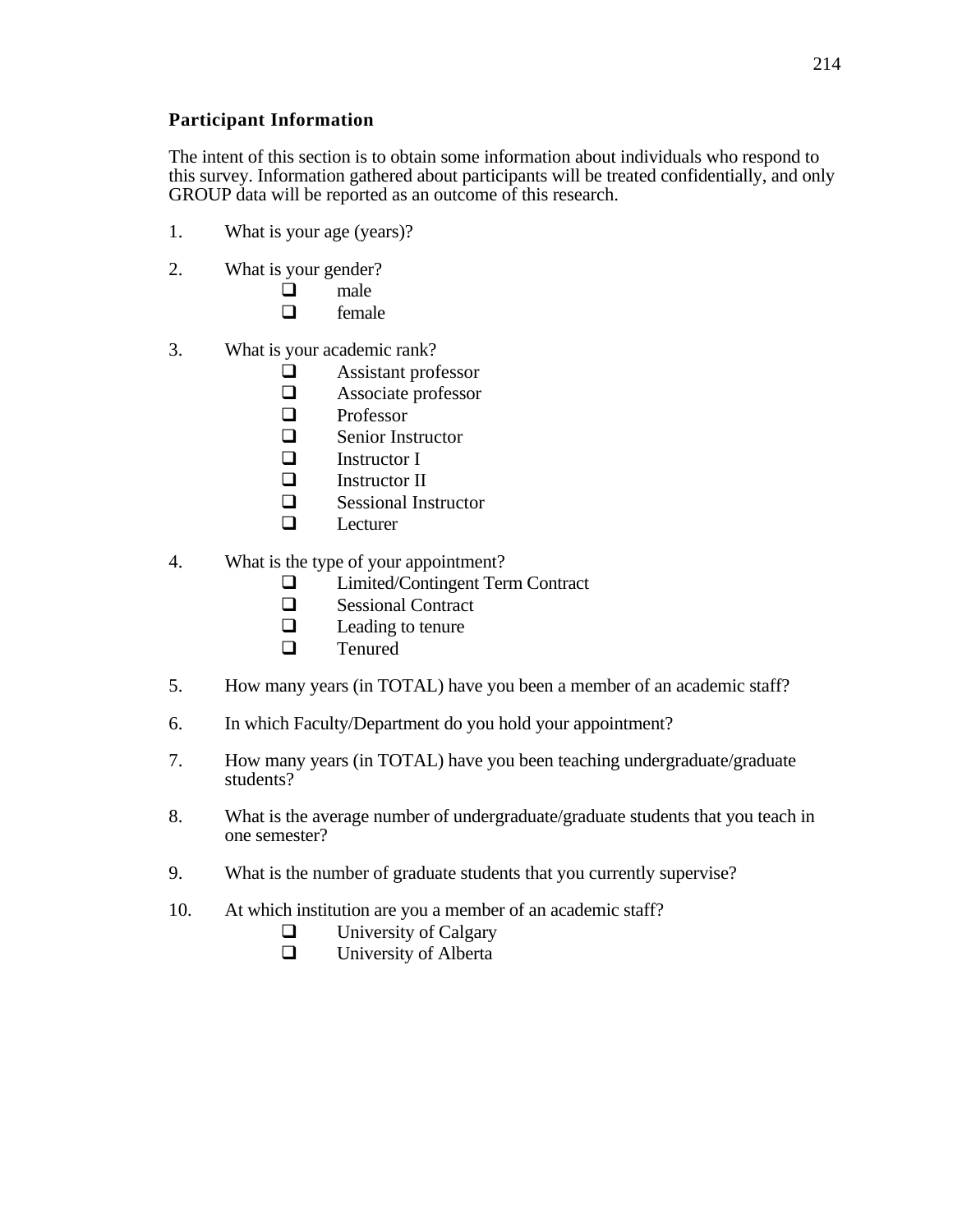## **Participant Information**

The intent of this section is to obtain some information about individuals who respond to this survey. Information gathered about participants will be treated confidentially, and only GROUP data will be reported as an outcome of this research.

- 1. What is your age (years)?
- 2. What is your gender?
	- $\Box$  male
	- female
- 3. What is your academic rank?
	- $\Box$  Assistant professor
	- $\Box$  Associate professor
	- Professor
	- $\Box$  Senior Instructor
	- $\Box$  Instructor I
	- Instructor II
	- $\Box$  Sessional Instructor
	- $\Box$  Lecturer
- 4. What is the type of your appointment?
	- $\Box$  Limited/Contingent Term Contract
	- $\Box$  Sessional Contract
	- $\Box$  Leading to tenure
	- $\Box$  Tenured
- 5. How many years (in TOTAL) have you been a member of an academic staff?
- 6. In which Faculty/Department do you hold your appointment?
- 7. How many years (in TOTAL) have you been teaching undergraduate/graduate students?
- 8. What is the average number of undergraduate/graduate students that you teach in one semester?
- 9. What is the number of graduate students that you currently supervise?
- 10. At which institution are you a member of an academic staff?
	- $\Box$  University of Calgary
	- $\Box$  University of Alberta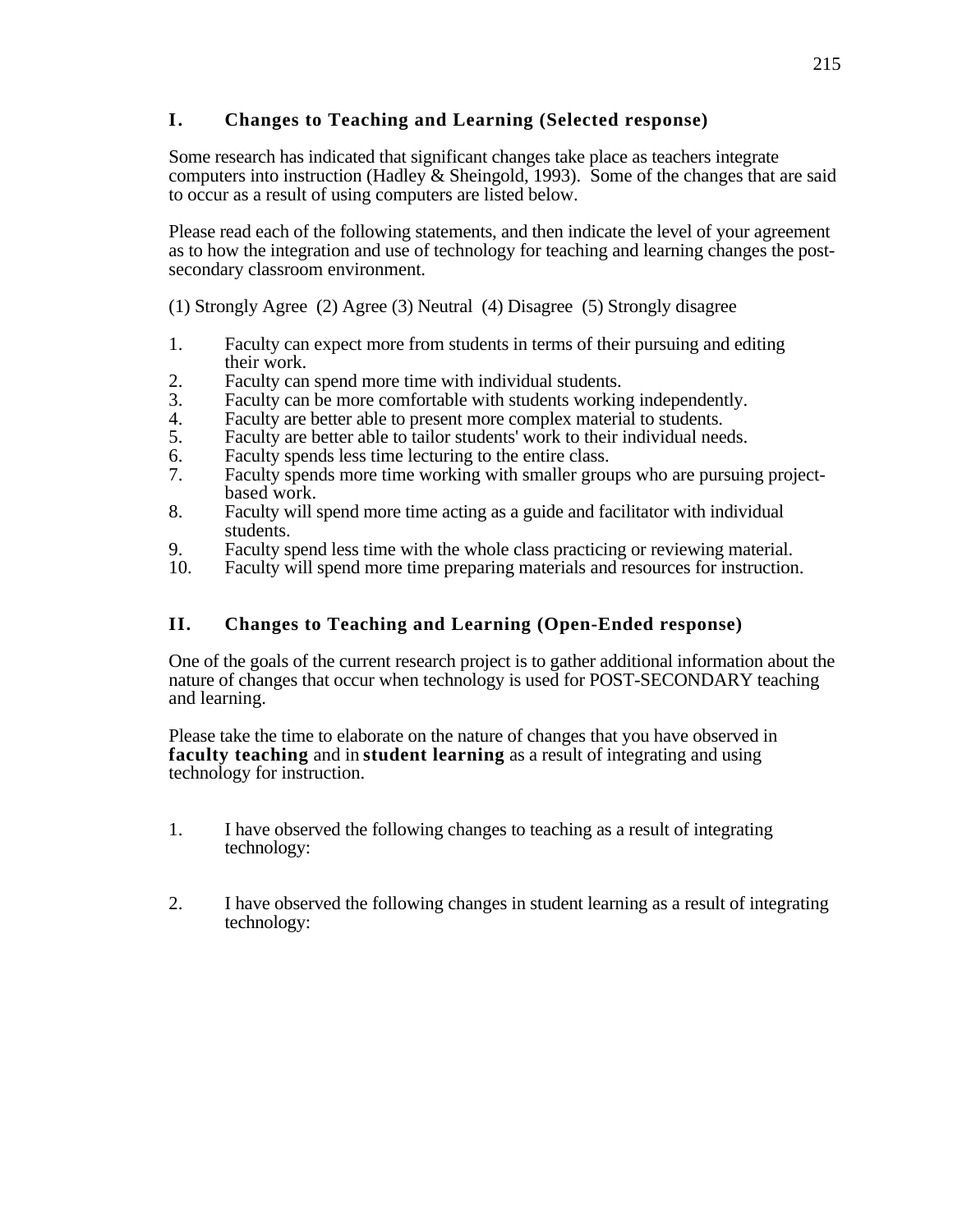# **I. Changes to Teaching and Learning (Selected response)**

Some research has indicated that significant changes take place as teachers integrate computers into instruction (Hadley & Sheingold, 1993). Some of the changes that are said to occur as a result of using computers are listed below.

Please read each of the following statements, and then indicate the level of your agreement as to how the integration and use of technology for teaching and learning changes the postsecondary classroom environment.

(1) Strongly Agree (2) Agree (3) Neutral (4) Disagree (5) Strongly disagree

- 1. Faculty can expect more from students in terms of their pursuing and editing their work.
- 2. Faculty can spend more time with individual students.<br>3. Faculty can be more comfortable with students workin
- 3. Faculty can be more comfortable with students working independently.<br>4. Faculty are better able to present more complex material to students.
- 4. Faculty are better able to present more complex material to students.<br>5. Faculty are better able to tailor students' work to their individual nee
- Faculty are better able to tailor students' work to their individual needs.
- 6. Faculty spends less time lecturing to the entire class.<br>
7. Faculty spends more time working with smaller grou
- Faculty spends more time working with smaller groups who are pursuing projectbased work.
- 8. Faculty will spend more time acting as a guide and facilitator with individual students.
- 9. Faculty spend less time with the whole class practicing or reviewing material.<br>10. Faculty will spend more time preparing materials and resources for instruction
- Faculty will spend more time preparing materials and resources for instruction.

# **II. Changes to Teaching and Learning (Open-Ended response)**

One of the goals of the current research project is to gather additional information about the nature of changes that occur when technology is used for POST-SECONDARY teaching and learning.

Please take the time to elaborate on the nature of changes that you have observed in **faculty teaching** and in **student learning** as a result of integrating and using technology for instruction.

- 1. I have observed the following changes to teaching as a result of integrating technology:
- 2. I have observed the following changes in student learning as a result of integrating technology: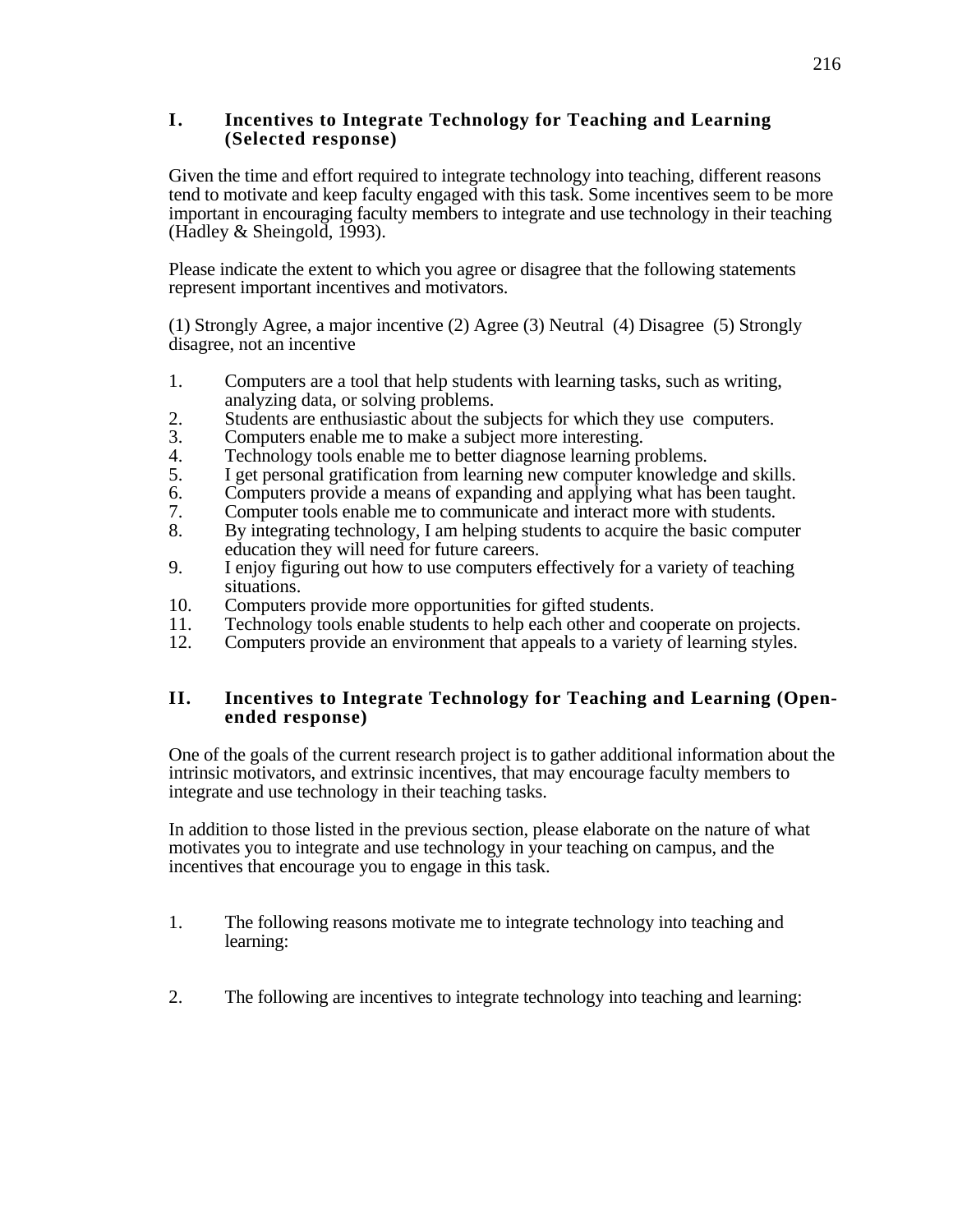## **I. Incentives to Integrate Technology for Teaching and Learning (Selected response)**

Given the time and effort required to integrate technology into teaching, different reasons tend to motivate and keep faculty engaged with this task. Some incentives seem to be more important in encouraging faculty members to integrate and use technology in their teaching (Hadley & Sheingold, 1993).

Please indicate the extent to which you agree or disagree that the following statements represent important incentives and motivators.

(1) Strongly Agree, a major incentive (2) Agree (3) Neutral (4) Disagree (5) Strongly disagree, not an incentive

- 1. Computers are a tool that help students with learning tasks, such as writing, analyzing data, or solving problems.
- 2. Students are enthusiastic about the subjects for which they use computers.<br>3. Computers enable me to make a subject more interesting.
- Computers enable me to make a subject more interesting.
- 4. Technology tools enable me to better diagnose learning problems.<br>5. I get personal gratification from learning new computer knowledge
- 5. I get personal gratification from learning new computer knowledge and skills.
- 
- 6. Computers provide a means of expanding and applying what has been taught.<br>
Computer tools enable me to communicate and interact more with students. 7. Computer tools enable me to communicate and interact more with students.<br>8. By integrating technology. I am helping students to acquire the basic compu
- By integrating technology, I am helping students to acquire the basic computer education they will need for future careers.
- 9. I enjoy figuring out how to use computers effectively for a variety of teaching situations.
- 10. Computers provide more opportunities for gifted students.<br>11. Technology tools enable students to help each other and co
- 11. Technology tools enable students to help each other and cooperate on projects.<br>12. Computers provide an environment that appeals to a variety of learning styles.
- Computers provide an environment that appeals to a variety of learning styles.

# **II. Incentives to Integrate Technology for Teaching and Learning (Openended response)**

One of the goals of the current research project is to gather additional information about the intrinsic motivators, and extrinsic incentives, that may encourage faculty members to integrate and use technology in their teaching tasks.

In addition to those listed in the previous section, please elaborate on the nature of what motivates you to integrate and use technology in your teaching on campus, and the incentives that encourage you to engage in this task.

- 1. The following reasons motivate me to integrate technology into teaching and learning:
- 2. The following are incentives to integrate technology into teaching and learning: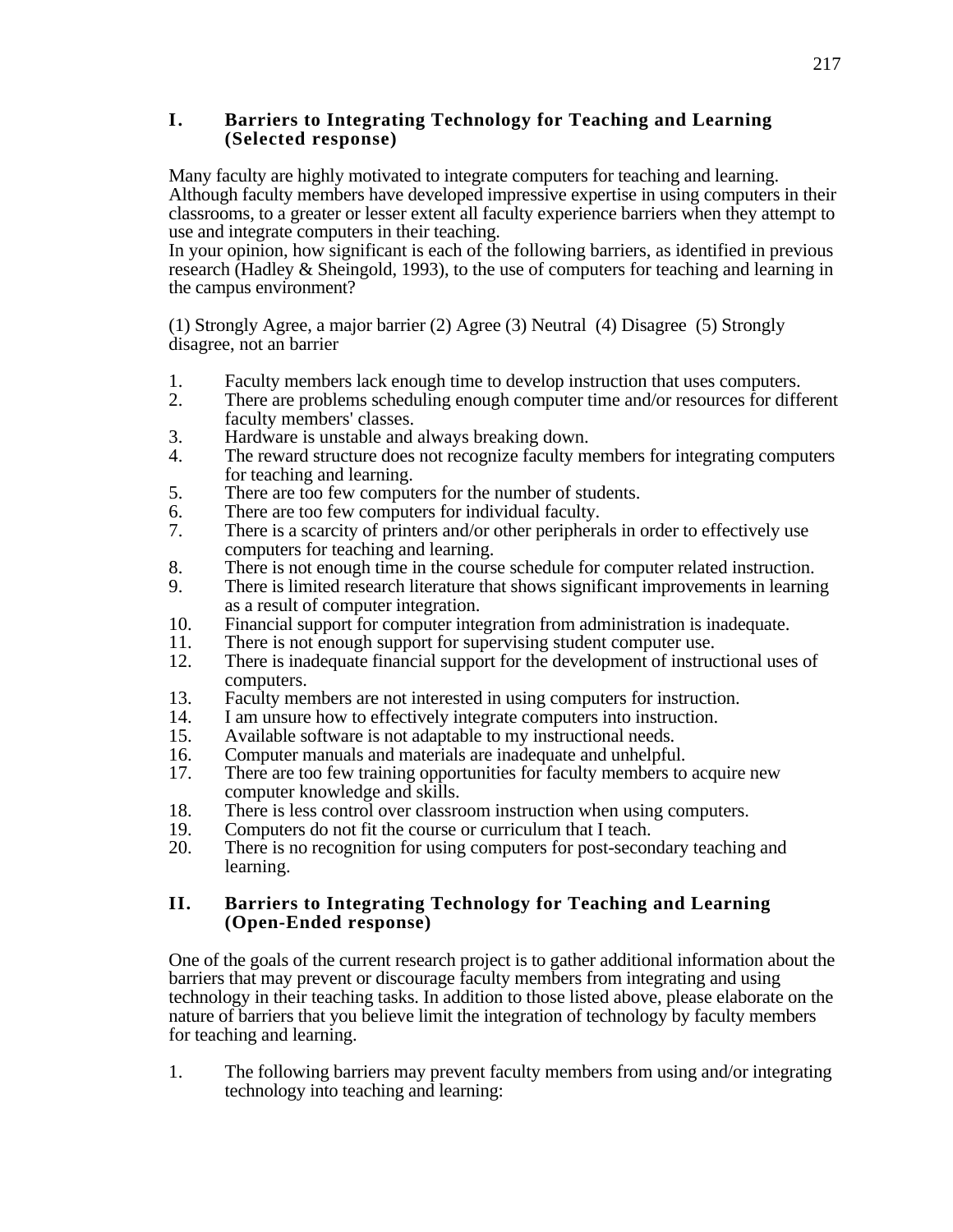## **I. Barriers to Integrating Technology for Teaching and Learning (Selected response)**

Many faculty are highly motivated to integrate computers for teaching and learning. Although faculty members have developed impressive expertise in using computers in their classrooms, to a greater or lesser extent all faculty experience barriers when they attempt to use and integrate computers in their teaching.

In your opinion, how significant is each of the following barriers, as identified in previous research (Hadley & Sheingold, 1993), to the use of computers for teaching and learning in the campus environment?

(1) Strongly Agree, a major barrier (2) Agree (3) Neutral (4) Disagree (5) Strongly disagree, not an barrier

- 1. Faculty members lack enough time to develop instruction that uses computers.
- 2. There are problems scheduling enough computer time and/or resources for different faculty members' classes.
- 3. Hardware is unstable and always breaking down.
- 4. The reward structure does not recognize faculty members for integrating computers for teaching and learning.
- 5. There are too few computers for the number of students.
- 6. There are too few computers for individual faculty.<br>
There is a scarcity of printers and/or other periphera
- There is a scarcity of printers and/or other peripherals in order to effectively use computers for teaching and learning.
- 8. There is not enough time in the course schedule for computer related instruction.
- 9. There is limited research literature that shows significant improvements in learning as a result of computer integration.
- 10. Financial support for computer integration from administration is inadequate.<br>11. There is not enough support for supervising student computer use.
- There is not enough support for supervising student computer use.
- 12. There is inadequate financial support for the development of instructional uses of computers.
- 13. Faculty members are not interested in using computers for instruction.<br>14. I am unsure how to effectively integrate computers into instruction.
- 14. I am unsure how to effectively integrate computers into instruction.<br>15. Available software is not adaptable to my instructional needs.
- 15. Available software is not adaptable to my instructional needs.<br>16. Computer manuals and materials are inadequate and unhelpful
- 16. Computer manuals and materials are inadequate and unhelpful.<br>17. There are too few training opportunities for faculty members to
- There are too few training opportunities for faculty members to acquire new computer knowledge and skills.
- 18. There is less control over classroom instruction when using computers.<br>19. Computers do not fit the course or curriculum that I teach.
- 19. Computers do not fit the course or curriculum that I teach.<br>20. There is no recognition for using computers for post-secon
- There is no recognition for using computers for post-secondary teaching and learning.

## **II. Barriers to Integrating Technology for Teaching and Learning (Open-Ended response)**

One of the goals of the current research project is to gather additional information about the barriers that may prevent or discourage faculty members from integrating and using technology in their teaching tasks. In addition to those listed above, please elaborate on the nature of barriers that you believe limit the integration of technology by faculty members for teaching and learning.

1. The following barriers may prevent faculty members from using and/or integrating technology into teaching and learning: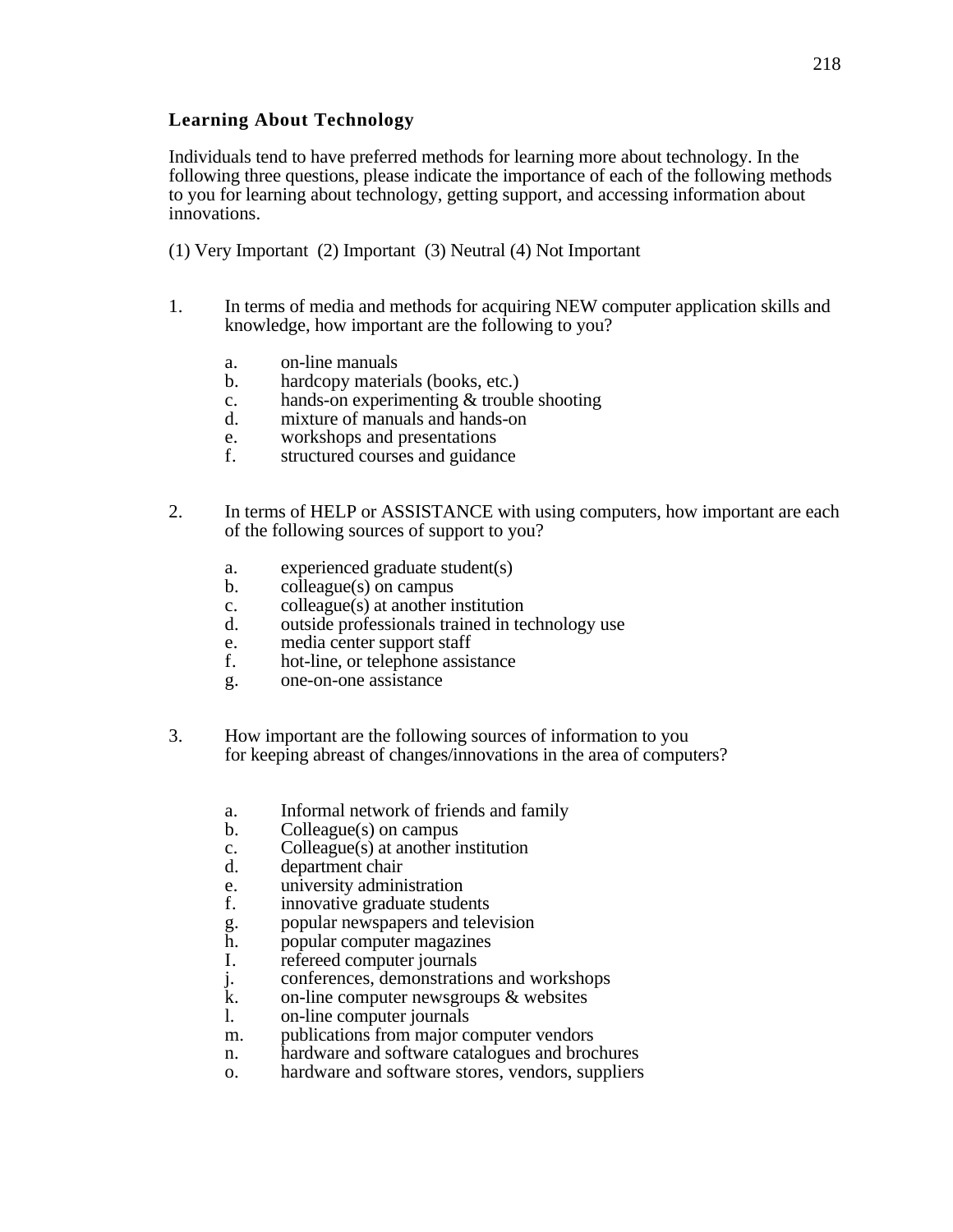# **Learning About Technology**

Individuals tend to have preferred methods for learning more about technology. In the following three questions, please indicate the importance of each of the following methods to you for learning about technology, getting support, and accessing information about innovations.

- (1) Very Important (2) Important (3) Neutral (4) Not Important
- 1. In terms of media and methods for acquiring NEW computer application skills and knowledge, how important are the following to you?
	- a. on-line manuals
	- b. hardcopy materials (books, etc.)
	- c. hands-on experimenting & trouble shooting
	- d. mixture of manuals and hands-on
	- e. workshops and presentations
	- f. structured courses and guidance
- 2. In terms of HELP or ASSISTANCE with using computers, how important are each of the following sources of support to you?
	- a. experienced graduate student(s)
	- b. colleague(s) on campus
	- c. colleague(s) at another institution
	- d. outside professionals trained in technology use
	- e. media center support staff
	- f. hot-line, or telephone assistance
	- g. one-on-one assistance
- 3. How important are the following sources of information to you for keeping abreast of changes/innovations in the area of computers?
	- a. Informal network of friends and family
	- b. Colleague(s) on campus
	- c. Colleague(s) at another institution
	- d. department chair
	- e. university administration
	- f. innovative graduate students
	- g. popular newspapers and television<br>h. popular computer magazines
	- h. popular computer magazines<br>I. refereed computer journals
	- refereed computer journals
	- j. conferences, demonstrations and workshops
	- k. on-line computer newsgroups & websites
	- l. on-line computer journals
	- m. publications from major computer vendors
	- n. hardware and software catalogues and brochures
	- o. hardware and software stores, vendors, suppliers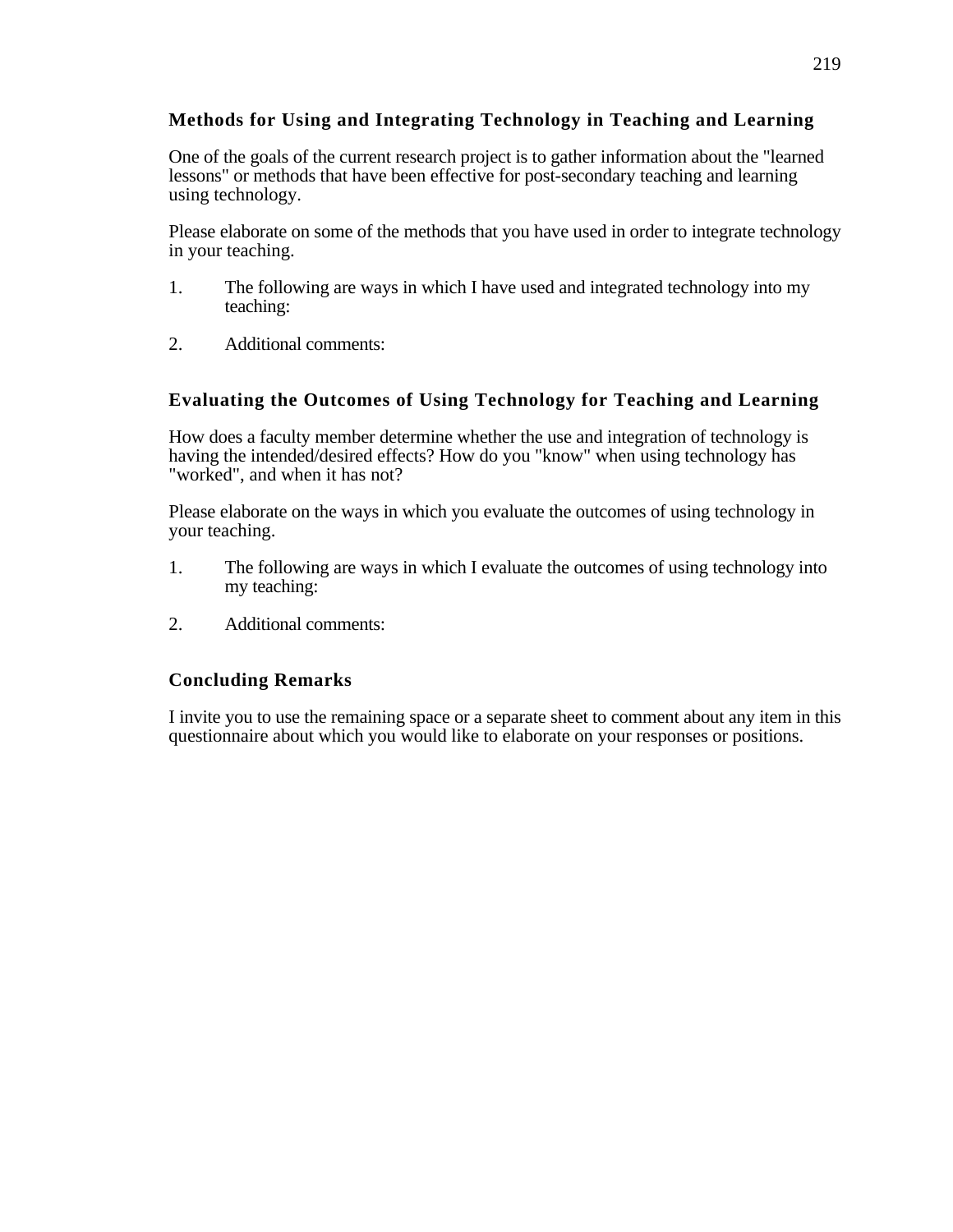# **Methods for Using and Integrating Technology in Teaching and Learning**

One of the goals of the current research project is to gather information about the "learned lessons" or methods that have been effective for post-secondary teaching and learning using technology.

Please elaborate on some of the methods that you have used in order to integrate technology in your teaching.

- 1. The following are ways in which I have used and integrated technology into my teaching:
- 2. Additional comments:

# **Evaluating the Outcomes of Using Technology for Teaching and Learning**

How does a faculty member determine whether the use and integration of technology is having the intended/desired effects? How do you "know" when using technology has "worked", and when it has not?

Please elaborate on the ways in which you evaluate the outcomes of using technology in your teaching.

- 1. The following are ways in which I evaluate the outcomes of using technology into my teaching:
- 2. Additional comments:

# **Concluding Remarks**

I invite you to use the remaining space or a separate sheet to comment about any item in this questionnaire about which you would like to elaborate on your responses or positions.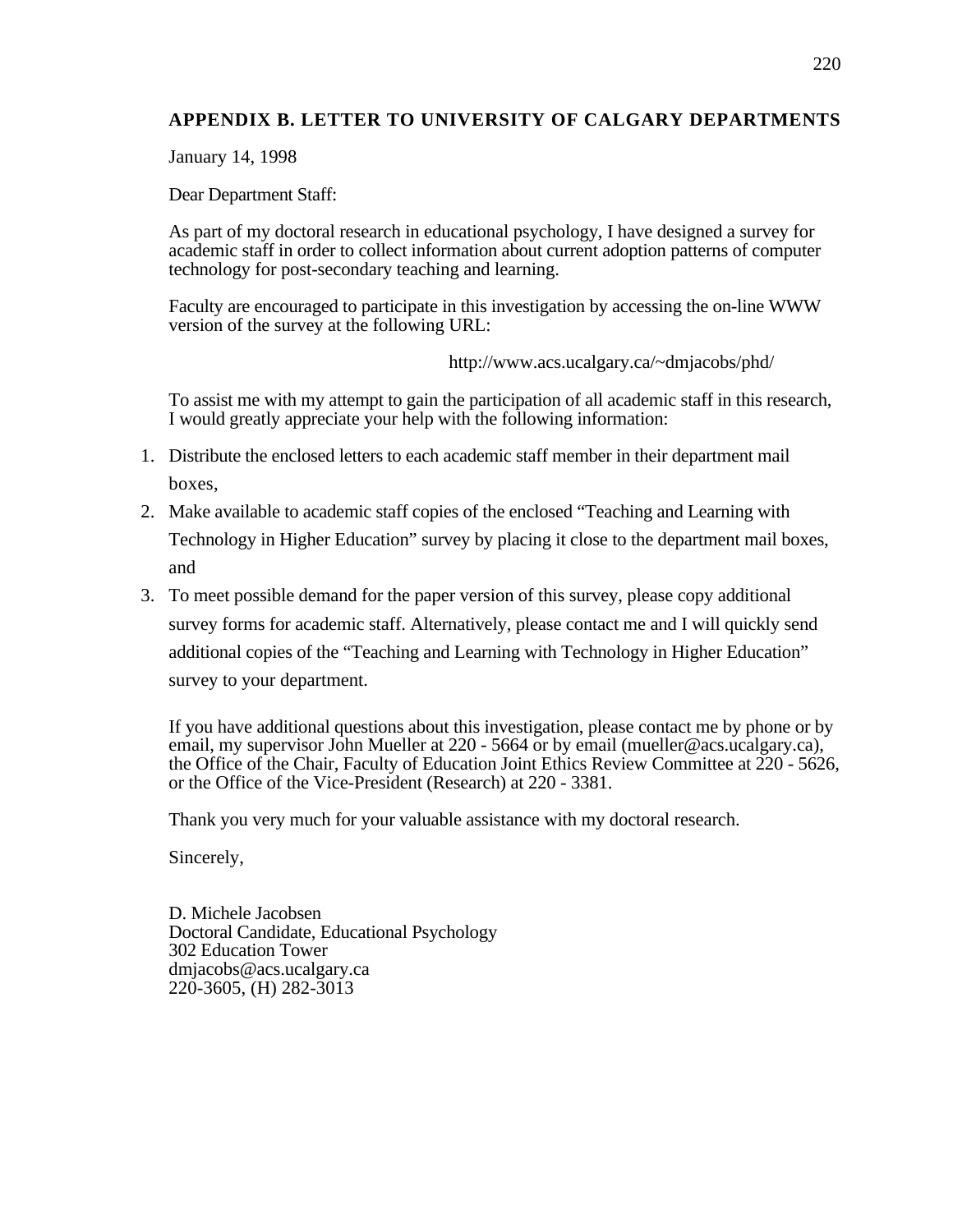# **APPENDIX B. LETTER TO UNIVERSITY OF CALGARY DEPARTMENTS**

January 14, 1998

Dear Department Staff:

As part of my doctoral research in educational psychology, I have designed a survey for academic staff in order to collect information about current adoption patterns of computer technology for post-secondary teaching and learning.

Faculty are encouraged to participate in this investigation by accessing the on-line WWW version of the survey at the following URL:

http://www.acs.ucalgary.ca/~dmjacobs/phd/

To assist me with my attempt to gain the participation of all academic staff in this research, I would greatly appreciate your help with the following information:

- 1. Distribute the enclosed letters to each academic staff member in their department mail boxes,
- 2. Make available to academic staff copies of the enclosed "Teaching and Learning with Technology in Higher Education" survey by placing it close to the department mail boxes, and
- 3. To meet possible demand for the paper version of this survey, please copy additional survey forms for academic staff. Alternatively, please contact me and I will quickly send additional copies of the "Teaching and Learning with Technology in Higher Education" survey to your department.

If you have additional questions about this investigation, please contact me by phone or by email, my supervisor John Mueller at 220 - 5664 or by email (mueller@acs.ucalgary.ca), the Office of the Chair, Faculty of Education Joint Ethics Review Committee at 220 - 5626, or the Office of the Vice-President (Research) at 220 - 3381.

Thank you very much for your valuable assistance with my doctoral research.

Sincerely,

D. Michele Jacobsen Doctoral Candidate, Educational Psychology 302 Education Tower dmjacobs@acs.ucalgary.ca 220-3605, (H) 282-3013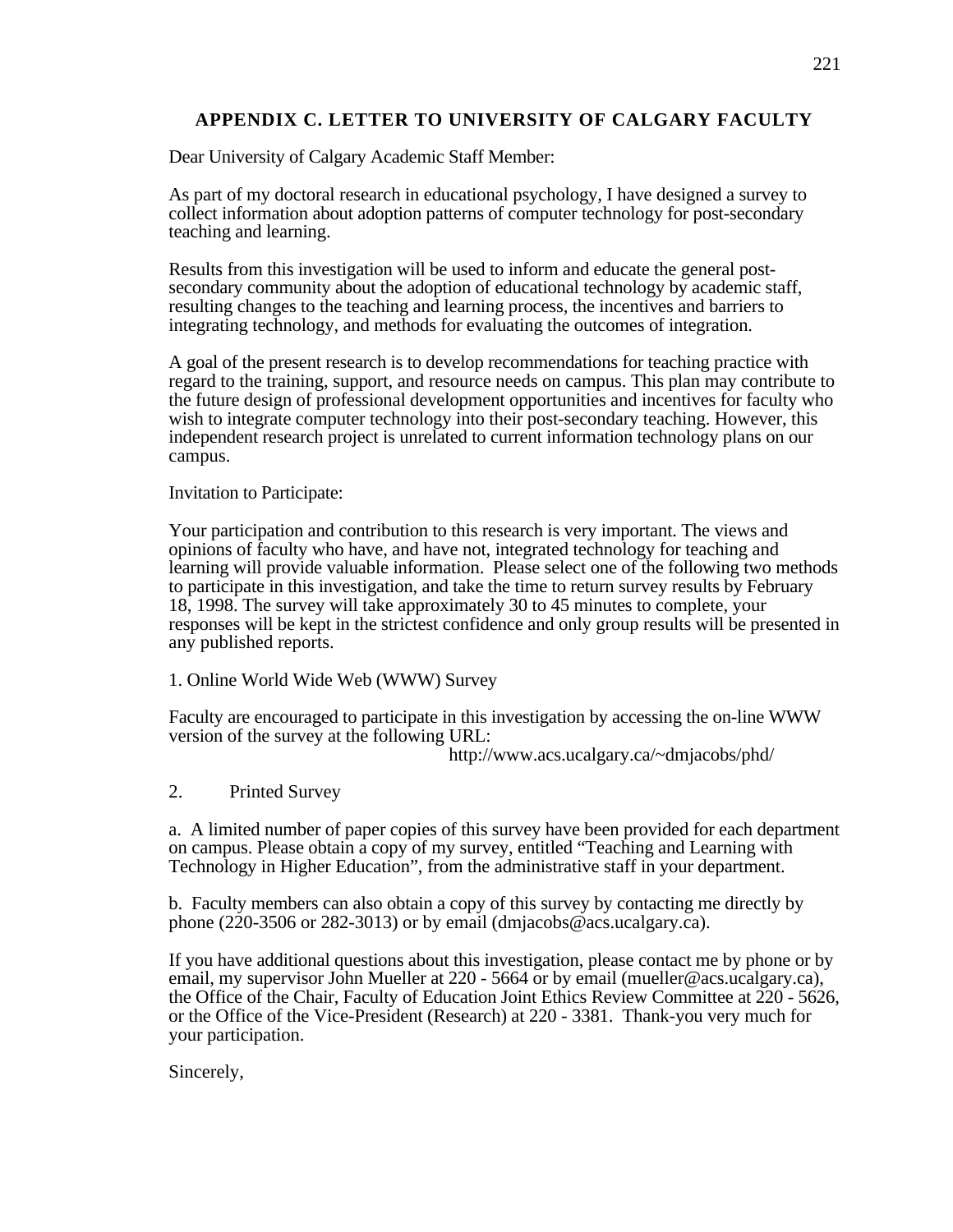# **APPENDIX C. LETTER TO UNIVERSITY OF CALGARY FACULTY**

Dear University of Calgary Academic Staff Member:

As part of my doctoral research in educational psychology, I have designed a survey to collect information about adoption patterns of computer technology for post-secondary teaching and learning.

Results from this investigation will be used to inform and educate the general postsecondary community about the adoption of educational technology by academic staff, resulting changes to the teaching and learning process, the incentives and barriers to integrating technology, and methods for evaluating the outcomes of integration.

A goal of the present research is to develop recommendations for teaching practice with regard to the training, support, and resource needs on campus. This plan may contribute to the future design of professional development opportunities and incentives for faculty who wish to integrate computer technology into their post-secondary teaching. However, this independent research project is unrelated to current information technology plans on our campus.

Invitation to Participate:

Your participation and contribution to this research is very important. The views and opinions of faculty who have, and have not, integrated technology for teaching and learning will provide valuable information. Please select one of the following two methods to participate in this investigation, and take the time to return survey results by February 18, 1998. The survey will take approximately 30 to 45 minutes to complete, your responses will be kept in the strictest confidence and only group results will be presented in any published reports.

1. Online World Wide Web (WWW) Survey

Faculty are encouraged to participate in this investigation by accessing the on-line WWW version of the survey at the following URL:

http://www.acs.ucalgary.ca/~dmjacobs/phd/

2. Printed Survey

a. A limited number of paper copies of this survey have been provided for each department on campus. Please obtain a copy of my survey, entitled "Teaching and Learning with Technology in Higher Education", from the administrative staff in your department.

b. Faculty members can also obtain a copy of this survey by contacting me directly by phone (220-3506 or 282-3013) or by email (dmjacobs@acs.ucalgary.ca).

If you have additional questions about this investigation, please contact me by phone or by email, my supervisor John Mueller at 220 - 5664 or by email (mueller@acs.ucalgary.ca), the Office of the Chair, Faculty of Education Joint Ethics Review Committee at 220 - 5626, or the Office of the Vice-President (Research) at 220 - 3381. Thank-you very much for your participation.

Sincerely,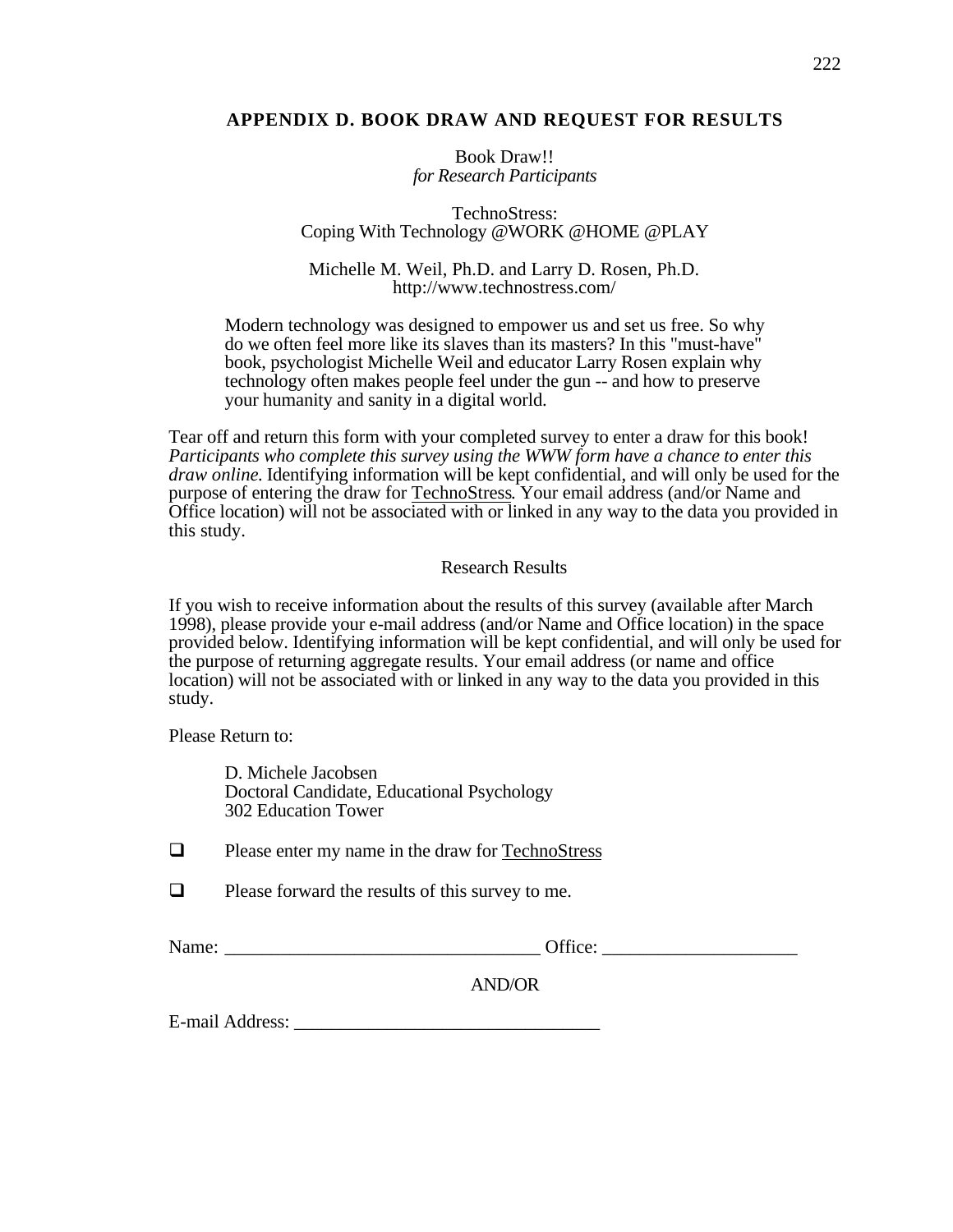## **APPENDIX D. BOOK DRAW AND REQUEST FOR RESULTS**

Book Draw!! *for Research Participants*

TechnoStress: Coping With Technology @WORK @HOME @PLAY

Michelle M. Weil, Ph.D. and Larry D. Rosen, Ph.D. http://www.technostress.com/

Modern technology was designed to empower us and set us free. So why do we often feel more like its slaves than its masters? In this "must-have" book, psychologist Michelle Weil and educator Larry Rosen explain why technology often makes people feel under the gun -- and how to preserve your humanity and sanity in a digital world.

Tear off and return this form with your completed survey to enter a draw for this book! *Participants who complete this survey using the WWW form have a chance to enter this draw online.* Identifying information will be kept confidential, and will only be used for the purpose of entering the draw for TechnoStress . Your email address (and/or Name and Office location) will not be associated with or linked in any way to the data you provided in this study.

#### Research Results

If you wish to receive information about the results of this survey (available after March 1998), please provide your e-mail address (and/or Name and Office location) in the space provided below. Identifying information will be kept confidential, and will only be used for the purpose of returning aggregate results. Your email address (or name and office location) will not be associated with or linked in any way to the data you provided in this study.

Please Return to:

D. Michele Jacobsen Doctoral Candidate, Educational Psychology 302 Education Tower

 $\Box$  Please enter my name in the draw for TechnoStress

 $\Box$  Please forward the results of this survey to me.

Name:  $\bullet$  Office:

AND/OR

E-mail Address: \_\_\_\_\_\_\_\_\_\_\_\_\_\_\_\_\_\_\_\_\_\_\_\_\_\_\_\_\_\_\_\_\_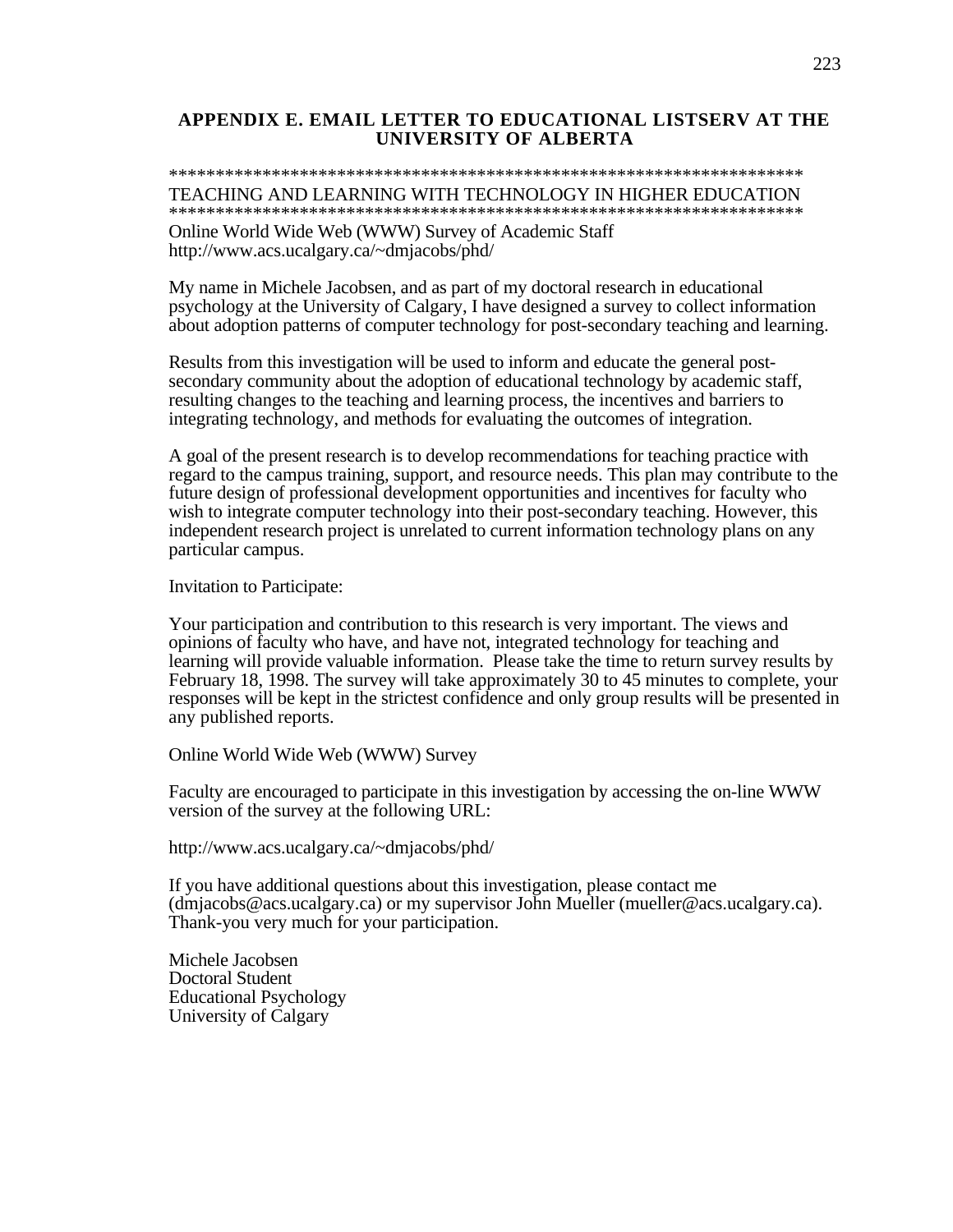#### **APPENDIX E. EMAIL LETTER TO EDUCATIONAL LISTSERV AT THE UNIVERSITY OF ALBERTA**

#### \*\*\*\*\*\*\*\*\*\*\*\*\*\*\*\*\*\*\*\*\*\*\*\*\*\*\*\*\*\*\*\*\*\*\*\*\*\*\*\*\*\*\*\*\*\*\*\*\*\*\*\*\*\*\*\*\*\*\*\*\*\*\*\*\*\*\*\* TEACHING AND LEARNING WITH TECHNOLOGY IN HIGHER EDUCATION \*\*\*\*\*\*\*\*\*\*\*\*\*\*\*\*\*\*\*\*\*\*\*\*\*\*\*\*\*\*\*\*\*\*\*\*\*\*\*\*\*\*\*\*\*\*\*\*\*\*\*\*\*\*\*\*\*\*\*\*\*\*\*\*\*\*\*\*

Online World Wide Web (WWW) Survey of Academic Staff http://www.acs.ucalgary.ca/~dmjacobs/phd/

My name in Michele Jacobsen, and as part of my doctoral research in educational psychology at the University of Calgary, I have designed a survey to collect information about adoption patterns of computer technology for post-secondary teaching and learning.

Results from this investigation will be used to inform and educate the general postsecondary community about the adoption of educational technology by academic staff, resulting changes to the teaching and learning process, the incentives and barriers to integrating technology, and methods for evaluating the outcomes of integration.

A goal of the present research is to develop recommendations for teaching practice with regard to the campus training, support, and resource needs. This plan may contribute to the future design of professional development opportunities and incentives for faculty who wish to integrate computer technology into their post-secondary teaching. However, this independent research project is unrelated to current information technology plans on any particular campus.

Invitation to Participate:

Your participation and contribution to this research is very important. The views and opinions of faculty who have, and have not, integrated technology for teaching and learning will provide valuable information. Please take the time to return survey results by February 18, 1998. The survey will take approximately 30 to 45 minutes to complete, your responses will be kept in the strictest confidence and only group results will be presented in any published reports.

Online World Wide Web (WWW) Survey

Faculty are encouraged to participate in this investigation by accessing the on-line WWW version of the survey at the following URL:

http://www.acs.ucalgary.ca/~dmjacobs/phd/

If you have additional questions about this investigation, please contact me (dmjacobs@acs.ucalgary.ca) or my supervisor John Mueller (mueller@acs.ucalgary.ca). Thank-you very much for your participation.

Michele Jacobsen Doctoral Student Educational Psychology University of Calgary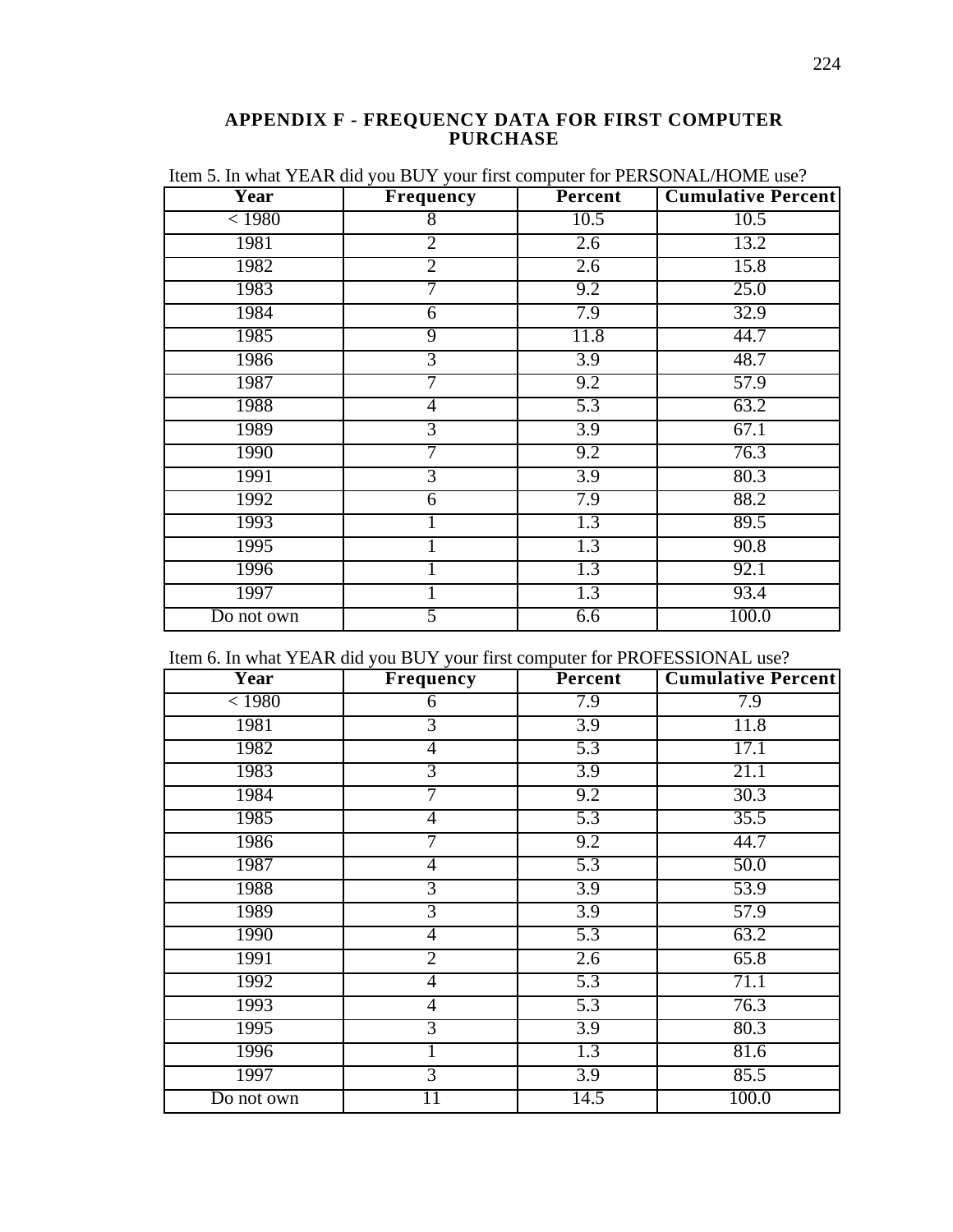#### **APPENDIX F - FREQUENCY DATA FOR FIRST COMPUTER PURCHASE**

| Year       | <b>Frequency</b> | Percent | <b>Cumulative Percent</b> |
|------------|------------------|---------|---------------------------|
| < 1980     | $\overline{8}$   | 10.5    | 10.5                      |
| 1981       | $\overline{2}$   | 2.6     | 13.2                      |
| 1982       | $\overline{2}$   | 2.6     | 15.8                      |
| 1983       | 7                | 9.2     | 25.0                      |
| 1984       | 6                | 7.9     | 32.9                      |
| 1985       | $\overline{9}$   | 11.8    | 44.7                      |
| 1986       | $\overline{3}$   | 3.9     | 48.7                      |
| 1987       | 7                | 9.2     | 57.9                      |
| 1988       | 4                | 5.3     | 63.2                      |
| 1989       | $\overline{3}$   | 3.9     | 67.1                      |
| 1990       | 7                | 9.2     | 76.3                      |
| 1991       | $\overline{3}$   | 3.9     | 80.3                      |
| 1992       | 6                | 7.9     | 88.2                      |
| 1993       |                  | 1.3     | 89.5                      |
| 1995       |                  | 1.3     | 90.8                      |
| 1996       |                  | 1.3     | 92.1                      |
| 1997       |                  | 1.3     | 93.4                      |
| Do not own | 5                | 6.6     | 100.0                     |

Item 5. In what YEAR did you BUY your first computer for PERSONAL/HOME use?

|  |  | Item 6. In what YEAR did you BUY your first computer for PROFESSIONAL use? |
|--|--|----------------------------------------------------------------------------|
|--|--|----------------------------------------------------------------------------|

| <b>Year</b> | Frequency      | <b>Percent</b>   | <b>Cumulative Percent</b> |
|-------------|----------------|------------------|---------------------------|
| < 1980      | 6              | 7.9              | 7.9                       |
| 1981        | $\overline{3}$ | 3.9              | 11.8                      |
| 1982        | $\overline{4}$ | 5.3              | 17.1                      |
| 1983        | $\overline{3}$ | 3.9              | 21.1                      |
| 1984        | 7              | 9.2              | 30.3                      |
| 1985        | 4              | 5.3              | 35.5                      |
| 1986        | 7              | 9.2              | 44.7                      |
| 1987        | 4              | $\overline{5.3}$ | 50.0                      |
| 1988        | $\overline{3}$ | 3.9              | 53.9                      |
| 1989        | $\overline{3}$ | 3.9              | 57.9                      |
| 1990        | 4              | $\overline{5.3}$ | 63.2                      |
| 1991        | $\overline{2}$ | 2.6              | 65.8                      |
| 1992        | $\overline{4}$ | 5.3              | 71.1                      |
| 1993        | $\overline{4}$ | 5.3              | 76.3                      |
| 1995        | $\overline{3}$ | 3.9              | 80.3                      |
| 1996        |                | 1.3              | 81.6                      |
| 1997        | $\overline{3}$ | $\overline{3.9}$ | 85.5                      |
| Do not own  | 11             | 14.5             | 100.0                     |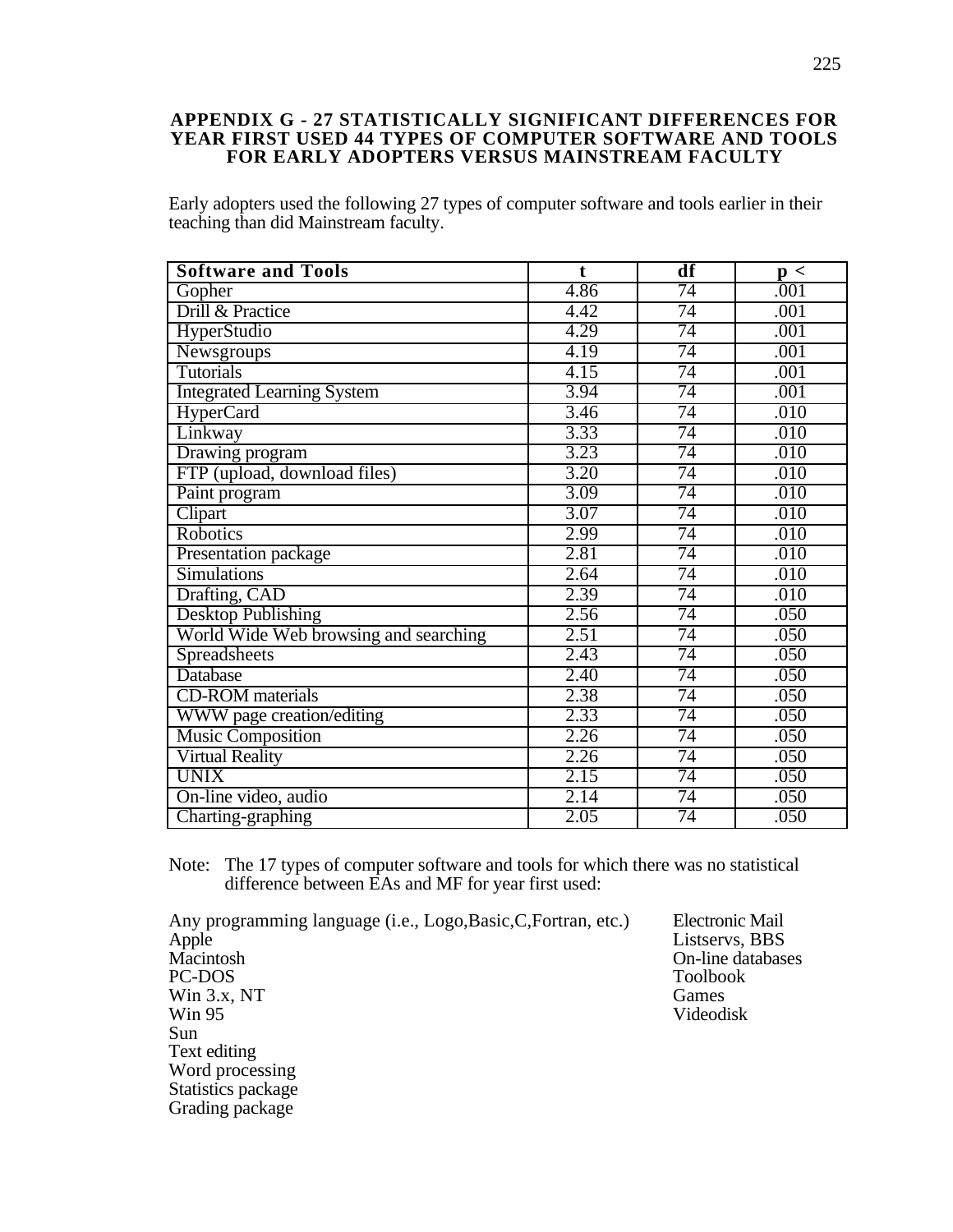#### **APPENDIX G - 27 STATISTICALLY SIGNIFICANT DIFFERENCES FOR YEAR FIRST USED 44 TYPES OF COMPUTER SOFTWARE AND TOOLS FOR EARLY ADOPTERS VERSUS MAINSTREAM FACULTY**

Early adopters used the following 27 types of computer software and tools earlier in their teaching than did Mainstream faculty.

| <b>Software and Tools</b>             | $\mathbf t$ | df | $\mathbf{p}$ < |
|---------------------------------------|-------------|----|----------------|
| Gopher                                | 4.86        | 74 | .001           |
| Drill & Practice                      | 4.42        | 74 | .001           |
| HyperStudio                           | 4.29        | 74 | .001           |
| Newsgroups                            | 4.19        | 74 | .001           |
| <b>Tutorials</b>                      | 4.15        | 74 | .001           |
| <b>Integrated Learning System</b>     | 3.94        | 74 | .001           |
| <b>HyperCard</b>                      | 3.46        | 74 | .010           |
| Linkway                               | 3.33        | 74 | .010           |
| Drawing program                       | 3.23        | 74 | .010           |
| FTP (upload, download files)          | 3.20        | 74 | .010           |
| Paint program                         | 3.09        | 74 | .010           |
| Clipart                               | 3.07        | 74 | .010           |
| <b>Robotics</b>                       | 2.99        | 74 | .010           |
| Presentation package                  | 2.81        | 74 | .010           |
| <b>Simulations</b>                    | 2.64        | 74 | .010           |
| Drafting, CAD                         | 2.39        | 74 | .010           |
| <b>Desktop Publishing</b>             | 2.56        | 74 | .050           |
| World Wide Web browsing and searching | 2.51        | 74 | .050           |
| <b>Spreadsheets</b>                   | 2.43        | 74 | .050           |
| <b>Database</b>                       | 2.40        | 74 | .050           |
| <b>CD-ROM</b> materials               | 2.38        | 74 | .050           |
| WWW page creation/editing             | 2.33        | 74 | .050           |
| <b>Music Composition</b>              | 2.26        | 74 | .050           |
| <b>Virtual Reality</b>                | 2.26        | 74 | .050           |
| <b>UNIX</b>                           | 2.15        | 74 | .050           |
| On-line video, audio                  | 2.14        | 74 | .050           |
| Charting-graphing                     | 2.05        | 74 | .050           |

Note: The 17 types of computer software and tools for which there was no statistical difference between EAs and MF for year first used:

Any programming language (i.e., Logo,Basic,C,Fortran, etc.) Electronic Mail Apple Listservs, BBS Apple Listservs, BBS<br>
Macintosh On-line databas Macintosh On-line databases<br>
PC-DOS<br>
Toolbook Win 3.x, NT<br>
Win 95<br>
Win 95<br>
Win 95 Win 95 Videodisk Sun Text editing Word processing Statistics package Grading package

Toolbook<br>Games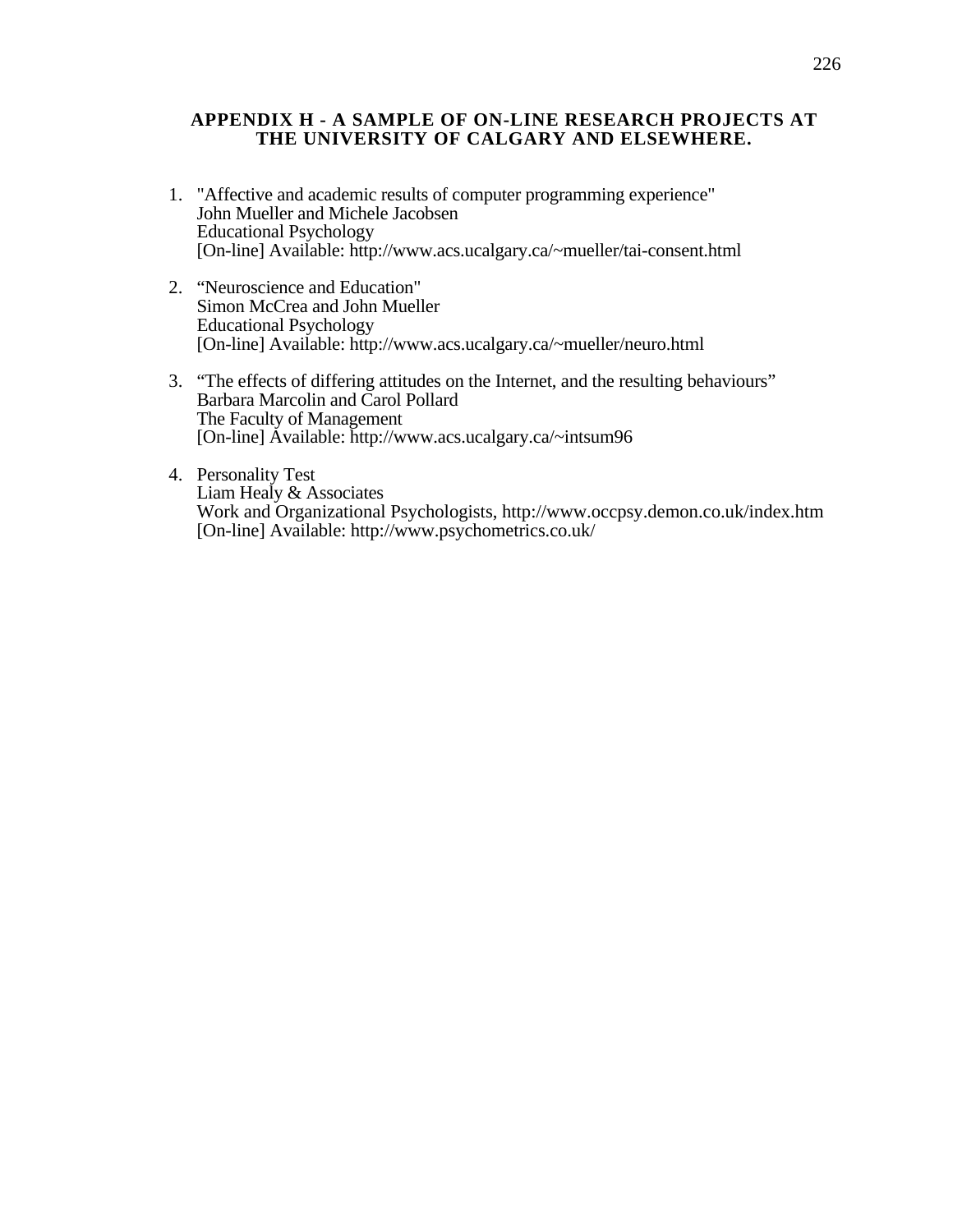#### **APPENDIX H - A SAMPLE OF ON-LINE RESEARCH PROJECTS AT THE UNIVERSITY OF CALGARY AND ELSEWHERE.**

- 1. "Affective and academic results of computer programming experience" John Mueller and Michele Jacobsen Educational Psychology [On-line] Available: http://www.acs.ucalgary.ca/~mueller/tai-consent.html
- 2. "Neuroscience and Education" Simon McCrea and John Mueller Educational Psychology [On-line] Available: http://www.acs.ucalgary.ca/~mueller/neuro.html
- 3. "The effects of differing attitudes on the Internet, and the resulting behaviours" Barbara Marcolin and Carol Pollard The Faculty of Management [On-line] Available: http://www.acs.ucalgary.ca/~intsum96
- 4. Personality Test Liam Healy & Associates Work and Organizational Psychologists, http://www.occpsy.demon.co.uk/index.htm [On-line] Available: http://www.psychometrics.co.uk/